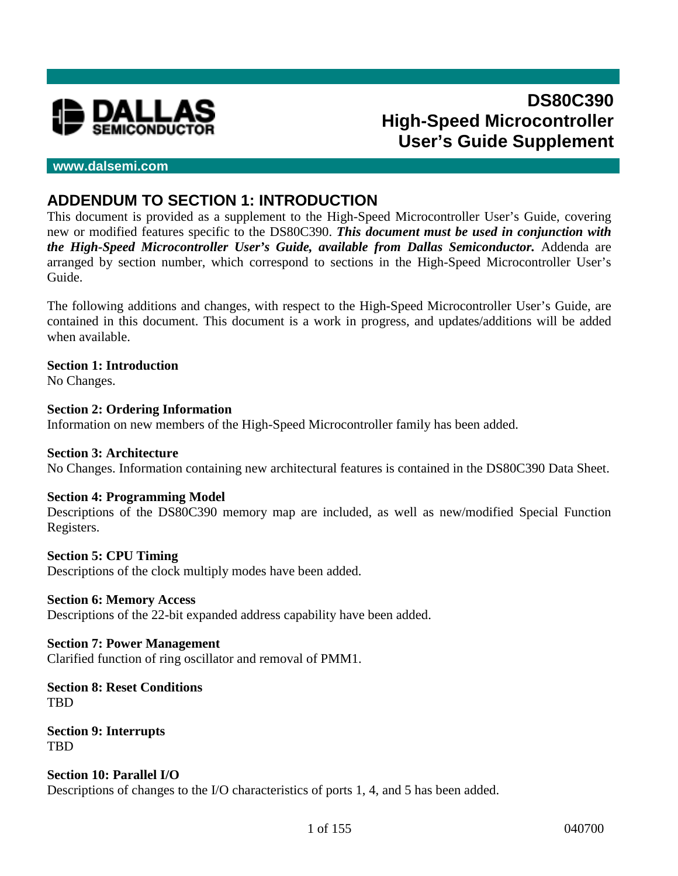

# **DS80C390 High-Speed Microcontroller User's Guide Supplement**

### **www.dalsemi.com**

# **ADDENDUM TO SECTION 1: INTRODUCTION**

This document is provided as a supplement to the High-Speed Microcontroller User's Guide, covering new or modified features specific to the DS80C390. *This document must be used in conjunction with the High-Speed Microcontroller User's Guide, available from Dallas Semiconductor.* Addenda are arranged by section number, which correspond to sections in the High-Speed Microcontroller User's Guide.

The following additions and changes, with respect to the High-Speed Microcontroller User's Guide, are contained in this document. This document is a work in progress, and updates/additions will be added when available.

### **Section 1: Introduction**

No Changes.

#### **Section 2: Ordering Information**

Information on new members of the High-Speed Microcontroller family has been added.

#### **Section 3: Architecture**

No Changes. Information containing new architectural features is contained in the DS80C390 Data Sheet.

#### **Section 4: Programming Model**

Descriptions of the DS80C390 memory map are included, as well as new/modified Special Function Registers.

#### **Section 5: CPU Timing**

Descriptions of the clock multiply modes have been added.

#### **Section 6: Memory Access**

Descriptions of the 22-bit expanded address capability have been added.

#### **Section 7: Power Management**

Clarified function of ring oscillator and removal of PMM1.

**Section 8: Reset Conditions TRD** 

**Section 9: Interrupts** TBD

#### **Section 10: Parallel I/O**

Descriptions of changes to the I/O characteristics of ports 1, 4, and 5 has been added.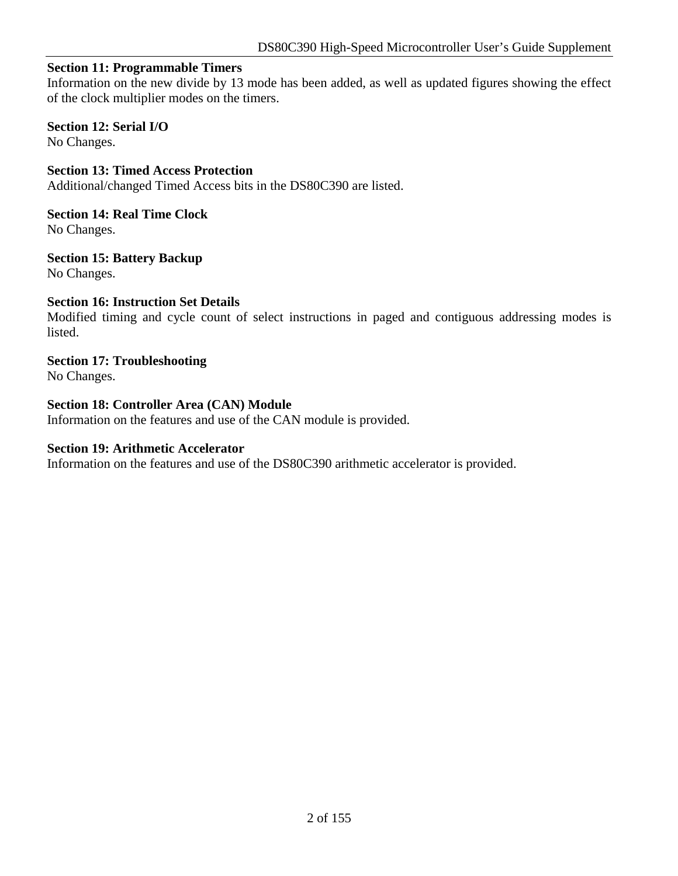### **Section 11: Programmable Timers**

Information on the new divide by 13 mode has been added, as well as updated figures showing the effect of the clock multiplier modes on the timers.

### **Section 12: Serial I/O**

No Changes.

**Section 13: Timed Access Protection** Additional/changed Timed Access bits in the DS80C390 are listed.

**Section 14: Real Time Clock** No Changes.

**Section 15: Battery Backup** No Changes.

#### **Section 16: Instruction Set Details**

Modified timing and cycle count of select instructions in paged and contiguous addressing modes is listed.

# **Section 17: Troubleshooting**

No Changes.

### **Section 18: Controller Area (CAN) Module**

Information on the features and use of the CAN module is provided.

#### **Section 19: Arithmetic Accelerator**

Information on the features and use of the DS80C390 arithmetic accelerator is provided.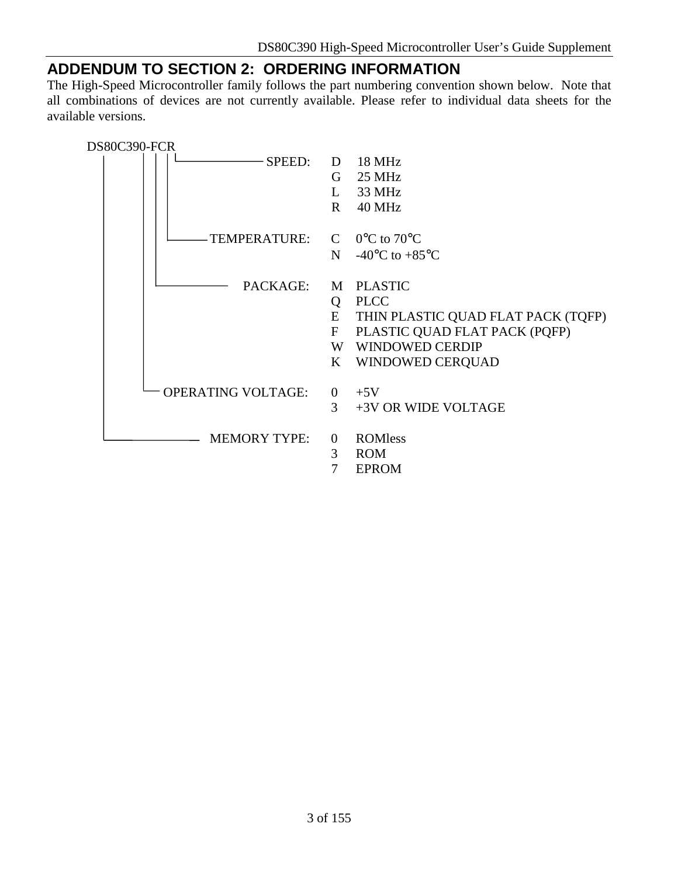# **ADDENDUM TO SECTION 2: ORDERING INFORMATION**

The High-Speed Microcontroller family follows the part numbering convention shown below. Note that all combinations of devices are not currently available. Please refer to individual data sheets for the available versions.

| DS80C390-FCR |                           |                   |                                              |
|--------------|---------------------------|-------------------|----------------------------------------------|
|              | SPEED:                    | D                 | 18 MHz                                       |
|              |                           | G                 | 25 MHz                                       |
|              |                           | L                 | 33 MHz                                       |
|              |                           | $\mathbf{R}$      | 40 MHz                                       |
|              | TEMPERATURE:              | $\mathbf C$       | $0^{\circ}$ C to 70 $^{\circ}$ C             |
|              |                           | N                 | -40 $\rm{^{\circ}C}$ to +85 $\rm{^{\circ}C}$ |
|              | PACKAGE:                  | M                 | <b>PLASTIC</b>                               |
|              |                           | Q                 | <b>PLCC</b>                                  |
|              |                           | E                 | THIN PLASTIC QUAD FLAT PACK (TQFP)           |
|              |                           | $\mathbf{F}$      | PLASTIC QUAD FLAT PACK (PQFP)                |
|              |                           | W                 | <b>WINDOWED CERDIP</b>                       |
|              |                           | $\bf K$           | WINDOWED CERQUAD                             |
|              | <b>OPERATING VOLTAGE:</b> | $\overline{0}$    | $+5V$                                        |
|              |                           | 3                 | +3V OR WIDE VOLTAGE                          |
|              | <b>MEMORY TYPE:</b>       | $\mathbf{0}$<br>3 | <b>ROMless</b><br><b>ROM</b>                 |
|              |                           | 7                 | <b>EPROM</b>                                 |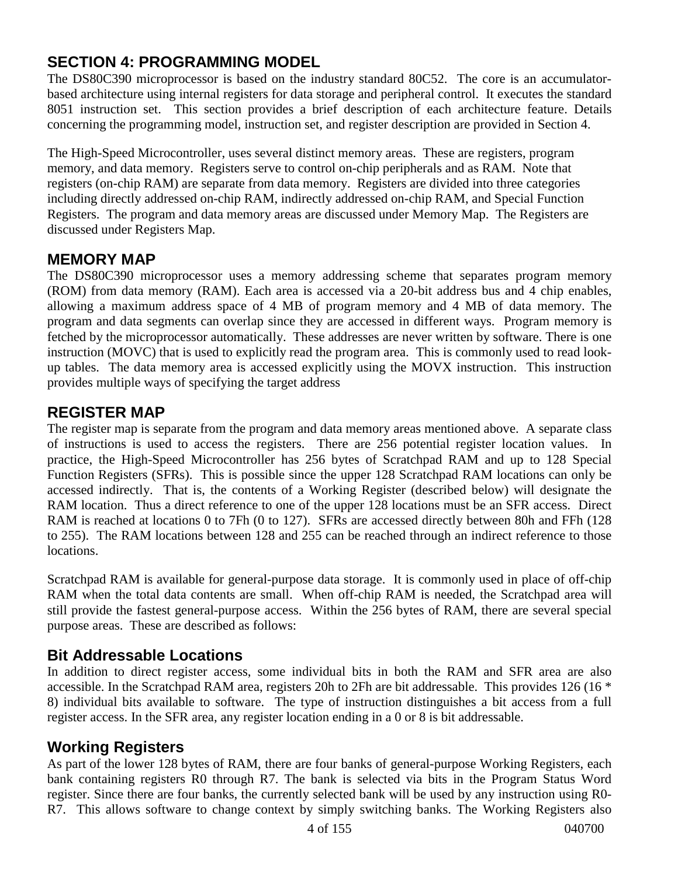# **SECTION 4: PROGRAMMING MODEL**

The DS80C390 microprocessor is based on the industry standard 80C52. The core is an accumulatorbased architecture using internal registers for data storage and peripheral control. It executes the standard 8051 instruction set. This section provides a brief description of each architecture feature. Details concerning the programming model, instruction set, and register description are provided in Section 4.

The High-Speed Microcontroller, uses several distinct memory areas. These are registers, program memory, and data memory. Registers serve to control on-chip peripherals and as RAM. Note that registers (on-chip RAM) are separate from data memory. Registers are divided into three categories including directly addressed on-chip RAM, indirectly addressed on-chip RAM, and Special Function Registers. The program and data memory areas are discussed under Memory Map. The Registers are discussed under Registers Map.

# **MEMORY MAP**

The DS80C390 microprocessor uses a memory addressing scheme that separates program memory (ROM) from data memory (RAM). Each area is accessed via a 20-bit address bus and 4 chip enables, allowing a maximum address space of 4 MB of program memory and 4 MB of data memory. The program and data segments can overlap since they are accessed in different ways. Program memory is fetched by the microprocessor automatically. These addresses are never written by software. There is one instruction (MOVC) that is used to explicitly read the program area. This is commonly used to read lookup tables. The data memory area is accessed explicitly using the MOVX instruction. This instruction provides multiple ways of specifying the target address

### **REGISTER MAP**

The register map is separate from the program and data memory areas mentioned above. A separate class of instructions is used to access the registers. There are 256 potential register location values. In practice, the High-Speed Microcontroller has 256 bytes of Scratchpad RAM and up to 128 Special Function Registers (SFRs). This is possible since the upper 128 Scratchpad RAM locations can only be accessed indirectly. That is, the contents of a Working Register (described below) will designate the RAM location. Thus a direct reference to one of the upper 128 locations must be an SFR access. Direct RAM is reached at locations 0 to 7Fh (0 to 127). SFRs are accessed directly between 80h and FFh (128 to 255). The RAM locations between 128 and 255 can be reached through an indirect reference to those locations.

Scratchpad RAM is available for general-purpose data storage. It is commonly used in place of off-chip RAM when the total data contents are small. When off-chip RAM is needed, the Scratchpad area will still provide the fastest general-purpose access. Within the 256 bytes of RAM, there are several special purpose areas. These are described as follows:

# **Bit Addressable Locations**

In addition to direct register access, some individual bits in both the RAM and SFR area are also accessible. In the Scratchpad RAM area, registers 20h to 2Fh are bit addressable. This provides 126 (16 \* 8) individual bits available to software. The type of instruction distinguishes a bit access from a full register access. In the SFR area, any register location ending in a 0 or 8 is bit addressable.

### **Working Registers**

As part of the lower 128 bytes of RAM, there are four banks of general-purpose Working Registers, each bank containing registers R0 through R7. The bank is selected via bits in the Program Status Word register. Since there are four banks, the currently selected bank will be used by any instruction using R0- R7. This allows software to change context by simply switching banks. The Working Registers also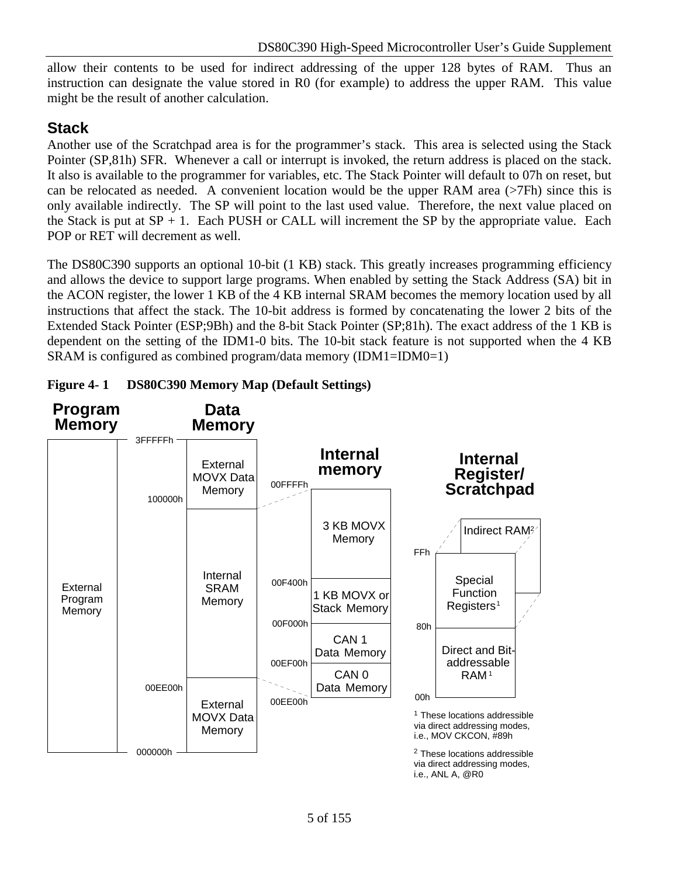allow their contents to be used for indirect addressing of the upper 128 bytes of RAM. Thus an instruction can designate the value stored in R0 (for example) to address the upper RAM. This value might be the result of another calculation.

# **Stack**

Another use of the Scratchpad area is for the programmer's stack. This area is selected using the Stack Pointer (SP,81h) SFR. Whenever a call or interrupt is invoked, the return address is placed on the stack. It also is available to the programmer for variables, etc. The Stack Pointer will default to 07h on reset, but can be relocated as needed. A convenient location would be the upper RAM area (>7Fh) since this is only available indirectly. The SP will point to the last used value. Therefore, the next value placed on the Stack is put at  $SP + 1$ . Each PUSH or CALL will increment the SP by the appropriate value. Each POP or RET will decrement as well.

The DS80C390 supports an optional 10-bit (1 KB) stack. This greatly increases programming efficiency and allows the device to support large programs. When enabled by setting the Stack Address (SA) bit in the ACON register, the lower 1 KB of the 4 KB internal SRAM becomes the memory location used by all instructions that affect the stack. The 10-bit address is formed by concatenating the lower 2 bits of the Extended Stack Pointer (ESP;9Bh) and the 8-bit Stack Pointer (SP;81h). The exact address of the 1 KB is dependent on the setting of the IDM1-0 bits. The 10-bit stack feature is not supported when the 4 KB SRAM is configured as combined program/data memory (IDM1=IDM0=1)



**Figure 4- 1 DS80C390 Memory Map (Default Settings)**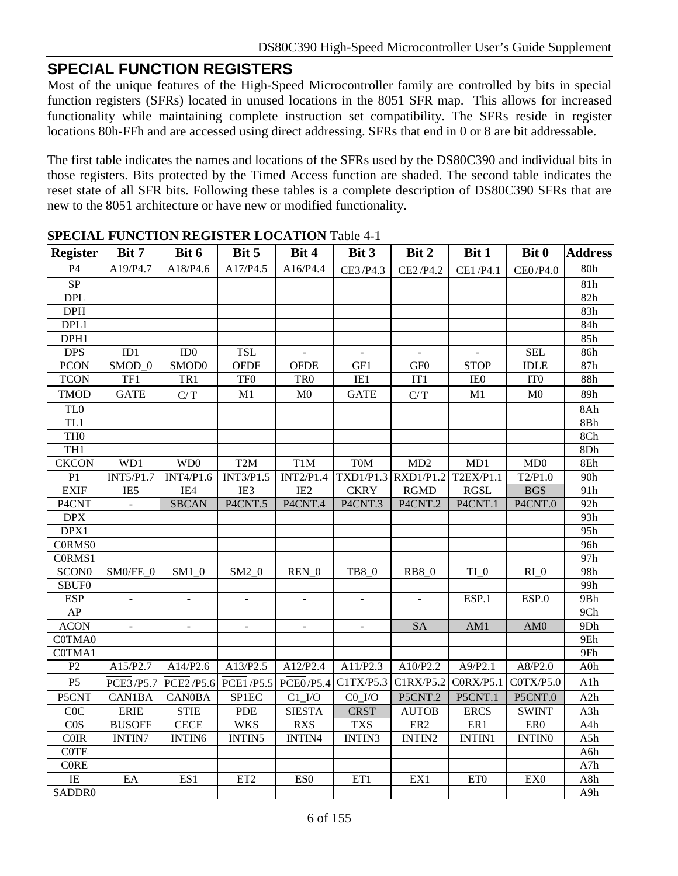### **SPECIAL FUNCTION REGISTERS**

Most of the unique features of the High-Speed Microcontroller family are controlled by bits in special function registers (SFRs) located in unused locations in the 8051 SFR map. This allows for increased functionality while maintaining complete instruction set compatibility. The SFRs reside in register locations 80h-FFh and are accessed using direct addressing. SFRs that end in 0 or 8 are bit addressable.

The first table indicates the names and locations of the SFRs used by the DS80C390 and individual bits in those registers. Bits protected by the Timed Access function are shaded. The second table indicates the reset state of all SFR bits. Following these tables is a complete description of DS80C390 SFRs that are new to the 8051 architecture or have new or modified functionality.

|                         | ы всим генетон месцентноситон тажет п |                        |                  |                         |                                  |                  |                  |                      |                 |
|-------------------------|---------------------------------------|------------------------|------------------|-------------------------|----------------------------------|------------------|------------------|----------------------|-----------------|
| <b>Register</b>         | Bit 7                                 | Bit 6                  | Bit 5            | Bit 4                   | Bit 3                            | Bit 2            | Bit 1            | Bit 0                | <b>Address</b>  |
| P <sub>4</sub>          | A19/P4.7                              | A18/P4.6               | A17/P4.5         | A16/P4.4                | CE3/P4.3                         | CE2/P4.2         | CE1/P4.1         | CE0/P4.0             | 80h             |
| $\overline{\text{SP}}$  |                                       |                        |                  |                         |                                  |                  |                  |                      | 81h             |
| <b>DPL</b>              |                                       |                        |                  |                         |                                  |                  |                  |                      | 82h             |
| <b>DPH</b>              |                                       |                        |                  |                         |                                  |                  |                  |                      | 83h             |
| DPL1                    |                                       |                        |                  |                         |                                  |                  |                  |                      | 84h             |
| DPH1                    |                                       |                        |                  |                         |                                  |                  |                  |                      | 85h             |
| <b>DPS</b>              | ID1                                   | ID0                    | <b>TSL</b>       | $\mathbb{Z}^2$          | $\omega$                         | $\mathbb{Z}^2$   | $\mathbf{r}$     | <b>SEL</b>           | 86h             |
| <b>PCON</b>             | SMOD_0                                | SMOD0                  | <b>OFDF</b>      | <b>OFDE</b>             | GF1                              | GF <sub>0</sub>  | <b>STOP</b>      | <b>IDLE</b>          | 87h             |
| <b>TCON</b>             | TF1                                   | TR1                    | TF <sub>0</sub>  | TR <sub>0</sub>         | IE1                              | IT1              | IE <sub>0</sub>  | IT <sub>0</sub>      | 88h             |
| <b>TMOD</b>             | <b>GATE</b>                           | $C/\overline{T}$       | M1               | M <sub>0</sub>          | <b>GATE</b>                      | $C/\overline{T}$ | M1               | M <sub>0</sub>       | 89h             |
| TL <sub>0</sub>         |                                       |                        |                  |                         |                                  |                  |                  |                      | 8Ah             |
| TL1                     |                                       |                        |                  |                         |                                  |                  |                  |                      | $8\mathrm{Bh}$  |
| TH <sub>0</sub>         |                                       |                        |                  |                         |                                  |                  |                  |                      | 8Ch             |
| TH1                     |                                       |                        |                  |                         |                                  |                  |                  |                      | 8Dh             |
| <b>CKCON</b>            | WD1                                   | WD <sub>0</sub>        | T <sub>2</sub> M | T <sub>1</sub> M        | T <sub>0</sub> M                 | MD2              | MD1              | MD0                  | 8Eh             |
| P <sub>1</sub>          | <b>INT5/P1.7</b>                      | <b>INT4/P1.6</b>       | INT3/P1.5        | INT2/P1.4               | $TXD1/P1.3$ RXD1/P1.2            |                  | <b>T2EX/P1.1</b> | $\overline{T2/P1.0}$ | 90h             |
| <b>EXIF</b>             | IE5                                   | IE4                    | IE3              | IE <sub>2</sub>         | <b>CKRY</b>                      | <b>RGMD</b>      | <b>RGSL</b>      | <b>BGS</b>           | 91h             |
| P4CNT                   | $\blacksquare$                        | <b>SBCAN</b>           | P4CNT.5          | P4CNT.4                 | P4CNT.3                          | P4CNT.2          | P4CNT.1          | P4CNT.0              | 92h             |
| $\overline{DPX}$        |                                       |                        |                  |                         |                                  |                  |                  |                      | 93h             |
| DPX1                    |                                       |                        |                  |                         |                                  |                  |                  |                      | 95h             |
| C0RMS0                  |                                       |                        |                  |                         |                                  |                  |                  |                      | 96h             |
| C0RMS1                  |                                       |                        |                  |                         |                                  |                  |                  |                      | 97h             |
| SCON <sub>0</sub>       | SM0/FE_0                              | $\text{SM1}\_\text{0}$ | $SM2_0$          | $REN_0$                 | TB8_0                            | <b>RB8_0</b>     | $TI_0$           | $RI_0$               | 98h             |
| <b>SBUF0</b>            |                                       |                        |                  |                         |                                  |                  |                  |                      | 99h             |
| <b>ESP</b>              |                                       | $\blacksquare$         | $\blacksquare$   | $\blacksquare$          | $\blacksquare$                   |                  | ESP.1            | ESP.0                | 9Bh             |
| AP                      |                                       |                        |                  |                         |                                  |                  |                  |                      | 9 <sub>Ch</sub> |
| <b>ACON</b>             | $\omega$                              | $\blacksquare$         | $\omega$         | $\blacksquare$          | $\blacksquare$                   | <b>SA</b>        | AM1              | AM0                  | 9Dh             |
| C0TMA0                  |                                       |                        |                  |                         |                                  |                  |                  |                      | 9Eh             |
| C0TMA1                  |                                       |                        |                  |                         |                                  |                  |                  |                      | 9Fh             |
| P2                      | A15/P2.7                              | A14/P2.6               | A13/P2.5         | A12/P2.4                | A11/P2.3                         | A10/P2.2         | A9/P2.1          | A8/P2.0              | $A0$ h          |
| P <sub>5</sub>          | <b>PCE3/P5.7</b>                      | PCE2/P5.6              | PCE1/P5.5        | PCE0/P5.4               | C1TX/P5.3                        | C1RX/P5.2        | CORX/P5.1        | COTX/P5.0            | A1h             |
| P5CNT                   | CAN1BA                                | <b>CAN0BA</b>          | SP1EC            | $Cl$ <sub>_</sub> $I/O$ | $CO$ <sub><math>I/O</math></sub> | P5CNT.2          | P5CNT.1          | P5CNT.0              | A2h             |
| C0C                     | <b>ERIE</b>                           | <b>STIE</b>            | <b>PDE</b>       | <b>SIESTA</b>           | <b>CRST</b>                      | <b>AUTOB</b>     | <b>ERCS</b>      | <b>SWINT</b>         | A3h             |
| $\overline{\text{C}0S}$ | <b>BUSOFF</b>                         | <b>CECE</b>            | <b>WKS</b>       | <b>RXS</b>              | <b>TXS</b>                       | ER <sub>2</sub>  | ER1              | ER0                  | A4h             |
| COIR                    | <b>INTIN7</b>                         | INTIN6                 | INTIN5           | INTIN4                  | INTIN3                           | INTIN2           | <b>INTIN1</b>    | <b>INTINO</b>        | A5h             |
| <b>COTE</b>             |                                       |                        |                  |                         |                                  |                  |                  |                      | A6h             |
| $\sf{CORE}$             |                                       |                        |                  |                         |                                  |                  |                  |                      | A7h             |
| $\overline{I}$          | EA                                    | ES1                    | ET <sub>2</sub>  | ES <sub>0</sub>         | ET1                              | EX1              | ET <sub>0</sub>  | EX <sub>0</sub>      | A8h             |
| SADDR0                  |                                       |                        |                  |                         |                                  |                  |                  |                      | A9h             |

### **SPECIAL FUNCTION REGISTER LOCATION** Table 4-1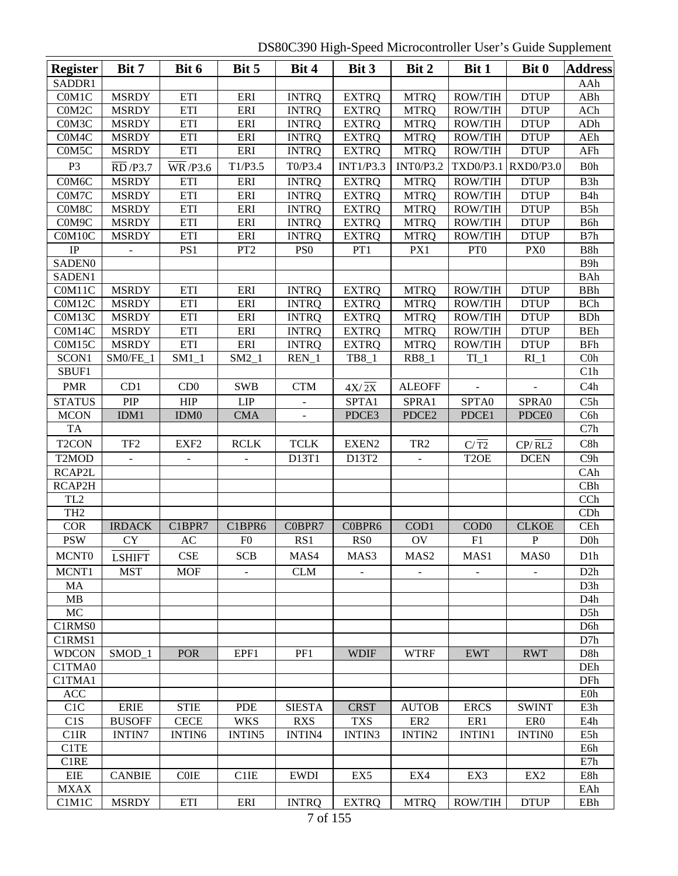DS80C390 High-Speed Microcontroller User's Guide Supplement

| <b>Register</b>    | Bit 7           | Bit 6                        | Bit 5           | Bit 4           | Bit 3              | Bit 2            | Bit 1             | Bit 0                  | <b>Address</b>        |
|--------------------|-----------------|------------------------------|-----------------|-----------------|--------------------|------------------|-------------------|------------------------|-----------------------|
| SADDR1             |                 |                              |                 |                 |                    |                  |                   |                        | AAh                   |
| C0M1C              | <b>MSRDY</b>    | ETI                          | ERI             | <b>INTRQ</b>    | <b>EXTRQ</b>       | <b>MTRQ</b>      | <b>ROW/TIH</b>    | <b>DTUP</b>            | ABh                   |
| C0M2C              | <b>MSRDY</b>    | ETI                          | ERI             | <b>INTRQ</b>    | <b>EXTRQ</b>       | <b>MTRQ</b>      | <b>ROW/TIH</b>    | <b>DTUP</b>            | ACh                   |
| C0M3C              | <b>MSRDY</b>    | ETI                          | ERI             | <b>INTRQ</b>    | <b>EXTRQ</b>       | <b>MTRQ</b>      | ROW/TIH           | <b>DTUP</b>            | ADh                   |
| C0M4C              | <b>MSRDY</b>    | ETI                          | ERI             | <b>INTRQ</b>    | <b>EXTRQ</b>       | <b>MTRQ</b>      | ROW/TIH           | <b>DTUP</b>            | AEh                   |
| C0M5C              | <b>MSRDY</b>    | ETI                          | ERI             | <b>INTRQ</b>    | <b>EXTRQ</b>       | <b>MTRQ</b>      | <b>ROW/TIH</b>    | <b>DTUP</b>            | AFh                   |
| P <sub>3</sub>     | RD /P3.7        | $\overline{\text{WR}}$ /P3.6 | T1/P3.5         | T0/P3.4         | <b>INT1/P3.3</b>   | <b>INT0/P3.2</b> | TXD0/P3.1         | <b>RXD0/P3.0</b>       | B0h                   |
| C0M6C              | <b>MSRDY</b>    | ETI                          | ERI             | <b>INTRQ</b>    | <b>EXTRQ</b>       | <b>MTRQ</b>      | ROW/TIH           | <b>DTUP</b>            | B <sub>3</sub> h      |
| C0M7C              | <b>MSRDY</b>    | ETI                          | ERI             | <b>INTRQ</b>    | <b>EXTRQ</b>       | <b>MTRQ</b>      | <b>ROW/TIH</b>    | <b>DTUP</b>            | B4h                   |
| C0M8C              | <b>MSRDY</b>    | ETI                          | ERI             | <b>INTRQ</b>    | <b>EXTRQ</b>       | <b>MTRQ</b>      | <b>ROW/TIH</b>    | <b>DTUP</b>            | B5h                   |
| C0M9C              | <b>MSRDY</b>    | ETI                          | ERI             | <b>INTRQ</b>    | <b>EXTRQ</b>       | <b>MTRQ</b>      | <b>ROW/TIH</b>    | <b>DTUP</b>            | B6h                   |
| C0M10C             | <b>MSRDY</b>    | ETI                          | ERI             | <b>INTRQ</b>    | <b>EXTRQ</b>       | <b>MTRQ</b>      | <b>ROW/TIH</b>    | <b>DTUP</b>            | B7h                   |
| IP                 |                 | PS1                          | PT <sub>2</sub> | PS <sub>0</sub> | PT1                | PX1              | PT <sub>0</sub>   | PX <sub>0</sub>        | B8h                   |
| <b>SADEN0</b>      |                 |                              |                 |                 |                    |                  |                   |                        | B9h                   |
| SADEN1             |                 |                              |                 |                 |                    |                  |                   |                        | <b>BAh</b>            |
| C0M11C             | <b>MSRDY</b>    | ETI                          | ERI             | <b>INTRQ</b>    | <b>EXTRQ</b>       | <b>MTRQ</b>      | <b>ROW/TIH</b>    | <b>DTUP</b>            | <b>BBh</b>            |
| C0M12C             | <b>MSRDY</b>    | ETI                          | ERI             | <b>INTRQ</b>    | <b>EXTRQ</b>       | <b>MTRQ</b>      | <b>ROW/TIH</b>    | <b>DTUP</b>            | <b>BCh</b>            |
| C0M13C             | <b>MSRDY</b>    | ETI                          | ERI             | <b>INTRQ</b>    | <b>EXTRQ</b>       | <b>MTRQ</b>      | <b>ROW/TIH</b>    | <b>DTUP</b>            | <b>BDh</b>            |
| C0M14C             | <b>MSRDY</b>    | ETI                          | ERI             | <b>INTRQ</b>    | <b>EXTRQ</b>       | <b>MTRQ</b>      | <b>ROW/TIH</b>    | <b>DTUP</b>            | <b>BEh</b>            |
| C0M15C             | <b>MSRDY</b>    | ETI                          | ERI             | <b>INTRQ</b>    | <b>EXTRQ</b>       | <b>MTRQ</b>      | <b>ROW/TIH</b>    | <b>DTUP</b>            | <b>BFh</b>            |
| SCON1              | $SM0/FE_1$      | $SM1_1$                      | $SM2_1$         | $REN_1$         | TB8_1              | <b>RB8</b> 1     | $TI_1$            | $RI_1$                 | $C0$ h                |
| SBUF1              |                 |                              |                 |                 |                    |                  |                   |                        | C1h                   |
| <b>PMR</b>         | CD1             | CD0                          | <b>SWB</b>      | <b>CTM</b>      | $4X/\overline{2X}$ | <b>ALEOFF</b>    | $\blacksquare$    |                        | C4h                   |
| <b>STATUS</b>      | PIP             | <b>HIP</b>                   | <b>LIP</b>      |                 | SPTA1              | SPRA1            | SPTA0             | SPRA0                  | C5h                   |
| <b>MCON</b>        | IDM1            | IDM <sub>0</sub>             | <b>CMA</b>      |                 | PDCE3              | PDCE2            | PDCE1             | PDCE <sub>0</sub>      | C6h                   |
| <b>TA</b>          |                 |                              |                 |                 |                    |                  |                   |                        | C7h                   |
| T <sub>2</sub> CON | TF <sub>2</sub> | EXF <sub>2</sub>             | <b>RCLK</b>     | <b>TCLK</b>     | EXEN2              | TR <sub>2</sub>  | $C/\overline{T2}$ | $CP/$ $\overline{RL2}$ | C8h                   |
| T <sub>2</sub> MOD |                 |                              |                 | D13T1           | D13T2              |                  | T <sub>2</sub> OE | <b>DCEN</b>            | C <sub>9</sub> h      |
| RCAP2L             |                 |                              |                 |                 |                    |                  |                   |                        | CAh                   |
| RCAP2H             |                 |                              |                 |                 |                    |                  |                   |                        | CBh                   |
| TL <sub>2</sub>    |                 |                              |                 |                 |                    |                  |                   |                        | CCh                   |
| TH <sub>2</sub>    |                 |                              |                 |                 |                    |                  |                   |                        | CDh                   |
| <b>COR</b>         | <b>IRDACK</b>   | C1BPR7                       | C1BPR6          | C0BPR7          | C0BPR6             | COD1             | COD <sub>0</sub>  | <b>CLKOE</b>           | $\overline{\text{C}}$ |
| <b>PSW</b>         | <b>CY</b>       | AC                           | F <sub>0</sub>  | RS1             | RS <sub>0</sub>    | OV               | F1                | $\mathbf P$            | D <sub>0</sub>        |
| <b>MCNT0</b>       | <b>LSHIFT</b>   | <b>CSE</b>                   | <b>SCB</b>      | MAS4            | MAS3               | MAS <sub>2</sub> | MAS1              | MAS <sub>0</sub>       | D <sub>1</sub> h      |
| MCNT1              | <b>MST</b>      | <b>MOF</b>                   |                 | CLM             |                    |                  |                   |                        | D2h                   |
| MA                 |                 |                              |                 |                 |                    |                  |                   |                        | D <sub>3</sub> h      |
| MB                 |                 |                              |                 |                 |                    |                  |                   |                        | D <sub>4</sub> h      |
| MC                 |                 |                              |                 |                 |                    |                  |                   |                        | D5h                   |
| C1RMS0             |                 |                              |                 |                 |                    |                  |                   |                        | D <sub>6</sub> h      |
| C1RMS1             |                 |                              |                 |                 |                    |                  |                   |                        | D7h                   |
| <b>WDCON</b>       | SMOD_1          | <b>POR</b>                   | EPF1            | PF1             | <b>WDIF</b>        | <b>WTRF</b>      | <b>EWT</b>        | <b>RWT</b>             | D8h                   |
| C1TMA0             |                 |                              |                 |                 |                    |                  |                   |                        | DEh                   |
| C1TMA1             |                 |                              |                 |                 |                    |                  |                   |                        | DFh                   |
| <b>ACC</b>         |                 |                              |                 |                 |                    |                  |                   |                        | <b>E0h</b>            |
| C <sub>1</sub> C   | <b>ERIE</b>     | <b>STIE</b>                  | <b>PDE</b>      | <b>SIESTA</b>   | <b>CRST</b>        | <b>AUTOB</b>     | <b>ERCS</b>       | <b>SWINT</b>           | E3h                   |
| C1S                | <b>BUSOFF</b>   | <b>CECE</b>                  | <b>WKS</b>      | <b>RXS</b>      | <b>TXS</b>         | ER <sub>2</sub>  | ER1               | ER <sub>0</sub>        | E4h                   |
| C1IR               | <b>INTIN7</b>   | <b>INTIN6</b>                | INTIN5          | <b>INTIN4</b>   | INTIN3             | INTIN2           | <b>INTIN1</b>     | <b>INTINO</b>          | E5h                   |
| C1TE               |                 |                              |                 |                 |                    |                  |                   |                        | E6h                   |
| C1RE               |                 |                              |                 |                 |                    |                  |                   |                        | E7h                   |
| EIE                | <b>CANBIE</b>   | <b>COIE</b>                  | C1IE            | <b>EWDI</b>     | EX5                | EX4              | EX3               | EX <sub>2</sub>        | E8h                   |
| <b>MXAX</b>        |                 |                              |                 |                 |                    |                  |                   |                        | EAh                   |
| C1M1C              | <b>MSRDY</b>    | ETI                          | ERI             | <b>INTRQ</b>    | <b>EXTRQ</b>       | <b>MTRQ</b>      | ROW/TIH           | <b>DTUP</b>            | EBh                   |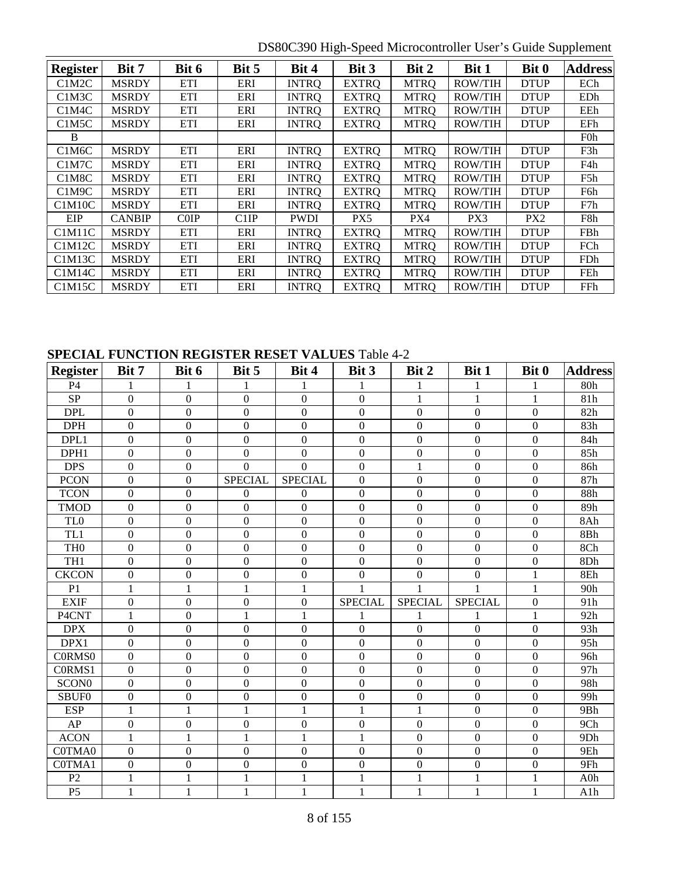DS80C390 High-Speed Microcontroller User's Guide Supplement

| <b>Register</b>                  | Bit 7         | Bit 6      | Bit 5             | Bit 4        | Bit 3        | Bit 2       | Bit 1          | Bit 0           | <b>Address</b>   |
|----------------------------------|---------------|------------|-------------------|--------------|--------------|-------------|----------------|-----------------|------------------|
| C <sub>1</sub> M <sub>2</sub> C  | <b>MSRDY</b>  | <b>ETI</b> | ERI               | <b>INTRO</b> | <b>EXTRQ</b> | <b>MTRQ</b> | <b>ROW/TIH</b> | <b>DTUP</b>     | ECh              |
| C <sub>1</sub> M <sub>3</sub> C  | <b>MSRDY</b>  | ETI        | ERI               | <b>INTRO</b> | <b>EXTRQ</b> | <b>MTRQ</b> | <b>ROW/TIH</b> | <b>DTUP</b>     | EDh              |
| C <sub>1</sub> M <sub>4</sub> C  | <b>MSRDY</b>  | ETI        | ERI               | <b>INTRO</b> | <b>EXTRQ</b> | <b>MTRQ</b> | <b>ROW/TIH</b> | <b>DTUP</b>     | EEh              |
| C1M5C                            | <b>MSRDY</b>  | <b>ETI</b> | ERI               | <b>INTRQ</b> | <b>EXTRQ</b> | <b>MTRQ</b> | <b>ROW/TIH</b> | <b>DTUP</b>     | EFh              |
| B                                |               |            |                   |              |              |             |                |                 | <b>F0h</b>       |
| C <sub>1</sub> M <sub>6</sub> C  | <b>MSRDY</b>  | <b>ETI</b> | ERI               | <b>INTRQ</b> | <b>EXTRQ</b> | <b>MTRQ</b> | <b>ROW/TIH</b> | <b>DTUP</b>     | F3h              |
| C <sub>1</sub> M <sub>7</sub> C  | <b>MSRDY</b>  | <b>ETI</b> | ERI               | <b>INTRO</b> | <b>EXTRQ</b> | <b>MTRQ</b> | <b>ROW/TIH</b> | <b>DTUP</b>     | F4h              |
| C <sub>1</sub> M <sub>8</sub> C  | <b>MSRDY</b>  | ETI        | ERI               | <b>INTRO</b> | <b>EXTRQ</b> | <b>MTRQ</b> | <b>ROW/TIH</b> | <b>DTUP</b>     | F <sub>5</sub> h |
| C1M9C                            | <b>MSRDY</b>  | <b>ETI</b> | ERI               | <b>INTRO</b> | <b>EXTRQ</b> | <b>MTRQ</b> | <b>ROW/TIH</b> | <b>DTUP</b>     | F6h              |
| C1M10C                           | <b>MSRDY</b>  | <b>ETI</b> | ERI               | <b>INTRO</b> | <b>EXTRQ</b> | <b>MTRQ</b> | <b>ROW/TIH</b> | <b>DTUP</b>     | F7h              |
| EIP                              | <b>CANBIP</b> | COP        | C <sub>1</sub> IP | <b>PWDI</b>  | PX5          | PX4         | PX3            | PX <sub>2</sub> | F8h              |
| C <sub>1</sub> M <sub>11</sub> C | <b>MSRDY</b>  | <b>ETI</b> | ERI               | <b>INTRQ</b> | <b>EXTRQ</b> | <b>MTRQ</b> | <b>ROW/TIH</b> | <b>DTUP</b>     | FBh              |
| C1M12C                           | <b>MSRDY</b>  | ETI        | <b>ERI</b>        | <b>INTRO</b> | <b>EXTRO</b> | <b>MTRO</b> | <b>ROW/TIH</b> | <b>DTUP</b>     | FCh              |
| C1M13C                           | <b>MSRDY</b>  | ETI        | ERI               | <b>INTRQ</b> | <b>EXTRQ</b> | <b>MTRQ</b> | <b>ROW/TIH</b> | <b>DTUP</b>     | FDh              |
| C1M14C                           | <b>MSRDY</b>  | ETI        | ERI               | <b>INTRO</b> | <b>EXTRQ</b> | <b>MTRQ</b> | <b>ROW/TIH</b> | <b>DTUP</b>     | FEh              |
| C1M15C                           | <b>MSRDY</b>  | <b>ETI</b> | ERI               | INTRO        | <b>EXTRO</b> | <b>MTRQ</b> | <b>ROW/TIH</b> | <b>DTUP</b>     | FFh              |

### **SPECIAL FUNCTION REGISTER RESET VALUES** Table 4-2

| <b>Register</b>    | Bit 7            | Bit 6            | Bit 5            | Bit 4            | Bit 3            | Bit 2            | Bit 1            | Bit 0            | <b>Address</b> |
|--------------------|------------------|------------------|------------------|------------------|------------------|------------------|------------------|------------------|----------------|
| <b>P4</b>          |                  |                  | 1                | 1                | 1                |                  | 1                | 1                | 80h            |
| $\rm SP$           | $\overline{0}$   | $\boldsymbol{0}$ | $\boldsymbol{0}$ | $\boldsymbol{0}$ | $\boldsymbol{0}$ | $\mathbf{1}$     | 1                | $\mathbf{1}$     | 81h            |
| <b>DPL</b>         | $\overline{0}$   | $\overline{0}$   | $\overline{0}$   | $\boldsymbol{0}$ | $\mathbf{0}$     | $\overline{0}$   | $\mathbf{0}$     | $\boldsymbol{0}$ | 82h            |
| <b>DPH</b>         | $\boldsymbol{0}$ | $\boldsymbol{0}$ | $\boldsymbol{0}$ | $\boldsymbol{0}$ | $\boldsymbol{0}$ | $\boldsymbol{0}$ | $\mathbf{0}$     | $\boldsymbol{0}$ | 83h            |
| DPL1               | $\Omega$         | $\boldsymbol{0}$ | $\boldsymbol{0}$ | $\theta$         | $\Omega$         | $\Omega$         | $\boldsymbol{0}$ | $\overline{0}$   | 84h            |
| DPH1               | $\boldsymbol{0}$ | $\boldsymbol{0}$ | $\boldsymbol{0}$ | $\mathbf{0}$     | $\mathbf{0}$     | $\overline{0}$   | $\boldsymbol{0}$ | $\boldsymbol{0}$ | 85h            |
| <b>DPS</b>         | $\Omega$         | $\boldsymbol{0}$ | $\overline{0}$   | $\Omega$         | $\overline{0}$   | $\mathbf{1}$     | $\mathbf{0}$     | $\boldsymbol{0}$ | 86h            |
| <b>PCON</b>        | $\overline{0}$   | $\boldsymbol{0}$ | <b>SPECIAL</b>   | <b>SPECIAL</b>   | $\boldsymbol{0}$ | $\boldsymbol{0}$ | $\boldsymbol{0}$ | $\boldsymbol{0}$ | 87h            |
| <b>TCON</b>        | $\Omega$         | $\boldsymbol{0}$ | $\overline{0}$   | $\theta$         | $\Omega$         | $\boldsymbol{0}$ | $\boldsymbol{0}$ | $\boldsymbol{0}$ | 88h            |
| <b>TMOD</b>        | $\overline{0}$   | $\boldsymbol{0}$ | $\mathbf{0}$     | $\boldsymbol{0}$ | $\mathbf{0}$     | $\boldsymbol{0}$ | $\mathbf{0}$     | $\overline{0}$   | 89h            |
| TL0                | $\Omega$         | $\overline{0}$   | $\mathbf{0}$     | $\mathbf{0}$     | $\mathbf{0}$     | $\boldsymbol{0}$ | $\mathbf{0}$     | $\boldsymbol{0}$ | 8Ah            |
| TL1                | $\boldsymbol{0}$ | $\boldsymbol{0}$ | $\boldsymbol{0}$ | $\mathbf{0}$     | $\boldsymbol{0}$ | $\boldsymbol{0}$ | $\boldsymbol{0}$ | $\boldsymbol{0}$ | 8Bh            |
| TH <sub>0</sub>    | $\boldsymbol{0}$ | $\boldsymbol{0}$ | $\boldsymbol{0}$ | $\boldsymbol{0}$ | $\boldsymbol{0}$ | $\boldsymbol{0}$ | $\mathbf{0}$     | $\boldsymbol{0}$ | 8Ch            |
| TH <sub>1</sub>    | $\overline{0}$   | $\overline{0}$   | $\mathbf{0}$     | $\overline{0}$   | $\overline{0}$   | $\overline{0}$   | $\overline{0}$   | $\boldsymbol{0}$ | 8Dh            |
| <b>CKCON</b>       | $\Omega$         | $\boldsymbol{0}$ | $\mathbf{0}$     | $\boldsymbol{0}$ | $\mathbf{0}$     | $\mathbf{0}$     | $\overline{0}$   | $\mathbf{1}$     | 8Eh            |
| P <sub>1</sub>     | 1                | $\mathbf{1}$     | $\mathbf{1}$     | 1                |                  |                  |                  | $\mathbf{1}$     | 90h            |
| <b>EXIF</b>        | $\Omega$         | $\boldsymbol{0}$ | $\overline{0}$   | $\overline{0}$   | <b>SPECIAL</b>   | <b>SPECIAL</b>   | <b>SPECIAL</b>   | $\boldsymbol{0}$ | 91h            |
| P4CNT              | 1                | $\boldsymbol{0}$ | $\mathbf{1}$     | 1                | 1                |                  |                  | 1                | 92h            |
| <b>DPX</b>         | $\boldsymbol{0}$ | $\boldsymbol{0}$ | $\mathbf{0}$     | $\theta$         | $\mathbf{0}$     | $\overline{0}$   | $\mathbf{0}$     | $\boldsymbol{0}$ | 93h            |
| DPX1               | $\overline{0}$   | $\boldsymbol{0}$ | $\boldsymbol{0}$ | $\boldsymbol{0}$ | $\mathbf{0}$     | $\boldsymbol{0}$ | $\boldsymbol{0}$ | $\boldsymbol{0}$ | 95h            |
| C0RMS <sub>0</sub> | $\Omega$         | $\boldsymbol{0}$ | $\boldsymbol{0}$ | $\boldsymbol{0}$ | $\mathbf{0}$     | $\boldsymbol{0}$ | $\mathbf{0}$     | $\boldsymbol{0}$ | 96h            |
| C0RMS1             | $\Omega$         | $\theta$         | $\boldsymbol{0}$ | $\theta$         | $\theta$         | $\mathbf{0}$     | $\overline{0}$   | $\boldsymbol{0}$ | 97h            |
| SCON <sub>0</sub>  | $\Omega$         | $\boldsymbol{0}$ | $\boldsymbol{0}$ | $\boldsymbol{0}$ | $\mathbf{0}$     | $\overline{0}$   | $\boldsymbol{0}$ | $\boldsymbol{0}$ | 98h            |
| SBUF0              | $\Omega$         | $\boldsymbol{0}$ | $\mathbf{0}$     | $\theta$         | $\Omega$         | $\boldsymbol{0}$ | $\overline{0}$   | $\overline{0}$   | 99h            |
| <b>ESP</b>         | 1                | 1                | $\mathbf{1}$     | 1                | $\mathbf{1}$     | $\mathbf{1}$     | $\mathbf{0}$     | $\boldsymbol{0}$ | 9Bh            |
| AP                 | $\boldsymbol{0}$ | $\boldsymbol{0}$ | $\boldsymbol{0}$ | $\overline{0}$   | $\mathbf{0}$     | $\boldsymbol{0}$ | $\boldsymbol{0}$ | $\boldsymbol{0}$ | 9Ch            |
| <b>ACON</b>        | 1                | $\mathbf{1}$     | $\mathbf{1}$     | 1                | 1                | $\overline{0}$   | $\mathbf{0}$     | $\boldsymbol{0}$ | 9Dh            |
| C0TMA0             | $\Omega$         | $\boldsymbol{0}$ | $\overline{0}$   | $\theta$         | $\theta$         | $\mathbf{0}$     | $\mathbf{0}$     | $\boldsymbol{0}$ | 9Eh            |
| C0TMA1             | $\boldsymbol{0}$ | $\boldsymbol{0}$ | $\boldsymbol{0}$ | $\mathbf{0}$     | $\boldsymbol{0}$ | $\overline{0}$   | $\boldsymbol{0}$ | $\boldsymbol{0}$ | 9Fh            |
| P <sub>2</sub>     |                  | 1                | 1                | 1                | 1                | 1                | 1                | 1                | A0h            |
| P <sub>5</sub>     | 1                | $\mathbf{1}$     | $\mathbf{1}$     | $\mathbf{1}$     | $\mathbf{1}$     | 1                | 1                | $\mathbf{1}$     | A1h            |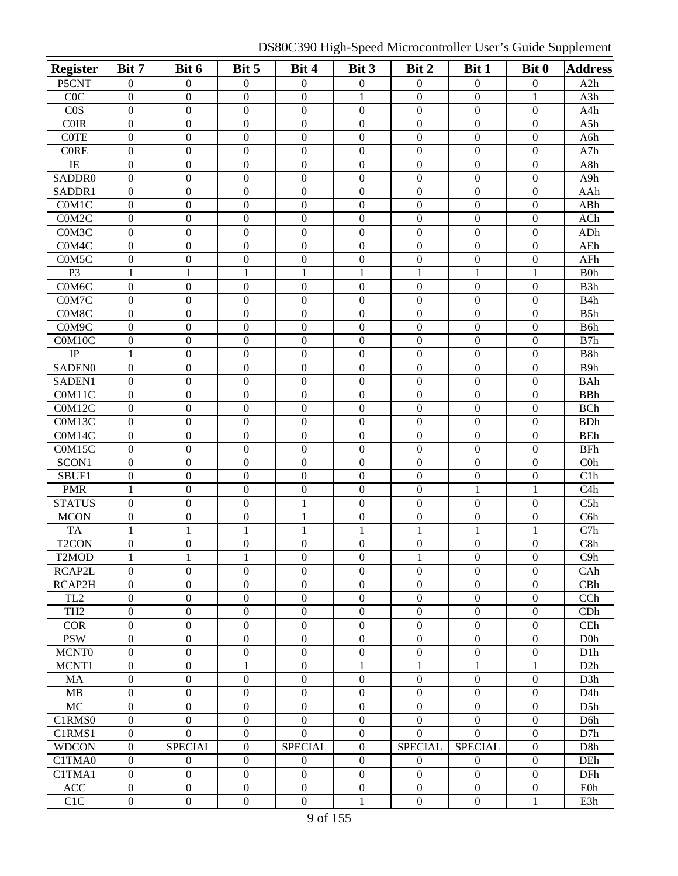DS80C390 High-Speed Microcontroller User's Guide Supplement

| <b>Register</b>    | Bit 7            | Bit 6            | Bit 5            | Bit 4            | Bit 3            | Bit 2            | Bit 1            | Bit 0            | <b>Address</b>   |
|--------------------|------------------|------------------|------------------|------------------|------------------|------------------|------------------|------------------|------------------|
| P5CNT              | 0                | $\mathbf{0}$     | $\boldsymbol{0}$ | $\boldsymbol{0}$ | $\boldsymbol{0}$ | $\boldsymbol{0}$ | $\boldsymbol{0}$ | $\boldsymbol{0}$ | A2h              |
| COC                | $\mathbf{0}$     | $\boldsymbol{0}$ | $\mathbf{0}$     | $\boldsymbol{0}$ | $\mathbf{1}$     | $\overline{0}$   | $\mathbf{0}$     | $\mathbf{1}$     | A3h              |
| COS                | $\boldsymbol{0}$ | $\mathbf{0}$     | $\boldsymbol{0}$ | $\mathbf{0}$     | $\mathbf{0}$     | $\boldsymbol{0}$ | $\boldsymbol{0}$ | $\boldsymbol{0}$ | A4h              |
| <b>COIR</b>        | $\overline{0}$   | $\overline{0}$   | $\boldsymbol{0}$ | $\mathbf{0}$     | $\mathbf{0}$     | $\overline{0}$   | $\mathbf{0}$     | $\boldsymbol{0}$ | A5h              |
| <b>COTE</b>        | $\overline{0}$   | $\overline{0}$   | $\boldsymbol{0}$ | $\mathbf{0}$     | $\mathbf{0}$     | $\overline{0}$   | $\mathbf{0}$     | $\boldsymbol{0}$ | A6h              |
| <b>CORE</b>        | $\overline{0}$   | $\boldsymbol{0}$ | $\boldsymbol{0}$ | $\boldsymbol{0}$ | $\boldsymbol{0}$ | $\mathbf{0}$     | $\mathbf{0}$     | $\boldsymbol{0}$ | A7h              |
| IE                 | $\boldsymbol{0}$ | $\boldsymbol{0}$ | $\boldsymbol{0}$ | $\boldsymbol{0}$ | $\boldsymbol{0}$ | $\boldsymbol{0}$ | $\boldsymbol{0}$ | $\boldsymbol{0}$ | A8h              |
| SADDR0             | $\boldsymbol{0}$ | $\boldsymbol{0}$ | $\boldsymbol{0}$ | $\boldsymbol{0}$ | $\boldsymbol{0}$ | $\boldsymbol{0}$ | $\boldsymbol{0}$ | $\boldsymbol{0}$ | A9h              |
| SADDR1             | $\boldsymbol{0}$ | $\boldsymbol{0}$ | $\boldsymbol{0}$ | $\boldsymbol{0}$ | $\boldsymbol{0}$ | $\boldsymbol{0}$ | $\boldsymbol{0}$ | $\boldsymbol{0}$ | AAh              |
| C0M1C              | $\boldsymbol{0}$ | $\boldsymbol{0}$ | $\boldsymbol{0}$ | $\boldsymbol{0}$ | $\mathbf{0}$     | $\boldsymbol{0}$ | $\boldsymbol{0}$ | $\boldsymbol{0}$ | ABh              |
| C0M2C              | $\boldsymbol{0}$ | $\overline{0}$   | $\boldsymbol{0}$ | $\boldsymbol{0}$ | $\boldsymbol{0}$ | $\boldsymbol{0}$ | $\mathbf{0}$     | $\boldsymbol{0}$ | ACh              |
| C0M3C              | $\boldsymbol{0}$ | $\boldsymbol{0}$ | $\boldsymbol{0}$ | $\boldsymbol{0}$ | $\boldsymbol{0}$ | $\boldsymbol{0}$ | $\boldsymbol{0}$ | $\boldsymbol{0}$ | ADh              |
| C0M4C              | $\boldsymbol{0}$ | $\boldsymbol{0}$ | $\boldsymbol{0}$ | $\boldsymbol{0}$ | $\mathbf{0}$     | $\boldsymbol{0}$ | $\boldsymbol{0}$ | $\boldsymbol{0}$ | AEh              |
| C0M5C              | $\boldsymbol{0}$ | $\boldsymbol{0}$ | $\boldsymbol{0}$ | $\boldsymbol{0}$ | $\boldsymbol{0}$ | $\boldsymbol{0}$ | $\boldsymbol{0}$ | $\boldsymbol{0}$ | AFh              |
| P <sub>3</sub>     | 1                | $\mathbf{1}$     | $\mathbf{1}$     | 1                | 1                | 1                | 1                | $\mathbf{1}$     | B <sub>0</sub> h |
| C0M6C              | $\boldsymbol{0}$ | $\boldsymbol{0}$ | $\boldsymbol{0}$ | $\mathbf{0}$     | $\mathbf{0}$     | $\boldsymbol{0}$ | $\boldsymbol{0}$ | $\boldsymbol{0}$ | B <sub>3</sub> h |
| C0M7C              | $\boldsymbol{0}$ | $\boldsymbol{0}$ | $\boldsymbol{0}$ | $\boldsymbol{0}$ | $\mathbf{0}$     | $\boldsymbol{0}$ | $\boldsymbol{0}$ | $\boldsymbol{0}$ | B <sub>4</sub> h |
| C0M8C              | $\boldsymbol{0}$ | $\boldsymbol{0}$ | $\boldsymbol{0}$ | $\boldsymbol{0}$ | $\mathbf{0}$     | $\boldsymbol{0}$ | $\boldsymbol{0}$ | $\boldsymbol{0}$ | B5h              |
| C0M9C              | $\boldsymbol{0}$ | $\boldsymbol{0}$ | $\boldsymbol{0}$ | $\boldsymbol{0}$ | $\boldsymbol{0}$ | $\boldsymbol{0}$ | $\boldsymbol{0}$ | $\boldsymbol{0}$ | B <sub>6</sub> h |
| C0M10C             | $\boldsymbol{0}$ | $\boldsymbol{0}$ | $\boldsymbol{0}$ | $\boldsymbol{0}$ | $\boldsymbol{0}$ | $\boldsymbol{0}$ | $\mathbf{0}$     | $\boldsymbol{0}$ | B7h              |
| $\rm IP$           | 1                | $\boldsymbol{0}$ | $\boldsymbol{0}$ | $\boldsymbol{0}$ | $\boldsymbol{0}$ | $\boldsymbol{0}$ | $\boldsymbol{0}$ | $\boldsymbol{0}$ | B8h              |
| <b>SADENO</b>      | $\boldsymbol{0}$ | $\boldsymbol{0}$ | $\boldsymbol{0}$ | $\boldsymbol{0}$ | $\mathbf{0}$     | $\boldsymbol{0}$ | $\mathbf{0}$     | $\boldsymbol{0}$ | B <sub>9</sub> h |
| SADEN1             | $\boldsymbol{0}$ | $\boldsymbol{0}$ | $\boldsymbol{0}$ | $\boldsymbol{0}$ | $\boldsymbol{0}$ | $\mathbf{0}$     | $\overline{0}$   | $\boldsymbol{0}$ | <b>BAh</b>       |
| C0M11C             | $\mathbf{0}$     | $\boldsymbol{0}$ | $\boldsymbol{0}$ | $\boldsymbol{0}$ | $\boldsymbol{0}$ | $\mathbf{0}$     | $\boldsymbol{0}$ | $\boldsymbol{0}$ | <b>BBh</b>       |
| C0M12C             | $\mathbf{0}$     | $\boldsymbol{0}$ | $\boldsymbol{0}$ | $\boldsymbol{0}$ | $\boldsymbol{0}$ | $\boldsymbol{0}$ | $\boldsymbol{0}$ | $\boldsymbol{0}$ | <b>BCh</b>       |
| C0M13C             | $\mathbf{0}$     | $\overline{0}$   | $\overline{0}$   | $\overline{0}$   | $\mathbf{0}$     | $\mathbf{0}$     | $\mathbf{0}$     | $\overline{0}$   | <b>BDh</b>       |
| C0M14C             | $\boldsymbol{0}$ | $\boldsymbol{0}$ | $\boldsymbol{0}$ | $\boldsymbol{0}$ | $\mathbf{0}$     | $\boldsymbol{0}$ | $\mathbf{0}$     | $\boldsymbol{0}$ | <b>BEh</b>       |
| C0M15C             | $\mathbf{0}$     | $\boldsymbol{0}$ | $\boldsymbol{0}$ | $\boldsymbol{0}$ | $\mathbf{0}$     | $\mathbf{0}$     | $\mathbf{0}$     | $\boldsymbol{0}$ | <b>BFh</b>       |
| SCON1              | $\mathbf{0}$     | $\boldsymbol{0}$ | $\boldsymbol{0}$ | $\mathbf{0}$     | $\mathbf{0}$     | $\overline{0}$   | $\boldsymbol{0}$ | $\boldsymbol{0}$ | C <sub>0</sub> h |
| SBUF1              | $\overline{0}$   | $\boldsymbol{0}$ | $\boldsymbol{0}$ | $\mathbf{0}$     | $\mathbf{0}$     | $\mathbf{0}$     | $\boldsymbol{0}$ | $\boldsymbol{0}$ | C1h              |
| <b>PMR</b>         | 1                | $\boldsymbol{0}$ | $\boldsymbol{0}$ | $\boldsymbol{0}$ | $\boldsymbol{0}$ | $\boldsymbol{0}$ | $\mathbf{1}$     | $\mathbf{1}$     | C4h              |
| <b>STATUS</b>      | $\boldsymbol{0}$ | $\boldsymbol{0}$ | $\boldsymbol{0}$ | 1                | $\boldsymbol{0}$ | $\mathbf{0}$     | $\boldsymbol{0}$ | $\boldsymbol{0}$ | C5h              |
| <b>MCON</b>        | $\overline{0}$   | $\boldsymbol{0}$ | $\boldsymbol{0}$ | 1                | $\mathbf{0}$     | $\boldsymbol{0}$ | $\boldsymbol{0}$ | $\boldsymbol{0}$ | C <sub>6</sub> h |
| <b>TA</b>          | 1                | 1                | $\mathbf{1}$     | 1                | 1                | 1                | 1                | $\mathbf{1}$     | C7h              |
| T <sub>2</sub> CON | $\overline{0}$   | $\boldsymbol{0}$ | $\overline{0}$   | $\boldsymbol{0}$ | $\boldsymbol{0}$ | $\boldsymbol{0}$ | $\mathbf{0}$     | $\overline{0}$   | C8h              |
| T2MOD              | $\perp$          | 1                | 1                | $\theta$         | $\theta$         | 1                | $\theta$         | 0                | C9h              |
| RCAP2L             | $\overline{0}$   | $\mathbf{0}$     | $\boldsymbol{0}$ | $\boldsymbol{0}$ | $\boldsymbol{0}$ | $\boldsymbol{0}$ | $\boldsymbol{0}$ | $\boldsymbol{0}$ | CAh              |
| RCAP2H             | $\mathbf{0}$     | $\overline{0}$   | $\boldsymbol{0}$ | $\boldsymbol{0}$ | $\boldsymbol{0}$ | $\mathbf{0}$     | $\boldsymbol{0}$ | $\overline{0}$   | CBh              |
| TL <sub>2</sub>    | $\overline{0}$   | $\boldsymbol{0}$ | $\boldsymbol{0}$ | $\boldsymbol{0}$ | $\overline{0}$   | $\boldsymbol{0}$ | $\boldsymbol{0}$ | $\mathbf{0}$     | CCh              |
| TH <sub>2</sub>    | $\overline{0}$   | $\overline{0}$   | $\boldsymbol{0}$ | $\mathbf{0}$     | $\mathbf{0}$     | $\boldsymbol{0}$ | $\mathbf{0}$     | $\boldsymbol{0}$ | CDh              |
| <b>COR</b>         | $\boldsymbol{0}$ | $\overline{0}$   | $\boldsymbol{0}$ | $\mathbf{0}$     | $\boldsymbol{0}$ | $\boldsymbol{0}$ | $\mathbf{0}$     | $\boldsymbol{0}$ | CEh              |
| <b>PSW</b>         | $\boldsymbol{0}$ | $\overline{0}$   | $\boldsymbol{0}$ | $\mathbf{0}$     | $\boldsymbol{0}$ | $\boldsymbol{0}$ | $\boldsymbol{0}$ | $\boldsymbol{0}$ | D <sub>0</sub>   |
| MCNT <sub>0</sub>  | $\boldsymbol{0}$ | $\overline{0}$   | $\boldsymbol{0}$ | $\boldsymbol{0}$ | $\boldsymbol{0}$ | $\boldsymbol{0}$ | $\boldsymbol{0}$ | $\boldsymbol{0}$ | D <sub>1</sub> h |
| MCNT1              | $\boldsymbol{0}$ | $\overline{0}$   | $\mathbf{1}$     | $\boldsymbol{0}$ | $\mathbf{1}$     | $\mathbf{1}$     | 1                | $\mathbf{1}$     | D2h              |
| MA                 | $\boldsymbol{0}$ | $\mathbf{0}$     | $\boldsymbol{0}$ | $\boldsymbol{0}$ | $\boldsymbol{0}$ | $\boldsymbol{0}$ | $\boldsymbol{0}$ | $\boldsymbol{0}$ | D <sub>3</sub> h |
| MB                 | $\boldsymbol{0}$ | $\mathbf{0}$     | $\boldsymbol{0}$ | $\boldsymbol{0}$ | $\boldsymbol{0}$ | $\boldsymbol{0}$ | $\boldsymbol{0}$ | $\boldsymbol{0}$ | D <sub>4</sub> h |
| MC                 | $\boldsymbol{0}$ | $\overline{0}$   | $\boldsymbol{0}$ | $\boldsymbol{0}$ | $\boldsymbol{0}$ | $\boldsymbol{0}$ | $\mathbf{0}$     | $\boldsymbol{0}$ | D5h              |
| C1RMS0             | $\boldsymbol{0}$ | $\boldsymbol{0}$ | $\boldsymbol{0}$ | $\boldsymbol{0}$ | $\boldsymbol{0}$ | $\boldsymbol{0}$ | $\boldsymbol{0}$ | $\boldsymbol{0}$ | D <sub>6</sub> h |
| C1RMS1             | $\boldsymbol{0}$ | $\overline{0}$   | $\boldsymbol{0}$ | $\mathbf{0}$     | $\boldsymbol{0}$ | $\overline{0}$   | $\mathbf{0}$     | $\boldsymbol{0}$ | D7h              |
| <b>WDCON</b>       | $\boldsymbol{0}$ | <b>SPECIAL</b>   | $\mathbf{0}$     | <b>SPECIAL</b>   | $\mathbf{0}$     | <b>SPECIAL</b>   | <b>SPECIAL</b>   | $\overline{0}$   | D8h              |
| C1TMA0             | $\boldsymbol{0}$ | $\overline{0}$   | $\boldsymbol{0}$ | $\overline{0}$   | $\mathbf{0}$     | $\overline{0}$   | $\overline{0}$   | $\boldsymbol{0}$ | DEh              |
| C1TMA1             | $\overline{0}$   | $\overline{0}$   | $\boldsymbol{0}$ | $\mathbf{0}$     | $\mathbf{0}$     | $\overline{0}$   | $\mathbf{0}$     | $\overline{0}$   | DFh              |
| ACC                | $\overline{0}$   | $\overline{0}$   | $\boldsymbol{0}$ | $\mathbf{0}$     | $\mathbf{0}$     | $\overline{0}$   | $\mathbf{0}$     | $\boldsymbol{0}$ | <b>E0h</b>       |
| C <sub>1</sub> C   | $\boldsymbol{0}$ | $\boldsymbol{0}$ | $\boldsymbol{0}$ | $\overline{0}$   | 1                | $\boldsymbol{0}$ | $\boldsymbol{0}$ | 1                | E3h              |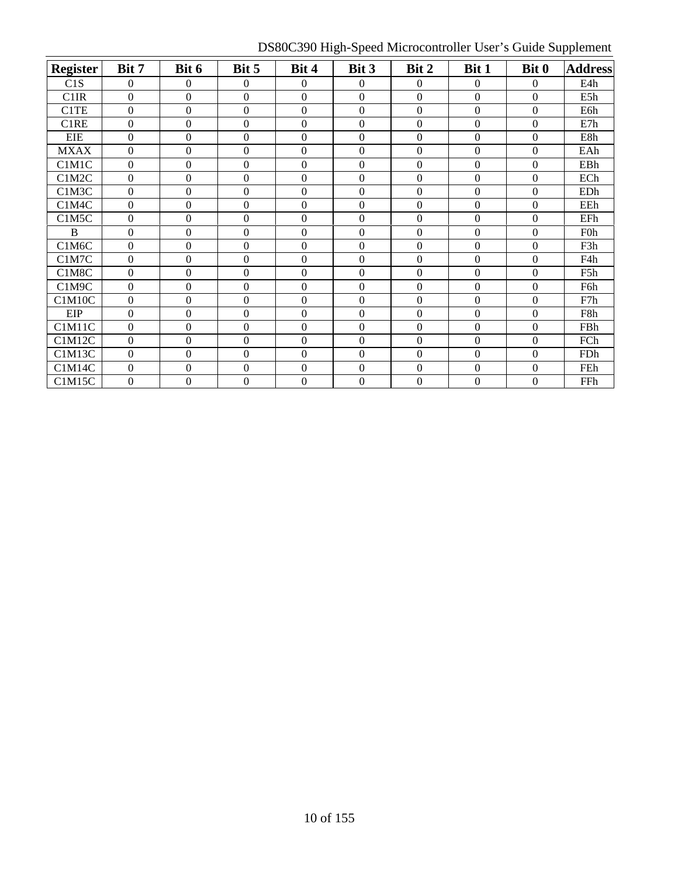DS80C390 High-Speed Microcontroller User's Guide Supplement

|                 | Bit 7            | Bit 6            | Bit 5            | Bit 4            | Bit 3            | Bit 2            | Bit 1            | Bit 0            | <b>Address</b>   |
|-----------------|------------------|------------------|------------------|------------------|------------------|------------------|------------------|------------------|------------------|
| <b>Register</b> |                  |                  |                  |                  |                  |                  |                  |                  |                  |
| C1S             | $\mathbf{0}$     | $\overline{0}$   | 0                | $\theta$         | $\theta$         | $\mathbf{0}$     | $\boldsymbol{0}$ | $\overline{0}$   | E4h              |
| C1IR            | $\theta$         | $\boldsymbol{0}$ | $\boldsymbol{0}$ | $\boldsymbol{0}$ | $\boldsymbol{0}$ | $\Omega$         | $\Omega$         | $\boldsymbol{0}$ | E5h              |
| C1TE            | $\mathbf{0}$     | $\boldsymbol{0}$ | $\overline{0}$   | $\boldsymbol{0}$ | $\boldsymbol{0}$ | $\boldsymbol{0}$ | $\boldsymbol{0}$ | $\boldsymbol{0}$ | E6h              |
| C1RE            | $\theta$         | $\boldsymbol{0}$ | $\boldsymbol{0}$ | $\overline{0}$   | $\boldsymbol{0}$ | $\overline{0}$   | $\theta$         | $\boldsymbol{0}$ | E7h              |
| <b>EIE</b>      | $\Omega$         | $\boldsymbol{0}$ | $\boldsymbol{0}$ | $\theta$         | $\boldsymbol{0}$ | $\theta$         | $\Omega$         | $\boldsymbol{0}$ | E8h              |
| <b>MXAX</b>     | $\Omega$         | $\boldsymbol{0}$ | $\boldsymbol{0}$ | $\boldsymbol{0}$ | $\boldsymbol{0}$ | $\theta$         | $\theta$         | $\boldsymbol{0}$ | EAh              |
| C1M1C           | $\boldsymbol{0}$ | $\boldsymbol{0}$ | $\boldsymbol{0}$ | $\theta$         | $\boldsymbol{0}$ | $\Omega$         | $\boldsymbol{0}$ | $\boldsymbol{0}$ | EBh              |
| C1M2C           | $\mathbf{0}$     | $\overline{0}$   | $\boldsymbol{0}$ | $\theta$         | $\boldsymbol{0}$ | $\overline{0}$   | $\overline{0}$   | $\boldsymbol{0}$ | ECh              |
| C1M3C           | $\mathbf{0}$     | $\overline{0}$   | $\boldsymbol{0}$ | $\theta$         | $\mathbf{0}$     | $\mathbf{0}$     | $\boldsymbol{0}$ | $\overline{0}$   | EDh              |
| C1M4C           | $\mathbf{0}$     | $\overline{0}$   | $\boldsymbol{0}$ | $\overline{0}$   | $\mathbf{0}$     | $\mathbf{0}$     | $\boldsymbol{0}$ | $\overline{0}$   | EEh              |
| C1M5C           | $\mathbf{0}$     | $\boldsymbol{0}$ | $\boldsymbol{0}$ | $\overline{0}$   | $\mathbf{0}$     | $\boldsymbol{0}$ | $\boldsymbol{0}$ | 0                | EFh              |
| B               | $\Omega$         | $\boldsymbol{0}$ | $\boldsymbol{0}$ | $\overline{0}$   | $\boldsymbol{0}$ | $\boldsymbol{0}$ | $\boldsymbol{0}$ | $\boldsymbol{0}$ | F <sub>0</sub> h |
| C1M6C           | $\Omega$         | $\boldsymbol{0}$ | $\boldsymbol{0}$ | $\overline{0}$   | $\boldsymbol{0}$ | $\Omega$         | $\boldsymbol{0}$ | $\boldsymbol{0}$ | F3h              |
| C1M7C           | $\mathbf{0}$     | $\boldsymbol{0}$ | $\boldsymbol{0}$ | $\overline{0}$   | $\boldsymbol{0}$ | $\boldsymbol{0}$ | $\boldsymbol{0}$ | $\boldsymbol{0}$ | F4h              |
| C1M8C           | $\mathbf{0}$     | $\boldsymbol{0}$ | $\boldsymbol{0}$ | $\Omega$         | $\Omega$         | $\Omega$         | $\overline{0}$   | $\boldsymbol{0}$ | F5h              |
| C1M9C           | $\Omega$         | $\boldsymbol{0}$ | $\boldsymbol{0}$ | $\overline{0}$   | $\mathbf{0}$     | $\mathbf{0}$     | $\boldsymbol{0}$ | $\overline{0}$   | F6h              |
| <b>C1M10C</b>   | $\mathbf{0}$     | $\boldsymbol{0}$ | $\boldsymbol{0}$ | $\Omega$         | $\boldsymbol{0}$ | $\boldsymbol{0}$ | $\boldsymbol{0}$ | $\boldsymbol{0}$ | F7h              |
| <b>EIP</b>      | $\boldsymbol{0}$ | $\boldsymbol{0}$ | $\boldsymbol{0}$ | $\mathbf{0}$     | $\boldsymbol{0}$ | $\boldsymbol{0}$ | $\boldsymbol{0}$ | $\boldsymbol{0}$ | F8h              |
| C1M11C          | $\theta$         | $\boldsymbol{0}$ | $\boldsymbol{0}$ | $\overline{0}$   | $\boldsymbol{0}$ | $\Omega$         | $\boldsymbol{0}$ | $\boldsymbol{0}$ | FBh              |
| C1M12C          | $\mathbf{0}$     | $\mathbf{0}$     | $\overline{0}$   | $\overline{0}$   | $\theta$         | $\Omega$         | $\overline{0}$   | $\overline{0}$   | FCh              |
| <b>C1M13C</b>   | $\Omega$         | $\overline{0}$   | $\boldsymbol{0}$ | $\Omega$         | $\Omega$         | $\Omega$         | $\theta$         | $\overline{0}$   | FDh              |
| C1M14C          | $\Omega$         | $\boldsymbol{0}$ | $\boldsymbol{0}$ | $\overline{0}$   | $\Omega$         | $\Omega$         | $\boldsymbol{0}$ | $\boldsymbol{0}$ | FEh              |
| <b>C1M15C</b>   | $\overline{0}$   | $\boldsymbol{0}$ | $\boldsymbol{0}$ | $\boldsymbol{0}$ | $\boldsymbol{0}$ | $\overline{0}$   | $\boldsymbol{0}$ | $\boldsymbol{0}$ | FFh              |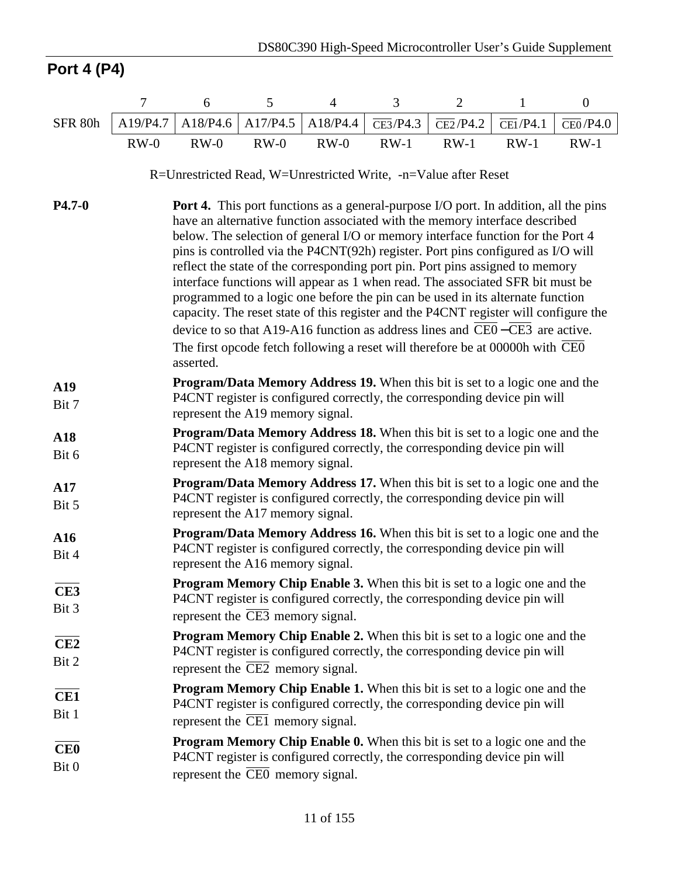# **Port 4 (P4)**

|              | $\tau$                                                                                                                                                                                                                                                                                                                                                                                                                                                                                                                                                                                                                                                                                                                                                                                                                                                                      | 6                                                                                                                                                                                                                     | 5        | $\overline{4}$ | 3                             | $\overline{2}$                | 1                             | $\boldsymbol{0}$              |  |  |
|--------------|-----------------------------------------------------------------------------------------------------------------------------------------------------------------------------------------------------------------------------------------------------------------------------------------------------------------------------------------------------------------------------------------------------------------------------------------------------------------------------------------------------------------------------------------------------------------------------------------------------------------------------------------------------------------------------------------------------------------------------------------------------------------------------------------------------------------------------------------------------------------------------|-----------------------------------------------------------------------------------------------------------------------------------------------------------------------------------------------------------------------|----------|----------------|-------------------------------|-------------------------------|-------------------------------|-------------------------------|--|--|
| SFR 80h      | A19/P4.7                                                                                                                                                                                                                                                                                                                                                                                                                                                                                                                                                                                                                                                                                                                                                                                                                                                                    | A18/P4.6                                                                                                                                                                                                              | A17/P4.5 | A18/P4.4       | $\overline{\text{CE3}}$ /P4.3 | $\overline{\text{CE2}}$ /P4.2 | $\overline{\text{CE1}}$ /P4.1 | $\overline{\text{CE0}}$ /P4.0 |  |  |
|              | $RW-0$                                                                                                                                                                                                                                                                                                                                                                                                                                                                                                                                                                                                                                                                                                                                                                                                                                                                      | $RW-0$                                                                                                                                                                                                                | $RW-0$   | $RW-0$         | $RW-1$                        | $RW-1$                        | $RW-1$                        | $RW-1$                        |  |  |
|              |                                                                                                                                                                                                                                                                                                                                                                                                                                                                                                                                                                                                                                                                                                                                                                                                                                                                             | R=Unrestricted Read, W=Unrestricted Write, -n=Value after Reset                                                                                                                                                       |          |                |                               |                               |                               |                               |  |  |
| $P4.7 - 0$   | <b>Port 4.</b> This port functions as a general-purpose I/O port. In addition, all the pins<br>have an alternative function associated with the memory interface described<br>below. The selection of general I/O or memory interface function for the Port 4<br>pins is controlled via the P4CNT(92h) register. Port pins configured as I/O will<br>reflect the state of the corresponding port pin. Port pins assigned to memory<br>interface functions will appear as 1 when read. The associated SFR bit must be<br>programmed to a logic one before the pin can be used in its alternate function<br>capacity. The reset state of this register and the P4CNT register will configure the<br>device to so that A19-A16 function as address lines and CE0–CE3 are active.<br>The first opcode fetch following a reset will therefore be at 00000h with CEO<br>asserted. |                                                                                                                                                                                                                       |          |                |                               |                               |                               |                               |  |  |
| A19<br>Bit 7 |                                                                                                                                                                                                                                                                                                                                                                                                                                                                                                                                                                                                                                                                                                                                                                                                                                                                             | <b>Program/Data Memory Address 19.</b> When this bit is set to a logic one and the<br>P4CNT register is configured correctly, the corresponding device pin will<br>represent the A19 memory signal.                   |          |                |                               |                               |                               |                               |  |  |
| A18<br>Bit 6 |                                                                                                                                                                                                                                                                                                                                                                                                                                                                                                                                                                                                                                                                                                                                                                                                                                                                             | <b>Program/Data Memory Address 18.</b> When this bit is set to a logic one and the<br>P4CNT register is configured correctly, the corresponding device pin will<br>represent the A18 memory signal.                   |          |                |                               |                               |                               |                               |  |  |
| A17<br>Bit 5 |                                                                                                                                                                                                                                                                                                                                                                                                                                                                                                                                                                                                                                                                                                                                                                                                                                                                             | Program/Data Memory Address 17. When this bit is set to a logic one and the<br>P4CNT register is configured correctly, the corresponding device pin will<br>represent the A17 memory signal.                          |          |                |                               |                               |                               |                               |  |  |
| A16<br>Bit 4 |                                                                                                                                                                                                                                                                                                                                                                                                                                                                                                                                                                                                                                                                                                                                                                                                                                                                             | <b>Program/Data Memory Address 16.</b> When this bit is set to a logic one and the<br>P4CNT register is configured correctly, the corresponding device pin will<br>represent the A16 memory signal.                   |          |                |                               |                               |                               |                               |  |  |
| CE3<br>Bit 3 |                                                                                                                                                                                                                                                                                                                                                                                                                                                                                                                                                                                                                                                                                                                                                                                                                                                                             | Program Memory Chip Enable 3. When this bit is set to a logic one and the<br>P4CNT register is configured correctly, the corresponding device pin will<br>represent the CE3 memory signal.                            |          |                |                               |                               |                               |                               |  |  |
| CE2<br>Bit 2 |                                                                                                                                                                                                                                                                                                                                                                                                                                                                                                                                                                                                                                                                                                                                                                                                                                                                             | Program Memory Chip Enable 2. When this bit is set to a logic one and the<br>P4CNT register is configured correctly, the corresponding device pin will<br>represent the $\overline{\text{CE2}}$ memory signal.        |          |                |                               |                               |                               |                               |  |  |
| CE1<br>Bit 1 |                                                                                                                                                                                                                                                                                                                                                                                                                                                                                                                                                                                                                                                                                                                                                                                                                                                                             | <b>Program Memory Chip Enable 1.</b> When this bit is set to a logic one and the<br>P4CNT register is configured correctly, the corresponding device pin will<br>represent the $\overline{\text{CE1}}$ memory signal. |          |                |                               |                               |                               |                               |  |  |
| CE0<br>Bit 0 |                                                                                                                                                                                                                                                                                                                                                                                                                                                                                                                                                                                                                                                                                                                                                                                                                                                                             | <b>Program Memory Chip Enable 0.</b> When this bit is set to a logic one and the<br>P4CNT register is configured correctly, the corresponding device pin will<br>represent the $\overline{\text{CE0}}$ memory signal. |          |                |                               |                               |                               |                               |  |  |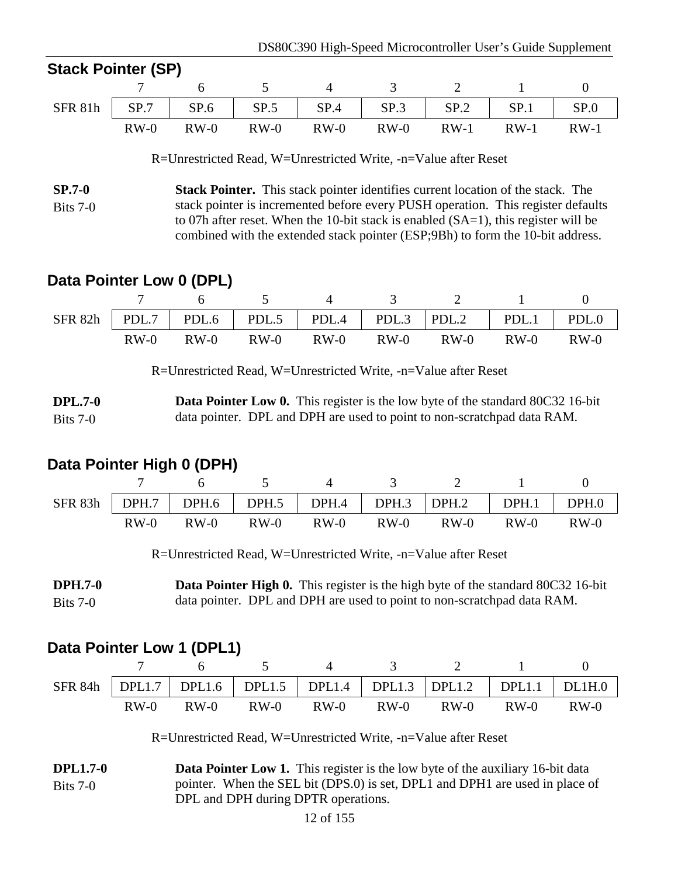| Stack Pointer (SP) |        |                 |          |                                                                 |       |        |
|--------------------|--------|-----------------|----------|-----------------------------------------------------------------|-------|--------|
|                    |        | $\frac{1}{2}$ 6 | $\sim$ 4 |                                                                 | 3 2 1 |        |
|                    |        |                 |          | SFR 81h   SP.7   SP.6   SP.5   SP.4   SP.3   SP.2   SP.1   SP.0 |       |        |
|                    | $RW-0$ | $RW-0$          |          | RW-0 RW-0 RW-0 RW-1 RW-1                                        |       | $RW-1$ |

R=Unrestricted Read, W=Unrestricted Write, -n=Value after Reset

**SP.7-0** Bits 7-0 **Stack Pointer.** This stack pointer identifies current location of the stack. The stack pointer is incremented before every PUSH operation. This register defaults to 07h after reset. When the 10-bit stack is enabled (SA=1), this register will be combined with the extended stack pointer (ESP;9Bh) to form the 10-bit address.

# **Data Pointer Low 0 (DPL)**

**Stack Pointer (SP)**

|  |  |  | 6 5 4 3 2 1                                                             |  |
|--|--|--|-------------------------------------------------------------------------|--|
|  |  |  | SFR 82h   PDL.7   PDL.6   PDL.5   PDL.4   PDL.3   PDL.2   PDL.1   PDL.0 |  |
|  |  |  | RW-0 RW-0 RW-0 RW-0 RW-0 RW-0 RW-0 RW-0                                 |  |

R=Unrestricted Read, W=Unrestricted Write, -n=Value after Reset

**DPL.7-0**  $Rits 7-0$ **Data Pointer Low 0.** This register is the low byte of the standard 80C32 16-bit data pointer. DPL and DPH are used to point to non-scratchpad data RAM.

# **Data Pointer High 0 (DPH)**

| SFR 83h | DPH.7  |        |        | DPH.6   DPH.5   DPH.4   DPH.3  DPH.2 |        |        | DPH.1  | DPH.0  |
|---------|--------|--------|--------|--------------------------------------|--------|--------|--------|--------|
|         | $RW-0$ | $RW-0$ | $RW-0$ | $RW-0$                               | $RW-0$ | $RW-0$ | $RW-0$ | $RW-0$ |

R=Unrestricted Read, W=Unrestricted Write, -n=Value after Reset

**DPH.7-0** Bits 7-0 **Data Pointer High 0.** This register is the high byte of the standard 80C32 16-bit data pointer. DPL and DPH are used to point to non-scratchpad data RAM.

# **Data Pointer Low 1 (DPL1)**

|        |        |        | SFR 84h   DPL1.7   DPL1.6   DPL1.5   DPL1.4   DPL1.3   DPL1.2   DPL1.1   DL1H.0 |        |        |        |        |
|--------|--------|--------|---------------------------------------------------------------------------------|--------|--------|--------|--------|
| $RW-0$ | $RW-0$ | $RW-0$ | $RW-0$                                                                          | $RW-0$ | $RW-0$ | $RW-0$ | $RW-0$ |

R=Unrestricted Read, W=Unrestricted Write, -n=Value after Reset

**DPL1.7-0** Bits 7-0 **Data Pointer Low 1.** This register is the low byte of the auxiliary 16-bit data pointer. When the SEL bit (DPS.0) is set, DPL1 and DPH1 are used in place of DPL and DPH during DPTR operations.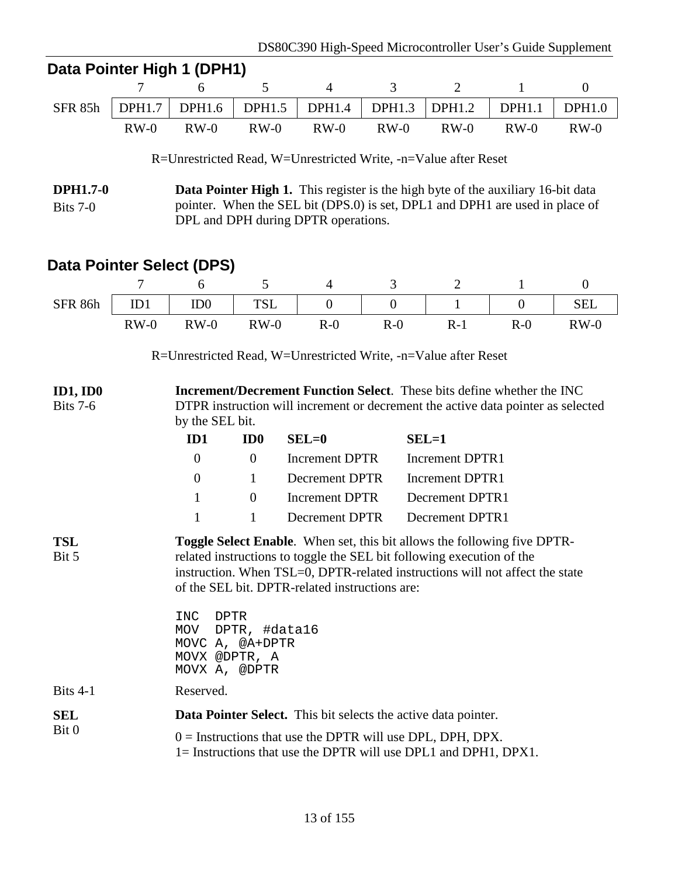| Data Pointer High 1 (DPH1)  |                                                                       |                                                                                |                 |                                                                                                                                                                                                                                                                                            |                |                        |                  |                  |  |  |
|-----------------------------|-----------------------------------------------------------------------|--------------------------------------------------------------------------------|-----------------|--------------------------------------------------------------------------------------------------------------------------------------------------------------------------------------------------------------------------------------------------------------------------------------------|----------------|------------------------|------------------|------------------|--|--|
|                             | 7                                                                     | 6                                                                              | 5               | $\overline{4}$                                                                                                                                                                                                                                                                             | 3              | $\overline{2}$         | $\mathbf{1}$     | $\boldsymbol{0}$ |  |  |
| <b>SFR 85h</b>              | <b>DPH1.7</b>                                                         | DPH1.6                                                                         | <b>DPH1.5</b>   | <b>DPH1.4</b>                                                                                                                                                                                                                                                                              | <b>DPH1.3</b>  | DPH1.2                 | <b>DPH1.1</b>    | <b>DPH1.0</b>    |  |  |
|                             | $RW-0$                                                                | $RW-0$                                                                         | $RW-0$          | $RW-0$                                                                                                                                                                                                                                                                                     | $RW-0$         | $RW-0$                 | $RW-0$           | $RW-0$           |  |  |
|                             |                                                                       |                                                                                |                 | R=Unrestricted Read, W=Unrestricted Write, -n=Value after Reset                                                                                                                                                                                                                            |                |                        |                  |                  |  |  |
| <b>DPH1.7-0</b><br>Bits 7-0 |                                                                       |                                                                                |                 | <b>Data Pointer High 1.</b> This register is the high byte of the auxiliary 16-bit data<br>pointer. When the SEL bit (DPS.0) is set, DPL1 and DPH1 are used in place of<br>DPL and DPH during DPTR operations.                                                                             |                |                        |                  |                  |  |  |
| Data Pointer Select (DPS)   |                                                                       |                                                                                |                 |                                                                                                                                                                                                                                                                                            |                |                        |                  |                  |  |  |
|                             | 7                                                                     | 6                                                                              | 5               | $\overline{4}$                                                                                                                                                                                                                                                                             | 3              | $\overline{2}$         | 1                | $\overline{0}$   |  |  |
| SFR 86h                     | ID1                                                                   | ID <sub>0</sub>                                                                | <b>TSL</b>      | $\overline{0}$                                                                                                                                                                                                                                                                             | $\overline{0}$ | 1                      | $\boldsymbol{0}$ | <b>SEL</b>       |  |  |
|                             | $RW-0$                                                                | $RW-0$                                                                         | $RW-0$          | $R-0$                                                                                                                                                                                                                                                                                      | $R-0$          | $R-1$                  | $R-0$            | $RW-0$           |  |  |
|                             |                                                                       |                                                                                |                 | R=Unrestricted Read, W=Unrestricted Write, -n=Value after Reset                                                                                                                                                                                                                            |                |                        |                  |                  |  |  |
| ID1, ID0<br><b>Bits 7-6</b> |                                                                       | by the SEL bit.                                                                |                 | <b>Increment/Decrement Function Select.</b> These bits define whether the INC<br>DTPR instruction will increment or decrement the active data pointer as selected                                                                                                                          |                |                        |                  |                  |  |  |
|                             |                                                                       | ID1                                                                            | ID <sub>0</sub> | $SEL=0$                                                                                                                                                                                                                                                                                    |                | $SEL=1$                |                  |                  |  |  |
|                             |                                                                       | $\overline{0}$                                                                 | $\theta$        | <b>Increment DPTR</b>                                                                                                                                                                                                                                                                      |                | <b>Increment DPTR1</b> |                  |                  |  |  |
|                             |                                                                       | $\overline{0}$                                                                 | $\mathbf{1}$    | Decrement DPTR                                                                                                                                                                                                                                                                             |                | Increment DPTR1        |                  |                  |  |  |
|                             |                                                                       | $\mathbf{1}$                                                                   | $\overline{0}$  | <b>Increment DPTR</b>                                                                                                                                                                                                                                                                      |                | <b>Decrement DPTR1</b> |                  |                  |  |  |
|                             |                                                                       | $\mathbf{1}$                                                                   | $\mathbf{1}$    | <b>Decrement DPTR</b>                                                                                                                                                                                                                                                                      |                | Decrement DPTR1        |                  |                  |  |  |
| TSL<br>Bit 5                |                                                                       |                                                                                |                 | <b>Toggle Select Enable.</b> When set, this bit allows the following five DPTR-<br>related instructions to toggle the SEL bit following execution of the<br>instruction. When TSL=0, DPTR-related instructions will not affect the state<br>of the SEL bit. DPTR-related instructions are: |                |                        |                  |                  |  |  |
|                             |                                                                       | <b>DPTR</b><br>INC<br>MOV<br>MOVC A, @A+DPTR<br>MOVX @DPTR, A<br>MOVX A, @DPTR | DPTR, #data16   |                                                                                                                                                                                                                                                                                            |                |                        |                  |                  |  |  |
| Bits $4-1$                  |                                                                       | Reserved.                                                                      |                 |                                                                                                                                                                                                                                                                                            |                |                        |                  |                  |  |  |
| <b>SEL</b>                  | <b>Data Pointer Select.</b> This bit selects the active data pointer. |                                                                                |                 |                                                                                                                                                                                                                                                                                            |                |                        |                  |                  |  |  |
| Bit 0                       |                                                                       |                                                                                |                 | $0 =$ Instructions that use the DPTR will use DPL, DPH, DPX.<br>1= Instructions that use the DPTR will use DPL1 and DPH1, DPX1.                                                                                                                                                            |                |                        |                  |                  |  |  |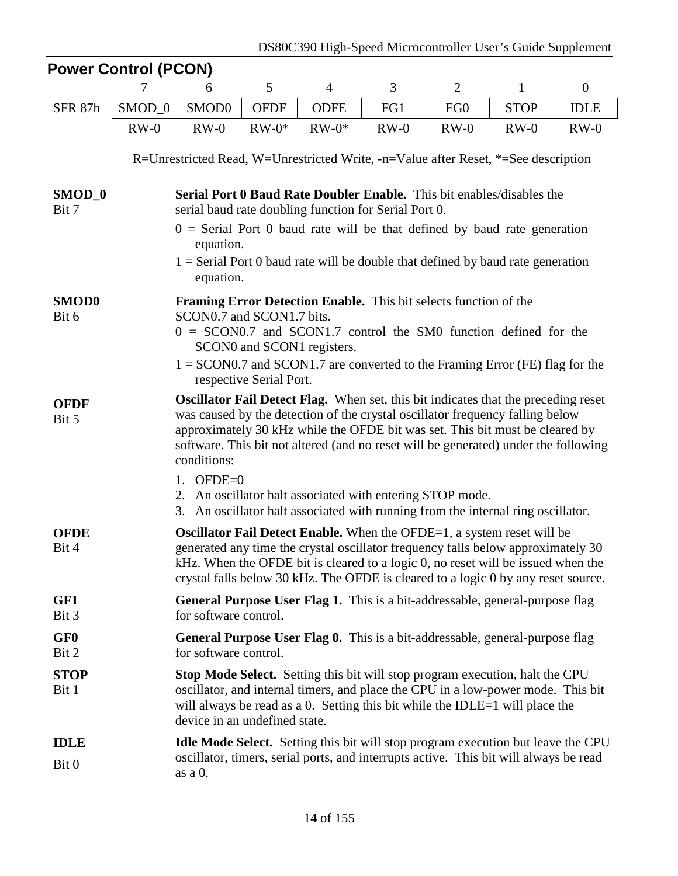| <b>Power Control (PCON)</b> |                   |                                                                                                                                                                                                                                                                                                                                                                  |                         |                            |        |                 |              |              |
|-----------------------------|-------------------|------------------------------------------------------------------------------------------------------------------------------------------------------------------------------------------------------------------------------------------------------------------------------------------------------------------------------------------------------------------|-------------------------|----------------------------|--------|-----------------|--------------|--------------|
|                             | 7                 | 6                                                                                                                                                                                                                                                                                                                                                                | 5                       | $\overline{4}$             | 3      | $\overline{2}$  | $\mathbf{1}$ | $\mathbf{0}$ |
| SFR 87h                     | SMOD <sub>0</sub> | SMOD0                                                                                                                                                                                                                                                                                                                                                            | <b>OFDF</b>             | <b>ODFE</b>                | FG1    | FG <sub>0</sub> | <b>STOP</b>  | <b>IDLE</b>  |
|                             | $RW-0$            | $RW-0$                                                                                                                                                                                                                                                                                                                                                           | $RW-0*$                 | $RW-0*$                    | $RW-0$ | $RW-0$          | $RW-0$       | $RW-0$       |
|                             |                   | R=Unrestricted Read, W=Unrestricted Write, -n=Value after Reset, *=See description                                                                                                                                                                                                                                                                               |                         |                            |        |                 |              |              |
| SMOD <sub>-0</sub><br>Bit 7 |                   | Serial Port 0 Baud Rate Doubler Enable. This bit enables/disables the<br>serial baud rate doubling function for Serial Port 0.                                                                                                                                                                                                                                   |                         |                            |        |                 |              |              |
|                             |                   | $0 =$ Serial Port 0 baud rate will be that defined by baud rate generation<br>equation.                                                                                                                                                                                                                                                                          |                         |                            |        |                 |              |              |
|                             |                   | $1 =$ Serial Port 0 baud rate will be double that defined by baud rate generation<br>equation.                                                                                                                                                                                                                                                                   |                         |                            |        |                 |              |              |
| <b>SMOD0</b>                |                   | <b>Framing Error Detection Enable.</b> This bit selects function of the                                                                                                                                                                                                                                                                                          |                         |                            |        |                 |              |              |
| Bit 6                       |                   | SCON0.7 and SCON1.7 bits.<br>$0 = SCON0.7$ and SCON1.7 control the SM0 function defined for the                                                                                                                                                                                                                                                                  |                         | SCON0 and SCON1 registers. |        |                 |              |              |
|                             |                   | $1 =$ SCON0.7 and SCON1.7 are converted to the Framing Error (FE) flag for the                                                                                                                                                                                                                                                                                   | respective Serial Port. |                            |        |                 |              |              |
| <b>OFDF</b><br>Bit 5        |                   | <b>Oscillator Fail Detect Flag.</b> When set, this bit indicates that the preceding reset<br>was caused by the detection of the crystal oscillator frequency falling below<br>approximately 30 kHz while the OFDE bit was set. This bit must be cleared by<br>software. This bit not altered (and no reset will be generated) under the following<br>conditions: |                         |                            |        |                 |              |              |
|                             |                   | $OFDE=0$<br>1.<br>2. An oscillator halt associated with entering STOP mode.<br>3. An oscillator halt associated with running from the internal ring oscillator.                                                                                                                                                                                                  |                         |                            |        |                 |              |              |
| <b>OFDE</b><br>Bit 4        |                   | <b>Oscillator Fail Detect Enable.</b> When the OFDE=1, a system reset will be<br>generated any time the crystal oscillator frequency falls below approximately 30<br>kHz. When the OFDE bit is cleared to a logic 0, no reset will be issued when the<br>crystal falls below 30 kHz. The OFDE is cleared to a logic 0 by any reset source.                       |                         |                            |        |                 |              |              |
| GF1<br>Bit 3                |                   | <b>General Purpose User Flag 1.</b> This is a bit-addressable, general-purpose flag<br>for software control.                                                                                                                                                                                                                                                     |                         |                            |        |                 |              |              |
| GF <sub>0</sub><br>Bit 2    |                   | <b>General Purpose User Flag 0.</b> This is a bit-addressable, general-purpose flag<br>for software control.                                                                                                                                                                                                                                                     |                         |                            |        |                 |              |              |
| <b>STOP</b><br>Bit 1        |                   | <b>Stop Mode Select.</b> Setting this bit will stop program execution, halt the CPU<br>oscillator, and internal timers, and place the CPU in a low-power mode. This bit<br>will always be read as a $0$ . Setting this bit while the IDLE=1 will place the<br>device in an undefined state.                                                                      |                         |                            |        |                 |              |              |
| <b>IDLE</b><br>Bit 0        |                   | <b>Idle Mode Select.</b> Setting this bit will stop program execution but leave the CPU<br>oscillator, timers, serial ports, and interrupts active. This bit will always be read<br>as a 0.                                                                                                                                                                      |                         |                            |        |                 |              |              |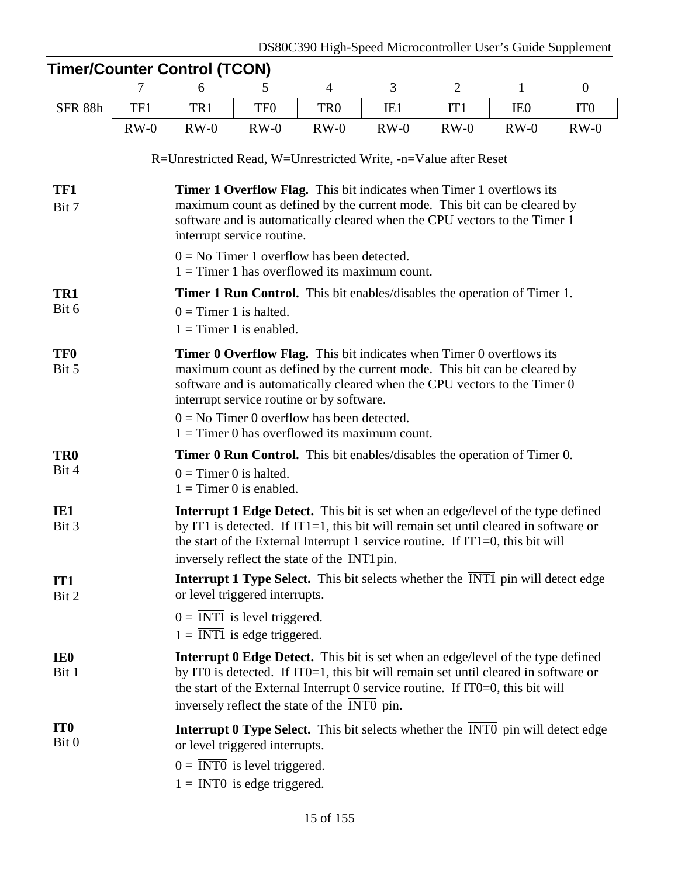| <b>Timer/Counter Control (TCON)</b> |                                                                                                                                                                                                                                                                                                                                                                                      |                          |                                                                            |                                                                                                                                                                                                                                                                                                                                 |        |                |                 |                 |  |  |
|-------------------------------------|--------------------------------------------------------------------------------------------------------------------------------------------------------------------------------------------------------------------------------------------------------------------------------------------------------------------------------------------------------------------------------------|--------------------------|----------------------------------------------------------------------------|---------------------------------------------------------------------------------------------------------------------------------------------------------------------------------------------------------------------------------------------------------------------------------------------------------------------------------|--------|----------------|-----------------|-----------------|--|--|
|                                     | 7                                                                                                                                                                                                                                                                                                                                                                                    | 6                        | 5                                                                          | $\overline{4}$                                                                                                                                                                                                                                                                                                                  | 3      | $\overline{2}$ | 1               | $\mathbf{0}$    |  |  |
| SFR 88h                             | TF1                                                                                                                                                                                                                                                                                                                                                                                  | TR1                      | TF <sub>0</sub>                                                            | TR <sub>0</sub>                                                                                                                                                                                                                                                                                                                 | IE1    | IT1            | IE <sub>0</sub> | IT <sub>0</sub> |  |  |
|                                     | $RW-0$                                                                                                                                                                                                                                                                                                                                                                               | $RW-0$                   | $RW-0$                                                                     | $RW-0$                                                                                                                                                                                                                                                                                                                          | $RW-0$ | $RW-0$         | $RW-0$          | $RW-0$          |  |  |
|                                     |                                                                                                                                                                                                                                                                                                                                                                                      |                          |                                                                            | R=Unrestricted Read, W=Unrestricted Write, -n=Value after Reset                                                                                                                                                                                                                                                                 |        |                |                 |                 |  |  |
| TF1<br>Bit 7                        |                                                                                                                                                                                                                                                                                                                                                                                      |                          | interrupt service routine.                                                 | <b>Timer 1 Overflow Flag.</b> This bit indicates when Timer 1 overflows its<br>maximum count as defined by the current mode. This bit can be cleared by<br>software and is automatically cleared when the CPU vectors to the Timer 1                                                                                            |        |                |                 |                 |  |  |
|                                     | $0 = No$ Timer 1 overflow has been detected.<br>$1 =$ Timer 1 has overflowed its maximum count.                                                                                                                                                                                                                                                                                      |                          |                                                                            |                                                                                                                                                                                                                                                                                                                                 |        |                |                 |                 |  |  |
| TR1                                 |                                                                                                                                                                                                                                                                                                                                                                                      |                          |                                                                            | <b>Timer 1 Run Control.</b> This bit enables/disables the operation of Timer 1.                                                                                                                                                                                                                                                 |        |                |                 |                 |  |  |
| Bit 6                               | $0 =$ Timer 1 is halted.<br>$1 =$ Timer 1 is enabled.                                                                                                                                                                                                                                                                                                                                |                          |                                                                            |                                                                                                                                                                                                                                                                                                                                 |        |                |                 |                 |  |  |
| <b>TF0</b><br>Bit 5                 | <b>Timer 0 Overflow Flag.</b> This bit indicates when Timer 0 overflows its<br>maximum count as defined by the current mode. This bit can be cleared by<br>software and is automatically cleared when the CPU vectors to the Timer 0<br>interrupt service routine or by software.<br>$0 = No$ Timer 0 overflow has been detected.<br>$1 =$ Timer 0 has overflowed its maximum count. |                          |                                                                            |                                                                                                                                                                                                                                                                                                                                 |        |                |                 |                 |  |  |
| TR <sub>0</sub><br>Bit 4            |                                                                                                                                                                                                                                                                                                                                                                                      | $0 =$ Timer 0 is halted. | $1 =$ Timer 0 is enabled.                                                  | <b>Timer 0 Run Control.</b> This bit enables/disables the operation of Timer 0.                                                                                                                                                                                                                                                 |        |                |                 |                 |  |  |
| IE1<br>Bit 3                        |                                                                                                                                                                                                                                                                                                                                                                                      |                          |                                                                            | <b>Interrupt 1 Edge Detect.</b> This bit is set when an edge/level of the type defined<br>by IT1 is detected. If IT1=1, this bit will remain set until cleared in software or<br>the start of the External Interrupt 1 service routine. If $IT1=0$ , this bit will<br>inversely reflect the state of the $\overline{INT1}$ pin. |        |                |                 |                 |  |  |
| IT <sub>1</sub><br>Bit 2            |                                                                                                                                                                                                                                                                                                                                                                                      |                          | or level triggered interrupts.                                             | <b>Interrupt 1 Type Select.</b> This bit selects whether the INT1 pin will detect edge                                                                                                                                                                                                                                          |        |                |                 |                 |  |  |
|                                     |                                                                                                                                                                                                                                                                                                                                                                                      |                          | $0 = INT1$ is level triggered.<br>$1 = \overline{INT1}$ is edge triggered. |                                                                                                                                                                                                                                                                                                                                 |        |                |                 |                 |  |  |
| IE <sub>0</sub><br>Bit 1            |                                                                                                                                                                                                                                                                                                                                                                                      |                          |                                                                            | Interrupt 0 Edge Detect. This bit is set when an edge/level of the type defined<br>by ITO is detected. If ITO=1, this bit will remain set until cleared in software or<br>the start of the External Interrupt $0$ service routine. If IT0=0, this bit will<br>inversely reflect the state of the INT0 pin.                      |        |                |                 |                 |  |  |
| IT <sub>0</sub><br>Bit 0            |                                                                                                                                                                                                                                                                                                                                                                                      |                          | or level triggered interrupts.                                             | <b>Interrupt 0 Type Select.</b> This bit selects whether the INTO pin will detect edge                                                                                                                                                                                                                                          |        |                |                 |                 |  |  |
|                                     |                                                                                                                                                                                                                                                                                                                                                                                      |                          | $0 = INT0$ is level triggered.<br>$1 = \overline{INT0}$ is edge triggered. |                                                                                                                                                                                                                                                                                                                                 |        |                |                 |                 |  |  |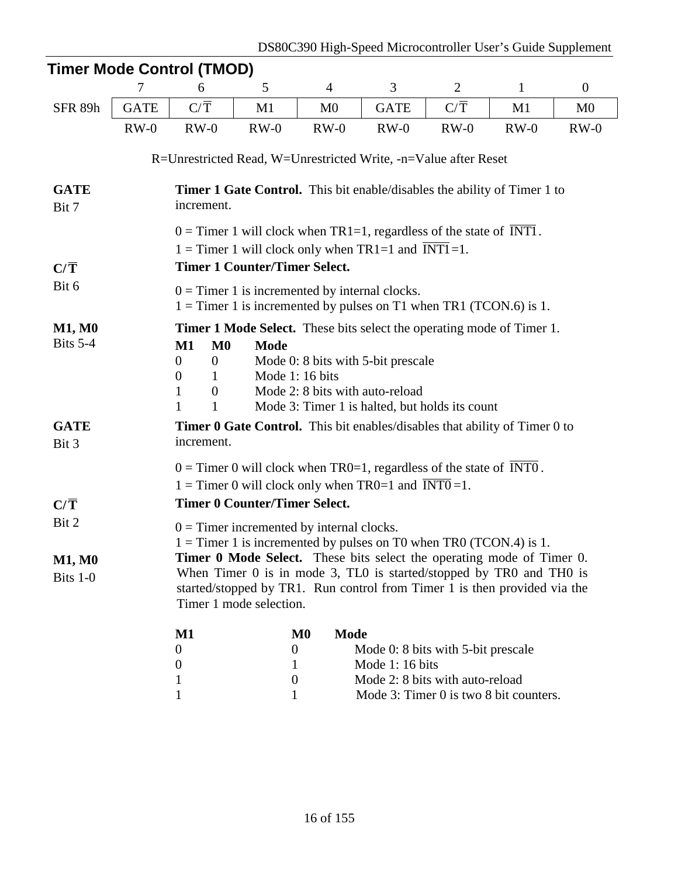|                                    | 7                                                                                                                                                                                                                                                                                                                                               | 6                | 5                                                                      | 4                            | 3                                                                                                                                                                                                                                                                                                 | $\mathbf{2}$     | $\mathbf{1}$ | $\boldsymbol{0}$ |
|------------------------------------|-------------------------------------------------------------------------------------------------------------------------------------------------------------------------------------------------------------------------------------------------------------------------------------------------------------------------------------------------|------------------|------------------------------------------------------------------------|------------------------------|---------------------------------------------------------------------------------------------------------------------------------------------------------------------------------------------------------------------------------------------------------------------------------------------------|------------------|--------------|------------------|
| SFR 89h                            | <b>GATE</b>                                                                                                                                                                                                                                                                                                                                     | $C/\overline{T}$ | M1                                                                     | M <sub>0</sub>               | <b>GATE</b>                                                                                                                                                                                                                                                                                       | $C/\overline{T}$ | M1           | M <sub>0</sub>   |
|                                    | $RW-0$                                                                                                                                                                                                                                                                                                                                          | $RW-0$           | $RW-0$                                                                 | $RW-0$                       | $RW-0$                                                                                                                                                                                                                                                                                            | $RW-0$           | $RW-0$       | $RW-0$           |
|                                    |                                                                                                                                                                                                                                                                                                                                                 |                  |                                                                        |                              | R=Unrestricted Read, W=Unrestricted Write, -n=Value after Reset                                                                                                                                                                                                                                   |                  |              |                  |
| <b>GATE</b><br>Bit 7               |                                                                                                                                                                                                                                                                                                                                                 | increment.       |                                                                        |                              | <b>Timer 1 Gate Control.</b> This bit enable/disables the ability of Timer 1 to                                                                                                                                                                                                                   |                  |              |                  |
|                                    |                                                                                                                                                                                                                                                                                                                                                 |                  |                                                                        |                              | $0 =$ Timer 1 will clock when TR1=1, regardless of the state of INT1.<br>$1 =$ Timer 1 will clock only when TR1=1 and INT1=1.                                                                                                                                                                     |                  |              |                  |
| $C/\overline{T}$                   |                                                                                                                                                                                                                                                                                                                                                 |                  | <b>Timer 1 Counter/Timer Select.</b>                                   |                              |                                                                                                                                                                                                                                                                                                   |                  |              |                  |
| Bit 6                              |                                                                                                                                                                                                                                                                                                                                                 |                  | $0 =$ Timer 1 is incremented by internal clocks.                       |                              | $1 =$ Timer 1 is incremented by pulses on T1 when TR1 (TCON.6) is 1.                                                                                                                                                                                                                              |                  |              |                  |
| <b>M1, M0</b><br>Bits 5-4          | <b>Timer 1 Mode Select.</b> These bits select the operating mode of Timer 1.<br>M <sub>0</sub><br>$M1$<br><b>Mode</b><br>Mode 0: 8 bits with 5-bit prescale<br>$\theta$<br>$\mathbf{0}$<br>Mode 1: 16 bits<br>$\theta$<br>1<br>Mode 2: 8 bits with auto-reload<br>1<br>$\mathbf{0}$<br>1<br>Mode 3: Timer 1 is halted, but holds its count<br>1 |                  |                                                                        |                              |                                                                                                                                                                                                                                                                                                   |                  |              |                  |
| <b>GATE</b><br>Bit 3               |                                                                                                                                                                                                                                                                                                                                                 | increment.       |                                                                        |                              | <b>Timer 0 Gate Control.</b> This bit enables/disables that ability of Timer 0 to                                                                                                                                                                                                                 |                  |              |                  |
| $C/\overline{T}$                   |                                                                                                                                                                                                                                                                                                                                                 |                  | <b>Timer 0 Counter/Timer Select.</b>                                   |                              | $0 =$ Timer 0 will clock when TR0=1, regardless of the state of INT0.<br>$1 =$ Timer 0 will clock only when TR0=1 and INT0=1.                                                                                                                                                                     |                  |              |                  |
| Bit 2<br><b>M1, M0</b><br>Bits 1-0 |                                                                                                                                                                                                                                                                                                                                                 |                  | $0 =$ Timer incremented by internal clocks.<br>Timer 1 mode selection. |                              | $1 =$ Timer 1 is incremented by pulses on T0 when TR0 (TCON.4) is 1.<br>Timer 0 Mode Select. These bits select the operating mode of Timer 0.<br>When Timer 0 is in mode 3, TL0 is started/stopped by TR0 and TH0 is<br>started/stopped by TR1. Run control from Timer 1 is then provided via the |                  |              |                  |
|                                    |                                                                                                                                                                                                                                                                                                                                                 | $\mathbf{M1}$    |                                                                        | <b>Mode</b><br>$\mathbf{M0}$ |                                                                                                                                                                                                                                                                                                   |                  |              |                  |
|                                    |                                                                                                                                                                                                                                                                                                                                                 | $\boldsymbol{0}$ | $\mathbf{0}$                                                           |                              | Mode 0: 8 bits with 5-bit prescale                                                                                                                                                                                                                                                                |                  |              |                  |
|                                    |                                                                                                                                                                                                                                                                                                                                                 | $\boldsymbol{0}$ | 1<br>$\theta$                                                          |                              | Mode 1: 16 bits<br>Mode 2: 8 bits with auto-reload                                                                                                                                                                                                                                                |                  |              |                  |
|                                    |                                                                                                                                                                                                                                                                                                                                                 | 1                |                                                                        |                              |                                                                                                                                                                                                                                                                                                   |                  |              |                  |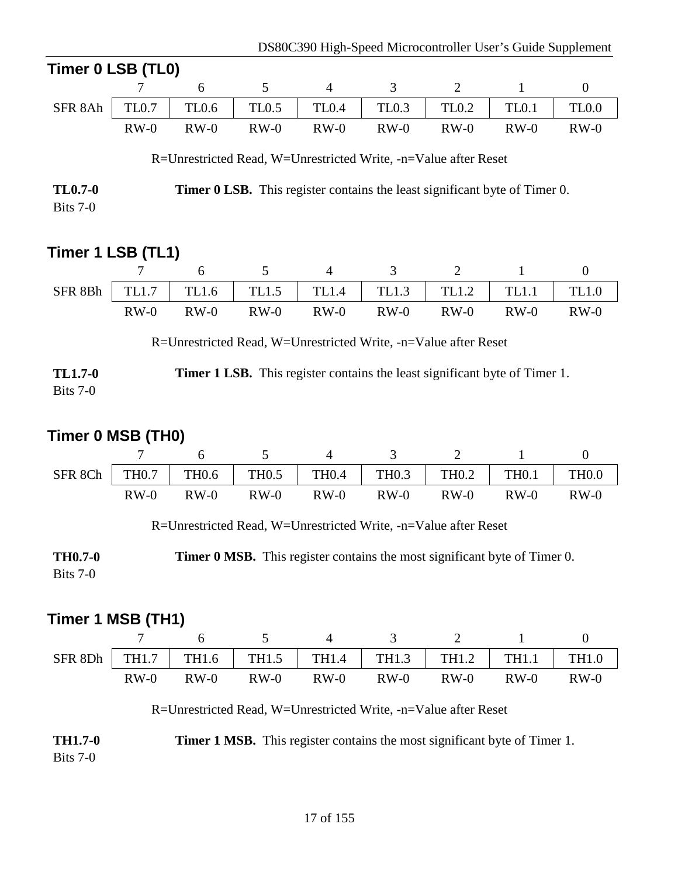| Timer 0 LSB (TL0)                                                                                   |                                                                 |        |                                                                 |                |                   |                   |              |              |  |  |
|-----------------------------------------------------------------------------------------------------|-----------------------------------------------------------------|--------|-----------------------------------------------------------------|----------------|-------------------|-------------------|--------------|--------------|--|--|
|                                                                                                     |                                                                 | 6      | 5                                                               | $\overline{4}$ | 3                 | 2                 | $\mathbf{1}$ | $\mathbf{0}$ |  |  |
| SFR 8Ah                                                                                             | TL <sub>0.7</sub>                                               | TL0.6  | <b>TL0.5</b>                                                    | <b>TL0.4</b>   | TL <sub>0.3</sub> | TL <sub>0.2</sub> | <b>TL0.1</b> | TL0.0        |  |  |
|                                                                                                     | $RW-0$                                                          | $RW-0$ | $RW-0$                                                          | $RW-0$         | $RW-0$            | $RW-0$            | $RW-0$       | $RW-0$       |  |  |
|                                                                                                     |                                                                 |        | R=Unrestricted Read, W=Unrestricted Write, -n=Value after Reset |                |                   |                   |              |              |  |  |
| <b>TL0.7-0</b><br><b>Timer 0 LSB.</b> This register contains the least significant byte of Timer 0. |                                                                 |        |                                                                 |                |                   |                   |              |              |  |  |
| Bits $7-0$                                                                                          |                                                                 |        |                                                                 |                |                   |                   |              |              |  |  |
|                                                                                                     |                                                                 |        |                                                                 |                |                   |                   |              |              |  |  |
| Timer 1 LSB (TL1)                                                                                   |                                                                 |        |                                                                 |                |                   |                   |              |              |  |  |
|                                                                                                     |                                                                 | 6      | 5                                                               | $\overline{4}$ | 3                 | 2                 | 1            | $\mathbf{0}$ |  |  |
| SFR 8Bh                                                                                             | TL1.7                                                           | TL1.6  | TL1.5                                                           | <b>TL1.4</b>   | TL1.3             | TL1.2             | <b>TL1.1</b> | TL1.0        |  |  |
|                                                                                                     | $RW-0$                                                          | $RW-0$ | $RW-0$                                                          | $RW-0$         | $RW-0$            | $RW-0$            | $RW-0$       | $RW-0$       |  |  |
|                                                                                                     | R=Unrestricted Read, W=Unrestricted Write, -n=Value after Reset |        |                                                                 |                |                   |                   |              |              |  |  |

| <b>TL1.7-0</b> | <b>Timer 1 LSB.</b> This register contains the least significant byte of Timer 1. |  |  |  |
|----------------|-----------------------------------------------------------------------------------|--|--|--|
| Bits $7-0$     |                                                                                   |  |  |  |

# **Timer 0 MSB (TH0)**

| SFR 8Ch | <b>TH0.7</b> | TH <sub>0.6</sub> | TH <sub>0.5</sub> | <b>TH0.4</b> | <b>TH0.3</b> | TH0.2  | <b>TH0.1</b> | <b>TH0.0</b> |
|---------|--------------|-------------------|-------------------|--------------|--------------|--------|--------------|--------------|
|         | $RW-0$       | $RW-0$            | $RW-0$            | $RW-0$       | $RW-0$       | $RW-0$ | $RW-0$       | $RW-0$       |

R=Unrestricted Read, W=Unrestricted Write, -n=Value after Reset

**TH0.7-0** Bits 7-0 **Timer 0 MSB.** This register contains the most significant byte of Timer 0.

# **Timer 1 MSB (TH1)**

| SFR 8Dh |        |        | TH1.7   TH1.6   TH1.5   TH1.4   TH1.3   TH1.2   TH1.1   TH1.0 |        |        |        |        |        |
|---------|--------|--------|---------------------------------------------------------------|--------|--------|--------|--------|--------|
|         | $RW-0$ | $RW-0$ | $RW-0$                                                        | $RW-0$ | $RW-0$ | $RW-0$ | $RW-0$ | $RW-0$ |

R=Unrestricted Read, W=Unrestricted Write, -n=Value after Reset

| <b>TH1.7-0</b> | <b>Timer 1 MSB.</b> This register contains the most significant byte of Timer 1. |  |  |  |
|----------------|----------------------------------------------------------------------------------|--|--|--|
| Bits $7-0$     |                                                                                  |  |  |  |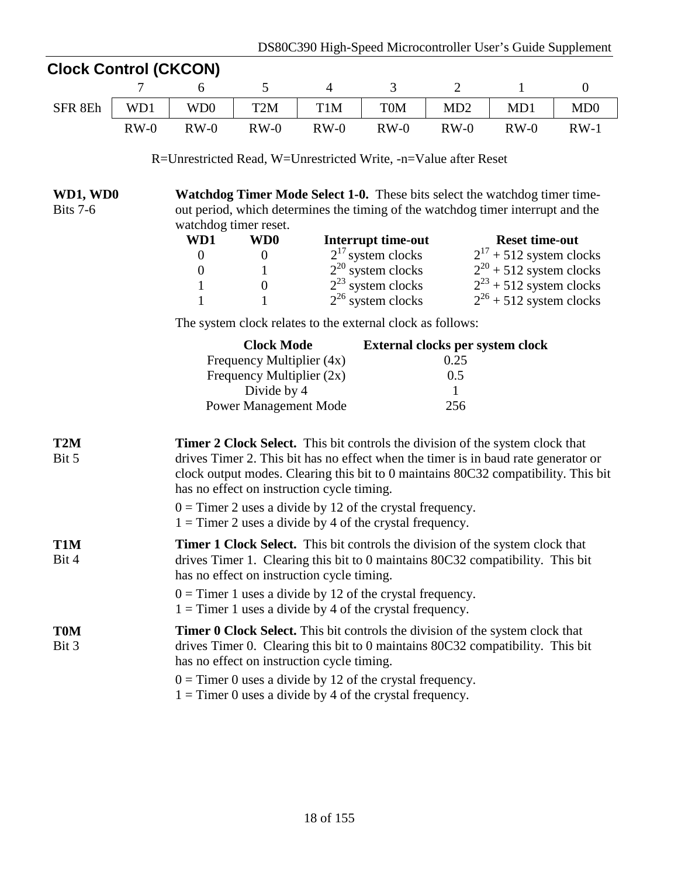| <b>Clock Control (CKCON)</b> |                                                                 |                                                                                                                              |                |                                              |                                  |                                                              |                  |  |  |  |
|------------------------------|-----------------------------------------------------------------|------------------------------------------------------------------------------------------------------------------------------|----------------|----------------------------------------------|----------------------------------|--------------------------------------------------------------|------------------|--|--|--|
| 7                            | 6                                                               | 5                                                                                                                            | $\overline{4}$ | $\mathfrak{Z}$                               | $\overline{2}$                   | $\mathbf{1}$                                                 | $\boldsymbol{0}$ |  |  |  |
| SFR 8Eh<br>WD1               | WD <sub>0</sub>                                                 | T <sub>2</sub> M                                                                                                             | T1M            | <b>TOM</b>                                   | MD2                              | MD1                                                          | MD0              |  |  |  |
| $RW-0$                       | $RW-0$                                                          | $RW-0$                                                                                                                       | $RW-0$         | $RW-0$                                       | $RW-0$                           | $RW-0$                                                       | $RW-1$           |  |  |  |
|                              | R=Unrestricted Read, W=Unrestricted Write, -n=Value after Reset |                                                                                                                              |                |                                              |                                  |                                                              |                  |  |  |  |
| WD1, WD0                     |                                                                 | <b>Watchdog Timer Mode Select 1-0.</b> These bits select the watchdog timer time-                                            |                |                                              |                                  |                                                              |                  |  |  |  |
| <b>Bits 7-6</b>              |                                                                 | out period, which determines the timing of the watchdog timer interrupt and the                                              |                |                                              |                                  |                                                              |                  |  |  |  |
|                              |                                                                 | watchdog timer reset.                                                                                                        |                |                                              |                                  |                                                              |                  |  |  |  |
|                              | WD1<br>$\overline{0}$                                           | WD <sub>0</sub><br>$\boldsymbol{0}$                                                                                          |                | Interrupt time-out<br>$2^{17}$ system clocks |                                  | <b>Reset time-out</b>                                        |                  |  |  |  |
|                              | $\boldsymbol{0}$                                                | $\mathbf{1}$                                                                                                                 |                | $2^{20}$ system clocks                       |                                  | $2^{17}$ + 512 system clocks<br>$2^{20}$ + 512 system clocks |                  |  |  |  |
|                              | $\mathbf{1}$                                                    | $\boldsymbol{0}$                                                                                                             |                | $2^{23}$ system clocks                       |                                  | $2^{23}$ + 512 system clocks                                 |                  |  |  |  |
|                              | $\mathbf{1}$                                                    | $\mathbf{1}$                                                                                                                 |                | $2^{26}$ system clocks                       |                                  | $2^{26}$ + 512 system clocks                                 |                  |  |  |  |
|                              |                                                                 | The system clock relates to the external clock as follows:                                                                   |                |                                              |                                  |                                                              |                  |  |  |  |
|                              |                                                                 | <b>Clock Mode</b>                                                                                                            |                |                                              | External clocks per system clock |                                                              |                  |  |  |  |
|                              |                                                                 | Frequency Multiplier (4x)                                                                                                    |                |                                              | 0.25                             |                                                              |                  |  |  |  |
|                              |                                                                 | Frequency Multiplier $(2x)$                                                                                                  |                |                                              | 0.5                              |                                                              |                  |  |  |  |
|                              |                                                                 | Divide by 4                                                                                                                  |                |                                              | 1                                |                                                              |                  |  |  |  |
|                              |                                                                 | <b>Power Management Mode</b>                                                                                                 |                |                                              | 256                              |                                                              |                  |  |  |  |
| T <sub>2</sub> M             |                                                                 | <b>Timer 2 Clock Select.</b> This bit controls the division of the system clock that                                         |                |                                              |                                  |                                                              |                  |  |  |  |
| Bit 5                        |                                                                 | drives Timer 2. This bit has no effect when the timer is in baud rate generator or                                           |                |                                              |                                  |                                                              |                  |  |  |  |
|                              |                                                                 | clock output modes. Clearing this bit to 0 maintains 80C32 compatibility. This bit                                           |                |                                              |                                  |                                                              |                  |  |  |  |
|                              |                                                                 | has no effect on instruction cycle timing.                                                                                   |                |                                              |                                  |                                                              |                  |  |  |  |
|                              |                                                                 | $0 =$ Timer 2 uses a divide by 12 of the crystal frequency.                                                                  |                |                                              |                                  |                                                              |                  |  |  |  |
|                              |                                                                 | $1 =$ Timer 2 uses a divide by 4 of the crystal frequency.                                                                   |                |                                              |                                  |                                                              |                  |  |  |  |
| T1M                          |                                                                 | Timer 1 Clock Select. This bit controls the division of the system clock that                                                |                |                                              |                                  |                                                              |                  |  |  |  |
| Bit 4                        |                                                                 | drives Timer 1. Clearing this bit to 0 maintains 80C32 compatibility. This bit<br>has no effect on instruction cycle timing. |                |                                              |                                  |                                                              |                  |  |  |  |
|                              |                                                                 |                                                                                                                              |                |                                              |                                  |                                                              |                  |  |  |  |
|                              |                                                                 | $0 =$ Timer 1 uses a divide by 12 of the crystal frequency.<br>$1 =$ Timer 1 uses a divide by 4 of the crystal frequency.    |                |                                              |                                  |                                                              |                  |  |  |  |
| <b>T0M</b>                   |                                                                 | <b>Timer 0 Clock Select.</b> This bit controls the division of the system clock that                                         |                |                                              |                                  |                                                              |                  |  |  |  |
| Bit 3                        |                                                                 | drives Timer 0. Clearing this bit to 0 maintains 80C32 compatibility. This bit                                               |                |                                              |                                  |                                                              |                  |  |  |  |
|                              |                                                                 | has no effect on instruction cycle timing.                                                                                   |                |                                              |                                  |                                                              |                  |  |  |  |
|                              |                                                                 | $0 =$ Timer 0 uses a divide by 12 of the crystal frequency.                                                                  |                |                                              |                                  |                                                              |                  |  |  |  |
|                              |                                                                 | $1 =$ Timer 0 uses a divide by 4 of the crystal frequency.                                                                   |                |                                              |                                  |                                                              |                  |  |  |  |
|                              |                                                                 |                                                                                                                              |                |                                              |                                  |                                                              |                  |  |  |  |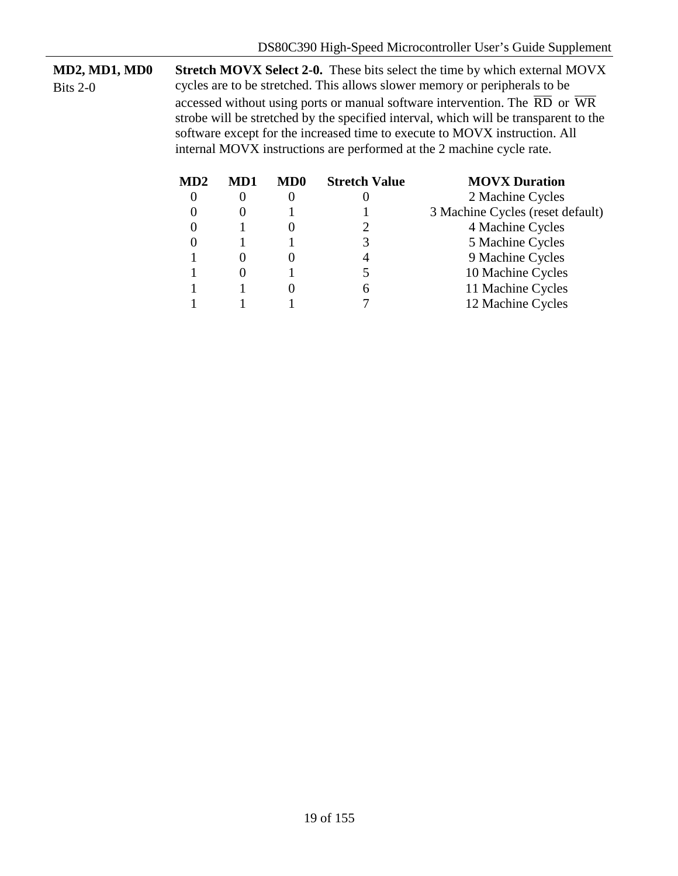**MD2, MD1, MD0** Bits 2-0 **Stretch MOVX Select 2-0.** These bits select the time by which external MOVX cycles are to be stretched. This allows slower memory or peripherals to be accessed without using ports or manual software intervention. The  $\overline{RD}$  or  $\overline{WR}$ strobe will be stretched by the specified interval, which will be transparent to the software except for the increased time to execute to MOVX instruction. All internal MOVX instructions are performed at the 2 machine cycle rate.

| MD2 | MD1 | MD <sub>0</sub> | <b>Stretch Value</b> | <b>MOVX Duration</b>             |
|-----|-----|-----------------|----------------------|----------------------------------|
|     |     |                 |                      | 2 Machine Cycles                 |
|     |     |                 |                      | 3 Machine Cycles (reset default) |
|     |     |                 |                      | 4 Machine Cycles                 |
|     |     |                 |                      | 5 Machine Cycles                 |
|     |     |                 |                      | 9 Machine Cycles                 |
|     |     |                 |                      | 10 Machine Cycles                |
|     |     |                 |                      | 11 Machine Cycles                |
|     |     |                 |                      | 12 Machine Cycles                |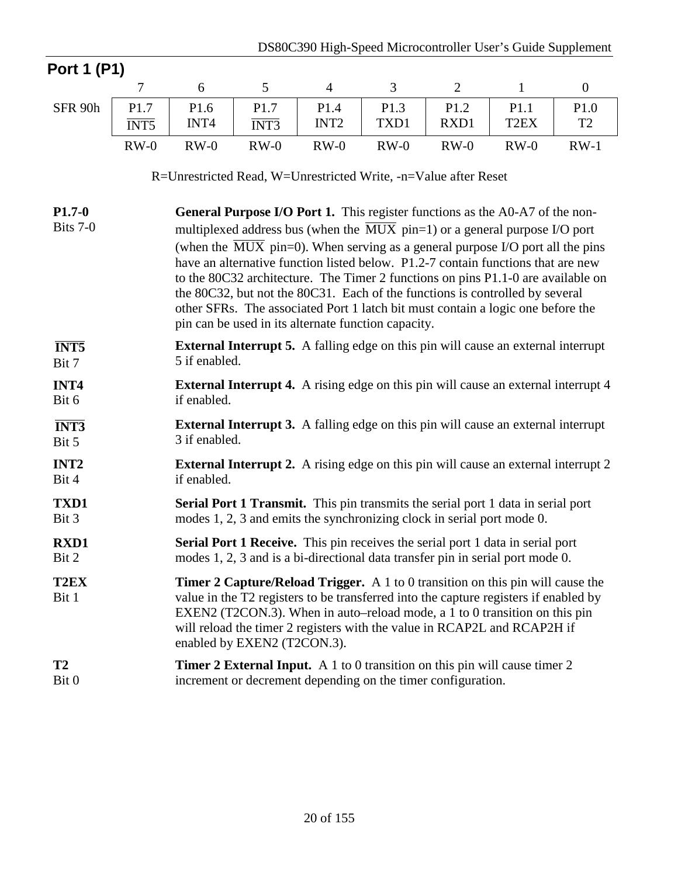| <b>Port 1 (P1)</b>                |                           |               |                                  |                                                                                                                                                                                                                                                                                                                                                                                                                                                                                                                                                                                                                                                                                |              |                |                           |                        |
|-----------------------------------|---------------------------|---------------|----------------------------------|--------------------------------------------------------------------------------------------------------------------------------------------------------------------------------------------------------------------------------------------------------------------------------------------------------------------------------------------------------------------------------------------------------------------------------------------------------------------------------------------------------------------------------------------------------------------------------------------------------------------------------------------------------------------------------|--------------|----------------|---------------------------|------------------------|
|                                   | $\overline{7}$            | 6             | 5                                | $\overline{4}$                                                                                                                                                                                                                                                                                                                                                                                                                                                                                                                                                                                                                                                                 | 3            | $\overline{2}$ | $\mathbf{1}$              | $\boldsymbol{0}$       |
| SFR 90h                           | P1.7<br>$\overline{INT5}$ | P1.6<br>INT4  | P1.7<br>$\overline{\text{INT3}}$ | P1.4<br>INT <sub>2</sub>                                                                                                                                                                                                                                                                                                                                                                                                                                                                                                                                                                                                                                                       | P1.3<br>TXD1 | P1.2<br>RXD1   | P1.1<br>T <sub>2</sub> EX | P1.0<br>T <sub>2</sub> |
|                                   | $RW-0$                    | $RW-0$        | $RW-0$                           | $RW-0$                                                                                                                                                                                                                                                                                                                                                                                                                                                                                                                                                                                                                                                                         | $RW-0$       | $RW-0$         | $RW-0$                    | $RW-1$                 |
|                                   |                           |               |                                  | R=Unrestricted Read, W=Unrestricted Write, -n=Value after Reset                                                                                                                                                                                                                                                                                                                                                                                                                                                                                                                                                                                                                |              |                |                           |                        |
| $P1.7-0$<br>Bits 7-0              |                           |               |                                  | <b>General Purpose I/O Port 1.</b> This register functions as the A0-A7 of the non-<br>multiplexed address bus (when the $\overline{MUX}$ pin=1) or a general purpose I/O port<br>(when the $\overline{MUX}$ pin=0). When serving as a general purpose I/O port all the pins<br>have an alternative function listed below. P1.2-7 contain functions that are new<br>to the 80C32 architecture. The Timer 2 functions on pins P1.1-0 are available on<br>the 80C32, but not the 80C31. Each of the functions is controlled by several<br>other SFRs. The associated Port 1 latch bit must contain a logic one before the<br>pin can be used in its alternate function capacity. |              |                |                           |                        |
| $\overline{INT5}$<br>Bit 7        |                           | 5 if enabled. |                                  | <b>External Interrupt 5.</b> A falling edge on this pin will cause an external interrupt                                                                                                                                                                                                                                                                                                                                                                                                                                                                                                                                                                                       |              |                |                           |                        |
| INT4<br>Bit 6                     |                           | if enabled.   |                                  | <b>External Interrupt 4.</b> A rising edge on this pin will cause an external interrupt 4                                                                                                                                                                                                                                                                                                                                                                                                                                                                                                                                                                                      |              |                |                           |                        |
| $\overline{\text{INT3}}$<br>Bit 5 |                           | 3 if enabled. |                                  | <b>External Interrupt 3.</b> A falling edge on this pin will cause an external interrupt                                                                                                                                                                                                                                                                                                                                                                                                                                                                                                                                                                                       |              |                |                           |                        |
| INT <sub>2</sub><br>Bit 4         |                           | if enabled.   |                                  | <b>External Interrupt 2.</b> A rising edge on this pin will cause an external interrupt 2                                                                                                                                                                                                                                                                                                                                                                                                                                                                                                                                                                                      |              |                |                           |                        |
| TXD1<br>Bit 3                     |                           |               |                                  | <b>Serial Port 1 Transmit.</b> This pin transmits the serial port 1 data in serial port<br>modes 1, 2, 3 and emits the synchronizing clock in serial port mode 0.                                                                                                                                                                                                                                                                                                                                                                                                                                                                                                              |              |                |                           |                        |
| <b>RXD1</b><br>Bit 2              |                           |               |                                  | <b>Serial Port 1 Receive.</b> This pin receives the serial port 1 data in serial port<br>modes 1, 2, 3 and is a bi-directional data transfer pin in serial port mode 0.                                                                                                                                                                                                                                                                                                                                                                                                                                                                                                        |              |                |                           |                        |
| T2EX<br>Bit 1                     |                           |               | enabled by EXEN2 (T2CON.3).      | <b>Timer 2 Capture/Reload Trigger.</b> A 1 to 0 transition on this pin will cause the<br>value in the T2 registers to be transferred into the capture registers if enabled by<br>EXEN2 (T2CON.3). When in auto–reload mode, a 1 to 0 transition on this pin<br>will reload the timer 2 registers with the value in RCAP2L and RCAP2H if                                                                                                                                                                                                                                                                                                                                        |              |                |                           |                        |
| <b>T2</b><br>Bit 0                |                           |               |                                  | <b>Timer 2 External Input.</b> A 1 to 0 transition on this pin will cause timer 2<br>increment or decrement depending on the timer configuration.                                                                                                                                                                                                                                                                                                                                                                                                                                                                                                                              |              |                |                           |                        |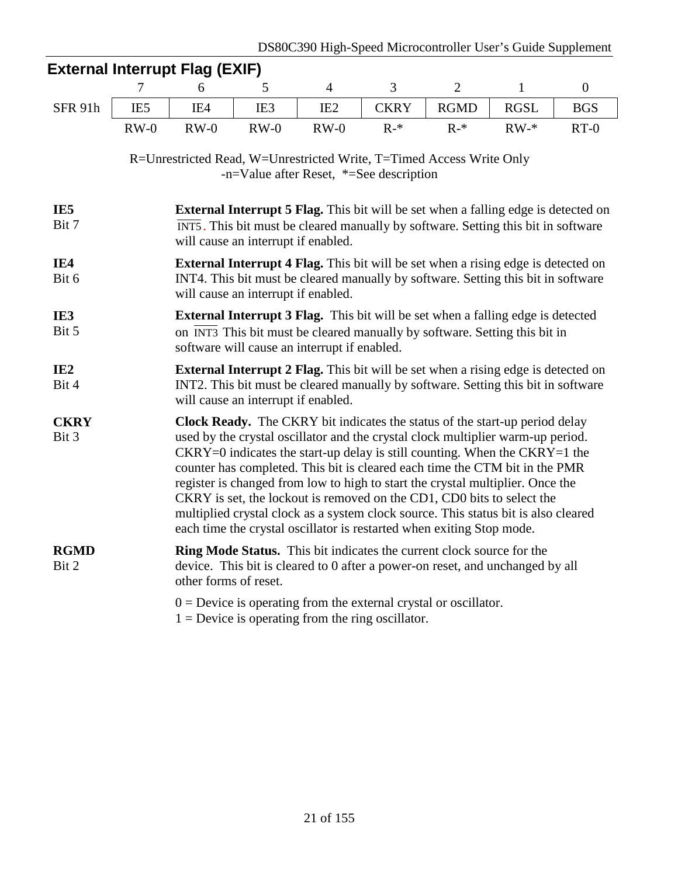|                          |                                                                                                                                                                                                                                                                                                                                                                                                                                                                                                                                                                                                                                                            | - $\alpha$ una muundo nag $\alpha$ un j                                                                                                                                                |                 |                 |             |                |              |                  |  |  |  |  |  |
|--------------------------|------------------------------------------------------------------------------------------------------------------------------------------------------------------------------------------------------------------------------------------------------------------------------------------------------------------------------------------------------------------------------------------------------------------------------------------------------------------------------------------------------------------------------------------------------------------------------------------------------------------------------------------------------------|----------------------------------------------------------------------------------------------------------------------------------------------------------------------------------------|-----------------|-----------------|-------------|----------------|--------------|------------------|--|--|--|--|--|
|                          | 7                                                                                                                                                                                                                                                                                                                                                                                                                                                                                                                                                                                                                                                          | 6                                                                                                                                                                                      | 5               | $\overline{4}$  | 3           | $\overline{2}$ | $\mathbf{1}$ | $\boldsymbol{0}$ |  |  |  |  |  |
| SFR 91h                  | IE <sub>5</sub>                                                                                                                                                                                                                                                                                                                                                                                                                                                                                                                                                                                                                                            | IE4                                                                                                                                                                                    | IE <sub>3</sub> | IE <sub>2</sub> | <b>CKRY</b> | <b>RGMD</b>    | <b>RGSL</b>  | <b>BGS</b>       |  |  |  |  |  |
|                          | $RW-0$                                                                                                                                                                                                                                                                                                                                                                                                                                                                                                                                                                                                                                                     | $RW-0$                                                                                                                                                                                 | $RW-0$          | $RW-0$          | $R-*$       | $R-*$          | $RW-*$       | $RT-0$           |  |  |  |  |  |
|                          | R=Unrestricted Read, W=Unrestricted Write, T=Timed Access Write Only<br>$-n=Value$ after Reset, *=See description                                                                                                                                                                                                                                                                                                                                                                                                                                                                                                                                          |                                                                                                                                                                                        |                 |                 |             |                |              |                  |  |  |  |  |  |
| IE5<br>Bit 7             | <b>External Interrupt 5 Flag.</b> This bit will be set when a falling edge is detected on<br>INT5. This bit must be cleared manually by software. Setting this bit in software<br>will cause an interrupt if enabled.                                                                                                                                                                                                                                                                                                                                                                                                                                      |                                                                                                                                                                                        |                 |                 |             |                |              |                  |  |  |  |  |  |
| IE4<br>Bit 6             | <b>External Interrupt 4 Flag.</b> This bit will be set when a rising edge is detected on<br>INT4. This bit must be cleared manually by software. Setting this bit in software<br>will cause an interrupt if enabled.                                                                                                                                                                                                                                                                                                                                                                                                                                       |                                                                                                                                                                                        |                 |                 |             |                |              |                  |  |  |  |  |  |
| IE3<br>Bit 5             | <b>External Interrupt 3 Flag.</b> This bit will be set when a falling edge is detected<br>on INT3 This bit must be cleared manually by software. Setting this bit in<br>software will cause an interrupt if enabled.                                                                                                                                                                                                                                                                                                                                                                                                                                       |                                                                                                                                                                                        |                 |                 |             |                |              |                  |  |  |  |  |  |
| IE <sub>2</sub><br>Bit 4 | <b>External Interrupt 2 Flag.</b> This bit will be set when a rising edge is detected on<br>INT2. This bit must be cleared manually by software. Setting this bit in software<br>will cause an interrupt if enabled.                                                                                                                                                                                                                                                                                                                                                                                                                                       |                                                                                                                                                                                        |                 |                 |             |                |              |                  |  |  |  |  |  |
| <b>CKRY</b><br>Bit 3     | Clock Ready. The CKRY bit indicates the status of the start-up period delay<br>used by the crystal oscillator and the crystal clock multiplier warm-up period.<br>$CKRY=0$ indicates the start-up delay is still counting. When the $CKRY=1$ the<br>counter has completed. This bit is cleared each time the CTM bit in the PMR<br>register is changed from low to high to start the crystal multiplier. Once the<br>CKRY is set, the lockout is removed on the CD1, CD0 bits to select the<br>multiplied crystal clock as a system clock source. This status bit is also cleared<br>each time the crystal oscillator is restarted when exiting Stop mode. |                                                                                                                                                                                        |                 |                 |             |                |              |                  |  |  |  |  |  |
| <b>RGMD</b><br>Bit 2     |                                                                                                                                                                                                                                                                                                                                                                                                                                                                                                                                                                                                                                                            | <b>Ring Mode Status.</b> This bit indicates the current clock source for the<br>device. This bit is cleared to 0 after a power-on reset, and unchanged by all<br>other forms of reset. |                 |                 |             |                |              |                  |  |  |  |  |  |
|                          |                                                                                                                                                                                                                                                                                                                                                                                                                                                                                                                                                                                                                                                            | $0 =$ Device is operating from the external crystal or oscillator.<br>$1 =$ Device is operating from the ring oscillator.                                                              |                 |                 |             |                |              |                  |  |  |  |  |  |

# **External Interrupt Flag (EXIF)**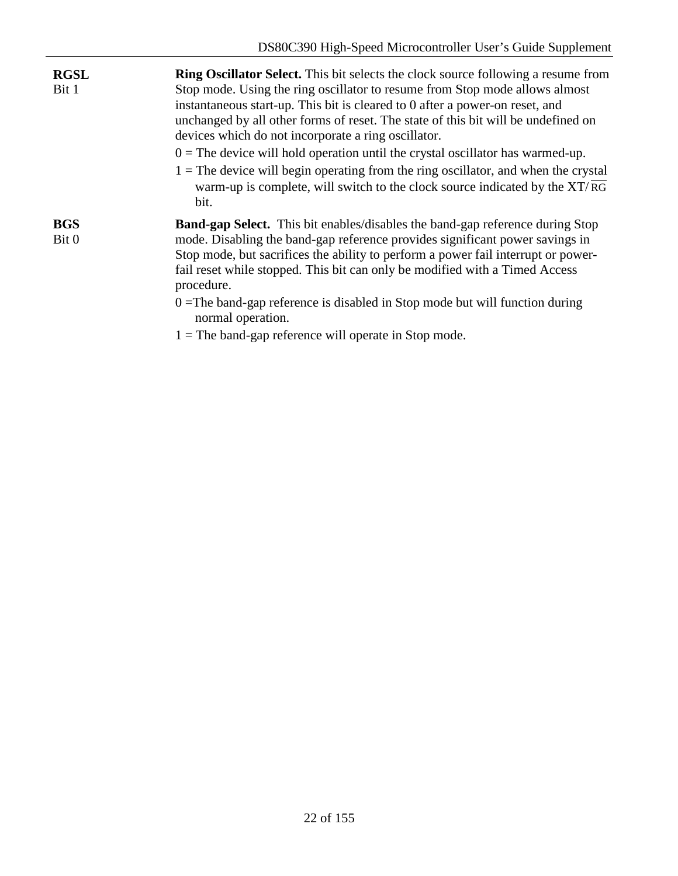| <b>RGSL</b><br>Bit 1 | <b>Ring Oscillator Select.</b> This bit selects the clock source following a resume from<br>Stop mode. Using the ring oscillator to resume from Stop mode allows almost<br>instantaneous start-up. This bit is cleared to 0 after a power-on reset, and<br>unchanged by all other forms of reset. The state of this bit will be undefined on<br>devices which do not incorporate a ring oscillator.<br>$0 =$ The device will hold operation until the crystal oscillator has warmed-up.<br>$1 =$ The device will begin operating from the ring oscillator, and when the crystal<br>warm-up is complete, will switch to the clock source indicated by the $XT/\overline{RG}$<br>bit. |
|----------------------|-------------------------------------------------------------------------------------------------------------------------------------------------------------------------------------------------------------------------------------------------------------------------------------------------------------------------------------------------------------------------------------------------------------------------------------------------------------------------------------------------------------------------------------------------------------------------------------------------------------------------------------------------------------------------------------|
| <b>BGS</b><br>Bit 0  | <b>Band-gap Select.</b> This bit enables/disables the band-gap reference during Stop<br>mode. Disabling the band-gap reference provides significant power savings in<br>Stop mode, but sacrifices the ability to perform a power fail interrupt or power-<br>fail reset while stopped. This bit can only be modified with a Timed Access<br>procedure.<br>$0 =$ The band-gap reference is disabled in Stop mode but will function during<br>normal operation.<br>$1 =$ The band-gap reference will operate in Stop mode.                                                                                                                                                            |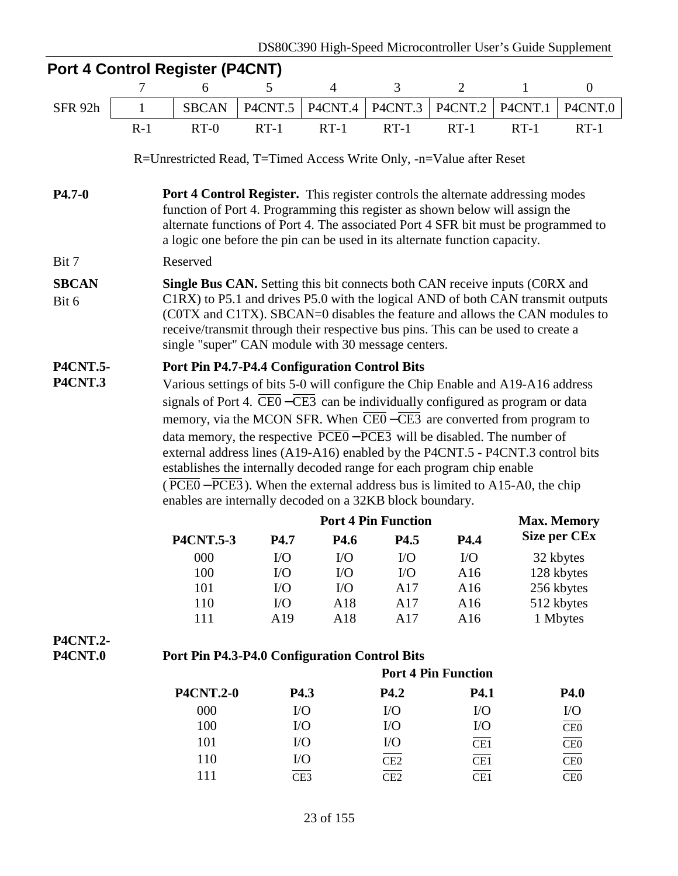|                 |                                                                                                                                                         | Port 4 Control Register (P4CNT)                                                                                                                                                                                                                                                                                                    |           |                |                            |                            |         |                     |  |  |  |
|-----------------|---------------------------------------------------------------------------------------------------------------------------------------------------------|------------------------------------------------------------------------------------------------------------------------------------------------------------------------------------------------------------------------------------------------------------------------------------------------------------------------------------|-----------|----------------|----------------------------|----------------------------|---------|---------------------|--|--|--|
|                 | 7                                                                                                                                                       | 6                                                                                                                                                                                                                                                                                                                                  | 5         | $\overline{4}$ | 3                          | $\overline{2}$             | 1       | $\boldsymbol{0}$    |  |  |  |
| SFR 92h         | 1                                                                                                                                                       | <b>SBCAN</b>                                                                                                                                                                                                                                                                                                                       | P4CNT.5   | P4CNT.4        | P4CNT.3                    | P4CNT.2                    | P4CNT.1 | P4CNT.0             |  |  |  |
|                 | $R-1$                                                                                                                                                   | $RT-0$                                                                                                                                                                                                                                                                                                                             | $RT-1$    | $RT-1$         | $RT-1$                     | $RT-1$                     | $RT-1$  | $RT-1$              |  |  |  |
|                 |                                                                                                                                                         | R=Unrestricted Read, T=Timed Access Write Only, -n=Value after Reset                                                                                                                                                                                                                                                               |           |                |                            |                            |         |                     |  |  |  |
| $P4.7-0$        |                                                                                                                                                         | Port 4 Control Register. This register controls the alternate addressing modes<br>function of Port 4. Programming this register as shown below will assign the<br>alternate functions of Port 4. The associated Port 4 SFR bit must be programmed to<br>a logic one before the pin can be used in its alternate function capacity. |           |                |                            |                            |         |                     |  |  |  |
| Bit 7           |                                                                                                                                                         | Reserved                                                                                                                                                                                                                                                                                                                           |           |                |                            |                            |         |                     |  |  |  |
| <b>SBCAN</b>    |                                                                                                                                                         | <b>Single Bus CAN.</b> Setting this bit connects both CAN receive inputs (CORX and                                                                                                                                                                                                                                                 |           |                |                            |                            |         |                     |  |  |  |
| Bit 6           |                                                                                                                                                         | C1RX) to P5.1 and drives P5.0 with the logical AND of both CAN transmit outputs<br>(COTX and C1TX). SBCAN=0 disables the feature and allows the CAN modules to<br>receive/transmit through their respective bus pins. This can be used to create a<br>single "super" CAN module with 30 message centers.                           |           |                |                            |                            |         |                     |  |  |  |
| <b>P4CNT.5-</b> |                                                                                                                                                         | Port Pin P4.7-P4.4 Configuration Control Bits                                                                                                                                                                                                                                                                                      |           |                |                            |                            |         |                     |  |  |  |
| <b>P4CNT.3</b>  | Various settings of bits 5-0 will configure the Chip Enable and A19-A16 address                                                                         |                                                                                                                                                                                                                                                                                                                                    |           |                |                            |                            |         |                     |  |  |  |
|                 | signals of Port 4. $\overline{\text{CE0}} - \overline{\text{CE3}}$ can be individually configured as program or data                                    |                                                                                                                                                                                                                                                                                                                                    |           |                |                            |                            |         |                     |  |  |  |
|                 | memory, via the MCON SFR. When CE0-CE3 are converted from program to                                                                                    |                                                                                                                                                                                                                                                                                                                                    |           |                |                            |                            |         |                     |  |  |  |
|                 | data memory, the respective $\overline{PCE0} - \overline{PCE3}$ will be disabled. The number of                                                         |                                                                                                                                                                                                                                                                                                                                    |           |                |                            |                            |         |                     |  |  |  |
|                 | external address lines (A19-A16) enabled by the P4CNT.5 - P4CNT.3 control bits<br>establishes the internally decoded range for each program chip enable |                                                                                                                                                                                                                                                                                                                                    |           |                |                            |                            |         |                     |  |  |  |
|                 | (PCE0 – PCE3). When the external address bus is limited to A15-A0, the chip                                                                             |                                                                                                                                                                                                                                                                                                                                    |           |                |                            |                            |         |                     |  |  |  |
|                 | enables are internally decoded on a 32KB block boundary.                                                                                                |                                                                                                                                                                                                                                                                                                                                    |           |                |                            |                            |         |                     |  |  |  |
|                 |                                                                                                                                                         |                                                                                                                                                                                                                                                                                                                                    |           |                | <b>Port 4 Pin Function</b> |                            |         | <b>Max. Memory</b>  |  |  |  |
|                 |                                                                                                                                                         | <b>P4CNT.5-3</b>                                                                                                                                                                                                                                                                                                                   | P4.7      | P4.6           | P4.5                       | P4.4                       |         | <b>Size per CEx</b> |  |  |  |
|                 |                                                                                                                                                         | 000                                                                                                                                                                                                                                                                                                                                | $\rm LO$  | $\rm LO$       | ${\rm I/O}$                | I/O                        |         | 32 kbytes           |  |  |  |
|                 |                                                                                                                                                         | 100                                                                                                                                                                                                                                                                                                                                | $\rm LO$  | $\rm LO$       | $\rm LO$                   | A16                        |         | 128 kbytes          |  |  |  |
|                 |                                                                                                                                                         | 101                                                                                                                                                                                                                                                                                                                                | $\rm I/O$ | $\rm LO$       | A17                        | A16                        |         | 256 kbytes          |  |  |  |
|                 |                                                                                                                                                         | 110                                                                                                                                                                                                                                                                                                                                | $\rm LO$  | A18            | A17                        | A16                        |         | 512 kbytes          |  |  |  |
|                 |                                                                                                                                                         | 111                                                                                                                                                                                                                                                                                                                                | A19       | A18            | A17                        | A16                        |         | 1 Mbytes            |  |  |  |
| <b>P4CNT.2-</b> |                                                                                                                                                         |                                                                                                                                                                                                                                                                                                                                    |           |                |                            |                            |         |                     |  |  |  |
| <b>P4CNT.0</b>  |                                                                                                                                                         | Port Pin P4.3-P4.0 Configuration Control Bits                                                                                                                                                                                                                                                                                      |           |                |                            |                            |         |                     |  |  |  |
|                 |                                                                                                                                                         |                                                                                                                                                                                                                                                                                                                                    |           |                |                            | <b>Port 4 Pin Function</b> |         |                     |  |  |  |
|                 |                                                                                                                                                         | <b>P4CNT.2-0</b>                                                                                                                                                                                                                                                                                                                   |           | P4.3           | P4.2                       | P4.1                       |         | P4.0                |  |  |  |
|                 |                                                                                                                                                         | 000                                                                                                                                                                                                                                                                                                                                |           | $\rm LO$       | $\rm LO$                   | $\rm LO$                   |         | $\rm LO$            |  |  |  |
|                 |                                                                                                                                                         | 100                                                                                                                                                                                                                                                                                                                                |           | $\rm LO$       | $\rm LO$                   | $\rm LO$                   |         | CE0                 |  |  |  |
|                 |                                                                                                                                                         | 101                                                                                                                                                                                                                                                                                                                                |           | $\rm LO$       | $\rm LO$                   | CE1                        |         | CE0                 |  |  |  |
|                 |                                                                                                                                                         | 110                                                                                                                                                                                                                                                                                                                                |           | $\rm LO$       | CE2                        | $\overline{\text{CE1}}$    |         | CE0                 |  |  |  |

111  $\overline{CE3}$   $\overline{CE2}$   $\overline{CE1}$   $\overline{CE0}$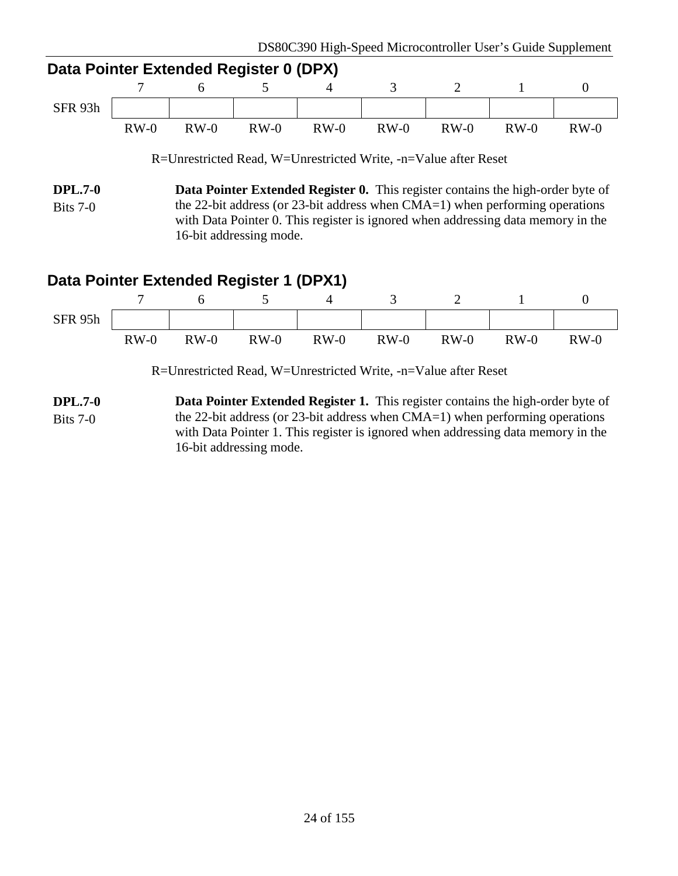| Data Pointer Extended Register 0 (DPX) |        |        |        |                                                                 |        |        |        |        |  |  |  |
|----------------------------------------|--------|--------|--------|-----------------------------------------------------------------|--------|--------|--------|--------|--|--|--|
|                                        |        |        |        |                                                                 |        |        |        |        |  |  |  |
| SFR 93h                                |        |        |        |                                                                 |        |        |        |        |  |  |  |
|                                        | $RW-0$ | $RW-0$ | $RW-0$ | $RW-0$                                                          | $RW-0$ | $RW-0$ | $RW-0$ | $RW-0$ |  |  |  |
|                                        |        |        |        | R=Unrestricted Read, W=Unrestricted Write, -n=Value after Reset |        |        |        |        |  |  |  |

**DPL.7-0** Bits 7-0 **Data Pointer Extended Register 0.** This register contains the high-order byte of the 22-bit address (or 23-bit address when CMA=1) when performing operations with Data Pointer 0. This register is ignored when addressing data memory in the 16-bit addressing mode.

# **Data Pointer Extended Register 1 (DPX1)**



R=Unrestricted Read, W=Unrestricted Write, -n=Value after Reset

**DPL.7-0** Bits 7-0 **Data Pointer Extended Register 1.** This register contains the high-order byte of the 22-bit address (or 23-bit address when CMA=1) when performing operations with Data Pointer 1. This register is ignored when addressing data memory in the 16-bit addressing mode.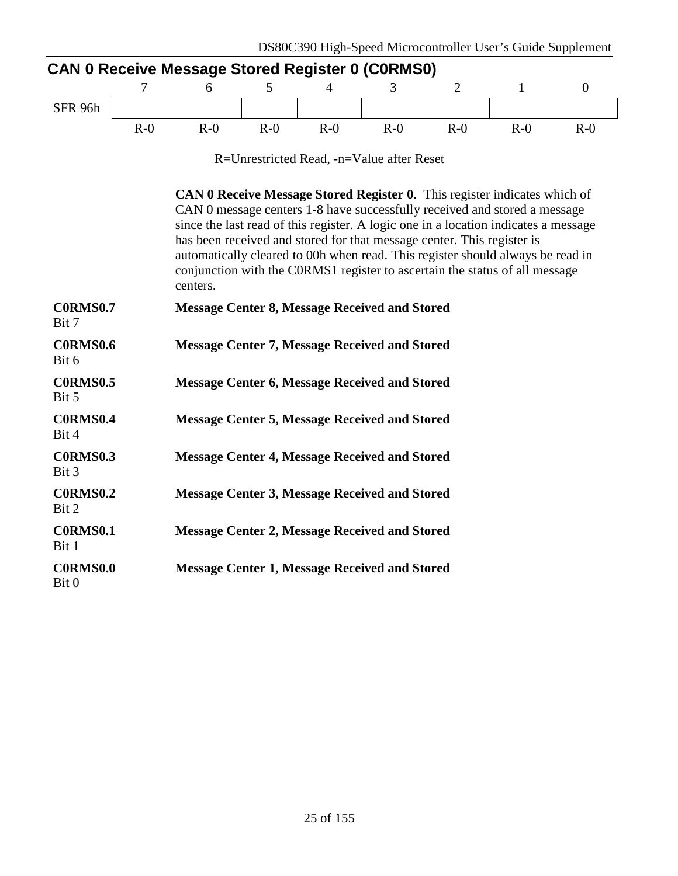|                          | 7     | 6                                                                                                                                                                                                                                                                                                                                                                                                                                                                                                           | 5     | 4     | 3                                         | $\overline{2}$ | 1     | $\theta$ |  |  |
|--------------------------|-------|-------------------------------------------------------------------------------------------------------------------------------------------------------------------------------------------------------------------------------------------------------------------------------------------------------------------------------------------------------------------------------------------------------------------------------------------------------------------------------------------------------------|-------|-------|-------------------------------------------|----------------|-------|----------|--|--|
| SFR 96h                  |       |                                                                                                                                                                                                                                                                                                                                                                                                                                                                                                             |       |       |                                           |                |       |          |  |  |
|                          | $R-0$ | $R-0$                                                                                                                                                                                                                                                                                                                                                                                                                                                                                                       | $R-0$ | $R-0$ | $R-0$                                     | $R-0$          | $R-0$ | $R-0$    |  |  |
|                          |       |                                                                                                                                                                                                                                                                                                                                                                                                                                                                                                             |       |       | R=Unrestricted Read, -n=Value after Reset |                |       |          |  |  |
|                          |       | <b>CAN 0 Receive Message Stored Register 0.</b> This register indicates which of<br>CAN 0 message centers 1-8 have successfully received and stored a message<br>since the last read of this register. A logic one in a location indicates a message<br>has been received and stored for that message center. This register is<br>automatically cleared to 00h when read. This register should always be read in<br>conjunction with the CORMS1 register to ascertain the status of all message<br>centers. |       |       |                                           |                |       |          |  |  |
| <b>C0RMS0.7</b><br>Bit 7 |       | <b>Message Center 8, Message Received and Stored</b>                                                                                                                                                                                                                                                                                                                                                                                                                                                        |       |       |                                           |                |       |          |  |  |
| <b>C0RMS0.6</b><br>Bit 6 |       | <b>Message Center 7, Message Received and Stored</b>                                                                                                                                                                                                                                                                                                                                                                                                                                                        |       |       |                                           |                |       |          |  |  |
| <b>C0RMS0.5</b><br>Bit 5 |       | <b>Message Center 6, Message Received and Stored</b>                                                                                                                                                                                                                                                                                                                                                                                                                                                        |       |       |                                           |                |       |          |  |  |
| <b>C0RMS0.4</b><br>Bit 4 |       | <b>Message Center 5, Message Received and Stored</b>                                                                                                                                                                                                                                                                                                                                                                                                                                                        |       |       |                                           |                |       |          |  |  |
| <b>C0RMS0.3</b><br>Bit 3 |       | <b>Message Center 4, Message Received and Stored</b>                                                                                                                                                                                                                                                                                                                                                                                                                                                        |       |       |                                           |                |       |          |  |  |
| <b>C0RMS0.2</b><br>Bit 2 |       | <b>Message Center 3, Message Received and Stored</b>                                                                                                                                                                                                                                                                                                                                                                                                                                                        |       |       |                                           |                |       |          |  |  |
| <b>C0RMS0.1</b><br>Bit 1 |       | <b>Message Center 2, Message Received and Stored</b>                                                                                                                                                                                                                                                                                                                                                                                                                                                        |       |       |                                           |                |       |          |  |  |
| <b>C0RMS0.0</b><br>Bit 0 |       | <b>Message Center 1, Message Received and Stored</b>                                                                                                                                                                                                                                                                                                                                                                                                                                                        |       |       |                                           |                |       |          |  |  |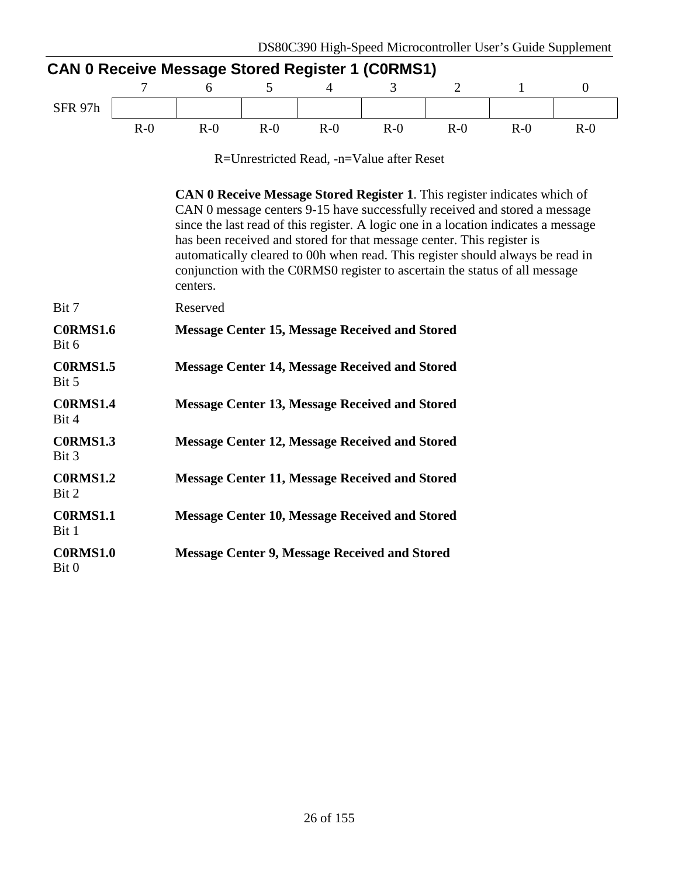|                                                                                                                                                                                                                                                                                                                                                                                                                                                                                                              |       | <b>CAN 0 Receive Message Stored Register 1 (CORMS1)</b> |       | DD00C370 Then Dpcca Microcontroller OSCI 5 Outde Dupplement |       |                |              |                  |  |
|--------------------------------------------------------------------------------------------------------------------------------------------------------------------------------------------------------------------------------------------------------------------------------------------------------------------------------------------------------------------------------------------------------------------------------------------------------------------------------------------------------------|-------|---------------------------------------------------------|-------|-------------------------------------------------------------|-------|----------------|--------------|------------------|--|
|                                                                                                                                                                                                                                                                                                                                                                                                                                                                                                              | 7     | 6                                                       | 5     | 4                                                           | 3     | $\overline{2}$ | $\mathbf{1}$ | $\boldsymbol{0}$ |  |
| SFR 97h                                                                                                                                                                                                                                                                                                                                                                                                                                                                                                      |       |                                                         |       |                                                             |       |                |              |                  |  |
|                                                                                                                                                                                                                                                                                                                                                                                                                                                                                                              | $R-0$ | $R-0$                                                   | $R-0$ | $R-0$                                                       | $R-0$ | $R-0$          | $R-0$        | $R-0$            |  |
|                                                                                                                                                                                                                                                                                                                                                                                                                                                                                                              |       |                                                         |       | R=Unrestricted Read, -n=Value after Reset                   |       |                |              |                  |  |
| <b>CAN 0 Receive Message Stored Register 1.</b> This register indicates which of<br>CAN 0 message centers 9-15 have successfully received and stored a message<br>since the last read of this register. A logic one in a location indicates a message<br>has been received and stored for that message center. This register is<br>automatically cleared to 00h when read. This register should always be read in<br>conjunction with the CORMSO register to ascertain the status of all message<br>centers. |       |                                                         |       |                                                             |       |                |              |                  |  |
| Bit 7                                                                                                                                                                                                                                                                                                                                                                                                                                                                                                        |       | Reserved                                                |       |                                                             |       |                |              |                  |  |
| <b>C0RMS1.6</b><br>Bit 6                                                                                                                                                                                                                                                                                                                                                                                                                                                                                     |       | <b>Message Center 15, Message Received and Stored</b>   |       |                                                             |       |                |              |                  |  |
| <b>C0RMS1.5</b><br>Bit 5                                                                                                                                                                                                                                                                                                                                                                                                                                                                                     |       | <b>Message Center 14, Message Received and Stored</b>   |       |                                                             |       |                |              |                  |  |
| <b>C0RMS1.4</b><br>Bit 4                                                                                                                                                                                                                                                                                                                                                                                                                                                                                     |       | <b>Message Center 13, Message Received and Stored</b>   |       |                                                             |       |                |              |                  |  |
| <b>C0RMS1.3</b><br>Bit 3                                                                                                                                                                                                                                                                                                                                                                                                                                                                                     |       | <b>Message Center 12, Message Received and Stored</b>   |       |                                                             |       |                |              |                  |  |
| <b>C0RMS1.2</b><br>Bit 2                                                                                                                                                                                                                                                                                                                                                                                                                                                                                     |       | <b>Message Center 11, Message Received and Stored</b>   |       |                                                             |       |                |              |                  |  |
| <b>C0RMS1.1</b><br>Bit 1                                                                                                                                                                                                                                                                                                                                                                                                                                                                                     |       | <b>Message Center 10, Message Received and Stored</b>   |       |                                                             |       |                |              |                  |  |
| <b>C0RMS1.0</b><br>Bit 0                                                                                                                                                                                                                                                                                                                                                                                                                                                                                     |       | <b>Message Center 9, Message Received and Stored</b>    |       |                                                             |       |                |              |                  |  |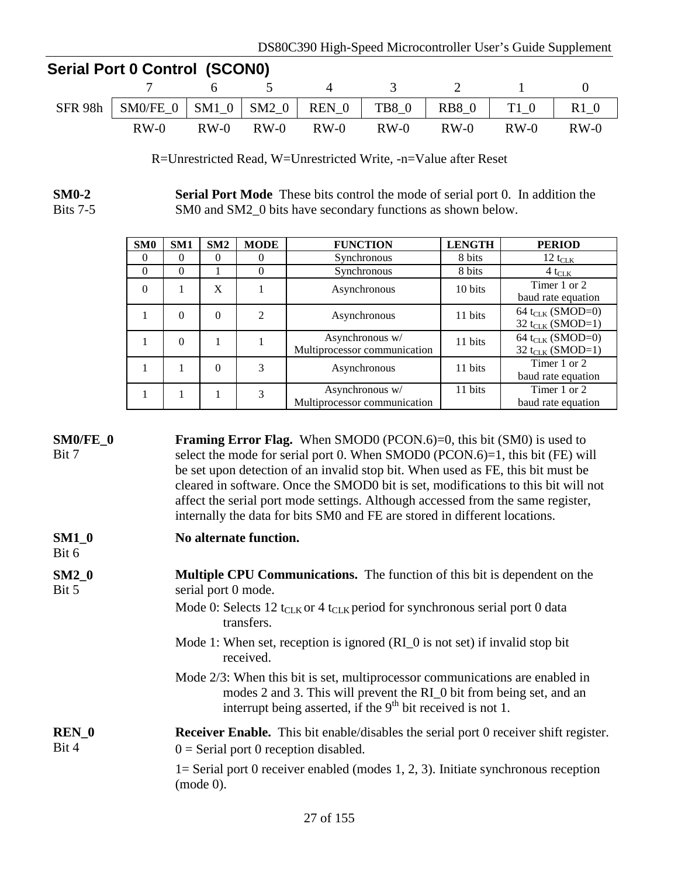| <b>Serial Port 0 Control (SCON0)</b> |                                                                          |     |  |                               |  |       |  |        |  |  |
|--------------------------------------|--------------------------------------------------------------------------|-----|--|-------------------------------|--|-------|--|--------|--|--|
|                                      |                                                                          | 765 |  | 4                             |  | 3 2 1 |  |        |  |  |
|                                      | SFR 98h   SM0/FE_0   SM1_0   SM2_0   REN_0   TB8_0   RB8_0   T1_0   R1_0 |     |  |                               |  |       |  |        |  |  |
|                                      | $RW-0$                                                                   |     |  | RW-0 RW-0 RW-0 RW-0 RW-0 RW-0 |  |       |  | $RW-0$ |  |  |

R=Unrestricted Read, W=Unrestricted Write, -n=Value after Reset

**SM0-2** Bits 7-5 **Serial Port Mode** These bits control the mode of serial port 0. In addition the SM0 and SM2\_0 bits have secondary functions as shown below.

| SM0      | SM1      | SM2      | <b>MODE</b> | <b>FUNCTION</b>                                 | <b>LENGTH</b> | <b>PERIOD</b>                                                |
|----------|----------|----------|-------------|-------------------------------------------------|---------------|--------------------------------------------------------------|
| $\Omega$ | 0        | 0        | 0           | Synchronous                                     | 8 bits        | 12 t <sub>CLK</sub>                                          |
| $\Omega$ | $\Omega$ |          | $\Omega$    | Synchronous                                     | 8 bits        | $4t_{CLK}$                                                   |
| $\Omega$ |          | X        |             | Asynchronous                                    | 10 bits       | Timer 1 or 2<br>baud rate equation                           |
|          | $\Omega$ | $\theta$ | 2           | Asynchronous                                    | 11 bits       | 64 t <sub>CLK</sub> (SMOD=0)<br>32 t <sub>CLK</sub> (SMOD=1) |
|          | $\Omega$ |          |             | Asynchronous w/<br>Multiprocessor communication | 11 bits       | 64 t <sub>CLK</sub> (SMOD=0)<br>32 t <sub>CLK</sub> (SMOD=1) |
|          |          | $\theta$ | 3           | Asynchronous                                    | 11 bits       | Timer 1 or 2<br>baud rate equation                           |
|          |          |          | 3           | Asynchronous w/<br>Multiprocessor communication | 11 bits       | Timer 1 or 2<br>baud rate equation                           |

| SM0/FE_0<br>Bit 7         | <b>Framing Error Flag.</b> When SMOD0 (PCON.6)=0, this bit (SM0) is used to<br>select the mode for serial port 0. When SMOD0 (PCON.6)=1, this bit (FE) will<br>be set upon detection of an invalid stop bit. When used as FE, this bit must be<br>cleared in software. Once the SMOD0 bit is set, modifications to this bit will not<br>affect the serial port mode settings. Although accessed from the same register,<br>internally the data for bits SM0 and FE are stored in different locations. |
|---------------------------|-------------------------------------------------------------------------------------------------------------------------------------------------------------------------------------------------------------------------------------------------------------------------------------------------------------------------------------------------------------------------------------------------------------------------------------------------------------------------------------------------------|
| $SM1_0$<br>Bit 6          | No alternate function.                                                                                                                                                                                                                                                                                                                                                                                                                                                                                |
| $SM2_0$<br>Bit 5          | <b>Multiple CPU Communications.</b> The function of this bit is dependent on the<br>serial port 0 mode.<br>Mode 0: Selects 12 t <sub>CLK</sub> or 4 t <sub>CLK</sub> period for synchronous serial port 0 data<br>transfers.                                                                                                                                                                                                                                                                          |
|                           | Mode 1: When set, reception is ignored $(RI_0)$ is not set) if invalid stop bit<br>received.                                                                                                                                                                                                                                                                                                                                                                                                          |
|                           | Mode 2/3: When this bit is set, multiprocessor communications are enabled in<br>modes 2 and 3. This will prevent the RI_0 bit from being set, and an<br>interrupt being asserted, if the $9th$ bit received is not 1.                                                                                                                                                                                                                                                                                 |
| REN <sub>0</sub><br>Bit 4 | <b>Receiver Enable.</b> This bit enable/disables the serial port 0 receiver shift register.<br>$0 =$ Serial port 0 reception disabled.<br>$l =$ Serial port 0 receiver enabled (modes 1, 2, 3). Initiate synchronous reception<br>(mod 0).                                                                                                                                                                                                                                                            |
|                           |                                                                                                                                                                                                                                                                                                                                                                                                                                                                                                       |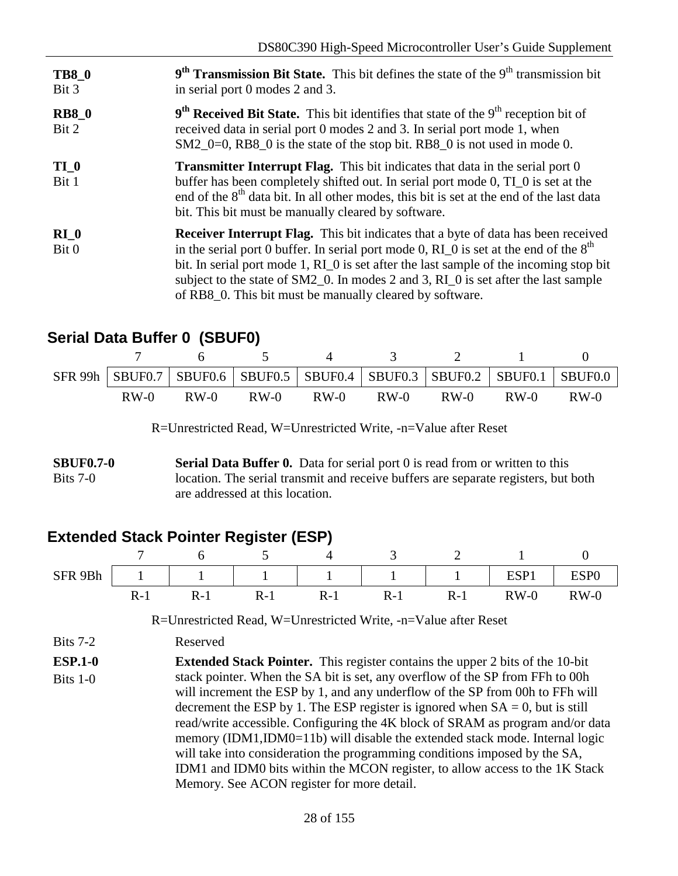| <b>TB8 0</b><br>Bit 3 | $9th$ Transmission Bit State. This bit defines the state of the $9th$ transmission bit<br>in serial port 0 modes 2 and 3.                                                                                                                                                                                                                                                                                                         |
|-----------------------|-----------------------------------------------------------------------------------------------------------------------------------------------------------------------------------------------------------------------------------------------------------------------------------------------------------------------------------------------------------------------------------------------------------------------------------|
| <b>RB8_0</b><br>Bit 2 | $9th$ Received Bit State. This bit identifies that state of the $9th$ reception bit of<br>received data in serial port 0 modes 2 and 3. In serial port mode 1, when<br>$SM2_0=0$ , RB8 0 is the state of the stop bit. RB8 0 is not used in mode 0.                                                                                                                                                                               |
| TI 0<br>Bit 1         | <b>Transmitter Interrupt Flag.</b> This bit indicates that data in the serial port 0<br>buffer has been completely shifted out. In serial port mode 0, TI 0 is set at the<br>end of the 8 <sup>th</sup> data bit. In all other modes, this bit is set at the end of the last data<br>bit. This bit must be manually cleared by software.                                                                                          |
| $RI_0$<br>Bit 0       | <b>Receiver Interrupt Flag.</b> This bit indicates that a byte of data has been received<br>in the serial port 0 buffer. In serial port mode 0, $RI_0$ is set at the end of the $8th$<br>bit. In serial port mode 1, RI_0 is set after the last sample of the incoming stop bit<br>subject to the state of SM2_0. In modes 2 and 3, RI_0 is set after the last sample<br>of RB8_0. This bit must be manually cleared by software. |

# **Serial Data Buffer 0 (SBUF0)**

|        |        |        |        |        |        |        | SFR 99h   SBUF0.7   SBUF0.6   SBUF0.5   SBUF0.4   SBUF0.3   SBUF0.2   SBUF0.1   SBUF0.0 |
|--------|--------|--------|--------|--------|--------|--------|-----------------------------------------------------------------------------------------|
| $RW-0$ | $RW-0$ | $RW-0$ | $RW-0$ | $RW-0$ | $RW-0$ | $RW-0$ | $RW-0$                                                                                  |

R=Unrestricted Read, W=Unrestricted Write, -n=Value after Reset

**SBUF0.7-0** Bits 7-0 **Serial Data Buffer 0.** Data for serial port 0 is read from or written to this location. The serial transmit and receive buffers are separate registers, but both are addressed at this location.

# **Extended Stack Pointer Register (ESP)**

| SFR 9Bh |              |          |           | $1 \quad 1 \quad 1 \quad 1 \quad 1 \quad 1 \quad 1 \quad 1$ |     |         | ESP1   | ESP <sub>0</sub> |
|---------|--------------|----------|-----------|-------------------------------------------------------------|-----|---------|--------|------------------|
|         | $\mathbf{r}$ | $R_{-1}$ | $R_{\pm}$ | $R_{-}$                                                     | R-1 | $R - 1$ | $RW-0$ | $RW-0$           |

R=Unrestricted Read, W=Unrestricted Write, -n=Value after Reset

Bits 7-2 Reserved

**ESP.1-0** Bits 1-0 **Extended Stack Pointer.** This register contains the upper 2 bits of the 10-bit stack pointer. When the SA bit is set, any overflow of the SP from FFh to 00h will increment the ESP by 1, and any underflow of the SP from 00h to FFh will decrement the ESP by 1. The ESP register is ignored when  $SA = 0$ , but is still read/write accessible. Configuring the 4K block of SRAM as program and/or data memory (IDM1,IDM0=11b) will disable the extended stack mode. Internal logic will take into consideration the programming conditions imposed by the SA, IDM1 and IDM0 bits within the MCON register, to allow access to the 1K Stack Memory. See ACON register for more detail.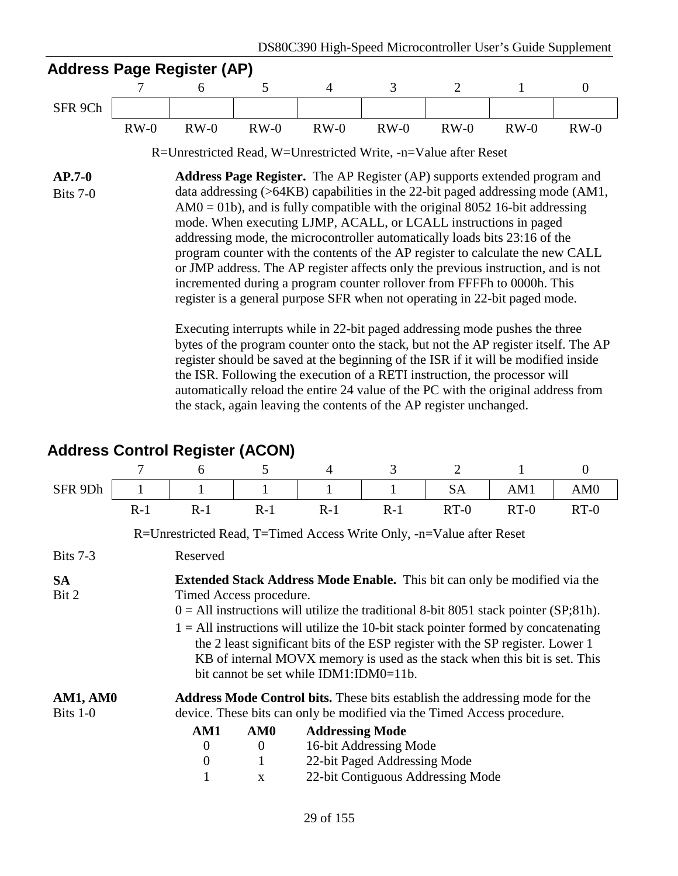### **Address Page Register (AP)**

|         |        |        | ___    |        |        |        |        |        |
|---------|--------|--------|--------|--------|--------|--------|--------|--------|
| SFR 9Ch |        |        |        |        |        |        |        |        |
|         | $RW-0$ | $RW-0$ | $RW-0$ | $RW-0$ | $RW-0$ | $RW-0$ | $RW-0$ | $RW-0$ |

R=Unrestricted Read, W=Unrestricted Write, -n=Value after Reset

**AP.7-0** Bits 7-0 **Address Page Register.** The AP Register (AP) supports extended program and data addressing (>64KB) capabilities in the 22-bit paged addressing mode (AM1,  $AM0 = 01b$ , and is fully compatible with the original 8052 16-bit addressing mode. When executing LJMP, ACALL, or LCALL instructions in paged addressing mode, the microcontroller automatically loads bits 23:16 of the program counter with the contents of the AP register to calculate the new CALL or JMP address. The AP register affects only the previous instruction, and is not incremented during a program counter rollover from FFFFh to 0000h. This register is a general purpose SFR when not operating in 22-bit paged mode.

> Executing interrupts while in 22-bit paged addressing mode pushes the three bytes of the program counter onto the stack, but not the AP register itself. The AP register should be saved at the beginning of the ISR if it will be modified inside the ISR. Following the execution of a RETI instruction, the processor will automatically reload the entire 24 value of the PC with the original address from the stack, again leaving the contents of the AP register unchanged.

# **Address Control Register (ACON)**

|                    |                                                                                                                                                                                                                                                                                                                                                                                                                                                                                                         | 6                | 5               | 4                                                                                  | 3                            | $\overline{2}$                    |        | $\theta$        |  |  |  |  |
|--------------------|---------------------------------------------------------------------------------------------------------------------------------------------------------------------------------------------------------------------------------------------------------------------------------------------------------------------------------------------------------------------------------------------------------------------------------------------------------------------------------------------------------|------------------|-----------------|------------------------------------------------------------------------------------|------------------------------|-----------------------------------|--------|-----------------|--|--|--|--|
| SFR 9Dh            |                                                                                                                                                                                                                                                                                                                                                                                                                                                                                                         | 1                | 1               | 1                                                                                  |                              | SA                                | AM1    | AM <sub>0</sub> |  |  |  |  |
|                    | $R-1$                                                                                                                                                                                                                                                                                                                                                                                                                                                                                                   | $R-1$            | $R-1$           | $R-1$                                                                              | $R-1$                        | $RT-0$                            | $RT-0$ | $RT-0$          |  |  |  |  |
|                    | R=Unrestricted Read, T=Timed Access Write Only, -n=Value after Reset                                                                                                                                                                                                                                                                                                                                                                                                                                    |                  |                 |                                                                                    |                              |                                   |        |                 |  |  |  |  |
| Bits $7-3$         |                                                                                                                                                                                                                                                                                                                                                                                                                                                                                                         | Reserved         |                 |                                                                                    |                              |                                   |        |                 |  |  |  |  |
| <b>SA</b><br>Bit 2 | <b>Extended Stack Address Mode Enable.</b> This bit can only be modified via the<br>Timed Access procedure.<br>$0 =$ All instructions will utilize the traditional 8-bit 8051 stack pointer (SP;81h).<br>$1 =$ All instructions will utilize the 10-bit stack pointer formed by concatenating<br>the 2 least significant bits of the ESP register with the SP register. Lower 1<br>KB of internal MOVX memory is used as the stack when this bit is set. This<br>bit cannot be set while IDM1:IDM0=11b. |                  |                 |                                                                                    |                              |                                   |        |                 |  |  |  |  |
| AM1, AM0           |                                                                                                                                                                                                                                                                                                                                                                                                                                                                                                         |                  |                 | <b>Address Mode Control bits.</b> These bits establish the addressing mode for the |                              |                                   |        |                 |  |  |  |  |
| Bits $1-0$         |                                                                                                                                                                                                                                                                                                                                                                                                                                                                                                         |                  |                 | device. These bits can only be modified via the Timed Access procedure.            |                              |                                   |        |                 |  |  |  |  |
|                    |                                                                                                                                                                                                                                                                                                                                                                                                                                                                                                         | AM1              | AM <sub>0</sub> | <b>Addressing Mode</b>                                                             |                              |                                   |        |                 |  |  |  |  |
|                    |                                                                                                                                                                                                                                                                                                                                                                                                                                                                                                         | $\overline{0}$   | $\mathbf{0}$    |                                                                                    | 16-bit Addressing Mode       |                                   |        |                 |  |  |  |  |
|                    |                                                                                                                                                                                                                                                                                                                                                                                                                                                                                                         | $\boldsymbol{0}$ | 1               |                                                                                    | 22-bit Paged Addressing Mode |                                   |        |                 |  |  |  |  |
|                    |                                                                                                                                                                                                                                                                                                                                                                                                                                                                                                         |                  | X               |                                                                                    |                              | 22-bit Contiguous Addressing Mode |        |                 |  |  |  |  |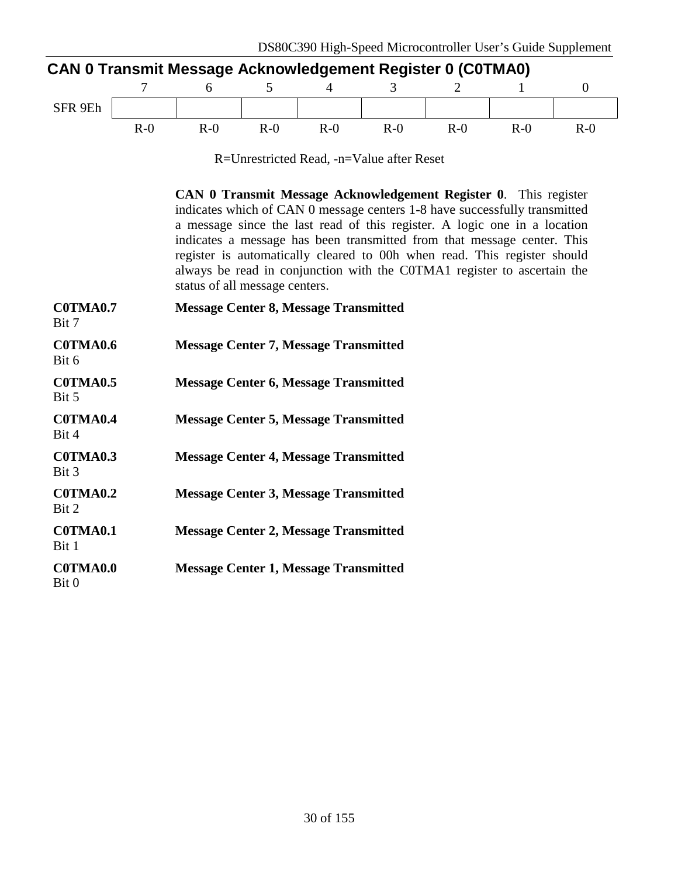| <b>CAN 0 Transmit Message Acknowledgement Register 0 (C0TMA0)</b> |       |       |       |       |       |        |        |       |  |  |
|-------------------------------------------------------------------|-------|-------|-------|-------|-------|--------|--------|-------|--|--|
|                                                                   |       |       |       |       |       |        |        |       |  |  |
| SFR 9Eh                                                           |       |       |       |       |       |        |        |       |  |  |
|                                                                   | $R-0$ | $R-0$ | $R-0$ | $R-0$ | $R-0$ | $R-()$ | $R-()$ | $R-0$ |  |  |

R=Unrestricted Read, -n=Value after Reset

**CAN 0 Transmit Message Acknowledgement Register 0**. This register indicates which of CAN 0 message centers 1-8 have successfully transmitted a message since the last read of this register. A logic one in a location indicates a message has been transmitted from that message center. This register is automatically cleared to 00h when read. This register should always be read in conjunction with the C0TMA1 register to ascertain the status of all message centers.

| C0TMA0.7<br>Bit 7        | <b>Message Center 8, Message Transmitted</b> |
|--------------------------|----------------------------------------------|
| C0TMA0.6<br>Bit 6        | <b>Message Center 7, Message Transmitted</b> |
| C0TMA0.5<br>Bit 5        | <b>Message Center 6, Message Transmitted</b> |
| C0TMA0.4<br>Bit 4        | <b>Message Center 5, Message Transmitted</b> |
| C0TMA0.3<br>Bit 3        | <b>Message Center 4, Message Transmitted</b> |
| COTMA0.2<br>Bit 2        | <b>Message Center 3, Message Transmitted</b> |
| C0TMA0.1<br>Bit 1        | <b>Message Center 2, Message Transmitted</b> |
| <b>COTMA0.0</b><br>Bit 0 | <b>Message Center 1, Message Transmitted</b> |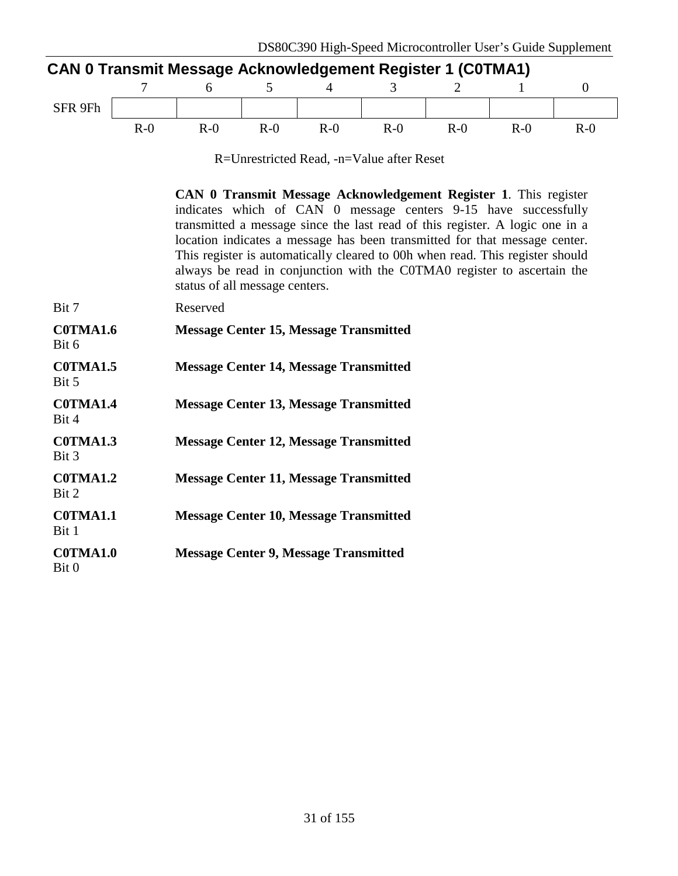| <b>CAN 0 Transmit Message Acknowledgement Register 1 (C0TMA1)</b> |       |       |       |       |       |       |        |       |  |  |
|-------------------------------------------------------------------|-------|-------|-------|-------|-------|-------|--------|-------|--|--|
|                                                                   |       |       |       |       |       |       |        |       |  |  |
| SFR 9Fh                                                           |       |       |       |       |       |       |        |       |  |  |
|                                                                   | $R-0$ | $R-0$ | $R-0$ | $R-0$ | $R-0$ | $R-0$ | $R-()$ | $R-0$ |  |  |

R=Unrestricted Read, -n=Value after Reset

**CAN 0 Transmit Message Acknowledgement Register 1**. This register indicates which of CAN 0 message centers 9-15 have successfully transmitted a message since the last read of this register. A logic one in a location indicates a message has been transmitted for that message center. This register is automatically cleared to 00h when read. This register should always be read in conjunction with the C0TMA0 register to ascertain the status of all message centers.

| Bit 7                    | Reserved                                      |
|--------------------------|-----------------------------------------------|
| <b>COTMA1.6</b><br>Bit 6 | <b>Message Center 15, Message Transmitted</b> |
| COTMA1.5<br>Bit 5        | <b>Message Center 14, Message Transmitted</b> |
| <b>COTMA1.4</b><br>Bit 4 | <b>Message Center 13, Message Transmitted</b> |
| C0TMA1.3<br>Bit 3        | <b>Message Center 12, Message Transmitted</b> |
| COTMA1.2<br>Bit 2        | <b>Message Center 11, Message Transmitted</b> |
| <b>COTMA1.1</b><br>Bit 1 | <b>Message Center 10, Message Transmitted</b> |
| <b>COTMA1.0</b><br>Bit 0 | <b>Message Center 9, Message Transmitted</b>  |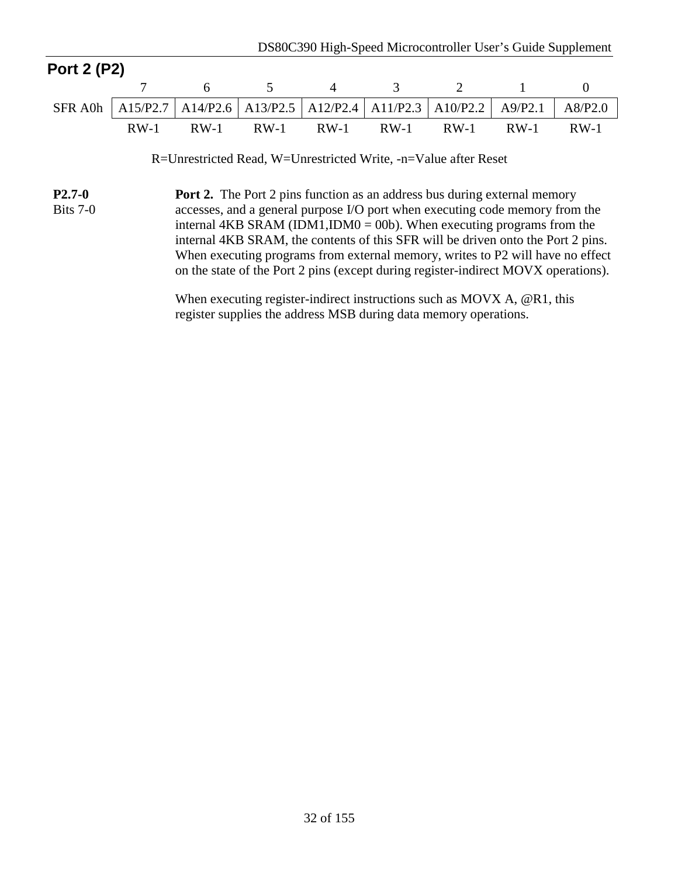| <b>Port 2 (P2)</b> |                                                                                               |  |  |                                         |  |
|--------------------|-----------------------------------------------------------------------------------------------|--|--|-----------------------------------------|--|
|                    |                                                                                               |  |  | 7 6 5 4 3 2 1 0                         |  |
|                    | SFR A0h   A15/P2.7   A14/P2.6   A13/P2.5   A12/P2.4   A11/P2.3   A10/P2.2   A9/P2.1   A8/P2.0 |  |  |                                         |  |
|                    |                                                                                               |  |  | RW-1 RW-1 RW-1 RW-1 RW-1 RW-1 RW-1 RW-1 |  |

R=Unrestricted Read, W=Unrestricted Write, -n=Value after Reset

**P2.7-0** Bits 7-0 **Port 2.** The Port 2 pins function as an address bus during external memory accesses, and a general purpose I/O port when executing code memory from the internal 4KB SRAM (IDM1, IDM0 = 00b). When executing programs from the internal 4KB SRAM, the contents of this SFR will be driven onto the Port 2 pins. When executing programs from external memory, writes to P2 will have no effect on the state of the Port 2 pins (except during register-indirect MOVX operations).

> When executing register-indirect instructions such as MOVX A, @R1, this register supplies the address MSB during data memory operations.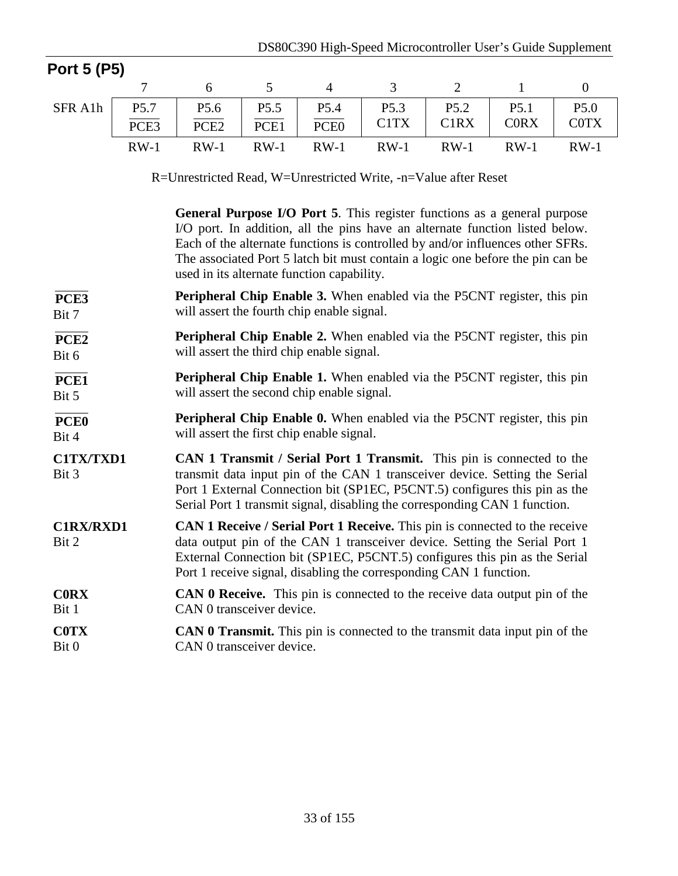| Port 5 (P5)                                                     |        |                                                                                                                                                                                                                                                                                                                                                                            |                                                                                                                              |                  |                               |                               |                  |                  |  |  |
|-----------------------------------------------------------------|--------|----------------------------------------------------------------------------------------------------------------------------------------------------------------------------------------------------------------------------------------------------------------------------------------------------------------------------------------------------------------------------|------------------------------------------------------------------------------------------------------------------------------|------------------|-------------------------------|-------------------------------|------------------|------------------|--|--|
|                                                                 | 7      | 6                                                                                                                                                                                                                                                                                                                                                                          | 5                                                                                                                            | $\overline{4}$   | $\mathfrak{Z}$                | $\overline{2}$                | $\mathbf{1}$     | $\overline{0}$   |  |  |
| SFR A1h                                                         | P5.7   | P <sub>5.6</sub>                                                                                                                                                                                                                                                                                                                                                           | P <sub>5.5</sub>                                                                                                             | P5.4             | P5.3                          | P <sub>5.2</sub>              | P <sub>5.1</sub> | P <sub>5.0</sub> |  |  |
|                                                                 | PCE3   | PCE <sub>2</sub>                                                                                                                                                                                                                                                                                                                                                           | PCE1                                                                                                                         | PCE <sub>0</sub> | C <sub>1</sub> T <sub>X</sub> | C <sub>1</sub> R <sub>X</sub> | <b>CORX</b>      | <b>COTX</b>      |  |  |
|                                                                 | $RW-1$ | $RW-1$                                                                                                                                                                                                                                                                                                                                                                     | $RW-1$                                                                                                                       | $RW-1$           | $RW-1$                        | $RW-1$                        | $RW-1$           | $RW-1$           |  |  |
| R=Unrestricted Read, W=Unrestricted Write, -n=Value after Reset |        |                                                                                                                                                                                                                                                                                                                                                                            |                                                                                                                              |                  |                               |                               |                  |                  |  |  |
|                                                                 |        | General Purpose I/O Port 5. This register functions as a general purpose<br>I/O port. In addition, all the pins have an alternate function listed below.<br>Each of the alternate functions is controlled by and/or influences other SFRs.<br>The associated Port 5 latch bit must contain a logic one before the pin can be<br>used in its alternate function capability. |                                                                                                                              |                  |                               |                               |                  |                  |  |  |
| PCE3<br>Bit 7                                                   |        |                                                                                                                                                                                                                                                                                                                                                                            | <b>Peripheral Chip Enable 3.</b> When enabled via the P5CNT register, this pin<br>will assert the fourth chip enable signal. |                  |                               |                               |                  |                  |  |  |
| PCE <sub>2</sub><br>Bit 6                                       |        | <b>Peripheral Chip Enable 2.</b> When enabled via the P5CNT register, this pin<br>will assert the third chip enable signal.                                                                                                                                                                                                                                                |                                                                                                                              |                  |                               |                               |                  |                  |  |  |
| PCE1<br>Bit 5                                                   |        | <b>Peripheral Chip Enable 1.</b> When enabled via the P5CNT register, this pin<br>will assert the second chip enable signal.                                                                                                                                                                                                                                               |                                                                                                                              |                  |                               |                               |                  |                  |  |  |
| PCE <sub>0</sub><br>Bit 4                                       |        | Peripheral Chip Enable 0. When enabled via the P5CNT register, this pin<br>will assert the first chip enable signal.                                                                                                                                                                                                                                                       |                                                                                                                              |                  |                               |                               |                  |                  |  |  |
| C1TX/TXD1<br>Bit 3                                              |        | CAN 1 Transmit / Serial Port 1 Transmit. This pin is connected to the<br>transmit data input pin of the CAN 1 transceiver device. Setting the Serial<br>Port 1 External Connection bit (SP1EC, P5CNT.5) configures this pin as the<br>Serial Port 1 transmit signal, disabling the corresponding CAN 1 function.                                                           |                                                                                                                              |                  |                               |                               |                  |                  |  |  |
| <b>C1RX/RXD1</b><br>Bit 2                                       |        | CAN 1 Receive / Serial Port 1 Receive. This pin is connected to the receive<br>data output pin of the CAN 1 transceiver device. Setting the Serial Port 1<br>External Connection bit (SP1EC, P5CNT.5) configures this pin as the Serial<br>Port 1 receive signal, disabling the corresponding CAN 1 function.                                                              |                                                                                                                              |                  |                               |                               |                  |                  |  |  |
| <b>CORX</b><br>Bit 1                                            |        | <b>CAN 0 Receive.</b> This pin is connected to the receive data output pin of the<br>CAN 0 transceiver device.                                                                                                                                                                                                                                                             |                                                                                                                              |                  |                               |                               |                  |                  |  |  |
| <b>COTX</b><br>Bit 0                                            |        | CAN 0 Transmit. This pin is connected to the transmit data input pin of the<br>CAN 0 transceiver device.                                                                                                                                                                                                                                                                   |                                                                                                                              |                  |                               |                               |                  |                  |  |  |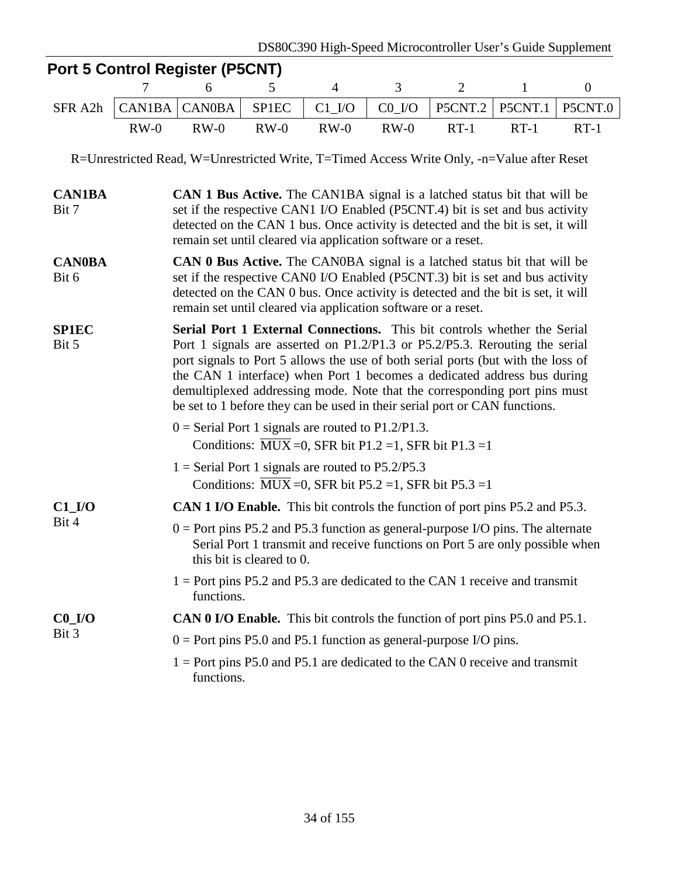|                                                                                            |        | <b>Port 5 Control Register (P5CNT)</b>                                                                                                                                                                                                                                                                                                                                                                                                                                            |        |                         |                     |                                                                       |              |                  |  |  |  |
|--------------------------------------------------------------------------------------------|--------|-----------------------------------------------------------------------------------------------------------------------------------------------------------------------------------------------------------------------------------------------------------------------------------------------------------------------------------------------------------------------------------------------------------------------------------------------------------------------------------|--------|-------------------------|---------------------|-----------------------------------------------------------------------|--------------|------------------|--|--|--|
|                                                                                            | 7      | 6                                                                                                                                                                                                                                                                                                                                                                                                                                                                                 | 5      | $\overline{4}$          | 3                   | $\overline{2}$                                                        | $\mathbf{1}$ | $\boldsymbol{0}$ |  |  |  |
| SFR A2h                                                                                    | CAN1BA | <b>CAN0BA</b>                                                                                                                                                                                                                                                                                                                                                                                                                                                                     | SP1EC  | $C1$ <sub>_</sub> $I/O$ | $CO$ <sub>I/O</sub> | P5CNT.2                                                               | P5CNT.1      | P5CNT.0          |  |  |  |
|                                                                                            | $RW-0$ | $RW-0$                                                                                                                                                                                                                                                                                                                                                                                                                                                                            | $RW-0$ | $RW-0$                  | $RW-0$              | $RT-1$                                                                | $RT-1$       | $RT-1$           |  |  |  |
| R=Unrestricted Read, W=Unrestricted Write, T=Timed Access Write Only, -n=Value after Reset |        |                                                                                                                                                                                                                                                                                                                                                                                                                                                                                   |        |                         |                     |                                                                       |              |                  |  |  |  |
| <b>CAN1BA</b><br>Bit 7                                                                     |        | <b>CAN 1 Bus Active.</b> The CAN1BA signal is a latched status bit that will be<br>set if the respective CAN1 I/O Enabled (P5CNT.4) bit is set and bus activity<br>detected on the CAN 1 bus. Once activity is detected and the bit is set, it will<br>remain set until cleared via application software or a reset.                                                                                                                                                              |        |                         |                     |                                                                       |              |                  |  |  |  |
| <b>CAN0BA</b><br>Bit 6                                                                     |        | <b>CAN 0 Bus Active.</b> The CAN0BA signal is a latched status bit that will be<br>set if the respective CAN0 I/O Enabled (P5CNT.3) bit is set and bus activity<br>detected on the CAN 0 bus. Once activity is detected and the bit is set, it will<br>remain set until cleared via application software or a reset.                                                                                                                                                              |        |                         |                     |                                                                       |              |                  |  |  |  |
| <b>SP1EC</b><br>Bit 5                                                                      |        | Serial Port 1 External Connections. This bit controls whether the Serial<br>Port 1 signals are asserted on P1.2/P1.3 or P5.2/P5.3. Rerouting the serial<br>port signals to Port 5 allows the use of both serial ports (but with the loss of<br>the CAN 1 interface) when Port 1 becomes a dedicated address bus during<br>demultiplexed addressing mode. Note that the corresponding port pins must<br>be set to 1 before they can be used in their serial port or CAN functions. |        |                         |                     |                                                                       |              |                  |  |  |  |
|                                                                                            |        | $0 =$ Serial Port 1 signals are routed to P1.2/P1.3.                                                                                                                                                                                                                                                                                                                                                                                                                              |        |                         |                     | Conditions: $\overline{MUX} = 0$ , SFR bit P1.2 = 1, SFR bit P1.3 = 1 |              |                  |  |  |  |
|                                                                                            |        | $1 =$ Serial Port 1 signals are routed to P5.2/P5.3                                                                                                                                                                                                                                                                                                                                                                                                                               |        |                         |                     | Conditions: $\overline{MUX} = 0$ , SFR bit P5.2 = 1, SFR bit P5.3 = 1 |              |                  |  |  |  |
| $C1$ <sub>I</sub> /O                                                                       |        |                                                                                                                                                                                                                                                                                                                                                                                                                                                                                   |        |                         |                     |                                                                       |              |                  |  |  |  |
| Bit 4                                                                                      |        | <b>CAN 1 I/O Enable.</b> This bit controls the function of port pins P5.2 and P5.3.<br>$0 =$ Port pins P5.2 and P5.3 function as general-purpose I/O pins. The alternate<br>Serial Port 1 transmit and receive functions on Port 5 are only possible when<br>this bit is cleared to 0.                                                                                                                                                                                            |        |                         |                     |                                                                       |              |                  |  |  |  |
|                                                                                            |        | $1 =$ Port pins P5.2 and P5.3 are dedicated to the CAN 1 receive and transmit<br>functions.                                                                                                                                                                                                                                                                                                                                                                                       |        |                         |                     |                                                                       |              |                  |  |  |  |
| $C0$ <sub>I/O</sub>                                                                        |        | <b>CAN 0 I/O Enable.</b> This bit controls the function of port pins P5.0 and P5.1.                                                                                                                                                                                                                                                                                                                                                                                               |        |                         |                     |                                                                       |              |                  |  |  |  |
| Bit 3                                                                                      |        | $0 =$ Port pins P5.0 and P5.1 function as general-purpose I/O pins.                                                                                                                                                                                                                                                                                                                                                                                                               |        |                         |                     |                                                                       |              |                  |  |  |  |
|                                                                                            |        | $1 =$ Port pins P5.0 and P5.1 are dedicated to the CAN 0 receive and transmit<br>functions.                                                                                                                                                                                                                                                                                                                                                                                       |        |                         |                     |                                                                       |              |                  |  |  |  |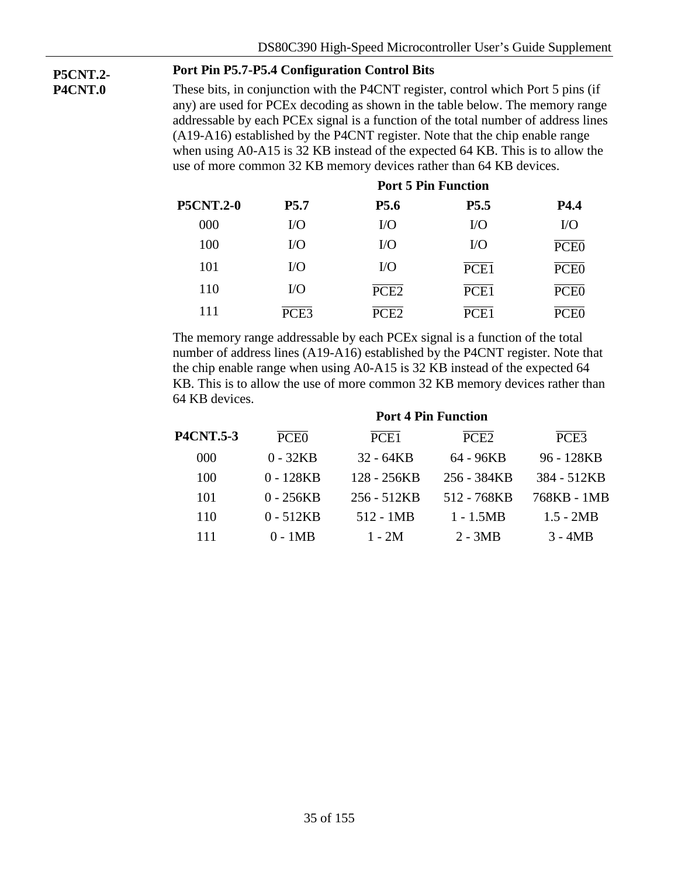# **P5CNT.2-**

**P4CNT.0**

### **Port Pin P5.7-P5.4 Configuration Control Bits**

These bits, in conjunction with the P4CNT register, control which Port 5 pins (if any) are used for PCEx decoding as shown in the table below. The memory range addressable by each PCEx signal is a function of the total number of address lines (A19-A16) established by the P4CNT register. Note that the chip enable range when using A0-A15 is 32 KB instead of the expected 64 KB. This is to allow the use of more common 32 KB memory devices rather than 64 KB devices.

| <b>P5CNT.2-0</b> |                  |                  |                  |                  |
|------------------|------------------|------------------|------------------|------------------|
|                  | P <sub>5.7</sub> | <b>P5.6</b>      | P5.5             | P4.4             |
| 000              | $\rm LO$         | $\rm LO$         | $\rm LO$         | $VO$             |
| 100              | $\rm LO$         | $VO$             | $\rm LO$         | PCE <sub>0</sub> |
| 101              | I/O              | $\rm LO$         | PCE <sub>1</sub> | PCE <sub>0</sub> |
| 110              | I/O              | PCE <sub>2</sub> | PCE <sub>1</sub> | PCE <sub>0</sub> |
| 111              | PCE3             | PCE2             | PCE <sub>1</sub> |                  |

The memory range addressable by each PCEx signal is a function of the total number of address lines (A19-A16) established by the P4CNT register. Note that the chip enable range when using A0-A15 is 32 KB instead of the expected 64 KB. This is to allow the use of more common 32 KB memory devices rather than 64 KB devices.

|                  | <b>Port 4 Pin Function</b> |                  |                  |                  |  |  |  |  |
|------------------|----------------------------|------------------|------------------|------------------|--|--|--|--|
| <b>P4CNT.5-3</b> | PCE <sub>0</sub>           | PCE <sub>1</sub> | PCE <sub>2</sub> | PCE <sub>3</sub> |  |  |  |  |
| 000              | $0 - 32KB$                 | $32 - 64KB$      | 64 - 96KB        | 96 - 128KB       |  |  |  |  |
| 100              | $0 - 128KB$                | 128 - 256KB      | 256 - 384KB      | 384 - 512KB      |  |  |  |  |
| 101              | $0 - 256KB$                | 256 - 512KB      | 512 - 768KB      | 768KB - 1MB      |  |  |  |  |
| 110              | $0 - 512KB$                | $512 - 1MB$      | $1 - 1.5MB$      | $1.5 - 2MB$      |  |  |  |  |
| 111              | 0 - 1MB                    | $1 - 2M$         | $2 - 3MB$        | $3 - 4MB$        |  |  |  |  |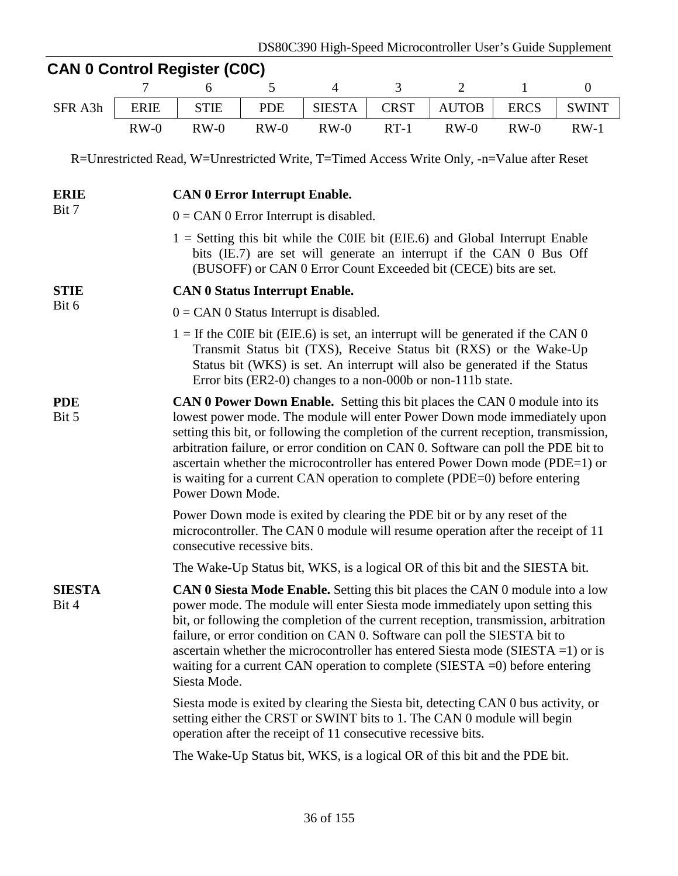|                        |             | <b>CAN 0 Control Register (C0C)</b>                                                                                                                                                                                                                                                                                                                                                                                                                                                                                             |            |                |             |                |              |                  |  |  |  |
|------------------------|-------------|---------------------------------------------------------------------------------------------------------------------------------------------------------------------------------------------------------------------------------------------------------------------------------------------------------------------------------------------------------------------------------------------------------------------------------------------------------------------------------------------------------------------------------|------------|----------------|-------------|----------------|--------------|------------------|--|--|--|
|                        |             | 6                                                                                                                                                                                                                                                                                                                                                                                                                                                                                                                               | 5          | $\overline{4}$ | 3           | $\overline{2}$ | $\mathbf{1}$ | $\boldsymbol{0}$ |  |  |  |
| SFR A3h                | <b>ERIE</b> | <b>STIE</b>                                                                                                                                                                                                                                                                                                                                                                                                                                                                                                                     | <b>PDE</b> | <b>SIESTA</b>  | <b>CRST</b> | <b>AUTOB</b>   | <b>ERCS</b>  | <b>SWINT</b>     |  |  |  |
|                        | $RW-0$      | $RW-0$                                                                                                                                                                                                                                                                                                                                                                                                                                                                                                                          | $RW-0$     | $RW-0$         | $RT-1$      | $RW-0$         | $RW-0$       | $RW-1$           |  |  |  |
|                        |             | R=Unrestricted Read, W=Unrestricted Write, T=Timed Access Write Only, -n=Value after Reset                                                                                                                                                                                                                                                                                                                                                                                                                                      |            |                |             |                |              |                  |  |  |  |
| <b>ERIE</b>            |             | <b>CAN 0 Error Interrupt Enable.</b>                                                                                                                                                                                                                                                                                                                                                                                                                                                                                            |            |                |             |                |              |                  |  |  |  |
| Bit 7                  |             | $0 = CAN$ 0 Error Interrupt is disabled.                                                                                                                                                                                                                                                                                                                                                                                                                                                                                        |            |                |             |                |              |                  |  |  |  |
|                        |             | $1 =$ Setting this bit while the COIE bit (EIE.6) and Global Interrupt Enable<br>bits (IE.7) are set will generate an interrupt if the CAN 0 Bus Off<br>(BUSOFF) or CAN 0 Error Count Exceeded bit (CECE) bits are set.                                                                                                                                                                                                                                                                                                         |            |                |             |                |              |                  |  |  |  |
| <b>STIE</b>            |             | <b>CAN 0 Status Interrupt Enable.</b>                                                                                                                                                                                                                                                                                                                                                                                                                                                                                           |            |                |             |                |              |                  |  |  |  |
| Bit 6                  |             | $0 = CAN$ 0 Status Interrupt is disabled.                                                                                                                                                                                                                                                                                                                                                                                                                                                                                       |            |                |             |                |              |                  |  |  |  |
|                        |             | $1 =$ If the COIE bit (EIE.6) is set, an interrupt will be generated if the CAN 0<br>Transmit Status bit (TXS), Receive Status bit (RXS) or the Wake-Up<br>Status bit (WKS) is set. An interrupt will also be generated if the Status<br>Error bits (ER2-0) changes to a non-000b or non-111b state.                                                                                                                                                                                                                            |            |                |             |                |              |                  |  |  |  |
| <b>PDE</b><br>Bit 5    |             | <b>CAN 0 Power Down Enable.</b> Setting this bit places the CAN 0 module into its<br>lowest power mode. The module will enter Power Down mode immediately upon<br>setting this bit, or following the completion of the current reception, transmission,<br>arbitration failure, or error condition on CAN 0. Software can poll the PDE bit to<br>ascertain whether the microcontroller has entered Power Down mode (PDE=1) or<br>is waiting for a current CAN operation to complete (PDE=0) before entering<br>Power Down Mode. |            |                |             |                |              |                  |  |  |  |
|                        |             | Power Down mode is exited by clearing the PDE bit or by any reset of the<br>microcontroller. The CAN 0 module will resume operation after the receipt of 11<br>consecutive recessive bits.                                                                                                                                                                                                                                                                                                                                      |            |                |             |                |              |                  |  |  |  |
|                        |             | The Wake-Up Status bit, WKS, is a logical OR of this bit and the SIESTA bit.                                                                                                                                                                                                                                                                                                                                                                                                                                                    |            |                |             |                |              |                  |  |  |  |
| <b>SIESTA</b><br>Bit 4 |             | <b>CAN 0 Siesta Mode Enable.</b> Setting this bit places the CAN 0 module into a low<br>power mode. The module will enter Siesta mode immediately upon setting this<br>bit, or following the completion of the current reception, transmission, arbitration<br>failure, or error condition on CAN 0. Software can poll the SIESTA bit to<br>ascertain whether the microcontroller has entered Siesta mode (SIESTA = 1) or is<br>waiting for a current CAN operation to complete (SIESTA $=$ 0) before entering<br>Siesta Mode.  |            |                |             |                |              |                  |  |  |  |
|                        |             | Siesta mode is exited by clearing the Siesta bit, detecting CAN 0 bus activity, or<br>setting either the CRST or SWINT bits to 1. The CAN 0 module will begin<br>operation after the receipt of 11 consecutive recessive bits.                                                                                                                                                                                                                                                                                                  |            |                |             |                |              |                  |  |  |  |
|                        |             | The Wake-Up Status bit, WKS, is a logical OR of this bit and the PDE bit.                                                                                                                                                                                                                                                                                                                                                                                                                                                       |            |                |             |                |              |                  |  |  |  |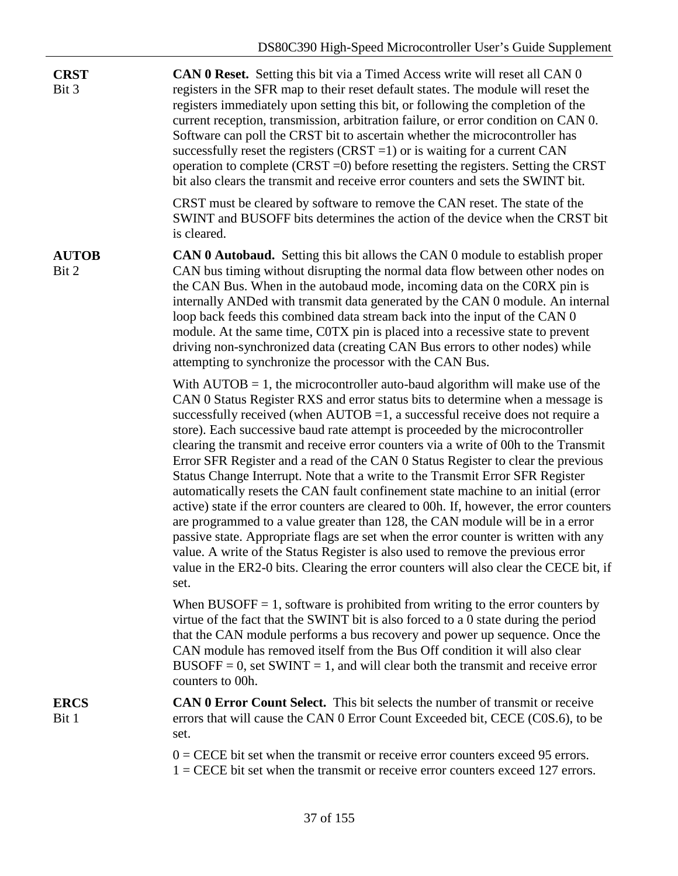| <b>CRST</b><br>Bit 3  | CAN 0 Reset. Setting this bit via a Timed Access write will reset all CAN 0<br>registers in the SFR map to their reset default states. The module will reset the<br>registers immediately upon setting this bit, or following the completion of the<br>current reception, transmission, arbitration failure, or error condition on CAN 0.<br>Software can poll the CRST bit to ascertain whether the microcontroller has<br>successfully reset the registers $(CRST = 1)$ or is waiting for a current CAN<br>operation to complete (CRST $=0$ ) before resetting the registers. Setting the CRST<br>bit also clears the transmit and receive error counters and sets the SWINT bit.                                                                                                                                                                                                                                                                                                                                                                                                                                                             |
|-----------------------|-------------------------------------------------------------------------------------------------------------------------------------------------------------------------------------------------------------------------------------------------------------------------------------------------------------------------------------------------------------------------------------------------------------------------------------------------------------------------------------------------------------------------------------------------------------------------------------------------------------------------------------------------------------------------------------------------------------------------------------------------------------------------------------------------------------------------------------------------------------------------------------------------------------------------------------------------------------------------------------------------------------------------------------------------------------------------------------------------------------------------------------------------|
|                       | CRST must be cleared by software to remove the CAN reset. The state of the<br>SWINT and BUSOFF bits determines the action of the device when the CRST bit<br>is cleared.                                                                                                                                                                                                                                                                                                                                                                                                                                                                                                                                                                                                                                                                                                                                                                                                                                                                                                                                                                        |
| <b>AUTOB</b><br>Bit 2 | <b>CAN 0 Autobaud.</b> Setting this bit allows the CAN 0 module to establish proper<br>CAN bus timing without disrupting the normal data flow between other nodes on<br>the CAN Bus. When in the autobaud mode, incoming data on the CORX pin is<br>internally ANDed with transmit data generated by the CAN 0 module. An internal<br>loop back feeds this combined data stream back into the input of the CAN 0<br>module. At the same time, COTX pin is placed into a recessive state to prevent<br>driving non-synchronized data (creating CAN Bus errors to other nodes) while<br>attempting to synchronize the processor with the CAN Bus.                                                                                                                                                                                                                                                                                                                                                                                                                                                                                                 |
|                       | With $AUTOB = 1$ , the microcontroller auto-baud algorithm will make use of the<br>CAN 0 Status Register RXS and error status bits to determine when a message is<br>successfully received (when $AUTOB = 1$ , a successful receive does not require a<br>store). Each successive baud rate attempt is proceeded by the microcontroller<br>clearing the transmit and receive error counters via a write of 00h to the Transmit<br>Error SFR Register and a read of the CAN 0 Status Register to clear the previous<br>Status Change Interrupt. Note that a write to the Transmit Error SFR Register<br>automatically resets the CAN fault confinement state machine to an initial (error<br>active) state if the error counters are cleared to 00h. If, however, the error counters<br>are programmed to a value greater than 128, the CAN module will be in a error<br>passive state. Appropriate flags are set when the error counter is written with any<br>value. A write of the Status Register is also used to remove the previous error<br>value in the ER2-0 bits. Clearing the error counters will also clear the CECE bit, if<br>set. |
|                       | When BUSOFF $= 1$ , software is prohibited from writing to the error counters by<br>virtue of the fact that the SWINT bit is also forced to a 0 state during the period<br>that the CAN module performs a bus recovery and power up sequence. Once the<br>CAN module has removed itself from the Bus Off condition it will also clear<br>$BUSOFF = 0$ , set SWINT = 1, and will clear both the transmit and receive error<br>counters to 00h.                                                                                                                                                                                                                                                                                                                                                                                                                                                                                                                                                                                                                                                                                                   |
| <b>ERCS</b><br>Bit 1  | <b>CAN 0 Error Count Select.</b> This bit selects the number of transmit or receive<br>errors that will cause the CAN 0 Error Count Exceeded bit, CECE (C0S.6), to be<br>set.                                                                                                                                                                                                                                                                                                                                                                                                                                                                                                                                                                                                                                                                                                                                                                                                                                                                                                                                                                   |
|                       | $0 =$ CECE bit set when the transmit or receive error counters exceed 95 errors.<br>$1 =$ CECE bit set when the transmit or receive error counters exceed 127 errors.                                                                                                                                                                                                                                                                                                                                                                                                                                                                                                                                                                                                                                                                                                                                                                                                                                                                                                                                                                           |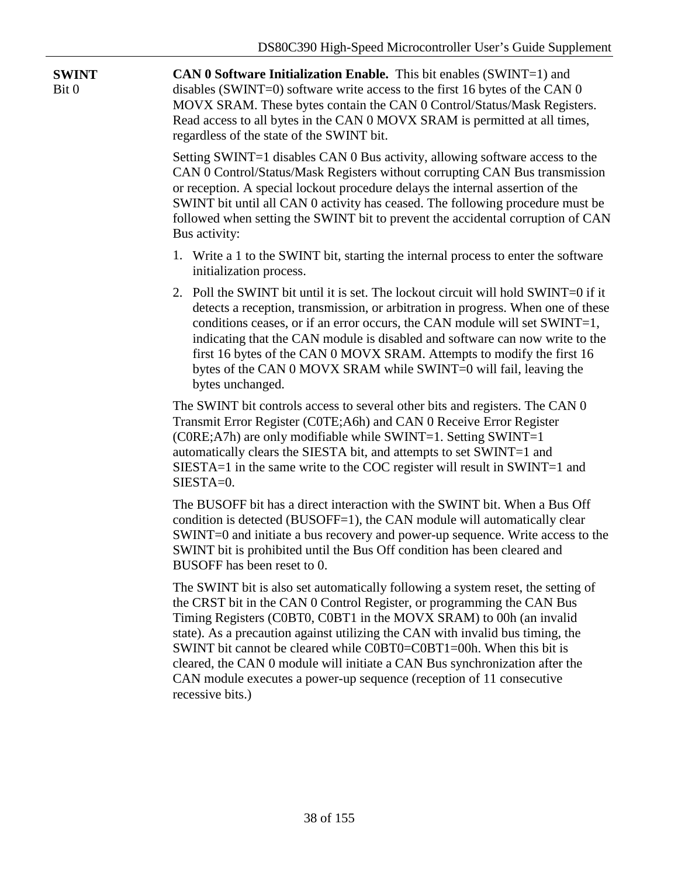| <b>SWINT</b><br>Bit 0 | <b>CAN 0 Software Initialization Enable.</b> This bit enables $(SWINT=1)$ and<br>disables (SWINT=0) software write access to the first 16 bytes of the CAN 0<br>MOVX SRAM. These bytes contain the CAN 0 Control/Status/Mask Registers.<br>Read access to all bytes in the CAN 0 MOVX SRAM is permitted at all times,<br>regardless of the state of the SWINT bit.                                                                                                                                                                                                    |  |  |  |  |  |  |
|-----------------------|-----------------------------------------------------------------------------------------------------------------------------------------------------------------------------------------------------------------------------------------------------------------------------------------------------------------------------------------------------------------------------------------------------------------------------------------------------------------------------------------------------------------------------------------------------------------------|--|--|--|--|--|--|
|                       | Setting SWINT=1 disables CAN 0 Bus activity, allowing software access to the<br>CAN 0 Control/Status/Mask Registers without corrupting CAN Bus transmission<br>or reception. A special lockout procedure delays the internal assertion of the<br>SWINT bit until all CAN 0 activity has ceased. The following procedure must be<br>followed when setting the SWINT bit to prevent the accidental corruption of CAN<br>Bus activity:                                                                                                                                   |  |  |  |  |  |  |
|                       | 1. Write a 1 to the SWINT bit, starting the internal process to enter the software<br>initialization process.                                                                                                                                                                                                                                                                                                                                                                                                                                                         |  |  |  |  |  |  |
|                       | 2. Poll the SWINT bit until it is set. The lockout circuit will hold SWINT=0 if it<br>detects a reception, transmission, or arbitration in progress. When one of these<br>conditions ceases, or if an error occurs, the CAN module will set SWINT=1,<br>indicating that the CAN module is disabled and software can now write to the<br>first 16 bytes of the CAN 0 MOVX SRAM. Attempts to modify the first 16<br>bytes of the CAN 0 MOVX SRAM while SWINT=0 will fail, leaving the<br>bytes unchanged.                                                               |  |  |  |  |  |  |
|                       | The SWINT bit controls access to several other bits and registers. The CAN 0<br>Transmit Error Register (C0TE; A6h) and CAN 0 Receive Error Register<br>(C0RE;A7h) are only modifiable while SWINT=1. Setting SWINT=1<br>automatically clears the SIESTA bit, and attempts to set SWINT=1 and<br>SIESTA=1 in the same write to the COC register will result in SWINT=1 and<br>SIESTA=0.                                                                                                                                                                               |  |  |  |  |  |  |
|                       | The BUSOFF bit has a direct interaction with the SWINT bit. When a Bus Off<br>condition is detected (BUSOFF=1), the CAN module will automatically clear<br>SWINT=0 and initiate a bus recovery and power-up sequence. Write access to the<br>SWINT bit is prohibited until the Bus Off condition has been cleared and<br>BUSOFF has been reset to 0.                                                                                                                                                                                                                  |  |  |  |  |  |  |
|                       | The SWINT bit is also set automatically following a system reset, the setting of<br>the CRST bit in the CAN 0 Control Register, or programming the CAN Bus<br>Timing Registers (C0BT0, C0BT1 in the MOVX SRAM) to 00h (an invalid<br>state). As a precaution against utilizing the CAN with invalid bus timing, the<br>SWINT bit cannot be cleared while C0BT0=C0BT1=00h. When this bit is<br>cleared, the CAN 0 module will initiate a CAN Bus synchronization after the<br>CAN module executes a power-up sequence (reception of 11 consecutive<br>recessive bits.) |  |  |  |  |  |  |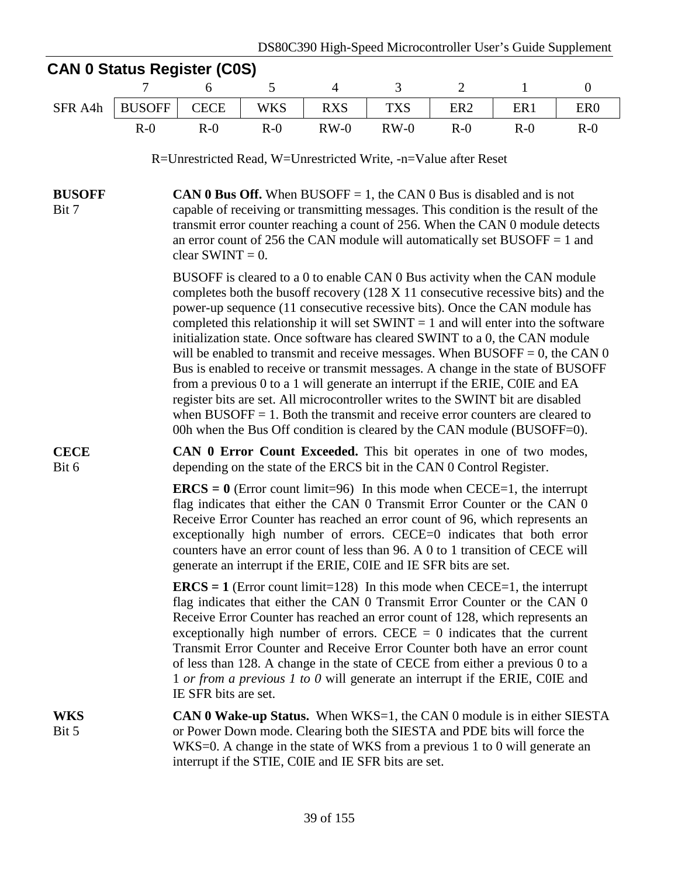| <b>CAN 0 Status Register (C0S)</b> |                                                                                                                                                                                                                                                                                                                                                                                                                                                                                                                                                          |                      |            |                |                                                                                                                                                                                                                                                                                                                                                                                                                                                                                                                                                                                                                                                                                                                                                                                                                                                             |                 |                 |                  |  |  |
|------------------------------------|----------------------------------------------------------------------------------------------------------------------------------------------------------------------------------------------------------------------------------------------------------------------------------------------------------------------------------------------------------------------------------------------------------------------------------------------------------------------------------------------------------------------------------------------------------|----------------------|------------|----------------|-------------------------------------------------------------------------------------------------------------------------------------------------------------------------------------------------------------------------------------------------------------------------------------------------------------------------------------------------------------------------------------------------------------------------------------------------------------------------------------------------------------------------------------------------------------------------------------------------------------------------------------------------------------------------------------------------------------------------------------------------------------------------------------------------------------------------------------------------------------|-----------------|-----------------|------------------|--|--|
|                                    |                                                                                                                                                                                                                                                                                                                                                                                                                                                                                                                                                          | 6                    | 5          | $\overline{4}$ | 3                                                                                                                                                                                                                                                                                                                                                                                                                                                                                                                                                                                                                                                                                                                                                                                                                                                           | $\mathfrak{2}$  | $\mathbf{1}$    | $\boldsymbol{0}$ |  |  |
| SFR A4h                            | <b>BUSOFF</b>                                                                                                                                                                                                                                                                                                                                                                                                                                                                                                                                            | <b>CECE</b>          | <b>WKS</b> | <b>RXS</b>     | <b>TXS</b>                                                                                                                                                                                                                                                                                                                                                                                                                                                                                                                                                                                                                                                                                                                                                                                                                                                  | ER <sub>2</sub> | ER <sub>1</sub> | ER <sub>0</sub>  |  |  |
|                                    | $R-0$                                                                                                                                                                                                                                                                                                                                                                                                                                                                                                                                                    | $R-0$                | $R-0$      | $RW-0$         | $RW-0$                                                                                                                                                                                                                                                                                                                                                                                                                                                                                                                                                                                                                                                                                                                                                                                                                                                      | $R-0$           | $R-0$           | $R-0$            |  |  |
|                                    |                                                                                                                                                                                                                                                                                                                                                                                                                                                                                                                                                          |                      |            |                | R=Unrestricted Read, W=Unrestricted Write, -n=Value after Reset                                                                                                                                                                                                                                                                                                                                                                                                                                                                                                                                                                                                                                                                                                                                                                                             |                 |                 |                  |  |  |
| <b>BUSOFF</b><br>Bit 7             | <b>CAN 0 Bus Off.</b> When BUSOFF = 1, the CAN 0 Bus is disabled and is not<br>capable of receiving or transmitting messages. This condition is the result of the<br>transmit error counter reaching a count of 256. When the CAN 0 module detects<br>an error count of 256 the CAN module will automatically set BUSOFF $= 1$ and<br>clear SWINT = $0$ .<br>BUSOFF is cleared to a 0 to enable CAN 0 Bus activity when the CAN module                                                                                                                   |                      |            |                |                                                                                                                                                                                                                                                                                                                                                                                                                                                                                                                                                                                                                                                                                                                                                                                                                                                             |                 |                 |                  |  |  |
|                                    |                                                                                                                                                                                                                                                                                                                                                                                                                                                                                                                                                          |                      |            |                | completes both the busoff recovery $(128 \times 11)$ consecutive recessive bits) and the<br>power-up sequence (11 consecutive recessive bits). Once the CAN module has<br>completed this relationship it will set $SWINT = 1$ and will enter into the software<br>initialization state. Once software has cleared SWINT to a 0, the CAN module<br>will be enabled to transmit and receive messages. When BUSOFF = 0, the CAN $0$<br>Bus is enabled to receive or transmit messages. A change in the state of BUSOFF<br>from a previous 0 to a 1 will generate an interrupt if the ERIE, COIE and EA<br>register bits are set. All microcontroller writes to the SWINT bit are disabled<br>when $\text{BUSOFF} = 1$ . Both the transmit and receive error counters are cleared to<br>00h when the Bus Off condition is cleared by the CAN module (BUSOFF=0). |                 |                 |                  |  |  |
| <b>CECE</b><br>Bit 6               |                                                                                                                                                                                                                                                                                                                                                                                                                                                                                                                                                          |                      |            |                | <b>CAN 0 Error Count Exceeded.</b> This bit operates in one of two modes,                                                                                                                                                                                                                                                                                                                                                                                                                                                                                                                                                                                                                                                                                                                                                                                   |                 |                 |                  |  |  |
|                                    | depending on the state of the ERCS bit in the CAN 0 Control Register.<br><b>ERCS</b> = $\theta$ (Error count limit=96) In this mode when CECE=1, the interrupt<br>flag indicates that either the CAN 0 Transmit Error Counter or the CAN 0<br>Receive Error Counter has reached an error count of 96, which represents an<br>exceptionally high number of errors. CECE=0 indicates that both error<br>counters have an error count of less than 96. A 0 to 1 transition of CECE will<br>generate an interrupt if the ERIE, COIE and IE SFR bits are set. |                      |            |                |                                                                                                                                                                                                                                                                                                                                                                                                                                                                                                                                                                                                                                                                                                                                                                                                                                                             |                 |                 |                  |  |  |
|                                    |                                                                                                                                                                                                                                                                                                                                                                                                                                                                                                                                                          | IE SFR bits are set. |            |                | <b>ERCS</b> = 1 (Error count limit=128) In this mode when CECE=1, the interrupt<br>flag indicates that either the CAN 0 Transmit Error Counter or the CAN 0<br>Receive Error Counter has reached an error count of 128, which represents an<br>exceptionally high number of errors. CECE $= 0$ indicates that the current<br>Transmit Error Counter and Receive Error Counter both have an error count<br>of less than 128. A change in the state of CECE from either a previous 0 to a<br>1 or from a previous 1 to 0 will generate an interrupt if the ERIE, COIE and                                                                                                                                                                                                                                                                                     |                 |                 |                  |  |  |
| <b>WKS</b><br>Bit 5                |                                                                                                                                                                                                                                                                                                                                                                                                                                                                                                                                                          |                      |            |                | <b>CAN 0 Wake-up Status.</b> When WKS=1, the CAN 0 module is in either SIESTA<br>or Power Down mode. Clearing both the SIESTA and PDE bits will force the<br>WKS=0. A change in the state of WKS from a previous 1 to 0 will generate an<br>interrupt if the STIE, COIE and IE SFR bits are set.                                                                                                                                                                                                                                                                                                                                                                                                                                                                                                                                                            |                 |                 |                  |  |  |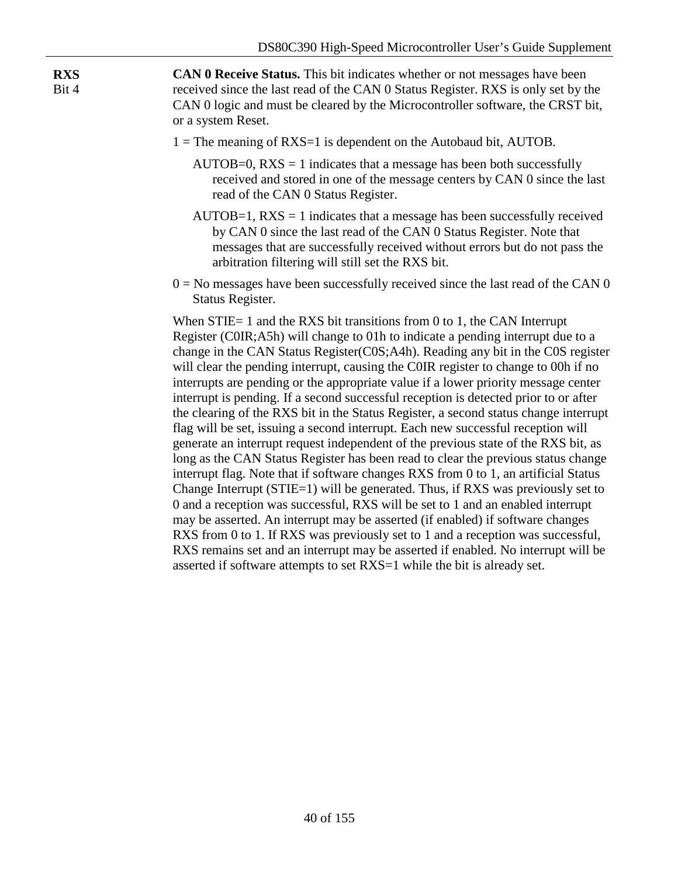**CAN 0 Receive Status.** This bit indicates whether or not messages have been received since the last read of the CAN 0 Status Register. RXS is only set by the CAN 0 logic and must be cleared by the Microcontroller software, the CRST bit, or a system Reset.

**RXS** Bit 4

- $1 =$ The meaning of RXS=1 is dependent on the Autobaud bit, AUTOB.
	- $AUTOB=0$ ,  $RXS = 1$  indicates that a message has been both successfully received and stored in one of the message centers by CAN 0 since the last read of the CAN 0 Status Register.
	- $AUTOB=1$ ,  $RXS = 1$  indicates that a message has been successfully received by CAN 0 since the last read of the CAN 0 Status Register. Note that messages that are successfully received without errors but do not pass the arbitration filtering will still set the RXS bit.
- $0 = No$  messages have been successfully received since the last read of the CAN 0 Status Register.

When STIE= 1 and the RXS bit transitions from 0 to 1, the CAN Interrupt Register (C0IR;A5h) will change to 01h to indicate a pending interrupt due to a change in the CAN Status Register(C0S;A4h). Reading any bit in the C0S register will clear the pending interrupt, causing the COIR register to change to 00h if no interrupts are pending or the appropriate value if a lower priority message center interrupt is pending. If a second successful reception is detected prior to or after the clearing of the RXS bit in the Status Register, a second status change interrupt flag will be set, issuing a second interrupt. Each new successful reception will generate an interrupt request independent of the previous state of the RXS bit, as long as the CAN Status Register has been read to clear the previous status change interrupt flag. Note that if software changes RXS from 0 to 1, an artificial Status Change Interrupt (STIE=1) will be generated. Thus, if RXS was previously set to 0 and a reception was successful, RXS will be set to 1 and an enabled interrupt may be asserted. An interrupt may be asserted (if enabled) if software changes RXS from 0 to 1. If RXS was previously set to 1 and a reception was successful, RXS remains set and an interrupt may be asserted if enabled. No interrupt will be asserted if software attempts to set RXS=1 while the bit is already set.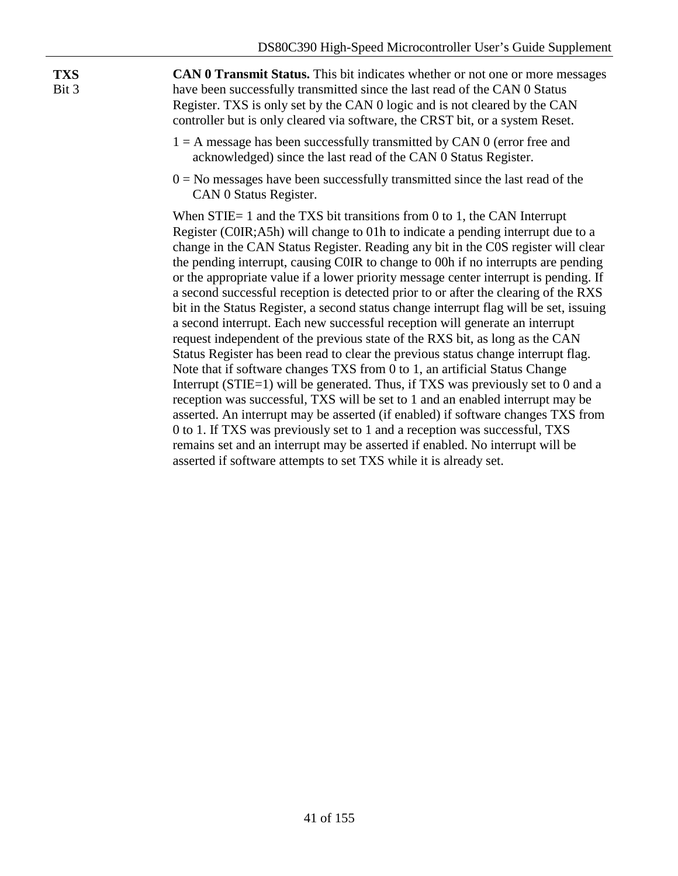**TXS** Bit 3

**CAN 0 Transmit Status.** This bit indicates whether or not one or more messages have been successfully transmitted since the last read of the CAN 0 Status Register. TXS is only set by the CAN 0 logic and is not cleared by the CAN controller but is only cleared via software, the CRST bit, or a system Reset.

- $1 = A$  message has been successfully transmitted by CAN 0 (error free and acknowledged) since the last read of the CAN 0 Status Register.
- $0 = No$  messages have been successfully transmitted since the last read of the CAN 0 Status Register.

When STIE= 1 and the TXS bit transitions from 0 to 1, the CAN Interrupt Register (C0IR;A5h) will change to 01h to indicate a pending interrupt due to a change in the CAN Status Register. Reading any bit in the C0S register will clear the pending interrupt, causing C0IR to change to 00h if no interrupts are pending or the appropriate value if a lower priority message center interrupt is pending. If a second successful reception is detected prior to or after the clearing of the RXS bit in the Status Register, a second status change interrupt flag will be set, issuing a second interrupt. Each new successful reception will generate an interrupt request independent of the previous state of the RXS bit, as long as the CAN Status Register has been read to clear the previous status change interrupt flag. Note that if software changes TXS from 0 to 1, an artificial Status Change Interrupt (STIE=1) will be generated. Thus, if TXS was previously set to 0 and a reception was successful, TXS will be set to 1 and an enabled interrupt may be asserted. An interrupt may be asserted (if enabled) if software changes TXS from 0 to 1. If TXS was previously set to 1 and a reception was successful, TXS remains set and an interrupt may be asserted if enabled. No interrupt will be asserted if software attempts to set TXS while it is already set.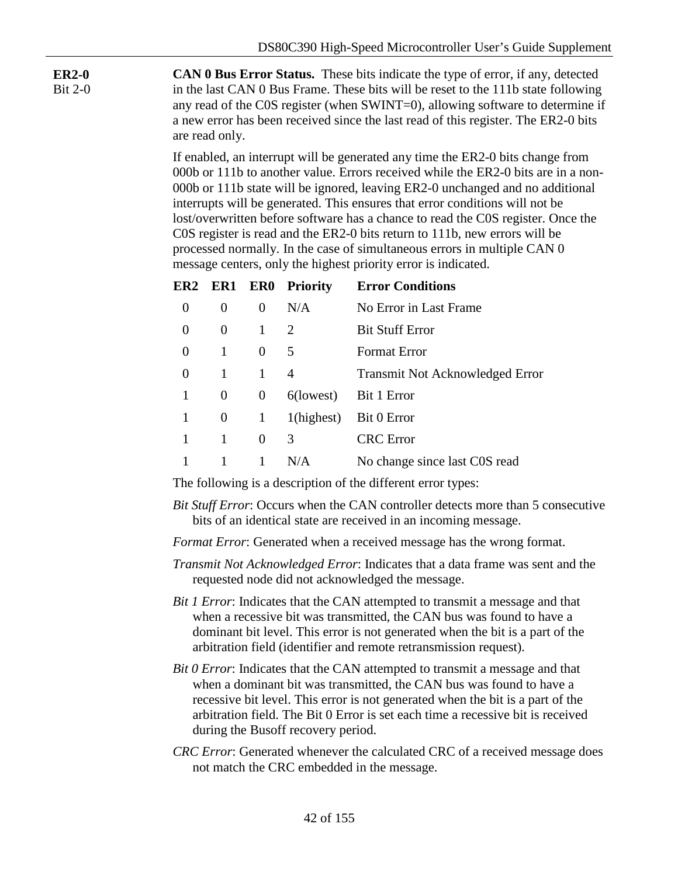Bit 2-0 **CAN 0 Bus Error Status.** These bits indicate the type of error, if any, detected in the last CAN 0 Bus Frame. These bits will be reset to the 111b state following any read of the C0S register (when SWINT=0), allowing software to determine if a new error has been received since the last read of this register. The ER2-0 bits are read only.

**ER2-0**

If enabled, an interrupt will be generated any time the ER2-0 bits change from 000b or 111b to another value. Errors received while the ER2-0 bits are in a non-000b or 111b state will be ignored, leaving ER2-0 unchanged and no additional interrupts will be generated. This ensures that error conditions will not be lost/overwritten before software has a chance to read the C0S register. Once the C0S register is read and the ER2-0 bits return to 111b, new errors will be processed normally. In the case of simultaneous errors in multiple CAN 0 message centers, only the highest priority error is indicated.

| ER2 |          |                | <b>ER1 ER0 Priority</b> | <b>Error Conditions</b>                |
|-----|----------|----------------|-------------------------|----------------------------------------|
| 0   | $\theta$ | $\Omega$       | N/A                     | No Error in Last Frame                 |
| 0   | $\Omega$ | $\mathbf{1}$   | $\mathcal{D}_{\cdot}$   | <b>Bit Stuff Error</b>                 |
| 0   | 1        | $\theta$       | 5.                      | <b>Format Error</b>                    |
| 0   | 1        | 1              | 4                       | <b>Transmit Not Acknowledged Error</b> |
| 1   | $\theta$ | $\overline{0}$ |                         | 6(lowest) Bit 1 Error                  |
| 1   | $\theta$ | $\mathbf{1}$   | 1(highest)              | Bit 0 Error                            |
|     | 1        | $\Omega$       | 3                       | <b>CRC</b> Error                       |
|     |          |                | N/A                     | No change since last C0S read          |

The following is a description of the different error types:

*Bit Stuff Error*: Occurs when the CAN controller detects more than 5 consecutive bits of an identical state are received in an incoming message.

*Format Error*: Generated when a received message has the wrong format.

- *Transmit Not Acknowledged Error*: Indicates that a data frame was sent and the requested node did not acknowledged the message.
- *Bit 1 Error*: Indicates that the CAN attempted to transmit a message and that when a recessive bit was transmitted, the CAN bus was found to have a dominant bit level. This error is not generated when the bit is a part of the arbitration field (identifier and remote retransmission request).
- *Bit 0 Error*: Indicates that the CAN attempted to transmit a message and that when a dominant bit was transmitted, the CAN bus was found to have a recessive bit level. This error is not generated when the bit is a part of the arbitration field. The Bit 0 Error is set each time a recessive bit is received during the Busoff recovery period.
- *CRC Error*: Generated whenever the calculated CRC of a received message does not match the CRC embedded in the message.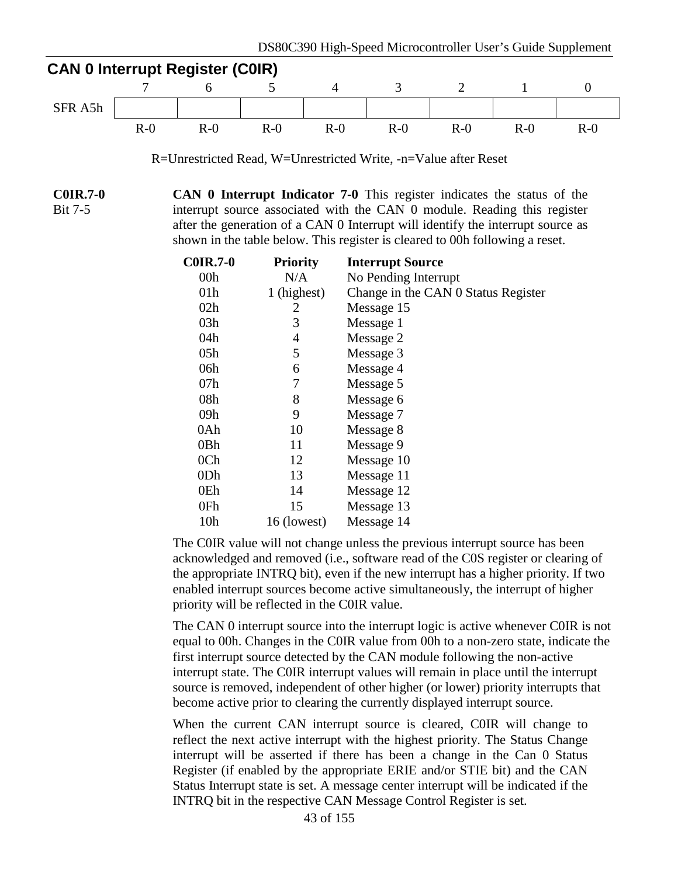

R=Unrestricted Read, W=Unrestricted Write, -n=Value after Reset

**C0IR.7-0** Bit 7-5 **CAN 0 Interrupt Indicator 7-0** This register indicates the status of the interrupt source associated with the CAN 0 module. Reading this register after the generation of a CAN 0 Interrupt will identify the interrupt source as shown in the table below. This register is cleared to 00h following a reset.

| <b>C0IR.7-0</b> | <b>Priority</b> | <b>Interrupt Source</b>             |
|-----------------|-----------------|-------------------------------------|
| 00 <sub>h</sub> | N/A             | No Pending Interrupt                |
| 01 <sub>h</sub> | 1 (highest)     | Change in the CAN 0 Status Register |
| 02h             | 2               | Message 15                          |
| 03h             | 3               | Message 1                           |
| 04h             | 4               | Message 2                           |
| 05h             | 5               | Message 3                           |
| 06h             | 6               | Message 4                           |
| 07h             | 7               | Message 5                           |
| 08h             | 8               | Message 6                           |
| 09h             | 9               | Message 7                           |
| 0Ah             | 10              | Message 8                           |
| 0Bh             | 11              | Message 9                           |
| 0Ch             | 12              | Message 10                          |
| 0 <sub>Dh</sub> | 13              | Message 11                          |
| 0Eh             | 14              | Message 12                          |
| 0Fh             | 15              | Message 13                          |
| 10 <sub>h</sub> | 16 (lowest)     | Message 14                          |

The C0IR value will not change unless the previous interrupt source has been acknowledged and removed (i.e., software read of the C0S register or clearing of the appropriate INTRQ bit), even if the new interrupt has a higher priority. If two enabled interrupt sources become active simultaneously, the interrupt of higher priority will be reflected in the C0IR value.

The CAN 0 interrupt source into the interrupt logic is active whenever C0IR is not equal to 00h. Changes in the C0IR value from 00h to a non-zero state, indicate the first interrupt source detected by the CAN module following the non-active interrupt state. The C0IR interrupt values will remain in place until the interrupt source is removed, independent of other higher (or lower) priority interrupts that become active prior to clearing the currently displayed interrupt source.

When the current CAN interrupt source is cleared, C0IR will change to reflect the next active interrupt with the highest priority. The Status Change interrupt will be asserted if there has been a change in the Can 0 Status Register (if enabled by the appropriate ERIE and/or STIE bit) and the CAN Status Interrupt state is set. A message center interrupt will be indicated if the INTRQ bit in the respective CAN Message Control Register is set.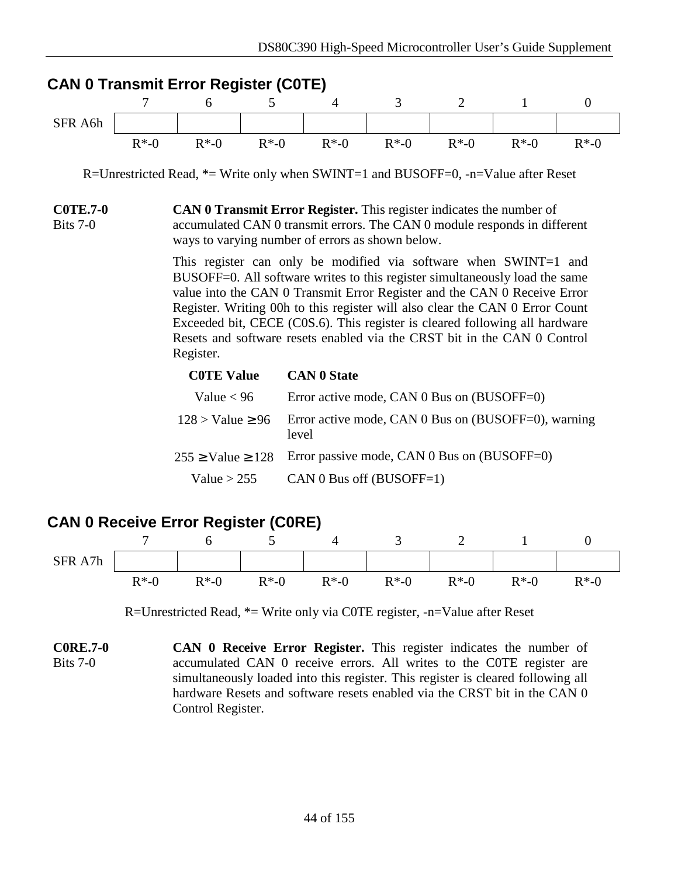|                             | 7        | <b>CAN 0 Transmit Error Register (COTE)</b><br>6                                                                                                                                                             | 5        | 4                                                                                                                                                                                                                                                                                                                                                                                                                                                                      | 3        | $\overline{2}$ | $\mathbf{1}$ | $\boldsymbol{0}$ |  |  |  |
|-----------------------------|----------|--------------------------------------------------------------------------------------------------------------------------------------------------------------------------------------------------------------|----------|------------------------------------------------------------------------------------------------------------------------------------------------------------------------------------------------------------------------------------------------------------------------------------------------------------------------------------------------------------------------------------------------------------------------------------------------------------------------|----------|----------------|--------------|------------------|--|--|--|
| SFR A6h                     |          |                                                                                                                                                                                                              |          |                                                                                                                                                                                                                                                                                                                                                                                                                                                                        |          |                |              |                  |  |  |  |
|                             | $R*-0$   | $R*-0$                                                                                                                                                                                                       | $R^*$ -0 | $R*-0$                                                                                                                                                                                                                                                                                                                                                                                                                                                                 | $R^*$ -0 | $R*-0$         | $R^*$ -0     | $R^*$ -0         |  |  |  |
|                             |          |                                                                                                                                                                                                              |          | R=Unrestricted Read, $*$ = Write only when SWINT=1 and BUSOFF=0, -n=Value after Reset                                                                                                                                                                                                                                                                                                                                                                                  |          |                |              |                  |  |  |  |
| <b>COTE.7-0</b><br>Bits 7-0 |          | <b>CAN 0 Transmit Error Register.</b> This register indicates the number of<br>accumulated CAN 0 transmit errors. The CAN 0 module responds in different<br>ways to varying number of errors as shown below. |          |                                                                                                                                                                                                                                                                                                                                                                                                                                                                        |          |                |              |                  |  |  |  |
|                             |          | Register.                                                                                                                                                                                                    |          | This register can only be modified via software when SWINT=1 and<br>BUSOFF=0. All software writes to this register simultaneously load the same<br>value into the CAN 0 Transmit Error Register and the CAN 0 Receive Error<br>Register. Writing 00h to this register will also clear the CAN 0 Error Count<br>Exceeded bit, CECE (C0S.6). This register is cleared following all hardware<br>Resets and software resets enabled via the CRST bit in the CAN 0 Control |          |                |              |                  |  |  |  |
|                             |          | <b>C0TE Value</b><br><b>CAN 0 State</b>                                                                                                                                                                      |          |                                                                                                                                                                                                                                                                                                                                                                                                                                                                        |          |                |              |                  |  |  |  |
|                             |          | Value $< 96$                                                                                                                                                                                                 |          | Error active mode, CAN 0 Bus on (BUSOFF=0)                                                                                                                                                                                                                                                                                                                                                                                                                             |          |                |              |                  |  |  |  |
|                             |          | $128 >$ Value $\geq 96$                                                                                                                                                                                      |          | Error active mode, CAN $0$ Bus on (BUSOFF=0), warning<br>level                                                                                                                                                                                                                                                                                                                                                                                                         |          |                |              |                  |  |  |  |
|                             |          | $255 \geq$ Value $\geq$ 128                                                                                                                                                                                  |          | Error passive mode, CAN $0$ Bus on (BUSOFF=0)                                                                                                                                                                                                                                                                                                                                                                                                                          |          |                |              |                  |  |  |  |
|                             |          | Value $>$ 255                                                                                                                                                                                                |          | CAN 0 Bus off (BUSOFF=1)                                                                                                                                                                                                                                                                                                                                                                                                                                               |          |                |              |                  |  |  |  |
|                             |          | <b>CAN 0 Receive Error Register (CORE)</b>                                                                                                                                                                   |          |                                                                                                                                                                                                                                                                                                                                                                                                                                                                        |          |                |              |                  |  |  |  |
|                             | 7        | 6                                                                                                                                                                                                            | 5        | 4                                                                                                                                                                                                                                                                                                                                                                                                                                                                      | 3        | $\overline{2}$ | $\mathbf{1}$ | $\boldsymbol{0}$ |  |  |  |
| SFR A7h                     |          |                                                                                                                                                                                                              |          |                                                                                                                                                                                                                                                                                                                                                                                                                                                                        |          |                |              |                  |  |  |  |
|                             | $R^*$ -0 | $R^*$ -0                                                                                                                                                                                                     | $R^*$ -0 | $R^*$ -0                                                                                                                                                                                                                                                                                                                                                                                                                                                               | $R^*$ -0 | $R^*$ -0       | $R^*$ -0     | $R^* - 0$        |  |  |  |
|                             |          |                                                                                                                                                                                                              |          | R=Unrestricted Read, $*$ = Write only via COTE register, -n=Value after Reset                                                                                                                                                                                                                                                                                                                                                                                          |          |                |              |                  |  |  |  |
| <b>C0RE.7-0</b><br>Bits 7-0 |          |                                                                                                                                                                                                              |          | CAN 0 Receive Error Register. This register indicates the number of<br>accumulated CAN 0 receive errors. All writes to the COTE register are                                                                                                                                                                                                                                                                                                                           |          |                |              |                  |  |  |  |

accumulated CAN 0 receive errors. All writes to the C0TE register are simultaneously loaded into this register. This register is cleared following all hardware Resets and software resets enabled via the CRST bit in the CAN 0 Control Register.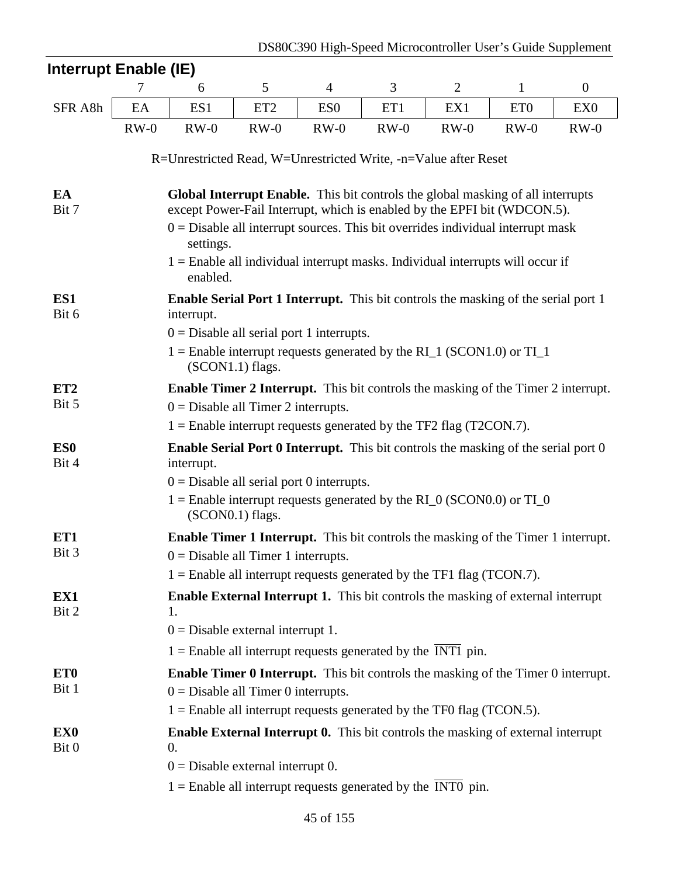| Interrupt Enable (IE)                                           |                                                                                                |                                                                                                         |                    |                 |        |                |                 |                  |  |  |  |
|-----------------------------------------------------------------|------------------------------------------------------------------------------------------------|---------------------------------------------------------------------------------------------------------|--------------------|-----------------|--------|----------------|-----------------|------------------|--|--|--|
|                                                                 | 7                                                                                              | 6                                                                                                       | 5                  | 4               | 3      | $\overline{2}$ | $\mathbf{1}$    | $\boldsymbol{0}$ |  |  |  |
| SFR A8h                                                         | EA                                                                                             | ES1                                                                                                     | ET <sub>2</sub>    | ES <sub>0</sub> | ET1    | EX1            | ET <sub>0</sub> | EX <sub>0</sub>  |  |  |  |
|                                                                 | $RW-0$                                                                                         | $RW-0$                                                                                                  | $RW-0$             | $RW-0$          | $RW-0$ | $RW-0$         | $RW-0$          | $RW-0$           |  |  |  |
|                                                                 |                                                                                                |                                                                                                         |                    |                 |        |                |                 |                  |  |  |  |
| R=Unrestricted Read, W=Unrestricted Write, -n=Value after Reset |                                                                                                |                                                                                                         |                    |                 |        |                |                 |                  |  |  |  |
| EA                                                              | Global Interrupt Enable. This bit controls the global masking of all interrupts                |                                                                                                         |                    |                 |        |                |                 |                  |  |  |  |
| Bit 7                                                           | except Power-Fail Interrupt, which is enabled by the EPFI bit (WDCON.5).                       |                                                                                                         |                    |                 |        |                |                 |                  |  |  |  |
|                                                                 | $0 =$ Disable all interrupt sources. This bit overrides individual interrupt mask<br>settings. |                                                                                                         |                    |                 |        |                |                 |                  |  |  |  |
|                                                                 | $1 =$ Enable all individual interrupt masks. Individual interrupts will occur if<br>enabled.   |                                                                                                         |                    |                 |        |                |                 |                  |  |  |  |
| ES1<br>Bit 6                                                    |                                                                                                | <b>Enable Serial Port 1 Interrupt.</b> This bit controls the masking of the serial port 1<br>interrupt. |                    |                 |        |                |                 |                  |  |  |  |
|                                                                 |                                                                                                | $0 =$ Disable all serial port 1 interrupts.                                                             |                    |                 |        |                |                 |                  |  |  |  |
|                                                                 |                                                                                                | $1 =$ Enable interrupt requests generated by the RI_1 (SCON1.0) or TI_1                                 | (SCON1.1) flags.   |                 |        |                |                 |                  |  |  |  |
| ET <sub>2</sub>                                                 | <b>Enable Timer 2 Interrupt.</b> This bit controls the masking of the Timer 2 interrupt.       |                                                                                                         |                    |                 |        |                |                 |                  |  |  |  |
| Bit 5                                                           |                                                                                                | $0 =$ Disable all Timer 2 interrupts.                                                                   |                    |                 |        |                |                 |                  |  |  |  |
|                                                                 |                                                                                                | $1 =$ Enable interrupt requests generated by the TF2 flag (T2CON.7).                                    |                    |                 |        |                |                 |                  |  |  |  |
| ES <sub>0</sub><br>Bit 4                                        |                                                                                                | <b>Enable Serial Port 0 Interrupt.</b> This bit controls the masking of the serial port 0<br>interrupt. |                    |                 |        |                |                 |                  |  |  |  |
|                                                                 |                                                                                                | $0 =$ Disable all serial port 0 interrupts.                                                             |                    |                 |        |                |                 |                  |  |  |  |
|                                                                 |                                                                                                | $1 =$ Enable interrupt requests generated by the RI_0 (SCON0.0) or TI_0                                 | $(SCON0.1)$ flags. |                 |        |                |                 |                  |  |  |  |
| ET1                                                             |                                                                                                | <b>Enable Timer 1 Interrupt.</b> This bit controls the masking of the Timer 1 interrupt.                |                    |                 |        |                |                 |                  |  |  |  |
| Bit 3                                                           |                                                                                                | $0 =$ Disable all Timer 1 interrupts.                                                                   |                    |                 |        |                |                 |                  |  |  |  |
|                                                                 |                                                                                                | $1 =$ Enable all interrupt requests generated by the TF1 flag (TCON.7).                                 |                    |                 |        |                |                 |                  |  |  |  |
| EX1<br>Bit 2                                                    |                                                                                                | <b>Enable External Interrupt 1.</b> This bit controls the masking of external interrupt<br>1.           |                    |                 |        |                |                 |                  |  |  |  |
|                                                                 |                                                                                                | $0 =$ Disable external interrupt 1.                                                                     |                    |                 |        |                |                 |                  |  |  |  |
|                                                                 |                                                                                                | $1 =$ Enable all interrupt requests generated by the INT1 pin.                                          |                    |                 |        |                |                 |                  |  |  |  |
| ET <sub>0</sub>                                                 |                                                                                                | Enable Timer 0 Interrupt. This bit controls the masking of the Timer 0 interrupt.                       |                    |                 |        |                |                 |                  |  |  |  |
| Bit 1                                                           |                                                                                                | $0 =$ Disable all Timer 0 interrupts.                                                                   |                    |                 |        |                |                 |                  |  |  |  |
|                                                                 |                                                                                                | $1 =$ Enable all interrupt requests generated by the TF0 flag (TCON.5).                                 |                    |                 |        |                |                 |                  |  |  |  |
| EX <sub>0</sub><br>Bit 0                                        |                                                                                                | Enable External Interrupt 0. This bit controls the masking of external interrupt<br>$\theta$ .          |                    |                 |        |                |                 |                  |  |  |  |
|                                                                 |                                                                                                | $0 =$ Disable external interrupt 0.                                                                     |                    |                 |        |                |                 |                  |  |  |  |
|                                                                 |                                                                                                | $1 =$ Enable all interrupt requests generated by the INT0 pin.                                          |                    |                 |        |                |                 |                  |  |  |  |
|                                                                 |                                                                                                |                                                                                                         |                    |                 |        |                |                 |                  |  |  |  |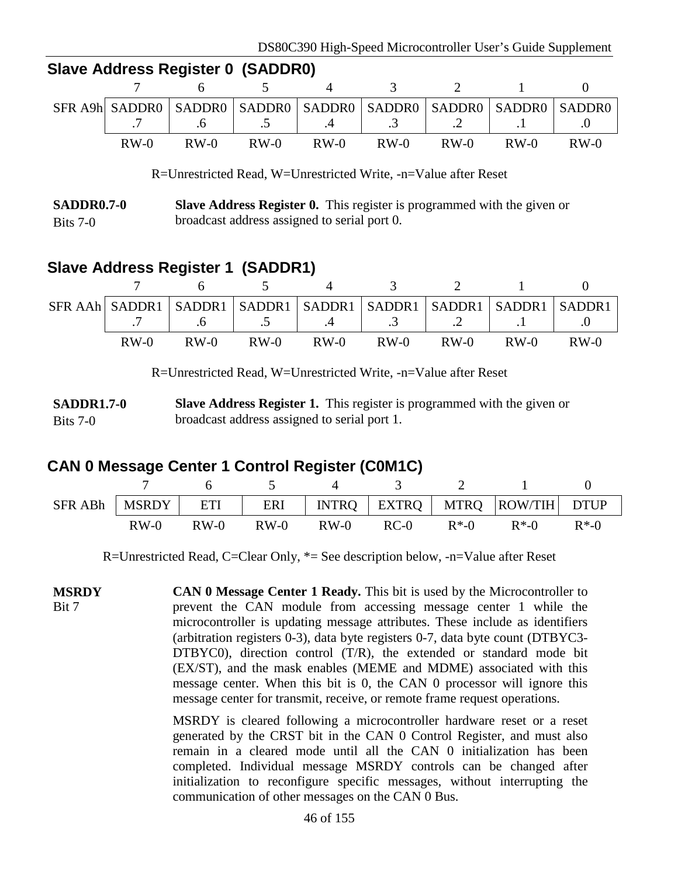|        |               | 0.000 AUGU 000 AUGU 0000 V 0000 V 000 |                                             |                             |                                                                               |
|--------|---------------|---------------------------------------|---------------------------------------------|-----------------------------|-------------------------------------------------------------------------------|
|        |               |                                       | 7 6 5 4                                     | $\frac{3}{2}$ $\frac{2}{1}$ |                                                                               |
|        |               |                                       |                                             |                             | SFR A9h SADDRO   SADDRO   SADDRO   SADDRO   SADDRO   SADDRO   SADDRO   SADDRO |
|        |               |                                       | $7 \t 6 \t 5 \t 4 \t 3 \t 2 \t 1 \t 1 \t 0$ |                             |                                                                               |
| $RW-0$ | $RW-0$ $RW-0$ |                                       | $RW-0$ $RW-0$ $RW-0$ $RW-0$ $RW-0$          |                             | $RW-0$                                                                        |

#### **Slave Address Register 0 (SADDR0)**

R=Unrestricted Read, W=Unrestricted Write, -n=Value after Reset

#### **SADDR0.7-0** Bits 7-0 **Slave Address Register 0.** This register is programmed with the given or broadcast address assigned to serial port 0.

# **Slave Address Register 1 (SADDR1)**

|        |        |                                                                                         |        |                                       |        |        | SFR AAh SADDR1   SADDR1   SADDR1   SADDR1   SADDR1   SADDR1   SADDR1   SADDR1 |
|--------|--------|-----------------------------------------------------------------------------------------|--------|---------------------------------------|--------|--------|-------------------------------------------------------------------------------|
|        |        | $\begin{array}{ccccccc} .6 & & \end{array}$ $\begin{array}{ccccccc} .5 & & \end{array}$ |        | $.4 \quad 3 \quad 2 \quad 1 \quad .1$ |        |        |                                                                               |
| $RW-0$ | $RW-0$ | $RW-0$                                                                                  | $RW-0$ | $RW-0$                                | $RW-0$ | $RW-0$ | $RW-0$                                                                        |

R=Unrestricted Read, W=Unrestricted Write, -n=Value after Reset

**SADDR1.7-0** Bits 7-0 **Slave Address Register 1.** This register is programmed with the given or broadcast address assigned to serial port 1.

### **CAN 0 Message Center 1 Control Register (C0M1C)**

| SFR ABh   MSRDY |        | ETI    |        |        |        |          | ERI   INTRQ   EXTRQ   MTRQ   ROW/TIH   DTUP |          |
|-----------------|--------|--------|--------|--------|--------|----------|---------------------------------------------|----------|
|                 | $RW-0$ | $RW-0$ | $RW-0$ | $RW-0$ | $RC-0$ | $R^*$ -0 | $R*.0$                                      | $R^*$ -0 |

R=Unrestricted Read, C=Clear Only, \*= See description below, -n=Value after Reset

**MSRDY** Bit 7 **CAN 0 Message Center 1 Ready.** This bit is used by the Microcontroller to prevent the CAN module from accessing message center 1 while the microcontroller is updating message attributes. These include as identifiers (arbitration registers 0-3), data byte registers 0-7, data byte count (DTBYC3- DTBYC0), direction control (T/R), the extended or standard mode bit (EX/ST), and the mask enables (MEME and MDME) associated with this message center. When this bit is 0, the CAN 0 processor will ignore this message center for transmit, receive, or remote frame request operations.

> MSRDY is cleared following a microcontroller hardware reset or a reset generated by the CRST bit in the CAN 0 Control Register, and must also remain in a cleared mode until all the CAN 0 initialization has been completed. Individual message MSRDY controls can be changed after initialization to reconfigure specific messages, without interrupting the communication of other messages on the CAN 0 Bus.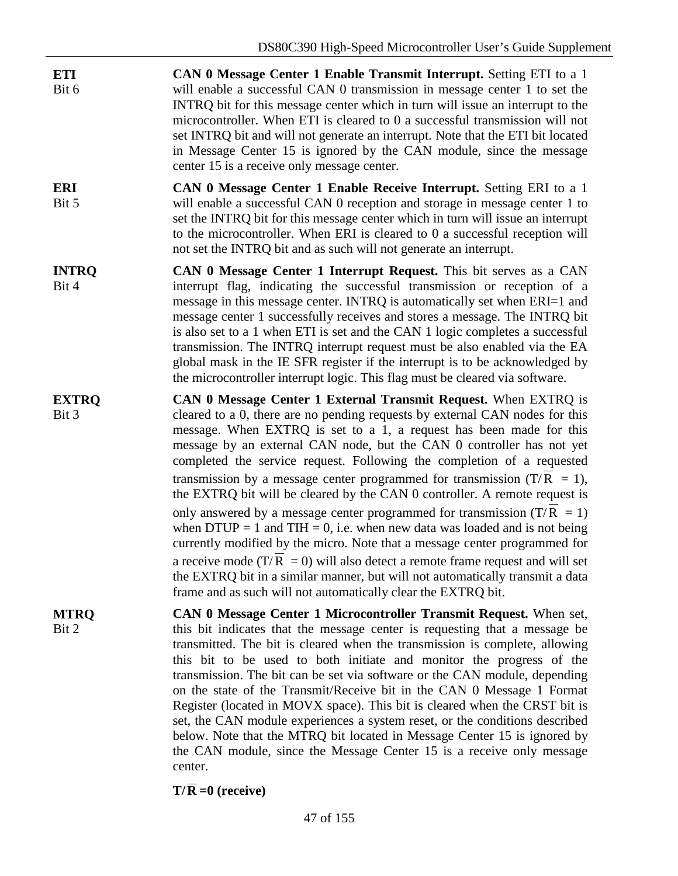- **ETI** Bit 6 **CAN 0 Message Center 1 Enable Transmit Interrupt.** Setting ETI to a 1 will enable a successful CAN 0 transmission in message center 1 to set the INTRQ bit for this message center which in turn will issue an interrupt to the microcontroller. When ETI is cleared to 0 a successful transmission will not set INTRQ bit and will not generate an interrupt. Note that the ETI bit located in Message Center 15 is ignored by the CAN module, since the message center 15 is a receive only message center.
- **ERI** Bit 5 **CAN 0 Message Center 1 Enable Receive Interrupt.** Setting ERI to a 1 will enable a successful CAN 0 reception and storage in message center 1 to set the INTRQ bit for this message center which in turn will issue an interrupt to the microcontroller. When ERI is cleared to 0 a successful reception will not set the INTRQ bit and as such will not generate an interrupt.
- **INTRQ** Bit 4 **CAN 0 Message Center 1 Interrupt Request.** This bit serves as a CAN interrupt flag, indicating the successful transmission or reception of a message in this message center. INTRQ is automatically set when ERI=1 and message center 1 successfully receives and stores a message. The INTRQ bit is also set to a 1 when ETI is set and the CAN 1 logic completes a successful transmission. The INTRQ interrupt request must be also enabled via the EA global mask in the IE SFR register if the interrupt is to be acknowledged by the microcontroller interrupt logic. This flag must be cleared via software.
- **EXTRQ** Bit 3 **CAN 0 Message Center 1 External Transmit Request.** When EXTRQ is cleared to a 0, there are no pending requests by external CAN nodes for this message. When EXTRQ is set to a 1, a request has been made for this message by an external CAN node, but the CAN 0 controller has not yet completed the service request. Following the completion of a requested transmission by a message center programmed for transmission (T/R = 1), the EXTRQ bit will be cleared by the CAN 0 controller. A remote request is only answered by a message center programmed for transmission  $(T/R = 1)$ when  $DTUP = 1$  and  $THI = 0$ , i.e. when new data was loaded and is not being currently modified by the micro. Note that a message center programmed for a receive mode ( $T/R = 0$ ) will also detect a remote frame request and will set the EXTRQ bit in a similar manner, but will not automatically transmit a data frame and as such will not automatically clear the EXTRQ bit.
- **MTRQ** Bit 2 **CAN 0 Message Center 1 Microcontroller Transmit Request.** When set, this bit indicates that the message center is requesting that a message be transmitted. The bit is cleared when the transmission is complete, allowing this bit to be used to both initiate and monitor the progress of the transmission. The bit can be set via software or the CAN module, depending on the state of the Transmit/Receive bit in the CAN 0 Message 1 Format Register (located in MOVX space). This bit is cleared when the CRST bit is set, the CAN module experiences a system reset, or the conditions described below. Note that the MTRQ bit located in Message Center 15 is ignored by the CAN module, since the Message Center 15 is a receive only message center.

 $T/\overline{R} = 0$  (receive)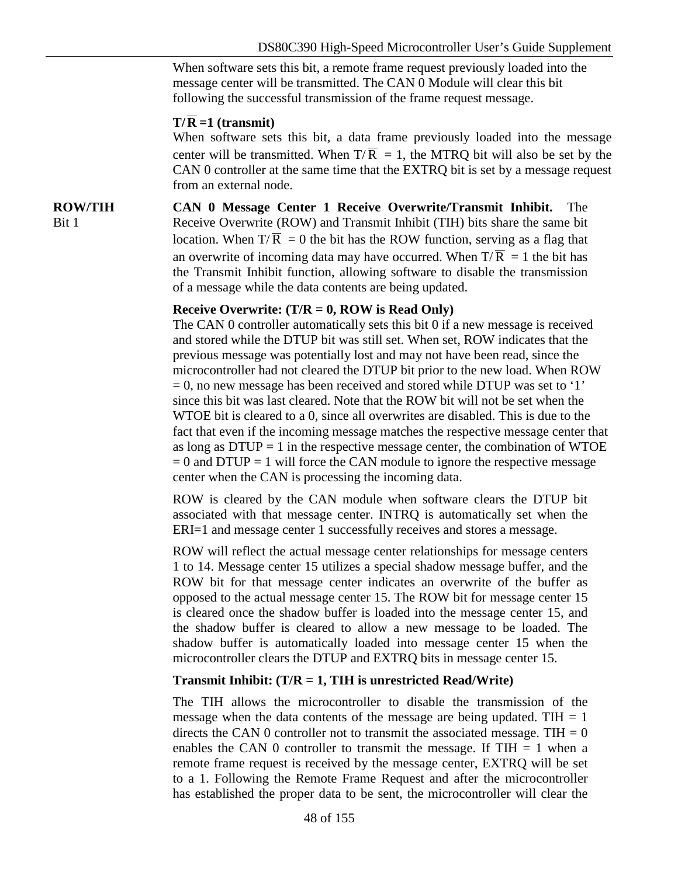When software sets this bit, a remote frame request previously loaded into the message center will be transmitted. The CAN 0 Module will clear this bit following the successful transmission of the frame request message.

#### $T/\overline{R}$  =1 (transmit)

When software sets this bit, a data frame previously loaded into the message center will be transmitted. When  $T/\overline{R} = 1$ , the MTRQ bit will also be set by the CAN 0 controller at the same time that the EXTRQ bit is set by a message request from an external node.

**ROW/TIH** Bit 1 **CAN 0 Message Center 1 Receive Overwrite/Transmit Inhibit.** The Receive Overwrite (ROW) and Transmit Inhibit (TIH) bits share the same bit location. When  $T/\overline{R} = 0$  the bit has the ROW function, serving as a flag that an overwrite of incoming data may have occurred. When  $T/\overline{R} = 1$  the bit has the Transmit Inhibit function, allowing software to disable the transmission of a message while the data contents are being updated.

#### **Receive Overwrite: (T/R = 0, ROW is Read Only)**

The CAN 0 controller automatically sets this bit 0 if a new message is received and stored while the DTUP bit was still set. When set, ROW indicates that the previous message was potentially lost and may not have been read, since the microcontroller had not cleared the DTUP bit prior to the new load. When ROW  $= 0$ , no new message has been received and stored while DTUP was set to '1' since this bit was last cleared. Note that the ROW bit will not be set when the WTOE bit is cleared to a 0, since all overwrites are disabled. This is due to the fact that even if the incoming message matches the respective message center that as long as  $DTUP = 1$  in the respective message center, the combination of WTOE  $= 0$  and DTUP  $= 1$  will force the CAN module to ignore the respective message center when the CAN is processing the incoming data.

ROW is cleared by the CAN module when software clears the DTUP bit associated with that message center. INTRQ is automatically set when the ERI=1 and message center 1 successfully receives and stores a message.

ROW will reflect the actual message center relationships for message centers 1 to 14. Message center 15 utilizes a special shadow message buffer, and the ROW bit for that message center indicates an overwrite of the buffer as opposed to the actual message center 15. The ROW bit for message center 15 is cleared once the shadow buffer is loaded into the message center 15, and the shadow buffer is cleared to allow a new message to be loaded. The shadow buffer is automatically loaded into message center 15 when the microcontroller clears the DTUP and EXTRQ bits in message center 15.

#### **Transmit Inhibit: (T/R = 1, TIH is unrestricted Read/Write)**

The TIH allows the microcontroller to disable the transmission of the message when the data contents of the message are being updated. TIH  $= 1$ directs the CAN 0 controller not to transmit the associated message. TIH  $= 0$ enables the CAN 0 controller to transmit the message. If  $THH = 1$  when a remote frame request is received by the message center, EXTRQ will be set to a 1. Following the Remote Frame Request and after the microcontroller has established the proper data to be sent, the microcontroller will clear the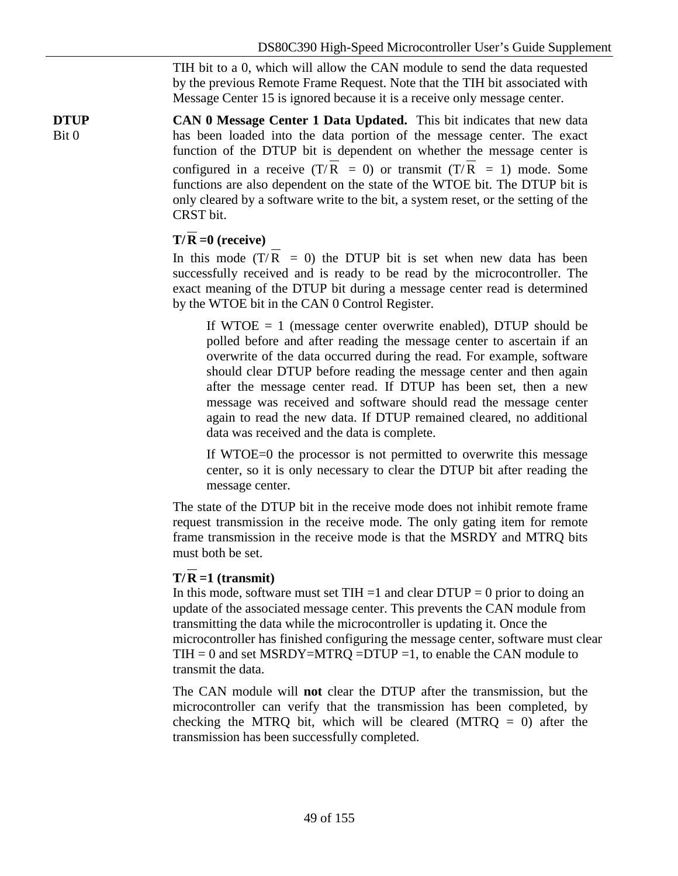TIH bit to a 0, which will allow the CAN module to send the data requested by the previous Remote Frame Request. Note that the TIH bit associated with Message Center 15 is ignored because it is a receive only message center.

**DTUP** Bit 0 **CAN 0 Message Center 1 Data Updated.** This bit indicates that new data has been loaded into the data portion of the message center. The exact function of the DTUP bit is dependent on whether the message center is configured in a receive  $(T/\overline{R} = 0)$  or transmit  $(T/\overline{R} = 1)$  mode. Some functions are also dependent on the state of the WTOE bit. The DTUP bit is only cleared by a software write to the bit, a system reset, or the setting of the CRST bit.

#### $T/R = 0$  (receive)

In this mode  $(T/R = 0)$  the DTUP bit is set when new data has been successfully received and is ready to be read by the microcontroller. The exact meaning of the DTUP bit during a message center read is determined by the WTOE bit in the CAN 0 Control Register.

If WTOE  $= 1$  (message center overwrite enabled), DTUP should be polled before and after reading the message center to ascertain if an overwrite of the data occurred during the read. For example, software should clear DTUP before reading the message center and then again after the message center read. If DTUP has been set, then a new message was received and software should read the message center again to read the new data. If DTUP remained cleared, no additional data was received and the data is complete.

If WTOE=0 the processor is not permitted to overwrite this message center, so it is only necessary to clear the DTUP bit after reading the message center.

The state of the DTUP bit in the receive mode does not inhibit remote frame request transmission in the receive mode. The only gating item for remote frame transmission in the receive mode is that the MSRDY and MTRQ bits must both be set.

#### $T/R = 1$  (transmit)

In this mode, software must set TIH  $=1$  and clear DTUP  $= 0$  prior to doing an update of the associated message center. This prevents the CAN module from transmitting the data while the microcontroller is updating it. Once the microcontroller has finished configuring the message center, software must clear  $TH = 0$  and set MSRDY=MTRQ =DTUP =1, to enable the CAN module to transmit the data.

The CAN module will **not** clear the DTUP after the transmission, but the microcontroller can verify that the transmission has been completed, by checking the MTRQ bit, which will be cleared (MTRQ  $= 0$ ) after the transmission has been successfully completed.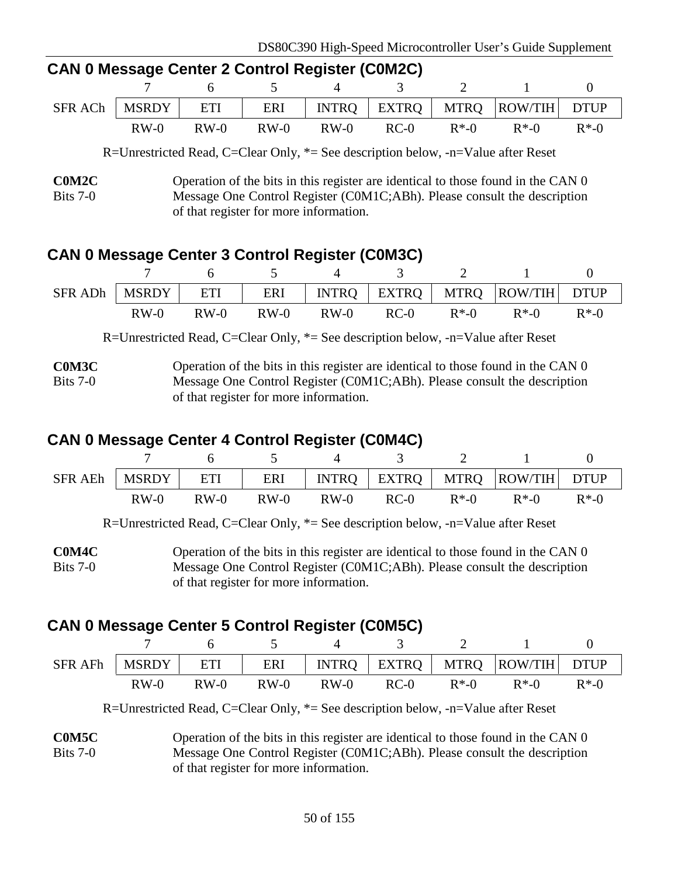| CAN U MESSAYE CENTER Z CONTROL REGISTER (CUMIZO) |        |        |  |  |               |  |                                                                     |  |  |
|--------------------------------------------------|--------|--------|--|--|---------------|--|---------------------------------------------------------------------|--|--|
|                                                  |        |        |  |  | 7 6 5 4 3 2 1 |  |                                                                     |  |  |
|                                                  |        |        |  |  |               |  | SFR ACh   MSRDY   ETI   ERI   INTRO   EXTRO   MTRO   ROW/TIH   DTUP |  |  |
|                                                  | $RW-0$ | $RW-0$ |  |  |               |  | $RW-0$ $RW-0$ $RC-0$ $R*-0$ $R*-0$ $R*-0$                           |  |  |

**CAN 0 Message Center 2 Control Register (C0M2C)**

R=Unrestricted Read, C=Clear Only, \*= See description below, -n=Value after Reset

# **CAN 0 Message Center 3 Control Register (C0M3C)**

|        |        |      |        |        |          | SFR ADh   MSRDY   ETI   ERI   INTRQ   EXTRQ   MTRQ   ROW/TIH   DTUP |          |
|--------|--------|------|--------|--------|----------|---------------------------------------------------------------------|----------|
| $RW-0$ | $RW-0$ | RW-0 | $RW-0$ | $RC-0$ | $R^*$ -0 | $R^*$ -0                                                            | $R^*$ -0 |

R=Unrestricted Read, C=Clear Only, \*= See description below, -n=Value after Reset

**C0M3C** Bits 7-0 Operation of the bits in this register are identical to those found in the CAN 0 Message One Control Register (C0M1C;ABh). Please consult the description of that register for more information.

# **CAN 0 Message Center 4 Control Register (C0M4C)**

| SFR AEh   MSRDY |        | ETI    |        |        |      |          | ERI   INTRQ   EXTRQ   MTRQ   ROW/TIH   DTUP |          |
|-----------------|--------|--------|--------|--------|------|----------|---------------------------------------------|----------|
|                 | $RW-0$ | $RW-0$ | $RW-0$ | $RW-0$ | RC-0 | $R^*$ -0 | $R^*$ -0                                    | $R^*$ -0 |

R=Unrestricted Read, C=Clear Only, \*= See description below, -n=Value after Reset

**C0M4C** Bits 7-0 Operation of the bits in this register are identical to those found in the CAN 0 Message One Control Register (C0M1C;ABh). Please consult the description of that register for more information.

# **CAN 0 Message Center 5 Control Register (C0M5C)**

|        |        |        |        |        |          | SFR AFh   MSRDY   ETI   ERI   INTRQ   EXTRQ   MTRQ   ROW/TIH   DTUP |          |
|--------|--------|--------|--------|--------|----------|---------------------------------------------------------------------|----------|
| $RW-0$ | $RW-0$ | $RW-0$ | $RW-0$ | $RC-0$ | $R^*$ -0 | $R^*$ -0                                                            | $R^*$ -0 |

R=Unrestricted Read, C=Clear Only, \*= See description below, -n=Value after Reset

**C0M5C** Bits 7-0 Operation of the bits in this register are identical to those found in the CAN 0 Message One Control Register (C0M1C;ABh). Please consult the description of that register for more information.

**C0M2C** Bits 7-0 Operation of the bits in this register are identical to those found in the CAN 0 Message One Control Register (C0M1C;ABh). Please consult the description of that register for more information.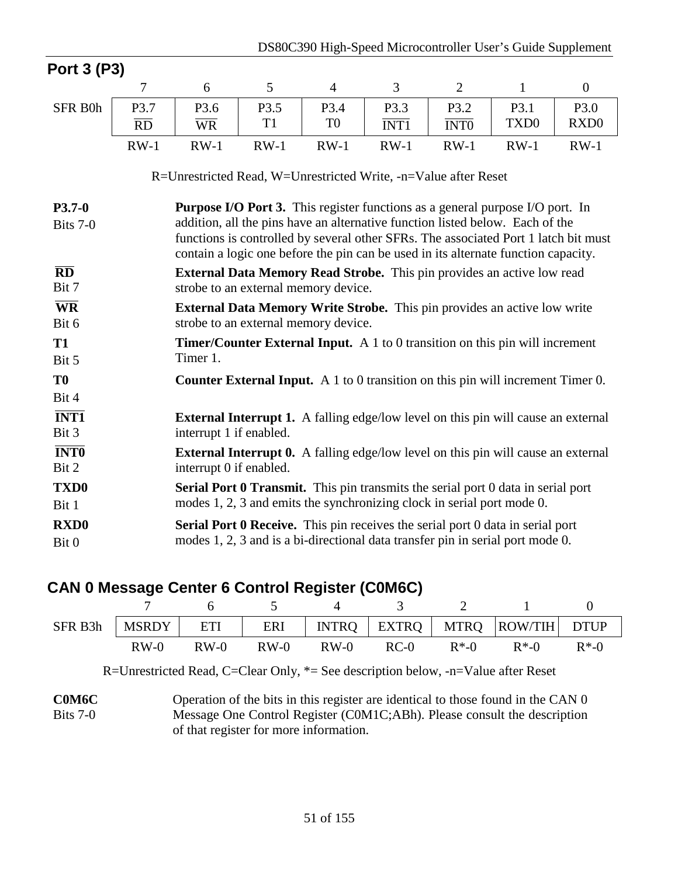| Port 3 (P3)                                           |                 |                                                                                                                                                                                                                                                                                                                                                    |                |                |                          |                          |                  |                  |  |  |
|-------------------------------------------------------|-----------------|----------------------------------------------------------------------------------------------------------------------------------------------------------------------------------------------------------------------------------------------------------------------------------------------------------------------------------------------------|----------------|----------------|--------------------------|--------------------------|------------------|------------------|--|--|
|                                                       | 7               | 6                                                                                                                                                                                                                                                                                                                                                  | 5              | $\overline{4}$ | 3                        | $\overline{2}$           | $\mathbf{1}$     | $\boldsymbol{0}$ |  |  |
| SFR B0h                                               | P3.7            | P3.6                                                                                                                                                                                                                                                                                                                                               | P3.5           | P3.4           | P3.3                     | P3.2                     | P3.1             | P3.0             |  |  |
|                                                       | $\overline{RD}$ | $\overline{\text{WR}}$                                                                                                                                                                                                                                                                                                                             | T <sub>1</sub> | T <sub>0</sub> | $\overline{\text{INT1}}$ | $\overline{\text{INT0}}$ | TXD <sub>0</sub> | RXD <sub>0</sub> |  |  |
|                                                       | $RW-1$          | $RW-1$                                                                                                                                                                                                                                                                                                                                             | $RW-1$         | $RW-1$         | $RW-1$                   | $RW-1$                   | $RW-1$           | $RW-1$           |  |  |
|                                                       |                 | R=Unrestricted Read, W=Unrestricted Write, -n=Value after Reset                                                                                                                                                                                                                                                                                    |                |                |                          |                          |                  |                  |  |  |
| $P3.7-0$<br>Bits 7-0                                  |                 | <b>Purpose I/O Port 3.</b> This register functions as a general purpose I/O port. In<br>addition, all the pins have an alternative function listed below. Each of the<br>functions is controlled by several other SFRs. The associated Port 1 latch bit must<br>contain a logic one before the pin can be used in its alternate function capacity. |                |                |                          |                          |                  |                  |  |  |
| $\overline{\mathbf{R}}\overline{\mathbf{D}}$<br>Bit 7 |                 | <b>External Data Memory Read Strobe.</b> This pin provides an active low read<br>strobe to an external memory device.                                                                                                                                                                                                                              |                |                |                          |                          |                  |                  |  |  |
| $\overline{\text{WR}}$<br>Bit 6                       |                 | <b>External Data Memory Write Strobe.</b> This pin provides an active low write<br>strobe to an external memory device.                                                                                                                                                                                                                            |                |                |                          |                          |                  |                  |  |  |
| <b>T1</b><br>Bit 5                                    |                 | <b>Timer/Counter External Input.</b> A 1 to 0 transition on this pin will increment<br>Timer 1.                                                                                                                                                                                                                                                    |                |                |                          |                          |                  |                  |  |  |
| T <sub>0</sub><br>Bit 4                               |                 | <b>Counter External Input.</b> A 1 to 0 transition on this pin will increment Timer 0.                                                                                                                                                                                                                                                             |                |                |                          |                          |                  |                  |  |  |
| $\overline{\text{INT1}}$<br>Bit 3                     |                 | <b>External Interrupt 1.</b> A falling edge/low level on this pin will cause an external<br>interrupt 1 if enabled.                                                                                                                                                                                                                                |                |                |                          |                          |                  |                  |  |  |
| <b>INTO</b><br>Bit 2                                  |                 | <b>External Interrupt 0.</b> A falling edge/low level on this pin will cause an external<br>interrupt 0 if enabled.                                                                                                                                                                                                                                |                |                |                          |                          |                  |                  |  |  |
| TXD <sub>0</sub><br>Bit 1                             |                 | <b>Serial Port 0 Transmit.</b> This pin transmits the serial port 0 data in serial port<br>modes 1, 2, 3 and emits the synchronizing clock in serial port mode 0.                                                                                                                                                                                  |                |                |                          |                          |                  |                  |  |  |
| <b>RXD0</b><br>Bit 0                                  |                 | <b>Serial Port 0 Receive.</b> This pin receives the serial port 0 data in serial port<br>modes 1, 2, 3 and is a bi-directional data transfer pin in serial port mode 0.                                                                                                                                                                            |                |                |                          |                          |                  |                  |  |  |

### **CAN 0 Message Center 6 Control Register (C0M6C)**

| SFR B3h | <b>MSRDY</b> | ETI    |        |        |        |          | ERI   INTRQ   EXTRQ   MTRQ  ROW/TIH   DTUP |          |
|---------|--------------|--------|--------|--------|--------|----------|--------------------------------------------|----------|
|         | $RW-0$       | $RW-0$ | $RW-0$ | $RW-0$ | $RC-0$ | $R^*$ -0 | $R*.0$                                     | $R^*$ -0 |

R=Unrestricted Read, C=Clear Only, \*= See description below, -n=Value after Reset

**C0M6C** Bits 7-0 Operation of the bits in this register are identical to those found in the CAN 0 Message One Control Register (C0M1C;ABh). Please consult the description of that register for more information.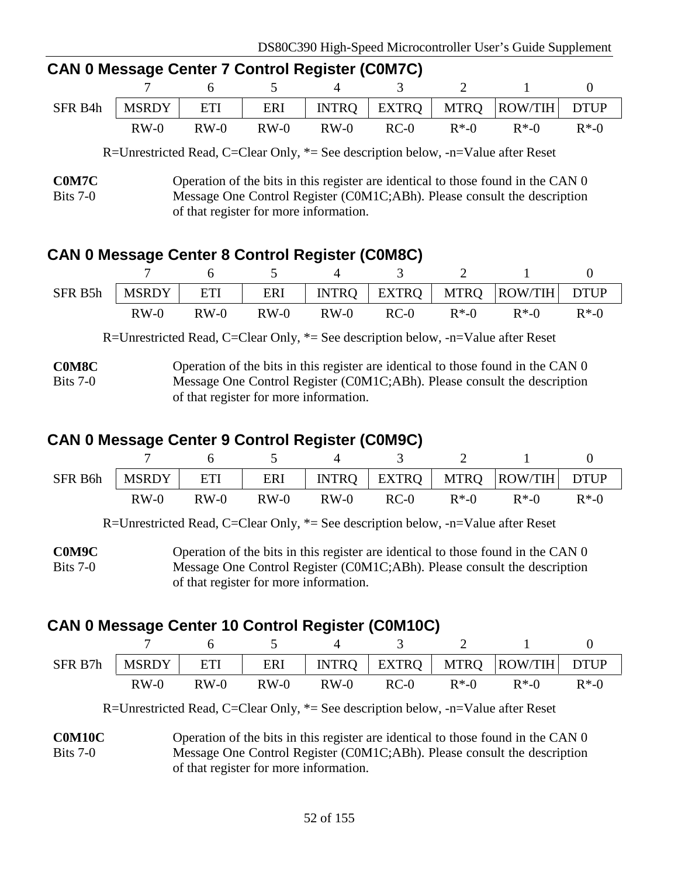| <u>CAN U MCSSAYE CENTER TEQUITION NEQISTER (CUMPLE)</u> |        |        |        |        |        |          |                                                           |          |
|---------------------------------------------------------|--------|--------|--------|--------|--------|----------|-----------------------------------------------------------|----------|
|                                                         |        |        |        |        |        |          | $7 \t 6 \t 5 \t 4 \t 3 \t 2 \t 1$                         |          |
| SFR B4h                                                 |        |        |        |        |        |          | MSRDY   ETI   ERI   INTRQ   EXTRQ   MTRQ   ROW/TIH   DTUP |          |
|                                                         | $RW-0$ | $RW-0$ | $RW-0$ | $RW-0$ | $RC-0$ | $R^*$ -0 | $R^*$ -0                                                  | $R^*$ -0 |

# **CAN 0 Message Center 7 Control Register (C0M7C)**

R=Unrestricted Read, C=Clear Only, \*= See description below, -n=Value after Reset

### **CAN 0 Message Center 8 Control Register (C0M8C)**

| SFR B5h |        |        |        |        |        |          | MSRDY   ETI   ERI   INTRQ   EXTRQ   MTRQ   ROW/TIH   DTUP |          |
|---------|--------|--------|--------|--------|--------|----------|-----------------------------------------------------------|----------|
|         | $RW-0$ | $RW-0$ | $RW-0$ | $RW-0$ | $RC-0$ | $R^*$ -0 | $R*.0$                                                    | $R^*$ -0 |

R=Unrestricted Read, C=Clear Only, \*= See description below, -n=Value after Reset

**C0M8C** Bits 7-0 Operation of the bits in this register are identical to those found in the CAN 0 Message One Control Register (C0M1C;ABh). Please consult the description of that register for more information.

# **CAN 0 Message Center 9 Control Register (C0M9C)**

| SFR B6h | MSRDY   ETI |        |        |        |        |          | ERI   INTRQ   EXTRQ   MTRQ  ROW/TIH   DTUP |          |
|---------|-------------|--------|--------|--------|--------|----------|--------------------------------------------|----------|
|         | $RW-0$      | $RW-0$ | $RW-0$ | $RW-0$ | $RC-0$ | $R^*$ -0 | $R^*$ -0                                   | $R^*$ -0 |

R=Unrestricted Read, C=Clear Only, \*= See description below, -n=Value after Reset

**C0M9C** Bits 7-0 Operation of the bits in this register are identical to those found in the CAN 0 Message One Control Register (C0M1C;ABh). Please consult the description of that register for more information.

# **CAN 0 Message Center 10 Control Register (C0M10C)**

| SFR B7h | <b>MSRDY</b> | ETI    |        |        |      |          | ERI   INTRQ   EXTRQ   MTRQ   ROW/TIH   DTUP |          |
|---------|--------------|--------|--------|--------|------|----------|---------------------------------------------|----------|
|         | $RW-0$       | $RW-0$ | $RW-0$ | $RW-0$ | RC-0 | $R^*$ -0 | $R*.0$                                      | $R^*$ -0 |

R=Unrestricted Read, C=Clear Only, \*= See description below, -n=Value after Reset

**C0M10C** Bits 7-0 Operation of the bits in this register are identical to those found in the CAN 0 Message One Control Register (C0M1C;ABh). Please consult the description of that register for more information.

**C0M7C** Bits 7-0 Operation of the bits in this register are identical to those found in the CAN 0 Message One Control Register (C0M1C;ABh). Please consult the description of that register for more information.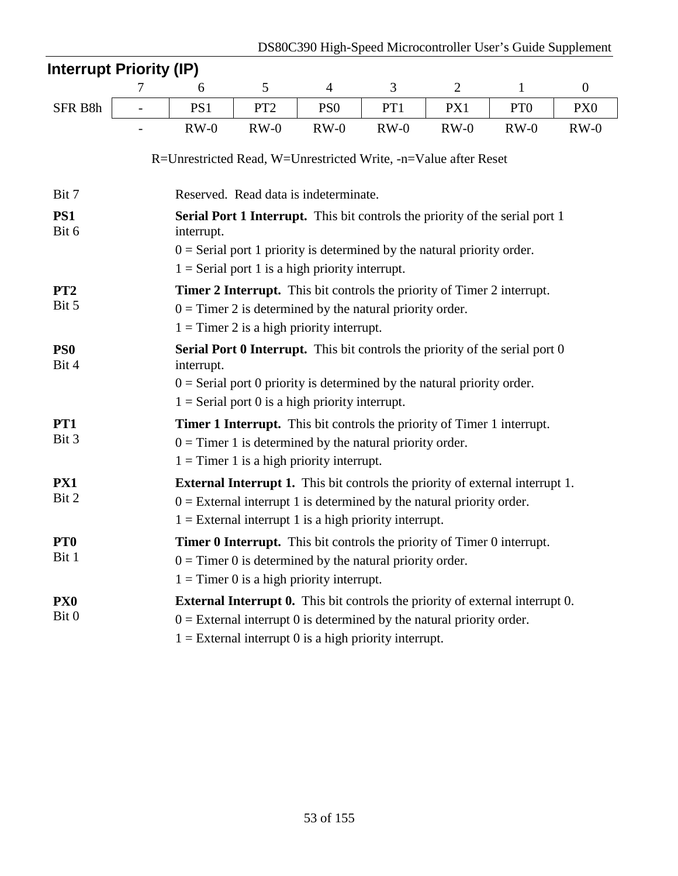| <b>Interrupt Priority (IP)</b> |   |                                                                 |                 |                                                                                                                                                                                                                             |        |                |                 |                  |
|--------------------------------|---|-----------------------------------------------------------------|-----------------|-----------------------------------------------------------------------------------------------------------------------------------------------------------------------------------------------------------------------------|--------|----------------|-----------------|------------------|
|                                | 7 | 6                                                               | 5               | $\overline{4}$                                                                                                                                                                                                              | 3      | $\overline{2}$ | $\mathbf{1}$    | $\boldsymbol{0}$ |
| SFR B8h                        |   | PS1                                                             | PT <sub>2</sub> | PS <sub>0</sub>                                                                                                                                                                                                             | PT1    | PX1            | PT <sub>0</sub> | PX <sub>0</sub>  |
|                                |   | $RW-0$                                                          | $RW-0$          | $RW-0$                                                                                                                                                                                                                      | $RW-0$ | $RW-0$         | $RW-0$          | $RW-0$           |
|                                |   | R=Unrestricted Read, W=Unrestricted Write, -n=Value after Reset |                 |                                                                                                                                                                                                                             |        |                |                 |                  |
| Bit 7                          |   |                                                                 |                 | Reserved. Read data is indeterminate.                                                                                                                                                                                       |        |                |                 |                  |
| PS1<br>Bit 6                   |   | interrupt.                                                      |                 | <b>Serial Port 1 Interrupt.</b> This bit controls the priority of the serial port 1                                                                                                                                         |        |                |                 |                  |
|                                |   |                                                                 |                 | $0 =$ Serial port 1 priority is determined by the natural priority order.<br>$1 =$ Serial port 1 is a high priority interrupt.                                                                                              |        |                |                 |                  |
| PT <sub>2</sub><br>Bit 5       |   |                                                                 |                 | <b>Timer 2 Interrupt.</b> This bit controls the priority of Timer 2 interrupt.<br>$0 =$ Timer 2 is determined by the natural priority order.<br>$1 =$ Timer 2 is a high priority interrupt.                                 |        |                |                 |                  |
| PS <sub>0</sub><br>Bit 4       |   | interrupt.                                                      |                 | Serial Port 0 Interrupt. This bit controls the priority of the serial port 0<br>$0 =$ Serial port 0 priority is determined by the natural priority order.<br>$1 =$ Serial port 0 is a high priority interrupt.              |        |                |                 |                  |
| PT1<br>Bit 3                   |   |                                                                 |                 | <b>Timer 1 Interrupt.</b> This bit controls the priority of Timer 1 interrupt.<br>$0 =$ Timer 1 is determined by the natural priority order.<br>$1 =$ Timer 1 is a high priority interrupt.                                 |        |                |                 |                  |
| PX1<br>Bit 2                   |   |                                                                 |                 | <b>External Interrupt 1.</b> This bit controls the priority of external interrupt 1.<br>$0 =$ External interrupt 1 is determined by the natural priority order.<br>$1 =$ External interrupt 1 is a high priority interrupt. |        |                |                 |                  |
| PT <sub>0</sub><br>Bit 1       |   |                                                                 |                 | <b>Timer 0 Interrupt.</b> This bit controls the priority of Timer 0 interrupt.<br>$0 =$ Timer 0 is determined by the natural priority order.<br>$1 =$ Timer 0 is a high priority interrupt.                                 |        |                |                 |                  |
| PX <sub>0</sub><br>Bit 0       |   |                                                                 |                 | <b>External Interrupt 0.</b> This bit controls the priority of external interrupt 0.<br>$0 =$ External interrupt 0 is determined by the natural priority order.<br>$1 =$ External interrupt 0 is a high priority interrupt. |        |                |                 |                  |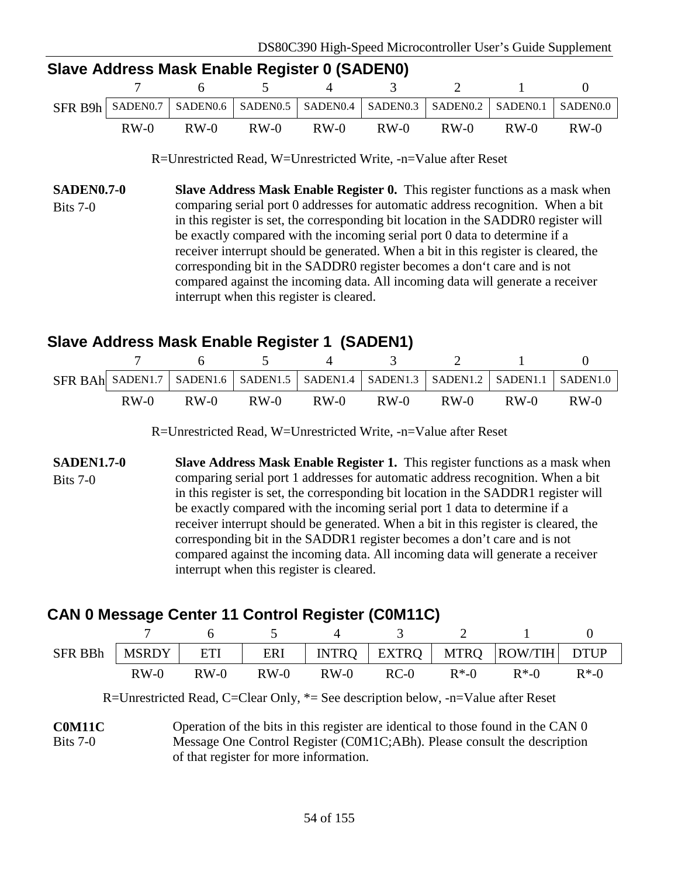| Slave Address Mask Enable Register 0 (SADEN0) |        |  |  |  |                                    |  |  |                                                                                                 |  |
|-----------------------------------------------|--------|--|--|--|------------------------------------|--|--|-------------------------------------------------------------------------------------------------|--|
|                                               |        |  |  |  | 7 6 5 4 3 2 1                      |  |  |                                                                                                 |  |
|                                               |        |  |  |  |                                    |  |  | SFR B9h   SADENO.7   SADENO.6   SADENO.5   SADENO.4   SADENO.3   SADENO.2   SADENO.1   SADENO.0 |  |
|                                               | $RW-0$ |  |  |  | RW-0 RW-0 RW-0 RW-0 RW-0 RW-0 RW-0 |  |  |                                                                                                 |  |

R=Unrestricted Read, W=Unrestricted Write, -n=Value after Reset

**SADEN0.7-0** Bits 7-0 **Slave Address Mask Enable Register 0.** This register functions as a mask when comparing serial port 0 addresses for automatic address recognition. When a bit in this register is set, the corresponding bit location in the SADDR0 register will be exactly compared with the incoming serial port 0 data to determine if a receiver interrupt should be generated. When a bit in this register is cleared, the corresponding bit in the SADDR0 register becomes a don't care and is not compared against the incoming data. All incoming data will generate a receiver interrupt when this register is cleared.

# **Slave Address Mask Enable Register 1 (SADEN1)**

|        |        |        |        |        |        |        | SFR BAh SADEN1.7   SADEN1.6   SADEN1.5   SADEN1.4   SADEN1.3   SADEN1.2   SADEN1.1   SADEN1.0 |
|--------|--------|--------|--------|--------|--------|--------|-----------------------------------------------------------------------------------------------|
| $RW-0$ | $RW-0$ | $RW-0$ | $RW-0$ | $RW-0$ | $RW-0$ | $RW-0$ | $RW-0$                                                                                        |

R=Unrestricted Read, W=Unrestricted Write, -n=Value after Reset

**SADEN1.7-0** Bits 7-0 **Slave Address Mask Enable Register 1.** This register functions as a mask when comparing serial port 1 addresses for automatic address recognition. When a bit in this register is set, the corresponding bit location in the SADDR1 register will be exactly compared with the incoming serial port 1 data to determine if a receiver interrupt should be generated. When a bit in this register is cleared, the corresponding bit in the SADDR1 register becomes a don't care and is not compared against the incoming data. All incoming data will generate a receiver interrupt when this register is cleared.

# **CAN 0 Message Center 11 Control Register (C0M11C)**

| SFR BBh | <b>MSRDY</b> | ETI    |        |        |        |          | ERI   INTRQ   EXTRQ   MTRQ   ROW/TIH   DTUP |          |
|---------|--------------|--------|--------|--------|--------|----------|---------------------------------------------|----------|
|         | $RW-0$       | $RW-0$ | $RW-0$ | $RW-0$ | $RC-0$ | $R^*$ -0 | $R*.0$                                      | $R^*$ -0 |

R=Unrestricted Read, C=Clear Only, \*= See description below, -n=Value after Reset

**C0M11C** Bits 7-0 Operation of the bits in this register are identical to those found in the CAN 0 Message One Control Register (C0M1C;ABh). Please consult the description of that register for more information.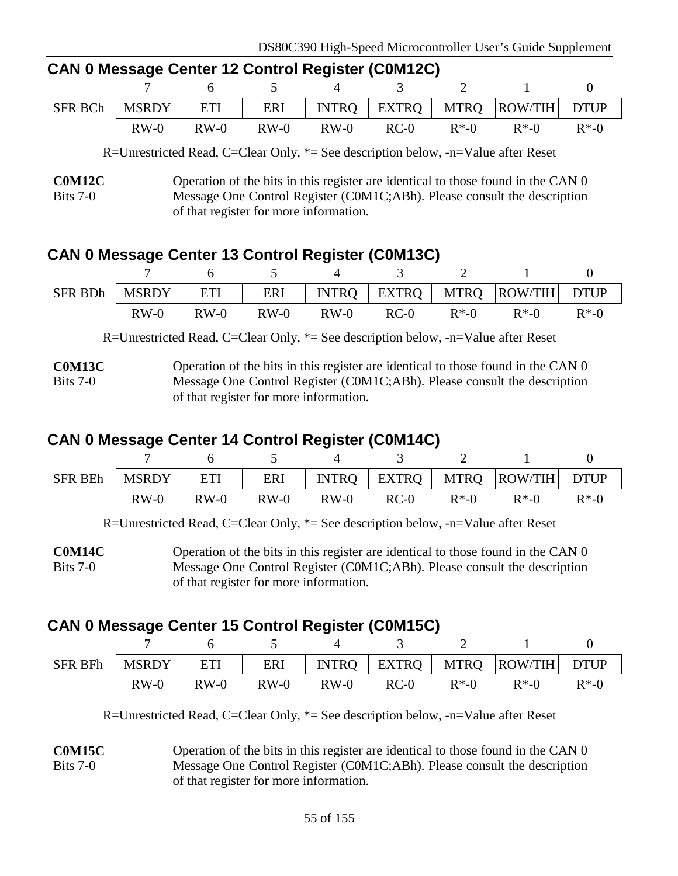| <b>CAN 0 Message Center 12 Control Register (CUM12C)</b> |  |  |  |  |  |  |                                                                        |  |  |  |  |
|----------------------------------------------------------|--|--|--|--|--|--|------------------------------------------------------------------------|--|--|--|--|
|                                                          |  |  |  |  |  |  | 7 6 5 4 3 2 1                                                          |  |  |  |  |
|                                                          |  |  |  |  |  |  | SFR BCh   MSRDY   ETI   ERI   INTRQ   EXTRQ   MTRQ   ROW/TIH   DTUP    |  |  |  |  |
|                                                          |  |  |  |  |  |  | $RW-0$ $RW-0$ $RW-0$ $RW-0$ $RC-0$ $R^*$ -0 $R^*$ -0 $R^*$ -0 $R^*$ -0 |  |  |  |  |

# **CAN 0 Message Center 12 Control Register (C0M12C)**

R=Unrestricted Read, C=Clear Only, \*= See description below, -n=Value after Reset

### **CAN 0 Message Center 13 Control Register (C0M13C)**

|        |        |        |        |        |          | SFR BDh   MSRDY   ETI   ERI   INTRQ   EXTRQ   MTRQ   ROW/TIH   DTUP |          |
|--------|--------|--------|--------|--------|----------|---------------------------------------------------------------------|----------|
| $RW-0$ | $RW-0$ | $RW-0$ | $RW-0$ | $RC-0$ | $R^*$ -0 | $R^*$ -0                                                            | $R^*$ -0 |

R=Unrestricted Read, C=Clear Only, \*= See description below, -n=Value after Reset

**C0M13C** Bits 7-0 Operation of the bits in this register are identical to those found in the CAN 0 Message One Control Register (C0M1C;ABh). Please consult the description of that register for more information.

### **CAN 0 Message Center 14 Control Register (C0M14C)**

| <b>SFR BEh</b> | MSRDY  | ETI    |        |        |      |          | ERI   INTRQ   EXTRQ   MTRQ   ROW/TIH   DTUP |          |
|----------------|--------|--------|--------|--------|------|----------|---------------------------------------------|----------|
|                | $RW-0$ | $RW-0$ | $RW-0$ | $RW-0$ | RC-0 | $R^*$ -0 | $R*.0$                                      | $R^*$ -0 |

R=Unrestricted Read, C=Clear Only, \*= See description below, -n=Value after Reset

**C0M14C** Bits 7-0 Operation of the bits in this register are identical to those found in the CAN 0 Message One Control Register (C0M1C;ABh). Please consult the description of that register for more information.

# **CAN 0 Message Center 15 Control Register (C0M15C)**

| SFR BFh | I MSRDY | ETI    |        |        |      |          | ERI   INTRQ   EXTRQ   MTRQ  ROW/TIH   DTUP |          |
|---------|---------|--------|--------|--------|------|----------|--------------------------------------------|----------|
|         | $RW-0$  | $RW-0$ | $RW-0$ | $RW-0$ | RC-0 | $R^*$ -0 | $R*.0$                                     | $R^*$ -0 |

R=Unrestricted Read, C=Clear Only, \*= See description below, -n=Value after Reset

**C0M15C**  $Rits 7-0$ Operation of the bits in this register are identical to those found in the CAN 0 Message One Control Register (C0M1C;ABh). Please consult the description of that register for more information.

**C0M12C** Bits 7-0 Operation of the bits in this register are identical to those found in the CAN 0 Message One Control Register (C0M1C;ABh). Please consult the description of that register for more information.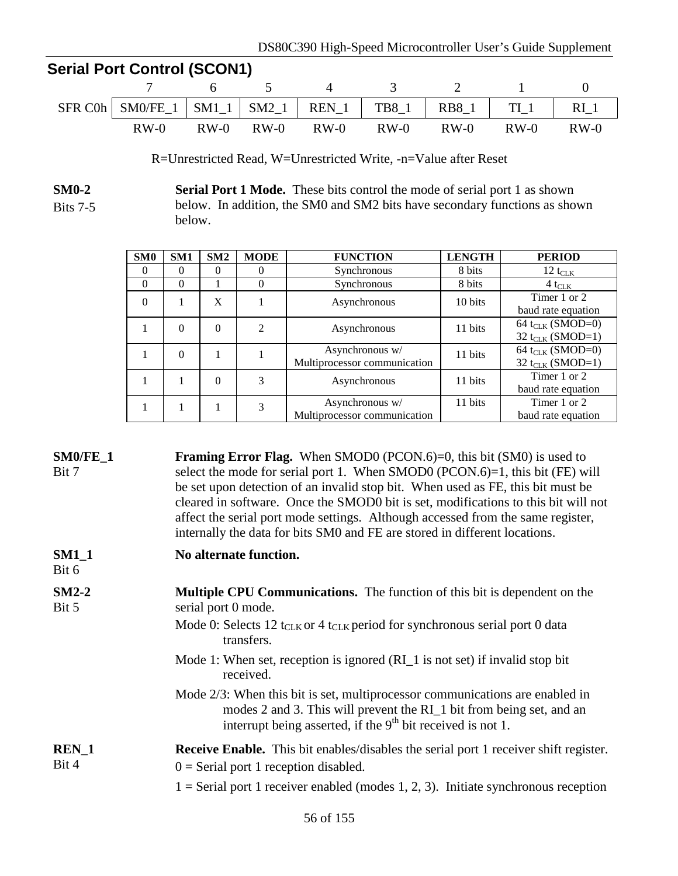# **Serial Port Control (SCON1)**

| SFR C0h   SM0/FE_1   SM1_1   SM2_1   REN_1   TB8_1   RB8_1   TI_1   RI_1 |               |        |               |        |        |
|--------------------------------------------------------------------------|---------------|--------|---------------|--------|--------|
| $RW-0$                                                                   | $RW-0$ $RW-0$ | $RW-0$ | $RW-0$ $RW-0$ | $RW-0$ | $RW-0$ |

R=Unrestricted Read, W=Unrestricted Write, -n=Value after Reset

**SM0-2** Bits 7-5 **Serial Port 1 Mode.** These bits control the mode of serial port 1 as shown below. In addition, the SM0 and SM2 bits have secondary functions as shown below.

| SM0      | SM1      | SM2      | <b>MODE</b> | <b>FUNCTION</b>                                 | <b>LENGTH</b> | <b>PERIOD</b>                                                |
|----------|----------|----------|-------------|-------------------------------------------------|---------------|--------------------------------------------------------------|
| $\Omega$ | $\Omega$ | $\Omega$ | $\theta$    | Synchronous                                     | 8 bits        | $12 t_{CLK}$                                                 |
| $\Omega$ | $\Omega$ |          | 0           | Synchronous                                     | 8 bits        | $4t_{\text{CLK}}$                                            |
| $\Omega$ |          | X        |             | Asynchronous                                    | 10 bits       | Timer 1 or 2<br>baud rate equation                           |
|          | $\Omega$ | $\theta$ | 2           | Asynchronous                                    | 11 bits       | 64 t <sub>CLK</sub> (SMOD=0)<br>32 t <sub>CLK</sub> (SMOD=1) |
|          | $\Omega$ |          |             | Asynchronous w/<br>Multiprocessor communication | 11 bits       | 64 t <sub>CLK</sub> (SMOD=0)<br>32 t <sub>CLK</sub> (SMOD=1) |
|          |          | $\theta$ | 3           | Asynchronous                                    | 11 bits       | Timer 1 or 2<br>baud rate equation                           |
|          |          |          | 3           | Asynchronous w/<br>Multiprocessor communication | 11 bits       | Timer 1 or 2<br>baud rate equation                           |

| SM0/FE_1<br>Bit 7 | <b>Framing Error Flag.</b> When SMOD0 (PCON.6)=0, this bit (SM0) is used to<br>select the mode for serial port 1. When SMOD0 (PCON.6)=1, this bit (FE) will<br>be set upon detection of an invalid stop bit. When used as FE, this bit must be<br>cleared in software. Once the SMOD0 bit is set, modifications to this bit will not<br>affect the serial port mode settings. Although accessed from the same register,<br>internally the data for bits SM0 and FE are stored in different locations. |
|-------------------|-------------------------------------------------------------------------------------------------------------------------------------------------------------------------------------------------------------------------------------------------------------------------------------------------------------------------------------------------------------------------------------------------------------------------------------------------------------------------------------------------------|
| $SM1_1$<br>Bit 6  | No alternate function.                                                                                                                                                                                                                                                                                                                                                                                                                                                                                |
| $SM2-2$<br>Bit 5  | Multiple CPU Communications. The function of this bit is dependent on the<br>serial port 0 mode.<br>Mode 0: Selects 12 t <sub>CLK</sub> or 4 t <sub>CLK</sub> period for synchronous serial port 0 data<br>transfers.                                                                                                                                                                                                                                                                                 |
|                   | Mode 1: When set, reception is ignored (RI_1 is not set) if invalid stop bit<br>received.                                                                                                                                                                                                                                                                                                                                                                                                             |
|                   | Mode 2/3: When this bit is set, multiprocessor communications are enabled in<br>modes 2 and 3. This will prevent the RI_1 bit from being set, and an<br>interrupt being asserted, if the $9th$ bit received is not 1.                                                                                                                                                                                                                                                                                 |
| $REN_1$<br>Bit 4  | <b>Receive Enable.</b> This bit enables/disables the serial port 1 receiver shift register.<br>$0 =$ Serial port 1 reception disabled.                                                                                                                                                                                                                                                                                                                                                                |
|                   | $1 =$ Serial port 1 receiver enabled (modes 1, 2, 3). Initiate synchronous reception                                                                                                                                                                                                                                                                                                                                                                                                                  |
|                   |                                                                                                                                                                                                                                                                                                                                                                                                                                                                                                       |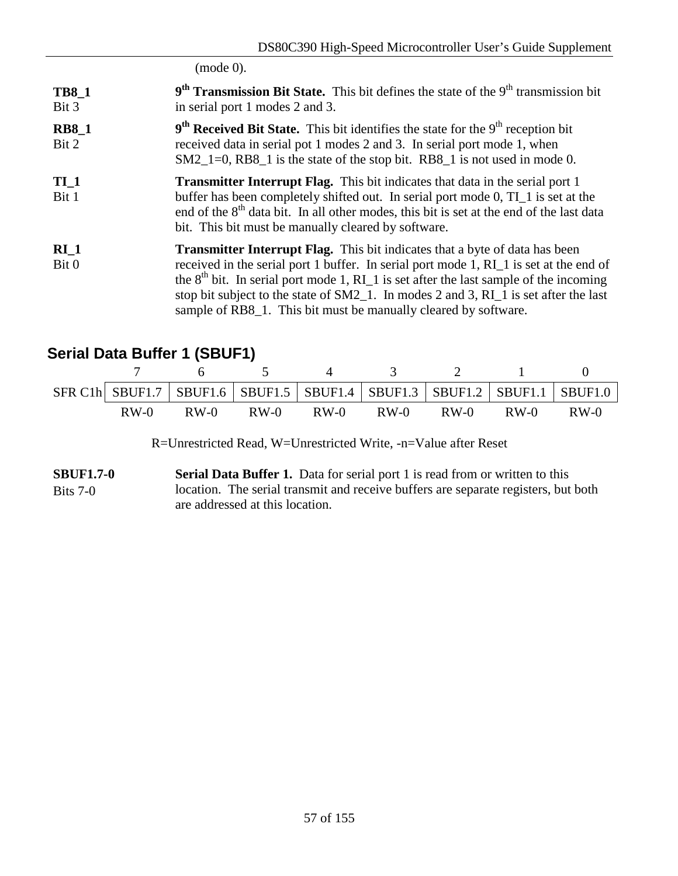(mode 0).

- **TB8\_1** Bit 3 9<sup>th</sup> Transmission Bit State. This bit defines the state of the 9<sup>th</sup> transmission bit in serial port 1 modes 2 and 3.
- **RB8\_1** Bit 2 9<sup>th</sup> Received Bit State. This bit identifies the state for the 9<sup>th</sup> reception bit received data in serial pot 1 modes 2 and 3. In serial port mode 1, when SM2\_1=0, RB8\_1 is the state of the stop bit. RB8\_1 is not used in mode 0.
- **TI\_1** Bit 1 **Transmitter Interrupt Flag.** This bit indicates that data in the serial port 1 buffer has been completely shifted out. In serial port mode 0, TI\_1 is set at the end of the  $8<sup>th</sup>$  data bit. In all other modes, this bit is set at the end of the last data bit. This bit must be manually cleared by software.
- **RI\_1** Bit 0 **Transmitter Interrupt Flag.** This bit indicates that a byte of data has been received in the serial port 1 buffer. In serial port mode 1, RI\_1 is set at the end of the  $8<sup>th</sup>$  bit. In serial port mode 1, RI is set after the last sample of the incoming stop bit subject to the state of SM2\_1. In modes 2 and 3, RI\_1 is set after the last sample of RB8\_1. This bit must be manually cleared by software.

# **Serial Data Buffer 1 (SBUF1)**

|        |        |        |        |        |        |        | SFR C1h SBUF1.7   SBUF1.6   SBUF1.5   SBUF1.4   SBUF1.3   SBUF1.2   SBUF1.1   SBUF1.0 |
|--------|--------|--------|--------|--------|--------|--------|---------------------------------------------------------------------------------------|
| $RW-0$ | $RW-0$ | $RW-0$ | $RW-0$ | $RW-0$ | $RW-0$ | $RW-0$ | $RW-0$                                                                                |

R=Unrestricted Read, W=Unrestricted Write, -n=Value after Reset

**SBUF1.7-0** Bits 7-0 **Serial Data Buffer 1.** Data for serial port 1 is read from or written to this location. The serial transmit and receive buffers are separate registers, but both are addressed at this location.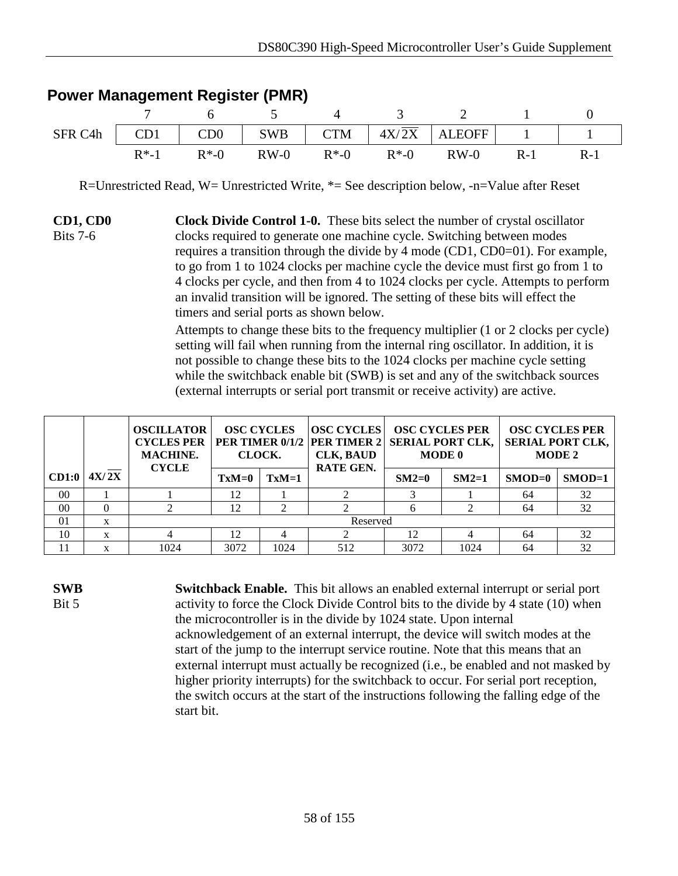|                                                                       |          | $\sim$ 6         | $\overline{5}$ | $\sim$ 3 |                                   |       |
|-----------------------------------------------------------------------|----------|------------------|----------------|----------|-----------------------------------|-------|
| SFR C4h   CD1   CD0   SWB   CTM   $4X/\overline{2X}$   ALEOFF   1   1 |          |                  |                |          |                                   |       |
|                                                                       | $R^*$ -1 | $R^*$ - $\Omega$ |                |          | $RW-0$ $R*-0$ $R*-0$ $RW-0$ $R-1$ | $R-1$ |

#### **Power Management Register (PMR)**

R=Unrestricted Read, W= Unrestricted Write, \*= See description below, -n=Value after Reset

**CD1, CD0** Bits 7-6 **Clock Divide Control 1-0.** These bits select the number of crystal oscillator clocks required to generate one machine cycle. Switching between modes requires a transition through the divide by 4 mode (CD1, CD0=01). For example, to go from 1 to 1024 clocks per machine cycle the device must first go from 1 to 4 clocks per cycle, and then from 4 to 1024 clocks per cycle. Attempts to perform an invalid transition will be ignored. The setting of these bits will effect the timers and serial ports as shown below.

> Attempts to change these bits to the frequency multiplier (1 or 2 clocks per cycle) setting will fail when running from the internal ring oscillator. In addition, it is not possible to change these bits to the 1024 clocks per machine cycle setting while the switchback enable bit (SWB) is set and any of the switchback sources (external interrupts or serial port transmit or receive activity) are active.

|       |       | <b>OSCILLATOR</b><br><b>CYCLES PER</b><br><b>MACHINE.</b><br><b>CYCLE</b> | CLOCK.  | <b>OSC CYCLES</b> | <b>OSC CYCLES</b><br><b>CLK, BAUD</b><br>RATE GEN. | <b>OSC CYCLES PER</b><br><b>PER TIMER 0/1/2 PER TIMER 2 SERIAL PORT CLK,</b><br><b>MODE 0</b> |         | <b>OSC CYCLES PER</b><br><b>SERIAL PORT CLK,</b><br><b>MODE 2</b> |          |
|-------|-------|---------------------------------------------------------------------------|---------|-------------------|----------------------------------------------------|-----------------------------------------------------------------------------------------------|---------|-------------------------------------------------------------------|----------|
| CD1:0 | 4X/2X |                                                                           | $TxM=0$ | $TxM=1$           |                                                    | $SM2=0$                                                                                       | $SM2=1$ | $SMOD=0$                                                          | $SMOD=1$ |
| 00    |       |                                                                           | 12      |                   |                                                    |                                                                                               |         | 64                                                                | 32       |
| 00    |       |                                                                           | 12      | ◠                 |                                                    | h                                                                                             |         | 64                                                                | 32       |
| 01    | X     |                                                                           |         |                   | Reserved                                           |                                                                                               |         |                                                                   |          |
| 10    | X     |                                                                           | 12      |                   |                                                    | 12                                                                                            |         | 64                                                                | 32       |
| 11    |       | 1024                                                                      | 3072    | 1024              | 512                                                | 3072                                                                                          | 1024    | 64                                                                | 32       |

**SWB** Bit 5

**Switchback Enable.** This bit allows an enabled external interrupt or serial port activity to force the Clock Divide Control bits to the divide by 4 state (10) when the microcontroller is in the divide by 1024 state. Upon internal acknowledgement of an external interrupt, the device will switch modes at the start of the jump to the interrupt service routine. Note that this means that an external interrupt must actually be recognized (i.e., be enabled and not masked by higher priority interrupts) for the switchback to occur. For serial port reception, the switch occurs at the start of the instructions following the falling edge of the start bit.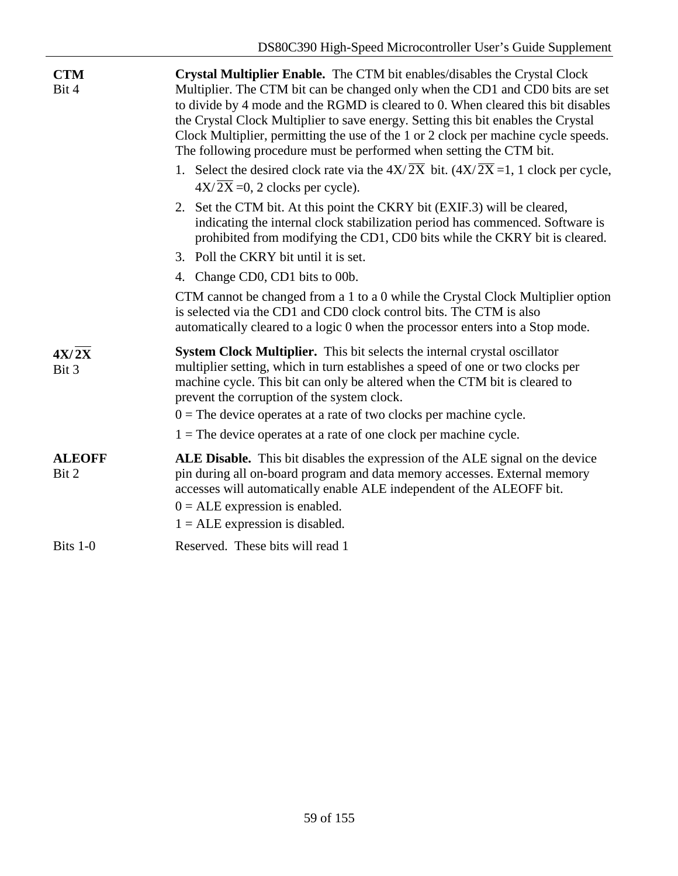| <b>CTM</b><br>Bit 4    | Crystal Multiplier Enable. The CTM bit enables/disables the Crystal Clock<br>Multiplier. The CTM bit can be changed only when the CD1 and CD0 bits are set<br>to divide by 4 mode and the RGMD is cleared to 0. When cleared this bit disables<br>the Crystal Clock Multiplier to save energy. Setting this bit enables the Crystal<br>Clock Multiplier, permitting the use of the 1 or 2 clock per machine cycle speeds.<br>The following procedure must be performed when setting the CTM bit.<br>1. Select the desired clock rate via the $4X/\overline{2X}$ bit. $(4X/\overline{2X} = 1, 1 \text{ clock per cycle},$ |
|------------------------|--------------------------------------------------------------------------------------------------------------------------------------------------------------------------------------------------------------------------------------------------------------------------------------------------------------------------------------------------------------------------------------------------------------------------------------------------------------------------------------------------------------------------------------------------------------------------------------------------------------------------|
|                        | $4X/\overline{2X} = 0$ , 2 clocks per cycle).                                                                                                                                                                                                                                                                                                                                                                                                                                                                                                                                                                            |
|                        | 2. Set the CTM bit. At this point the CKRY bit (EXIF.3) will be cleared,<br>indicating the internal clock stabilization period has commenced. Software is<br>prohibited from modifying the CD1, CD0 bits while the CKRY bit is cleared.                                                                                                                                                                                                                                                                                                                                                                                  |
|                        | 3. Poll the CKRY bit until it is set.                                                                                                                                                                                                                                                                                                                                                                                                                                                                                                                                                                                    |
|                        | 4. Change CD0, CD1 bits to 00b.                                                                                                                                                                                                                                                                                                                                                                                                                                                                                                                                                                                          |
|                        | CTM cannot be changed from a 1 to a 0 while the Crystal Clock Multiplier option<br>is selected via the CD1 and CD0 clock control bits. The CTM is also<br>automatically cleared to a logic 0 when the processor enters into a Stop mode.                                                                                                                                                                                                                                                                                                                                                                                 |
| 4X/2X<br>Bit 3         | System Clock Multiplier. This bit selects the internal crystal oscillator<br>multiplier setting, which in turn establishes a speed of one or two clocks per<br>machine cycle. This bit can only be altered when the CTM bit is cleared to<br>prevent the corruption of the system clock.                                                                                                                                                                                                                                                                                                                                 |
|                        | $0 =$ The device operates at a rate of two clocks per machine cycle.                                                                                                                                                                                                                                                                                                                                                                                                                                                                                                                                                     |
|                        | $1 =$ The device operates at a rate of one clock per machine cycle.                                                                                                                                                                                                                                                                                                                                                                                                                                                                                                                                                      |
| <b>ALEOFF</b><br>Bit 2 | ALE Disable. This bit disables the expression of the ALE signal on the device<br>pin during all on-board program and data memory accesses. External memory<br>accesses will automatically enable ALE independent of the ALEOFF bit.<br>$0 = ALE$ expression is enabled.<br>$1 = ALE$ expression is disabled.                                                                                                                                                                                                                                                                                                             |
| Bits 1-0               | Reserved. These bits will read 1                                                                                                                                                                                                                                                                                                                                                                                                                                                                                                                                                                                         |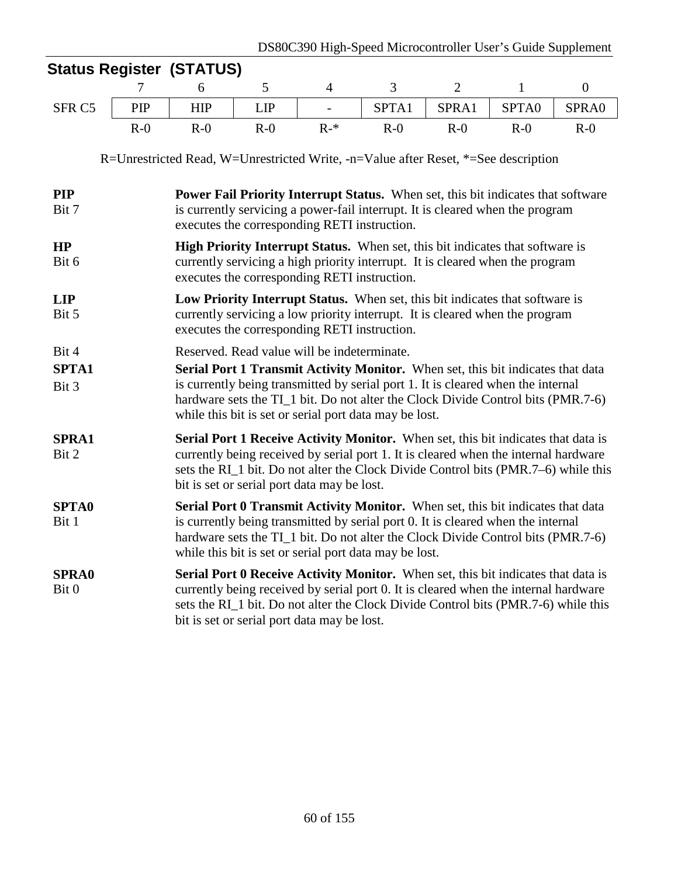|                                                                                    |                                                                                                                                                                                                                   | <b>Status Register (STATUS)</b> |       |                                                                                                                                                                                                                                                                                                                                                                  |       |                |              |                |
|------------------------------------------------------------------------------------|-------------------------------------------------------------------------------------------------------------------------------------------------------------------------------------------------------------------|---------------------------------|-------|------------------------------------------------------------------------------------------------------------------------------------------------------------------------------------------------------------------------------------------------------------------------------------------------------------------------------------------------------------------|-------|----------------|--------------|----------------|
|                                                                                    | 7                                                                                                                                                                                                                 | 6                               | 5     | $\overline{4}$                                                                                                                                                                                                                                                                                                                                                   | 3     | $\overline{2}$ | $\mathbf{1}$ | $\overline{0}$ |
| SFR <sub>C5</sub>                                                                  | PIP                                                                                                                                                                                                               | <b>HIP</b>                      | LIP   | $\overline{a}$                                                                                                                                                                                                                                                                                                                                                   | SPTA1 | SPRA1          | SPTA0        | SPRA0          |
|                                                                                    | $R-0$                                                                                                                                                                                                             | $R-0$                           | $R-0$ | $R-*$                                                                                                                                                                                                                                                                                                                                                            | $R-0$ | $R-0$          | $R-0$        | $R-0$          |
| R=Unrestricted Read, W=Unrestricted Write, -n=Value after Reset, *=See description |                                                                                                                                                                                                                   |                                 |       |                                                                                                                                                                                                                                                                                                                                                                  |       |                |              |                |
| <b>PIP</b><br>Bit 7                                                                | Power Fail Priority Interrupt Status. When set, this bit indicates that software<br>is currently servicing a power-fail interrupt. It is cleared when the program<br>executes the corresponding RETI instruction. |                                 |       |                                                                                                                                                                                                                                                                                                                                                                  |       |                |              |                |
| HP<br>Bit 6                                                                        |                                                                                                                                                                                                                   |                                 |       | High Priority Interrupt Status. When set, this bit indicates that software is<br>currently servicing a high priority interrupt. It is cleared when the program<br>executes the corresponding RETI instruction.                                                                                                                                                   |       |                |              |                |
| <b>LIP</b><br>Bit 5                                                                |                                                                                                                                                                                                                   |                                 |       | Low Priority Interrupt Status. When set, this bit indicates that software is<br>currently servicing a low priority interrupt. It is cleared when the program<br>executes the corresponding RETI instruction.                                                                                                                                                     |       |                |              |                |
| Bit 4<br><b>SPTA1</b><br>Bit 3                                                     |                                                                                                                                                                                                                   |                                 |       | Reserved. Read value will be indeterminate.<br>Serial Port 1 Transmit Activity Monitor. When set, this bit indicates that data<br>is currently being transmitted by serial port 1. It is cleared when the internal<br>hardware sets the TI_1 bit. Do not alter the Clock Divide Control bits (PMR.7-6)<br>while this bit is set or serial port data may be lost. |       |                |              |                |
| <b>SPRA1</b><br>Bit 2                                                              |                                                                                                                                                                                                                   |                                 |       | <b>Serial Port 1 Receive Activity Monitor.</b> When set, this bit indicates that data is<br>currently being received by serial port 1. It is cleared when the internal hardware<br>sets the RI_1 bit. Do not alter the Clock Divide Control bits (PMR.7–6) while this<br>bit is set or serial port data may be lost.                                             |       |                |              |                |
| <b>SPTA0</b><br>Bit 1                                                              |                                                                                                                                                                                                                   |                                 |       | Serial Port 0 Transmit Activity Monitor. When set, this bit indicates that data<br>is currently being transmitted by serial port 0. It is cleared when the internal<br>hardware sets the TI_1 bit. Do not alter the Clock Divide Control bits (PMR.7-6)<br>while this bit is set or serial port data may be lost.                                                |       |                |              |                |
| <b>SPRA0</b><br>Bit 0                                                              |                                                                                                                                                                                                                   |                                 |       | Serial Port 0 Receive Activity Monitor. When set, this bit indicates that data is<br>currently being received by serial port 0. It is cleared when the internal hardware<br>sets the RI_1 bit. Do not alter the Clock Divide Control bits (PMR.7-6) while this<br>bit is set or serial port data may be lost.                                                    |       |                |              |                |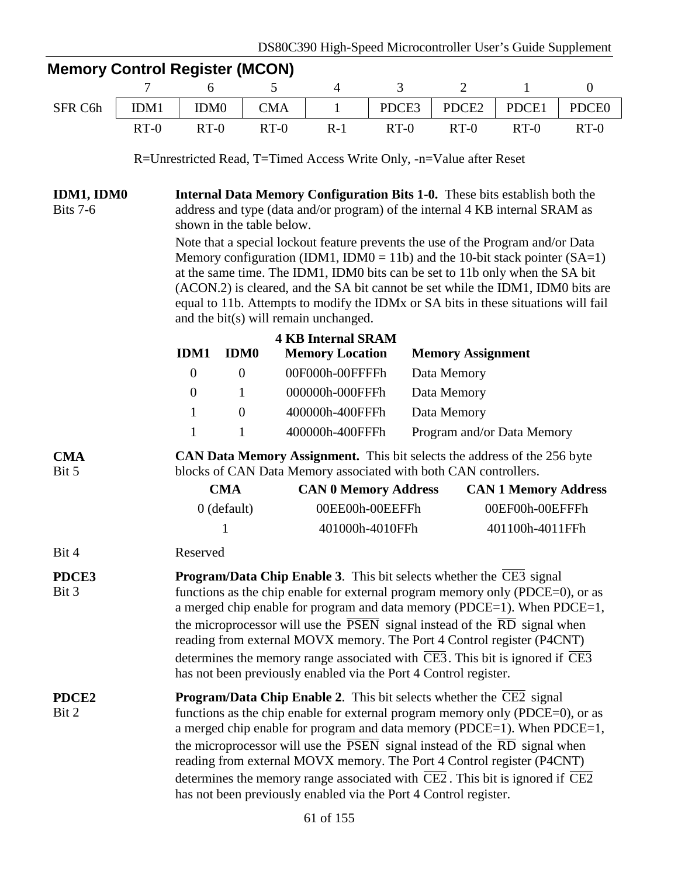|                                                                                                                                                                                                                                                                                                                                                                                                                                                                                                                                                                                                                                                   |                                                                                                                                                                                                                                                                                                                                                                                                                                                                                                                                                                                                       |                                                                                                                                                                                                | <b>Memory Control Register (MCON)</b>                                                                                                                                                                                                                                                                                                                                                                                                                              |                             |                 |                             |                 |                   |  |  |  |  |  |
|---------------------------------------------------------------------------------------------------------------------------------------------------------------------------------------------------------------------------------------------------------------------------------------------------------------------------------------------------------------------------------------------------------------------------------------------------------------------------------------------------------------------------------------------------------------------------------------------------------------------------------------------------|-------------------------------------------------------------------------------------------------------------------------------------------------------------------------------------------------------------------------------------------------------------------------------------------------------------------------------------------------------------------------------------------------------------------------------------------------------------------------------------------------------------------------------------------------------------------------------------------------------|------------------------------------------------------------------------------------------------------------------------------------------------------------------------------------------------|--------------------------------------------------------------------------------------------------------------------------------------------------------------------------------------------------------------------------------------------------------------------------------------------------------------------------------------------------------------------------------------------------------------------------------------------------------------------|-----------------------------|-----------------|-----------------------------|-----------------|-------------------|--|--|--|--|--|
|                                                                                                                                                                                                                                                                                                                                                                                                                                                                                                                                                                                                                                                   | 7                                                                                                                                                                                                                                                                                                                                                                                                                                                                                                                                                                                                     | 6                                                                                                                                                                                              | 5                                                                                                                                                                                                                                                                                                                                                                                                                                                                  | 4                           | 3               | $\overline{2}$              | $\mathbf{1}$    | $\boldsymbol{0}$  |  |  |  |  |  |
| SFR C6h                                                                                                                                                                                                                                                                                                                                                                                                                                                                                                                                                                                                                                           | IDM1                                                                                                                                                                                                                                                                                                                                                                                                                                                                                                                                                                                                  | IDM <sub>0</sub>                                                                                                                                                                               | <b>CMA</b>                                                                                                                                                                                                                                                                                                                                                                                                                                                         | $\mathbf{1}$                | PDCE3           | PDCE2                       | PDCE1           | PDCE <sub>0</sub> |  |  |  |  |  |
|                                                                                                                                                                                                                                                                                                                                                                                                                                                                                                                                                                                                                                                   | $RT-0$                                                                                                                                                                                                                                                                                                                                                                                                                                                                                                                                                                                                | $RT-0$                                                                                                                                                                                         | $RT-0$                                                                                                                                                                                                                                                                                                                                                                                                                                                             | $R-1$                       | $RT-0$          | $RT-0$                      | $RT-0$          | $RT-0$            |  |  |  |  |  |
|                                                                                                                                                                                                                                                                                                                                                                                                                                                                                                                                                                                                                                                   |                                                                                                                                                                                                                                                                                                                                                                                                                                                                                                                                                                                                       | R=Unrestricted Read, T=Timed Access Write Only, -n=Value after Reset                                                                                                                           |                                                                                                                                                                                                                                                                                                                                                                                                                                                                    |                             |                 |                             |                 |                   |  |  |  |  |  |
|                                                                                                                                                                                                                                                                                                                                                                                                                                                                                                                                                                                                                                                   |                                                                                                                                                                                                                                                                                                                                                                                                                                                                                                                                                                                                       |                                                                                                                                                                                                |                                                                                                                                                                                                                                                                                                                                                                                                                                                                    |                             |                 |                             |                 |                   |  |  |  |  |  |
| IDM1, IDM0<br><b>Bits 7-6</b>                                                                                                                                                                                                                                                                                                                                                                                                                                                                                                                                                                                                                     |                                                                                                                                                                                                                                                                                                                                                                                                                                                                                                                                                                                                       | <b>Internal Data Memory Configuration Bits 1-0.</b> These bits establish both the<br>address and type (data and/or program) of the internal 4 KB internal SRAM as<br>shown in the table below. |                                                                                                                                                                                                                                                                                                                                                                                                                                                                    |                             |                 |                             |                 |                   |  |  |  |  |  |
|                                                                                                                                                                                                                                                                                                                                                                                                                                                                                                                                                                                                                                                   |                                                                                                                                                                                                                                                                                                                                                                                                                                                                                                                                                                                                       |                                                                                                                                                                                                | Note that a special lockout feature prevents the use of the Program and/or Data<br>Memory configuration (IDM1, IDM0 = 11b) and the 10-bit stack pointer $(SA=1)$<br>at the same time. The IDM1, IDM0 bits can be set to 11b only when the SA bit<br>(ACON.2) is cleared, and the SA bit cannot be set while the IDM1, IDM0 bits are<br>equal to 11b. Attempts to modify the IDMx or SA bits in these situations will fail<br>and the bit(s) will remain unchanged. |                             |                 |                             |                 |                   |  |  |  |  |  |
|                                                                                                                                                                                                                                                                                                                                                                                                                                                                                                                                                                                                                                                   |                                                                                                                                                                                                                                                                                                                                                                                                                                                                                                                                                                                                       |                                                                                                                                                                                                |                                                                                                                                                                                                                                                                                                                                                                                                                                                                    | <b>4 KB Internal SRAM</b>   |                 |                             |                 |                   |  |  |  |  |  |
|                                                                                                                                                                                                                                                                                                                                                                                                                                                                                                                                                                                                                                                   |                                                                                                                                                                                                                                                                                                                                                                                                                                                                                                                                                                                                       | <b>IDM1</b>                                                                                                                                                                                    | <b>IDM0</b>                                                                                                                                                                                                                                                                                                                                                                                                                                                        | <b>Memory Location</b>      |                 | <b>Memory Assignment</b>    |                 |                   |  |  |  |  |  |
|                                                                                                                                                                                                                                                                                                                                                                                                                                                                                                                                                                                                                                                   |                                                                                                                                                                                                                                                                                                                                                                                                                                                                                                                                                                                                       | $\overline{0}$                                                                                                                                                                                 | $\overline{0}$                                                                                                                                                                                                                                                                                                                                                                                                                                                     | 00F000h-00FFFFh             |                 | Data Memory                 |                 |                   |  |  |  |  |  |
|                                                                                                                                                                                                                                                                                                                                                                                                                                                                                                                                                                                                                                                   |                                                                                                                                                                                                                                                                                                                                                                                                                                                                                                                                                                                                       | $\boldsymbol{0}$                                                                                                                                                                               | $\mathbf{1}$                                                                                                                                                                                                                                                                                                                                                                                                                                                       | 000000h-000FFFh             |                 | Data Memory                 |                 |                   |  |  |  |  |  |
|                                                                                                                                                                                                                                                                                                                                                                                                                                                                                                                                                                                                                                                   |                                                                                                                                                                                                                                                                                                                                                                                                                                                                                                                                                                                                       | 1                                                                                                                                                                                              | $\overline{0}$                                                                                                                                                                                                                                                                                                                                                                                                                                                     | 400000h-400FFFh             |                 | Data Memory                 |                 |                   |  |  |  |  |  |
|                                                                                                                                                                                                                                                                                                                                                                                                                                                                                                                                                                                                                                                   |                                                                                                                                                                                                                                                                                                                                                                                                                                                                                                                                                                                                       | $\mathbf{1}$                                                                                                                                                                                   | $\mathbf{1}$                                                                                                                                                                                                                                                                                                                                                                                                                                                       | 400000h-400FFFh             |                 | Program and/or Data Memory  |                 |                   |  |  |  |  |  |
| <b>CMA</b><br>Bit 5                                                                                                                                                                                                                                                                                                                                                                                                                                                                                                                                                                                                                               |                                                                                                                                                                                                                                                                                                                                                                                                                                                                                                                                                                                                       | <b>CAN Data Memory Assignment.</b> This bit selects the address of the 256 byte<br>blocks of CAN Data Memory associated with both CAN controllers.                                             |                                                                                                                                                                                                                                                                                                                                                                                                                                                                    |                             |                 |                             |                 |                   |  |  |  |  |  |
|                                                                                                                                                                                                                                                                                                                                                                                                                                                                                                                                                                                                                                                   |                                                                                                                                                                                                                                                                                                                                                                                                                                                                                                                                                                                                       |                                                                                                                                                                                                | <b>CMA</b>                                                                                                                                                                                                                                                                                                                                                                                                                                                         | <b>CAN 0 Memory Address</b> |                 | <b>CAN 1 Memory Address</b> |                 |                   |  |  |  |  |  |
|                                                                                                                                                                                                                                                                                                                                                                                                                                                                                                                                                                                                                                                   |                                                                                                                                                                                                                                                                                                                                                                                                                                                                                                                                                                                                       |                                                                                                                                                                                                | $0$ (default)                                                                                                                                                                                                                                                                                                                                                                                                                                                      |                             | 00EE00h-00EEFFh |                             | 00EF00h-00EFFFh |                   |  |  |  |  |  |
|                                                                                                                                                                                                                                                                                                                                                                                                                                                                                                                                                                                                                                                   |                                                                                                                                                                                                                                                                                                                                                                                                                                                                                                                                                                                                       |                                                                                                                                                                                                | 1                                                                                                                                                                                                                                                                                                                                                                                                                                                                  |                             | 401000h-4010FFh |                             | 401100h-4011FFh |                   |  |  |  |  |  |
| Bit 4                                                                                                                                                                                                                                                                                                                                                                                                                                                                                                                                                                                                                                             |                                                                                                                                                                                                                                                                                                                                                                                                                                                                                                                                                                                                       | Reserved                                                                                                                                                                                       |                                                                                                                                                                                                                                                                                                                                                                                                                                                                    |                             |                 |                             |                 |                   |  |  |  |  |  |
| PDCE3<br>Bit 3                                                                                                                                                                                                                                                                                                                                                                                                                                                                                                                                                                                                                                    | <b>Program/Data Chip Enable 3.</b> This bit selects whether the CE3 signal<br>functions as the chip enable for external program memory only (PDCE=0), or as<br>a merged chip enable for program and data memory (PDCE=1). When PDCE=1,<br>the microprocessor will use the $\overline{PSEN}$ signal instead of the $\overline{RD}$ signal when<br>reading from external MOVX memory. The Port 4 Control register (P4CNT)<br>determines the memory range associated with $\overline{CE3}$ . This bit is ignored if $\overline{CE3}$<br>has not been previously enabled via the Port 4 Control register. |                                                                                                                                                                                                |                                                                                                                                                                                                                                                                                                                                                                                                                                                                    |                             |                 |                             |                 |                   |  |  |  |  |  |
| <b>Program/Data Chip Enable 2.</b> This bit selects whether the CE2 signal<br>PDCE <sub>2</sub><br>functions as the chip enable for external program memory only (PDCE=0), or as<br>Bit 2<br>a merged chip enable for program and data memory (PDCE=1). When PDCE=1,<br>the microprocessor will use the $\overline{PSEN}$ signal instead of the $\overline{RD}$ signal when<br>reading from external MOVX memory. The Port 4 Control register (P4CNT)<br>determines the memory range associated with $\overline{\text{CE2}}$ . This bit is ignored if $\overline{\text{CE2}}$<br>has not been previously enabled via the Port 4 Control register. |                                                                                                                                                                                                                                                                                                                                                                                                                                                                                                                                                                                                       |                                                                                                                                                                                                |                                                                                                                                                                                                                                                                                                                                                                                                                                                                    |                             |                 |                             |                 |                   |  |  |  |  |  |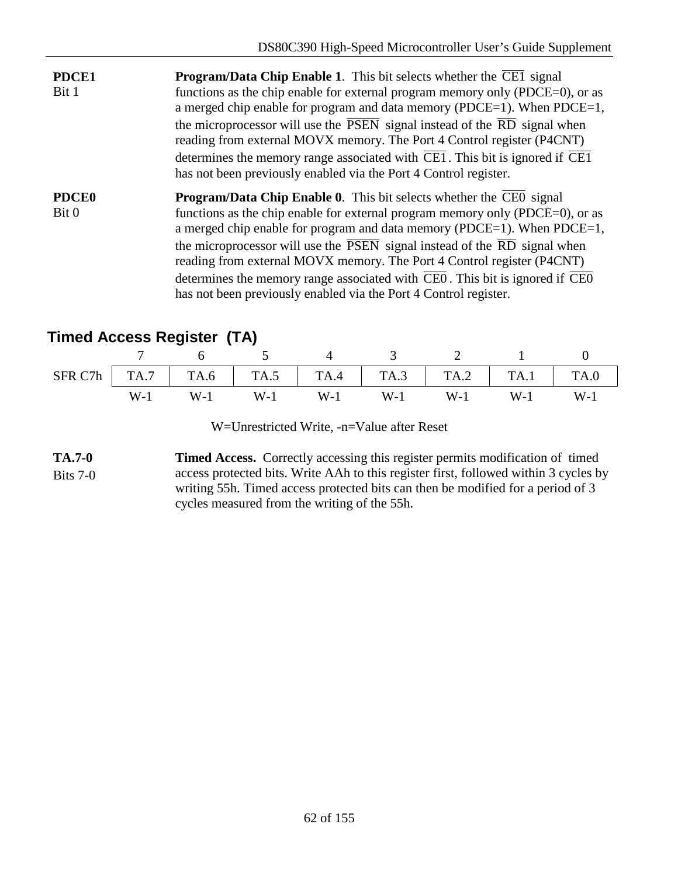- **PDCE1** Bit 1 **Program/Data Chip Enable 1**. This bit selects whether the CE1 signal functions as the chip enable for external program memory only (PDCE=0), or as a merged chip enable for program and data memory (PDCE=1). When PDCE=1, the microprocessor will use the  $\overline{PSEN}$  signal instead of the  $\overline{RD}$  signal when reading from external MOVX memory. The Port 4 Control register (P4CNT) determines the memory range associated with  $\overline{CE1}$ . This bit is ignored if  $\overline{CE1}$ has not been previously enabled via the Port 4 Control register.
- **PDCE0** Bit 0 **Program/Data Chip Enable 0.** This bit selects whether the  $\overline{CE0}$  signal functions as the chip enable for external program memory only (PDCE=0), or as a merged chip enable for program and data memory (PDCE=1). When PDCE=1, the microprocessor will use the  $\overline{PSEN}$  signal instead of the  $\overline{RD}$  signal when reading from external MOVX memory. The Port 4 Control register (P4CNT) determines the memory range associated with CE0 . This bit is ignored if CE0 has not been previously enabled via the Port 4 Control register.

# **Timed Access Register (TA)**

|       |       | 4 3 2 1     |       |                                                                 |       |
|-------|-------|-------------|-------|-----------------------------------------------------------------|-------|
|       |       |             |       | SFR C7h   TA.7   TA.6   TA.5   TA.4   TA.3   TA.2   TA.1   TA.0 |       |
| $W-1$ | $W-1$ | $W-1$ $W-1$ | $W-1$ | $W-1$ $W-1$                                                     | $W-1$ |

W=Unrestricted Write, -n=Value after Reset

**TA.7-0** Bits 7-0 **Timed Access.** Correctly accessing this register permits modification of timed access protected bits. Write AAh to this register first, followed within 3 cycles by writing 55h. Timed access protected bits can then be modified for a period of 3 cycles measured from the writing of the 55h.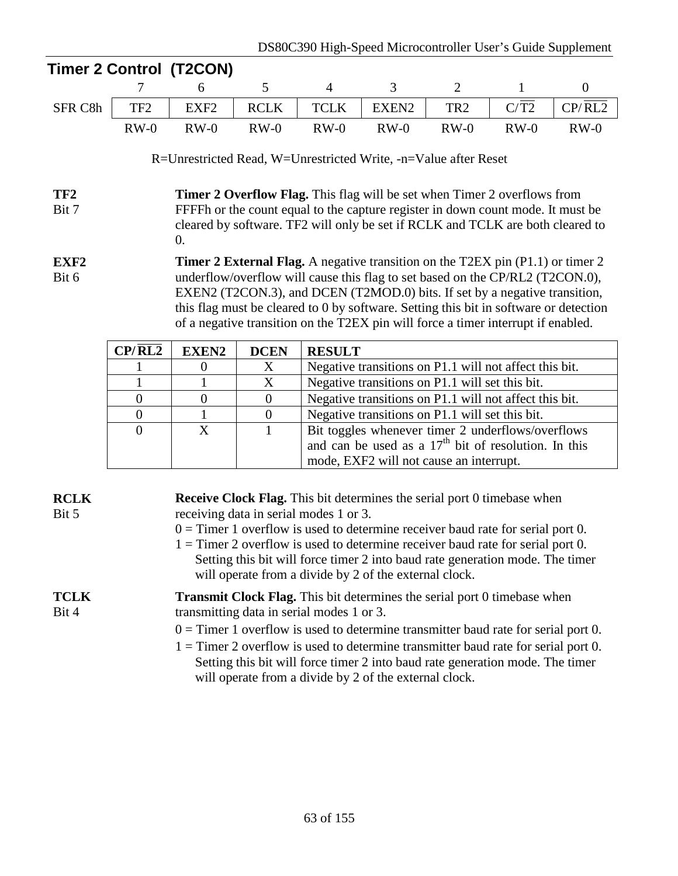mode, EXF2 will not cause an interrupt.

|                           |                                                                                                                                                                                                                                                                                                                                                                                                                                    | <b>Timer 2 Control (T2CON)</b>                                  |                  |                |                                                                                                             |                 |        |                |  |  |  |
|---------------------------|------------------------------------------------------------------------------------------------------------------------------------------------------------------------------------------------------------------------------------------------------------------------------------------------------------------------------------------------------------------------------------------------------------------------------------|-----------------------------------------------------------------|------------------|----------------|-------------------------------------------------------------------------------------------------------------|-----------------|--------|----------------|--|--|--|
|                           |                                                                                                                                                                                                                                                                                                                                                                                                                                    | 6                                                               | 5                | $\overline{4}$ | 3                                                                                                           | $\overline{2}$  | 1      | $\overline{0}$ |  |  |  |
| SFR C8h                   | TF <sub>2</sub>                                                                                                                                                                                                                                                                                                                                                                                                                    | EXF <sub>2</sub>                                                | <b>RCLK</b>      | <b>TCLK</b>    | EXEN2                                                                                                       | TR <sub>2</sub> | C/T2   | CP/RL2         |  |  |  |
|                           | $RW-0$                                                                                                                                                                                                                                                                                                                                                                                                                             | $RW-0$                                                          | $RW-0$           | $RW-0$         | $RW-0$                                                                                                      | $RW-0$          | $RW-0$ | $RW-0$         |  |  |  |
|                           |                                                                                                                                                                                                                                                                                                                                                                                                                                    | R=Unrestricted Read, W=Unrestricted Write, -n=Value after Reset |                  |                |                                                                                                             |                 |        |                |  |  |  |
| TF <sub>2</sub><br>Bit 7  | <b>Timer 2 Overflow Flag.</b> This flag will be set when Timer 2 overflows from<br>FFFFh or the count equal to the capture register in down count mode. It must be<br>cleared by software. TF2 will only be set if RCLK and TCLK are both cleared to<br>0.                                                                                                                                                                         |                                                                 |                  |                |                                                                                                             |                 |        |                |  |  |  |
| EXF <sub>2</sub><br>Bit 6 | <b>Timer 2 External Flag.</b> A negative transition on the T2EX pin (P1.1) or timer 2<br>underflow/overflow will cause this flag to set based on the CP/RL2 (T2CON.0),<br>EXEN2 (T2CON.3), and DCEN (T2MOD.0) bits. If set by a negative transition,<br>this flag must be cleared to 0 by software. Setting this bit in software or detection<br>of a negative transition on the T2EX pin will force a timer interrupt if enabled. |                                                                 |                  |                |                                                                                                             |                 |        |                |  |  |  |
|                           | $\frac{CP}{RL2}$                                                                                                                                                                                                                                                                                                                                                                                                                   | <b>EXEN2</b>                                                    | <b>DCEN</b>      | <b>RESULT</b>  |                                                                                                             |                 |        |                |  |  |  |
|                           |                                                                                                                                                                                                                                                                                                                                                                                                                                    | $\overline{0}$                                                  | X                |                | Negative transitions on P1.1 will not affect this bit.                                                      |                 |        |                |  |  |  |
|                           |                                                                                                                                                                                                                                                                                                                                                                                                                                    |                                                                 | X                |                | Negative transitions on P1.1 will set this bit.                                                             |                 |        |                |  |  |  |
|                           | $\overline{0}$                                                                                                                                                                                                                                                                                                                                                                                                                     | $\boldsymbol{0}$                                                | $\boldsymbol{0}$ |                | Negative transitions on P1.1 will not affect this bit.                                                      |                 |        |                |  |  |  |
|                           | $\boldsymbol{0}$                                                                                                                                                                                                                                                                                                                                                                                                                   | $\mathbf{1}$                                                    | $\boldsymbol{0}$ |                | Negative transitions on P1.1 will set this bit.                                                             |                 |        |                |  |  |  |
|                           | $\overline{0}$                                                                                                                                                                                                                                                                                                                                                                                                                     | X                                                               |                  |                | Bit toggles whenever timer 2 underflows/overflows<br>and can be used as a $17th$ bit of resolution. In this |                 |        |                |  |  |  |

| <b>RCLK</b><br>Bit 5 | <b>Receive Clock Flag.</b> This bit determines the serial port 0 timebase when<br>receiving data in serial modes 1 or 3.<br>$0 =$ Timer 1 overflow is used to determine receiver baud rate for serial port 0.<br>$1 =$ Timer 2 overflow is used to determine receiver baud rate for serial port 0.<br>Setting this bit will force timer 2 into baud rate generation mode. The timer<br>will operate from a divide by 2 of the external clock. |
|----------------------|-----------------------------------------------------------------------------------------------------------------------------------------------------------------------------------------------------------------------------------------------------------------------------------------------------------------------------------------------------------------------------------------------------------------------------------------------|
| <b>TCLK</b><br>Bit 4 | <b>Transmit Clock Flag.</b> This bit determines the serial port 0 timebase when<br>transmitting data in serial modes 1 or 3.<br>$0 =$ Timer 1 overflow is used to determine transmitter baud rate for serial port 0.<br>$1 =$ Timer 2 overflow is used to determine transmitter baud rate for serial port 0.<br>Setting this bit will force timer 2 into baud rate generation mode. The timer                                                 |
|                      | will operate from a divide by 2 of the external clock.                                                                                                                                                                                                                                                                                                                                                                                        |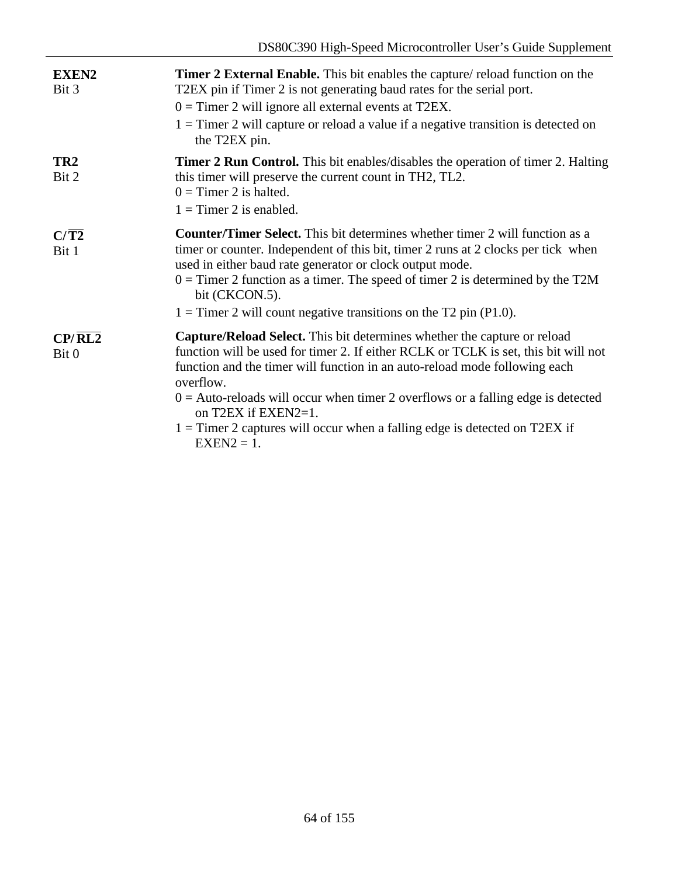| <b>EXEN2</b><br>Bit 3           | <b>Timer 2 External Enable.</b> This bit enables the capture/ reload function on the<br>T2EX pin if Timer 2 is not generating baud rates for the serial port.<br>$0 =$ Timer 2 will ignore all external events at T2EX.<br>$1 =$ Timer 2 will capture or reload a value if a negative transition is detected on<br>the T2EX pin.                                                                                                                                        |
|---------------------------------|-------------------------------------------------------------------------------------------------------------------------------------------------------------------------------------------------------------------------------------------------------------------------------------------------------------------------------------------------------------------------------------------------------------------------------------------------------------------------|
| TR <sub>2</sub><br>Bit 2        | Timer 2 Run Control. This bit enables/disables the operation of timer 2. Halting<br>this timer will preserve the current count in TH2, TL2.<br>$0 =$ Timer 2 is halted.<br>$1 =$ Timer 2 is enabled.                                                                                                                                                                                                                                                                    |
| $C/\overline{T2}$<br>Bit 1      | <b>Counter/Timer Select.</b> This bit determines whether timer 2 will function as a<br>timer or counter. Independent of this bit, timer 2 runs at 2 clocks per tick when<br>used in either baud rate generator or clock output mode.<br>$0 =$ Timer 2 function as a timer. The speed of timer 2 is determined by the T2M<br>bit (CKCON.5).<br>$1 =$ Timer 2 will count negative transitions on the T2 pin (P1.0).                                                       |
| $CP/$ $\overline{RL2}$<br>Bit 0 | Capture/Reload Select. This bit determines whether the capture or reload<br>function will be used for timer 2. If either RCLK or TCLK is set, this bit will not<br>function and the timer will function in an auto-reload mode following each<br>overflow.<br>$0 =$ Auto-reloads will occur when timer 2 overflows or a falling edge is detected<br>on T2EX if EXEN2=1.<br>$1 =$ Timer 2 captures will occur when a falling edge is detected on T2EX if<br>$EXEN2 = 1.$ |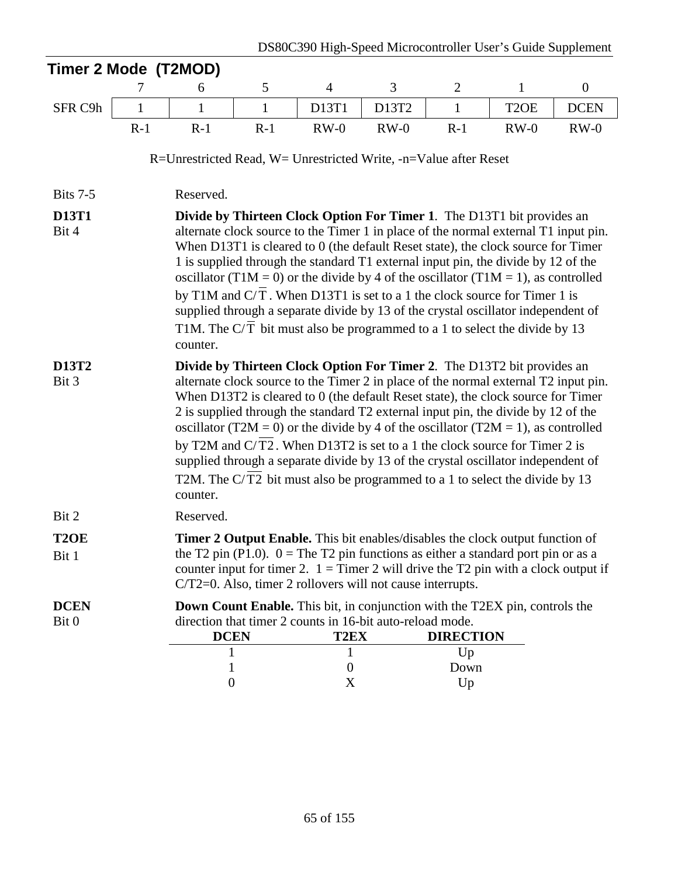| Timer 2 Mode (T2MOD)       |                                                                                                                                                                                                                                                                                                                                                                                                                                                                                                                                                                                                                                                                                           |                                                                                                                                                                                                                                                                                                                                                                                                                                                                                                                                                                                                                                                                                           |              |                                                                                                                                                                                                                                                                                                                                       |        |                  |                   |                  |  |  |
|----------------------------|-------------------------------------------------------------------------------------------------------------------------------------------------------------------------------------------------------------------------------------------------------------------------------------------------------------------------------------------------------------------------------------------------------------------------------------------------------------------------------------------------------------------------------------------------------------------------------------------------------------------------------------------------------------------------------------------|-------------------------------------------------------------------------------------------------------------------------------------------------------------------------------------------------------------------------------------------------------------------------------------------------------------------------------------------------------------------------------------------------------------------------------------------------------------------------------------------------------------------------------------------------------------------------------------------------------------------------------------------------------------------------------------------|--------------|---------------------------------------------------------------------------------------------------------------------------------------------------------------------------------------------------------------------------------------------------------------------------------------------------------------------------------------|--------|------------------|-------------------|------------------|--|--|
|                            | 7                                                                                                                                                                                                                                                                                                                                                                                                                                                                                                                                                                                                                                                                                         | 6                                                                                                                                                                                                                                                                                                                                                                                                                                                                                                                                                                                                                                                                                         | 5            | $\overline{4}$                                                                                                                                                                                                                                                                                                                        | 3      | $\overline{2}$   | $\mathbf{1}$      | $\boldsymbol{0}$ |  |  |
| SFR C9h                    | $\mathbf{1}$                                                                                                                                                                                                                                                                                                                                                                                                                                                                                                                                                                                                                                                                              | $\mathbf{1}$                                                                                                                                                                                                                                                                                                                                                                                                                                                                                                                                                                                                                                                                              | $\mathbf{1}$ | D13T1                                                                                                                                                                                                                                                                                                                                 | D13T2  | $\mathbf{1}$     | T <sub>2</sub> OE | <b>DCEN</b>      |  |  |
|                            | $R-1$                                                                                                                                                                                                                                                                                                                                                                                                                                                                                                                                                                                                                                                                                     | $R-1$                                                                                                                                                                                                                                                                                                                                                                                                                                                                                                                                                                                                                                                                                     | $R-1$        | $RW-0$                                                                                                                                                                                                                                                                                                                                | $RW-0$ | $R-1$            | $RW-0$            | $RW-0$           |  |  |
|                            |                                                                                                                                                                                                                                                                                                                                                                                                                                                                                                                                                                                                                                                                                           | R=Unrestricted Read, W= Unrestricted Write, -n=Value after Reset                                                                                                                                                                                                                                                                                                                                                                                                                                                                                                                                                                                                                          |              |                                                                                                                                                                                                                                                                                                                                       |        |                  |                   |                  |  |  |
| <b>Bits 7-5</b>            |                                                                                                                                                                                                                                                                                                                                                                                                                                                                                                                                                                                                                                                                                           | Reserved.                                                                                                                                                                                                                                                                                                                                                                                                                                                                                                                                                                                                                                                                                 |              |                                                                                                                                                                                                                                                                                                                                       |        |                  |                   |                  |  |  |
| <b>D13T1</b>               |                                                                                                                                                                                                                                                                                                                                                                                                                                                                                                                                                                                                                                                                                           |                                                                                                                                                                                                                                                                                                                                                                                                                                                                                                                                                                                                                                                                                           |              |                                                                                                                                                                                                                                                                                                                                       |        |                  |                   |                  |  |  |
| Bit 4                      | Divide by Thirteen Clock Option For Timer 1. The D13T1 bit provides an<br>alternate clock source to the Timer 1 in place of the normal external T1 input pin.<br>When D13T1 is cleared to 0 (the default Reset state), the clock source for Timer<br>1 is supplied through the standard T1 external input pin, the divide by 12 of the<br>oscillator (T1M = 0) or the divide by 4 of the oscillator (T1M = 1), as controlled<br>by T1M and C/T. When D13T1 is set to a 1 the clock source for Timer 1 is<br>supplied through a separate divide by 13 of the crystal oscillator independent of<br>T1M. The $C/T$ bit must also be programmed to a 1 to select the divide by 13<br>counter. |                                                                                                                                                                                                                                                                                                                                                                                                                                                                                                                                                                                                                                                                                           |              |                                                                                                                                                                                                                                                                                                                                       |        |                  |                   |                  |  |  |
| D13T2<br>Bit 3             |                                                                                                                                                                                                                                                                                                                                                                                                                                                                                                                                                                                                                                                                                           | Divide by Thirteen Clock Option For Timer 2. The D13T2 bit provides an<br>alternate clock source to the Timer 2 in place of the normal external T2 input pin.<br>When D13T2 is cleared to 0 (the default Reset state), the clock source for Timer<br>2 is supplied through the standard T2 external input pin, the divide by 12 of the<br>oscillator (T2M = 0) or the divide by 4 of the oscillator (T2M = 1), as controlled<br>by T2M and C/T2. When D13T2 is set to a 1 the clock source for Timer 2 is<br>supplied through a separate divide by 13 of the crystal oscillator independent of<br>T2M. The C/T2 bit must also be programmed to a 1 to select the divide by 13<br>counter. |              |                                                                                                                                                                                                                                                                                                                                       |        |                  |                   |                  |  |  |
| Bit 2                      |                                                                                                                                                                                                                                                                                                                                                                                                                                                                                                                                                                                                                                                                                           | Reserved.                                                                                                                                                                                                                                                                                                                                                                                                                                                                                                                                                                                                                                                                                 |              |                                                                                                                                                                                                                                                                                                                                       |        |                  |                   |                  |  |  |
| T <sub>2</sub> OE<br>Bit 1 |                                                                                                                                                                                                                                                                                                                                                                                                                                                                                                                                                                                                                                                                                           |                                                                                                                                                                                                                                                                                                                                                                                                                                                                                                                                                                                                                                                                                           |              | <b>Timer 2 Output Enable.</b> This bit enables/disables the clock output function of<br>the T2 pin (P1.0). $0 =$ The T2 pin functions as either a standard port pin or as a<br>counter input for timer 2. $1 =$ Timer 2 will drive the T2 pin with a clock output if<br>$C/T2=0$ . Also, timer 2 rollovers will not cause interrupts. |        |                  |                   |                  |  |  |
| <b>DCEN</b><br>Bit 0       |                                                                                                                                                                                                                                                                                                                                                                                                                                                                                                                                                                                                                                                                                           | <b>DCEN</b>                                                                                                                                                                                                                                                                                                                                                                                                                                                                                                                                                                                                                                                                               |              | <b>Down Count Enable.</b> This bit, in conjunction with the T2EX pin, controls the<br>direction that timer 2 counts in 16-bit auto-reload mode.<br>T2EX                                                                                                                                                                               |        | <b>DIRECTION</b> |                   |                  |  |  |
|                            |                                                                                                                                                                                                                                                                                                                                                                                                                                                                                                                                                                                                                                                                                           |                                                                                                                                                                                                                                                                                                                                                                                                                                                                                                                                                                                                                                                                                           |              |                                                                                                                                                                                                                                                                                                                                       |        | Up               |                   |                  |  |  |
|                            |                                                                                                                                                                                                                                                                                                                                                                                                                                                                                                                                                                                                                                                                                           | 1                                                                                                                                                                                                                                                                                                                                                                                                                                                                                                                                                                                                                                                                                         |              | $\Omega$                                                                                                                                                                                                                                                                                                                              |        | Down             |                   |                  |  |  |
|                            |                                                                                                                                                                                                                                                                                                                                                                                                                                                                                                                                                                                                                                                                                           | $\boldsymbol{0}$                                                                                                                                                                                                                                                                                                                                                                                                                                                                                                                                                                                                                                                                          |              | X                                                                                                                                                                                                                                                                                                                                     |        | Up               |                   |                  |  |  |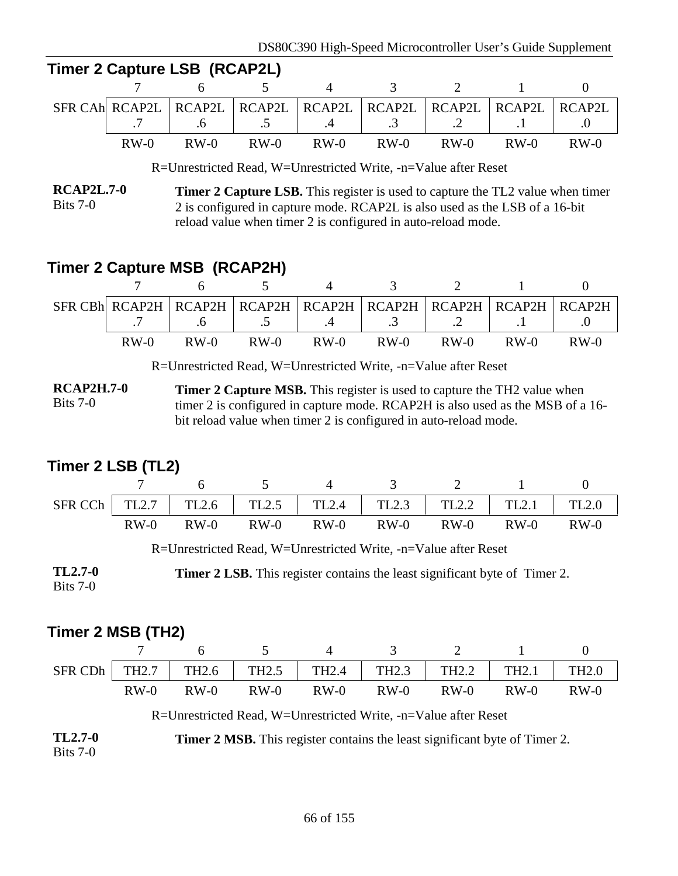|        | Timer 2 Capture LSB (RCAP2L) |        |                |                                                                               |        |        |
|--------|------------------------------|--------|----------------|-------------------------------------------------------------------------------|--------|--------|
|        | $7 \quad 6 \quad 5$          |        | $\overline{4}$ | 3 2 1                                                                         |        |        |
|        |                              |        |                | SFR CAH RCAP2L   RCAP2L   RCAP2L   RCAP2L   RCAP2L   RCAP2L   RCAP2L   RCAP2L |        |        |
|        |                              |        |                | $7 \t 6 \t 5 \t 4 \t 3 \t 2 \t 1 \t 1$                                        |        |        |
| $RW-0$ | $RW-0$                       | $RW-0$ | $RW-0$ $RW-0$  | $RW-0$                                                                        | $RW-0$ | $RW-0$ |

R=Unrestricted Read, W=Unrestricted Write, -n=Value after Reset

**RCAP2L.7-0**  $Bits 7-0$ **Timer 2 Capture LSB.** This register is used to capture the TL2 value when timer 2 is configured in capture mode. RCAP2L is also used as the LSB of a 16-bit reload value when timer 2 is configured in auto-reload mode.

# **Timer 2 Capture MSB (RCAP2H)**

 $T$ 

|        |        |        |        | SFR CBh RCAP2H   RCAP2H   RCAP2H   RCAP2H   RCAP2H   RCAP2H   RCAP2H   RCAP2H             |        |        |        |
|--------|--------|--------|--------|-------------------------------------------------------------------------------------------|--------|--------|--------|
|        |        |        |        | $.6 \quad   \quad .5 \quad   \quad .4 \quad   \quad .3 \quad   \quad .2 \quad   \quad .1$ |        |        |        |
| $RW-0$ | $RW-0$ | $RW-0$ | $RW-0$ | $RW-0$                                                                                    | $RW-0$ | $RW-0$ | $RW-0$ |

R=Unrestricted Read, W=Unrestricted Write, -n=Value after Reset

**RCAP2H.7-0** Bits 7-0 **Timer 2 Capture MSB.** This register is used to capture the TH2 value when timer 2 is configured in capture mode. RCAP2H is also used as the MSB of a 16 bit reload value when timer 2 is configured in auto-reload mode.

### **Timer 2 LSB (TL2)**

|        |        |        | SFR CCh   TL2.7   TL2.6   TL2.5   TL2.4   TL2.3   TL2.2   TL2.1 |        |        |        | TL2.0  |
|--------|--------|--------|-----------------------------------------------------------------|--------|--------|--------|--------|
| $RW-0$ | $RW-0$ | $RW-0$ | $RW-0$                                                          | $RW-0$ | $RW-0$ | $RW-0$ | $RW-0$ |

R=Unrestricted Read, W=Unrestricted Write, -n=Value after Reset

**TL2.7-0** Bits 7-0 **Timer 2 LSB.** This register contains the least significant byte of Timer 2.

### **Timer 2 MSB (TH2)**

|        |        |                                                                         |                      | 3 2 1 |        |        |
|--------|--------|-------------------------------------------------------------------------|----------------------|-------|--------|--------|
|        |        | SFR CDh   TH2.7   TH2.6   TH2.5   TH2.4   TH2.3   TH2.2   TH2.1   TH2.0 |                      |       |        |        |
| $RW-0$ | $RW-0$ | $RW-0$                                                                  | $RW-0$ $RW-0$ $RW-0$ |       | $RW-0$ | $RW-0$ |

R=Unrestricted Read, W=Unrestricted Write, -n=Value after Reset

**TL2.7-0** Bits 7-0 **Timer 2 MSB.** This register contains the least significant byte of Timer 2.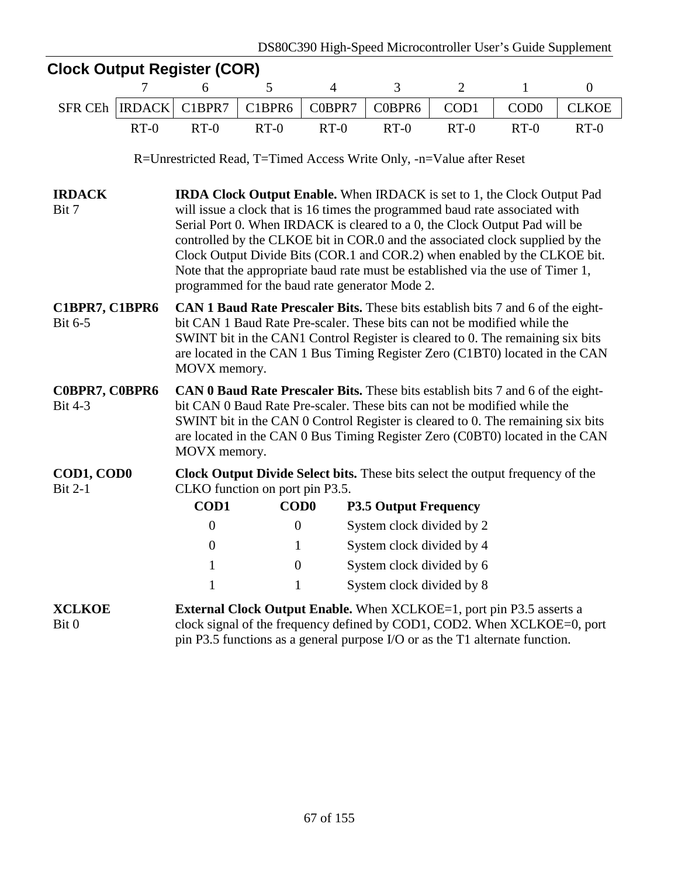|                                  |               | <b>Clock Output Register (COR)</b>                                                                                                                                                                                                                                                                                                                                                                                                                                                                                                              |                  |                |                                                                                                                                                                                                                                         |                |                  |                  |  |  |  |
|----------------------------------|---------------|-------------------------------------------------------------------------------------------------------------------------------------------------------------------------------------------------------------------------------------------------------------------------------------------------------------------------------------------------------------------------------------------------------------------------------------------------------------------------------------------------------------------------------------------------|------------------|----------------|-----------------------------------------------------------------------------------------------------------------------------------------------------------------------------------------------------------------------------------------|----------------|------------------|------------------|--|--|--|
|                                  | 7             | 6                                                                                                                                                                                                                                                                                                                                                                                                                                                                                                                                               | 5                | $\overline{4}$ | 3                                                                                                                                                                                                                                       | $\overline{2}$ | $\mathbf{1}$     | $\boldsymbol{0}$ |  |  |  |
| <b>SFR CEh</b>                   | <b>IRDACK</b> | C1BPR7                                                                                                                                                                                                                                                                                                                                                                                                                                                                                                                                          | C1BPR6           | C0BPR7         | C0BPR6                                                                                                                                                                                                                                  | COD1           | COD <sub>0</sub> | <b>CLKOE</b>     |  |  |  |
|                                  | $RT-0$        | $RT-0$                                                                                                                                                                                                                                                                                                                                                                                                                                                                                                                                          | $RT-0$           | $RT-0$         | $RT-0$                                                                                                                                                                                                                                  | $RT-0$         | $RT-0$           | $RT-0$           |  |  |  |
|                                  |               |                                                                                                                                                                                                                                                                                                                                                                                                                                                                                                                                                 |                  |                | R=Unrestricted Read, T=Timed Access Write Only, -n=Value after Reset                                                                                                                                                                    |                |                  |                  |  |  |  |
| <b>IRDACK</b><br>Bit 7           |               | <b>IRDA Clock Output Enable.</b> When IRDACK is set to 1, the Clock Output Pad<br>will issue a clock that is 16 times the programmed baud rate associated with<br>Serial Port 0. When IRDACK is cleared to a 0, the Clock Output Pad will be<br>controlled by the CLKOE bit in COR.0 and the associated clock supplied by the<br>Clock Output Divide Bits (COR.1 and COR.2) when enabled by the CLKOE bit.<br>Note that the appropriate baud rate must be established via the use of Timer 1,<br>programmed for the baud rate generator Mode 2. |                  |                |                                                                                                                                                                                                                                         |                |                  |                  |  |  |  |
| C1BPR7, C1BPR6<br>Bit 6-5        |               | <b>CAN 1 Baud Rate Prescaler Bits.</b> These bits establish bits 7 and 6 of the eight-<br>bit CAN 1 Baud Rate Pre-scaler. These bits can not be modified while the<br>SWINT bit in the CAN1 Control Register is cleared to 0. The remaining six bits<br>are located in the CAN 1 Bus Timing Register Zero (C1BT0) located in the CAN<br>MOVX memory.                                                                                                                                                                                            |                  |                |                                                                                                                                                                                                                                         |                |                  |                  |  |  |  |
| C0BPR7, C0BPR6<br><b>Bit 4-3</b> |               | CAN 0 Baud Rate Prescaler Bits. These bits establish bits 7 and 6 of the eight-<br>bit CAN 0 Baud Rate Pre-scaler. These bits can not be modified while the<br>SWINT bit in the CAN 0 Control Register is cleared to 0. The remaining six bits<br>are located in the CAN 0 Bus Timing Register Zero (C0BT0) located in the CAN<br>MOVX memory.                                                                                                                                                                                                  |                  |                |                                                                                                                                                                                                                                         |                |                  |                  |  |  |  |
| COD1, COD0<br><b>Bit 2-1</b>     |               | CLKO function on port pin P3.5.                                                                                                                                                                                                                                                                                                                                                                                                                                                                                                                 |                  |                | Clock Output Divide Select bits. These bits select the output frequency of the                                                                                                                                                          |                |                  |                  |  |  |  |
|                                  |               | <b>COD1</b>                                                                                                                                                                                                                                                                                                                                                                                                                                                                                                                                     | <b>COD0</b>      |                | <b>P3.5 Output Frequency</b>                                                                                                                                                                                                            |                |                  |                  |  |  |  |
|                                  |               | $\boldsymbol{0}$                                                                                                                                                                                                                                                                                                                                                                                                                                                                                                                                | $\boldsymbol{0}$ |                | System clock divided by 2                                                                                                                                                                                                               |                |                  |                  |  |  |  |
|                                  |               | $\overline{0}$                                                                                                                                                                                                                                                                                                                                                                                                                                                                                                                                  | $\mathbf{1}$     |                | System clock divided by 4                                                                                                                                                                                                               |                |                  |                  |  |  |  |
|                                  |               |                                                                                                                                                                                                                                                                                                                                                                                                                                                                                                                                                 | 0                |                | System clock divided by 6                                                                                                                                                                                                               |                |                  |                  |  |  |  |
|                                  |               | 1                                                                                                                                                                                                                                                                                                                                                                                                                                                                                                                                               |                  |                | System clock divided by 8                                                                                                                                                                                                               |                |                  |                  |  |  |  |
| <b>XCLKOE</b><br>Bit 0           |               |                                                                                                                                                                                                                                                                                                                                                                                                                                                                                                                                                 |                  |                | <b>External Clock Output Enable.</b> When XCLKOE=1, port pin P3.5 asserts a<br>clock signal of the frequency defined by COD1, COD2. When XCLKOE=0, port<br>pin P3.5 functions as a general purpose I/O or as the T1 alternate function. |                |                  |                  |  |  |  |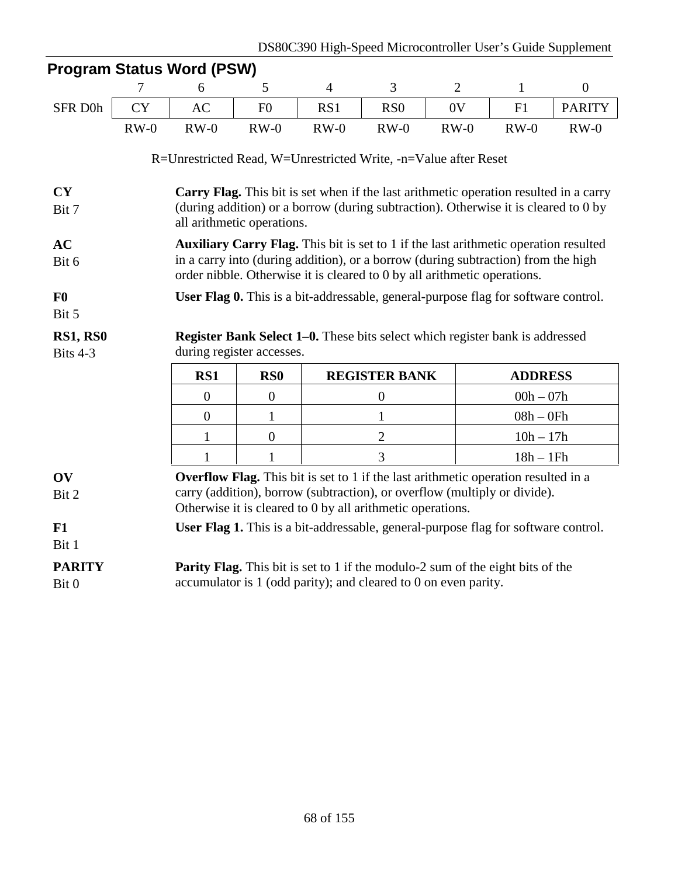| <b>Program Status Word (PSW)</b> |           |                                                                                                                                                               |                           |                                                                                                                                                                                                                                      |                      |                |                |                  |  |  |  |  |
|----------------------------------|-----------|---------------------------------------------------------------------------------------------------------------------------------------------------------------|---------------------------|--------------------------------------------------------------------------------------------------------------------------------------------------------------------------------------------------------------------------------------|----------------------|----------------|----------------|------------------|--|--|--|--|
|                                  | 7         | 6                                                                                                                                                             | 5                         | $\overline{4}$                                                                                                                                                                                                                       | $\overline{3}$       | $\overline{2}$ | $\mathbf{1}$   | $\boldsymbol{0}$ |  |  |  |  |
| SFR D0h                          | <b>CY</b> | <b>AC</b>                                                                                                                                                     | F <sub>0</sub>            | RS1                                                                                                                                                                                                                                  | RS <sub>0</sub>      | 0V             | F1             | <b>PARITY</b>    |  |  |  |  |
|                                  | $RW-0$    | $RW-0$                                                                                                                                                        | $RW-0$                    | $RW-0$                                                                                                                                                                                                                               | $RW-0$               | $RW-0$         | $RW-0$         | $RW-0$           |  |  |  |  |
|                                  |           | R=Unrestricted Read, W=Unrestricted Write, -n=Value after Reset                                                                                               |                           |                                                                                                                                                                                                                                      |                      |                |                |                  |  |  |  |  |
| CY                               |           |                                                                                                                                                               |                           | Carry Flag. This bit is set when if the last arithmetic operation resulted in a carry                                                                                                                                                |                      |                |                |                  |  |  |  |  |
| Bit 7                            |           | (during addition) or a borrow (during subtraction). Otherwise it is cleared to 0 by<br>all arithmetic operations.                                             |                           |                                                                                                                                                                                                                                      |                      |                |                |                  |  |  |  |  |
| <b>AC</b>                        |           |                                                                                                                                                               |                           | Auxiliary Carry Flag. This bit is set to 1 if the last arithmetic operation resulted                                                                                                                                                 |                      |                |                |                  |  |  |  |  |
| Bit 6                            |           | in a carry into (during addition), or a borrow (during subtraction) from the high<br>order nibble. Otherwise it is cleared to 0 by all arithmetic operations. |                           |                                                                                                                                                                                                                                      |                      |                |                |                  |  |  |  |  |
| F <sub>0</sub>                   |           | <b>User Flag 0.</b> This is a bit-addressable, general-purpose flag for software control.                                                                     |                           |                                                                                                                                                                                                                                      |                      |                |                |                  |  |  |  |  |
| Bit 5                            |           |                                                                                                                                                               |                           |                                                                                                                                                                                                                                      |                      |                |                |                  |  |  |  |  |
| <b>RS1, RS0</b><br>Bits 4-3      |           |                                                                                                                                                               | during register accesses. | <b>Register Bank Select 1–0.</b> These bits select which register bank is addressed                                                                                                                                                  |                      |                |                |                  |  |  |  |  |
|                                  |           | RS1                                                                                                                                                           | RS <sub>0</sub>           |                                                                                                                                                                                                                                      | <b>REGISTER BANK</b> |                | <b>ADDRESS</b> |                  |  |  |  |  |
|                                  |           | $\overline{0}$                                                                                                                                                | $\boldsymbol{0}$          |                                                                                                                                                                                                                                      | $\overline{0}$       |                | $00h - 07h$    |                  |  |  |  |  |
|                                  |           | $\boldsymbol{0}$                                                                                                                                              | $\mathbf{1}$              |                                                                                                                                                                                                                                      | $\mathbf 1$          |                | $08h - 0Fh$    |                  |  |  |  |  |
|                                  |           | 1                                                                                                                                                             | $\theta$                  |                                                                                                                                                                                                                                      | $\mathbf{2}$         | $10h - 17h$    |                |                  |  |  |  |  |
|                                  |           | 1                                                                                                                                                             | 1                         |                                                                                                                                                                                                                                      | 3                    |                | $18h - 1Fh$    |                  |  |  |  |  |
| OV<br>Bit 2                      |           |                                                                                                                                                               |                           | <b>Overflow Flag.</b> This bit is set to 1 if the last arithmetic operation resulted in a<br>carry (addition), borrow (subtraction), or overflow (multiply or divide).<br>Otherwise it is cleared to 0 by all arithmetic operations. |                      |                |                |                  |  |  |  |  |
| F1<br>Bit 1                      |           |                                                                                                                                                               |                           | User Flag 1. This is a bit-addressable, general-purpose flag for software control.                                                                                                                                                   |                      |                |                |                  |  |  |  |  |
| <b>PARITY</b><br>Bit 0           |           |                                                                                                                                                               |                           | Parity Flag. This bit is set to 1 if the modulo-2 sum of the eight bits of the<br>accumulator is 1 (odd parity); and cleared to 0 on even parity.                                                                                    |                      |                |                |                  |  |  |  |  |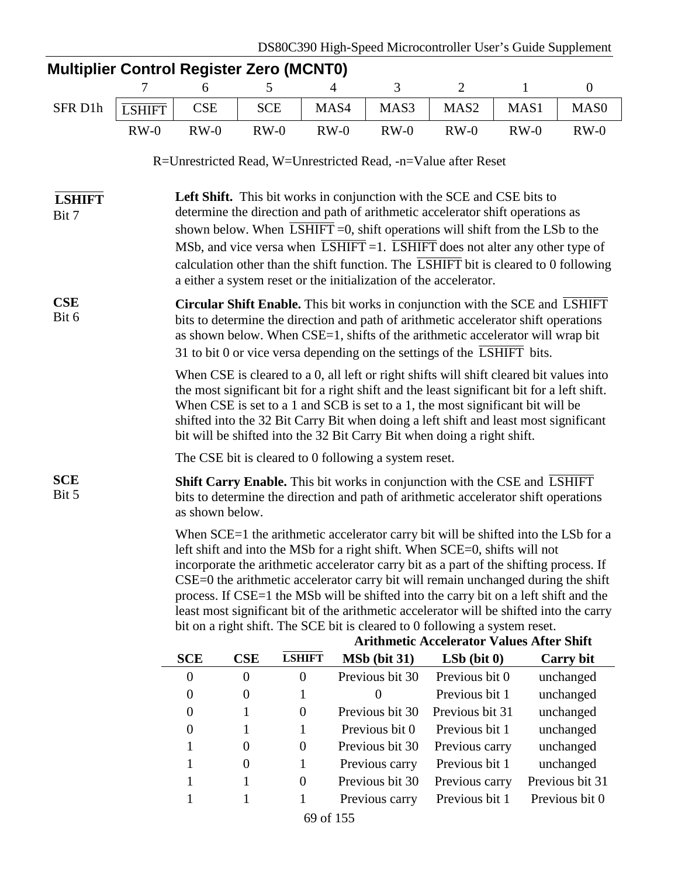| <b>Multiplier Control Register Zero (MCNT0)</b>                                                                                                                                                                                                                                                                                                                                                                                                                                                                                                                                                                                                                       |                                                              |                                                                                                                                                                                                                                                                                                                                                                                                                                            |                  |                  |                                                                                                                                                                                                                                                                                                                                         |                                                                |                  |                  |  |  |  |
|-----------------------------------------------------------------------------------------------------------------------------------------------------------------------------------------------------------------------------------------------------------------------------------------------------------------------------------------------------------------------------------------------------------------------------------------------------------------------------------------------------------------------------------------------------------------------------------------------------------------------------------------------------------------------|--------------------------------------------------------------|--------------------------------------------------------------------------------------------------------------------------------------------------------------------------------------------------------------------------------------------------------------------------------------------------------------------------------------------------------------------------------------------------------------------------------------------|------------------|------------------|-----------------------------------------------------------------------------------------------------------------------------------------------------------------------------------------------------------------------------------------------------------------------------------------------------------------------------------------|----------------------------------------------------------------|------------------|------------------|--|--|--|
|                                                                                                                                                                                                                                                                                                                                                                                                                                                                                                                                                                                                                                                                       | 7                                                            | 6                                                                                                                                                                                                                                                                                                                                                                                                                                          | 5                | 4                | 3                                                                                                                                                                                                                                                                                                                                       | $\overline{2}$                                                 | $\mathbf{1}$     | $\boldsymbol{0}$ |  |  |  |
| SFR D1h                                                                                                                                                                                                                                                                                                                                                                                                                                                                                                                                                                                                                                                               | <b>LSHIFT</b>                                                | <b>CSE</b>                                                                                                                                                                                                                                                                                                                                                                                                                                 | <b>SCE</b>       | MAS4             | MAS3                                                                                                                                                                                                                                                                                                                                    | MAS <sub>2</sub>                                               | MAS <sub>1</sub> | MAS <sub>0</sub> |  |  |  |
|                                                                                                                                                                                                                                                                                                                                                                                                                                                                                                                                                                                                                                                                       | $RW-0$                                                       | $RW-0$                                                                                                                                                                                                                                                                                                                                                                                                                                     | $RW-0$           | $RW-0$           | $RW-0$                                                                                                                                                                                                                                                                                                                                  | $RW-0$                                                         | $RW-0$           | $RW-0$           |  |  |  |
|                                                                                                                                                                                                                                                                                                                                                                                                                                                                                                                                                                                                                                                                       |                                                              |                                                                                                                                                                                                                                                                                                                                                                                                                                            |                  |                  |                                                                                                                                                                                                                                                                                                                                         | R=Unrestricted Read, W=Unrestricted Read, -n=Value after Reset |                  |                  |  |  |  |
| <b>LSHIFT</b><br>Bit 7                                                                                                                                                                                                                                                                                                                                                                                                                                                                                                                                                                                                                                                |                                                              | Left Shift. This bit works in conjunction with the SCE and CSE bits to<br>determine the direction and path of arithmetic accelerator shift operations as                                                                                                                                                                                                                                                                                   |                  |                  |                                                                                                                                                                                                                                                                                                                                         |                                                                |                  |                  |  |  |  |
|                                                                                                                                                                                                                                                                                                                                                                                                                                                                                                                                                                                                                                                                       |                                                              | shown below. When $\overline{LSHIFT}$ =0, shift operations will shift from the LSb to the                                                                                                                                                                                                                                                                                                                                                  |                  |                  |                                                                                                                                                                                                                                                                                                                                         |                                                                |                  |                  |  |  |  |
|                                                                                                                                                                                                                                                                                                                                                                                                                                                                                                                                                                                                                                                                       |                                                              | MSb, and vice versa when $\overline{LSHIFT}$ =1. $\overline{LSHIFT}$ does not alter any other type of<br>calculation other than the shift function. The $\overline{LSHIFT}$ bit is cleared to 0 following<br>a either a system reset or the initialization of the accelerator.                                                                                                                                                             |                  |                  |                                                                                                                                                                                                                                                                                                                                         |                                                                |                  |                  |  |  |  |
| CSE<br>Bit 6                                                                                                                                                                                                                                                                                                                                                                                                                                                                                                                                                                                                                                                          |                                                              |                                                                                                                                                                                                                                                                                                                                                                                                                                            |                  |                  | <b>Circular Shift Enable.</b> This bit works in conjunction with the SCE and LSHIFT<br>bits to determine the direction and path of arithmetic accelerator shift operations<br>as shown below. When CSE=1, shifts of the arithmetic accelerator will wrap bit<br>31 to bit 0 or vice versa depending on the settings of the LSHIFT bits. |                                                                |                  |                  |  |  |  |
|                                                                                                                                                                                                                                                                                                                                                                                                                                                                                                                                                                                                                                                                       |                                                              | When CSE is cleared to a 0, all left or right shifts will shift cleared bit values into<br>the most significant bit for a right shift and the least significant bit for a left shift.<br>When CSE is set to a 1 and SCB is set to a 1, the most significant bit will be<br>shifted into the 32 Bit Carry Bit when doing a left shift and least most significant<br>bit will be shifted into the 32 Bit Carry Bit when doing a right shift. |                  |                  |                                                                                                                                                                                                                                                                                                                                         |                                                                |                  |                  |  |  |  |
|                                                                                                                                                                                                                                                                                                                                                                                                                                                                                                                                                                                                                                                                       |                                                              | The CSE bit is cleared to 0 following a system reset.                                                                                                                                                                                                                                                                                                                                                                                      |                  |                  |                                                                                                                                                                                                                                                                                                                                         |                                                                |                  |                  |  |  |  |
| <b>SCE</b><br>Bit 5                                                                                                                                                                                                                                                                                                                                                                                                                                                                                                                                                                                                                                                   |                                                              | Shift Carry Enable. This bit works in conjunction with the CSE and LSHIFT<br>bits to determine the direction and path of arithmetic accelerator shift operations<br>as shown below.                                                                                                                                                                                                                                                        |                  |                  |                                                                                                                                                                                                                                                                                                                                         |                                                                |                  |                  |  |  |  |
| When SCE=1 the arithmetic accelerator carry bit will be shifted into the LSb for a<br>left shift and into the MSb for a right shift. When SCE=0, shifts will not<br>incorporate the arithmetic accelerator carry bit as a part of the shifting process. If<br>CSE=0 the arithmetic accelerator carry bit will remain unchanged during the shift<br>process. If CSE=1 the MSb will be shifted into the carry bit on a left shift and the<br>least most significant bit of the arithmetic accelerator will be shifted into the carry<br>bit on a right shift. The SCE bit is cleared to 0 following a system reset.<br><b>Arithmetic Accelerator Values After Shift</b> |                                                              |                                                                                                                                                                                                                                                                                                                                                                                                                                            |                  |                  |                                                                                                                                                                                                                                                                                                                                         |                                                                |                  |                  |  |  |  |
|                                                                                                                                                                                                                                                                                                                                                                                                                                                                                                                                                                                                                                                                       |                                                              | <b>SCE</b>                                                                                                                                                                                                                                                                                                                                                                                                                                 | CSE              | <b>LSHIFT</b>    | MSb (bit 31)                                                                                                                                                                                                                                                                                                                            | $LSb$ (bit $0$ )                                               |                  | <b>Carry bit</b> |  |  |  |
|                                                                                                                                                                                                                                                                                                                                                                                                                                                                                                                                                                                                                                                                       |                                                              | $\theta$                                                                                                                                                                                                                                                                                                                                                                                                                                   | $\boldsymbol{0}$ | $\boldsymbol{0}$ | Previous bit 30                                                                                                                                                                                                                                                                                                                         | Previous bit 0                                                 |                  | unchanged        |  |  |  |
|                                                                                                                                                                                                                                                                                                                                                                                                                                                                                                                                                                                                                                                                       |                                                              | $\overline{0}$                                                                                                                                                                                                                                                                                                                                                                                                                             | 0                | 1                | $\overline{0}$                                                                                                                                                                                                                                                                                                                          | Previous bit 1                                                 |                  | unchanged        |  |  |  |
|                                                                                                                                                                                                                                                                                                                                                                                                                                                                                                                                                                                                                                                                       |                                                              | $\boldsymbol{0}$                                                                                                                                                                                                                                                                                                                                                                                                                           |                  | $\boldsymbol{0}$ | Previous bit 30                                                                                                                                                                                                                                                                                                                         | Previous bit 31                                                |                  | unchanged        |  |  |  |
|                                                                                                                                                                                                                                                                                                                                                                                                                                                                                                                                                                                                                                                                       |                                                              | $\boldsymbol{0}$                                                                                                                                                                                                                                                                                                                                                                                                                           | 1                | 1                | Previous bit 0                                                                                                                                                                                                                                                                                                                          | Previous bit 1                                                 |                  | unchanged        |  |  |  |
|                                                                                                                                                                                                                                                                                                                                                                                                                                                                                                                                                                                                                                                                       |                                                              | 1                                                                                                                                                                                                                                                                                                                                                                                                                                          | $\boldsymbol{0}$ | $\boldsymbol{0}$ | Previous bit 30                                                                                                                                                                                                                                                                                                                         | Previous carry                                                 |                  | unchanged        |  |  |  |
|                                                                                                                                                                                                                                                                                                                                                                                                                                                                                                                                                                                                                                                                       |                                                              | 1                                                                                                                                                                                                                                                                                                                                                                                                                                          | $\theta$         | 1                | Previous carry                                                                                                                                                                                                                                                                                                                          | Previous bit 1                                                 |                  | unchanged        |  |  |  |
|                                                                                                                                                                                                                                                                                                                                                                                                                                                                                                                                                                                                                                                                       |                                                              | 1                                                                                                                                                                                                                                                                                                                                                                                                                                          | 1                | $\boldsymbol{0}$ | Previous bit 30                                                                                                                                                                                                                                                                                                                         | Previous carry                                                 |                  | Previous bit 31  |  |  |  |
|                                                                                                                                                                                                                                                                                                                                                                                                                                                                                                                                                                                                                                                                       | Previous carry<br>Previous bit 1<br>Previous bit 0<br>1<br>1 |                                                                                                                                                                                                                                                                                                                                                                                                                                            |                  |                  |                                                                                                                                                                                                                                                                                                                                         |                                                                |                  |                  |  |  |  |

69 of 155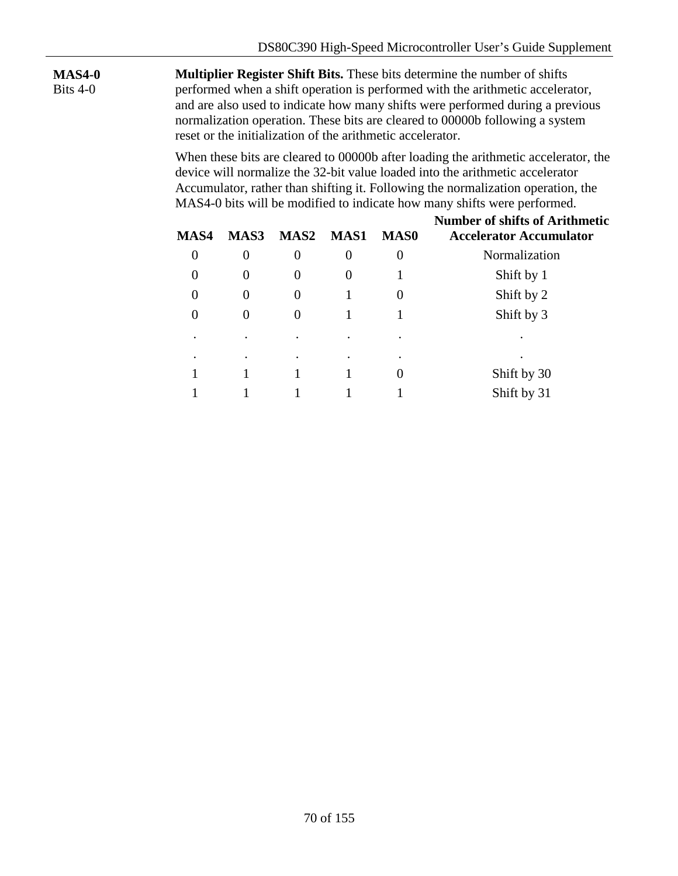**MAS4-0** Bits 4-0

**Multiplier Register Shift Bits.** These bits determine the number of shifts performed when a shift operation is performed with the arithmetic accelerator, and are also used to indicate how many shifts were performed during a previous normalization operation. These bits are cleared to 00000b following a system reset or the initialization of the arithmetic accelerator.

When these bits are cleared to 00000b after loading the arithmetic accelerator, the device will normalize the 32-bit value loaded into the arithmetic accelerator Accumulator, rather than shifting it. Following the normalization operation, the MAS4-0 bits will be modified to indicate how many shifts were performed.

| MAS4           | MAS3     | <b>MAS2</b>    | MAS1   | <b>MAS0</b> | <b>Number of shifts of Arithmetic</b><br><b>Accelerator Accumulator</b> |  |  |  |
|----------------|----------|----------------|--------|-------------|-------------------------------------------------------------------------|--|--|--|
| $\overline{0}$ | 0        | $\overline{0}$ | 0      | 0           | Normalization                                                           |  |  |  |
| $\theta$       | $\Omega$ | $\overline{0}$ | $_{0}$ |             | Shift by 1                                                              |  |  |  |
| $\overline{0}$ | $\Omega$ | $\overline{0}$ |        | $\theta$    | Shift by 2                                                              |  |  |  |
| $\Omega$       | $\Omega$ | $\Omega$       |        |             | Shift by 3                                                              |  |  |  |
|                |          |                |        | ٠           |                                                                         |  |  |  |
| $\bullet$      |          |                |        | ٠           | $\bullet$                                                               |  |  |  |
|                |          |                |        | 0           | Shift by 30                                                             |  |  |  |
|                |          |                |        |             | Shift by 31                                                             |  |  |  |
|                |          |                |        |             |                                                                         |  |  |  |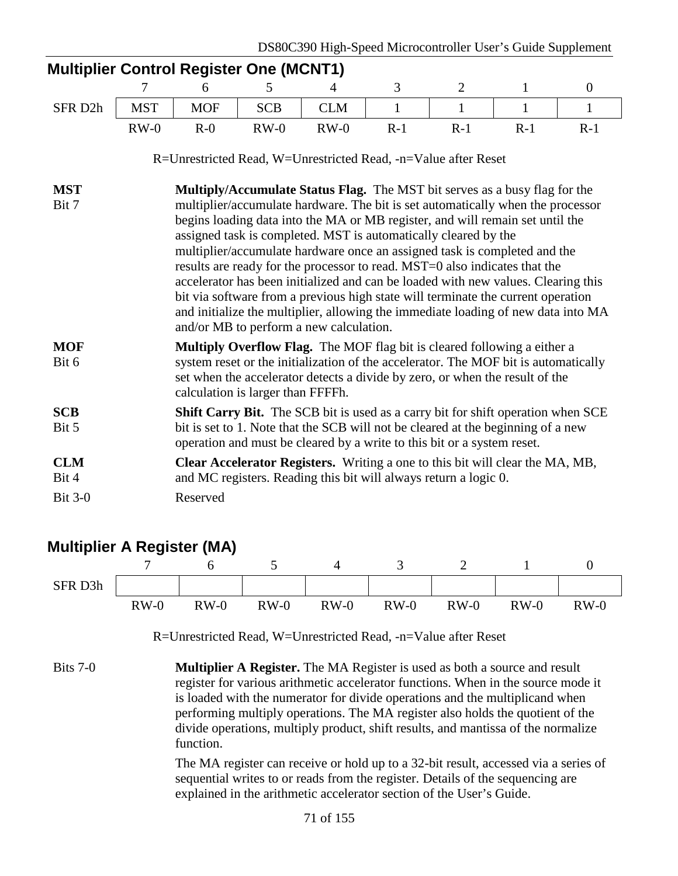| <b>Multiplier Control Register One (MCNT1)</b>                 |                                                                                                                                                                                                                                                                                                                                                                                                                                                                                                                                                                                                                                                                                                                                                                                       |                                                                                                                                                                                                                                                                                      |            |            |       |                |              |                |  |  |
|----------------------------------------------------------------|---------------------------------------------------------------------------------------------------------------------------------------------------------------------------------------------------------------------------------------------------------------------------------------------------------------------------------------------------------------------------------------------------------------------------------------------------------------------------------------------------------------------------------------------------------------------------------------------------------------------------------------------------------------------------------------------------------------------------------------------------------------------------------------|--------------------------------------------------------------------------------------------------------------------------------------------------------------------------------------------------------------------------------------------------------------------------------------|------------|------------|-------|----------------|--------------|----------------|--|--|
|                                                                | 7                                                                                                                                                                                                                                                                                                                                                                                                                                                                                                                                                                                                                                                                                                                                                                                     | 6                                                                                                                                                                                                                                                                                    | 5          | 4          | 3     | $\overline{2}$ | $\mathbf{1}$ | $\overline{0}$ |  |  |
| SFR D2h                                                        | <b>MST</b>                                                                                                                                                                                                                                                                                                                                                                                                                                                                                                                                                                                                                                                                                                                                                                            | <b>MOF</b>                                                                                                                                                                                                                                                                           | <b>SCB</b> | <b>CLM</b> | 1     | 1              | 1            | $\mathbf{1}$   |  |  |
|                                                                | $RW-0$                                                                                                                                                                                                                                                                                                                                                                                                                                                                                                                                                                                                                                                                                                                                                                                | $R-0$                                                                                                                                                                                                                                                                                | $RW-0$     | $RW-0$     | $R-1$ | $R-1$          | $R-1$        | $R-1$          |  |  |
| R=Unrestricted Read, W=Unrestricted Read, -n=Value after Reset |                                                                                                                                                                                                                                                                                                                                                                                                                                                                                                                                                                                                                                                                                                                                                                                       |                                                                                                                                                                                                                                                                                      |            |            |       |                |              |                |  |  |
| <b>MST</b><br>Bit 7                                            | Multiply/Accumulate Status Flag. The MST bit serves as a busy flag for the<br>multiplier/accumulate hardware. The bit is set automatically when the processor<br>begins loading data into the MA or MB register, and will remain set until the<br>assigned task is completed. MST is automatically cleared by the<br>multiplier/accumulate hardware once an assigned task is completed and the<br>results are ready for the processor to read. MST=0 also indicates that the<br>accelerator has been initialized and can be loaded with new values. Clearing this<br>bit via software from a previous high state will terminate the current operation<br>and initialize the multiplier, allowing the immediate loading of new data into MA<br>and/or MB to perform a new calculation. |                                                                                                                                                                                                                                                                                      |            |            |       |                |              |                |  |  |
| <b>MOF</b><br>Bit 6                                            |                                                                                                                                                                                                                                                                                                                                                                                                                                                                                                                                                                                                                                                                                                                                                                                       | Multiply Overflow Flag. The MOF flag bit is cleared following a either a<br>system reset or the initialization of the accelerator. The MOF bit is automatically<br>set when the accelerator detects a divide by zero, or when the result of the<br>calculation is larger than FFFFh. |            |            |       |                |              |                |  |  |
| <b>SCB</b><br>Bit 5                                            | Shift Carry Bit. The SCB bit is used as a carry bit for shift operation when SCE<br>bit is set to 1. Note that the SCB will not be cleared at the beginning of a new<br>operation and must be cleared by a write to this bit or a system reset.                                                                                                                                                                                                                                                                                                                                                                                                                                                                                                                                       |                                                                                                                                                                                                                                                                                      |            |            |       |                |              |                |  |  |
| <b>CLM</b><br>Bit 4                                            |                                                                                                                                                                                                                                                                                                                                                                                                                                                                                                                                                                                                                                                                                                                                                                                       | Clear Accelerator Registers. Writing a one to this bit will clear the MA, MB,<br>and MC registers. Reading this bit will always return a logic 0.                                                                                                                                    |            |            |       |                |              |                |  |  |
| <b>Bit 3-0</b>                                                 |                                                                                                                                                                                                                                                                                                                                                                                                                                                                                                                                                                                                                                                                                                                                                                                       | Reserved                                                                                                                                                                                                                                                                             |            |            |       |                |              |                |  |  |

### **Multiplier A Register (MA)**



The MA register can receive or hold up to a 32-bit result, accessed via a series of sequential writes to or reads from the register. Details of the sequencing are explained in the arithmetic accelerator section of the User's Guide.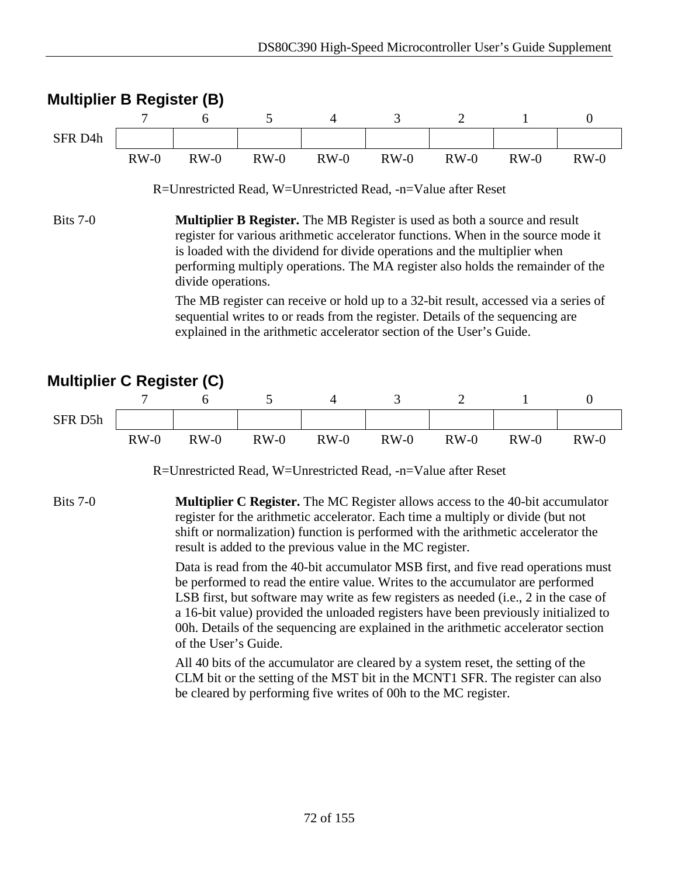



R=Unrestricted Read, W=Unrestricted Read, -n=Value after Reset

Bits 7-0 **Multiplier C Register.** The MC Register allows access to the 40-bit accumulator register for the arithmetic accelerator. Each time a multiply or divide (but not shift or normalization) function is performed with the arithmetic accelerator the result is added to the previous value in the MC register.

> Data is read from the 40-bit accumulator MSB first, and five read operations must be performed to read the entire value. Writes to the accumulator are performed LSB first, but software may write as few registers as needed (i.e., 2 in the case of a 16-bit value) provided the unloaded registers have been previously initialized to 00h. Details of the sequencing are explained in the arithmetic accelerator section of the User's Guide.

All 40 bits of the accumulator are cleared by a system reset, the setting of the CLM bit or the setting of the MST bit in the MCNT1 SFR. The register can also be cleared by performing five writes of 00h to the MC register.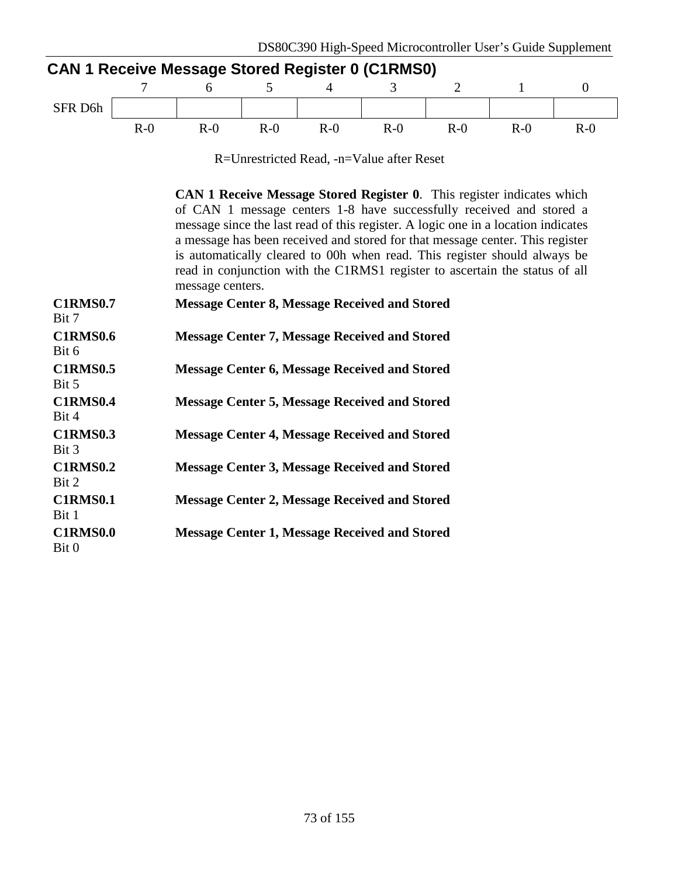| CAN 1 Receive Message Stored Register 0 (C1RMS0) |       |       |       |       |       |       |       |       |  |  |  |
|--------------------------------------------------|-------|-------|-------|-------|-------|-------|-------|-------|--|--|--|
|                                                  |       |       |       |       |       |       |       |       |  |  |  |
| SFR D <sub>6h</sub>                              |       |       |       |       |       |       |       |       |  |  |  |
|                                                  | $R-0$ | $R-0$ | $R-0$ | $R-0$ | $R-0$ | $R-0$ | $R-0$ | $R-0$ |  |  |  |

R=Unrestricted Read, -n=Value after Reset

**CAN 1 Receive Message Stored Register 0**. This register indicates which of CAN 1 message centers 1-8 have successfully received and stored a message since the last read of this register. A logic one in a location indicates a message has been received and stored for that message center. This register is automatically cleared to 00h when read. This register should always be read in conjunction with the C1RMS1 register to ascertain the status of all message centers.

| <b>C1RMS0.7</b><br>Bit 7 | <b>Message Center 8, Message Received and Stored</b> |
|--------------------------|------------------------------------------------------|
| <b>C1RMS0.6</b><br>Bit 6 | <b>Message Center 7, Message Received and Stored</b> |
| <b>C1RMS0.5</b><br>Bit 5 | <b>Message Center 6, Message Received and Stored</b> |
| <b>C1RMS0.4</b><br>Bit 4 | <b>Message Center 5, Message Received and Stored</b> |
| <b>C1RMS0.3</b><br>Bit 3 | <b>Message Center 4, Message Received and Stored</b> |
| <b>C1RMS0.2</b><br>Bit 2 | <b>Message Center 3, Message Received and Stored</b> |
| <b>C1RMS0.1</b><br>Bit 1 | <b>Message Center 2, Message Received and Stored</b> |
| <b>C1RMS0.0</b><br>Bit 0 | <b>Message Center 1, Message Received and Stored</b> |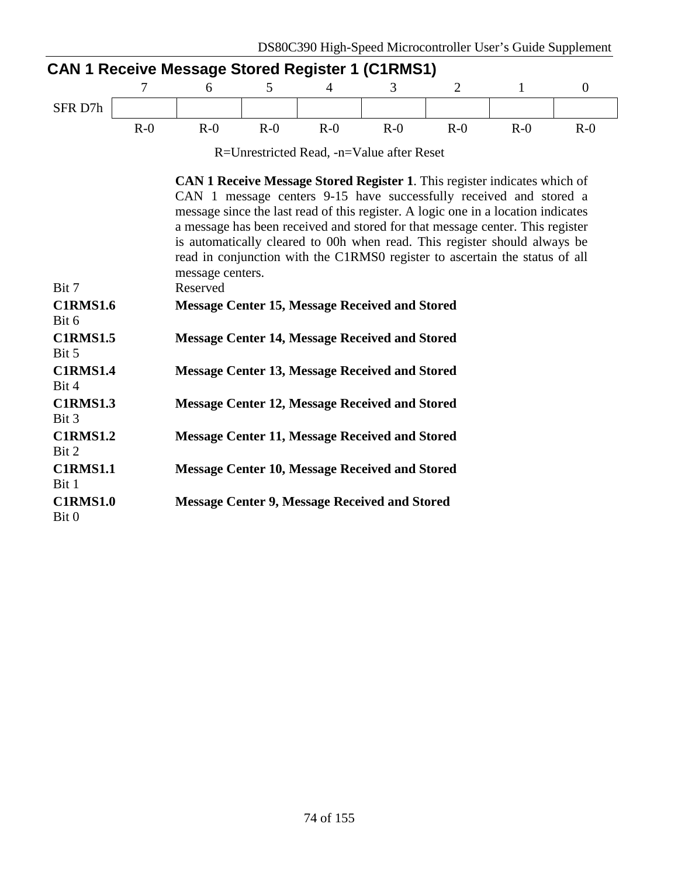|                          | 7     | 6                            | 5.    | <b>CAN 1 Receive Message Stored Register 1 (C1RMS1)</b><br>4 | 3                                                     | 2     | $\mathbf{1}$                                                                                                                                                                                                                                                                                                                                                                                                                                                                             | $\boldsymbol{0}$ |
|--------------------------|-------|------------------------------|-------|--------------------------------------------------------------|-------------------------------------------------------|-------|------------------------------------------------------------------------------------------------------------------------------------------------------------------------------------------------------------------------------------------------------------------------------------------------------------------------------------------------------------------------------------------------------------------------------------------------------------------------------------------|------------------|
| SFR D7h                  |       |                              |       |                                                              |                                                       |       |                                                                                                                                                                                                                                                                                                                                                                                                                                                                                          |                  |
|                          | $R-0$ | $R-0$                        | $R-0$ | $R-0$                                                        | $R-0$                                                 | $R-0$ | $R-0$                                                                                                                                                                                                                                                                                                                                                                                                                                                                                    | $R-0$            |
|                          |       |                              |       |                                                              | R=Unrestricted Read, -n=Value after Reset             |       |                                                                                                                                                                                                                                                                                                                                                                                                                                                                                          |                  |
| Bit 7                    |       | message centers.<br>Reserved |       |                                                              |                                                       |       | <b>CAN 1 Receive Message Stored Register 1.</b> This register indicates which of<br>CAN 1 message centers 9-15 have successfully received and stored a<br>message since the last read of this register. A logic one in a location indicates<br>a message has been received and stored for that message center. This register<br>is automatically cleared to 00h when read. This register should always be<br>read in conjunction with the C1RMS0 register to ascertain the status of all |                  |
| <b>C1RMS1.6</b><br>Bit 6 |       |                              |       |                                                              | <b>Message Center 15, Message Received and Stored</b> |       |                                                                                                                                                                                                                                                                                                                                                                                                                                                                                          |                  |
| <b>C1RMS1.5</b><br>Bit 5 |       |                              |       |                                                              | <b>Message Center 14, Message Received and Stored</b> |       |                                                                                                                                                                                                                                                                                                                                                                                                                                                                                          |                  |
| <b>C1RMS1.4</b><br>Bit 4 |       |                              |       |                                                              | <b>Message Center 13, Message Received and Stored</b> |       |                                                                                                                                                                                                                                                                                                                                                                                                                                                                                          |                  |
| <b>C1RMS1.3</b><br>Bit 3 |       |                              |       |                                                              | <b>Message Center 12, Message Received and Stored</b> |       |                                                                                                                                                                                                                                                                                                                                                                                                                                                                                          |                  |
| <b>C1RMS1.2</b><br>Bit 2 |       |                              |       |                                                              | <b>Message Center 11, Message Received and Stored</b> |       |                                                                                                                                                                                                                                                                                                                                                                                                                                                                                          |                  |
| <b>C1RMS1.1</b><br>Bit 1 |       |                              |       |                                                              | <b>Message Center 10, Message Received and Stored</b> |       |                                                                                                                                                                                                                                                                                                                                                                                                                                                                                          |                  |

**C1RMS1.0** Bit 0 **Message Center 9, Message Received and Stored**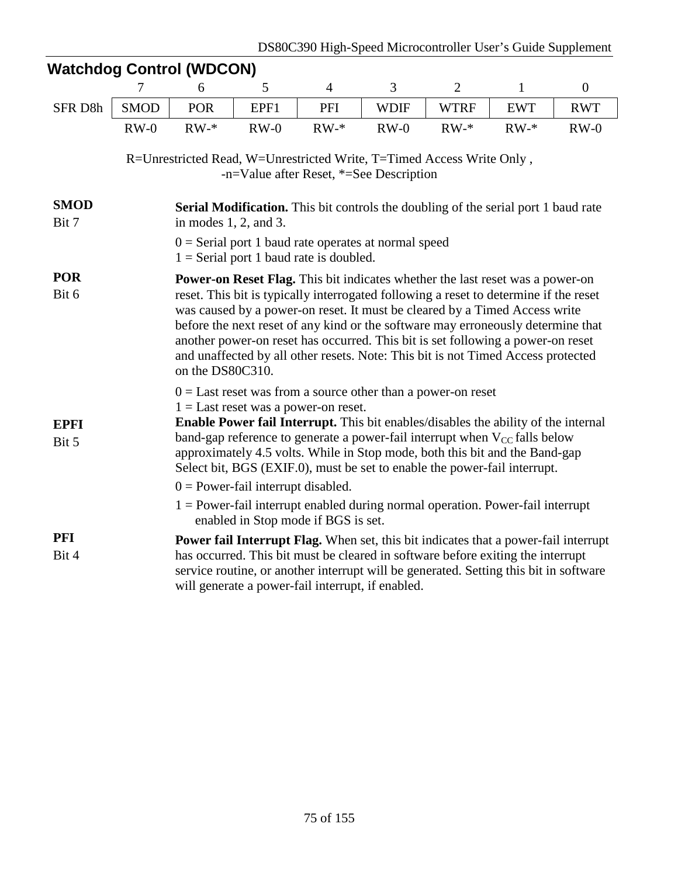|                      | $\overline{7}$                                                                                                                                                                                                                                                                                                                                                                                                                                                                               | 6                                                                                                                                                                                                                                                                                                                                                                                                                                                                                                                                          | 5      | $\overline{4}$                                                                                      | 3           | $\overline{2}$ | $\mathbf{1}$                                                                                                                                                                                                                                                    | $\boldsymbol{0}$ |  |  |  |
|----------------------|----------------------------------------------------------------------------------------------------------------------------------------------------------------------------------------------------------------------------------------------------------------------------------------------------------------------------------------------------------------------------------------------------------------------------------------------------------------------------------------------|--------------------------------------------------------------------------------------------------------------------------------------------------------------------------------------------------------------------------------------------------------------------------------------------------------------------------------------------------------------------------------------------------------------------------------------------------------------------------------------------------------------------------------------------|--------|-----------------------------------------------------------------------------------------------------|-------------|----------------|-----------------------------------------------------------------------------------------------------------------------------------------------------------------------------------------------------------------------------------------------------------------|------------------|--|--|--|
| SFR D8h              | <b>SMOD</b>                                                                                                                                                                                                                                                                                                                                                                                                                                                                                  | <b>POR</b>                                                                                                                                                                                                                                                                                                                                                                                                                                                                                                                                 | EPF1   | PFI                                                                                                 | <b>WDIF</b> | <b>WTRF</b>    | <b>EWT</b>                                                                                                                                                                                                                                                      | <b>RWT</b>       |  |  |  |
|                      | $RW-0$                                                                                                                                                                                                                                                                                                                                                                                                                                                                                       | $RW-*$                                                                                                                                                                                                                                                                                                                                                                                                                                                                                                                                     | $RW-0$ | $RW-*$                                                                                              | $RW-0$      | $RW-*$         | $RW-*$                                                                                                                                                                                                                                                          | $RW-0$           |  |  |  |
|                      | R=Unrestricted Read, W=Unrestricted Write, T=Timed Access Write Only,<br>-n=Value after Reset, *=See Description                                                                                                                                                                                                                                                                                                                                                                             |                                                                                                                                                                                                                                                                                                                                                                                                                                                                                                                                            |        |                                                                                                     |             |                |                                                                                                                                                                                                                                                                 |                  |  |  |  |
| <b>SMOD</b><br>Bit 7 |                                                                                                                                                                                                                                                                                                                                                                                                                                                                                              | in modes $1, 2$ , and $3$ .                                                                                                                                                                                                                                                                                                                                                                                                                                                                                                                |        |                                                                                                     |             |                | Serial Modification. This bit controls the doubling of the serial port 1 baud rate                                                                                                                                                                              |                  |  |  |  |
|                      |                                                                                                                                                                                                                                                                                                                                                                                                                                                                                              |                                                                                                                                                                                                                                                                                                                                                                                                                                                                                                                                            |        | $0 =$ Serial port 1 baud rate operates at normal speed<br>$1 =$ Serial port 1 baud rate is doubled. |             |                |                                                                                                                                                                                                                                                                 |                  |  |  |  |
| <b>POR</b><br>Bit 6  |                                                                                                                                                                                                                                                                                                                                                                                                                                                                                              | <b>Power-on Reset Flag.</b> This bit indicates whether the last reset was a power-on<br>reset. This bit is typically interrogated following a reset to determine if the reset<br>was caused by a power-on reset. It must be cleared by a Timed Access write<br>before the next reset of any kind or the software may erroneously determine that<br>another power-on reset has occurred. This bit is set following a power-on reset<br>and unaffected by all other resets. Note: This bit is not Timed Access protected<br>on the DS80C310. |        |                                                                                                     |             |                |                                                                                                                                                                                                                                                                 |                  |  |  |  |
| <b>EPFI</b><br>Bit 5 | $0 =$ Last reset was from a source other than a power-on reset<br>$1 =$ Last reset was a power-on reset.<br><b>Enable Power fail Interrupt.</b> This bit enables/disables the ability of the internal<br>band-gap reference to generate a power-fail interrupt when $V_{CC}$ falls below<br>approximately 4.5 volts. While in Stop mode, both this bit and the Band-gap<br>Select bit, BGS (EXIF.0), must be set to enable the power-fail interrupt.<br>$0 = Power-fail$ interrupt disabled. |                                                                                                                                                                                                                                                                                                                                                                                                                                                                                                                                            |        |                                                                                                     |             |                |                                                                                                                                                                                                                                                                 |                  |  |  |  |
|                      |                                                                                                                                                                                                                                                                                                                                                                                                                                                                                              |                                                                                                                                                                                                                                                                                                                                                                                                                                                                                                                                            |        | enabled in Stop mode if BGS is set.                                                                 |             |                | $1 = Power-fail$ interrupt enabled during normal operation. Power-fail interrupt                                                                                                                                                                                |                  |  |  |  |
| <b>PFI</b><br>Bit 4  |                                                                                                                                                                                                                                                                                                                                                                                                                                                                                              |                                                                                                                                                                                                                                                                                                                                                                                                                                                                                                                                            |        | will generate a power-fail interrupt, if enabled.                                                   |             |                | Power fail Interrupt Flag. When set, this bit indicates that a power-fail interrupt<br>has occurred. This bit must be cleared in software before exiting the interrupt<br>service routine, or another interrupt will be generated. Setting this bit in software |                  |  |  |  |

#### **Watchdog Control (WDCON)**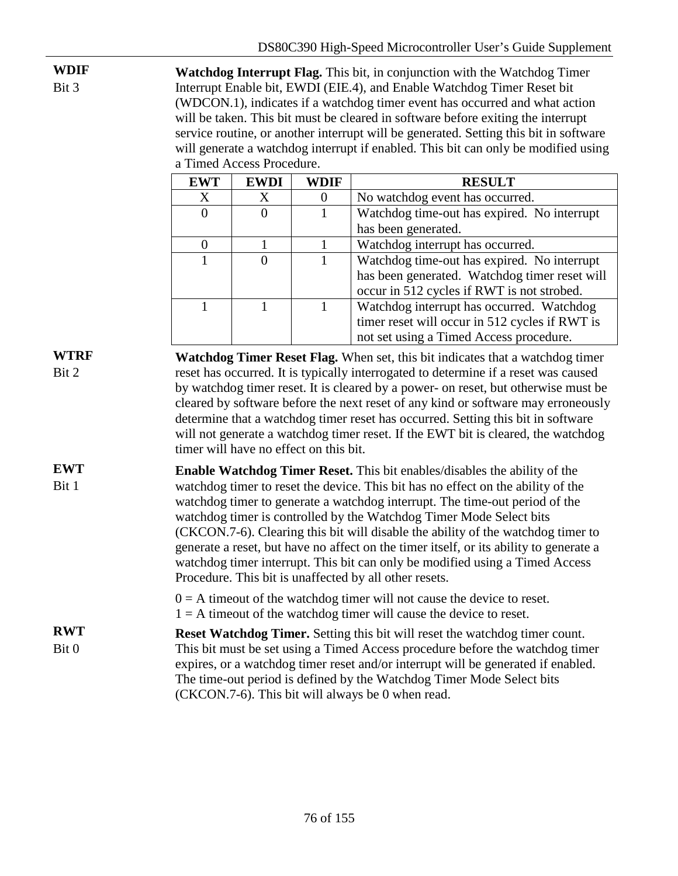**WDIF** Bit 3 **Watchdog Interrupt Flag.** This bit, in conjunction with the Watchdog Timer Interrupt Enable bit, EWDI (EIE.4), and Enable Watchdog Timer Reset bit (WDCON.1), indicates if a watchdog timer event has occurred and what action will be taken. This bit must be cleared in software before exiting the interrupt service routine, or another interrupt will be generated. Setting this bit in software will generate a watchdog interrupt if enabled. This bit can only be modified using a Timed Access Procedure.

| <b>EWT</b> | <b>EWDI</b> | WDIF | <b>RESULT</b>                                  |  |  |  |
|------------|-------------|------|------------------------------------------------|--|--|--|
| X          | X           |      | No watchdog event has occurred.                |  |  |  |
| $\theta$   |             |      | Watchdog time-out has expired. No interrupt    |  |  |  |
|            |             |      | has been generated.                            |  |  |  |
|            |             |      | Watchdog interrupt has occurred.               |  |  |  |
|            |             |      | Watchdog time-out has expired. No interrupt    |  |  |  |
|            |             |      | has been generated. Watchdog timer reset will  |  |  |  |
|            |             |      | occur in 512 cycles if RWT is not strobed.     |  |  |  |
|            |             |      | Watchdog interrupt has occurred. Watchdog      |  |  |  |
|            |             |      | timer reset will occur in 512 cycles if RWT is |  |  |  |
|            |             |      | not set using a Timed Access procedure.        |  |  |  |

**WTRF** Bit 2 **Watchdog Timer Reset Flag.** When set, this bit indicates that a watchdog timer reset has occurred. It is typically interrogated to determine if a reset was caused by watchdog timer reset. It is cleared by a power- on reset, but otherwise must be cleared by software before the next reset of any kind or software may erroneously determine that a watchdog timer reset has occurred. Setting this bit in software will not generate a watchdog timer reset. If the EWT bit is cleared, the watchdog timer will have no effect on this bit.

**EWT** Bit 1 **Enable Watchdog Timer Reset.** This bit enables/disables the ability of the watchdog timer to reset the device. This bit has no effect on the ability of the watchdog timer to generate a watchdog interrupt. The time-out period of the watchdog timer is controlled by the Watchdog Timer Mode Select bits (CKCON.7-6). Clearing this bit will disable the ability of the watchdog timer to generate a reset, but have no affect on the timer itself, or its ability to generate a watchdog timer interrupt. This bit can only be modified using a Timed Access Procedure. This bit is unaffected by all other resets.

> $0 = A$  timeout of the watchdog timer will not cause the device to reset.  $1 = A$  timeout of the watchdog timer will cause the device to reset.

**RWT** Bit 0 **Reset Watchdog Timer.** Setting this bit will reset the watchdog timer count. This bit must be set using a Timed Access procedure before the watchdog timer expires, or a watchdog timer reset and/or interrupt will be generated if enabled. The time-out period is defined by the Watchdog Timer Mode Select bits (CKCON.7-6). This bit will always be 0 when read.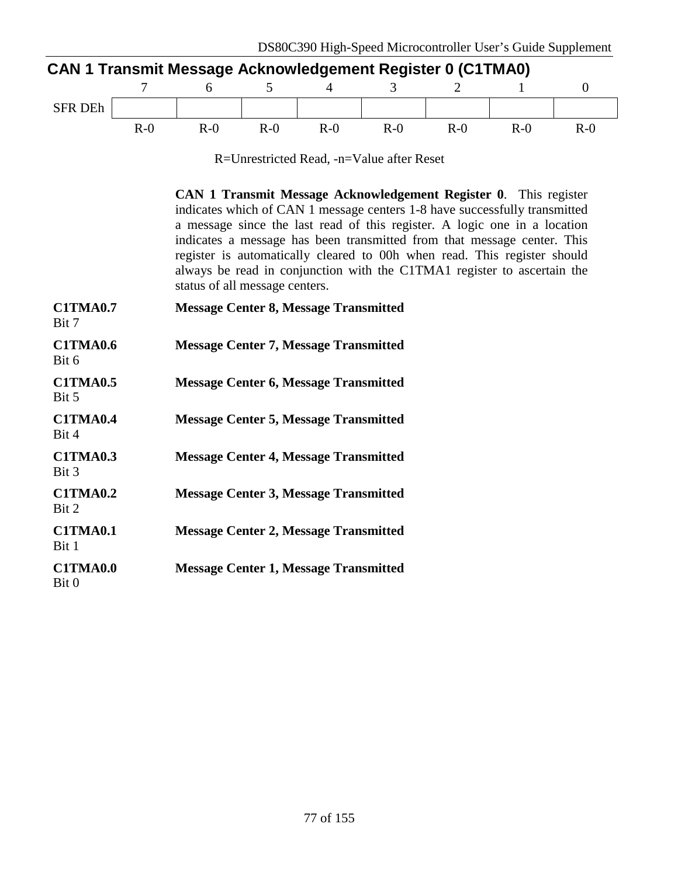| <b>CAN 1 Transmit Message Acknowledgement Register 0 (C1TMA0)</b> |       |       |       |       |       |         |       |       |  |  |
|-------------------------------------------------------------------|-------|-------|-------|-------|-------|---------|-------|-------|--|--|
|                                                                   |       |       |       |       |       |         |       |       |  |  |
| <b>SFR DEh</b>                                                    |       |       |       |       |       |         |       |       |  |  |
|                                                                   | $R-0$ | $R-0$ | $R-0$ | $R-0$ | $R-0$ | $R - 0$ | $R-0$ | $R-0$ |  |  |

R=Unrestricted Read, -n=Value after Reset

**CAN 1 Transmit Message Acknowledgement Register 0**. This register indicates which of CAN 1 message centers 1-8 have successfully transmitted a message since the last read of this register. A logic one in a location indicates a message has been transmitted from that message center. This register is automatically cleared to 00h when read. This register should always be read in conjunction with the C1TMA1 register to ascertain the status of all message centers.

| <b>C1TMA0.7</b><br>Bit 7 | <b>Message Center 8, Message Transmitted</b> |
|--------------------------|----------------------------------------------|
| <b>C1TMA0.6</b><br>Bit 6 | <b>Message Center 7, Message Transmitted</b> |
| <b>C1TMA0.5</b><br>Bit 5 | <b>Message Center 6, Message Transmitted</b> |
| <b>C1TMA0.4</b><br>Bit 4 | <b>Message Center 5, Message Transmitted</b> |
| <b>C1TMA0.3</b><br>Bit 3 | <b>Message Center 4, Message Transmitted</b> |
| <b>C1TMA0.2</b><br>Bit 2 | <b>Message Center 3, Message Transmitted</b> |
| <b>C1TMA0.1</b><br>Bit 1 | <b>Message Center 2, Message Transmitted</b> |
| <b>C1TMA0.0</b><br>Bit 0 | <b>Message Center 1, Message Transmitted</b> |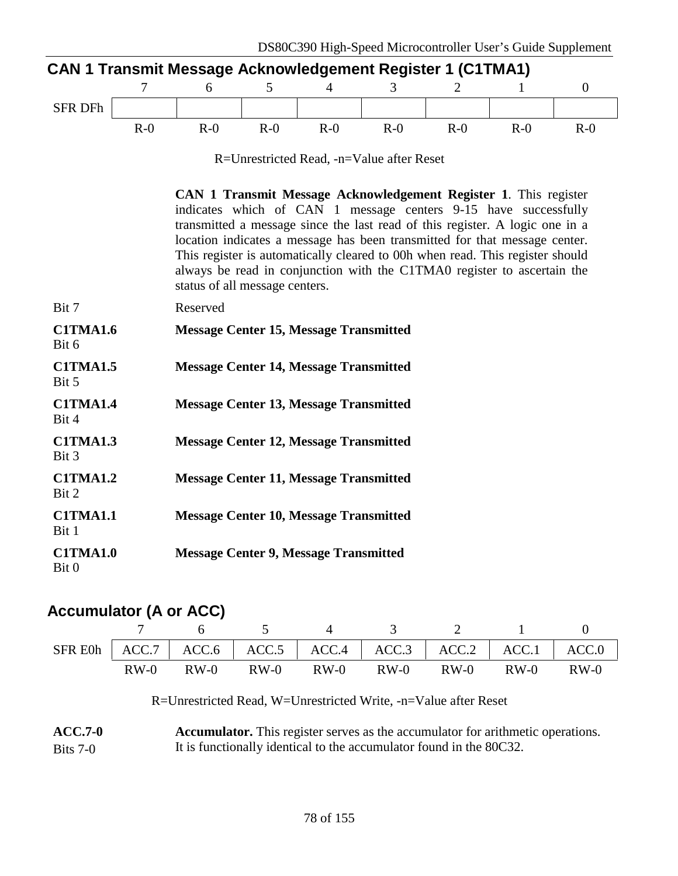| <b>CAN 1 Transmit Message Acknowledgement Register 1 (C1TMA1)</b> |       |       |       |       |       |       |        |       |  |  |
|-------------------------------------------------------------------|-------|-------|-------|-------|-------|-------|--------|-------|--|--|
|                                                                   |       |       |       |       |       |       |        |       |  |  |
| <b>SFR DFh</b>                                                    |       |       |       |       |       |       |        |       |  |  |
|                                                                   | $R-0$ | $R-0$ | $R-0$ | $R-0$ | $R-0$ | $R-0$ | $R-()$ | $R-0$ |  |  |

R=Unrestricted Read, -n=Value after Reset

|                          | CAN 1 Transmit Message Acknowledgement Register 1. This register<br>indicates which of CAN 1 message centers 9-15 have successfully<br>transmitted a message since the last read of this register. A logic one in a<br>location indicates a message has been transmitted for that message center.<br>This register is automatically cleared to 00h when read. This register should<br>always be read in conjunction with the C1TMA0 register to ascertain the<br>status of all message centers. |
|--------------------------|-------------------------------------------------------------------------------------------------------------------------------------------------------------------------------------------------------------------------------------------------------------------------------------------------------------------------------------------------------------------------------------------------------------------------------------------------------------------------------------------------|
| Bit 7                    | Reserved                                                                                                                                                                                                                                                                                                                                                                                                                                                                                        |
| <b>C1TMA1.6</b><br>Bit 6 | <b>Message Center 15, Message Transmitted</b>                                                                                                                                                                                                                                                                                                                                                                                                                                                   |
| <b>C1TMA1.5</b><br>Bit 5 | <b>Message Center 14, Message Transmitted</b>                                                                                                                                                                                                                                                                                                                                                                                                                                                   |
| <b>C1TMA1.4</b><br>Bit 4 | <b>Message Center 13, Message Transmitted</b>                                                                                                                                                                                                                                                                                                                                                                                                                                                   |
| <b>C1TMA1.3</b><br>Bit 3 | <b>Message Center 12, Message Transmitted</b>                                                                                                                                                                                                                                                                                                                                                                                                                                                   |
| <b>C1TMA1.2</b><br>Bit 2 | <b>Message Center 11, Message Transmitted</b>                                                                                                                                                                                                                                                                                                                                                                                                                                                   |
| <b>C1TMA1.1</b><br>Bit 1 | <b>Message Center 10, Message Transmitted</b>                                                                                                                                                                                                                                                                                                                                                                                                                                                   |
| <b>C1TMA1.0</b><br>Bit 0 | <b>Message Center 9, Message Transmitted</b>                                                                                                                                                                                                                                                                                                                                                                                                                                                    |

# **Accumulator (A or ACC)**

|  |  |  | 7 6 5 4 3 2 1                                                           |  |
|--|--|--|-------------------------------------------------------------------------|--|
|  |  |  | SFR E0h   ACC.7   ACC.6   ACC.5   ACC.4   ACC.3   ACC.2   ACC.1   ACC.0 |  |
|  |  |  | RW-0 RW-0 RW-0 RW-0 RW-0 RW-0 RW-0 RW-0                                 |  |

R=Unrestricted Read, W=Unrestricted Write, -n=Value after Reset

| $ACC.7-0$  | <b>Accumulator.</b> This register serves as the accumulator for arithmetic operations. |
|------------|----------------------------------------------------------------------------------------|
| Bits $7-0$ | It is functionally identical to the accumulator found in the 80C32.                    |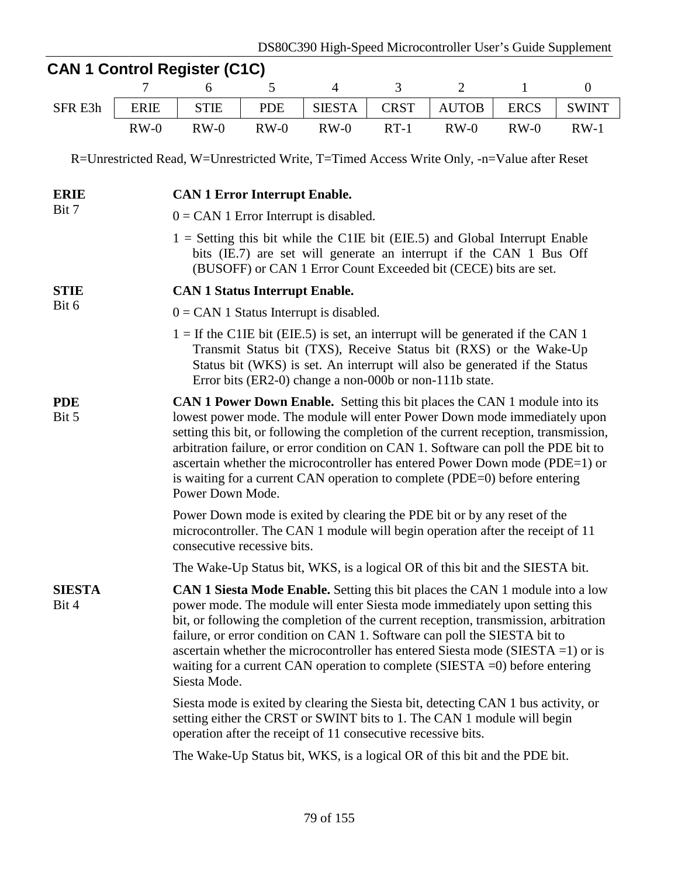|                        |             |                                                                                                                                                                                                                                                                                                                                                                                                                                                                                                                                 |            | DS80C390 High-Speed Microcontroller User's Guide Supplement                                                                                                                                                 |                                                                                                                                                            |                |              |                  |  |  |  |
|------------------------|-------------|---------------------------------------------------------------------------------------------------------------------------------------------------------------------------------------------------------------------------------------------------------------------------------------------------------------------------------------------------------------------------------------------------------------------------------------------------------------------------------------------------------------------------------|------------|-------------------------------------------------------------------------------------------------------------------------------------------------------------------------------------------------------------|------------------------------------------------------------------------------------------------------------------------------------------------------------|----------------|--------------|------------------|--|--|--|
|                        |             | <b>CAN 1 Control Register (C1C)</b>                                                                                                                                                                                                                                                                                                                                                                                                                                                                                             |            |                                                                                                                                                                                                             |                                                                                                                                                            |                |              |                  |  |  |  |
|                        | 7           | 6                                                                                                                                                                                                                                                                                                                                                                                                                                                                                                                               | 5          | $\overline{4}$                                                                                                                                                                                              | 3                                                                                                                                                          | $\overline{2}$ | $\mathbf{1}$ | $\boldsymbol{0}$ |  |  |  |
| SFR E3h                | <b>ERIE</b> | <b>STIE</b>                                                                                                                                                                                                                                                                                                                                                                                                                                                                                                                     | <b>PDE</b> | <b>SIESTA</b>                                                                                                                                                                                               | <b>CRST</b>                                                                                                                                                | <b>AUTOB</b>   | <b>ERCS</b>  | <b>SWINT</b>     |  |  |  |
|                        | $RW-0$      | $RW-0$                                                                                                                                                                                                                                                                                                                                                                                                                                                                                                                          | $RW-0$     | $RW-0$                                                                                                                                                                                                      | $RT-1$                                                                                                                                                     | $RW-0$         | $RW-0$       | $RW-1$           |  |  |  |
|                        |             | R=Unrestricted Read, W=Unrestricted Write, T=Timed Access Write Only, -n=Value after Reset                                                                                                                                                                                                                                                                                                                                                                                                                                      |            |                                                                                                                                                                                                             |                                                                                                                                                            |                |              |                  |  |  |  |
| <b>ERIE</b>            |             | <b>CAN 1 Error Interrupt Enable.</b>                                                                                                                                                                                                                                                                                                                                                                                                                                                                                            |            |                                                                                                                                                                                                             |                                                                                                                                                            |                |              |                  |  |  |  |
| Bit 7                  |             | $0 = CAN$ 1 Error Interrupt is disabled.                                                                                                                                                                                                                                                                                                                                                                                                                                                                                        |            |                                                                                                                                                                                                             |                                                                                                                                                            |                |              |                  |  |  |  |
|                        |             | $1 =$ Setting this bit while the C1IE bit (EIE.5) and Global Interrupt Enable                                                                                                                                                                                                                                                                                                                                                                                                                                                   |            | bits (IE.7) are set will generate an interrupt if the CAN 1 Bus Off<br>(BUSOFF) or CAN 1 Error Count Exceeded bit (CECE) bits are set.                                                                      |                                                                                                                                                            |                |              |                  |  |  |  |
| <b>STIE</b>            |             | <b>CAN 1 Status Interrupt Enable.</b>                                                                                                                                                                                                                                                                                                                                                                                                                                                                                           |            |                                                                                                                                                                                                             |                                                                                                                                                            |                |              |                  |  |  |  |
| Bit 6                  |             | $0 = CAN$ 1 Status Interrupt is disabled.                                                                                                                                                                                                                                                                                                                                                                                                                                                                                       |            |                                                                                                                                                                                                             |                                                                                                                                                            |                |              |                  |  |  |  |
|                        |             | $1 =$ If the C1IE bit (EIE.5) is set, an interrupt will be generated if the CAN 1                                                                                                                                                                                                                                                                                                                                                                                                                                               |            | Transmit Status bit (TXS), Receive Status bit (RXS) or the Wake-Up<br>Status bit (WKS) is set. An interrupt will also be generated if the Status<br>Error bits (ER2-0) change a non-000b or non-111b state. |                                                                                                                                                            |                |              |                  |  |  |  |
| <b>PDE</b><br>Bit 5    |             | <b>CAN 1 Power Down Enable.</b> Setting this bit places the CAN 1 module into its<br>lowest power mode. The module will enter Power Down mode immediately upon<br>setting this bit, or following the completion of the current reception, transmission,<br>arbitration failure, or error condition on CAN 1. Software can poll the PDE bit to<br>ascertain whether the microcontroller has entered Power Down mode (PDE=1) or<br>is waiting for a current CAN operation to complete (PDE=0) before entering<br>Power Down Mode. |            |                                                                                                                                                                                                             |                                                                                                                                                            |                |              |                  |  |  |  |
|                        |             | consecutive recessive bits.                                                                                                                                                                                                                                                                                                                                                                                                                                                                                                     |            |                                                                                                                                                                                                             | Power Down mode is exited by clearing the PDE bit or by any reset of the<br>microcontroller. The CAN 1 module will begin operation after the receipt of 11 |                |              |                  |  |  |  |
|                        |             | The Wake-Up Status bit, WKS, is a logical OR of this bit and the SIESTA bit.                                                                                                                                                                                                                                                                                                                                                                                                                                                    |            |                                                                                                                                                                                                             |                                                                                                                                                            |                |              |                  |  |  |  |
| <b>SIESTA</b><br>Bit 4 |             | <b>CAN 1 Siesta Mode Enable.</b> Setting this bit places the CAN 1 module into a low<br>power mode. The module will enter Siesta mode immediately upon setting this<br>bit, or following the completion of the current reception, transmission, arbitration<br>failure, or error condition on CAN 1. Software can poll the SIESTA bit to<br>ascertain whether the microcontroller has entered Siesta mode (SIESTA = 1) or is<br>waiting for a current CAN operation to complete (SIESTA $=$ 0) before entering<br>Siesta Mode.  |            |                                                                                                                                                                                                             |                                                                                                                                                            |                |              |                  |  |  |  |
|                        |             | Siesta mode is exited by clearing the Siesta bit, detecting CAN 1 bus activity, or<br>setting either the CRST or SWINT bits to 1. The CAN 1 module will begin<br>operation after the receipt of 11 consecutive recessive bits.                                                                                                                                                                                                                                                                                                  |            |                                                                                                                                                                                                             |                                                                                                                                                            |                |              |                  |  |  |  |
|                        |             | The Wake-Up Status bit, WKS, is a logical OR of this bit and the PDE bit.                                                                                                                                                                                                                                                                                                                                                                                                                                                       |            |                                                                                                                                                                                                             |                                                                                                                                                            |                |              |                  |  |  |  |
|                        |             |                                                                                                                                                                                                                                                                                                                                                                                                                                                                                                                                 |            |                                                                                                                                                                                                             |                                                                                                                                                            |                |              |                  |  |  |  |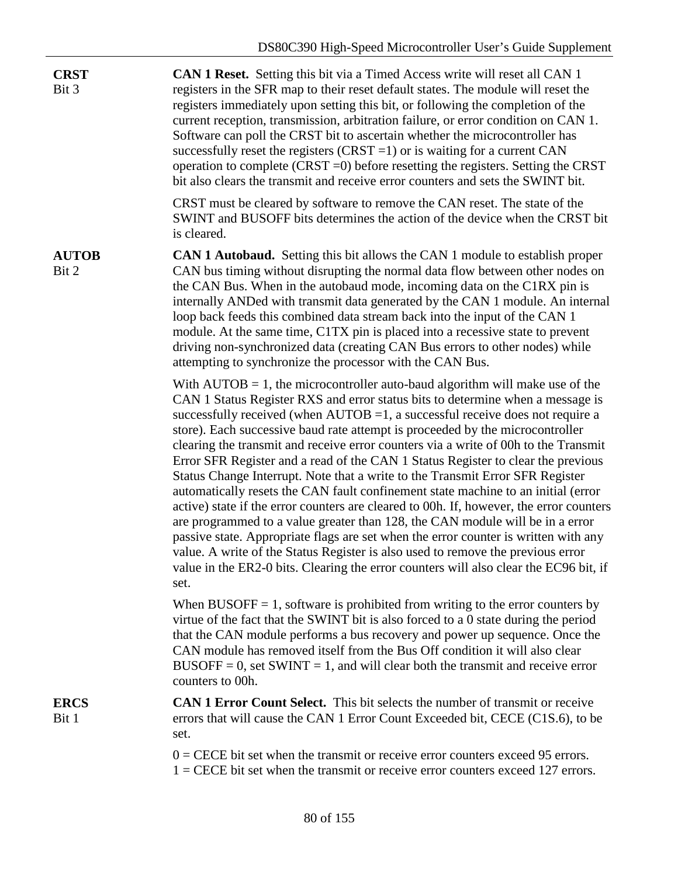| <b>CRST</b><br>Bit 3  | CAN 1 Reset. Setting this bit via a Timed Access write will reset all CAN 1<br>registers in the SFR map to their reset default states. The module will reset the<br>registers immediately upon setting this bit, or following the completion of the<br>current reception, transmission, arbitration failure, or error condition on CAN 1.<br>Software can poll the CRST bit to ascertain whether the microcontroller has<br>successfully reset the registers $(CRST = 1)$ or is waiting for a current CAN<br>operation to complete (CRST $=0$ ) before resetting the registers. Setting the CRST<br>bit also clears the transmit and receive error counters and sets the SWINT bit.                                                                                                                                                                                                                                                                                                                                                                                                                                                             |
|-----------------------|-------------------------------------------------------------------------------------------------------------------------------------------------------------------------------------------------------------------------------------------------------------------------------------------------------------------------------------------------------------------------------------------------------------------------------------------------------------------------------------------------------------------------------------------------------------------------------------------------------------------------------------------------------------------------------------------------------------------------------------------------------------------------------------------------------------------------------------------------------------------------------------------------------------------------------------------------------------------------------------------------------------------------------------------------------------------------------------------------------------------------------------------------|
|                       | CRST must be cleared by software to remove the CAN reset. The state of the<br>SWINT and BUSOFF bits determines the action of the device when the CRST bit<br>is cleared.                                                                                                                                                                                                                                                                                                                                                                                                                                                                                                                                                                                                                                                                                                                                                                                                                                                                                                                                                                        |
| <b>AUTOB</b><br>Bit 2 | <b>CAN 1 Autobaud.</b> Setting this bit allows the CAN 1 module to establish proper<br>CAN bus timing without disrupting the normal data flow between other nodes on<br>the CAN Bus. When in the autobaud mode, incoming data on the C1RX pin is<br>internally ANDed with transmit data generated by the CAN 1 module. An internal<br>loop back feeds this combined data stream back into the input of the CAN 1<br>module. At the same time, C1TX pin is placed into a recessive state to prevent<br>driving non-synchronized data (creating CAN Bus errors to other nodes) while<br>attempting to synchronize the processor with the CAN Bus.                                                                                                                                                                                                                                                                                                                                                                                                                                                                                                 |
|                       | With $AUTOB = 1$ , the microcontroller auto-baud algorithm will make use of the<br>CAN 1 Status Register RXS and error status bits to determine when a message is<br>successfully received (when $AUTOB = 1$ , a successful receive does not require a<br>store). Each successive baud rate attempt is proceeded by the microcontroller<br>clearing the transmit and receive error counters via a write of 00h to the Transmit<br>Error SFR Register and a read of the CAN 1 Status Register to clear the previous<br>Status Change Interrupt. Note that a write to the Transmit Error SFR Register<br>automatically resets the CAN fault confinement state machine to an initial (error<br>active) state if the error counters are cleared to 00h. If, however, the error counters<br>are programmed to a value greater than 128, the CAN module will be in a error<br>passive state. Appropriate flags are set when the error counter is written with any<br>value. A write of the Status Register is also used to remove the previous error<br>value in the ER2-0 bits. Clearing the error counters will also clear the EC96 bit, if<br>set. |
|                       | When BUSOFF $= 1$ , software is prohibited from writing to the error counters by<br>virtue of the fact that the SWINT bit is also forced to a 0 state during the period<br>that the CAN module performs a bus recovery and power up sequence. Once the<br>CAN module has removed itself from the Bus Off condition it will also clear<br>$BUSOFF = 0$ , set SWINT = 1, and will clear both the transmit and receive error<br>counters to 00h.                                                                                                                                                                                                                                                                                                                                                                                                                                                                                                                                                                                                                                                                                                   |
| <b>ERCS</b><br>Bit 1  | CAN 1 Error Count Select. This bit selects the number of transmit or receive<br>errors that will cause the CAN 1 Error Count Exceeded bit, CECE (C1S.6), to be<br>set.                                                                                                                                                                                                                                                                                                                                                                                                                                                                                                                                                                                                                                                                                                                                                                                                                                                                                                                                                                          |
|                       | $0 =$ CECE bit set when the transmit or receive error counters exceed 95 errors.<br>$1 =$ CECE bit set when the transmit or receive error counters exceed 127 errors.                                                                                                                                                                                                                                                                                                                                                                                                                                                                                                                                                                                                                                                                                                                                                                                                                                                                                                                                                                           |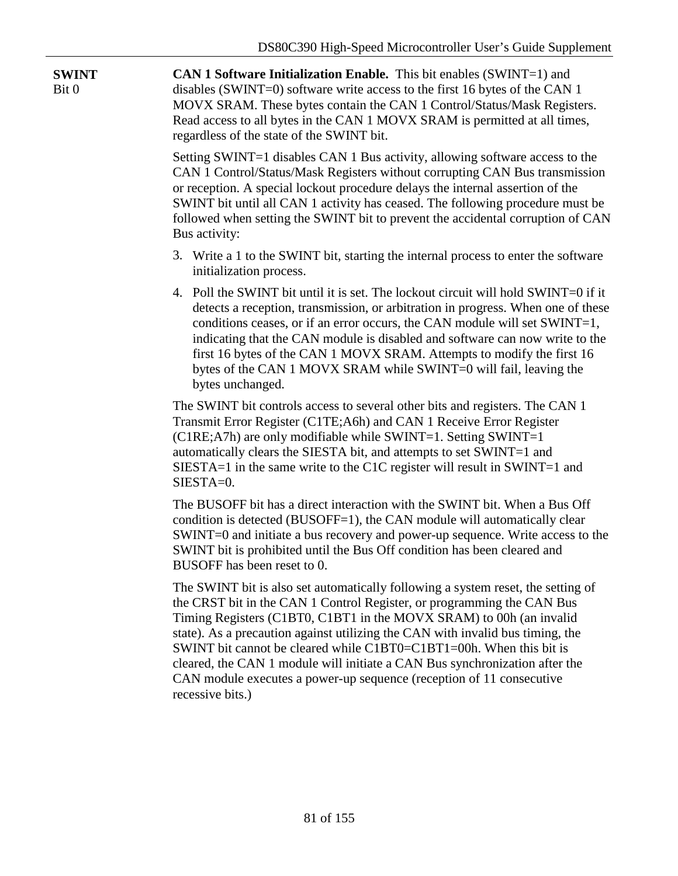| <b>SWINT</b><br>Bit 0 | CAN 1 Software Initialization Enable. This bit enables (SWINT=1) and<br>disables (SWINT=0) software write access to the first 16 bytes of the CAN 1<br>MOVX SRAM. These bytes contain the CAN 1 Control/Status/Mask Registers.<br>Read access to all bytes in the CAN 1 MOVX SRAM is permitted at all times,<br>regardless of the state of the SWINT bit.                                                                                                                                                                                                             |  |  |  |  |  |  |
|-----------------------|-----------------------------------------------------------------------------------------------------------------------------------------------------------------------------------------------------------------------------------------------------------------------------------------------------------------------------------------------------------------------------------------------------------------------------------------------------------------------------------------------------------------------------------------------------------------------|--|--|--|--|--|--|
|                       | Setting SWINT=1 disables CAN 1 Bus activity, allowing software access to the<br>CAN 1 Control/Status/Mask Registers without corrupting CAN Bus transmission<br>or reception. A special lockout procedure delays the internal assertion of the<br>SWINT bit until all CAN 1 activity has ceased. The following procedure must be<br>followed when setting the SWINT bit to prevent the accidental corruption of CAN<br>Bus activity:                                                                                                                                   |  |  |  |  |  |  |
|                       | 3. Write a 1 to the SWINT bit, starting the internal process to enter the software<br>initialization process.                                                                                                                                                                                                                                                                                                                                                                                                                                                         |  |  |  |  |  |  |
|                       | 4. Poll the SWINT bit until it is set. The lockout circuit will hold SWINT=0 if it<br>detects a reception, transmission, or arbitration in progress. When one of these<br>conditions ceases, or if an error occurs, the CAN module will set SWINT=1,<br>indicating that the CAN module is disabled and software can now write to the<br>first 16 bytes of the CAN 1 MOVX SRAM. Attempts to modify the first 16<br>bytes of the CAN 1 MOVX SRAM while SWINT=0 will fail, leaving the<br>bytes unchanged.                                                               |  |  |  |  |  |  |
|                       | The SWINT bit controls access to several other bits and registers. The CAN 1<br>Transmit Error Register (C1TE; A6h) and CAN 1 Receive Error Register<br>(C1RE;A7h) are only modifiable while SWINT=1. Setting SWINT=1<br>automatically clears the SIESTA bit, and attempts to set SWINT=1 and<br>SIESTA=1 in the same write to the C1C register will result in SWINT=1 and<br>SIESTA=0.                                                                                                                                                                               |  |  |  |  |  |  |
|                       | The BUSOFF bit has a direct interaction with the SWINT bit. When a Bus Off<br>condition is detected (BUSOFF=1), the CAN module will automatically clear<br>SWINT=0 and initiate a bus recovery and power-up sequence. Write access to the<br>SWINT bit is prohibited until the Bus Off condition has been cleared and<br>BUSOFF has been reset to 0.                                                                                                                                                                                                                  |  |  |  |  |  |  |
|                       | The SWINT bit is also set automatically following a system reset, the setting of<br>the CRST bit in the CAN 1 Control Register, or programming the CAN Bus<br>Timing Registers (C1BT0, C1BT1 in the MOVX SRAM) to 00h (an invalid<br>state). As a precaution against utilizing the CAN with invalid bus timing, the<br>SWINT bit cannot be cleared while C1BT0=C1BT1=00h. When this bit is<br>cleared, the CAN 1 module will initiate a CAN Bus synchronization after the<br>CAN module executes a power-up sequence (reception of 11 consecutive<br>recessive bits.) |  |  |  |  |  |  |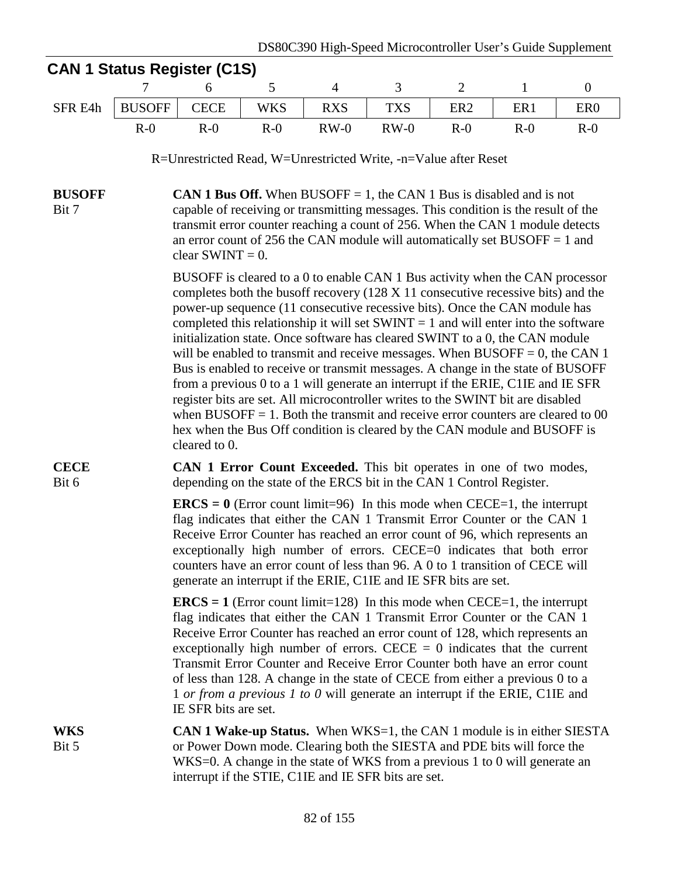|                        | <b>CAN 1 Status Register (C1S)</b>                                                                                                                                                                                                                                                                                                                                                                                                                                                                                                                                                                |                                                                                                                                                                                                                                                                                                                                                                                                                                                                                 |            |                |                                                                                                                                                                                                                                                                                                                                                                                                                                                                                                                                                                                                                                                                                                                                                                                                                                                                                                                                            |                 |              |                  |  |  |  |
|------------------------|---------------------------------------------------------------------------------------------------------------------------------------------------------------------------------------------------------------------------------------------------------------------------------------------------------------------------------------------------------------------------------------------------------------------------------------------------------------------------------------------------------------------------------------------------------------------------------------------------|---------------------------------------------------------------------------------------------------------------------------------------------------------------------------------------------------------------------------------------------------------------------------------------------------------------------------------------------------------------------------------------------------------------------------------------------------------------------------------|------------|----------------|--------------------------------------------------------------------------------------------------------------------------------------------------------------------------------------------------------------------------------------------------------------------------------------------------------------------------------------------------------------------------------------------------------------------------------------------------------------------------------------------------------------------------------------------------------------------------------------------------------------------------------------------------------------------------------------------------------------------------------------------------------------------------------------------------------------------------------------------------------------------------------------------------------------------------------------------|-----------------|--------------|------------------|--|--|--|
|                        | 7                                                                                                                                                                                                                                                                                                                                                                                                                                                                                                                                                                                                 | 6                                                                                                                                                                                                                                                                                                                                                                                                                                                                               | 5          | $\overline{4}$ | 3                                                                                                                                                                                                                                                                                                                                                                                                                                                                                                                                                                                                                                                                                                                                                                                                                                                                                                                                          | $\overline{2}$  | $\mathbf{1}$ | $\boldsymbol{0}$ |  |  |  |
| SFR E4h                | <b>BUSOFF</b>                                                                                                                                                                                                                                                                                                                                                                                                                                                                                                                                                                                     | <b>CECE</b>                                                                                                                                                                                                                                                                                                                                                                                                                                                                     | <b>WKS</b> | <b>RXS</b>     | <b>TXS</b>                                                                                                                                                                                                                                                                                                                                                                                                                                                                                                                                                                                                                                                                                                                                                                                                                                                                                                                                 | ER <sub>2</sub> | ER1          | ER <sub>0</sub>  |  |  |  |
|                        | $R-0$                                                                                                                                                                                                                                                                                                                                                                                                                                                                                                                                                                                             | $R-0$                                                                                                                                                                                                                                                                                                                                                                                                                                                                           | $R-0$      | $RW-0$         | $RW-0$                                                                                                                                                                                                                                                                                                                                                                                                                                                                                                                                                                                                                                                                                                                                                                                                                                                                                                                                     | $R-0$           | $R-0$        | $R-0$            |  |  |  |
|                        |                                                                                                                                                                                                                                                                                                                                                                                                                                                                                                                                                                                                   |                                                                                                                                                                                                                                                                                                                                                                                                                                                                                 |            |                | R=Unrestricted Read, W=Unrestricted Write, -n=Value after Reset                                                                                                                                                                                                                                                                                                                                                                                                                                                                                                                                                                                                                                                                                                                                                                                                                                                                            |                 |              |                  |  |  |  |
| <b>BUSOFF</b><br>Bit 7 | <b>CAN 1 Bus Off.</b> When BUSOFF $= 1$ , the CAN 1 Bus is disabled and is not<br>capable of receiving or transmitting messages. This condition is the result of the<br>transmit error counter reaching a count of 256. When the CAN 1 module detects<br>an error count of 256 the CAN module will automatically set BUSOFF $= 1$ and<br>clear SWINT = $0$ .                                                                                                                                                                                                                                      |                                                                                                                                                                                                                                                                                                                                                                                                                                                                                 |            |                |                                                                                                                                                                                                                                                                                                                                                                                                                                                                                                                                                                                                                                                                                                                                                                                                                                                                                                                                            |                 |              |                  |  |  |  |
|                        |                                                                                                                                                                                                                                                                                                                                                                                                                                                                                                                                                                                                   | cleared to 0.                                                                                                                                                                                                                                                                                                                                                                                                                                                                   |            |                | BUSOFF is cleared to a 0 to enable CAN 1 Bus activity when the CAN processor<br>completes both the busoff recovery (128 X 11 consecutive recessive bits) and the<br>power-up sequence (11 consecutive recessive bits). Once the CAN module has<br>completed this relationship it will set $SWINT = 1$ and will enter into the software<br>initialization state. Once software has cleared SWINT to a 0, the CAN module<br>will be enabled to transmit and receive messages. When BUSOFF = 0, the CAN 1<br>Bus is enabled to receive or transmit messages. A change in the state of BUSOFF<br>from a previous 0 to a 1 will generate an interrupt if the ERIE, C1IE and IE SFR<br>register bits are set. All microcontroller writes to the SWINT bit are disabled<br>when $\text{BUSOFF} = 1$ . Both the transmit and receive error counters are cleared to 00<br>hex when the Bus Off condition is cleared by the CAN module and BUSOFF is |                 |              |                  |  |  |  |
| <b>CECE</b><br>Bit 6   |                                                                                                                                                                                                                                                                                                                                                                                                                                                                                                                                                                                                   |                                                                                                                                                                                                                                                                                                                                                                                                                                                                                 |            |                | CAN 1 Error Count Exceeded. This bit operates in one of two modes,<br>depending on the state of the ERCS bit in the CAN 1 Control Register.                                                                                                                                                                                                                                                                                                                                                                                                                                                                                                                                                                                                                                                                                                                                                                                                |                 |              |                  |  |  |  |
|                        |                                                                                                                                                                                                                                                                                                                                                                                                                                                                                                                                                                                                   | <b>ERCS</b> = $\theta$ (Error count limit=96) In this mode when CECE=1, the interrupt<br>flag indicates that either the CAN 1 Transmit Error Counter or the CAN 1<br>Receive Error Counter has reached an error count of 96, which represents an<br>exceptionally high number of errors. CECE=0 indicates that both error<br>counters have an error count of less than 96. A 0 to 1 transition of CECE will<br>generate an interrupt if the ERIE, C1IE and IE SFR bits are set. |            |                |                                                                                                                                                                                                                                                                                                                                                                                                                                                                                                                                                                                                                                                                                                                                                                                                                                                                                                                                            |                 |              |                  |  |  |  |
|                        | $\text{ERCS} = 1$ (Error count limit=128) In this mode when CECE=1, the interrupt<br>flag indicates that either the CAN 1 Transmit Error Counter or the CAN 1<br>Receive Error Counter has reached an error count of 128, which represents an<br>exceptionally high number of errors. CECE $= 0$ indicates that the current<br>Transmit Error Counter and Receive Error Counter both have an error count<br>of less than 128. A change in the state of CECE from either a previous 0 to a<br>1 or from a previous 1 to 0 will generate an interrupt if the ERIE, C1IE and<br>IE SFR bits are set. |                                                                                                                                                                                                                                                                                                                                                                                                                                                                                 |            |                |                                                                                                                                                                                                                                                                                                                                                                                                                                                                                                                                                                                                                                                                                                                                                                                                                                                                                                                                            |                 |              |                  |  |  |  |
| WKS<br>Bit 5           |                                                                                                                                                                                                                                                                                                                                                                                                                                                                                                                                                                                                   |                                                                                                                                                                                                                                                                                                                                                                                                                                                                                 |            |                | <b>CAN 1 Wake-up Status.</b> When WKS=1, the CAN 1 module is in either SIESTA<br>or Power Down mode. Clearing both the SIESTA and PDE bits will force the<br>WKS=0. A change in the state of WKS from a previous 1 to 0 will generate an<br>interrupt if the STIE, C1IE and IE SFR bits are set.                                                                                                                                                                                                                                                                                                                                                                                                                                                                                                                                                                                                                                           |                 |              |                  |  |  |  |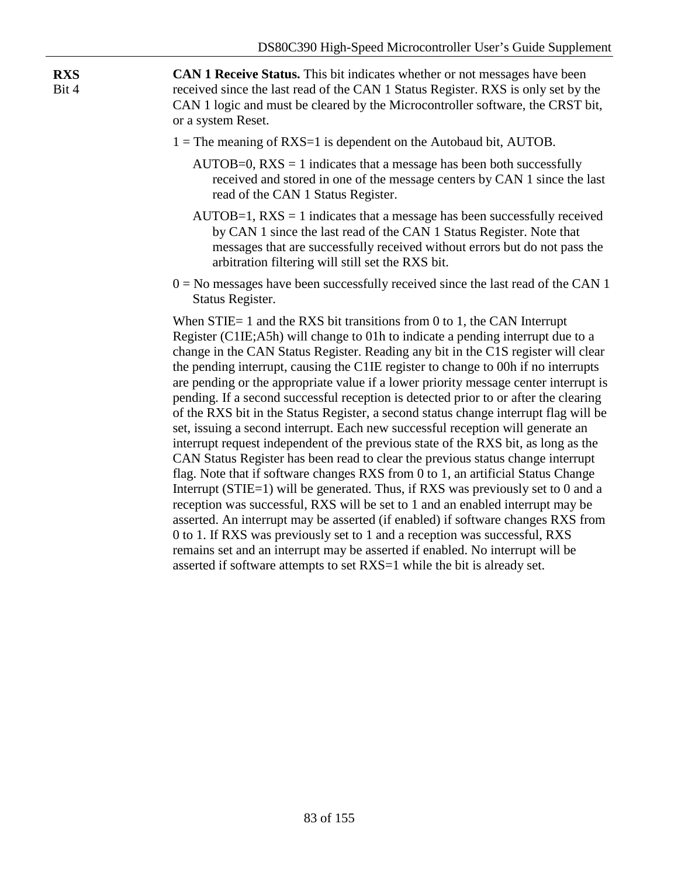**CAN 1 Receive Status.** This bit indicates whether or not messages have been received since the last read of the CAN 1 Status Register. RXS is only set by the CAN 1 logic and must be cleared by the Microcontroller software, the CRST bit, or a system Reset.

**RXS** Bit 4

- $1 =$ The meaning of RXS=1 is dependent on the Autobaud bit, AUTOB.
	- $AUTOB=0$ ,  $RXS = 1$  indicates that a message has been both successfully received and stored in one of the message centers by CAN 1 since the last read of the CAN 1 Status Register.
	- $AUTOB=1$ ,  $RXS = 1$  indicates that a message has been successfully received by CAN 1 since the last read of the CAN 1 Status Register. Note that messages that are successfully received without errors but do not pass the arbitration filtering will still set the RXS bit.
- $0 = No$  messages have been successfully received since the last read of the CAN 1 Status Register.

When STIE= 1 and the RXS bit transitions from 0 to 1, the CAN Interrupt Register (C1IE;A5h) will change to 01h to indicate a pending interrupt due to a change in the CAN Status Register. Reading any bit in the C1S register will clear the pending interrupt, causing the C1IE register to change to 00h if no interrupts are pending or the appropriate value if a lower priority message center interrupt is pending. If a second successful reception is detected prior to or after the clearing of the RXS bit in the Status Register, a second status change interrupt flag will be set, issuing a second interrupt. Each new successful reception will generate an interrupt request independent of the previous state of the RXS bit, as long as the CAN Status Register has been read to clear the previous status change interrupt flag. Note that if software changes RXS from 0 to 1, an artificial Status Change Interrupt (STIE=1) will be generated. Thus, if RXS was previously set to 0 and a reception was successful, RXS will be set to 1 and an enabled interrupt may be asserted. An interrupt may be asserted (if enabled) if software changes RXS from 0 to 1. If RXS was previously set to 1 and a reception was successful, RXS remains set and an interrupt may be asserted if enabled. No interrupt will be asserted if software attempts to set RXS=1 while the bit is already set.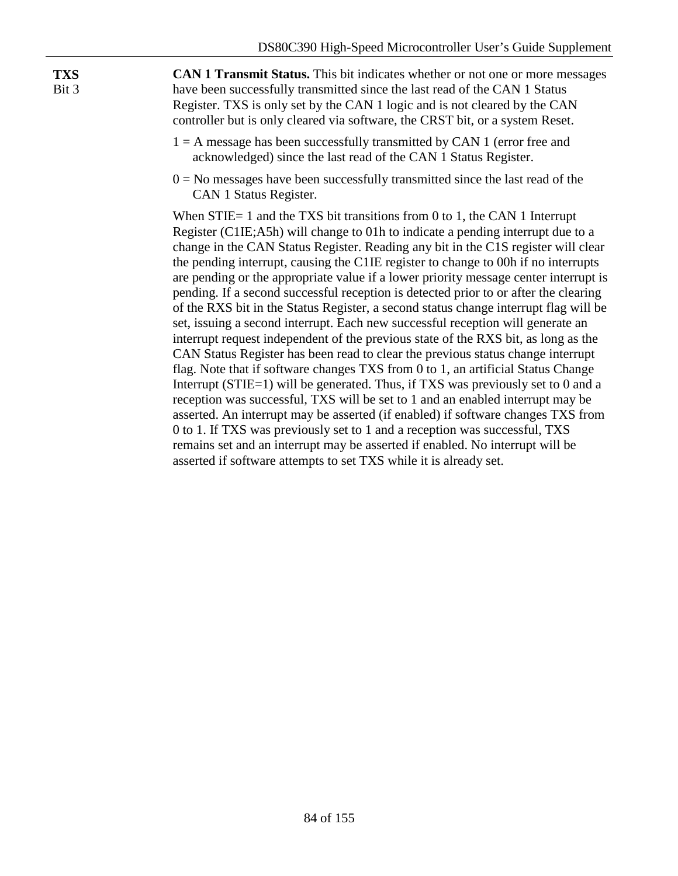**TXS** Bit 3

**CAN 1 Transmit Status.** This bit indicates whether or not one or more messages have been successfully transmitted since the last read of the CAN 1 Status Register. TXS is only set by the CAN 1 logic and is not cleared by the CAN controller but is only cleared via software, the CRST bit, or a system Reset.

- $1 = A$  message has been successfully transmitted by CAN 1 (error free and acknowledged) since the last read of the CAN 1 Status Register.
- $0 = No$  messages have been successfully transmitted since the last read of the CAN 1 Status Register.

When STIE= 1 and the TXS bit transitions from 0 to 1, the CAN 1 Interrupt Register (C1IE;A5h) will change to 01h to indicate a pending interrupt due to a change in the CAN Status Register. Reading any bit in the C1S register will clear the pending interrupt, causing the C1IE register to change to 00h if no interrupts are pending or the appropriate value if a lower priority message center interrupt is pending. If a second successful reception is detected prior to or after the clearing of the RXS bit in the Status Register, a second status change interrupt flag will be set, issuing a second interrupt. Each new successful reception will generate an interrupt request independent of the previous state of the RXS bit, as long as the CAN Status Register has been read to clear the previous status change interrupt flag. Note that if software changes TXS from 0 to 1, an artificial Status Change Interrupt (STIE=1) will be generated. Thus, if TXS was previously set to 0 and a reception was successful, TXS will be set to 1 and an enabled interrupt may be asserted. An interrupt may be asserted (if enabled) if software changes TXS from 0 to 1. If TXS was previously set to 1 and a reception was successful, TXS remains set and an interrupt may be asserted if enabled. No interrupt will be asserted if software attempts to set TXS while it is already set.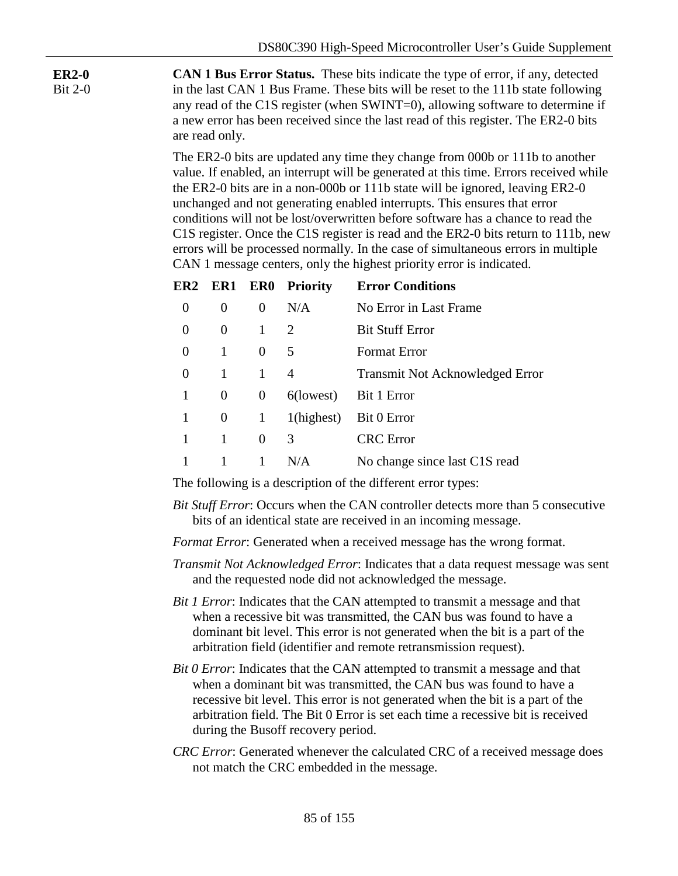**ER2-0** Bit 2-0 **CAN 1 Bus Error Status.** These bits indicate the type of error, if any, detected in the last CAN 1 Bus Frame. These bits will be reset to the 111b state following any read of the C1S register (when SWINT=0), allowing software to determine if a new error has been received since the last read of this register. The ER2-0 bits are read only.

> The ER2-0 bits are updated any time they change from 000b or 111b to another value. If enabled, an interrupt will be generated at this time. Errors received while the ER2-0 bits are in a non-000b or 111b state will be ignored, leaving ER2-0 unchanged and not generating enabled interrupts. This ensures that error conditions will not be lost/overwritten before software has a chance to read the C1S register. Once the C1S register is read and the ER2-0 bits return to 111b, new errors will be processed normally. In the case of simultaneous errors in multiple CAN 1 message centers, only the highest priority error is indicated.

|   |          |              | ER2 ER1 ER0 Priority | <b>Error Conditions</b>                |
|---|----------|--------------|----------------------|----------------------------------------|
| 0 | $\theta$ | $\Omega$     | N/A                  | No Error in Last Frame                 |
| 0 | $\Omega$ | $\mathbf{1}$ | 2                    | <b>Bit Stuff Error</b>                 |
| 0 | 1        | $\Omega$     | 5                    | <b>Format Error</b>                    |
| 0 | 1        | $\mathbf{1}$ | 4                    | <b>Transmit Not Acknowledged Error</b> |
| 1 | $\theta$ | $\Omega$     | $6$ (lowest)         | Bit 1 Error                            |
| 1 | $\theta$ | $\mathbf{1}$ | 1(highest)           | Bit 0 Error                            |
|   | 1        | $\Omega$     | 3                    | <b>CRC</b> Error                       |
|   |          |              | N/A                  | No change since last C1S read          |

The following is a description of the different error types:

*Bit Stuff Error*: Occurs when the CAN controller detects more than 5 consecutive bits of an identical state are received in an incoming message.

*Format Error*: Generated when a received message has the wrong format.

- *Transmit Not Acknowledged Error*: Indicates that a data request message was sent and the requested node did not acknowledged the message.
- *Bit 1 Error*: Indicates that the CAN attempted to transmit a message and that when a recessive bit was transmitted, the CAN bus was found to have a dominant bit level. This error is not generated when the bit is a part of the arbitration field (identifier and remote retransmission request).
- *Bit 0 Error*: Indicates that the CAN attempted to transmit a message and that when a dominant bit was transmitted, the CAN bus was found to have a recessive bit level. This error is not generated when the bit is a part of the arbitration field. The Bit 0 Error is set each time a recessive bit is received during the Busoff recovery period.
- *CRC Error*: Generated whenever the calculated CRC of a received message does not match the CRC embedded in the message.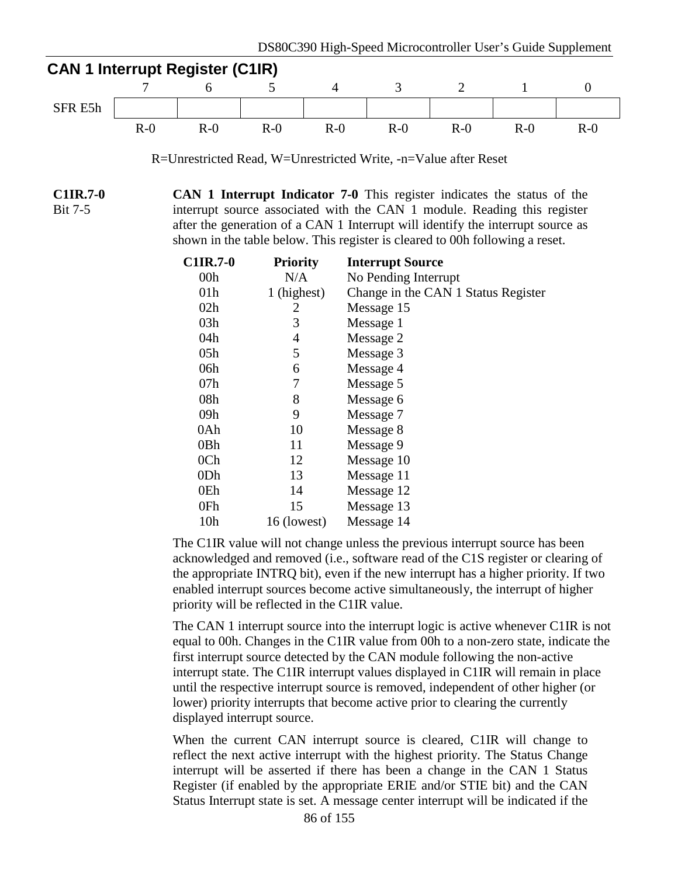

R=Unrestricted Read, W=Unrestricted Write, -n=Value after Reset

**C1IR.7-0** Bit 7-5 **CAN 1 Interrupt Indicator 7-0** This register indicates the status of the interrupt source associated with the CAN 1 module. Reading this register after the generation of a CAN 1 Interrupt will identify the interrupt source as shown in the table below. This register is cleared to 00h following a reset.

| <b>C1IR.7-0</b> | <b>Priority</b> | <b>Interrupt Source</b>             |
|-----------------|-----------------|-------------------------------------|
| 00 <sub>h</sub> | N/A             | No Pending Interrupt                |
| 01 <sub>h</sub> | 1 (highest)     | Change in the CAN 1 Status Register |
| 02h             | 2               | Message 15                          |
| 03h             | 3               | Message 1                           |
| 04h             | 4               | Message 2                           |
| 05h             | 5               | Message 3                           |
| 06h             | 6               | Message 4                           |
| 07h             | 7               | Message 5                           |
| 08h             | 8               | Message 6                           |
| 09h             | 9               | Message 7                           |
| 0Ah             | 10              | Message 8                           |
| 0Bh             | 11              | Message 9                           |
| 0 <sub>Ch</sub> | 12              | Message 10                          |
| 0 <sub>Dh</sub> | 13              | Message 11                          |
| 0Eh             | 14              | Message 12                          |
| 0Fh             | 15              | Message 13                          |
| 10 <sub>h</sub> | 16 (lowest)     | Message 14                          |

The C1IR value will not change unless the previous interrupt source has been acknowledged and removed (i.e., software read of the C1S register or clearing of the appropriate INTRQ bit), even if the new interrupt has a higher priority. If two enabled interrupt sources become active simultaneously, the interrupt of higher priority will be reflected in the C1IR value.

The CAN 1 interrupt source into the interrupt logic is active whenever C1IR is not equal to 00h. Changes in the C1IR value from 00h to a non-zero state, indicate the first interrupt source detected by the CAN module following the non-active interrupt state. The C1IR interrupt values displayed in C1IR will remain in place until the respective interrupt source is removed, independent of other higher (or lower) priority interrupts that become active prior to clearing the currently displayed interrupt source.

When the current CAN interrupt source is cleared, C1IR will change to reflect the next active interrupt with the highest priority. The Status Change interrupt will be asserted if there has been a change in the CAN 1 Status Register (if enabled by the appropriate ERIE and/or STIE bit) and the CAN Status Interrupt state is set. A message center interrupt will be indicated if the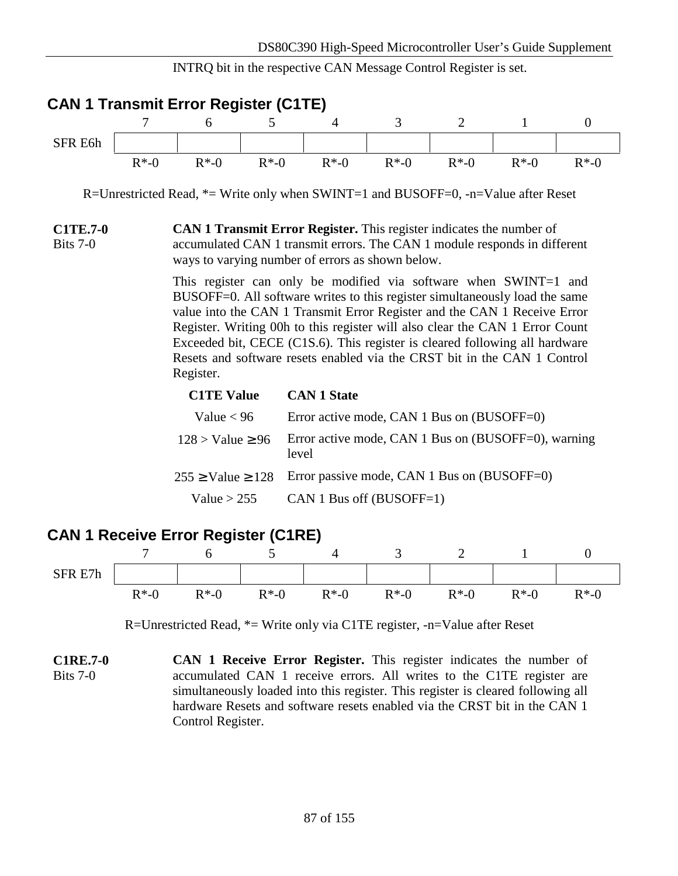INTRQ bit in the respective CAN Message Control Register is set.



|                     |                  | $\overline{\phantom{a}}$ | ັ      |        | ັ      | -      |              | $\overline{\phantom{a}}$ |
|---------------------|------------------|--------------------------|--------|--------|--------|--------|--------------|--------------------------|
| R E7h<br><b>SFR</b> |                  |                          |        |        |        |        |              |                          |
|                     | $R^*$ - $($<br>v | $R*-0$                   | $R*-0$ | $R*-0$ | $R*-0$ | $R*-0$ | $R*-0$<br>T. | $R*-0$                   |

R=Unrestricted Read, \*= Write only via C1TE register, -n=Value after Reset

**C1RE.7-0** Bits 7-0 **CAN 1 Receive Error Register.** This register indicates the number of accumulated CAN 1 receive errors. All writes to the C1TE register are simultaneously loaded into this register. This register is cleared following all hardware Resets and software resets enabled via the CRST bit in the CAN 1 Control Register.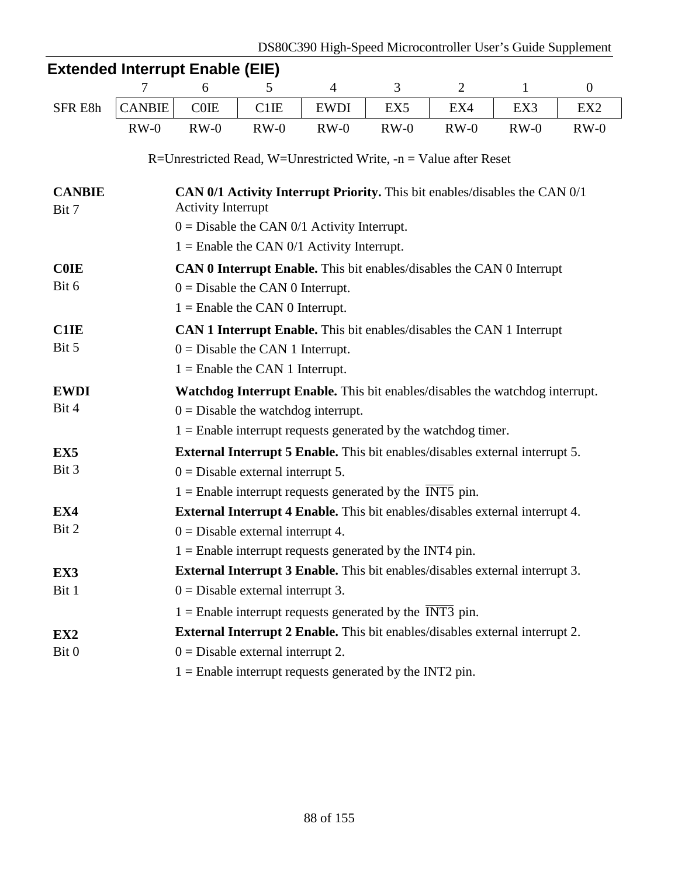|                 | <b>Extended Interrupt Enable (EIE)</b>                                       |                                                                                                                                                                                                                                     |                                   |                                                                                     |                 |                |              |                 |  |  |  |  |
|-----------------|------------------------------------------------------------------------------|-------------------------------------------------------------------------------------------------------------------------------------------------------------------------------------------------------------------------------------|-----------------------------------|-------------------------------------------------------------------------------------|-----------------|----------------|--------------|-----------------|--|--|--|--|
|                 | 7                                                                            | 6                                                                                                                                                                                                                                   | 5                                 | $\overline{4}$                                                                      | 3               | $\overline{2}$ | $\mathbf{1}$ | $\mathbf{0}$    |  |  |  |  |
| SFR E8h         | <b>CANBIE</b>                                                                | <b>COIE</b>                                                                                                                                                                                                                         | C <sub>1</sub> IE                 | <b>EWDI</b>                                                                         | EX <sub>5</sub> | EX4            | EX3          | EX <sub>2</sub> |  |  |  |  |
|                 | $RW-0$                                                                       | $RW-0$                                                                                                                                                                                                                              | $RW-0$                            | $RW-0$                                                                              | $RW-0$          | $RW-0$         | $RW-0$       | $RW-0$          |  |  |  |  |
|                 |                                                                              |                                                                                                                                                                                                                                     |                                   | R=Unrestricted Read, W=Unrestricted Write, $-n = Value$ after Reset                 |                 |                |              |                 |  |  |  |  |
| <b>CANBIE</b>   |                                                                              |                                                                                                                                                                                                                                     |                                   | CAN 0/1 Activity Interrupt Priority. This bit enables/disables the CAN 0/1          |                 |                |              |                 |  |  |  |  |
| Bit 7           |                                                                              | <b>Activity Interrupt</b>                                                                                                                                                                                                           |                                   |                                                                                     |                 |                |              |                 |  |  |  |  |
|                 | $0 =$ Disable the CAN 0/1 Activity Interrupt.                                |                                                                                                                                                                                                                                     |                                   |                                                                                     |                 |                |              |                 |  |  |  |  |
|                 | $1 =$ Enable the CAN 0/1 Activity Interrupt.                                 |                                                                                                                                                                                                                                     |                                   |                                                                                     |                 |                |              |                 |  |  |  |  |
| <b>COIE</b>     | <b>CAN 0 Interrupt Enable.</b> This bit enables/disables the CAN 0 Interrupt |                                                                                                                                                                                                                                     |                                   |                                                                                     |                 |                |              |                 |  |  |  |  |
| Bit 6           | $0 =$ Disable the CAN 0 Interrupt.                                           |                                                                                                                                                                                                                                     |                                   |                                                                                     |                 |                |              |                 |  |  |  |  |
|                 |                                                                              |                                                                                                                                                                                                                                     | $1 =$ Enable the CAN 0 Interrupt. |                                                                                     |                 |                |              |                 |  |  |  |  |
| <b>C1IE</b>     |                                                                              |                                                                                                                                                                                                                                     |                                   |                                                                                     |                 |                |              |                 |  |  |  |  |
| Bit 5           | $0 =$ Disable the CAN 1 Interrupt.                                           |                                                                                                                                                                                                                                     |                                   |                                                                                     |                 |                |              |                 |  |  |  |  |
|                 |                                                                              |                                                                                                                                                                                                                                     |                                   |                                                                                     |                 |                |              |                 |  |  |  |  |
| <b>EWDI</b>     |                                                                              | CAN 1 Interrupt Enable. This bit enables/disables the CAN 1 Interrupt<br>$1 =$ Enable the CAN 1 Interrupt.<br>Watchdog Interrupt Enable. This bit enables/disables the watchdog interrupt.<br>$0 =$ Disable the watchdog interrupt. |                                   |                                                                                     |                 |                |              |                 |  |  |  |  |
| Bit 4           |                                                                              |                                                                                                                                                                                                                                     |                                   |                                                                                     |                 |                |              |                 |  |  |  |  |
|                 |                                                                              |                                                                                                                                                                                                                                     |                                   | $1 =$ Enable interrupt requests generated by the watchdog timer.                    |                 |                |              |                 |  |  |  |  |
| EX <sub>5</sub> |                                                                              |                                                                                                                                                                                                                                     |                                   | <b>External Interrupt 5 Enable.</b> This bit enables/disables external interrupt 5. |                 |                |              |                 |  |  |  |  |
| Bit 3           |                                                                              | $0 =$ Disable external interrupt 5.                                                                                                                                                                                                 |                                   |                                                                                     |                 |                |              |                 |  |  |  |  |
|                 |                                                                              |                                                                                                                                                                                                                                     |                                   | $1 =$ Enable interrupt requests generated by the INT5 pin.                          |                 |                |              |                 |  |  |  |  |
| EX4             |                                                                              |                                                                                                                                                                                                                                     |                                   | <b>External Interrupt 4 Enable.</b> This bit enables/disables external interrupt 4. |                 |                |              |                 |  |  |  |  |
| Bit 2           |                                                                              | $0 =$ Disable external interrupt 4.                                                                                                                                                                                                 |                                   |                                                                                     |                 |                |              |                 |  |  |  |  |
|                 |                                                                              |                                                                                                                                                                                                                                     |                                   | $1 =$ Enable interrupt requests generated by the INT4 pin.                          |                 |                |              |                 |  |  |  |  |
| EX3             |                                                                              |                                                                                                                                                                                                                                     |                                   | <b>External Interrupt 3 Enable.</b> This bit enables/disables external interrupt 3. |                 |                |              |                 |  |  |  |  |
| Bit 1           |                                                                              | $0 =$ Disable external interrupt 3.                                                                                                                                                                                                 |                                   |                                                                                     |                 |                |              |                 |  |  |  |  |
|                 |                                                                              |                                                                                                                                                                                                                                     |                                   | $1 =$ Enable interrupt requests generated by the INT3 pin.                          |                 |                |              |                 |  |  |  |  |
| EX <sub>2</sub> |                                                                              |                                                                                                                                                                                                                                     |                                   | External Interrupt 2 Enable. This bit enables/disables external interrupt 2.        |                 |                |              |                 |  |  |  |  |
| Bit 0           |                                                                              | $0 =$ Disable external interrupt 2.                                                                                                                                                                                                 |                                   |                                                                                     |                 |                |              |                 |  |  |  |  |
|                 |                                                                              |                                                                                                                                                                                                                                     |                                   | $1 =$ Enable interrupt requests generated by the INT2 pin.                          |                 |                |              |                 |  |  |  |  |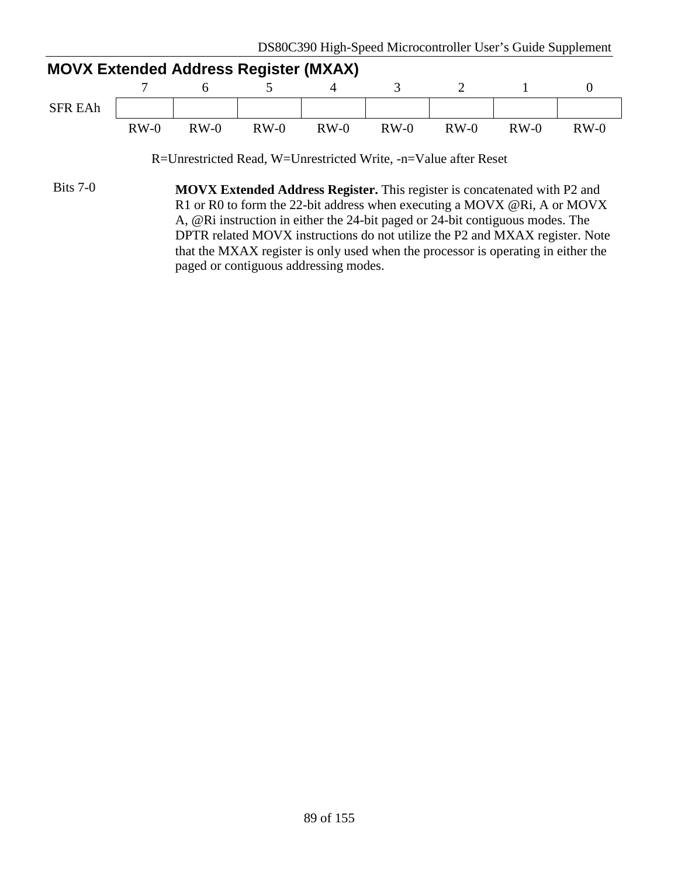|                | <b>MOVX Extended Address Register (MXAX)</b> |        |        |        |        |        |        |        |  |  |  |
|----------------|----------------------------------------------|--------|--------|--------|--------|--------|--------|--------|--|--|--|
|                |                                              |        |        |        |        |        |        |        |  |  |  |
| <b>SFR EAh</b> |                                              |        |        |        |        |        |        |        |  |  |  |
|                | $RW-0$                                       | $RW-0$ | $RW-0$ | $RW-0$ | $RW-0$ | $RW-0$ | $RW-0$ | $RW-0$ |  |  |  |

R=Unrestricted Read, W=Unrestricted Write, -n=Value after Reset

Bits 7-0 **MOVX Extended Address Register.** This register is concatenated with P2 and R1 or R0 to form the 22-bit address when executing a MOVX @Ri, A or MOVX A, @Ri instruction in either the 24-bit paged or 24-bit contiguous modes. The DPTR related MOVX instructions do not utilize the P2 and MXAX register. Note that the MXAX register is only used when the processor is operating in either the paged or contiguous addressing modes.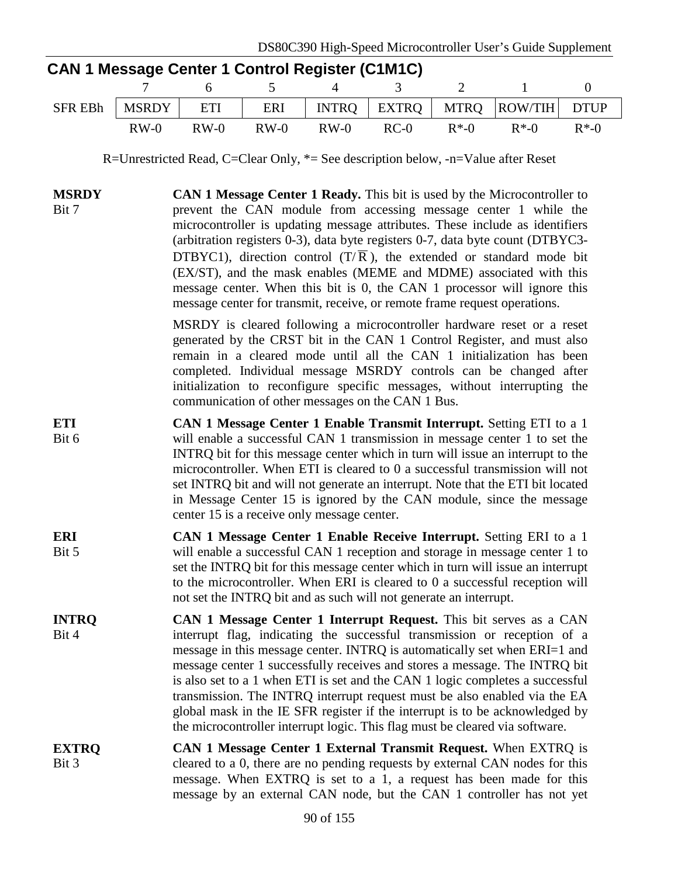|                       | 7                                                                                                                                                                                                                                                                                                                                                                                                                                                                                                                                                                                                                                                                                                            | <b>CAN 1 Message Center 1 Control Register (C1M1C)</b><br>6                                                                                                                                                                                                                                                                                                                                                                                                                                                                                                                                                                             | 5      | $\overline{4}$ | 3            | $\overline{2}$ | $\mathbf{1}$   | $\boldsymbol{0}$ |  |
|-----------------------|--------------------------------------------------------------------------------------------------------------------------------------------------------------------------------------------------------------------------------------------------------------------------------------------------------------------------------------------------------------------------------------------------------------------------------------------------------------------------------------------------------------------------------------------------------------------------------------------------------------------------------------------------------------------------------------------------------------|-----------------------------------------------------------------------------------------------------------------------------------------------------------------------------------------------------------------------------------------------------------------------------------------------------------------------------------------------------------------------------------------------------------------------------------------------------------------------------------------------------------------------------------------------------------------------------------------------------------------------------------------|--------|----------------|--------------|----------------|----------------|------------------|--|
| <b>SFR EBh</b>        | <b>MSRDY</b>                                                                                                                                                                                                                                                                                                                                                                                                                                                                                                                                                                                                                                                                                                 | ETI                                                                                                                                                                                                                                                                                                                                                                                                                                                                                                                                                                                                                                     | ERI    | <b>INTRQ</b>   | <b>EXTRQ</b> | <b>MTRQ</b>    | <b>ROW/TIH</b> | <b>DTUP</b>      |  |
|                       | $RW-0$                                                                                                                                                                                                                                                                                                                                                                                                                                                                                                                                                                                                                                                                                                       | $RW-0$                                                                                                                                                                                                                                                                                                                                                                                                                                                                                                                                                                                                                                  | $RW-0$ | $RW-0$         | $RC-0$       | $R*-0$         | $R^*$ -0       | $R^*$ -0         |  |
|                       |                                                                                                                                                                                                                                                                                                                                                                                                                                                                                                                                                                                                                                                                                                              | R=Unrestricted Read, C=Clear Only, $*$ = See description below, -n=Value after Reset                                                                                                                                                                                                                                                                                                                                                                                                                                                                                                                                                    |        |                |              |                |                |                  |  |
| <b>MSRDY</b><br>Bit 7 | CAN 1 Message Center 1 Ready. This bit is used by the Microcontroller to<br>prevent the CAN module from accessing message center 1 while the<br>microcontroller is updating message attributes. These include as identifiers<br>(arbitration registers 0-3), data byte registers 0-7, data byte count (DTBYC3-<br>DTBYC1), direction control $(T/\overline{R})$ , the extended or standard mode bit<br>(EX/ST), and the mask enables (MEME and MDME) associated with this<br>message center. When this bit is 0, the CAN 1 processor will ignore this<br>message center for transmit, receive, or remote frame request operations.<br>MSRDY is cleared following a microcontroller hardware reset or a reset |                                                                                                                                                                                                                                                                                                                                                                                                                                                                                                                                                                                                                                         |        |                |              |                |                |                  |  |
|                       |                                                                                                                                                                                                                                                                                                                                                                                                                                                                                                                                                                                                                                                                                                              | generated by the CRST bit in the CAN 1 Control Register, and must also<br>remain in a cleared mode until all the CAN 1 initialization has been<br>completed. Individual message MSRDY controls can be changed after<br>initialization to reconfigure specific messages, without interrupting the<br>communication of other messages on the CAN 1 Bus.                                                                                                                                                                                                                                                                                   |        |                |              |                |                |                  |  |
| <b>ETI</b><br>Bit 6   |                                                                                                                                                                                                                                                                                                                                                                                                                                                                                                                                                                                                                                                                                                              | CAN 1 Message Center 1 Enable Transmit Interrupt. Setting ETI to a 1<br>will enable a successful CAN 1 transmission in message center 1 to set the<br>INTRQ bit for this message center which in turn will issue an interrupt to the<br>microcontroller. When ETI is cleared to 0 a successful transmission will not<br>set INTRQ bit and will not generate an interrupt. Note that the ETI bit located<br>in Message Center 15 is ignored by the CAN module, since the message<br>center 15 is a receive only message center.                                                                                                          |        |                |              |                |                |                  |  |
| <b>ERI</b><br>Bit 5   |                                                                                                                                                                                                                                                                                                                                                                                                                                                                                                                                                                                                                                                                                                              | CAN 1 Message Center 1 Enable Receive Interrupt. Setting ERI to a 1<br>will enable a successful CAN 1 reception and storage in message center 1 to<br>set the INTRQ bit for this message center which in turn will issue an interrupt<br>to the microcontroller. When ERI is cleared to 0 a successful reception will<br>not set the INTRQ bit and as such will not generate an interrupt.                                                                                                                                                                                                                                              |        |                |              |                |                |                  |  |
| <b>INTRQ</b><br>Bit 4 |                                                                                                                                                                                                                                                                                                                                                                                                                                                                                                                                                                                                                                                                                                              | CAN 1 Message Center 1 Interrupt Request. This bit serves as a CAN<br>interrupt flag, indicating the successful transmission or reception of a<br>message in this message center. INTRQ is automatically set when ERI=1 and<br>message center 1 successfully receives and stores a message. The INTRQ bit<br>is also set to a 1 when ETI is set and the CAN 1 logic completes a successful<br>transmission. The INTRQ interrupt request must be also enabled via the EA<br>global mask in the IE SFR register if the interrupt is to be acknowledged by<br>the microcontroller interrupt logic. This flag must be cleared via software. |        |                |              |                |                |                  |  |
| <b>EXTRQ</b><br>Bit 3 |                                                                                                                                                                                                                                                                                                                                                                                                                                                                                                                                                                                                                                                                                                              | CAN 1 Message Center 1 External Transmit Request. When EXTRQ is<br>cleared to a 0, there are no pending requests by external CAN nodes for this<br>message. When EXTRQ is set to a 1, a request has been made for this<br>message by an external CAN node, but the CAN 1 controller has not yet                                                                                                                                                                                                                                                                                                                                         |        |                |              |                |                |                  |  |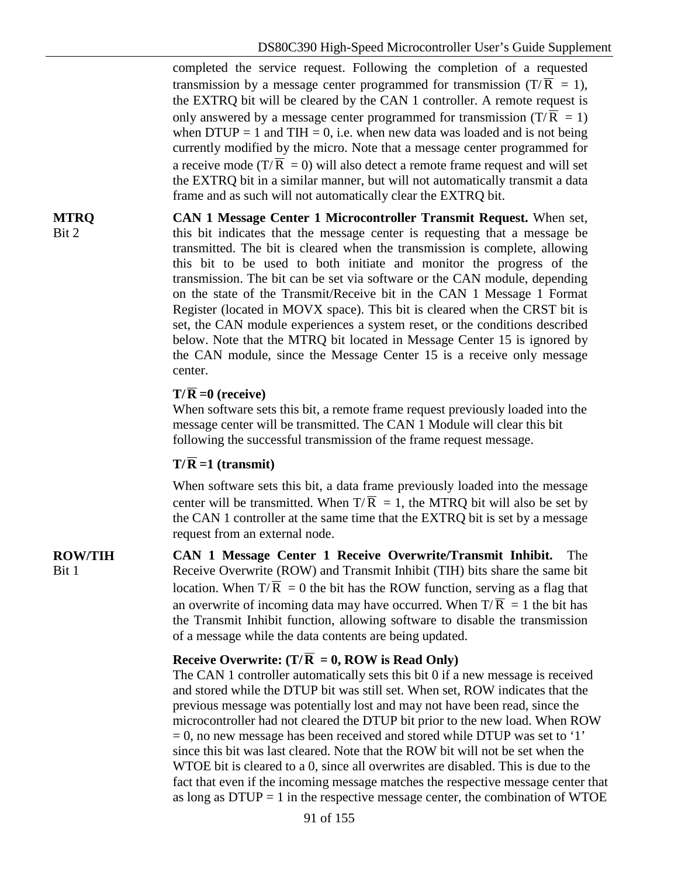completed the service request. Following the completion of a requested transmission by a message center programmed for transmission ( $T/\overline{R} = 1$ ), the EXTRQ bit will be cleared by the CAN 1 controller. A remote request is only answered by a message center programmed for transmission  $(T/\overline{R} = 1)$ when  $DTUP = 1$  and  $THI = 0$ , i.e. when new data was loaded and is not being currently modified by the micro. Note that a message center programmed for a receive mode (T/ $\overline{R}$  = 0) will also detect a remote frame request and will set the EXTRQ bit in a similar manner, but will not automatically transmit a data frame and as such will not automatically clear the EXTRQ bit.

**CAN 1 Message Center 1 Microcontroller Transmit Request.** When set, this bit indicates that the message center is requesting that a message be transmitted. The bit is cleared when the transmission is complete, allowing this bit to be used to both initiate and monitor the progress of the transmission. The bit can be set via software or the CAN module, depending on the state of the Transmit/Receive bit in the CAN 1 Message 1 Format Register (located in MOVX space). This bit is cleared when the CRST bit is set, the CAN module experiences a system reset, or the conditions described below. Note that the MTRQ bit located in Message Center 15 is ignored by the CAN module, since the Message Center 15 is a receive only message center.

#### $T/R = 0$  (receive)

When software sets this bit, a remote frame request previously loaded into the message center will be transmitted. The CAN 1 Module will clear this bit following the successful transmission of the frame request message.

#### $T/\overline{R}$  =1 (transmit)

When software sets this bit, a data frame previously loaded into the message center will be transmitted. When  $T/\overline{R} = 1$ , the MTRQ bit will also be set by the CAN 1 controller at the same time that the EXTRQ bit is set by a message request from an external node.

**ROW/TIH** Bit 1 **CAN 1 Message Center 1 Receive Overwrite/Transmit Inhibit.** The Receive Overwrite (ROW) and Transmit Inhibit (TIH) bits share the same bit location. When  $T/\overline{R} = 0$  the bit has the ROW function, serving as a flag that an overwrite of incoming data may have occurred. When  $T/\overline{R} = 1$  the bit has the Transmit Inhibit function, allowing software to disable the transmission of a message while the data contents are being updated.

#### **Receive Overwrite:** ( $T/\overline{R} = 0$ , ROW is Read Only)

The CAN 1 controller automatically sets this bit 0 if a new message is received and stored while the DTUP bit was still set. When set, ROW indicates that the previous message was potentially lost and may not have been read, since the microcontroller had not cleared the DTUP bit prior to the new load. When ROW  $= 0$ , no new message has been received and stored while DTUP was set to '1' since this bit was last cleared. Note that the ROW bit will not be set when the WTOE bit is cleared to a 0, since all overwrites are disabled. This is due to the fact that even if the incoming message matches the respective message center that as long as  $DTUP = 1$  in the respective message center, the combination of WTOE

**MTRQ** Bit 2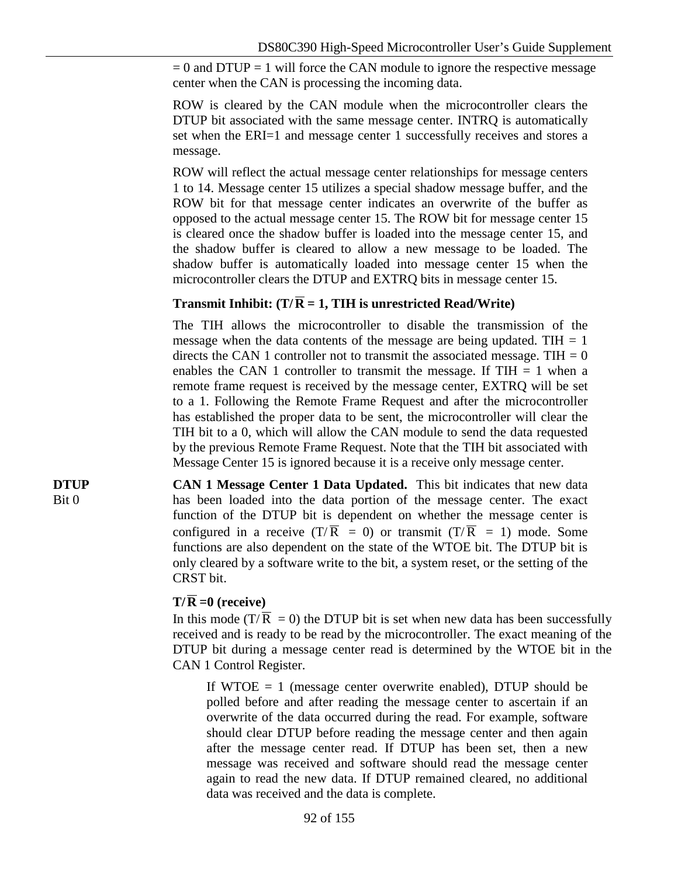$= 0$  and DTUP  $= 1$  will force the CAN module to ignore the respective message center when the CAN is processing the incoming data.

ROW is cleared by the CAN module when the microcontroller clears the DTUP bit associated with the same message center. INTRQ is automatically set when the ERI=1 and message center 1 successfully receives and stores a message.

ROW will reflect the actual message center relationships for message centers 1 to 14. Message center 15 utilizes a special shadow message buffer, and the ROW bit for that message center indicates an overwrite of the buffer as opposed to the actual message center 15. The ROW bit for message center 15 is cleared once the shadow buffer is loaded into the message center 15, and the shadow buffer is cleared to allow a new message to be loaded. The shadow buffer is automatically loaded into message center 15 when the microcontroller clears the DTUP and EXTRQ bits in message center 15.

#### **Transmit Inhibit:** (T/ $\overline{R} = 1$ , TIH is unrestricted Read/Write)

The TIH allows the microcontroller to disable the transmission of the message when the data contents of the message are being updated. TIH  $= 1$ directs the CAN 1 controller not to transmit the associated message. TIH  $= 0$ enables the CAN 1 controller to transmit the message. If  $THH = 1$  when a remote frame request is received by the message center, EXTRQ will be set to a 1. Following the Remote Frame Request and after the microcontroller has established the proper data to be sent, the microcontroller will clear the TIH bit to a 0, which will allow the CAN module to send the data requested by the previous Remote Frame Request. Note that the TIH bit associated with Message Center 15 is ignored because it is a receive only message center.

**CAN 1 Message Center 1 Data Updated.** This bit indicates that new data has been loaded into the data portion of the message center. The exact function of the DTUP bit is dependent on whether the message center is configured in a receive  $(T/\overline{R} = 0)$  or transmit  $(T/\overline{R} = 1)$  mode. Some functions are also dependent on the state of the WTOE bit. The DTUP bit is only cleared by a software write to the bit, a system reset, or the setting of the CRST bit.

#### $T/\overline{R} = 0$  (receive)

In this mode (T/ $\overline{R} = 0$ ) the DTUP bit is set when new data has been successfully received and is ready to be read by the microcontroller. The exact meaning of the DTUP bit during a message center read is determined by the WTOE bit in the CAN 1 Control Register.

If WTOE  $= 1$  (message center overwrite enabled), DTUP should be polled before and after reading the message center to ascertain if an overwrite of the data occurred during the read. For example, software should clear DTUP before reading the message center and then again after the message center read. If DTUP has been set, then a new message was received and software should read the message center again to read the new data. If DTUP remained cleared, no additional data was received and the data is complete.

**DTUP** Bit 0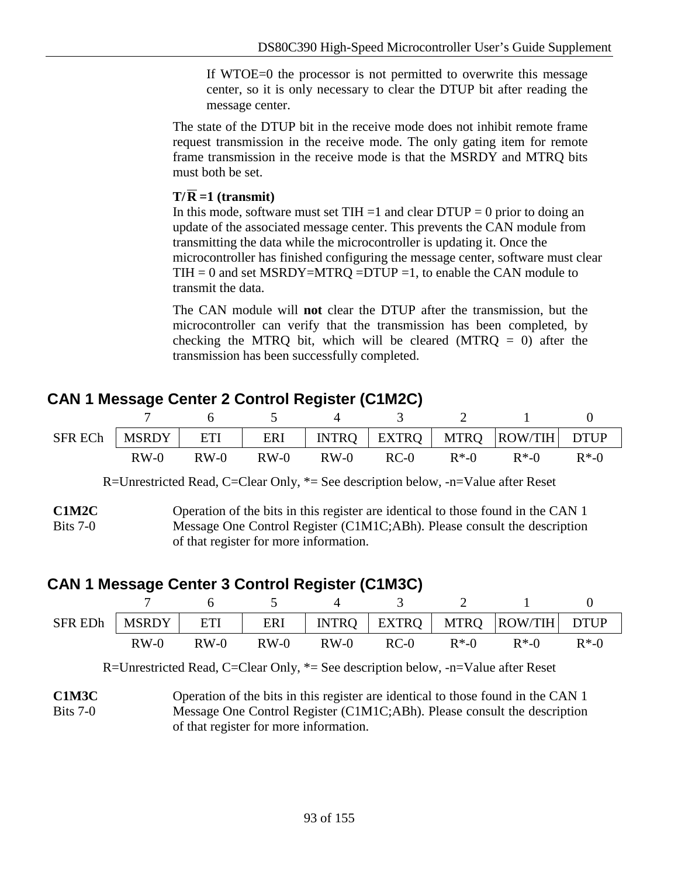If WTOE=0 the processor is not permitted to overwrite this message center, so it is only necessary to clear the DTUP bit after reading the message center.

The state of the DTUP bit in the receive mode does not inhibit remote frame request transmission in the receive mode. The only gating item for remote frame transmission in the receive mode is that the MSRDY and MTRQ bits must both be set.

#### $T/\overline{R}$  =1 (transmit)

In this mode, software must set  $THI = 1$  and clear  $DTUP = 0$  prior to doing an update of the associated message center. This prevents the CAN module from transmitting the data while the microcontroller is updating it. Once the microcontroller has finished configuring the message center, software must clear TIH = 0 and set MSRDY=MTRQ =DTUP =1, to enable the CAN module to transmit the data.

The CAN module will **not** clear the DTUP after the transmission, but the microcontroller can verify that the transmission has been completed, by checking the MTRQ bit, which will be cleared (MTRQ  $= 0$ ) after the transmission has been successfully completed.

### **CAN 1 Message Center 2 Control Register (C1M2C)**

|        |        |               |        | SFR ECh   MSRDY   ETI   ERI   INTRQ   EXTRQ   MTRQ   ROW/TIH   DTUP |                  |
|--------|--------|---------------|--------|---------------------------------------------------------------------|------------------|
| $RW-0$ | $RW-0$ | $RW-0$ $RW-0$ | $RC-0$ | $R^*$ -0 $R^*$ -0                                                   | $R^*$ - $\Omega$ |

R=Unrestricted Read, C=Clear Only, \*= See description below, -n=Value after Reset

**C1M2C**  $Rits 7-0$ Operation of the bits in this register are identical to those found in the CAN 1 Message One Control Register (C1M1C;ABh). Please consult the description of that register for more information.

## **CAN 1 Message Center 3 Control Register (C1M3C)**

| $SFR$ EDh   MSRDY   ETI |        |        |        |        |      |        | ERI   INTRQ   EXTRQ   MTRQ  ROW/TIH  DTUP |          |
|-------------------------|--------|--------|--------|--------|------|--------|-------------------------------------------|----------|
|                         | $RW-0$ | $RW-0$ | $RW-0$ | $RW-0$ | RC-0 | $R*.0$ | $R*.0$                                    | $R^*$ -0 |

R=Unrestricted Read, C=Clear Only, \*= See description below, -n=Value after Reset

**C1M3C** Bits 7-0 Operation of the bits in this register are identical to those found in the CAN 1 Message One Control Register (C1M1C;ABh). Please consult the description of that register for more information.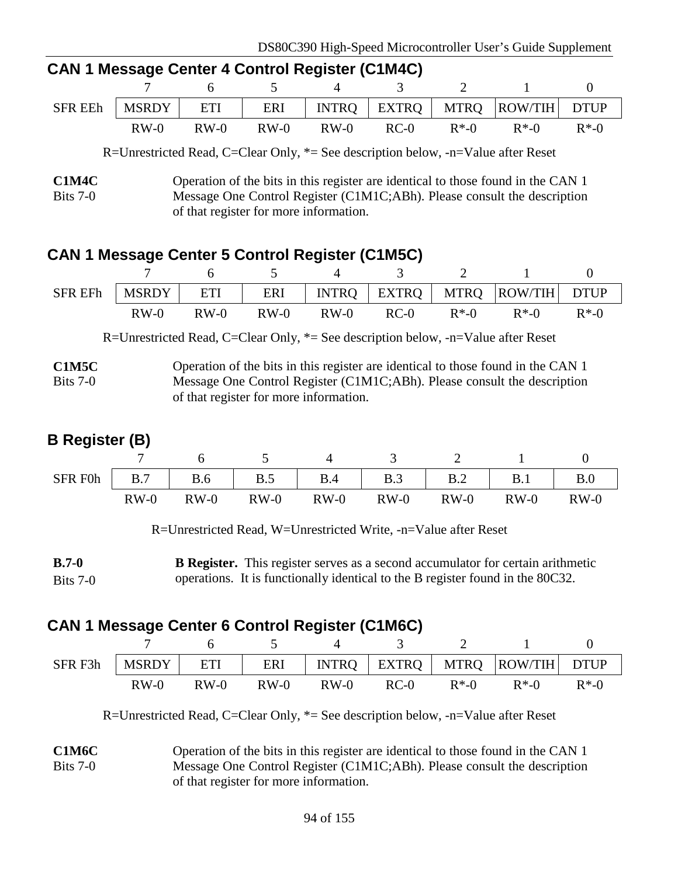| <u>UAN LIVICSSAYC UCIRCL + UURRUU REYISIGI (UTIVITU)</u> |        |        |        |        |        |          |                                                                     |  |  |
|----------------------------------------------------------|--------|--------|--------|--------|--------|----------|---------------------------------------------------------------------|--|--|
|                                                          |        |        |        |        |        |          | 7 6 5 4 3 2 1                                                       |  |  |
|                                                          |        |        |        |        |        |          | SFR EEh   MSRDY   ETI   ERI   INTRQ   EXTRQ   MTRQ   ROW/TIH   DTUP |  |  |
|                                                          | $RW-0$ | $RW-0$ | $RW-0$ | $RW-0$ | $RC-0$ | $R^*$ -0 | $R^*$ -0 $R^*$ -0                                                   |  |  |

### **CAN 1 Message Center 4 Control Register (C1M4C)**

R=Unrestricted Read, C=Clear Only, \*= See description below, -n=Value after Reset

### **CAN 1 Message Center 5 Control Register (C1M5C)**

| <b>SFR EFh</b> | <b>MSRDY</b> |        |        |        |        |                  | ETI   ERI   INTRQ   EXTRQ   MTRQ   ROW/TIH DTUP |          |
|----------------|--------------|--------|--------|--------|--------|------------------|-------------------------------------------------|----------|
|                | $RW-0$       | $RW-0$ | $RW-0$ | $RW-0$ | $RC-0$ | $R^*$ - $\Omega$ | $R^*$ -0                                        | $R^*$ -0 |

R=Unrestricted Read, C=Clear Only, \*= See description below, -n=Value after Reset

**C1M5C** Bits 7-0 Operation of the bits in this register are identical to those found in the CAN 1 Message One Control Register (C1M1C;ABh). Please consult the description of that register for more information.

### **B Register (B)**

| <b>SFR F0h</b> | B.7    | <b>B.6</b> | B.5    | B.4    | B.3    | B.2    | B.1    | B.0    |
|----------------|--------|------------|--------|--------|--------|--------|--------|--------|
|                | $RW-0$ | $RW-0$     | $RW-0$ | $RW-0$ | $RW-0$ | $RW-0$ | $RW-0$ | $RW-0$ |

R=Unrestricted Read, W=Unrestricted Write, -n=Value after Reset

**B.7-0** Bits 7-0 **B Register.** This register serves as a second accumulator for certain arithmetic operations. It is functionally identical to the B register found in the 80C32.

## **CAN 1 Message Center 6 Control Register (C1M6C)**

| SFR F3h | <b>MSRDY</b> | ETI    |        |        |        |          | ERI   INTRQ   EXTRQ   MTRQ  ROW/TIH   DTUP |          |
|---------|--------------|--------|--------|--------|--------|----------|--------------------------------------------|----------|
|         | $RW-0$       | $RW-0$ | $RW-0$ | $RW-0$ | $RC-0$ | $R^*$ -0 | $R*.0$                                     | $R^*$ -0 |

R=Unrestricted Read, C=Clear Only, \*= See description below, -n=Value after Reset

**C1M6C** Bits 7-0 Operation of the bits in this register are identical to those found in the CAN 1 Message One Control Register (C1M1C;ABh). Please consult the description of that register for more information.

**C1M4C** Bits 7-0 Operation of the bits in this register are identical to those found in the CAN 1 Message One Control Register (C1M1C;ABh). Please consult the description of that register for more information.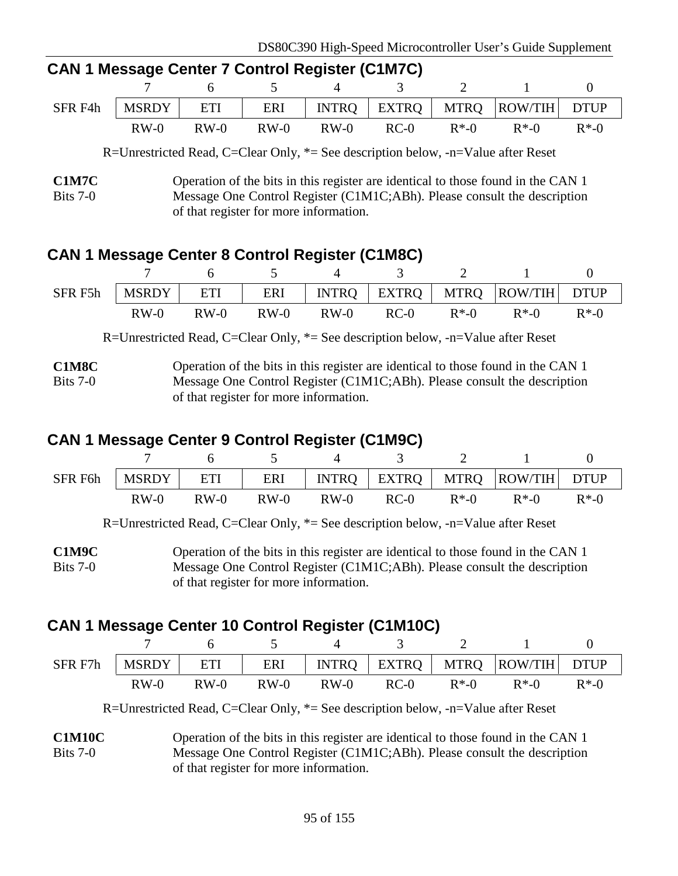| <u>UAN I MESSAYE UEINEI 7 UUNIUU NEYISIGI (UTIMTU)</u> |        |      |        |        |        |          |                                                        |          |  |  |
|--------------------------------------------------------|--------|------|--------|--------|--------|----------|--------------------------------------------------------|----------|--|--|
|                                                        |        |      |        |        |        |          | $7 \t 6 \t 5 \t 4 \t 3 \t 2 \t 1$                      |          |  |  |
| SFR F4h                                                |        |      |        |        |        |          | MSRDY   ETI   ERI   INTRQ   EXTRQ   MTRQ  ROW/TIH DTUP |          |  |  |
|                                                        | $RW-0$ | RW-0 | $RW-0$ | $RW-0$ | $RC-0$ | $R^*$ -0 | $R^*$ -0                                               | $R^*$ -0 |  |  |

### **CAN 1 Message Center 7 Control Register (C1M7C)**

R=Unrestricted Read, C=Clear Only, \*= See description below, -n=Value after Reset

### **CAN 1 Message Center 8 Control Register (C1M8C)**

| SFR F5h |        |        |        |        |        |          | MSRDY   ETI   ERI   INTRQ   EXTRQ   MTRQ   ROW/TIH DTUP |          |
|---------|--------|--------|--------|--------|--------|----------|---------------------------------------------------------|----------|
|         | $RW-0$ | $RW-0$ | $RW-0$ | $RW-0$ | $RC-0$ | $R^*$ -0 | $R*.0$                                                  | $R^*$ -0 |

R=Unrestricted Read, C=Clear Only, \*= See description below, -n=Value after Reset

**C1M8C** Bits 7-0 Operation of the bits in this register are identical to those found in the CAN 1 Message One Control Register (C1M1C;ABh). Please consult the description of that register for more information.

### **CAN 1 Message Center 9 Control Register (C1M9C)**

|        |        |        |        |      |        | SFR F6h   MSRDY   ETI   ERI   INTRQ   EXTRQ   MTRQ   ROW/TIH   DTUP |          |
|--------|--------|--------|--------|------|--------|---------------------------------------------------------------------|----------|
| $RW-0$ | $RW-0$ | $RW-0$ | $RW-0$ | RC-0 | $R*.0$ | $R^*$ -0                                                            | $R^*$ -0 |

R=Unrestricted Read, C=Clear Only, \*= See description below, -n=Value after Reset

**C1M9C** Bits 7-0 Operation of the bits in this register are identical to those found in the CAN 1 Message One Control Register (C1M1C;ABh). Please consult the description of that register for more information.

## **CAN 1 Message Center 10 Control Register (C1M10C)**

| SFR F7h | <b>MSRDY</b> | ETI    | ERI    | INTRQ  |        |          | EXTRQ   MTRQ  ROW/TIH   DTUP |          |
|---------|--------------|--------|--------|--------|--------|----------|------------------------------|----------|
|         | $RW-0$       | $RW-0$ | $RW-0$ | $RW-0$ | $RC-0$ | $R^*$ -0 | $R^*$ -0                     | $R^*$ -0 |

R=Unrestricted Read, C=Clear Only, \*= See description below, -n=Value after Reset

**C1M10C** Bits 7-0 Operation of the bits in this register are identical to those found in the CAN 1 Message One Control Register (C1M1C;ABh). Please consult the description of that register for more information.

**C1M7C** Bits 7-0 Operation of the bits in this register are identical to those found in the CAN 1 Message One Control Register (C1M1C;ABh). Please consult the description of that register for more information.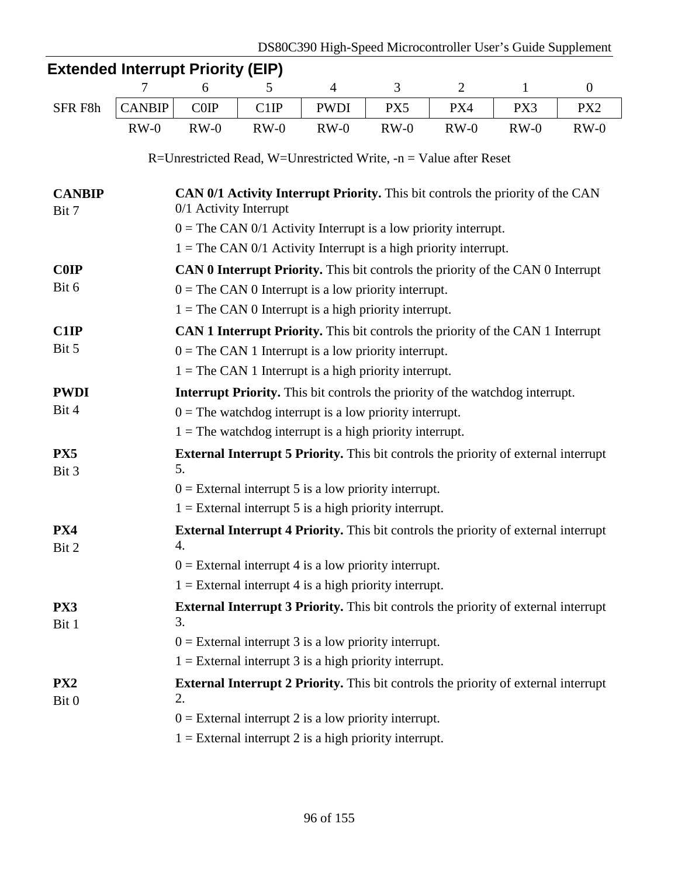|                          | <b>Extended Interrupt Priority (EIP)</b> |                                                         |        |                |                                                                                            |                |              |                 |  |  |  |  |
|--------------------------|------------------------------------------|---------------------------------------------------------|--------|----------------|--------------------------------------------------------------------------------------------|----------------|--------------|-----------------|--|--|--|--|
|                          | 7                                        | 6                                                       | 5      | $\overline{4}$ | 3                                                                                          | $\overline{2}$ | $\mathbf{1}$ | $\overline{0}$  |  |  |  |  |
| SFR F8h                  | <b>CANBIP</b>                            | COP                                                     | C1IP   | <b>PWDI</b>    | PX5                                                                                        | PX4            | PX3          | PX <sub>2</sub> |  |  |  |  |
|                          | $RW-0$                                   | $RW-0$                                                  | $RW-0$ | $RW-0$         | $RW-0$                                                                                     | $RW-0$         | $RW-0$       | $RW-0$          |  |  |  |  |
|                          |                                          |                                                         |        |                | R=Unrestricted Read, W=Unrestricted Write, $-n = Value$ after Reset                        |                |              |                 |  |  |  |  |
| <b>CANBIP</b><br>Bit 7   |                                          | 0/1 Activity Interrupt                                  |        |                | CAN 0/1 Activity Interrupt Priority. This bit controls the priority of the CAN             |                |              |                 |  |  |  |  |
|                          |                                          |                                                         |        |                | $0 =$ The CAN 0/1 Activity Interrupt is a low priority interrupt.                          |                |              |                 |  |  |  |  |
|                          |                                          |                                                         |        |                | $1 =$ The CAN 0/1 Activity Interrupt is a high priority interrupt.                         |                |              |                 |  |  |  |  |
| <b>C0IP</b>              |                                          |                                                         |        |                | <b>CAN 0 Interrupt Priority.</b> This bit controls the priority of the CAN 0 Interrupt     |                |              |                 |  |  |  |  |
| Bit 6                    |                                          |                                                         |        |                | $0 =$ The CAN 0 Interrupt is a low priority interrupt.                                     |                |              |                 |  |  |  |  |
|                          |                                          |                                                         |        |                | $1 =$ The CAN 0 Interrupt is a high priority interrupt.                                    |                |              |                 |  |  |  |  |
| C1IP                     |                                          |                                                         |        |                | CAN 1 Interrupt Priority. This bit controls the priority of the CAN 1 Interrupt            |                |              |                 |  |  |  |  |
| Bit 5                    |                                          |                                                         |        |                | $0 =$ The CAN 1 Interrupt is a low priority interrupt.                                     |                |              |                 |  |  |  |  |
|                          |                                          |                                                         |        |                | $1 =$ The CAN 1 Interrupt is a high priority interrupt.                                    |                |              |                 |  |  |  |  |
| <b>PWDI</b>              |                                          |                                                         |        |                | <b>Interrupt Priority.</b> This bit controls the priority of the watchdog interrupt.       |                |              |                 |  |  |  |  |
| Bit 4                    |                                          |                                                         |        |                | $0 =$ The watchdog interrupt is a low priority interrupt.                                  |                |              |                 |  |  |  |  |
|                          |                                          |                                                         |        |                | $1 =$ The watchdog interrupt is a high priority interrupt.                                 |                |              |                 |  |  |  |  |
| PX5<br>Bit 3             |                                          | 5.                                                      |        |                | <b>External Interrupt 5 Priority.</b> This bit controls the priority of external interrupt |                |              |                 |  |  |  |  |
|                          |                                          |                                                         |        |                | $0 =$ External interrupt 5 is a low priority interrupt.                                    |                |              |                 |  |  |  |  |
|                          |                                          |                                                         |        |                | $1 =$ External interrupt 5 is a high priority interrupt.                                   |                |              |                 |  |  |  |  |
| PX4<br>Bit 2             |                                          | 4.                                                      |        |                | <b>External Interrupt 4 Priority.</b> This bit controls the priority of external interrupt |                |              |                 |  |  |  |  |
|                          |                                          |                                                         |        |                | $0 =$ External interrupt 4 is a low priority interrupt.                                    |                |              |                 |  |  |  |  |
|                          |                                          |                                                         |        |                | $1 =$ External interrupt 4 is a high priority interrupt.                                   |                |              |                 |  |  |  |  |
| PX3<br>Bit 1             |                                          | 3.                                                      |        |                | External Interrupt 3 Priority. This bit controls the priority of external interrupt        |                |              |                 |  |  |  |  |
|                          |                                          |                                                         |        |                | $0 =$ External interrupt 3 is a low priority interrupt.                                    |                |              |                 |  |  |  |  |
|                          |                                          |                                                         |        |                | $1 =$ External interrupt 3 is a high priority interrupt.                                   |                |              |                 |  |  |  |  |
| PX <sub>2</sub><br>Bit 0 |                                          | 2.                                                      |        |                | <b>External Interrupt 2 Priority.</b> This bit controls the priority of external interrupt |                |              |                 |  |  |  |  |
|                          |                                          | $0 =$ External interrupt 2 is a low priority interrupt. |        |                |                                                                                            |                |              |                 |  |  |  |  |
|                          |                                          |                                                         |        |                | $1 =$ External interrupt 2 is a high priority interrupt.                                   |                |              |                 |  |  |  |  |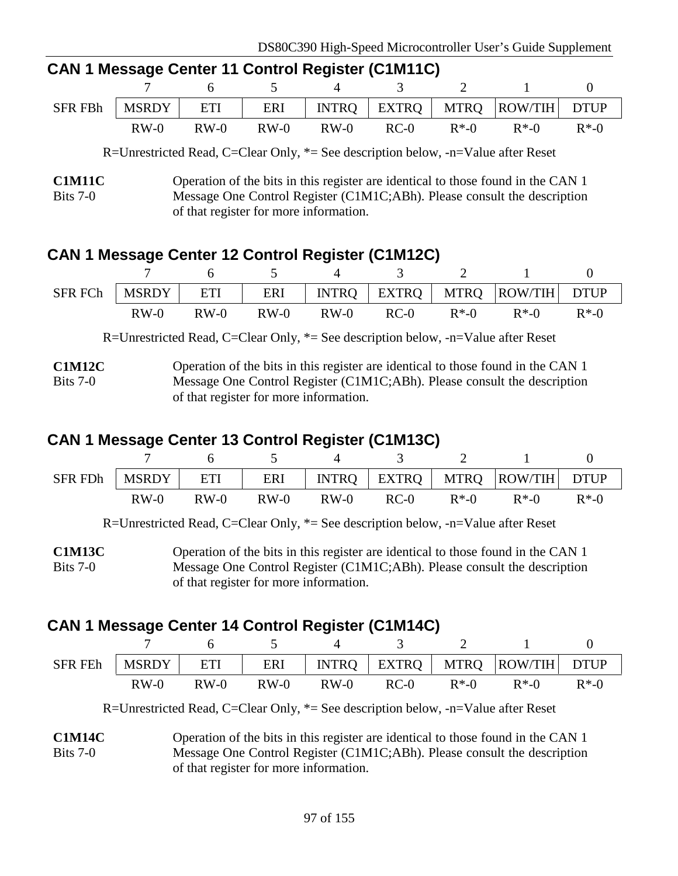| <b>CAN I MESSAGE CENTER IT CONTROL REGISTER (CTIVITTC)</b> |        |  |  |  |               |  |                                                                           |  |  |  |
|------------------------------------------------------------|--------|--|--|--|---------------|--|---------------------------------------------------------------------------|--|--|--|
|                                                            |        |  |  |  | 7 6 5 4 3 2 1 |  |                                                                           |  |  |  |
|                                                            |        |  |  |  |               |  | SFR FBh   MSRDY   ETI   ERI   INTRQ   EXTRQ   MTRQ   ROW/TIH   DTUP       |  |  |  |
|                                                            | $RW-0$ |  |  |  |               |  | RW-0 RW-0 RW-0 RC-0 R <sup>*</sup> -0 R <sup>*</sup> -0 R <sup>*</sup> -0 |  |  |  |

## **CAN 1 Message Center 11 Control Register (C1M11C)**

R=Unrestricted Read, C=Clear Only, \*= See description below, -n=Value after Reset

### **CAN 1 Message Center 12 Control Register (C1M12C)**

| SFR FCh | <b>MSRDY</b> | ETI    | ERI    |        |        |          | INTRQ   EXTRQ   MTRQ  ROW/TIH   DTUP |          |
|---------|--------------|--------|--------|--------|--------|----------|--------------------------------------|----------|
|         | $RW-0$       | $RW-0$ | $RW-0$ | $RW-0$ | $RC-0$ | $R^*$ -0 | $R^*$ -0                             | $R^*$ -0 |

R=Unrestricted Read, C=Clear Only, \*= See description below, -n=Value after Reset

**C1M12C** Bits 7-0 Operation of the bits in this register are identical to those found in the CAN 1 Message One Control Register (C1M1C;ABh). Please consult the description of that register for more information.

### **CAN 1 Message Center 13 Control Register (C1M13C)**

| <b>SFR FDh</b> | MSRDY  | ETI    |        |        |      |          | ERI   INTRQ   EXTRQ   MTRQ   ROW/TIH   DTUP |          |
|----------------|--------|--------|--------|--------|------|----------|---------------------------------------------|----------|
|                | $RW-0$ | $RW-0$ | $RW-0$ | $RW-0$ | RC-0 | $R^*$ -0 | $R*.0$                                      | $R^*$ -0 |

R=Unrestricted Read, C=Clear Only, \*= See description below, -n=Value after Reset

**C1M13C** Bits 7-0 Operation of the bits in this register are identical to those found in the CAN 1 Message One Control Register (C1M1C;ABh). Please consult the description of that register for more information.

## **CAN 1 Message Center 14 Control Register (C1M14C)**

| <b>SFR FEh</b> | <b>MSRDY</b> | ETI    | ERI    |        |        |          | INTRQ   EXTRQ   MTRQ  ROW/TIH   DTUP |          |
|----------------|--------------|--------|--------|--------|--------|----------|--------------------------------------|----------|
|                | $RW-0$       | $RW-0$ | $RW-0$ | $RW-0$ | $RC-0$ | $R^*$ -0 | $R^*$ -0                             | $R^*$ -0 |

R=Unrestricted Read, C=Clear Only, \*= See description below, -n=Value after Reset

**C1M14C** Bits 7-0 Operation of the bits in this register are identical to those found in the CAN 1 Message One Control Register (C1M1C;ABh). Please consult the description of that register for more information.

**C1M11C** Bits 7-0 Operation of the bits in this register are identical to those found in the CAN 1 Message One Control Register (C1M1C;ABh). Please consult the description of that register for more information.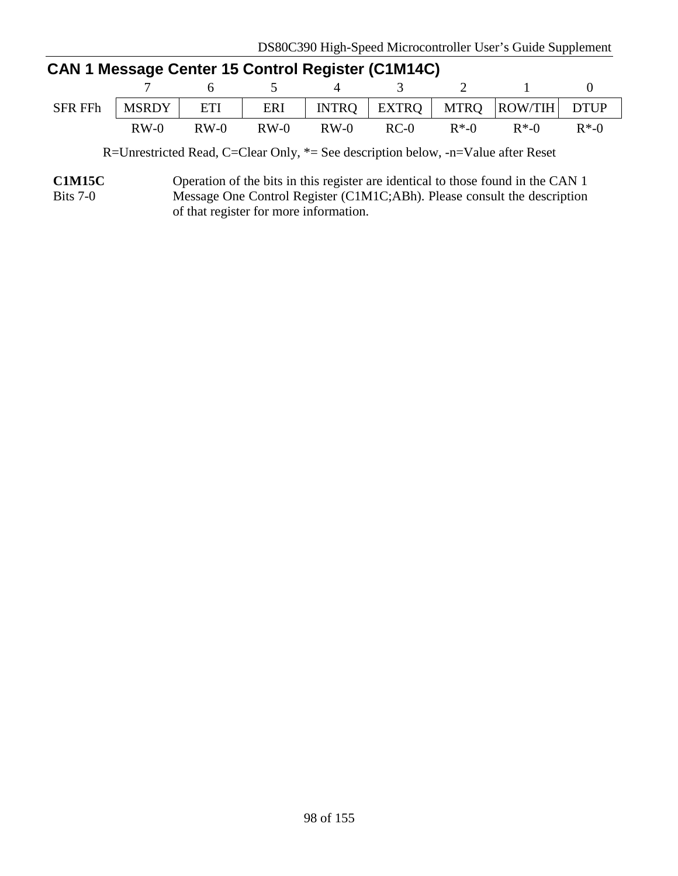| <b>CAN 1 Message Center 15 Control Register (C1M14C)</b> |        |        |        |        |               |          |                                                         |          |  |
|----------------------------------------------------------|--------|--------|--------|--------|---------------|----------|---------------------------------------------------------|----------|--|
|                                                          |        |        |        |        | 7 6 5 4 3 2 1 |          |                                                         |          |  |
| <b>SFR FFh</b>                                           |        |        |        |        |               |          | MSRDY   ETI   ERI   INTRO   EXTRO   MTRO   ROW/TIH DTUP |          |  |
|                                                          | $RW-0$ | $RW-0$ | $RW-0$ | $RW-0$ | $RC-0$        | $R^*$ -0 | $R^*$ -0                                                | $R^*$ -0 |  |

R=Unrestricted Read, C=Clear Only, \*= See description below, -n=Value after Reset

**C1M15C** Bits 7-0 Operation of the bits in this register are identical to those found in the CAN 1 Message One Control Register (C1M1C;ABh). Please consult the description of that register for more information.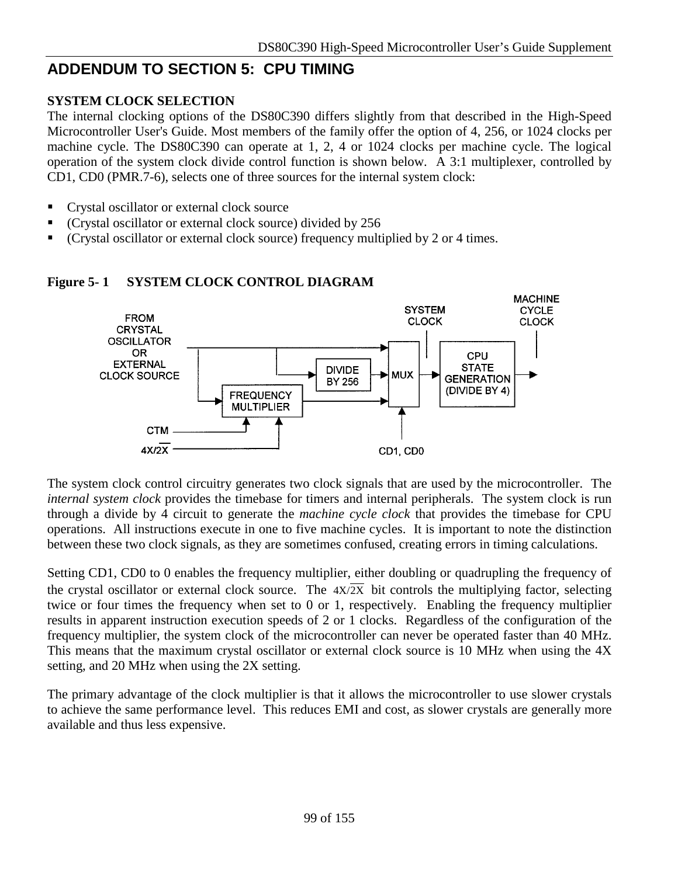## **ADDENDUM TO SECTION 5: CPU TIMING**

#### **SYSTEM CLOCK SELECTION**

The internal clocking options of the DS80C390 differs slightly from that described in the High-Speed Microcontroller User's Guide. Most members of the family offer the option of 4, 256, or 1024 clocks per machine cycle. The DS80C390 can operate at 1, 2, 4 or 1024 clocks per machine cycle. The logical operation of the system clock divide control function is shown below. A 3:1 multiplexer, controlled by CD1, CD0 (PMR.7-6), selects one of three sources for the internal system clock:

- **Crystal oscillator or external clock source**
- (Crystal oscillator or external clock source) divided by 256
- (Crystal oscillator or external clock source) frequency multiplied by 2 or 4 times.



#### **Figure 5- 1 SYSTEM CLOCK CONTROL DIAGRAM**

The system clock control circuitry generates two clock signals that are used by the microcontroller. The *internal system clock* provides the timebase for timers and internal peripherals. The system clock is run through a divide by 4 circuit to generate the *machine cycle clock* that provides the timebase for CPU operations. All instructions execute in one to five machine cycles. It is important to note the distinction between these two clock signals, as they are sometimes confused, creating errors in timing calculations.

Setting CD1, CD0 to 0 enables the frequency multiplier, either doubling or quadrupling the frequency of the crystal oscillator or external clock source. The  $4X/\overline{2X}$  bit controls the multiplying factor, selecting twice or four times the frequency when set to 0 or 1, respectively. Enabling the frequency multiplier results in apparent instruction execution speeds of 2 or 1 clocks. Regardless of the configuration of the frequency multiplier, the system clock of the microcontroller can never be operated faster than 40 MHz. This means that the maximum crystal oscillator or external clock source is 10 MHz when using the 4X setting, and 20 MHz when using the 2X setting.

The primary advantage of the clock multiplier is that it allows the microcontroller to use slower crystals to achieve the same performance level. This reduces EMI and cost, as slower crystals are generally more available and thus less expensive.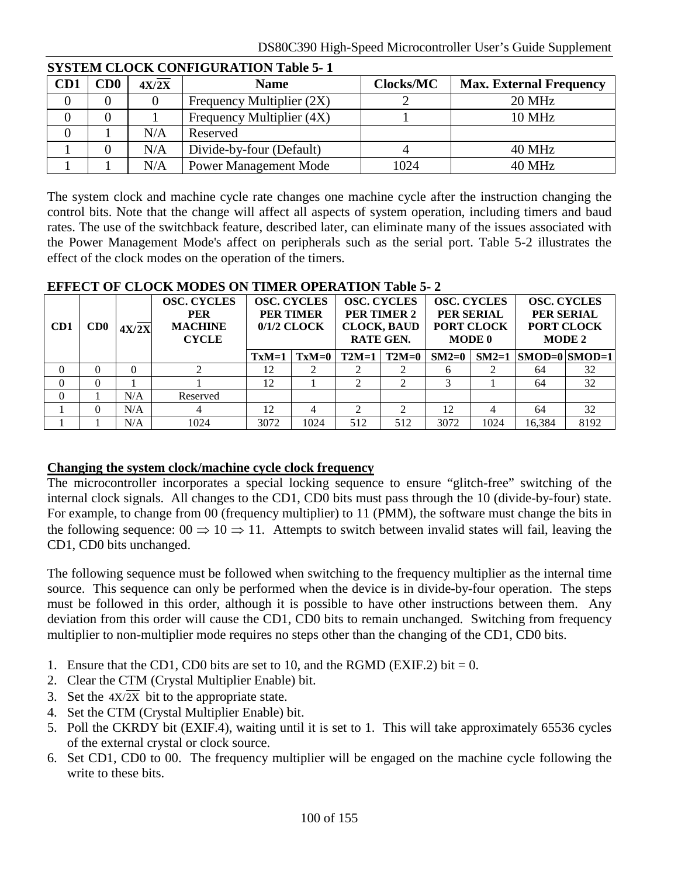|     | o romani Cloch Control Minison Table 5- r |       |                              |                  |                                |  |  |  |  |
|-----|-------------------------------------------|-------|------------------------------|------------------|--------------------------------|--|--|--|--|
| CD1 | CD0                                       | 4X/2X | <b>Name</b>                  | <b>Clocks/MC</b> | <b>Max. External Frequency</b> |  |  |  |  |
|     |                                           |       | Frequency Multiplier (2X)    |                  | <b>20 MHz</b>                  |  |  |  |  |
|     |                                           |       | Frequency Multiplier (4X)    |                  | <b>10 MHz</b>                  |  |  |  |  |
|     |                                           | N/A   | Reserved                     |                  |                                |  |  |  |  |
|     |                                           | N/A   | Divide-by-four (Default)     |                  | 40 MHz                         |  |  |  |  |
|     |                                           | N/A   | <b>Power Management Mode</b> | 1024             | 40 MHz                         |  |  |  |  |

#### **SYSTEM CLOCK CONFIGURATION Table 5- 1**

The system clock and machine cycle rate changes one machine cycle after the instruction changing the control bits. Note that the change will affect all aspects of system operation, including timers and baud rates. The use of the switchback feature, described later, can eliminate many of the issues associated with the Power Management Mode's affect on peripherals such as the serial port. Table 5-2 illustrates the effect of the clock modes on the operation of the timers.

#### **EFFECT OF CLOCK MODES ON TIMER OPERATION Table 5- 2**

| CD <sub>1</sub> | CD0 | 4X/2X | <b>OSC. CYCLES</b><br><b>PER</b><br><b>MACHINE</b><br><b>CYCLE</b> | <b>OSC. CYCLES</b><br><b>PER TIMER</b><br>$0/1/2$ CLOCK |         | <b>OSC. CYCLES</b><br><b>PER TIMER 2</b><br><b>CLOCK, BAUD</b><br><b>RATE GEN.</b> |                   | <b>OSC. CYCLES</b><br>PER SERIAL<br><b>PORT CLOCK</b><br><b>MODE 0</b> |      | <b>OSC. CYCLES</b><br>PER SERIAL<br>PORT CLOCK<br><b>MODE 2</b> |      |
|-----------------|-----|-------|--------------------------------------------------------------------|---------------------------------------------------------|---------|------------------------------------------------------------------------------------|-------------------|------------------------------------------------------------------------|------|-----------------------------------------------------------------|------|
|                 |     |       |                                                                    | $TxM=1$                                                 | $TxM=0$ |                                                                                    | $T2M=1$   $T2M=0$ | $SM2=0$                                                                |      | $SM2=1$ $ SMOD=0 SMOD=1$                                        |      |
| $\Omega$        |     | 0     |                                                                    | 12                                                      |         |                                                                                    |                   |                                                                        |      | 64                                                              | 32   |
| $\Omega$        | 0   |       |                                                                    | 12                                                      |         |                                                                                    |                   |                                                                        |      | 64                                                              | 32   |
| $\Omega$        |     | N/A   | Reserved                                                           |                                                         |         |                                                                                    |                   |                                                                        |      |                                                                 |      |
|                 | 0   | N/A   | 4                                                                  | 12                                                      |         |                                                                                    |                   | 12                                                                     |      | 64                                                              | 32   |
|                 |     | N/A   | 1024                                                               | 3072                                                    | 1024    | 512                                                                                | 512               | 3072                                                                   | 1024 | 16,384                                                          | 8192 |

#### **Changing the system clock/machine cycle clock frequency**

The microcontroller incorporates a special locking sequence to ensure "glitch-free" switching of the internal clock signals. All changes to the CD1, CD0 bits must pass through the 10 (divide-by-four) state. For example, to change from 00 (frequency multiplier) to 11 (PMM), the software must change the bits in the following sequence:  $00 \Rightarrow 10 \Rightarrow 11$ . Attempts to switch between invalid states will fail, leaving the CD1, CD0 bits unchanged.

The following sequence must be followed when switching to the frequency multiplier as the internal time source. This sequence can only be performed when the device is in divide-by-four operation. The steps must be followed in this order, although it is possible to have other instructions between them. Any deviation from this order will cause the CD1, CD0 bits to remain unchanged. Switching from frequency multiplier to non-multiplier mode requires no steps other than the changing of the CD1, CD0 bits.

- 1. Ensure that the CD1, CD0 bits are set to 10, and the RGMD (EXIF.2) bit  $= 0$ .
- 2. Clear the CTM (Crystal Multiplier Enable) bit.
- 3. Set the  $4X/\overline{2X}$  bit to the appropriate state.
- 4. Set the CTM (Crystal Multiplier Enable) bit.
- 5. Poll the CKRDY bit (EXIF.4), waiting until it is set to 1. This will take approximately 65536 cycles of the external crystal or clock source.
- 6. Set CD1, CD0 to 00. The frequency multiplier will be engaged on the machine cycle following the write to these bits.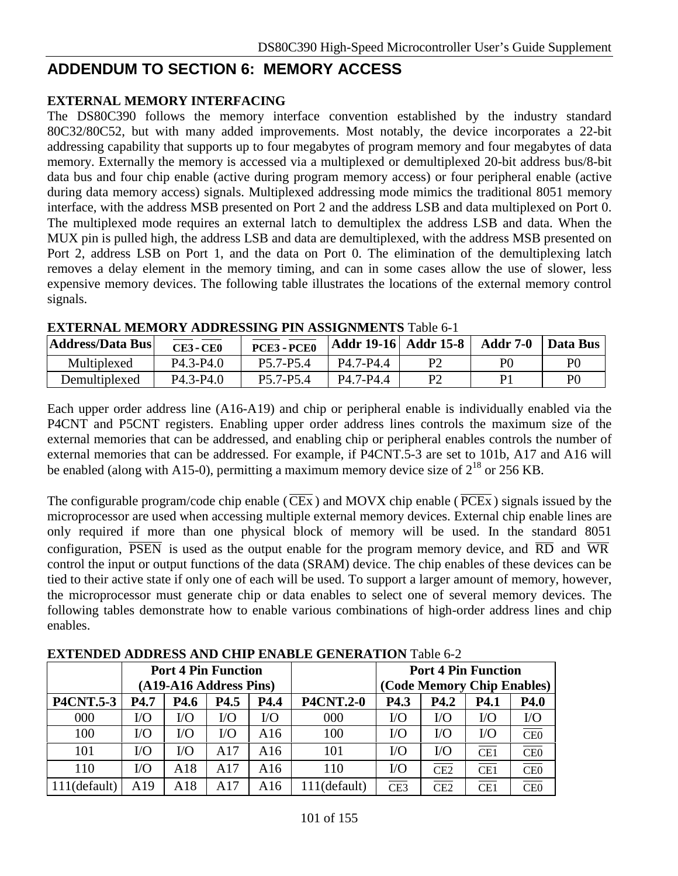### **ADDENDUM TO SECTION 6: MEMORY ACCESS**

#### **EXTERNAL MEMORY INTERFACING**

The DS80C390 follows the memory interface convention established by the industry standard 80C32/80C52, but with many added improvements. Most notably, the device incorporates a 22-bit addressing capability that supports up to four megabytes of program memory and four megabytes of data memory. Externally the memory is accessed via a multiplexed or demultiplexed 20-bit address bus/8-bit data bus and four chip enable (active during program memory access) or four peripheral enable (active during data memory access) signals. Multiplexed addressing mode mimics the traditional 8051 memory interface, with the address MSB presented on Port 2 and the address LSB and data multiplexed on Port 0. The multiplexed mode requires an external latch to demultiplex the address LSB and data. When the MUX pin is pulled high, the address LSB and data are demultiplexed, with the address MSB presented on Port 2, address LSB on Port 1, and the data on Port 0. The elimination of the demultiplexing latch removes a delay element in the memory timing, and can in some cases allow the use of slower, less expensive memory devices. The following table illustrates the locations of the external memory control signals.

| <b>Address/Data Bus</b> | <b>CE3 - CE0</b>                   | <b>PCE3 - PCE0</b>                 | Addr 19-16   Addr 15-8 |    | <b>Addr 7-0</b> | Data Bus       |
|-------------------------|------------------------------------|------------------------------------|------------------------|----|-----------------|----------------|
| Multiplexed             | P <sub>4.3</sub> -P <sub>4.0</sub> | P5.7-P5.4                          | P4.7-P4.4              | P2 | P <sub>0</sub>  | P(             |
| Demultiplexed           | P <sub>4.3</sub> -P <sub>4.0</sub> | P <sub>5.7</sub> -P <sub>5.4</sub> | P4 7-P4 4              | P2 | D1              | P <sub>(</sub> |

|  |  | <b>EXTERNAL MEMORY ADDRESSING PIN ASSIGNMENTS Table 6-1</b> |
|--|--|-------------------------------------------------------------|
|--|--|-------------------------------------------------------------|

Each upper order address line (A16-A19) and chip or peripheral enable is individually enabled via the P4CNT and P5CNT registers. Enabling upper order address lines controls the maximum size of the external memories that can be addressed, and enabling chip or peripheral enables controls the number of external memories that can be addressed. For example, if P4CNT.5-3 are set to 101b, A17 and A16 will be enabled (along with A15-0), permitting a maximum memory device size of  $2^{18}$  or  $256$  KB.

The configurable program/code chip enable ( $\overline{\text{CEx}}$ ) and MOVX chip enable ( $\overline{\text{PCEx}}$ ) signals issued by the microprocessor are used when accessing multiple external memory devices. External chip enable lines are only required if more than one physical block of memory will be used. In the standard 8051 configuration,  $\overline{PSEN}$  is used as the output enable for the program memory device, and  $\overline{RD}$  and  $\overline{WR}$ control the input or output functions of the data (SRAM) device. The chip enables of these devices can be tied to their active state if only one of each will be used. To support a larger amount of memory, however, the microprocessor must generate chip or data enables to select one of several memory devices. The following tables demonstrate how to enable various combinations of high-order address lines and chip enables.

|                  |                        | <b>Port 4 Pin Function</b> |          |          |                  | <b>Port 4 Pin Function</b> |                            |             |                         |
|------------------|------------------------|----------------------------|----------|----------|------------------|----------------------------|----------------------------|-------------|-------------------------|
|                  | (A19-A16 Address Pins) |                            |          |          |                  |                            | (Code Memory Chip Enables) |             |                         |
| <b>P4CNT.5-3</b> | P <sub>4.7</sub>       | <b>P4.6</b>                | P4.5     | P4.4     | <b>P4CNT.2-0</b> | P4.3                       | <b>P4.2</b>                | <b>P4.1</b> | P4.0                    |
| 000              | $\rm LO$               | $\rm LO$                   | $\rm LO$ | $\rm LO$ | 000              | $\rm LO$                   | $\rm LO$                   | $\rm LO$    | $\rm LO$                |
| 100              | $\rm UO$               | $\rm LO$                   | I/O      | A16      | 100              | $\rm LO$                   | $\rm LO$                   | $\rm LO$    | $\overline{\text{CE0}}$ |
| 101              | I/O                    | I/O                        | A17      | A16      | 101              | $\rm LO$                   | $\rm LO$                   | CE1         | $\overline{\text{CE0}}$ |
| 110              | $\rm I/O$              | A18                        | A17      | A16      | 110              | $\rm LO$                   | CE2                        | CE1         | $\overline{\text{CE0}}$ |
| $111$ (default)  | A19                    | A18                        | A17      | A16      | 111(default)     | CE3                        | CE2                        | CE1         | CE <sub>0</sub>         |

**EXTENDED ADDRESS AND CHIP ENABLE GENERATION** Table 6-2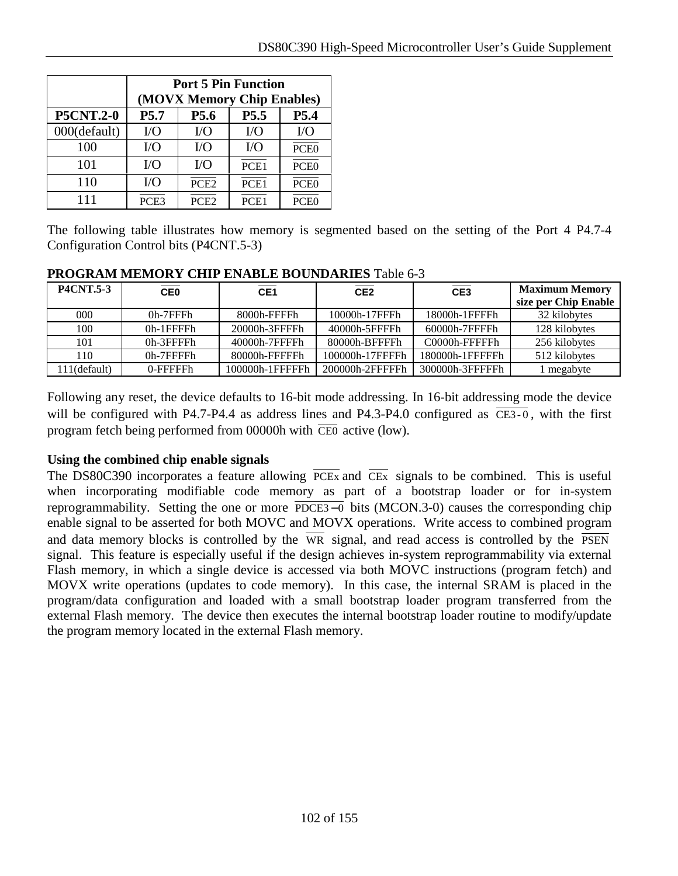|                  | <b>Port 5 Pin Function</b><br>(MOVX Memory Chip Enables) |                  |                  |                  |  |  |  |
|------------------|----------------------------------------------------------|------------------|------------------|------------------|--|--|--|
| <b>P5CNT.2-0</b> | P <sub>5.7</sub><br>P5.5<br>P5.4<br>P <sub>5.6</sub>     |                  |                  |                  |  |  |  |
| 000(default)     | $VO$                                                     | $\rm LO$         | $VO$             | $\rm LO$         |  |  |  |
| 100              | $VO$                                                     | I/O              | $\rm LO$         | PCE <sub>0</sub> |  |  |  |
| 101              | $\rm LO$                                                 | $\rm LO$         | PCE1             | PCE <sub>0</sub> |  |  |  |
| 110              | $VO$                                                     | PCE <sub>2</sub> | PCE <sub>1</sub> | PCE <sub>0</sub> |  |  |  |
| 111              | PCE <sub>3</sub>                                         | PCE <sub>2</sub> | PCE <sub>1</sub> | PCE <sub>0</sub> |  |  |  |

The following table illustrates how memory is segmented based on the setting of the Port 4 P4.7-4 Configuration Control bits (P4CNT.5-3)

| <b>PROGRAM MEMORY CHIP ENABLE BOUNDARIES Table 6-3</b> |  |
|--------------------------------------------------------|--|
|                                                        |  |

| <b>P4CNT.5-3</b> | $\overline{CE0}$ | CE <sub>1</sub> | CE <sub>2</sub> | CE3             | <b>Maximum Memory</b><br>size per Chip Enable |
|------------------|------------------|-----------------|-----------------|-----------------|-----------------------------------------------|
| 000              | 0h-7FFFh         | 8000h-FFFFh     | 10000h-17FFFh   | 18000h-1FFFFh   | 32 kilobytes                                  |
| 100              | $0h-1$ FFFFh     | 20000h-3FFFFh   | 40000h-5FFFFh   | 60000h-7FFFFh   | 128 kilobytes                                 |
| 101              | $0h-3$ FFFFh     | 40000h-7FFFFh   | 80000h-BFFFFh   | C0000h-FFFFFh   | 256 kilobytes                                 |
| 110              | $0h-7$ FFFFh     | 80000h-FFFFFh   | 100000h-17FFFFh | 180000h-1FFFFFh | 512 kilobytes                                 |
| 111(default)     | $0$ -FFFFFh      | 100000h-1FFFFFh | 200000h-2FFFFFh | 300000h-3FFFFFh | megabyte                                      |

Following any reset, the device defaults to 16-bit mode addressing. In 16-bit addressing mode the device will be configured with P4.7-P4.4 as address lines and P4.3-P4.0 configured as  $\overline{CE3-0}$ , with the first program fetch being performed from 00000h with  $\overline{CE0}$  active (low).

#### **Using the combined chip enable signals**

The DS80C390 incorporates a feature allowing  $\overline{PCEx}$  and  $\overline{CEx}$  signals to be combined. This is useful when incorporating modifiable code memory as part of a bootstrap loader or for in-system reprogrammability. Setting the one or more PDCE3−0 bits (MCON.3-0) causes the corresponding chip enable signal to be asserted for both MOVC and MOVX operations. Write access to combined program and data memory blocks is controlled by the  $\overline{WR}$  signal, and read access is controlled by the  $\overline{PSEN}$ signal. This feature is especially useful if the design achieves in-system reprogrammability via external Flash memory, in which a single device is accessed via both MOVC instructions (program fetch) and MOVX write operations (updates to code memory). In this case, the internal SRAM is placed in the program/data configuration and loaded with a small bootstrap loader program transferred from the external Flash memory. The device then executes the internal bootstrap loader routine to modify/update the program memory located in the external Flash memory.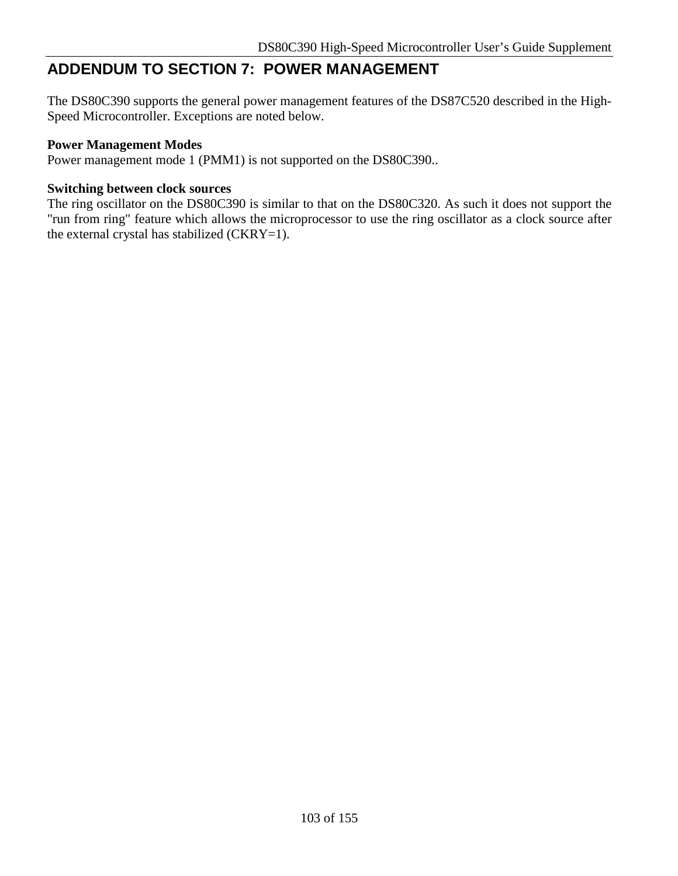## **ADDENDUM TO SECTION 7: POWER MANAGEMENT**

The DS80C390 supports the general power management features of the DS87C520 described in the High-Speed Microcontroller. Exceptions are noted below.

#### **Power Management Modes**

Power management mode 1 (PMM1) is not supported on the DS80C390..

#### **Switching between clock sources**

The ring oscillator on the DS80C390 is similar to that on the DS80C320. As such it does not support the "run from ring" feature which allows the microprocessor to use the ring oscillator as a clock source after the external crystal has stabilized (CKRY=1).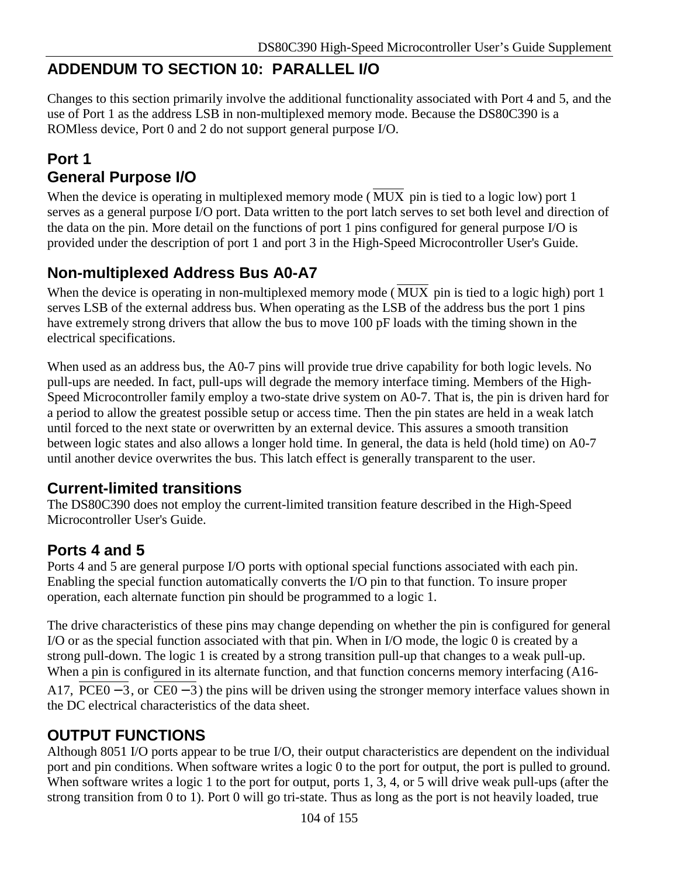## **ADDENDUM TO SECTION 10: PARALLEL I/O**

Changes to this section primarily involve the additional functionality associated with Port 4 and 5, and the use of Port 1 as the address LSB in non-multiplexed memory mode. Because the DS80C390 is a ROMless device, Port 0 and 2 do not support general purpose I/O.

### **Port 1 General Purpose I/O**

When the device is operating in multiplexed memory mode (MUX pin is tied to a logic low) port 1 serves as a general purpose I/O port. Data written to the port latch serves to set both level and direction of the data on the pin. More detail on the functions of port 1 pins configured for general purpose I/O is provided under the description of port 1 and port 3 in the High-Speed Microcontroller User's Guide.

## **Non-multiplexed Address Bus A0-A7**

When the device is operating in non-multiplexed memory mode ( $\overline{MUX}$  pin is tied to a logic high) port 1 serves LSB of the external address bus. When operating as the LSB of the address bus the port 1 pins have extremely strong drivers that allow the bus to move 100 pF loads with the timing shown in the electrical specifications.

When used as an address bus, the A0-7 pins will provide true drive capability for both logic levels. No pull-ups are needed. In fact, pull-ups will degrade the memory interface timing. Members of the High-Speed Microcontroller family employ a two-state drive system on A0-7. That is, the pin is driven hard for a period to allow the greatest possible setup or access time. Then the pin states are held in a weak latch until forced to the next state or overwritten by an external device. This assures a smooth transition between logic states and also allows a longer hold time. In general, the data is held (hold time) on A0-7 until another device overwrites the bus. This latch effect is generally transparent to the user.

### **Current-limited transitions**

The DS80C390 does not employ the current-limited transition feature described in the High-Speed Microcontroller User's Guide.

## **Ports 4 and 5**

Ports 4 and 5 are general purpose I/O ports with optional special functions associated with each pin. Enabling the special function automatically converts the I/O pin to that function. To insure proper operation, each alternate function pin should be programmed to a logic 1.

The drive characteristics of these pins may change depending on whether the pin is configured for general I/O or as the special function associated with that pin. When in I/O mode, the logic 0 is created by a strong pull-down. The logic 1 is created by a strong transition pull-up that changes to a weak pull-up. When a pin is configured in its alternate function, and that function concerns memory interfacing (A16-A17,  $\overline{PCE0-3}$ , or  $\overline{CE0-3}$ ) the pins will be driven using the stronger memory interface values shown in the DC electrical characteristics of the data sheet.

### **OUTPUT FUNCTIONS**

Although 8051 I/O ports appear to be true I/O, their output characteristics are dependent on the individual port and pin conditions. When software writes a logic 0 to the port for output, the port is pulled to ground. When software writes a logic 1 to the port for output, ports 1,  $\overline{3}$ , 4, or 5 will drive weak pull-ups (after the strong transition from 0 to 1). Port 0 will go tri-state. Thus as long as the port is not heavily loaded, true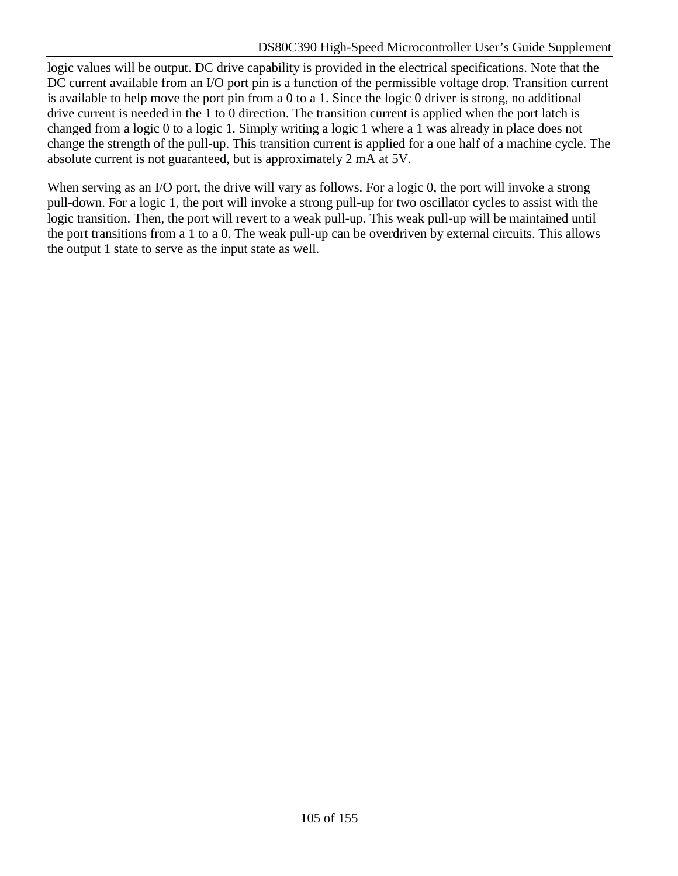logic values will be output. DC drive capability is provided in the electrical specifications. Note that the DC current available from an I/O port pin is a function of the permissible voltage drop. Transition current is available to help move the port pin from a 0 to a 1. Since the logic 0 driver is strong, no additional drive current is needed in the 1 to 0 direction. The transition current is applied when the port latch is changed from a logic 0 to a logic 1. Simply writing a logic 1 where a 1 was already in place does not change the strength of the pull-up. This transition current is applied for a one half of a machine cycle. The absolute current is not guaranteed, but is approximately 2 mA at 5V.

When serving as an I/O port, the drive will vary as follows. For a logic 0, the port will invoke a strong pull-down. For a logic 1, the port will invoke a strong pull-up for two oscillator cycles to assist with the logic transition. Then, the port will revert to a weak pull-up. This weak pull-up will be maintained until the port transitions from a 1 to a 0. The weak pull-up can be overdriven by external circuits. This allows the output 1 state to serve as the input state as well.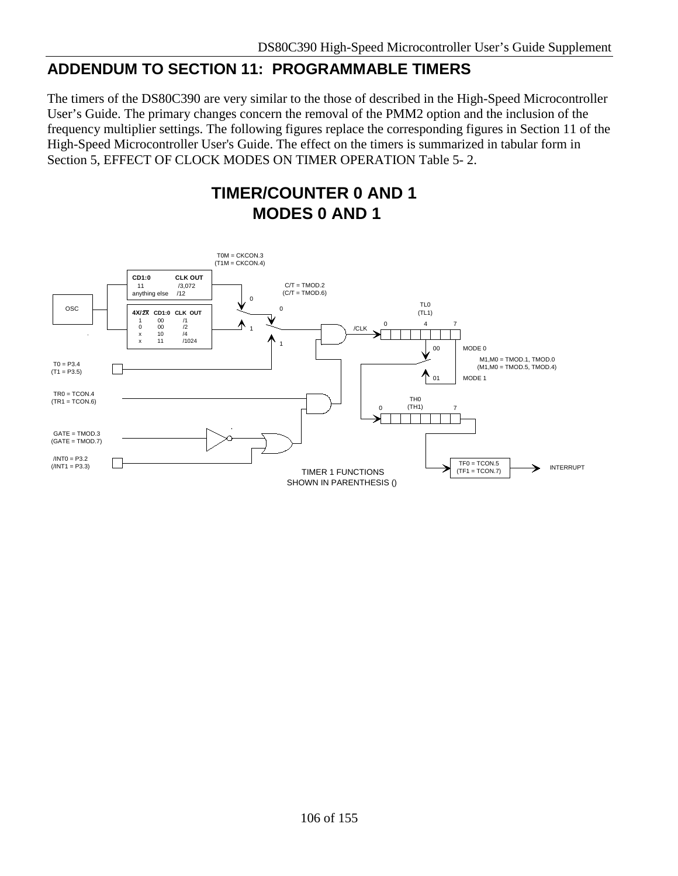## **ADDENDUM TO SECTION 11: PROGRAMMABLE TIMERS**

The timers of the DS80C390 are very similar to the those of described in the High-Speed Microcontroller User's Guide. The primary changes concern the removal of the PMM2 option and the inclusion of the frequency multiplier settings. The following figures replace the corresponding figures in Section 11 of the High-Speed Microcontroller User's Guide. The effect on the timers is summarized in tabular form in Section 5, EFFECT OF CLOCK MODES ON TIMER OPERATION Table 5- 2.

> **TIMER/COUNTER 0 AND 1 MODES 0 AND 1**

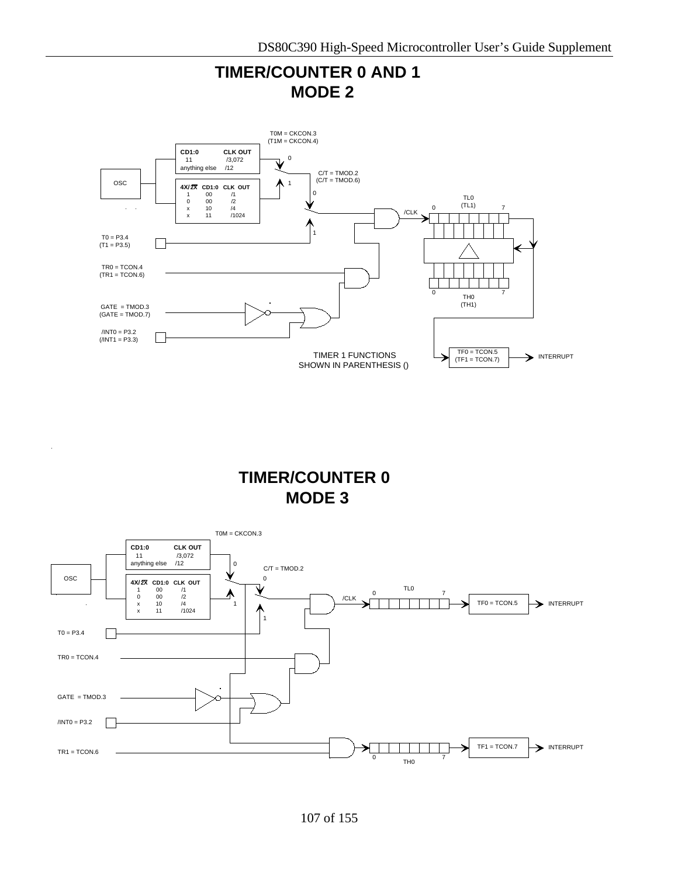

**TIMER/COUNTER 0 MODE 3**

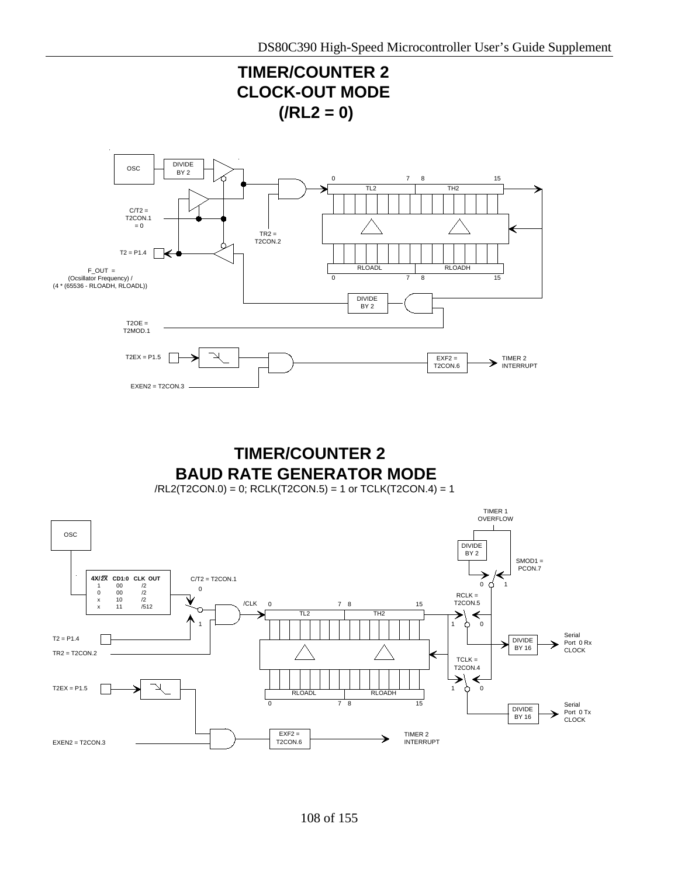

# **TIMER/COUNTER 2 BAUD RATE GENERATOR MODE**

/RL2(T2CON.0) = 0; RCLK(T2CON.5) = 1 or TCLK(T2CON.4) = 1

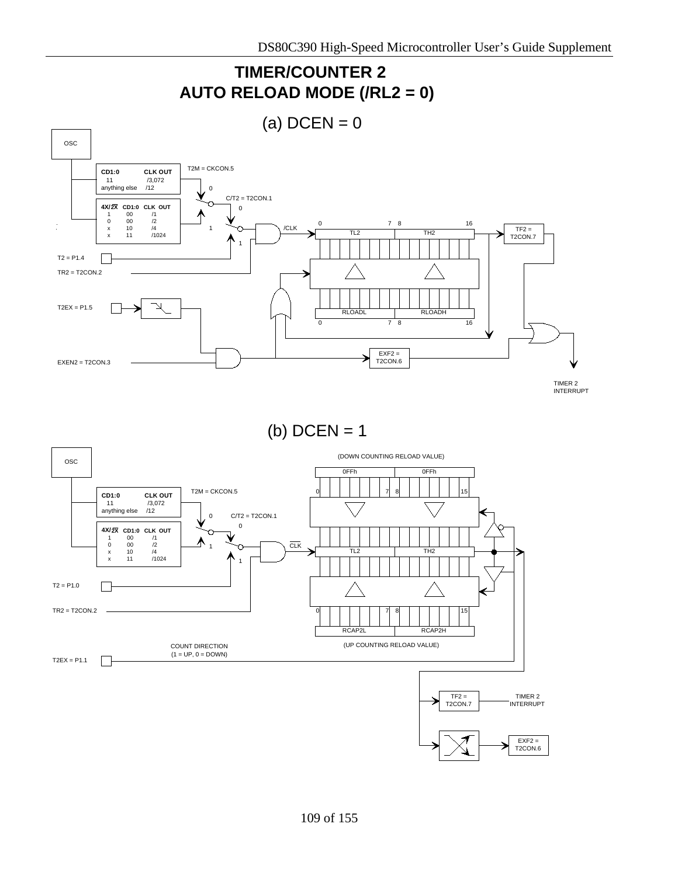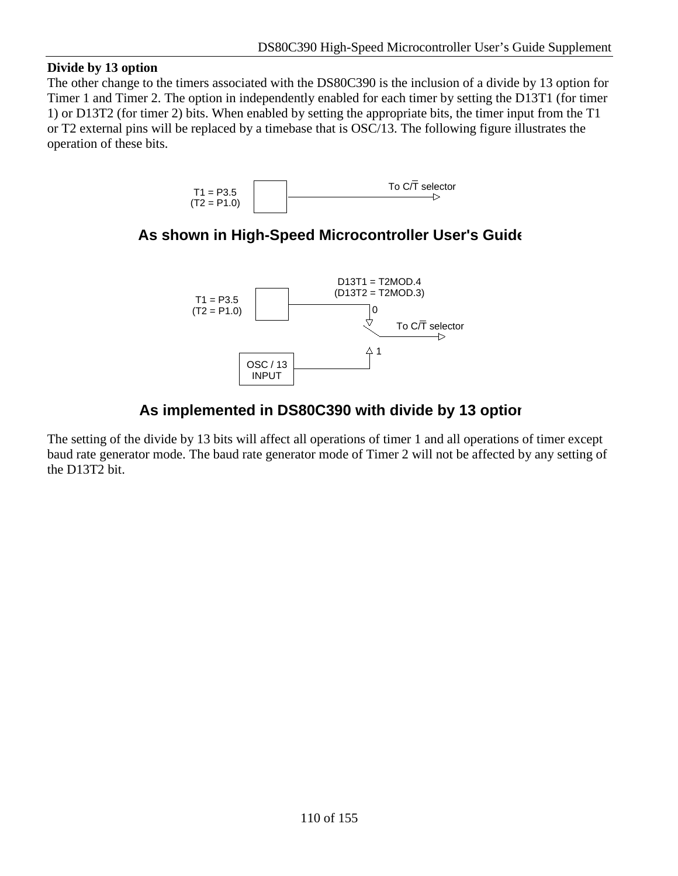### **Divide by 13 option**

The other change to the timers associated with the DS80C390 is the inclusion of a divide by 13 option for Timer 1 and Timer 2. The option in independently enabled for each timer by setting the D13T1 (for timer 1) or D13T2 (for timer 2) bits. When enabled by setting the appropriate bits, the timer input from the T1 or T2 external pins will be replaced by a timebase that is OSC/13. The following figure illustrates the operation of these bits.



# **As shown in High-Speed Microcontroller User's Guide**



# **As implemented in DS80C390 with divide by 13 option**

The setting of the divide by 13 bits will affect all operations of timer 1 and all operations of timer except baud rate generator mode. The baud rate generator mode of Timer 2 will not be affected by any setting of the D13T2 bit.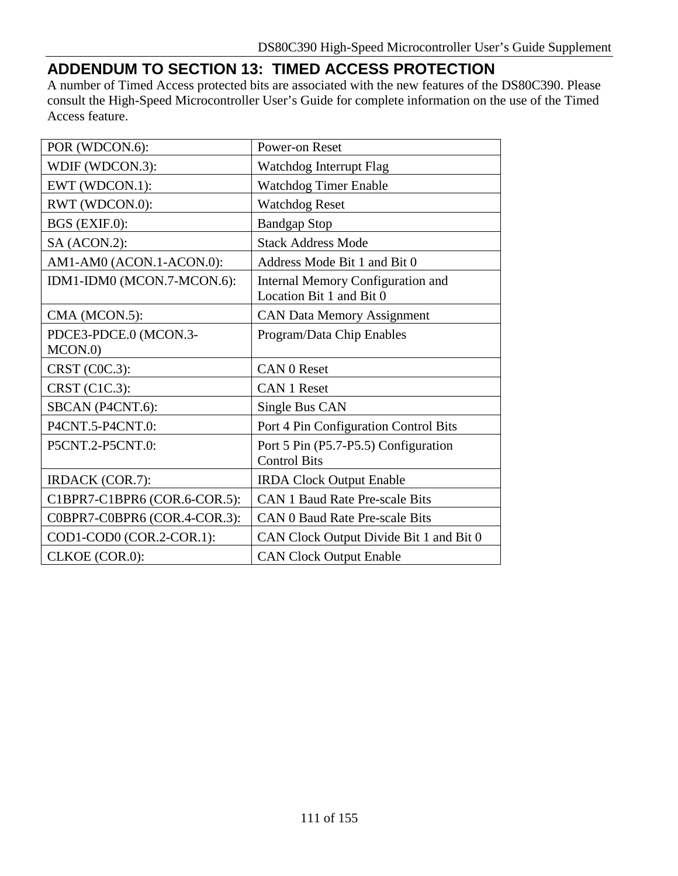# **ADDENDUM TO SECTION 13: TIMED ACCESS PROTECTION**

A number of Timed Access protected bits are associated with the new features of the DS80C390. Please consult the High-Speed Microcontroller User's Guide for complete information on the use of the Timed Access feature.

| POR (WDCON.6):               | Power-on Reset                                                       |
|------------------------------|----------------------------------------------------------------------|
| WDIF (WDCON.3):              | Watchdog Interrupt Flag                                              |
| EWT (WDCON.1):               | Watchdog Timer Enable                                                |
| RWT (WDCON.0):               | <b>Watchdog Reset</b>                                                |
| BGS (EXIF.0):                | <b>Bandgap Stop</b>                                                  |
| SA (ACON.2):                 | <b>Stack Address Mode</b>                                            |
| AM1-AM0 (ACON.1-ACON.0):     | Address Mode Bit 1 and Bit 0                                         |
| IDM1-IDM0 (MCON.7-MCON.6):   | <b>Internal Memory Configuration and</b><br>Location Bit 1 and Bit 0 |
| CMA (MCON.5):                | <b>CAN Data Memory Assignment</b>                                    |
| PDCE3-PDCE.0 (MCON.3-        | Program/Data Chip Enables                                            |
| MCON.0                       |                                                                      |
| CRST (C0C.3):                | <b>CAN 0 Reset</b>                                                   |
| CRST (C1C.3):                | <b>CAN 1 Reset</b>                                                   |
| SBCAN (P4CNT.6):             | Single Bus CAN                                                       |
| P4CNT.5-P4CNT.0:             | Port 4 Pin Configuration Control Bits                                |
| P5CNT.2-P5CNT.0:             | Port 5 Pin (P5.7-P5.5) Configuration<br><b>Control Bits</b>          |
| <b>IRDACK</b> (COR.7):       | <b>IRDA Clock Output Enable</b>                                      |
| C1BPR7-C1BPR6 (COR.6-COR.5): | <b>CAN 1 Baud Rate Pre-scale Bits</b>                                |
| C0BPR7-C0BPR6 (COR.4-COR.3): | <b>CAN 0 Baud Rate Pre-scale Bits</b>                                |
| COD1-COD0 (COR.2-COR.1):     | CAN Clock Output Divide Bit 1 and Bit 0                              |
| CLKOE (COR.0):               | <b>CAN Clock Output Enable</b>                                       |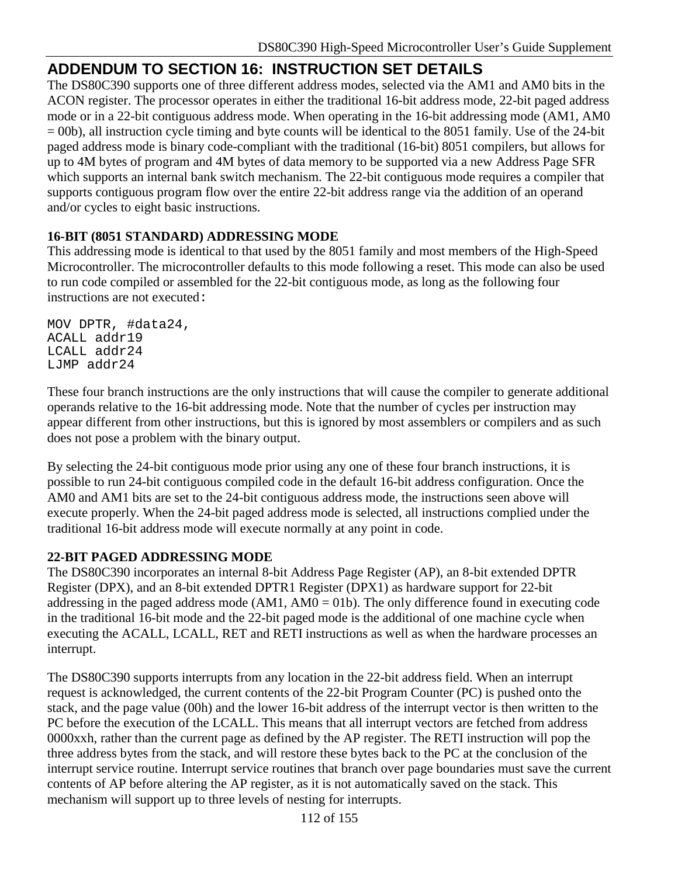# **ADDENDUM TO SECTION 16: INSTRUCTION SET DETAILS**

The DS80C390 supports one of three different address modes, selected via the AM1 and AM0 bits in the ACON register. The processor operates in either the traditional 16-bit address mode, 22-bit paged address mode or in a 22-bit contiguous address mode. When operating in the 16-bit addressing mode (AM1, AM0 = 00b), all instruction cycle timing and byte counts will be identical to the 8051 family. Use of the 24-bit paged address mode is binary code-compliant with the traditional (16-bit) 8051 compilers, but allows for up to 4M bytes of program and 4M bytes of data memory to be supported via a new Address Page SFR which supports an internal bank switch mechanism. The 22-bit contiguous mode requires a compiler that supports contiguous program flow over the entire 22-bit address range via the addition of an operand and/or cycles to eight basic instructions.

## **16-BIT (8051 STANDARD) ADDRESSING MODE**

This addressing mode is identical to that used by the 8051 family and most members of the High-Speed Microcontroller. The microcontroller defaults to this mode following a reset. This mode can also be used to run code compiled or assembled for the 22-bit contiguous mode, as long as the following four instructions are not executed:

MOV DPTR, #data24, ACALL addr19 LCALL addr24 LJMP addr24

These four branch instructions are the only instructions that will cause the compiler to generate additional operands relative to the 16-bit addressing mode. Note that the number of cycles per instruction may appear different from other instructions, but this is ignored by most assemblers or compilers and as such does not pose a problem with the binary output.

By selecting the 24-bit contiguous mode prior using any one of these four branch instructions, it is possible to run 24-bit contiguous compiled code in the default 16-bit address configuration. Once the AM0 and AM1 bits are set to the 24-bit contiguous address mode, the instructions seen above will execute properly. When the 24-bit paged address mode is selected, all instructions complied under the traditional 16-bit address mode will execute normally at any point in code.

## **22-BIT PAGED ADDRESSING MODE**

The DS80C390 incorporates an internal 8-bit Address Page Register (AP), an 8-bit extended DPTR Register (DPX), and an 8-bit extended DPTR1 Register (DPX1) as hardware support for 22-bit addressing in the paged address mode  $(AM1, AM0 = 01b)$ . The only difference found in executing code in the traditional 16-bit mode and the 22-bit paged mode is the additional of one machine cycle when executing the ACALL, LCALL, RET and RETI instructions as well as when the hardware processes an interrupt.

The DS80C390 supports interrupts from any location in the 22-bit address field. When an interrupt request is acknowledged, the current contents of the 22-bit Program Counter (PC) is pushed onto the stack, and the page value (00h) and the lower 16-bit address of the interrupt vector is then written to the PC before the execution of the LCALL. This means that all interrupt vectors are fetched from address 0000xxh, rather than the current page as defined by the AP register. The RETI instruction will pop the three address bytes from the stack, and will restore these bytes back to the PC at the conclusion of the interrupt service routine. Interrupt service routines that branch over page boundaries must save the current contents of AP before altering the AP register, as it is not automatically saved on the stack. This mechanism will support up to three levels of nesting for interrupts.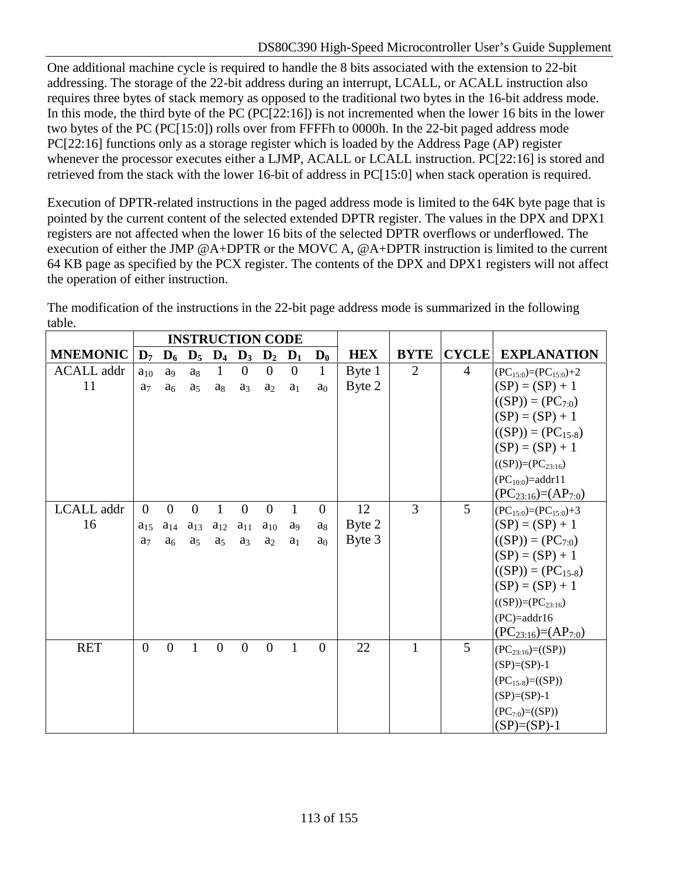One additional machine cycle is required to handle the 8 bits associated with the extension to 22-bit addressing. The storage of the 22-bit address during an interrupt, LCALL, or ACALL instruction also requires three bytes of stack memory as opposed to the traditional two bytes in the 16-bit address mode. In this mode, the third byte of the PC (PC[22:16]) is not incremented when the lower 16 bits in the lower two bytes of the PC (PC[15:0]) rolls over from FFFFh to 0000h. In the 22-bit paged address mode PC[22:16] functions only as a storage register which is loaded by the Address Page (AP) register whenever the processor executes either a LJMP, ACALL or LCALL instruction. PC[22:16] is stored and retrieved from the stack with the lower 16-bit of address in PC[15:0] when stack operation is required.

Execution of DPTR-related instructions in the paged address mode is limited to the 64K byte page that is pointed by the current content of the selected extended DPTR register. The values in the DPX and DPX1 registers are not affected when the lower 16 bits of the selected DPTR overflows or underflowed. The execution of either the JMP @A+DPTR or the MOVC A, @A+DPTR instruction is limited to the current 64 KB page as specified by the PCX register. The contents of the DPX and DPX1 registers will not affect the operation of either instruction.

The modification of the instructions in the 22-bit page address mode is summarized in the following table.

|                   |                | <b>INSTRUCTION CODE</b> |                |                |                |                                           |                       |                |            |                |                |                                 |
|-------------------|----------------|-------------------------|----------------|----------------|----------------|-------------------------------------------|-----------------------|----------------|------------|----------------|----------------|---------------------------------|
| <b>MNEMONIC</b>   |                |                         |                |                |                | $D_7$ $D_6$ $D_5$ $D_4$ $D_3$ $D_2$ $D_1$ |                       | $D_0$          | <b>HEX</b> | <b>BYTE</b>    | <b>CYCLE</b>   | <b>EXPLANATION</b>              |
| <b>ACALL</b> addr | $a_{10}$       | a <sub>9</sub>          | $a_8$          | $\mathbf{1}$   | $\overline{0}$ | $\theta$                                  | $\overline{0}$        | $\mathbf{1}$   | Byte 1     | 2              | $\overline{4}$ | $(PC_{15:0}) = (PC_{15:0}) + 2$ |
| 11                | a <sub>7</sub> | a <sub>6</sub>          | a <sub>5</sub> | a <sub>8</sub> | a <sub>3</sub> | a <sub>2</sub>                            | a <sub>1</sub>        | a <sub>0</sub> | Byte 2     |                |                | $(SP) = (SP) + 1$               |
|                   |                |                         |                |                |                |                                           |                       |                |            |                |                | $((SP)) = (PC_{7:0})$           |
|                   |                |                         |                |                |                |                                           |                       |                |            |                |                | $(SP) = (SP) + 1$               |
|                   |                |                         |                |                |                |                                           |                       |                |            |                |                | $((SP)) = (PC_{15-8})$          |
|                   |                |                         |                |                |                |                                           |                       |                |            |                |                | $(SP) = (SP) + 1$               |
|                   |                |                         |                |                |                |                                           |                       |                |            |                |                | $((SP))=(PC_{23:16})$           |
|                   |                |                         |                |                |                |                                           |                       |                |            |                |                | $(PC_{10:0}) = addr11$          |
|                   |                |                         |                |                |                |                                           |                       |                |            |                |                | $(PC_{23:16})=(AP_{7:0})$       |
| LCALL addr        | $\Omega$       | $\Omega$                | $\Omega$       | 1              | $\overline{0}$ | $\Omega$                                  | 1                     | $\Omega$       | 12         | $\overline{3}$ | 5              | $(PC15:0)=(PC15:0)+3$           |
| 16                | $a_{15}$       | $a_{14}$                | $a_{13}$       | $a_{12}$       | $a_{11}$       | $a_{10}$                                  | <b>a</b> <sup>o</sup> | a <sub>8</sub> | Byte 2     |                |                | $(SP) = (SP) + 1$               |
|                   | a <sub>7</sub> | a <sub>6</sub>          | a <sub>5</sub> | a <sub>5</sub> | a <sub>3</sub> | a <sub>2</sub>                            | a <sub>1</sub>        | a <sub>0</sub> | Byte 3     |                |                | $((SP)) = (PC_{7:0})$           |
|                   |                |                         |                |                |                |                                           |                       |                |            |                |                | $(SP) = (SP) + 1$               |
|                   |                |                         |                |                |                |                                           |                       |                |            |                |                | $((SP)) = (PC_{15-8})$          |
|                   |                |                         |                |                |                |                                           |                       |                |            |                |                | $(SP) = (SP) + 1$               |
|                   |                |                         |                |                |                |                                           |                       |                |            |                |                | $((SP))=(PC_{23:16})$           |
|                   |                |                         |                |                |                |                                           |                       |                |            |                |                | $(PC)=addr16$                   |
|                   |                |                         |                |                |                |                                           |                       |                |            |                |                | $(PC_{23:16})=(AP_{7:0})$       |
| <b>RET</b>        | $\theta$       | $\Omega$                | 1              | $\Omega$       | $\theta$       | $\theta$                                  | 1                     | $\theta$       | 22         | $\mathbf{1}$   | 5              | $(PC_{23:16}) = ((SP))$         |
|                   |                |                         |                |                |                |                                           |                       |                |            |                |                | $(SP)= (SP)-1$                  |
|                   |                |                         |                |                |                |                                           |                       |                |            |                |                | $(PC_{15-8})=(\text{(SP)})$     |
|                   |                |                         |                |                |                |                                           |                       |                |            |                |                | $(SP)= (SP)-1$                  |
|                   |                |                         |                |                |                |                                           |                       |                |            |                |                | $(PC_{7:0})=(\text{(SP)})$      |
|                   |                |                         |                |                |                |                                           |                       |                |            |                |                | $(SP)= (SP)-1$                  |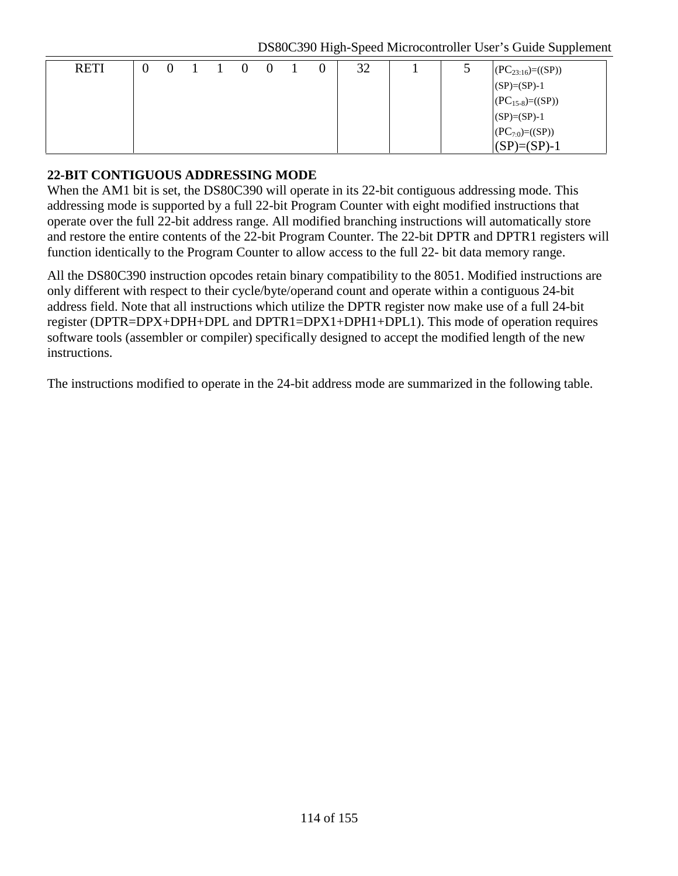DS80C390 High-Speed Microcontroller User's Guide Supplement

| <b>RETI</b> | $\bigcirc$ |  | $\overline{0}$ |  | 32 |  | $(PC_{23:16}) = ((SP))$              |
|-------------|------------|--|----------------|--|----|--|--------------------------------------|
|             |            |  |                |  |    |  | $(SP)= (SP)-1$                       |
|             |            |  |                |  |    |  | $(PC_{15-8}) = ((SP))$               |
|             |            |  |                |  |    |  |                                      |
|             |            |  |                |  |    |  | $(SP)=(SP)-1$<br>$(PC_{7:0})=((SP))$ |
|             |            |  |                |  |    |  | $(SP)= (SP)-1$                       |

### **22-BIT CONTIGUOUS ADDRESSING MODE**

When the AM1 bit is set, the DS80C390 will operate in its 22-bit contiguous addressing mode. This addressing mode is supported by a full 22-bit Program Counter with eight modified instructions that operate over the full 22-bit address range. All modified branching instructions will automatically store and restore the entire contents of the 22-bit Program Counter. The 22-bit DPTR and DPTR1 registers will function identically to the Program Counter to allow access to the full 22- bit data memory range.

All the DS80C390 instruction opcodes retain binary compatibility to the 8051. Modified instructions are only different with respect to their cycle/byte/operand count and operate within a contiguous 24-bit address field. Note that all instructions which utilize the DPTR register now make use of a full 24-bit register (DPTR=DPX+DPH+DPL and DPTR1=DPX1+DPH1+DPL1). This mode of operation requires software tools (assembler or compiler) specifically designed to accept the modified length of the new instructions.

The instructions modified to operate in the 24-bit address mode are summarized in the following table.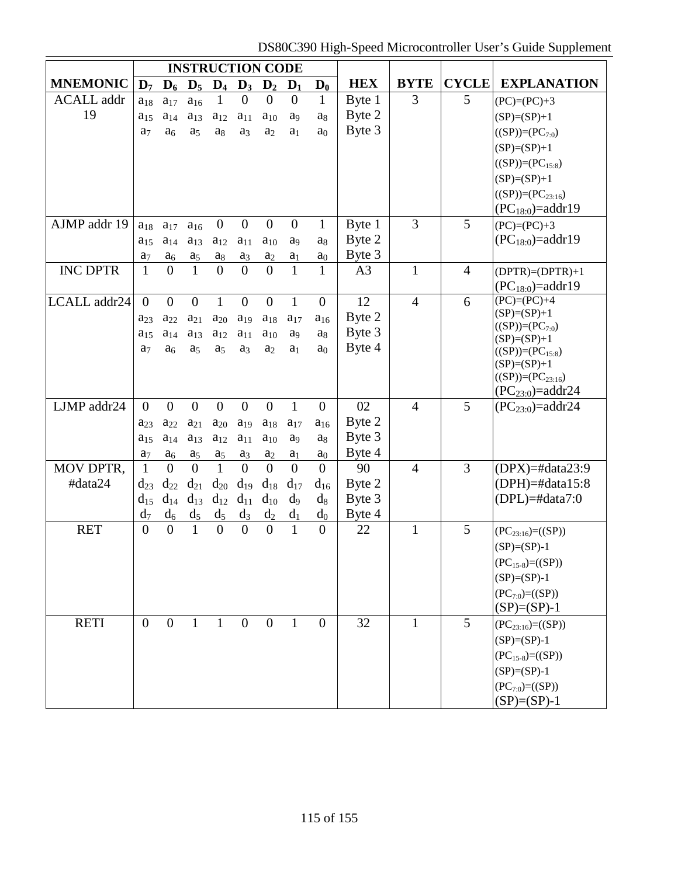DS80C390 High-Speed Microcontroller User's Guide Supplement

|                   |                      |                      |                      |                                              |                | <b>INSTRUCTION CODE</b>                   |                            |                            |                |                |                |                                                  |
|-------------------|----------------------|----------------------|----------------------|----------------------------------------------|----------------|-------------------------------------------|----------------------------|----------------------------|----------------|----------------|----------------|--------------------------------------------------|
| <b>MNEMONIC</b>   |                      |                      |                      |                                              |                | $D_7$ $D_6$ $D_5$ $D_4$ $D_3$ $D_2$ $D_1$ |                            | $\mathbf{D}_0$             | <b>HEX</b>     | <b>BYTE</b>    | <b>CYCLE</b>   | <b>EXPLANATION</b>                               |
| <b>ACALL</b> addr | $a_{18}$             | $a_{17}$             | $a_{16}$             | 1                                            | $\theta$       | $\overline{0}$                            | $\overline{0}$             | $\mathbf{1}$               | Byte 1         | 3              | 5              | $(PC)=(PC)+3$                                    |
| 19                | $a_{15}$             | $a_{14}$             | $a_{13}$             | $a_{12}$                                     | $a_{11}$       | $a_{10}$                                  | a <sub>9</sub>             | ag                         | Byte 2         |                |                | $(SP)= (SP)+1$                                   |
|                   | a <sub>7</sub>       | a <sub>6</sub>       | a <sub>5</sub>       | $a_8$                                        | a <sub>3</sub> | a <sub>2</sub>                            | a <sub>1</sub>             | a <sub>0</sub>             | Byte 3         |                |                | $((SP))=(PC_{7:0})$                              |
|                   |                      |                      |                      |                                              |                |                                           |                            |                            |                |                |                | $(SP)= (SP)+1$                                   |
|                   |                      |                      |                      |                                              |                |                                           |                            |                            |                |                |                | $((SP))=(PC_{15:8})$                             |
|                   |                      |                      |                      |                                              |                |                                           |                            |                            |                |                |                | $(SP)= (SP)+1$                                   |
|                   |                      |                      |                      |                                              |                |                                           |                            |                            |                |                |                | $((SP))=(PC_{23:16})$                            |
|                   |                      |                      |                      |                                              |                |                                           |                            |                            |                |                |                | $(PC18:0) = addr19$                              |
| AJMP addr 19      | $a_{18}$             | $a_{17}$             | $a_{16}$             | $\overline{0}$                               | $\overline{0}$ | $\overline{0}$                            | $\overline{0}$             | $\mathbf{1}$               | Byte 1         | 3              | 5              | $(PC)=(PC)+3$                                    |
|                   | $a_{15}$             | $a_{14}$             | $a_{13}$             | $a_{12}$                                     | $a_{11}$       | $a_{10}$                                  | a <sub>9</sub>             | a <sub>8</sub>             | Byte 2         |                |                | $(PC_{18:0}) = addr19$                           |
|                   | a <sub>7</sub>       | a <sub>6</sub>       | $\mathbf{a}_5$       | a <sub>8</sub>                               | $a_3$          | a <sub>2</sub>                            | a <sub>1</sub>             | a <sub>0</sub>             | Byte 3         |                |                |                                                  |
| <b>INC DPTR</b>   | $\mathbf{1}$         | $\overline{0}$       | $\mathbf{1}$         | $\overline{0}$                               | $\overline{0}$ | $\theta$                                  | 1                          | $\mathbf{1}$               | A <sub>3</sub> | $\mathbf{1}$   | $\overline{4}$ | $(DPTR) = (DPTR) + 1$                            |
|                   |                      |                      |                      |                                              |                |                                           |                            |                            |                |                |                | $(PC18:0) = addr19$                              |
| LCALL addr24      | $\overline{0}$       | $\overline{0}$       | $\overline{0}$       | $\mathbf{1}$                                 | $\overline{0}$ | $\overline{0}$                            | 1                          | $\overline{0}$             | 12             | $\overline{4}$ | 6              | $(PC)=(PC)+4$                                    |
|                   | $a_{23}$             | $a_{22}$             | $a_{21}$             | $a_{20}$                                     | $a_{19}$       | $a_{18}$                                  | $a_{17}$                   | $a_{16}$                   | Byte 2         |                |                | $(SP)= (SP)+1$<br>$((SP))=(PC_{7:0})$            |
|                   | $a_{15}$             | $a_{14}$             | $a_{13}$             | $a_{12}$                                     | $a_{11}$       | $a_{10}$                                  | a <sub>9</sub>             | $a_8$                      | Byte 3         |                |                | $(SP)= (SP)+1$                                   |
|                   | a <sub>7</sub>       | a <sub>6</sub>       | a <sub>5</sub>       | a <sub>5</sub>                               | a <sub>3</sub> | a <sub>2</sub>                            | a <sub>1</sub>             | a <sub>0</sub>             | Byte 4         |                |                | $((SP))=(PC_{15:8})$                             |
|                   |                      |                      |                      |                                              |                |                                           |                            |                            |                |                |                | $(SP)= (SP)+1$                                   |
|                   |                      |                      |                      |                                              |                |                                           |                            |                            |                |                |                | $((SP))=(PC_{23:16})$                            |
| LJMP addr24       | $\overline{0}$       | $\overline{0}$       | $\boldsymbol{0}$     | $\overline{0}$                               | $\mathbf{0}$   | $\overline{0}$                            | $\mathbf{1}$               | $\overline{0}$             | 02             | $\overline{4}$ | 5              | $(PC_{23:0}) = addr24$<br>$(PC_{23:0}) = addr24$ |
|                   |                      |                      |                      |                                              | $a_{19}$       |                                           |                            |                            | Byte 2         |                |                |                                                  |
|                   | $a_{23}$<br>$a_{15}$ | $a_{22}$<br>$a_{14}$ | $a_{21}$<br>$a_{13}$ | $a_{20}$<br>$a_{12}$                         | $a_{11}$       | $a_{18}$<br>$a_{10}$                      | $a_{17}$<br>a <sub>9</sub> | $a_{16}$<br>a <sub>8</sub> | Byte 3         |                |                |                                                  |
|                   | a <sub>7</sub>       | a <sub>6</sub>       | a <sub>5</sub>       | a <sub>5</sub>                               | a <sub>3</sub> | a <sub>2</sub>                            | a <sub>1</sub>             | a <sub>0</sub>             | Byte 4         |                |                |                                                  |
| MOV DPTR,         | 1                    | $\overline{0}$       | $\overline{0}$       | 1                                            | $\overline{0}$ | $\theta$                                  | $\theta$                   | $\overline{0}$             | 90             | $\overline{4}$ | 3              | $(DPX)=\#data23:9$                               |
| #data24           | $d_{23}$             |                      |                      | $d_{22}$ $d_{21}$ $d_{20}$ $d_{19}$ $d_{18}$ |                |                                           | $d_{17}$                   | $d_{16}$                   | Byte 2         |                |                | $(DPH)=\#data15:8$                               |
|                   | $d_{15}$             | $d_{14}$             | $d_{13}$             | $d_{12}$ $d_{11}$                            |                | $d_{10}$                                  | $d_9$                      | $d_8$                      | Byte 3         |                |                | $(DPL)=\#data7:0$                                |
|                   | $d_7$                | $d_6$                | $d_5$                | d <sub>5</sub>                               | $d_3$          | $d_2$                                     | d <sub>1</sub>             | $d_0$                      | Byte 4         |                |                |                                                  |
| <b>RET</b>        | $\Omega$             | $\Omega$             | 1                    | $\theta$                                     | $\overline{0}$ | $\Omega$                                  | 1                          | $\Omega$                   | 22             | $\mathbf{1}$   | 5              | $(PC_{23:16}) = ((SP))$                          |
|                   |                      |                      |                      |                                              |                |                                           |                            |                            |                |                |                | $(SP)= (SP)-1$                                   |
|                   |                      |                      |                      |                                              |                |                                           |                            |                            |                |                |                | $(PC_{15-8})=(\text{(SP)})$                      |
|                   |                      |                      |                      |                                              |                |                                           |                            |                            |                |                |                | $(SP)= (SP)-1$                                   |
|                   |                      |                      |                      |                                              |                |                                           |                            |                            |                |                |                | $(PC_{7:0})=(\text{(SP)})$                       |
|                   |                      |                      |                      |                                              |                |                                           |                            |                            |                |                |                | $(SP)= (SP)-1$                                   |
| <b>RETI</b>       | $\overline{0}$       | $\overline{0}$       | $\mathbf{1}$         | $\mathbf{1}$                                 | $\mathbf{0}$   | $\overline{0}$                            | $\mathbf{1}$               | $\overline{0}$             | 32             | $\mathbf{1}$   | 5              | $(PC_{23:16}) = ((SP))$                          |
|                   |                      |                      |                      |                                              |                |                                           |                            |                            |                |                |                | $(SP)= (SP)-1$                                   |
|                   |                      |                      |                      |                                              |                |                                           |                            |                            |                |                |                | $(PC_{15-8})=(\text{(SP)})$                      |
|                   |                      |                      |                      |                                              |                |                                           |                            |                            |                |                |                | $(SP)= (SP)-1$                                   |
|                   |                      |                      |                      |                                              |                |                                           |                            |                            |                |                |                | $(PC_{7:0})=(\text{(SP)})$                       |
|                   |                      |                      |                      |                                              |                |                                           |                            |                            |                |                |                | $(SP)= (SP)-1$                                   |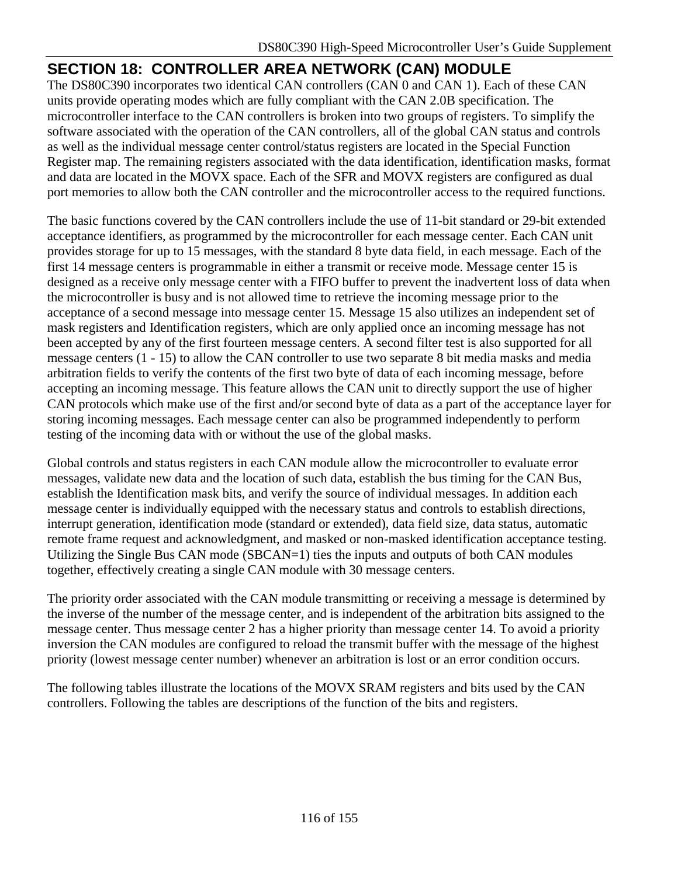# **SECTION 18: CONTROLLER AREA NETWORK (CAN) MODULE**

The DS80C390 incorporates two identical CAN controllers (CAN 0 and CAN 1). Each of these CAN units provide operating modes which are fully compliant with the CAN 2.0B specification. The microcontroller interface to the CAN controllers is broken into two groups of registers. To simplify the software associated with the operation of the CAN controllers, all of the global CAN status and controls as well as the individual message center control/status registers are located in the Special Function Register map. The remaining registers associated with the data identification, identification masks, format and data are located in the MOVX space. Each of the SFR and MOVX registers are configured as dual port memories to allow both the CAN controller and the microcontroller access to the required functions.

The basic functions covered by the CAN controllers include the use of 11-bit standard or 29-bit extended acceptance identifiers, as programmed by the microcontroller for each message center. Each CAN unit provides storage for up to 15 messages, with the standard 8 byte data field, in each message. Each of the first 14 message centers is programmable in either a transmit or receive mode. Message center 15 is designed as a receive only message center with a FIFO buffer to prevent the inadvertent loss of data when the microcontroller is busy and is not allowed time to retrieve the incoming message prior to the acceptance of a second message into message center 15. Message 15 also utilizes an independent set of mask registers and Identification registers, which are only applied once an incoming message has not been accepted by any of the first fourteen message centers. A second filter test is also supported for all message centers (1 - 15) to allow the CAN controller to use two separate 8 bit media masks and media arbitration fields to verify the contents of the first two byte of data of each incoming message, before accepting an incoming message. This feature allows the CAN unit to directly support the use of higher CAN protocols which make use of the first and/or second byte of data as a part of the acceptance layer for storing incoming messages. Each message center can also be programmed independently to perform testing of the incoming data with or without the use of the global masks.

Global controls and status registers in each CAN module allow the microcontroller to evaluate error messages, validate new data and the location of such data, establish the bus timing for the CAN Bus, establish the Identification mask bits, and verify the source of individual messages. In addition each message center is individually equipped with the necessary status and controls to establish directions, interrupt generation, identification mode (standard or extended), data field size, data status, automatic remote frame request and acknowledgment, and masked or non-masked identification acceptance testing. Utilizing the Single Bus CAN mode (SBCAN=1) ties the inputs and outputs of both CAN modules together, effectively creating a single CAN module with 30 message centers.

The priority order associated with the CAN module transmitting or receiving a message is determined by the inverse of the number of the message center, and is independent of the arbitration bits assigned to the message center. Thus message center 2 has a higher priority than message center 14. To avoid a priority inversion the CAN modules are configured to reload the transmit buffer with the message of the highest priority (lowest message center number) whenever an arbitration is lost or an error condition occurs.

The following tables illustrate the locations of the MOVX SRAM registers and bits used by the CAN controllers. Following the tables are descriptions of the function of the bits and registers.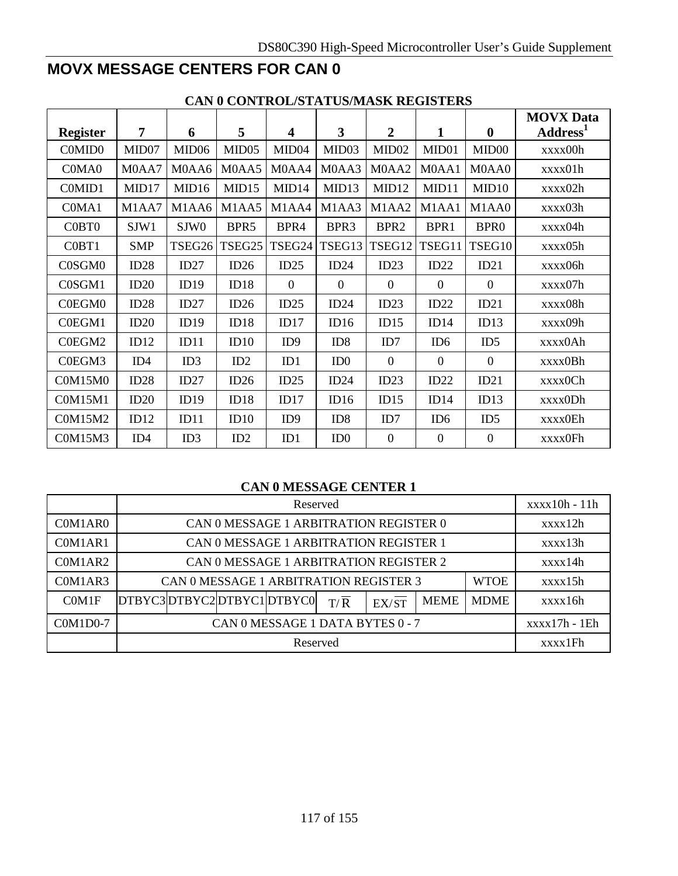# **MOVX MESSAGE CENTERS FOR CAN 0**

|                 | CAN V CONTROL/STATUS/MASIX REGISTERS |                   |        |                         |                   |                   |                  |                   |                      |  |  |  |
|-----------------|--------------------------------------|-------------------|--------|-------------------------|-------------------|-------------------|------------------|-------------------|----------------------|--|--|--|
|                 |                                      |                   |        |                         |                   |                   |                  |                   | <b>MOVX</b> Data     |  |  |  |
| <b>Register</b> | 7                                    | 6                 | 5      | $\overline{\mathbf{4}}$ | 3                 | $\overline{2}$    | $\mathbf{1}$     | $\mathbf{0}$      | Address <sup>1</sup> |  |  |  |
| C0MID0          | MID07                                | MID <sub>06</sub> | MID05  | MID <sub>04</sub>       | MID <sub>03</sub> | MID <sub>02</sub> | MID01            | MID <sub>00</sub> | xxxx00h              |  |  |  |
| C0MA0           | M0AA7                                | M0AA6             | M0AA5  | M0AA4                   | M0AA3             | M0AA2             | M0AA1            | M0AA0             | xxxx01h              |  |  |  |
| C0MID1          | MID17                                | MID16             | MID15  | MID14                   | MID13             | MID12             | MID11            | MID <sub>10</sub> | xxxx02h              |  |  |  |
| C0MA1           | M1AA7                                | M1AA6             | M1AA5  | M1AA4                   | M1AA3             | M1AA2             | M1AA1            | M1AA0             | xxxx03h              |  |  |  |
| C0BT0           | SJW1                                 | SJW <sub>0</sub>  | BPR5   | BPR4                    | BPR3              | BPR <sub>2</sub>  | BPR1             | BPR <sub>0</sub>  | xxxx04h              |  |  |  |
| C0BT1           | <b>SMP</b>                           | TSEG26            | TSEG25 | TSEG24                  | TSEG13            | TSEG12            | TSEG11           | TSEG10            | xxxx05h              |  |  |  |
| C0SGM0          | ID28                                 | ID27              | ID26   | ID25                    | ID24              | ID23              | ID22             | ID21              | xxxx06h              |  |  |  |
| C0SGM1          | ID20                                 | ID19              | ID18   | $\mathbf{0}$            | $\Omega$          | $\mathbf{0}$      | $\mathbf{0}$     | $\boldsymbol{0}$  | xxxx07h              |  |  |  |
| C0EGM0          | ID28                                 | ID27              | ID26   | ID25                    | ID24              | ID23              | ID22             | ID21              | xxxx08h              |  |  |  |
| C0EGM1          | ID20                                 | ID19              | ID18   | ID17                    | ID16              | ID15              | ID14             | ID13              | xxxx09h              |  |  |  |
| C0EGM2          | ID12                                 | ID11              | ID10   | ID9                     | ID8               | ID7               | ID <sub>6</sub>  | ID5               | xxxx0Ah              |  |  |  |
| C0EGM3          | ID4                                  | ID3               | ID2    | ID1                     | ID0               | $\overline{0}$    | $\theta$         | $\overline{0}$    | xxxx0Bh              |  |  |  |
| <b>C0M15M0</b>  | ID28                                 | ID27              | ID26   | ID25                    | ID24              | ID23              | ID22             | ID21              | xxxx0Ch              |  |  |  |
| <b>C0M15M1</b>  | ID20                                 | ID19              | ID18   | ID17                    | ID16              | ID15              | ID14             | ID13              | xxxx0Dh              |  |  |  |
| C0M15M2         | ID12                                 | ID11              | ID10   | ID <sub>9</sub>         | ID8               | ID7               | ID <sub>6</sub>  | ID5               | xxxx0Eh              |  |  |  |
| C0M15M3         | ID <sub>4</sub>                      | ID3               | ID2    | ID1                     | ID0               | $\boldsymbol{0}$  | $\boldsymbol{0}$ | $\boldsymbol{0}$  | xxxx0Fh              |  |  |  |

### **CAN 0 CONTROL/STATUS/MASK REGISTERS**

### **CAN 0 MESSAGE CENTER 1**

|          |                          |                                        |  | Reserved                               |                  |       |             |             | $xxxx10h - 11h$ |  |  |
|----------|--------------------------|----------------------------------------|--|----------------------------------------|------------------|-------|-------------|-------------|-----------------|--|--|
| C0M1AR0  |                          |                                        |  | CAN 0 MESSAGE 1 ARBITRATION REGISTER 0 |                  |       |             |             | xxxx12h         |  |  |
| C0M1AR1  |                          | CAN 0 MESSAGE 1 ARBITRATION REGISTER 1 |  |                                        |                  |       |             |             |                 |  |  |
| C0M1AR2  |                          | CAN 0 MESSAGE 1 ARBITRATION REGISTER 2 |  |                                        |                  |       |             |             |                 |  |  |
| C0M1AR3  |                          |                                        |  | CAN 0 MESSAGE 1 ARBITRATION REGISTER 3 |                  |       |             | <b>WTOE</b> | xxxx15h         |  |  |
| COM1F    | DTBYC3DTBYC2DTBYC1DTBYC0 |                                        |  |                                        | $T/\overline{R}$ | EX/ST | <b>MEME</b> | <b>MDME</b> | xxxx16h         |  |  |
| C0M1D0-7 |                          | CAN 0 MESSAGE 1 DATA BYTES 0 - 7       |  |                                        |                  |       |             |             |                 |  |  |
|          |                          |                                        |  | Reserved                               |                  |       |             |             | xxxx1Fh         |  |  |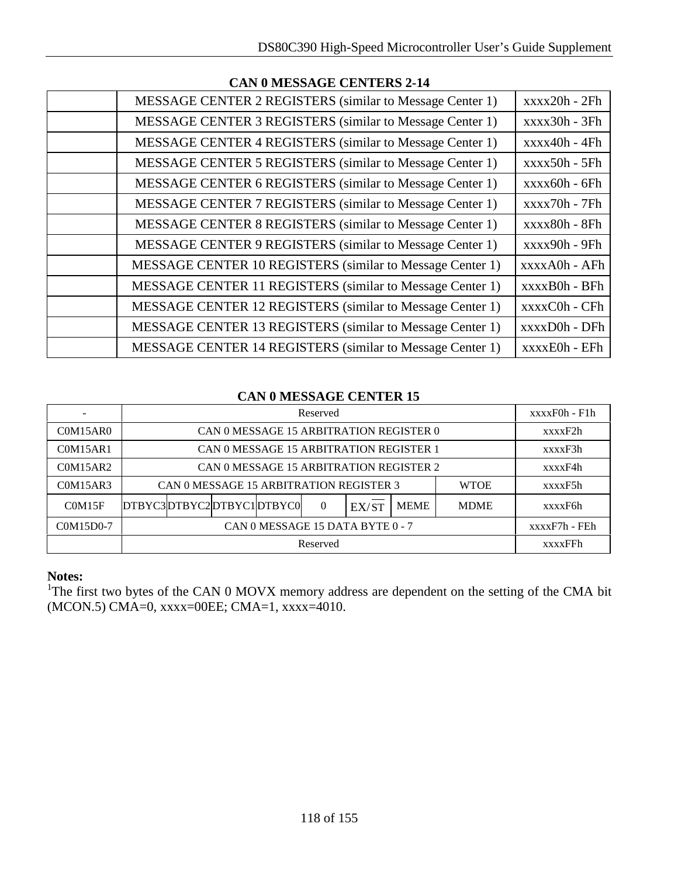| CAN V MIESSAVIE CENTEIS 2-14                                    |                 |
|-----------------------------------------------------------------|-----------------|
| MESSAGE CENTER 2 REGISTERS (similar to Message Center 1)        | $xxxx20h - 2Fh$ |
| MESSAGE CENTER 3 REGISTERS (similar to Message Center 1)        | $xxxx30h - 3Fh$ |
| MESSAGE CENTER 4 REGISTERS (similar to Message Center 1)        | $xxxx40h - 4Fh$ |
| MESSAGE CENTER 5 REGISTERS (similar to Message Center 1)        | $xxxx50h - 5Fh$ |
| <b>MESSAGE CENTER 6 REGISTERS</b> (similar to Message Center 1) | $xxxx60h - 6Fh$ |
| MESSAGE CENTER 7 REGISTERS (similar to Message Center 1)        | $xxxx70h - 7Fh$ |
| MESSAGE CENTER 8 REGISTERS (similar to Message Center 1)        | xxxx80h - 8Fh   |
| MESSAGE CENTER 9 REGISTERS (similar to Message Center 1)        | $xxxx90h - 9Fh$ |
| MESSAGE CENTER 10 REGISTERS (similar to Message Center 1)       | xxxxA0h - AFh   |
| MESSAGE CENTER 11 REGISTERS (similar to Message Center 1)       | xxxxB0h - BFh   |
| MESSAGE CENTER 12 REGISTERS (similar to Message Center 1)       | xxxxC0h - CFh   |
| MESSAGE CENTER 13 REGISTERS (similar to Message Center 1)       | xxxxD0h - DFh   |
| MESSAGE CENTER 14 REGISTERS (similar to Message Center 1)       | xxxxE0h - EFh   |

## **CAN 0 MESSAGE CENTERS 2-14**

### **CAN 0 MESSAGE CENTER 15**

|           |                          |                                         |  | Reserved |       |             |             | $xxxxF0h - F1h$ |  |  |
|-----------|--------------------------|-----------------------------------------|--|----------|-------|-------------|-------------|-----------------|--|--|
| C0M15AR0  |                          | CAN 0 MESSAGE 15 ARBITRATION REGISTER 0 |  |          |       |             |             | xxxxF2h         |  |  |
| C0M15AR1  |                          | CAN 0 MESSAGE 15 ARBITRATION REGISTER 1 |  |          |       |             |             |                 |  |  |
| COM15AR2  |                          | CAN 0 MESSAGE 15 ARBITRATION REGISTER 2 |  |          |       |             |             |                 |  |  |
| C0M15AR3  |                          | CAN 0 MESSAGE 15 ARBITRATION REGISTER 3 |  |          |       |             | <b>WTOE</b> | xxxxF5h         |  |  |
| COM15F    | DTBYC3DTBYC2DTBYC1DTBYC0 |                                         |  | $\Omega$ | EX/ST | <b>MEME</b> | <b>MDME</b> | xxxxF6h         |  |  |
| C0M15D0-7 |                          | CAN 0 MESSAGE 15 DATA BYTE 0 - 7        |  |          |       |             |             |                 |  |  |
|           |                          |                                         |  | Reserved |       |             |             | <b>xxxxFFh</b>  |  |  |

### **Notes:**

<sup>1</sup>The first two bytes of the CAN 0 MOVX memory address are dependent on the setting of the CMA bit (MCON.5) CMA=0, xxxx=00EE; CMA=1, xxxx=4010.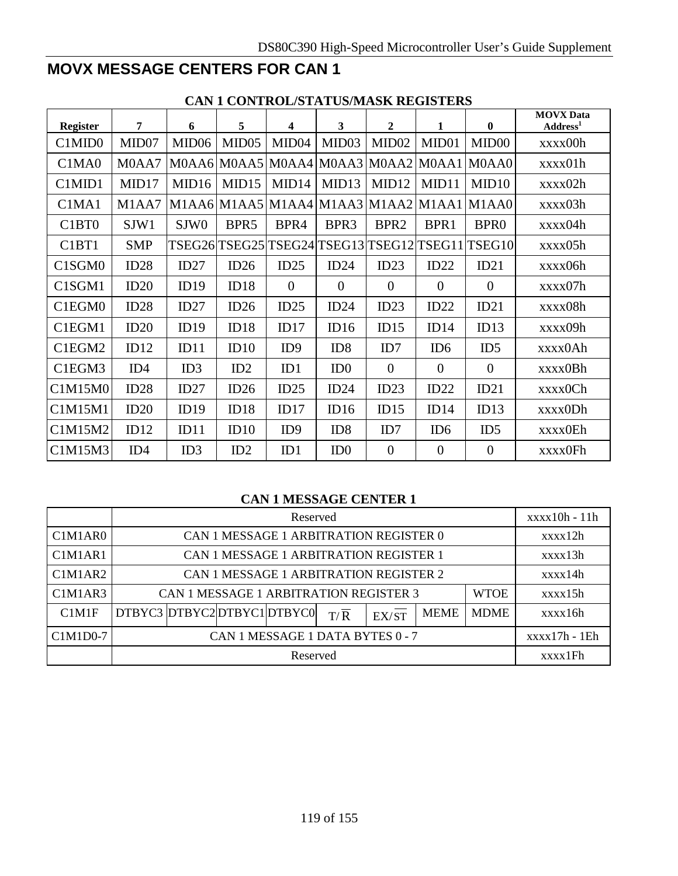# **MOVX MESSAGE CENTERS FOR CAN 1**

| <b>Register</b>                            | 7               | 6                 | 5                 | 4                 | 3                         | $\overline{2}$      | 1               | $\mathbf{0}$                                     | <b>MOVX Data</b><br>Address <sup>1</sup> |
|--------------------------------------------|-----------------|-------------------|-------------------|-------------------|---------------------------|---------------------|-----------------|--------------------------------------------------|------------------------------------------|
| C1MID0                                     | MID07           | MID <sub>06</sub> | MID <sub>05</sub> | MID <sub>04</sub> | MID <sub>03</sub>         | MID <sub>02</sub>   | MID01           | MID <sub>00</sub>                                | xxxx00h                                  |
| C <sub>1</sub> M <sub>A</sub> <sup>0</sup> | M0AA7           |                   |                   |                   | $M0AA6$ MOAA5 MOAA4 MOAA3 | M0AA2 M0AA1 M0AA0   |                 |                                                  | xxxx01h                                  |
| C1MID1                                     | MID17           | MID16             | MID15             | MID14             | MID13                     | MID12               | MID11           | MID10                                            | xxxx02h                                  |
| C1MA1                                      | M1AA7           |                   |                   |                   | $M1AA6$ M1AA5 M1AA4 M1AA3 | $MLAA2$ M1AA1 M1AA0 |                 |                                                  | xxxx03h                                  |
| C <sub>1</sub> B <sub>T0</sub>             | SJW1            | SJW <sub>0</sub>  | BPR <sub>5</sub>  | BPR4              | BPR3                      | BPR <sub>2</sub>    | BPR1            | BPR <sub>0</sub>                                 | xxxx04h                                  |
| C <sub>1</sub> B <sub>T</sub> 1            | <b>SMP</b>      |                   |                   |                   |                           |                     |                 | TSEG26 TSEG25 TSEG24 TSEG13 TSEG12 TSEG11 TSEG10 | xxxx05h                                  |
| C1SGM0                                     | ID28            | ID27              | ID26              | ID25              | ID24                      | ID23                | ID22            | ID21                                             | xxxx06h                                  |
| C1SGM1                                     | ID20            | ID19              | ID18              | $\overline{0}$    | $\overline{0}$            | $\overline{0}$      | $\theta$        | $\theta$                                         | xxxx07h                                  |
| C1EGM0                                     | ID28            | ID27              | ID26              | ID25              | ID24                      | ID23                | ID22            | ID21                                             | xxxx08h                                  |
| C1EGM1                                     | ID20            | ID19              | ID18              | ID17              | ID16                      | ID15                | ID14            | ID13                                             | xxxx09h                                  |
| C1EGM2                                     | ID12            | ID11              | ID10              | ID9               | ID <sub>8</sub>           | ID7                 | ID <sub>6</sub> | ID5                                              | xxxx0Ah                                  |
| C1EGM3                                     | ID <sub>4</sub> | ID3               | ID2               | ID1               | ID <sub>0</sub>           | $\overline{0}$      | $\overline{0}$  | $\theta$                                         | xxxx0Bh                                  |
| C1M15M0                                    | ID28            | ID27              | ID26              | ID25              | ID24                      | ID23                | ID22            | ID21                                             | xxxx0Ch                                  |
| C1M15M1                                    | ID20            | ID19              | ID18              | ID17              | ID16                      | ID15                | ID14            | ID13                                             | xxxx0Dh                                  |
| C1M15M2                                    | ID12            | ID11              | ID10              | ID <sub>9</sub>   | ID8                       | ID7                 | ID <sub>6</sub> | ID5                                              | xxxx0Eh                                  |
| C1M15M3                                    | ID4             | ID3               | ID2               | ID1               | ID <sub>0</sub>           | $\overline{0}$      | $\theta$        | $\overline{0}$                                   | xxxx0Fh                                  |

## **CAN 1 CONTROL/STATUS/MASK REGISTERS**

### **CAN 1 MESSAGE CENTER 1**

|                                               |                           |                                        |  | Reserved                               |                  |       |             |             | $xxxx10h - 11h$ |  |  |
|-----------------------------------------------|---------------------------|----------------------------------------|--|----------------------------------------|------------------|-------|-------------|-------------|-----------------|--|--|
| C <sub>1</sub> M <sub>1</sub> AR <sub>0</sub> |                           |                                        |  | CAN 1 MESSAGE 1 ARBITRATION REGISTER 0 |                  |       |             |             | xxxx12h         |  |  |
| C1M1AR1                                       |                           | CAN 1 MESSAGE 1 ARBITRATION REGISTER 1 |  |                                        |                  |       |             |             |                 |  |  |
| C1M1AR2                                       |                           | CAN 1 MESSAGE 1 ARBITRATION REGISTER 2 |  |                                        |                  |       |             |             |                 |  |  |
| C1M1AR3                                       |                           | CAN 1 MESSAGE 1 ARBITRATION REGISTER 3 |  |                                        |                  |       |             | <b>WTOE</b> | xxxx15h         |  |  |
| C1M1F                                         | DTBYC3 DTBYC2DTBYC1DTBYC0 |                                        |  |                                        | $T/\overline{R}$ | EX/ST | <b>MEME</b> | <b>MDME</b> | xxxx16h         |  |  |
| C1M1D0-7                                      |                           | CAN 1 MESSAGE 1 DATA BYTES 0 - 7       |  |                                        |                  |       |             |             |                 |  |  |
|                                               |                           |                                        |  | Reserved                               |                  |       |             |             | xxxx1Fh         |  |  |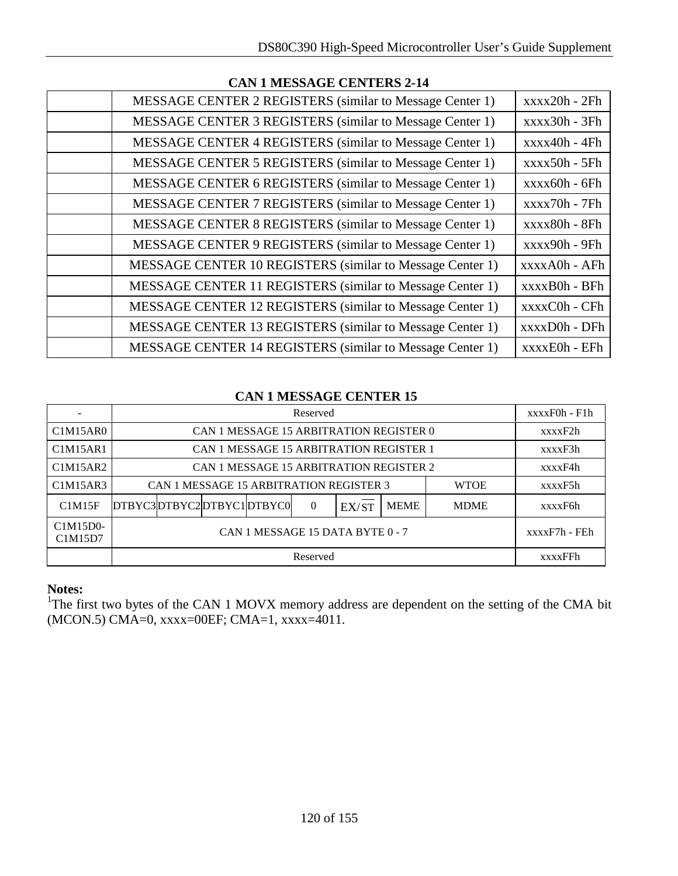| CAN I MESSAGE CENTERS 2-14                                      |                 |
|-----------------------------------------------------------------|-----------------|
| MESSAGE CENTER 2 REGISTERS (similar to Message Center 1)        | $xxxx20h - 2Fh$ |
| MESSAGE CENTER 3 REGISTERS (similar to Message Center 1)        | $xxxx30h - 3Fh$ |
| <b>MESSAGE CENTER 4 REGISTERS</b> (similar to Message Center 1) | $xxxx40h - 4Fh$ |
| MESSAGE CENTER 5 REGISTERS (similar to Message Center 1)        | $xxxx50h - 5Fh$ |
| MESSAGE CENTER 6 REGISTERS (similar to Message Center 1)        | $xxxx60h - 6Fh$ |
| MESSAGE CENTER 7 REGISTERS (similar to Message Center 1)        | $xxxx70h - 7Fh$ |
| MESSAGE CENTER 8 REGISTERS (similar to Message Center 1)        | xxxx80h - 8Fh   |
| MESSAGE CENTER 9 REGISTERS (similar to Message Center 1)        | $xxxx90h - 9Fh$ |
| MESSAGE CENTER 10 REGISTERS (similar to Message Center 1)       | xxxxA0h - AFh   |
| MESSAGE CENTER 11 REGISTERS (similar to Message Center 1)       | xxxxB0h - BFh   |
| MESSAGE CENTER 12 REGISTERS (similar to Message Center 1)       | xxxxC0h - CFh   |
| MESSAGE CENTER 13 REGISTERS (similar to Message Center 1)       | xxxxD0h - DFh   |
| MESSAGE CENTER 14 REGISTERS (similar to Message Center 1)       | xxxxE0h - EFh   |

## **CAN 1 MESSAGE CENTERS 2-14**

### **CAN 1 MESSAGE CENTER 15**

|                     |                          |                                                        |               |  | Reserved |                                         |             |             | $xxxxF0h - F1h$ |  |
|---------------------|--------------------------|--------------------------------------------------------|---------------|--|----------|-----------------------------------------|-------------|-------------|-----------------|--|
| C1M15AR0            |                          |                                                        |               |  |          | CAN 1 MESSAGE 15 ARBITRATION REGISTER 0 |             |             | xxxxF2h         |  |
| C1M15AR1            |                          | CAN 1 MESSAGE 15 ARBITRATION REGISTER 1                |               |  |          |                                         |             |             |                 |  |
| C1M15AR2            |                          | CAN 1 MESSAGE 15 ARBITRATION REGISTER 2                |               |  |          |                                         |             |             |                 |  |
| C1M15AR3            |                          | CAN 1 MESSAGE 15 ARBITRATION REGISTER 3<br><b>WTOE</b> |               |  |          |                                         |             |             |                 |  |
| C1M15F              | DTBYC3DTBYC2DTBYC1DTBYC0 |                                                        |               |  | $\theta$ | EX/ST                                   | <b>MEME</b> | <b>MDME</b> | xxxxF6h         |  |
| C1M15D0-<br>C1M15D7 |                          |                                                        | xxxxF7h - FEh |  |          |                                         |             |             |                 |  |
|                     |                          |                                                        |               |  | Reserved |                                         |             |             | <b>xxxxFFh</b>  |  |

### **Notes:**

<sup>1</sup>The first two bytes of the CAN 1 MOVX memory address are dependent on the setting of the CMA bit (MCON.5) CMA=0, xxxx=00EF; CMA=1, xxxx=4011.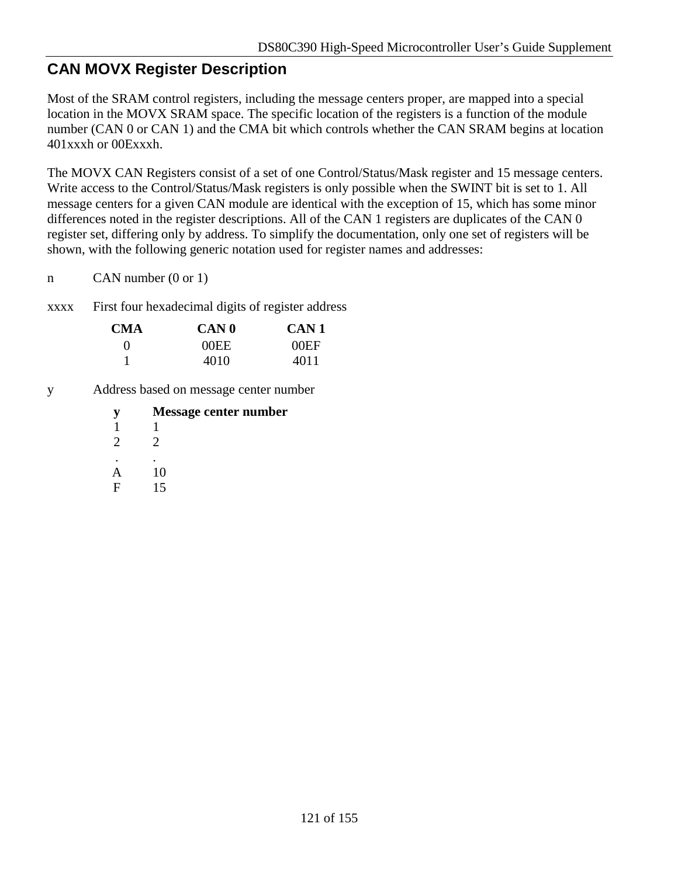# **CAN MOVX Register Description**

Most of the SRAM control registers, including the message centers proper, are mapped into a special location in the MOVX SRAM space. The specific location of the registers is a function of the module number (CAN 0 or CAN 1) and the CMA bit which controls whether the CAN SRAM begins at location 401xxxh or 00Exxxh.

The MOVX CAN Registers consist of a set of one Control/Status/Mask register and 15 message centers. Write access to the Control/Status/Mask registers is only possible when the SWINT bit is set to 1. All message centers for a given CAN module are identical with the exception of 15, which has some minor differences noted in the register descriptions. All of the CAN 1 registers are duplicates of the CAN 0 register set, differing only by address. To simplify the documentation, only one set of registers will be shown, with the following generic notation used for register names and addresses:

n CAN number (0 or 1)

xxxx First four hexadecimal digits of register address

| CMA          | <b>CAN</b> 0 | CAN 1 |
|--------------|--------------|-------|
| $\mathbf{0}$ | 00EE         | 00EF  |
|              | 4010         | 4011  |

y Address based on message center number

|                             | Message center number |
|-----------------------------|-----------------------|
|                             |                       |
| $\mathcal{D}_{\mathcal{A}}$ | 2                     |
|                             |                       |
|                             | 10                    |
| E                           | 15                    |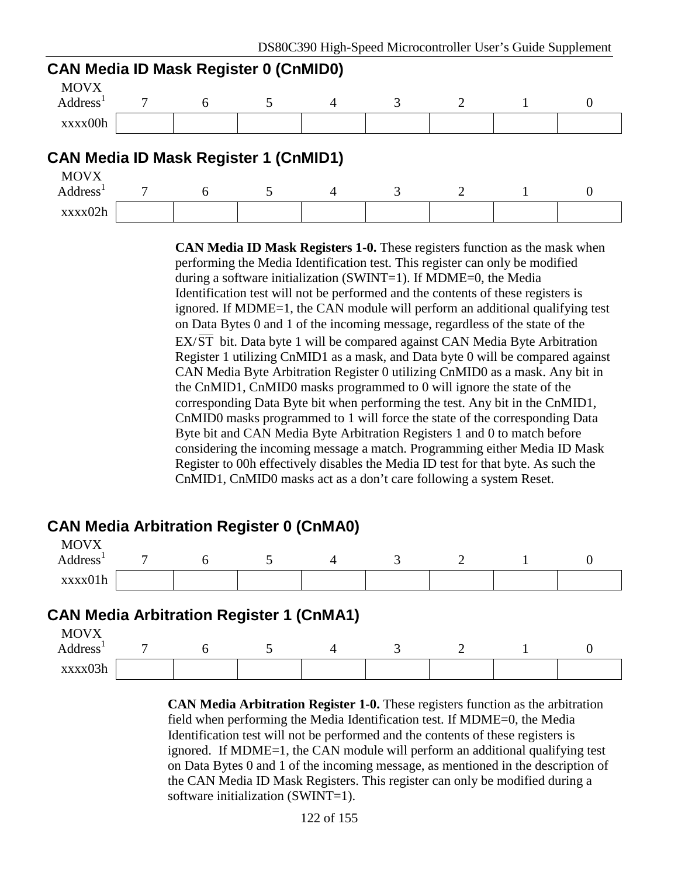| <b>CAN Media ID Mask Register 0 (CnMID0)</b> |   |   |                |  |          |
|----------------------------------------------|---|---|----------------|--|----------|
| <b>MOVX</b><br>Address <sup>1</sup>          | 7 | 6 | $\overline{A}$ |  | $\theta$ |
| xxxx00h                                      |   |   |                |  |          |
| <b>CAN Media ID Mask Register 1 (CnMID1)</b> |   |   |                |  |          |
| <b>MOVX</b><br>Address <sup>1</sup>          |   | 6 | $\overline{A}$ |  | $\theta$ |
| xxxx02h                                      |   |   |                |  |          |

**CAN Media ID Mask Registers 1-0.** These registers function as the mask when performing the Media Identification test. This register can only be modified during a software initialization (SWINT=1). If MDME=0, the Media Identification test will not be performed and the contents of these registers is ignored. If MDME=1, the CAN module will perform an additional qualifying test on Data Bytes 0 and 1 of the incoming message, regardless of the state of the EX/ST bit. Data byte 1 will be compared against CAN Media Byte Arbitration Register 1 utilizing CnMID1 as a mask, and Data byte 0 will be compared against CAN Media Byte Arbitration Register 0 utilizing CnMID0 as a mask. Any bit in the CnMID1, CnMID0 masks programmed to 0 will ignore the state of the corresponding Data Byte bit when performing the test. Any bit in the CnMID1, CnMID0 masks programmed to 1 will force the state of the corresponding Data Byte bit and CAN Media Byte Arbitration Registers 1 and 0 to match before considering the incoming message a match. Programming either Media ID Mask Register to 00h effectively disables the Media ID test for that byte. As such the CnMID1, CnMID0 masks act as a don't care following a system Reset.

# **CAN Media Arbitration Register 0 (CnMA0)**

| <b>MOVX</b>          |                |  |  |   |  |
|----------------------|----------------|--|--|---|--|
| Address <sup>1</sup> | $\overline{ }$ |  |  | - |  |
| xxxx01h              |                |  |  |   |  |

# **CAN Media Arbitration Register 1 (CnMA1)**

| <b>MOVX</b>          |                          |  |   |  |  |
|----------------------|--------------------------|--|---|--|--|
| Address <sup>1</sup> | $\overline{\phantom{0}}$ |  | 4 |  |  |
| xxxx03h              |                          |  |   |  |  |

**CAN Media Arbitration Register 1-0.** These registers function as the arbitration field when performing the Media Identification test. If MDME=0, the Media Identification test will not be performed and the contents of these registers is ignored. If MDME=1, the CAN module will perform an additional qualifying test on Data Bytes 0 and 1 of the incoming message, as mentioned in the description of the CAN Media ID Mask Registers. This register can only be modified during a software initialization (SWINT=1).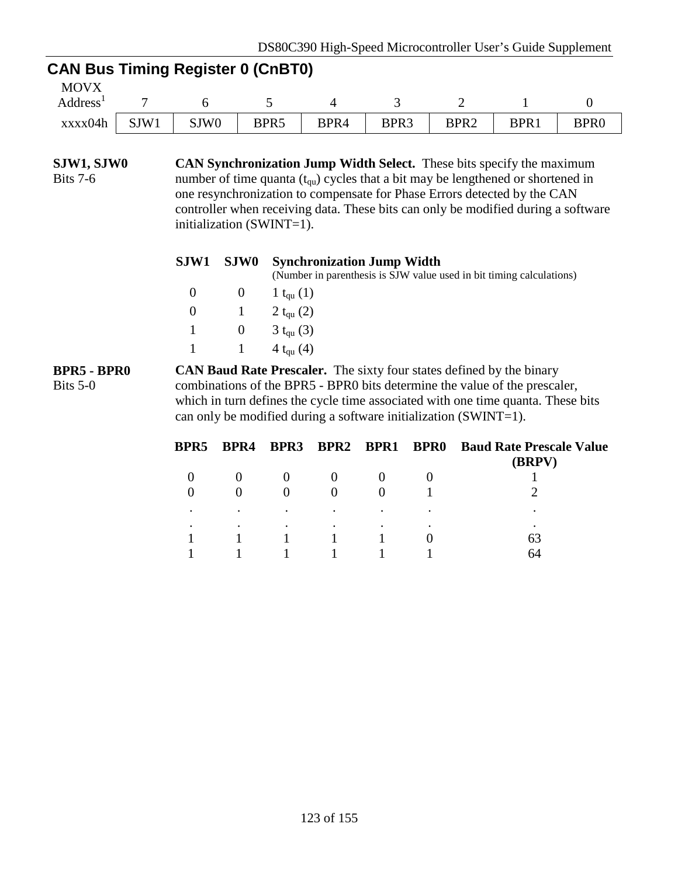# **CAN Bus Timing Register 0 (CnBT0)**

| <b>MOVX</b>    |      |                  |                  |      |      |                  |      |                  |
|----------------|------|------------------|------------------|------|------|------------------|------|------------------|
| <b>Address</b> |      |                  |                  |      |      | -                |      |                  |
| xxxx04h        | SJW1 | SJW <sub>0</sub> | BPR <sub>5</sub> | BPR4 | BPR3 | BPR <sub>2</sub> | BPR1 | BPR <sub>0</sub> |

**SJW1, SJW0** Bits 7-6 **CAN Synchronization Jump Width Select.** These bits specify the maximum number of time quanta  $(t<sub>qu</sub>)$  cycles that a bit may be lengthened or shortened in one resynchronization to compensate for Phase Errors detected by the CAN controller when receiving data. These bits can only be modified during a software initialization (SWINT=1).

|  | SJW1 SJW0 Synchronization Jump Width<br>(Number in parenthesis is SJW value used in bit timing calculations) |
|--|--------------------------------------------------------------------------------------------------------------|
|  | 0 0 1 t <sub>ou</sub> (1)                                                                                    |
|  | 0 1 2 t <sub>ou</sub> (2)                                                                                    |
|  | 1 0 3 t <sub>qu</sub> (3)                                                                                    |

**BPR5 - BPR0** Bits 5-0 **CAN Baud Rate Prescaler.** The sixty four states defined by the binary combinations of the BPR5 - BPR0 bits determine the value of the prescaler, which in turn defines the cycle time associated with one time quanta. These bits can only be modified during a software initialization (SWINT=1).

1  $1 \t 4 t_{\text{qu}}(4)$ 

| BPR5 | BPR4 | <b>BPR3</b> | BPR2 BPR1 BPR0 |           | <b>Baud Rate Prescale Value</b><br>(BRPV) |
|------|------|-------------|----------------|-----------|-------------------------------------------|
|      |      |             |                |           |                                           |
|      |      |             |                |           |                                           |
|      | ٠    | ٠           | $\bullet$      | $\bullet$ |                                           |
|      | ٠    | $\bullet$   | $\bullet$      | ٠         |                                           |
|      |      |             |                |           | 63                                        |
|      |      |             |                |           | 64                                        |
|      |      |             |                |           |                                           |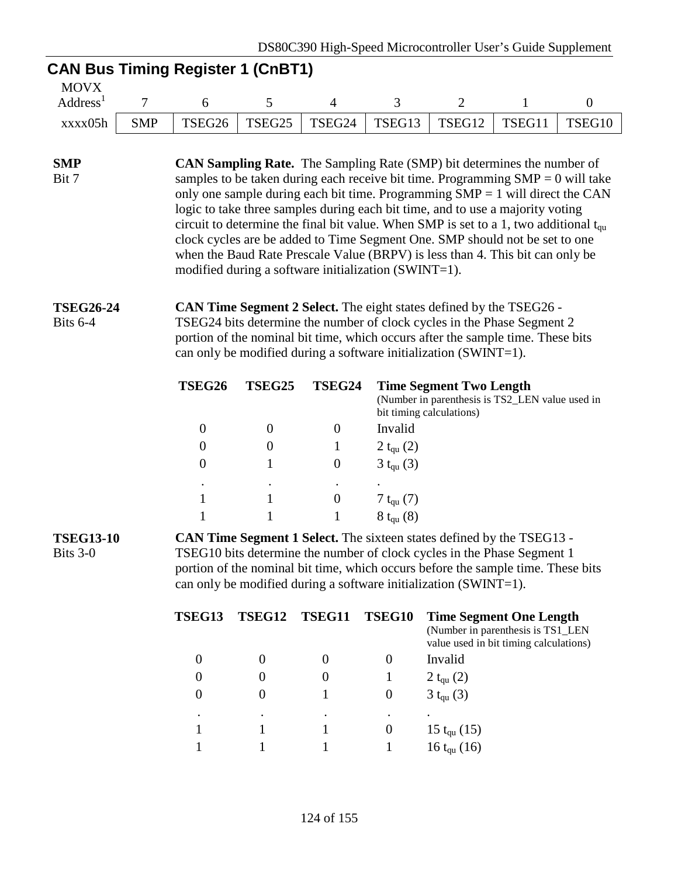# **CAN Bus Timing Register 1 (CnBT1)**

| MOVX           |            |        |  |                                                  |        |        |                    |
|----------------|------------|--------|--|--------------------------------------------------|--------|--------|--------------------|
| <b>Address</b> |            |        |  |                                                  |        |        |                    |
| xxxx05h        | <b>SMP</b> | TSEG26 |  | $\mid$ TSEG25 $\mid$ TSEG24 $\mid$ TSEG13 $\mid$ | TSEG12 | TSEG11 | TSEG <sub>10</sub> |

#### **SMP** Bit 7 **CAN Sampling Rate.** The Sampling Rate (SMP) bit determines the number of samples to be taken during each receive bit time. Programming  $SMP = 0$  will take only one sample during each bit time. Programming  $SMP = 1$  will direct the CAN logic to take three samples during each bit time, and to use a majority voting circuit to determine the final bit value. When SMP is set to a 1, two additional  $t_{\text{cm}}$ clock cycles are be added to Time Segment One. SMP should not be set to one when the Baud Rate Prescale Value (BRPV) is less than 4. This bit can only be modified during a software initialization (SWINT=1).

#### **TSEG26-24** Bits 6-4 **CAN Time Segment 2 Select.** The eight states defined by the TSEG26 - TSEG24 bits determine the number of clock cycles in the Phase Segment 2 portion of the nominal bit time, which occurs after the sample time. These bits can only be modified during a software initialization (SWINT=1).

| TSEG26    | TSEG25 | TSEG24    | <b>Time Segment Two Length</b><br>(Number in parenthesis is TS2_LEN value used in<br>bit timing calculations) |
|-----------|--------|-----------|---------------------------------------------------------------------------------------------------------------|
|           |        | 0         | Invalid                                                                                                       |
| $\theta$  |        |           | 2 $t_{qu}$ (2)                                                                                                |
| $\theta$  |        | $\theta$  | $3 t_{qu} (3)$                                                                                                |
| $\bullet$ | ٠      | $\bullet$ |                                                                                                               |
|           |        | 0         | 7 t <sub>qu</sub> (7)                                                                                         |
|           |        |           | $8 t_{qu} (8)$                                                                                                |

#### **TSEG13-10** Bits 3-0 **CAN Time Segment 1 Select.** The sixteen states defined by the TSEG13 - TSEG10 bits determine the number of clock cycles in the Phase Segment 1 portion of the nominal bit time, which occurs before the sample time. These bits can only be modified during a software initialization (SWINT=1).

| <b>TSEG13</b> | TSEG12 | TSEG11 | TSEG10 | <b>Time Segment One Length</b><br>(Number in parenthesis is TS1_LEN<br>value used in bit timing calculations) |
|---------------|--------|--------|--------|---------------------------------------------------------------------------------------------------------------|
|               |        |        |        | Invalid                                                                                                       |
|               |        |        |        | 2 $t_{qu}$ (2)                                                                                                |
|               |        |        | U      | $3 t_{qu} (3)$                                                                                                |
|               | ٠      |        |        | ٠                                                                                                             |
|               |        |        | U      | 15 $t_{qu}$ (15)                                                                                              |
|               |        |        |        | $16 t_{qu} (16)$                                                                                              |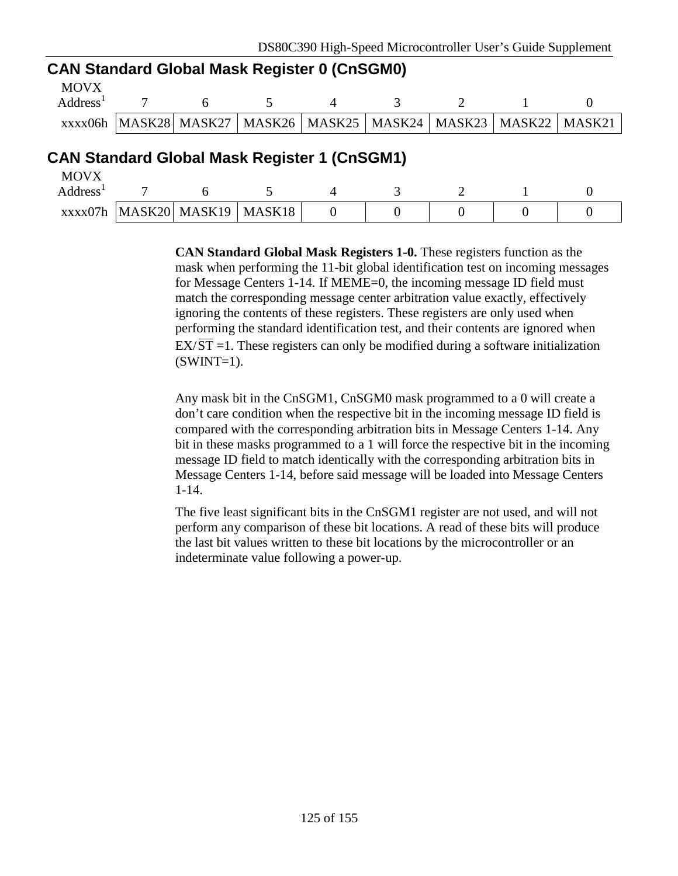## **CAN Standard Global Mask Register 0 (CnSGM0)**

| MOVX                 |  |  |  |                                                                               |
|----------------------|--|--|--|-------------------------------------------------------------------------------|
| Address <sup>1</sup> |  |  |  |                                                                               |
|                      |  |  |  | XXXX06h  MASK28  MASK27   MASK26   MASK25   MASK24   MASK23   MASK22   MASK21 |

# **CAN Standard Global Mask Register 1 (CnSGM1)**

| <b>MOVX</b>    |                                          |  |  |  |
|----------------|------------------------------------------|--|--|--|
| <b>Address</b> |                                          |  |  |  |
|                | $\chi$ xxx07h   MASK20   MASK19   MASK18 |  |  |  |

**CAN Standard Global Mask Registers 1-0.** These registers function as the mask when performing the 11-bit global identification test on incoming messages for Message Centers 1-14. If MEME=0, the incoming message ID field must match the corresponding message center arbitration value exactly, effectively ignoring the contents of these registers. These registers are only used when performing the standard identification test, and their contents are ignored when  $EX/\overline{ST}$  =1. These registers can only be modified during a software initialization  $(SWINT=1)$ .

Any mask bit in the CnSGM1, CnSGM0 mask programmed to a 0 will create a don't care condition when the respective bit in the incoming message ID field is compared with the corresponding arbitration bits in Message Centers 1-14. Any bit in these masks programmed to a 1 will force the respective bit in the incoming message ID field to match identically with the corresponding arbitration bits in Message Centers 1-14, before said message will be loaded into Message Centers 1-14.

The five least significant bits in the CnSGM1 register are not used, and will not perform any comparison of these bit locations. A read of these bits will produce the last bit values written to these bit locations by the microcontroller or an indeterminate value following a power-up.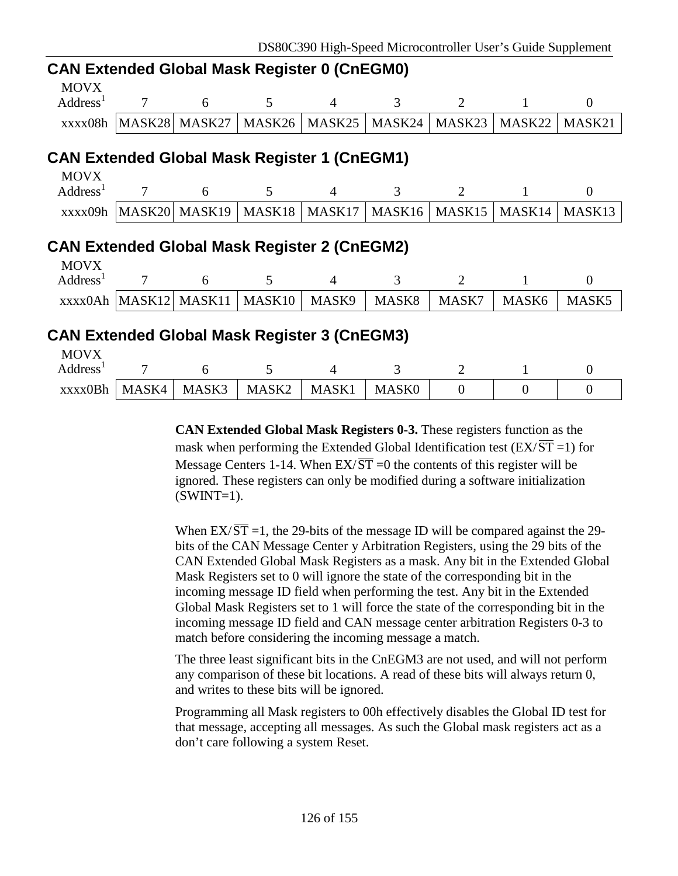|             | <b>CAN Extended Global Mask Register 0 (CnEGM0)</b> |                          |                                                                                 |  |                   |  |  |  |  |  |
|-------------|-----------------------------------------------------|--------------------------|---------------------------------------------------------------------------------|--|-------------------|--|--|--|--|--|
| <b>MOVX</b> |                                                     |                          |                                                                                 |  |                   |  |  |  |  |  |
|             |                                                     | $\text{Address}^1$ 7 6 5 |                                                                                 |  | $\frac{1}{4}$ 3 7 |  |  |  |  |  |
|             |                                                     |                          | xxxx08h   MASK28   MASK27   MASK26   MASK25   MASK24   MASK23   MASK22   MASK21 |  |                   |  |  |  |  |  |

# **CAN Extended Global Mask Register 1 (CnEGM1)**

| MOVX                 |  |  |                                                                               |  |  |
|----------------------|--|--|-------------------------------------------------------------------------------|--|--|
| Address <sup>1</sup> |  |  |                                                                               |  |  |
|                      |  |  | xxxx09h  MASK20  MASK19   MASK18   MASK17   MASK16   MASK15   MASK14   MASK13 |  |  |

# **CAN Extended Global Mask Register 2 (CnEGM2)**

| <b>MOVX</b>          |  |                                            |       |       |       |                   |
|----------------------|--|--------------------------------------------|-------|-------|-------|-------------------|
| Address <sup>1</sup> |  |                                            |       |       |       |                   |
|                      |  | xxxx0Ah   MASK12   MASK11   MASK10   MASK9 | MASK8 | MASK7 | MASK6 | MASK <sub>5</sub> |

# **CAN Extended Global Mask Register 3 (CnEGM3)**

| <b>MOVX</b> |       |       |                   |       |              |  |  |
|-------------|-------|-------|-------------------|-------|--------------|--|--|
| Address     |       |       |                   |       |              |  |  |
| xxxx0Bh     | MASK4 | MASK3 | MASK <sub>2</sub> | MASK1 | <b>MASK0</b> |  |  |

**CAN Extended Global Mask Registers 0-3.** These registers function as the mask when performing the Extended Global Identification test ( $EX/\overline{ST}$  =1) for Message Centers 1-14. When  $EX/\overline{ST} = 0$  the contents of this register will be ignored. These registers can only be modified during a software initialization  $(SWINT=1)$ .

When  $EX/\overline{ST}$  =1, the 29-bits of the message ID will be compared against the 29bits of the CAN Message Center y Arbitration Registers, using the 29 bits of the CAN Extended Global Mask Registers as a mask. Any bit in the Extended Global Mask Registers set to 0 will ignore the state of the corresponding bit in the incoming message ID field when performing the test. Any bit in the Extended Global Mask Registers set to 1 will force the state of the corresponding bit in the incoming message ID field and CAN message center arbitration Registers 0-3 to match before considering the incoming message a match.

The three least significant bits in the CnEGM3 are not used, and will not perform any comparison of these bit locations. A read of these bits will always return 0, and writes to these bits will be ignored.

Programming all Mask registers to 00h effectively disables the Global ID test for that message, accepting all messages. As such the Global mask registers act as a don't care following a system Reset.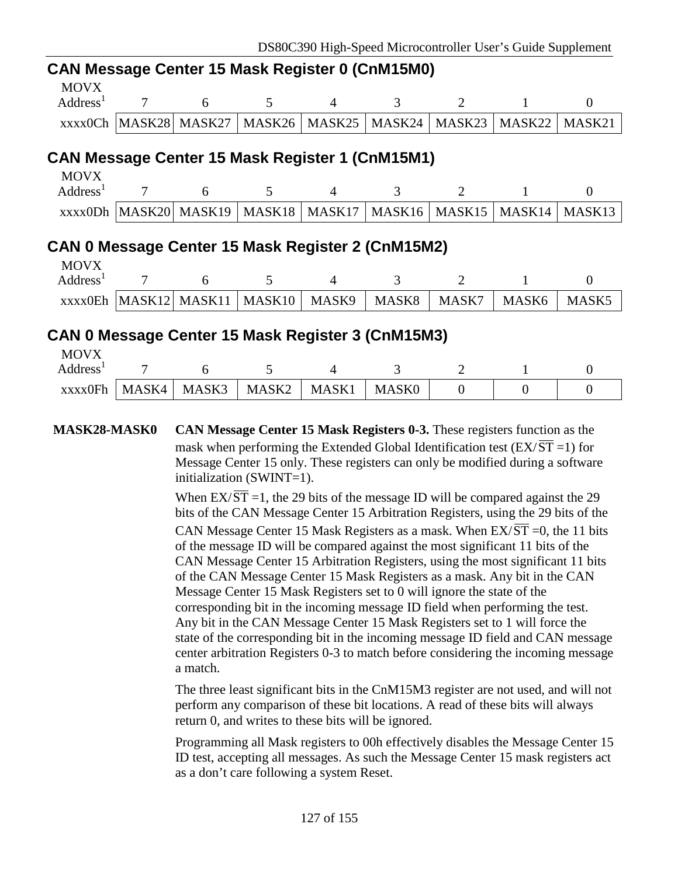### **CAN Message Center 15 Mask Register 0 (CnM15M0)**

| <b>MOVX</b><br>Address <sup>1</sup>             | 6 |                                                                                     | $\mathcal{R}$ |  |  |
|-------------------------------------------------|---|-------------------------------------------------------------------------------------|---------------|--|--|
|                                                 |   | $\chi$ xxx0Ch  MASK28  MASK27   MASK26   MASK25   MASK24   MASK23   MASK22   MASK21 |               |  |  |
| CAN Message Center 15 Mask Register 1 (CnM15M1) |   |                                                                                     |               |  |  |

| MOVX                 |  |  |                                                                                 |  |  |
|----------------------|--|--|---------------------------------------------------------------------------------|--|--|
| Address <sup>1</sup> |  |  |                                                                                 |  |  |
|                      |  |  | xxxx0Dh   MASK20   MASK19   MASK18   MASK17   MASK16   MASK15   MASK14   MASK13 |  |  |

# **CAN 0 Message Center 15 Mask Register 2 (CnM15M2)**

| <b>MOVX</b>    |  |                               |       |       |       |                   |
|----------------|--|-------------------------------|-------|-------|-------|-------------------|
| <b>Address</b> |  |                               |       |       |       |                   |
| xxxx0Eh        |  | MASK12  MASK11  MASK10  MASK9 | MASK8 | MASK7 | MASK6 | MASK <sub>5</sub> |

# **CAN 0 Message Center 15 Mask Register 3 (CnM15M3)**

| <b>MOVX</b>    |       |       |                   |       |              |  |  |
|----------------|-------|-------|-------------------|-------|--------------|--|--|
| <b>Address</b> |       |       |                   |       |              |  |  |
| xxxx0Fh        | MASK4 | MASK3 | MASK <sub>2</sub> | MASK1 | <b>MASKO</b> |  |  |

**MASK28-MASK0 CAN Message Center 15 Mask Registers 0-3.** These registers function as the mask when performing the Extended Global Identification test ( $EX/\overline{ST}$  =1) for Message Center 15 only. These registers can only be modified during a software initialization (SWINT=1).

> When  $EX/\overline{ST}$  =1, the 29 bits of the message ID will be compared against the 29 bits of the CAN Message Center 15 Arbitration Registers, using the 29 bits of the CAN Message Center 15 Mask Registers as a mask. When  $EX/ST = 0$ , the 11 bits of the message ID will be compared against the most significant 11 bits of the CAN Message Center 15 Arbitration Registers, using the most significant 11 bits of the CAN Message Center 15 Mask Registers as a mask. Any bit in the CAN Message Center 15 Mask Registers set to 0 will ignore the state of the corresponding bit in the incoming message ID field when performing the test. Any bit in the CAN Message Center 15 Mask Registers set to 1 will force the state of the corresponding bit in the incoming message ID field and CAN message center arbitration Registers 0-3 to match before considering the incoming message a match.

> The three least significant bits in the CnM15M3 register are not used, and will not perform any comparison of these bit locations. A read of these bits will always return 0, and writes to these bits will be ignored.

> Programming all Mask registers to 00h effectively disables the Message Center 15 ID test, accepting all messages. As such the Message Center 15 mask registers act as a don't care following a system Reset.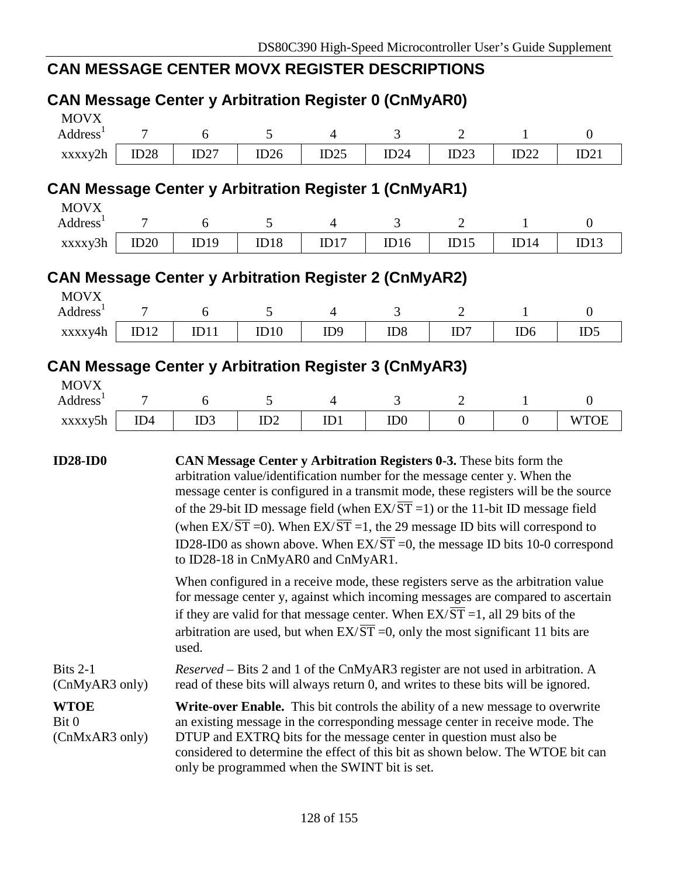# **CAN MESSAGE CENTER MOVX REGISTER DESCRIPTIONS**

| <b>CAN Message Center y Arbitration Register 0 (CnMyAR0)</b>                                        |                |      |      |                 |                                                                                                                                                                                                                                                                                                                                                                                                                                                                                                                                               |                |                 |                  |
|-----------------------------------------------------------------------------------------------------|----------------|------|------|-----------------|-----------------------------------------------------------------------------------------------------------------------------------------------------------------------------------------------------------------------------------------------------------------------------------------------------------------------------------------------------------------------------------------------------------------------------------------------------------------------------------------------------------------------------------------------|----------------|-----------------|------------------|
| <b>MOVX</b><br>Address <sup>1</sup>                                                                 | $\tau$         | 6    | 5    | $\overline{4}$  | 3                                                                                                                                                                                                                                                                                                                                                                                                                                                                                                                                             | $\overline{2}$ | $\mathbf{1}$    | $\overline{0}$   |
| xxxxy2h                                                                                             | ID28           | ID27 | ID26 | ID25            | ID24                                                                                                                                                                                                                                                                                                                                                                                                                                                                                                                                          | ID23           | ID22            | ID21             |
| <b>CAN Message Center y Arbitration Register 1 (CnMyAR1)</b>                                        |                |      |      |                 |                                                                                                                                                                                                                                                                                                                                                                                                                                                                                                                                               |                |                 |                  |
| <b>MOVX</b>                                                                                         |                |      |      |                 |                                                                                                                                                                                                                                                                                                                                                                                                                                                                                                                                               |                |                 |                  |
| Address <sup>1</sup>                                                                                | 7              | 6    | 5    | $\overline{4}$  | 3                                                                                                                                                                                                                                                                                                                                                                                                                                                                                                                                             | $\overline{2}$ | $\mathbf{1}$    | $\overline{0}$   |
| xxxxy3h                                                                                             | ID20           | ID19 | ID18 | ID17            | ID16                                                                                                                                                                                                                                                                                                                                                                                                                                                                                                                                          | ID15           | ID14            | ID13             |
|                                                                                                     |                |      |      |                 |                                                                                                                                                                                                                                                                                                                                                                                                                                                                                                                                               |                |                 |                  |
| <b>CAN Message Center y Arbitration Register 2 (CnMyAR2)</b>                                        |                |      |      |                 |                                                                                                                                                                                                                                                                                                                                                                                                                                                                                                                                               |                |                 |                  |
| <b>MOVX</b><br>Address <sup>1</sup>                                                                 | $\overline{7}$ | 6    | 5    | $\overline{4}$  | 3                                                                                                                                                                                                                                                                                                                                                                                                                                                                                                                                             | $\overline{2}$ | $\mathbf{1}$    | $\boldsymbol{0}$ |
| xxxxy4h                                                                                             | ID12           | ID11 | ID10 | ID <sub>9</sub> | ID <sub>8</sub>                                                                                                                                                                                                                                                                                                                                                                                                                                                                                                                               | ID7            | ID <sub>6</sub> | ID5              |
| <b>CAN Message Center y Arbitration Register 3 (CnMyAR3)</b><br><b>MOVX</b><br>Address <sup>1</sup> | 7              | 6    | 5    | $\overline{4}$  | 3                                                                                                                                                                                                                                                                                                                                                                                                                                                                                                                                             | $\overline{2}$ | 1               | $\overline{0}$   |
| xxxxy5h                                                                                             | ID4            | ID3  | ID2  | ID1             | ID <sub>0</sub>                                                                                                                                                                                                                                                                                                                                                                                                                                                                                                                               | $\overline{0}$ | $\overline{0}$  | <b>WTOE</b>      |
| <b>ID28-ID0</b>                                                                                     |                |      |      |                 | CAN Message Center y Arbitration Registers 0-3. These bits form the<br>arbitration value/identification number for the message center y. When the<br>message center is configured in a transmit mode, these registers will be the source<br>of the 29-bit ID message field (when $EX/\overline{ST} = 1$ ) or the 11-bit ID message field<br>(when $EX/\overline{ST}$ =0). When $EX/\overline{ST}$ =1, the 29 message ID bits will correspond to<br>ID28-ID0 as shown above. When $EX/\overline{ST} = 0$ , the message ID bits 10-0 correspond |                |                 |                  |

for message center y, against which incoming messages are compared to ascertain if they are valid for that message center. When  $EX/\overline{ST} = 1$ , all 29 bits of the arbitration are used, but when  $EX/\overline{ST} = 0$ , only the most significant 11 bits are used.

| Bits $2-1$                            | <i>Reserved</i> – Bits 2 and 1 of the CnMyAR3 register are not used in arbitration. A                                                                                                                                                                                                                                                                                     |
|---------------------------------------|---------------------------------------------------------------------------------------------------------------------------------------------------------------------------------------------------------------------------------------------------------------------------------------------------------------------------------------------------------------------------|
| (CMyAR3 only)                         | read of these bits will always return 0, and writes to these bits will be ignored.                                                                                                                                                                                                                                                                                        |
| <b>WTOE</b><br>Bit 0<br>(CMxAR3 only) | Write-over Enable. This bit controls the ability of a new message to overwrite<br>an existing message in the corresponding message center in receive mode. The<br>DTUP and EXTRQ bits for the message center in question must also be<br>considered to determine the effect of this bit as shown below. The WTOE bit can<br>only be programmed when the SWINT bit is set. |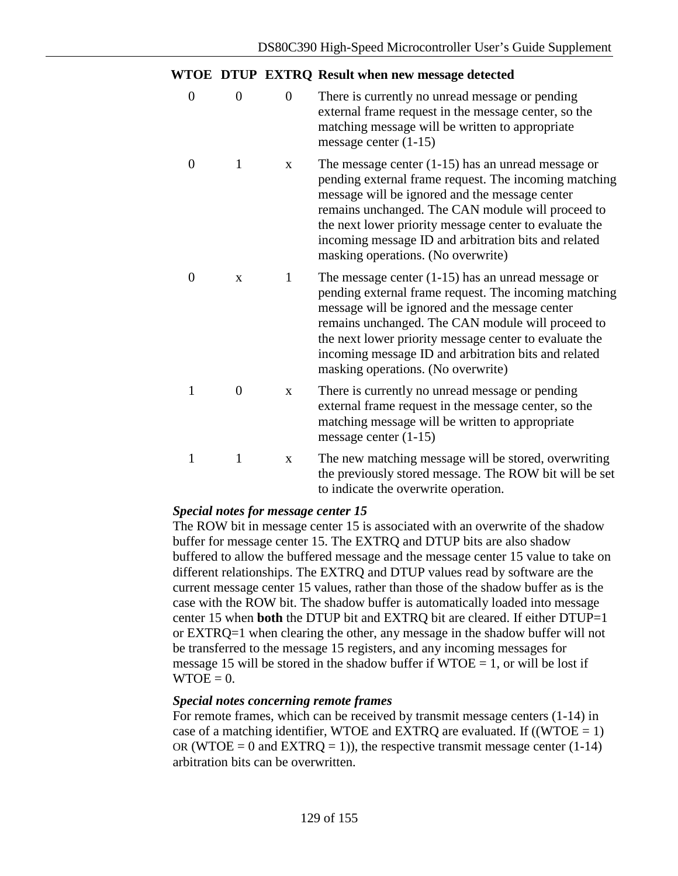#### **WTOE DTUP EXTRQ Result when new message detected**

0 0 0 0 There is currently no unread message or pending external frame request in the message center, so the matching message will be written to appropriate message center (1-15) 0 1 x The message center (1-15) has an unread message or pending external frame request. The incoming matching message will be ignored and the message center remains unchanged. The CAN module will proceed to the next lower priority message center to evaluate the incoming message ID and arbitration bits and related masking operations. (No overwrite) 0 x 1 The message center (1-15) has an unread message or pending external frame request. The incoming matching message will be ignored and the message center remains unchanged. The CAN module will proceed to the next lower priority message center to evaluate the incoming message ID and arbitration bits and related masking operations. (No overwrite) 1 0 x There is currently no unread message or pending external frame request in the message center, so the matching message will be written to appropriate message center (1-15) 1 1 x The new matching message will be stored, overwriting the previously stored message. The ROW bit will be set to indicate the overwrite operation.

### *Special notes for message center 15*

The ROW bit in message center 15 is associated with an overwrite of the shadow buffer for message center 15. The EXTRQ and DTUP bits are also shadow buffered to allow the buffered message and the message center 15 value to take on different relationships. The EXTRQ and DTUP values read by software are the current message center 15 values, rather than those of the shadow buffer as is the case with the ROW bit. The shadow buffer is automatically loaded into message center 15 when **both** the DTUP bit and EXTRQ bit are cleared. If either DTUP=1 or EXTRQ=1 when clearing the other, any message in the shadow buffer will not be transferred to the message 15 registers, and any incoming messages for message 15 will be stored in the shadow buffer if  $WTOE = 1$ , or will be lost if  $WTOE = 0.$ 

### *Special notes concerning remote frames*

For remote frames, which can be received by transmit message centers (1-14) in case of a matching identifier, WTOE and EXTRQ are evaluated. If  $((WTOE = 1)$ OR (WTOE = 0 and EXTRQ = 1)), the respective transmit message center  $(1-14)$ arbitration bits can be overwritten.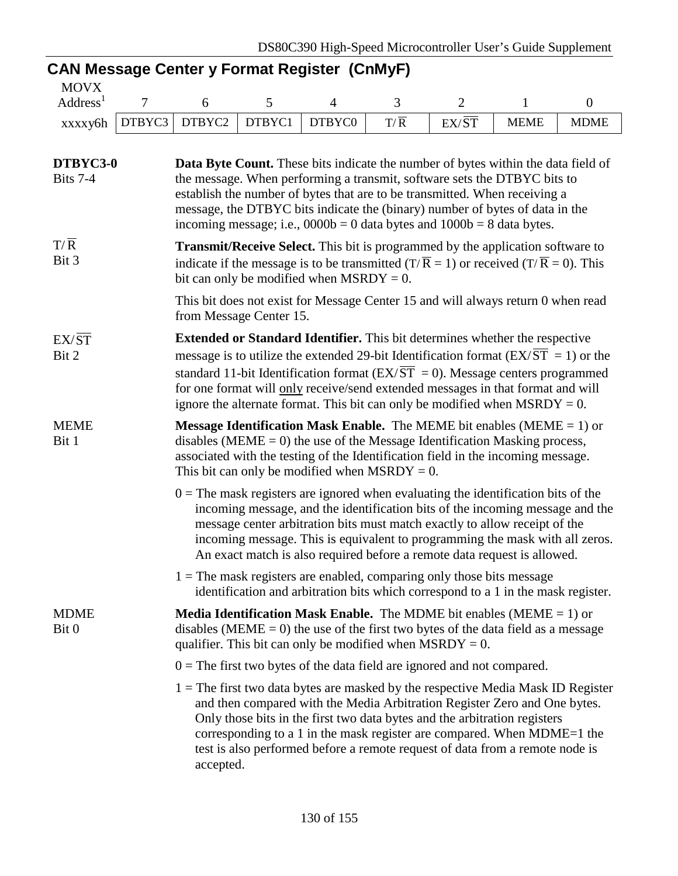# **CAN Message Center y Format Register (CnMyF)**

| <b>MOVX</b>    |                      |                    |     |       |             |             |
|----------------|----------------------|--------------------|-----|-------|-------------|-------------|
| <b>Address</b> |                      |                    |     |       |             |             |
| xxxxy6h        | DTBYC3 DTBYC2 DTBYC1 | DTBYC <sub>0</sub> | T/R | EX/ST | <b>MEME</b> | <b>MDME</b> |

| DTBYC3-0<br>Bits 7-4      | <b>Data Byte Count.</b> These bits indicate the number of bytes within the data field of<br>the message. When performing a transmit, software sets the DTBYC bits to<br>establish the number of bytes that are to be transmitted. When receiving a<br>message, the DTBYC bits indicate the (binary) number of bytes of data in the<br>incoming message; i.e., $0000b = 0$ data bytes and $1000b = 8$ data bytes.                                            |  |  |  |  |
|---------------------------|-------------------------------------------------------------------------------------------------------------------------------------------------------------------------------------------------------------------------------------------------------------------------------------------------------------------------------------------------------------------------------------------------------------------------------------------------------------|--|--|--|--|
| $T/\overline{R}$<br>Bit 3 | <b>Transmit/Receive Select.</b> This bit is programmed by the application software to<br>indicate if the message is to be transmitted $(T/\overline{R} = 1)$ or received $(T/\overline{R} = 0)$ . This<br>bit can only be modified when $MSRDY = 0$ .                                                                                                                                                                                                       |  |  |  |  |
|                           | This bit does not exist for Message Center 15 and will always return 0 when read<br>from Message Center 15.                                                                                                                                                                                                                                                                                                                                                 |  |  |  |  |
| EX/ST<br>Bit 2            | <b>Extended or Standard Identifier.</b> This bit determines whether the respective<br>message is to utilize the extended 29-bit Identification format ( $EX/\overline{ST} = 1$ ) or the<br>standard 11-bit Identification format ( $EX/\overline{ST} = 0$ ). Message centers programmed<br>for one format will only receive/send extended messages in that format and will<br>ignore the alternate format. This bit can only be modified when $MSRDY = 0$ . |  |  |  |  |
| <b>MEME</b><br>Bit 1      | <b>Message Identification Mask Enable.</b> The MEME bit enables (MEME = 1) or<br>disables (MEME = 0) the use of the Message Identification Masking process,<br>associated with the testing of the Identification field in the incoming message.<br>This bit can only be modified when $MSRDY = 0$ .                                                                                                                                                         |  |  |  |  |
|                           | $0 =$ The mask registers are ignored when evaluating the identification bits of the<br>incoming message, and the identification bits of the incoming message and the<br>message center arbitration bits must match exactly to allow receipt of the<br>incoming message. This is equivalent to programming the mask with all zeros.<br>An exact match is also required before a remote data request is allowed.                                              |  |  |  |  |
|                           | $1 =$ The mask registers are enabled, comparing only those bits message<br>identification and arbitration bits which correspond to a 1 in the mask register.                                                                                                                                                                                                                                                                                                |  |  |  |  |
| <b>MDME</b><br>Bit 0      | <b>Media Identification Mask Enable.</b> The MDME bit enables (MEME $= 1$ ) or<br>disables (MEME = 0) the use of the first two bytes of the data field as a message<br>qualifier. This bit can only be modified when $MSRDY = 0$ .                                                                                                                                                                                                                          |  |  |  |  |
|                           | $0 =$ The first two bytes of the data field are ignored and not compared.                                                                                                                                                                                                                                                                                                                                                                                   |  |  |  |  |
|                           | $1 =$ The first two data bytes are masked by the respective Media Mask ID Register<br>and then compared with the Media Arbitration Register Zero and One bytes.<br>Only those bits in the first two data bytes and the arbitration registers<br>corresponding to a 1 in the mask register are compared. When MDME=1 the<br>test is also performed before a remote request of data from a remote node is<br>accepted.                                        |  |  |  |  |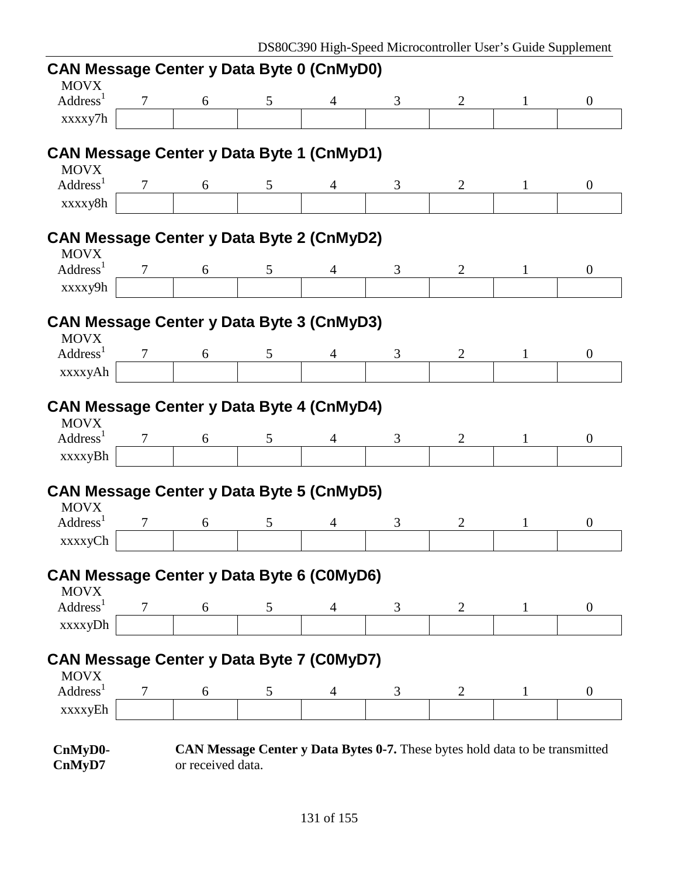| <b>CAN Message Center y Data Byte 0 (CnMyD0)</b><br><b>MOVX</b> |                |                   |   |                |                                                                              |                |              |                |
|-----------------------------------------------------------------|----------------|-------------------|---|----------------|------------------------------------------------------------------------------|----------------|--------------|----------------|
| Address <sup>1</sup>                                            | $\overline{7}$ | 6                 | 5 | $\overline{4}$ | 3                                                                            | 2              |              | $\overline{0}$ |
| xxxxy7h                                                         |                |                   |   |                |                                                                              |                |              |                |
| <b>CAN Message Center y Data Byte 1 (CnMyD1)</b><br><b>MOVX</b> |                |                   |   |                |                                                                              |                |              |                |
| Address <sup>1</sup>                                            | 7              | 6                 | 5 | 4              | 3                                                                            | 2              | 1            | $\mathbf{0}$   |
| xxxxy8h                                                         |                |                   |   |                |                                                                              |                |              |                |
| <b>CAN Message Center y Data Byte 2 (CnMyD2)</b><br><b>MOVX</b> |                |                   |   |                |                                                                              |                |              |                |
| Address <sup>1</sup>                                            |                | 6                 | 5 | 4              | 3                                                                            | $\overline{2}$ |              | $\mathbf{0}$   |
| xxxxy9h                                                         |                |                   |   |                |                                                                              |                |              |                |
| <b>CAN Message Center y Data Byte 3 (CnMyD3)</b><br><b>MOVX</b> |                |                   |   |                |                                                                              |                |              |                |
| Address <sup>1</sup>                                            | 7              | 6                 | 5 | $\overline{4}$ | 3                                                                            | 2              |              | $\theta$       |
| xxxxyAh                                                         |                |                   |   |                |                                                                              |                |              |                |
| <b>CAN Message Center y Data Byte 4 (CnMyD4)</b><br><b>MOVX</b> |                |                   |   |                |                                                                              |                |              |                |
| Address <sup>1</sup>                                            | 7              | 6                 | 5 |                | 3                                                                            | $\overline{2}$ |              | $\overline{0}$ |
| xxxxyBh                                                         |                |                   |   |                |                                                                              |                |              |                |
| <b>CAN Message Center y Data Byte 5 (CnMyD5)</b><br><b>MOVX</b> |                |                   |   |                |                                                                              |                |              |                |
| Address <sup>1</sup>                                            |                | 6                 | 5 | $\overline{4}$ | 3                                                                            | 2              |              | $\overline{0}$ |
| xxxxyCh                                                         |                |                   |   |                |                                                                              |                |              |                |
| <b>CAN Message Center y Data Byte 6 (C0MyD6)</b><br><b>MOVX</b> |                |                   |   |                |                                                                              |                |              |                |
| Address <sup>1</sup>                                            | 7              | 6                 | 5 | 4              | 3                                                                            | $\overline{2}$ | $\mathbf{1}$ | $\overline{0}$ |
| xxxxyDh                                                         |                |                   |   |                |                                                                              |                |              |                |
| <b>CAN Message Center y Data Byte 7 (C0MyD7)</b><br><b>MOVX</b> |                |                   |   |                |                                                                              |                |              |                |
| Address <sup>1</sup>                                            | 7              | 6                 | 5 | 4              | 3                                                                            | $\overline{2}$ |              | $\overline{0}$ |
| xxxxyEh                                                         |                |                   |   |                |                                                                              |                |              |                |
| CnMyD0-<br>CnMyD7                                               |                | or received data. |   |                | CAN Message Center y Data Bytes 0-7. These bytes hold data to be transmitted |                |              |                |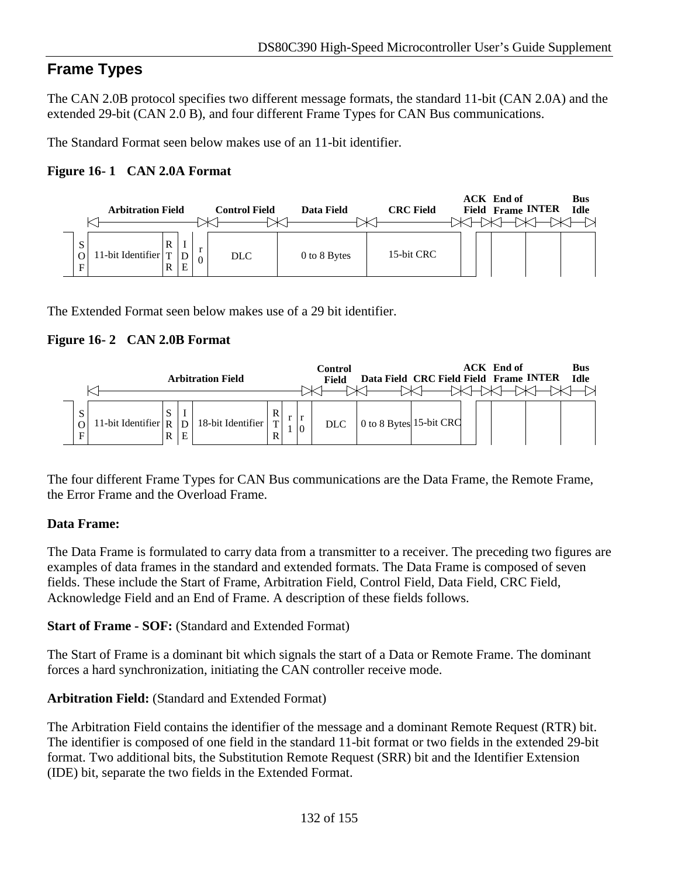# **Frame Types**

The CAN 2.0B protocol specifies two different message formats, the standard 11-bit (CAN 2.0A) and the extended 29-bit (CAN 2.0 B), and four different Frame Types for CAN Bus communications.

The Standard Format seen below makes use of an 11-bit identifier.

### **Figure 16- 1 CAN 2.0A Format**



The Extended Format seen below makes use of a 29 bit identifier.

### **Figure 16- 2 CAN 2.0B Format**



The four different Frame Types for CAN Bus communications are the Data Frame, the Remote Frame, the Error Frame and the Overload Frame.

### **Data Frame:**

The Data Frame is formulated to carry data from a transmitter to a receiver. The preceding two figures are examples of data frames in the standard and extended formats. The Data Frame is composed of seven fields. These include the Start of Frame, Arbitration Field, Control Field, Data Field, CRC Field, Acknowledge Field and an End of Frame. A description of these fields follows.

**Start of Frame - SOF:** (Standard and Extended Format)

The Start of Frame is a dominant bit which signals the start of a Data or Remote Frame. The dominant forces a hard synchronization, initiating the CAN controller receive mode.

### **Arbitration Field:** (Standard and Extended Format)

The Arbitration Field contains the identifier of the message and a dominant Remote Request (RTR) bit. The identifier is composed of one field in the standard 11-bit format or two fields in the extended 29-bit format. Two additional bits, the Substitution Remote Request (SRR) bit and the Identifier Extension (IDE) bit, separate the two fields in the Extended Format.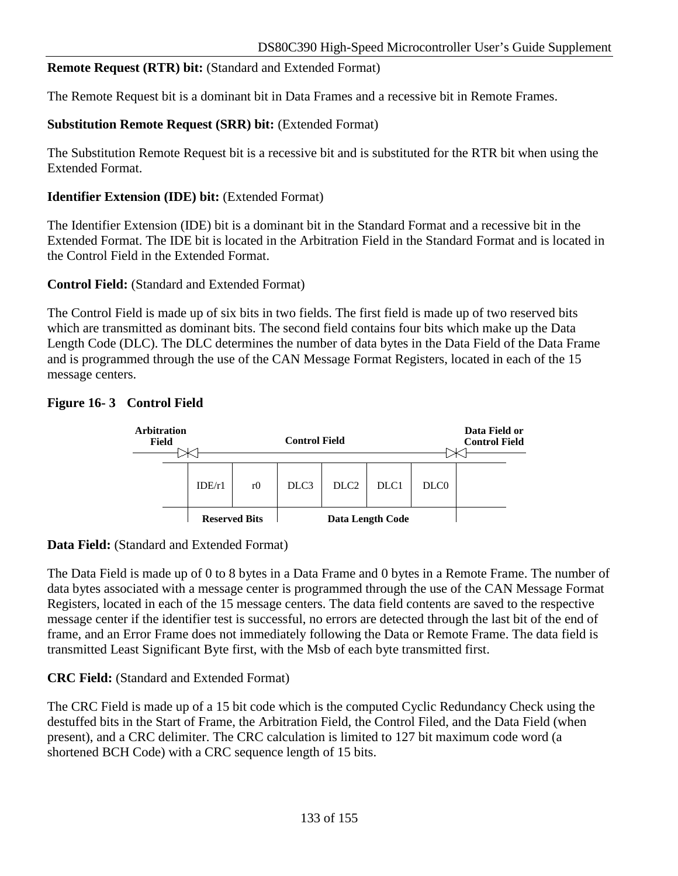### **Remote Request (RTR) bit:** (Standard and Extended Format)

The Remote Request bit is a dominant bit in Data Frames and a recessive bit in Remote Frames.

### **Substitution Remote Request (SRR) bit:** (Extended Format)

The Substitution Remote Request bit is a recessive bit and is substituted for the RTR bit when using the Extended Format.

#### **Identifier Extension (IDE) bit:** (Extended Format)

The Identifier Extension (IDE) bit is a dominant bit in the Standard Format and a recessive bit in the Extended Format. The IDE bit is located in the Arbitration Field in the Standard Format and is located in the Control Field in the Extended Format.

#### **Control Field:** (Standard and Extended Format)

The Control Field is made up of six bits in two fields. The first field is made up of two reserved bits which are transmitted as dominant bits. The second field contains four bits which make up the Data Length Code (DLC). The DLC determines the number of data bytes in the Data Field of the Data Frame and is programmed through the use of the CAN Message Format Registers, located in each of the 15 message centers.

### **Figure 16- 3 Control Field**



### **Data Field:** (Standard and Extended Format)

The Data Field is made up of 0 to 8 bytes in a Data Frame and 0 bytes in a Remote Frame. The number of data bytes associated with a message center is programmed through the use of the CAN Message Format Registers, located in each of the 15 message centers. The data field contents are saved to the respective message center if the identifier test is successful, no errors are detected through the last bit of the end of frame, and an Error Frame does not immediately following the Data or Remote Frame. The data field is transmitted Least Significant Byte first, with the Msb of each byte transmitted first.

### **CRC Field:** (Standard and Extended Format)

The CRC Field is made up of a 15 bit code which is the computed Cyclic Redundancy Check using the destuffed bits in the Start of Frame, the Arbitration Field, the Control Filed, and the Data Field (when present), and a CRC delimiter. The CRC calculation is limited to 127 bit maximum code word (a shortened BCH Code) with a CRC sequence length of 15 bits.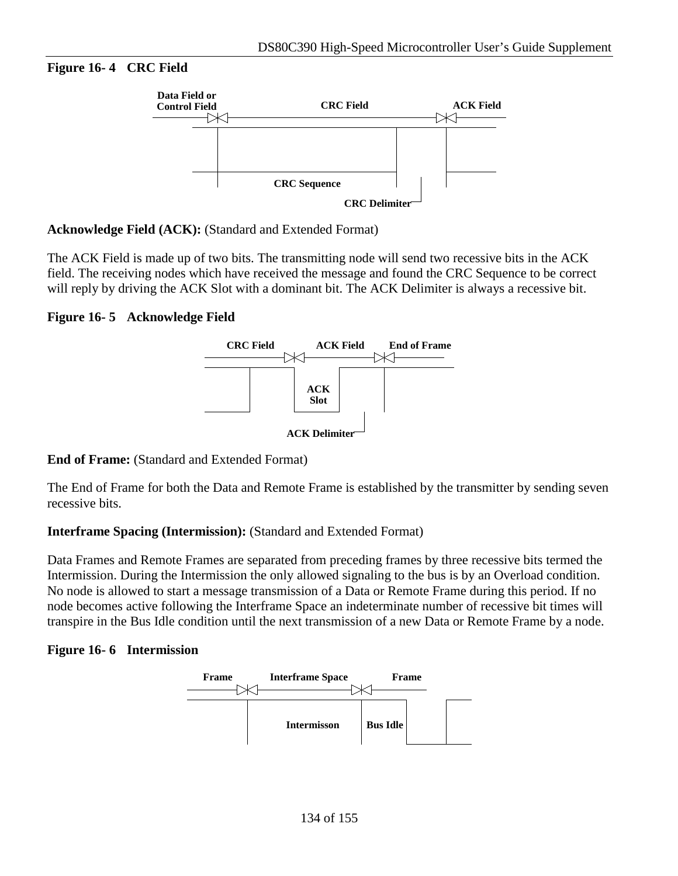#### **Figure 16- 4 CRC Field**



#### **Acknowledge Field (ACK):** (Standard and Extended Format)

The ACK Field is made up of two bits. The transmitting node will send two recessive bits in the ACK field. The receiving nodes which have received the message and found the CRC Sequence to be correct will reply by driving the ACK Slot with a dominant bit. The ACK Delimiter is always a recessive bit.

#### **Figure 16- 5 Acknowledge Field**



**End of Frame:** (Standard and Extended Format)

The End of Frame for both the Data and Remote Frame is established by the transmitter by sending seven recessive bits.

#### **Interframe Spacing (Intermission):** (Standard and Extended Format)

Data Frames and Remote Frames are separated from preceding frames by three recessive bits termed the Intermission. During the Intermission the only allowed signaling to the bus is by an Overload condition. No node is allowed to start a message transmission of a Data or Remote Frame during this period. If no node becomes active following the Interframe Space an indeterminate number of recessive bit times will transpire in the Bus Idle condition until the next transmission of a new Data or Remote Frame by a node.

#### **Figure 16- 6 Intermission**

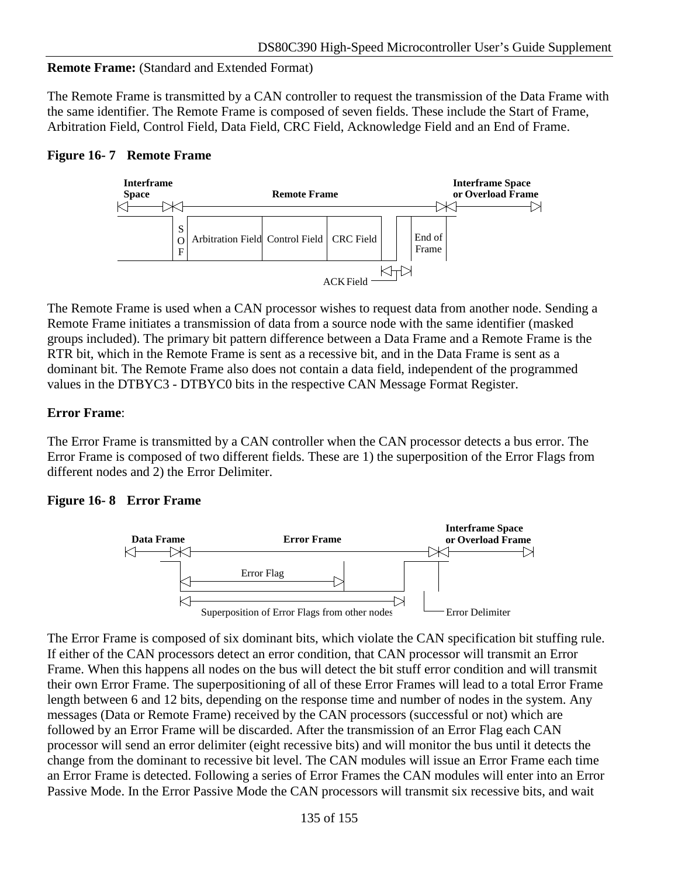### **Remote Frame:** (Standard and Extended Format)

The Remote Frame is transmitted by a CAN controller to request the transmission of the Data Frame with the same identifier. The Remote Frame is composed of seven fields. These include the Start of Frame, Arbitration Field, Control Field, Data Field, CRC Field, Acknowledge Field and an End of Frame.

### **Figure 16- 7 Remote Frame**



The Remote Frame is used when a CAN processor wishes to request data from another node. Sending a Remote Frame initiates a transmission of data from a source node with the same identifier (masked groups included). The primary bit pattern difference between a Data Frame and a Remote Frame is the RTR bit, which in the Remote Frame is sent as a recessive bit, and in the Data Frame is sent as a dominant bit. The Remote Frame also does not contain a data field, independent of the programmed values in the DTBYC3 - DTBYC0 bits in the respective CAN Message Format Register.

### **Error Frame**:

The Error Frame is transmitted by a CAN controller when the CAN processor detects a bus error. The Error Frame is composed of two different fields. These are 1) the superposition of the Error Flags from different nodes and 2) the Error Delimiter.

### **Figure 16- 8 Error Frame**



The Error Frame is composed of six dominant bits, which violate the CAN specification bit stuffing rule. If either of the CAN processors detect an error condition, that CAN processor will transmit an Error Frame. When this happens all nodes on the bus will detect the bit stuff error condition and will transmit their own Error Frame. The superpositioning of all of these Error Frames will lead to a total Error Frame length between 6 and 12 bits, depending on the response time and number of nodes in the system. Any messages (Data or Remote Frame) received by the CAN processors (successful or not) which are followed by an Error Frame will be discarded. After the transmission of an Error Flag each CAN processor will send an error delimiter (eight recessive bits) and will monitor the bus until it detects the change from the dominant to recessive bit level. The CAN modules will issue an Error Frame each time an Error Frame is detected. Following a series of Error Frames the CAN modules will enter into an Error Passive Mode. In the Error Passive Mode the CAN processors will transmit six recessive bits, and wait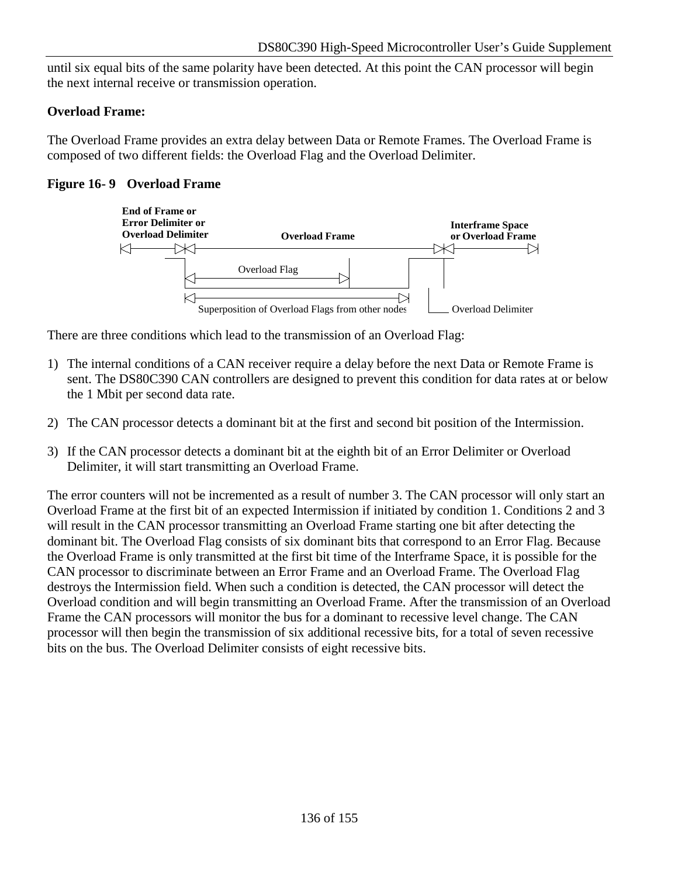until six equal bits of the same polarity have been detected. At this point the CAN processor will begin the next internal receive or transmission operation.

### **Overload Frame:**

The Overload Frame provides an extra delay between Data or Remote Frames. The Overload Frame is composed of two different fields: the Overload Flag and the Overload Delimiter.

### **Figure 16- 9 Overload Frame**



There are three conditions which lead to the transmission of an Overload Flag:

- 1) The internal conditions of a CAN receiver require a delay before the next Data or Remote Frame is sent. The DS80C390 CAN controllers are designed to prevent this condition for data rates at or below the 1 Mbit per second data rate.
- 2) The CAN processor detects a dominant bit at the first and second bit position of the Intermission.
- 3) If the CAN processor detects a dominant bit at the eighth bit of an Error Delimiter or Overload Delimiter, it will start transmitting an Overload Frame.

The error counters will not be incremented as a result of number 3. The CAN processor will only start an Overload Frame at the first bit of an expected Intermission if initiated by condition 1. Conditions 2 and 3 will result in the CAN processor transmitting an Overload Frame starting one bit after detecting the dominant bit. The Overload Flag consists of six dominant bits that correspond to an Error Flag. Because the Overload Frame is only transmitted at the first bit time of the Interframe Space, it is possible for the CAN processor to discriminate between an Error Frame and an Overload Frame. The Overload Flag destroys the Intermission field. When such a condition is detected, the CAN processor will detect the Overload condition and will begin transmitting an Overload Frame. After the transmission of an Overload Frame the CAN processors will monitor the bus for a dominant to recessive level change. The CAN processor will then begin the transmission of six additional recessive bits, for a total of seven recessive bits on the bus. The Overload Delimiter consists of eight recessive bits.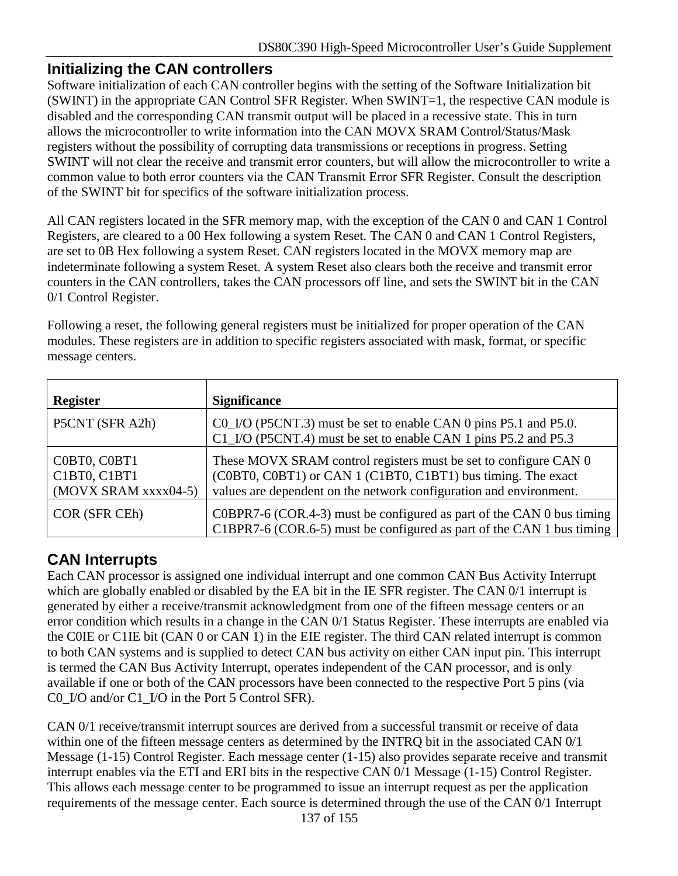# **Initializing the CAN controllers**

Software initialization of each CAN controller begins with the setting of the Software Initialization bit (SWINT) in the appropriate CAN Control SFR Register. When SWINT=1, the respective CAN module is disabled and the corresponding CAN transmit output will be placed in a recessive state. This in turn allows the microcontroller to write information into the CAN MOVX SRAM Control/Status/Mask registers without the possibility of corrupting data transmissions or receptions in progress. Setting SWINT will not clear the receive and transmit error counters, but will allow the microcontroller to write a common value to both error counters via the CAN Transmit Error SFR Register. Consult the description of the SWINT bit for specifics of the software initialization process.

All CAN registers located in the SFR memory map, with the exception of the CAN 0 and CAN 1 Control Registers, are cleared to a 00 Hex following a system Reset. The CAN 0 and CAN 1 Control Registers, are set to 0B Hex following a system Reset. CAN registers located in the MOVX memory map are indeterminate following a system Reset. A system Reset also clears both the receive and transmit error counters in the CAN controllers, takes the CAN processors off line, and sets the SWINT bit in the CAN 0/1 Control Register.

Following a reset, the following general registers must be initialized for proper operation of the CAN modules. These registers are in addition to specific registers associated with mask, format, or specific message centers.

| <b>Register</b>                                      | <b>Significance</b>                                                                                                                                                                                    |
|------------------------------------------------------|--------------------------------------------------------------------------------------------------------------------------------------------------------------------------------------------------------|
| P5CNT (SFR A2h)                                      | CO_I/O (P5CNT.3) must be set to enable CAN 0 pins P5.1 and P5.0.<br>C1_I/O (P5CNT.4) must be set to enable CAN 1 pins P5.2 and P5.3                                                                    |
| C0BT0, C0BT1<br>C1BT0, C1BT1<br>(MOVX SRAM xxxx04-5) | These MOVX SRAM control registers must be set to configure CAN 0<br>(C0BT0, C0BT1) or CAN 1 (C1BT0, C1BT1) bus timing. The exact<br>values are dependent on the network configuration and environment. |
| COR (SFR CEh)                                        | $COBPR7-6 (COR.4-3)$ must be configured as part of the CAN 0 bus timing<br>C1BPR7-6 (COR.6-5) must be configured as part of the CAN 1 bus timing                                                       |

# **CAN Interrupts**

Each CAN processor is assigned one individual interrupt and one common CAN Bus Activity Interrupt which are globally enabled or disabled by the EA bit in the IE SFR register. The CAN 0/1 interrupt is generated by either a receive/transmit acknowledgment from one of the fifteen message centers or an error condition which results in a change in the CAN 0/1 Status Register. These interrupts are enabled via the C0IE or C1IE bit (CAN 0 or CAN 1) in the EIE register. The third CAN related interrupt is common to both CAN systems and is supplied to detect CAN bus activity on either CAN input pin. This interrupt is termed the CAN Bus Activity Interrupt, operates independent of the CAN processor, and is only available if one or both of the CAN processors have been connected to the respective Port 5 pins (via C0\_I/O and/or C1\_I/O in the Port 5 Control SFR).

CAN 0/1 receive/transmit interrupt sources are derived from a successful transmit or receive of data within one of the fifteen message centers as determined by the INTRQ bit in the associated CAN 0/1 Message (1-15) Control Register. Each message center (1-15) also provides separate receive and transmit interrupt enables via the ETI and ERI bits in the respective CAN 0/1 Message (1-15) Control Register. This allows each message center to be programmed to issue an interrupt request as per the application requirements of the message center. Each source is determined through the use of the CAN 0/1 Interrupt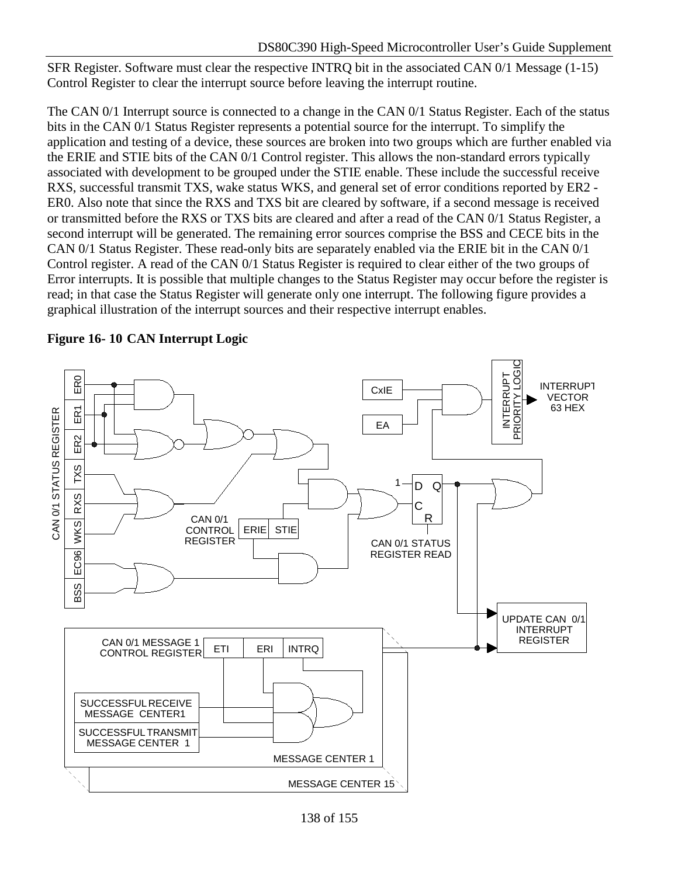SFR Register. Software must clear the respective INTRQ bit in the associated CAN 0/1 Message (1-15) Control Register to clear the interrupt source before leaving the interrupt routine.

The CAN 0/1 Interrupt source is connected to a change in the CAN 0/1 Status Register. Each of the status bits in the CAN 0/1 Status Register represents a potential source for the interrupt. To simplify the application and testing of a device, these sources are broken into two groups which are further enabled via the ERIE and STIE bits of the CAN 0/1 Control register. This allows the non-standard errors typically associated with development to be grouped under the STIE enable. These include the successful receive RXS, successful transmit TXS, wake status WKS, and general set of error conditions reported by ER2 - ER0. Also note that since the RXS and TXS bit are cleared by software, if a second message is received or transmitted before the RXS or TXS bits are cleared and after a read of the CAN 0/1 Status Register, a second interrupt will be generated. The remaining error sources comprise the BSS and CECE bits in the CAN 0/1 Status Register. These read-only bits are separately enabled via the ERIE bit in the CAN 0/1 Control register. A read of the CAN 0/1 Status Register is required to clear either of the two groups of Error interrupts. It is possible that multiple changes to the Status Register may occur before the register is read; in that case the Status Register will generate only one interrupt. The following figure provides a graphical illustration of the interrupt sources and their respective interrupt enables.



**Figure 16- 10 CAN Interrupt Logic**

<sup>138</sup> of 155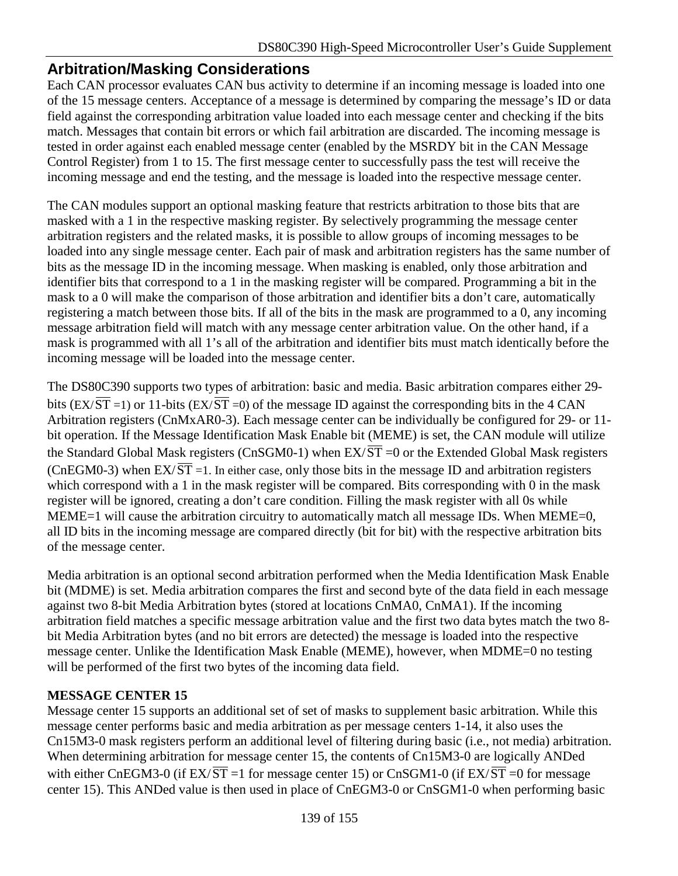## **Arbitration/Masking Considerations**

Each CAN processor evaluates CAN bus activity to determine if an incoming message is loaded into one of the 15 message centers. Acceptance of a message is determined by comparing the message's ID or data field against the corresponding arbitration value loaded into each message center and checking if the bits match. Messages that contain bit errors or which fail arbitration are discarded. The incoming message is tested in order against each enabled message center (enabled by the MSRDY bit in the CAN Message Control Register) from 1 to 15. The first message center to successfully pass the test will receive the incoming message and end the testing, and the message is loaded into the respective message center.

The CAN modules support an optional masking feature that restricts arbitration to those bits that are masked with a 1 in the respective masking register. By selectively programming the message center arbitration registers and the related masks, it is possible to allow groups of incoming messages to be loaded into any single message center. Each pair of mask and arbitration registers has the same number of bits as the message ID in the incoming message. When masking is enabled, only those arbitration and identifier bits that correspond to a 1 in the masking register will be compared. Programming a bit in the mask to a 0 will make the comparison of those arbitration and identifier bits a don't care, automatically registering a match between those bits. If all of the bits in the mask are programmed to a 0, any incoming message arbitration field will match with any message center arbitration value. On the other hand, if a mask is programmed with all 1's all of the arbitration and identifier bits must match identically before the incoming message will be loaded into the message center.

The DS80C390 supports two types of arbitration: basic and media. Basic arbitration compares either 29 bits (EX/ $\overline{ST}$  =1) or 11-bits (EX/ $\overline{ST}$  =0) of the message ID against the corresponding bits in the 4 CAN Arbitration registers (CnMxAR0-3). Each message center can be individually be configured for 29- or 11 bit operation. If the Message Identification Mask Enable bit (MEME) is set, the CAN module will utilize the Standard Global Mask registers (CnSGM0-1) when  $EX/\overline{ST} = 0$  or the Extended Global Mask registers (CnEGM0-3) when  $EX/\overline{ST}$  =1. In either case, only those bits in the message ID and arbitration registers which correspond with a 1 in the mask register will be compared. Bits corresponding with 0 in the mask register will be ignored, creating a don't care condition. Filling the mask register with all 0s while MEME=1 will cause the arbitration circuitry to automatically match all message IDs. When MEME=0, all ID bits in the incoming message are compared directly (bit for bit) with the respective arbitration bits of the message center.

Media arbitration is an optional second arbitration performed when the Media Identification Mask Enable bit (MDME) is set. Media arbitration compares the first and second byte of the data field in each message against two 8-bit Media Arbitration bytes (stored at locations CnMA0, CnMA1). If the incoming arbitration field matches a specific message arbitration value and the first two data bytes match the two 8 bit Media Arbitration bytes (and no bit errors are detected) the message is loaded into the respective message center. Unlike the Identification Mask Enable (MEME), however, when MDME=0 no testing will be performed of the first two bytes of the incoming data field.

### **MESSAGE CENTER 15**

Message center 15 supports an additional set of set of masks to supplement basic arbitration. While this message center performs basic and media arbitration as per message centers 1-14, it also uses the Cn15M3-0 mask registers perform an additional level of filtering during basic (i.e., not media) arbitration. When determining arbitration for message center 15, the contents of Cn15M3-0 are logically ANDed with either CnEGM3-0 (if  $EX/\overline{ST}$  =1 for message center 15) or CnSGM1-0 (if  $EX/\overline{ST}$  =0 for message center 15). This ANDed value is then used in place of CnEGM3-0 or CnSGM1-0 when performing basic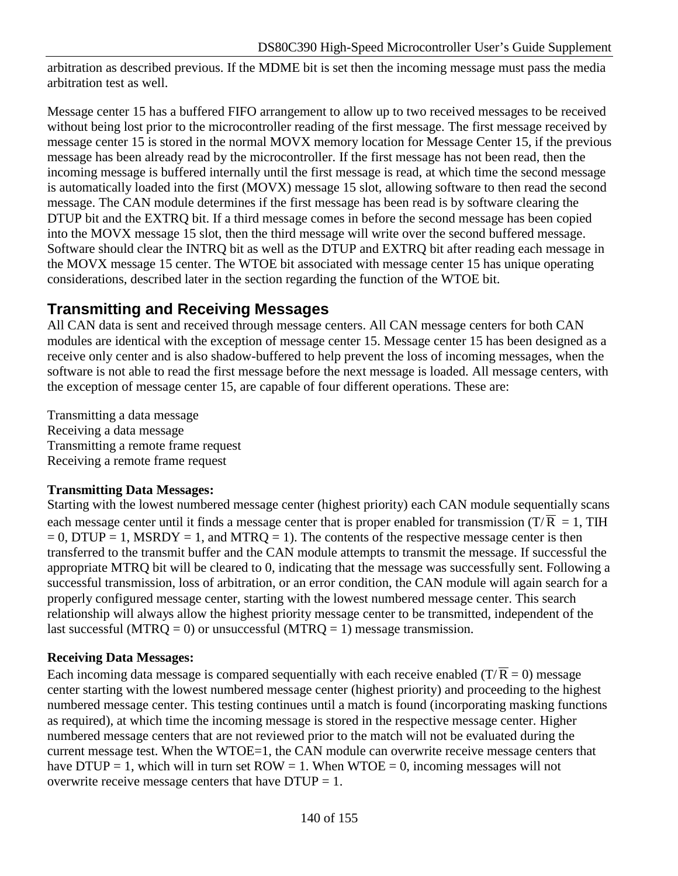arbitration as described previous. If the MDME bit is set then the incoming message must pass the media arbitration test as well.

Message center 15 has a buffered FIFO arrangement to allow up to two received messages to be received without being lost prior to the microcontroller reading of the first message. The first message received by message center 15 is stored in the normal MOVX memory location for Message Center 15, if the previous message has been already read by the microcontroller. If the first message has not been read, then the incoming message is buffered internally until the first message is read, at which time the second message is automatically loaded into the first (MOVX) message 15 slot, allowing software to then read the second message. The CAN module determines if the first message has been read is by software clearing the DTUP bit and the EXTRQ bit. If a third message comes in before the second message has been copied into the MOVX message 15 slot, then the third message will write over the second buffered message. Software should clear the INTRQ bit as well as the DTUP and EXTRQ bit after reading each message in the MOVX message 15 center. The WTOE bit associated with message center 15 has unique operating considerations, described later in the section regarding the function of the WTOE bit.

# **Transmitting and Receiving Messages**

All CAN data is sent and received through message centers. All CAN message centers for both CAN modules are identical with the exception of message center 15. Message center 15 has been designed as a receive only center and is also shadow-buffered to help prevent the loss of incoming messages, when the software is not able to read the first message before the next message is loaded. All message centers, with the exception of message center 15, are capable of four different operations. These are:

Transmitting a data message Receiving a data message Transmitting a remote frame request Receiving a remote frame request

### **Transmitting Data Messages:**

Starting with the lowest numbered message center (highest priority) each CAN module sequentially scans each message center until it finds a message center that is proper enabled for transmission (T/ $\overline{R} = 1$ , TIH  $= 0$ , DTUP = 1, MSRDY = 1, and MTRQ = 1). The contents of the respective message center is then transferred to the transmit buffer and the CAN module attempts to transmit the message. If successful the appropriate MTRQ bit will be cleared to 0, indicating that the message was successfully sent. Following a successful transmission, loss of arbitration, or an error condition, the CAN module will again search for a properly configured message center, starting with the lowest numbered message center. This search relationship will always allow the highest priority message center to be transmitted, independent of the last successful (MTRQ = 0) or unsuccessful (MTRQ = 1) message transmission.

### **Receiving Data Messages:**

Each incoming data message is compared sequentially with each receive enabled (T/ $\overline{R} = 0$ ) message center starting with the lowest numbered message center (highest priority) and proceeding to the highest numbered message center. This testing continues until a match is found (incorporating masking functions as required), at which time the incoming message is stored in the respective message center. Higher numbered message centers that are not reviewed prior to the match will not be evaluated during the current message test. When the WTOE=1, the CAN module can overwrite receive message centers that have DTUP = 1, which will in turn set  $ROW = 1$ . When  $WTOE = 0$ , incoming messages will not overwrite receive message centers that have  $DTUP = 1$ .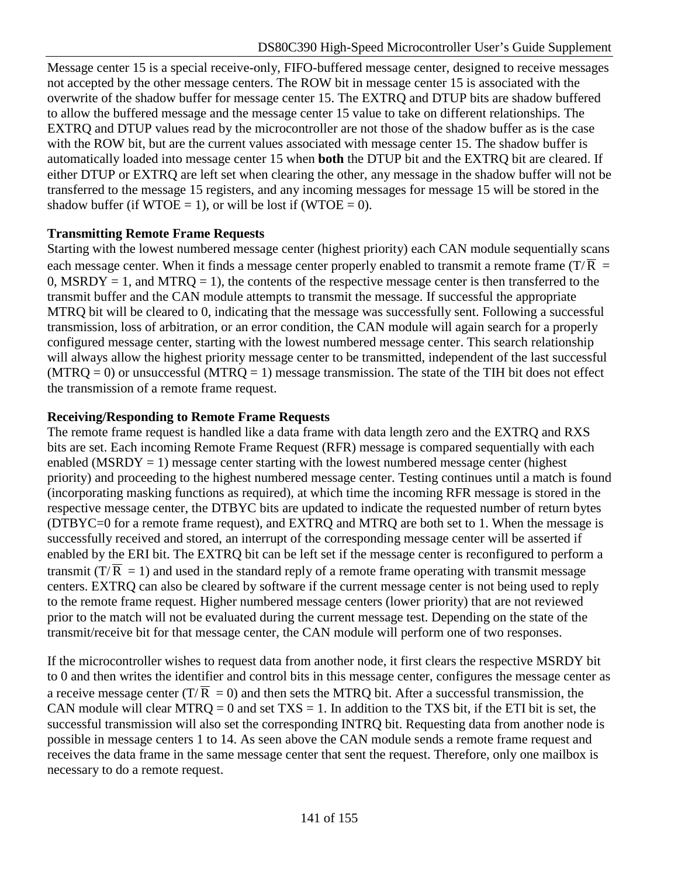Message center 15 is a special receive-only, FIFO-buffered message center, designed to receive messages not accepted by the other message centers. The ROW bit in message center 15 is associated with the overwrite of the shadow buffer for message center 15. The EXTRQ and DTUP bits are shadow buffered to allow the buffered message and the message center 15 value to take on different relationships. The EXTRQ and DTUP values read by the microcontroller are not those of the shadow buffer as is the case with the ROW bit, but are the current values associated with message center 15. The shadow buffer is automatically loaded into message center 15 when **both** the DTUP bit and the EXTRQ bit are cleared. If either DTUP or EXTRQ are left set when clearing the other, any message in the shadow buffer will not be transferred to the message 15 registers, and any incoming messages for message 15 will be stored in the shadow buffer (if  $WTOE = 1$ ), or will be lost if ( $WTOE = 0$ ).

### **Transmitting Remote Frame Requests**

Starting with the lowest numbered message center (highest priority) each CAN module sequentially scans each message center. When it finds a message center properly enabled to transmit a remote frame (T/ $\overline{R}$  = 0, MSRDY = 1, and MTRO = 1), the contents of the respective message center is then transferred to the transmit buffer and the CAN module attempts to transmit the message. If successful the appropriate MTRQ bit will be cleared to 0, indicating that the message was successfully sent. Following a successful transmission, loss of arbitration, or an error condition, the CAN module will again search for a properly configured message center, starting with the lowest numbered message center. This search relationship will always allow the highest priority message center to be transmitted, independent of the last successful  $(MTRQ = 0)$  or unsuccessful  $(MTRQ = 1)$  message transmission. The state of the TIH bit does not effect the transmission of a remote frame request.

#### **Receiving/Responding to Remote Frame Requests**

The remote frame request is handled like a data frame with data length zero and the EXTRQ and RXS bits are set. Each incoming Remote Frame Request (RFR) message is compared sequentially with each enabled (MSRDY = 1) message center starting with the lowest numbered message center (highest priority) and proceeding to the highest numbered message center. Testing continues until a match is found (incorporating masking functions as required), at which time the incoming RFR message is stored in the respective message center, the DTBYC bits are updated to indicate the requested number of return bytes (DTBYC=0 for a remote frame request), and EXTRQ and MTRQ are both set to 1. When the message is successfully received and stored, an interrupt of the corresponding message center will be asserted if enabled by the ERI bit. The EXTRQ bit can be left set if the message center is reconfigured to perform a transmit ( $T/\overline{R} = 1$ ) and used in the standard reply of a remote frame operating with transmit message centers. EXTRQ can also be cleared by software if the current message center is not being used to reply to the remote frame request. Higher numbered message centers (lower priority) that are not reviewed prior to the match will not be evaluated during the current message test. Depending on the state of the transmit/receive bit for that message center, the CAN module will perform one of two responses.

If the microcontroller wishes to request data from another node, it first clears the respective MSRDY bit to 0 and then writes the identifier and control bits in this message center, configures the message center as a receive message center (T/ $\overline{R} = 0$ ) and then sets the MTRQ bit. After a successful transmission, the CAN module will clear MTRQ = 0 and set  $TXS = 1$ . In addition to the TXS bit, if the ETI bit is set, the successful transmission will also set the corresponding INTRQ bit. Requesting data from another node is possible in message centers 1 to 14. As seen above the CAN module sends a remote frame request and receives the data frame in the same message center that sent the request. Therefore, only one mailbox is necessary to do a remote request.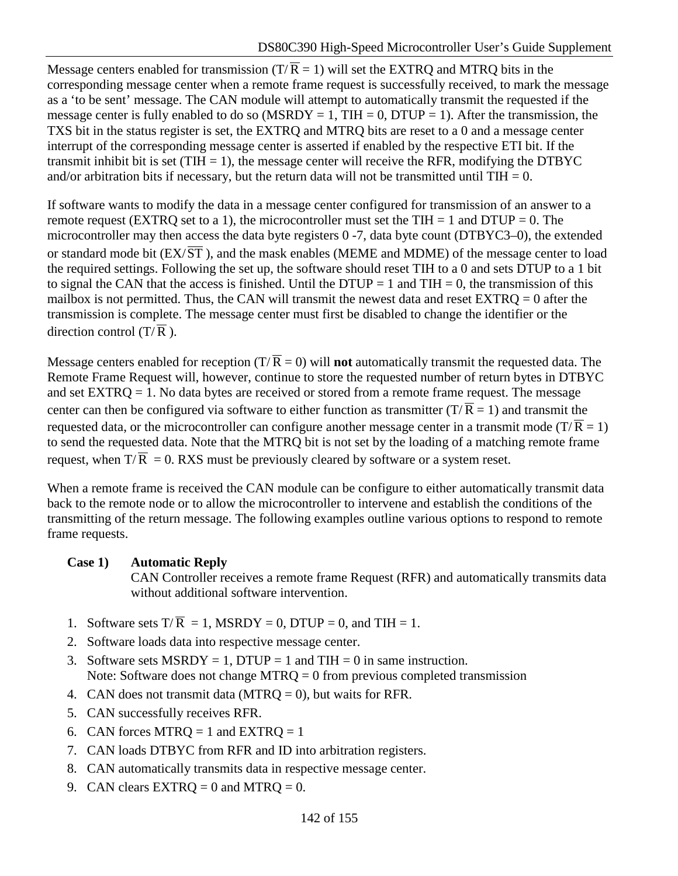Message centers enabled for transmission (T/ $\overline{R} = 1$ ) will set the EXTRQ and MTRQ bits in the corresponding message center when a remote frame request is successfully received, to mark the message as a 'to be sent' message. The CAN module will attempt to automatically transmit the requested if the message center is fully enabled to do so (MSRDY = 1, TIH = 0, DTUP = 1). After the transmission, the TXS bit in the status register is set, the EXTRQ and MTRQ bits are reset to a 0 and a message center interrupt of the corresponding message center is asserted if enabled by the respective ETI bit. If the transmit inhibit bit is set (TIH  $= 1$ ), the message center will receive the RFR, modifying the DTBYC and/or arbitration bits if necessary, but the return data will not be transmitted until  $THI = 0$ .

If software wants to modify the data in a message center configured for transmission of an answer to a remote request (EXTRQ set to a 1), the microcontroller must set the TIH = 1 and DTUP = 0. The microcontroller may then access the data byte registers 0 -7, data byte count (DTBYC3–0), the extended or standard mode bit  $(EX/\overline{ST}$ ), and the mask enables (MEME and MDME) of the message center to load the required settings. Following the set up, the software should reset TIH to a 0 and sets DTUP to a 1 bit to signal the CAN that the access is finished. Until the DTUP = 1 and TIH = 0, the transmission of this mailbox is not permitted. Thus, the CAN will transmit the newest data and reset  $\text{EXT}PQ = 0$  after the transmission is complete. The message center must first be disabled to change the identifier or the direction control  $(T/\overline{R})$ .

Message centers enabled for reception  $(T/\overline{R} = 0)$  will **not** automatically transmit the requested data. The Remote Frame Request will, however, continue to store the requested number of return bytes in DTBYC and set EXTRQ = 1. No data bytes are received or stored from a remote frame request. The message center can then be configured via software to either function as transmitter  $(T/\overline{R} = 1)$  and transmit the requested data, or the microcontroller can configure another message center in a transmit mode (T/ $\overline{R} = 1$ ) to send the requested data. Note that the MTRQ bit is not set by the loading of a matching remote frame request, when  $T/\overline{R} = 0$ . RXS must be previously cleared by software or a system reset.

When a remote frame is received the CAN module can be configure to either automatically transmit data back to the remote node or to allow the microcontroller to intervene and establish the conditions of the transmitting of the return message. The following examples outline various options to respond to remote frame requests.

### **Case 1) Automatic Reply**

CAN Controller receives a remote frame Request (RFR) and automatically transmits data without additional software intervention.

- 1. Software sets  $T/\overline{R} = 1$ , MSRDY = 0, DTUP = 0, and TIH = 1.
- 2. Software loads data into respective message center.
- 3. Software sets MSRDY = 1, DTUP = 1 and TIH = 0 in same instruction. Note: Software does not change MTRQ  $= 0$  from previous completed transmission
- 4. CAN does not transmit data (MTRO  $= 0$ ), but waits for RFR.
- 5. CAN successfully receives RFR.
- 6. CAN forces MTRQ = 1 and EXTRQ = 1
- 7. CAN loads DTBYC from RFR and ID into arbitration registers.
- 8. CAN automatically transmits data in respective message center.
- 9. CAN clears  $EXTRO = 0$  and  $MTRO = 0$ .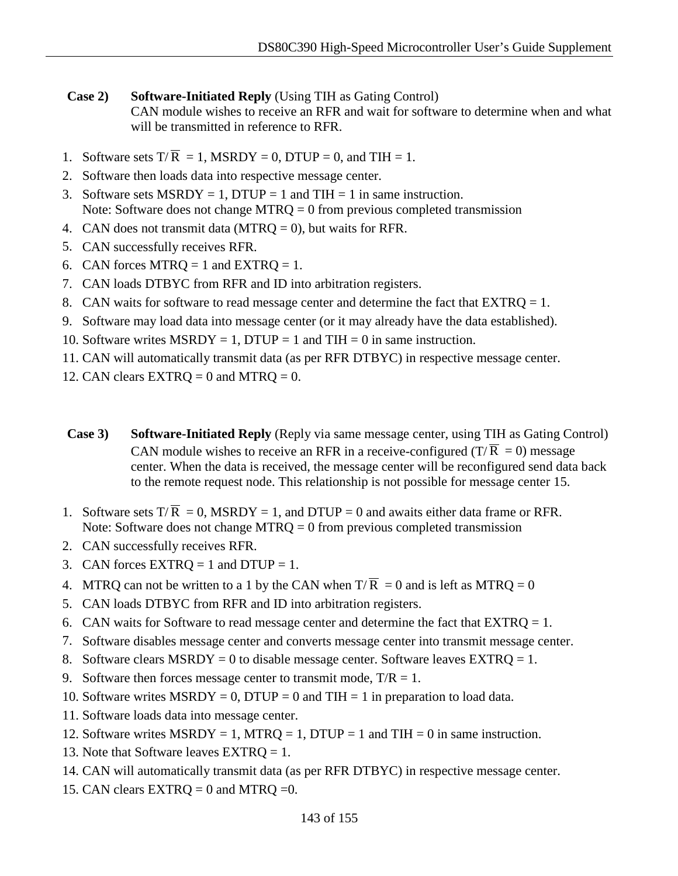### **Case 2)** Software-Initiated Reply (Using TIH as Gating Control) CAN module wishes to receive an RFR and wait for software to determine when and what will be transmitted in reference to RFR.

- 1. Software sets  $T/\overline{R} = 1$ , MSRDY = 0, DTUP = 0, and TIH = 1.
- 2. Software then loads data into respective message center.
- 3. Software sets MSRDY = 1, DTUP = 1 and TIH = 1 in same instruction. Note: Software does not change MTRQ = 0 from previous completed transmission
- 4. CAN does not transmit data (MTRQ = 0), but waits for RFR.
- 5. CAN successfully receives RFR.
- 6. CAN forces MTRQ = 1 and EXTRQ = 1.
- 7. CAN loads DTBYC from RFR and ID into arbitration registers.
- 8. CAN waits for software to read message center and determine the fact that  $\text{EXT} \text{RQ} = 1$ .
- 9. Software may load data into message center (or it may already have the data established).
- 10. Software writes  $MSRDY = 1$ ,  $DTUP = 1$  and  $TH = 0$  in same instruction.
- 11. CAN will automatically transmit data (as per RFR DTBYC) in respective message center.
- 12. CAN clears  $EXTRQ = 0$  and  $MTRQ = 0$ .
- **Case 3)** Software-Initiated Reply (Reply via same message center, using TIH as Gating Control) CAN module wishes to receive an RFR in a receive-configured ( $T/\overline{R} = 0$ ) message center. When the data is received, the message center will be reconfigured send data back to the remote request node. This relationship is not possible for message center 15.
- 1. Software sets  $T/\overline{R} = 0$ , MSRDY = 1, and DTUP = 0 and awaits either data frame or RFR. Note: Software does not change MTRQ = 0 from previous completed transmission
- 2. CAN successfully receives RFR.
- 3. CAN forces  $EXTRQ = 1$  and  $DTUP = 1$ .
- 4. MTRQ can not be written to a 1 by the CAN when  $T/\overline{R} = 0$  and is left as MTRQ = 0
- 5. CAN loads DTBYC from RFR and ID into arbitration registers.
- 6. CAN waits for Software to read message center and determine the fact that  $\text{EXT} \mathbf{R} \mathbf{Q} = 1$ .
- 7. Software disables message center and converts message center into transmit message center.
- 8. Software clears  $MSRDY = 0$  to disable message center. Software leaves  $EXTRQ = 1$ .
- 9. Software then forces message center to transmit mode,  $T/R = 1$ .
- 10. Software writes  $MSRDY = 0$ , DTUP = 0 and TIH = 1 in preparation to load data.
- 11. Software loads data into message center.
- 12. Software writes  $MSRDY = 1$ ,  $MTRQ = 1$ ,  $DTUP = 1$  and  $THI = 0$  in same instruction.
- 13. Note that Software leaves EXTRQ = 1.
- 14. CAN will automatically transmit data (as per RFR DTBYC) in respective message center.
- 15. CAN clears  $EXTRQ = 0$  and  $MTRQ = 0$ .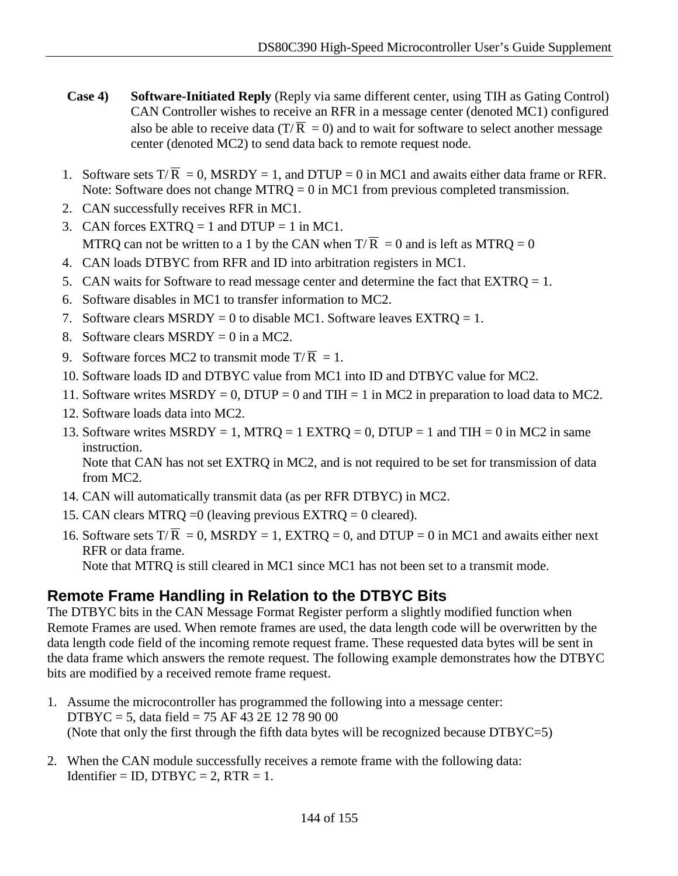- **Case 4)** Software-Initiated Reply (Reply via same different center, using TIH as Gating Control) CAN Controller wishes to receive an RFR in a message center (denoted MC1) configured also be able to receive data (T/ $\overline{R} = 0$ ) and to wait for software to select another message center (denoted MC2) to send data back to remote request node.
- 1. Software sets  $T/\overline{R} = 0$ , MSRDY = 1, and DTUP = 0 in MC1 and awaits either data frame or RFR. Note: Software does not change MTRQ = 0 in MC1 from previous completed transmission.
- 2. CAN successfully receives RFR in MC1.
- 3. CAN forces  $EXTRQ = 1$  and  $DTUP = 1$  in MC1. MTRQ can not be written to a 1 by the CAN when  $T/\overline{R} = 0$  and is left as MTRQ = 0
- 4. CAN loads DTBYC from RFR and ID into arbitration registers in MC1.
- 5. CAN waits for Software to read message center and determine the fact that  $\text{EXT}RO = 1$ .
- 6. Software disables in MC1 to transfer information to MC2.
- 7. Software clears  $MSRDY = 0$  to disable MC1. Software leaves  $EXTRO = 1$ .
- 8. Software clears MSRDY = 0 in a MC2.
- 9. Software forces MC2 to transmit mode  $T/\overline{R} = 1$ .
- 10. Software loads ID and DTBYC value from MC1 into ID and DTBYC value for MC2.
- 11. Software writes  $MSRDY = 0$ , DTUP = 0 and TIH = 1 in MC2 in preparation to load data to MC2.
- 12. Software loads data into MC2.
- 13. Software writes  $MSRDY = 1$ ,  $MTRQ = 1$  EXTRQ = 0, DTUP = 1 and TIH = 0 in MC2 in same instruction. Note that CAN has not set EXTRQ in MC2, and is not required to be set for transmission of data

from MC2.

- 14. CAN will automatically transmit data (as per RFR DTBYC) in MC2.
- 15. CAN clears MTRQ =0 (leaving previous EXTRQ = 0 cleared).
- 16. Software sets  $T/\overline{R} = 0$ , MSRDY = 1, EXTRQ = 0, and DTUP = 0 in MC1 and awaits either next RFR or data frame.

Note that MTRQ is still cleared in MC1 since MC1 has not been set to a transmit mode.

# **Remote Frame Handling in Relation to the DTBYC Bits**

The DTBYC bits in the CAN Message Format Register perform a slightly modified function when Remote Frames are used. When remote frames are used, the data length code will be overwritten by the data length code field of the incoming remote request frame. These requested data bytes will be sent in the data frame which answers the remote request. The following example demonstrates how the DTBYC bits are modified by a received remote frame request.

- 1. Assume the microcontroller has programmed the following into a message center: DTBYC = 5, data field = 75 AF 43 2E 12 78 90 00 (Note that only the first through the fifth data bytes will be recognized because DTBYC=5)
- 2. When the CAN module successfully receives a remote frame with the following data: Identifier = ID, DTBYC = 2, RTR = 1.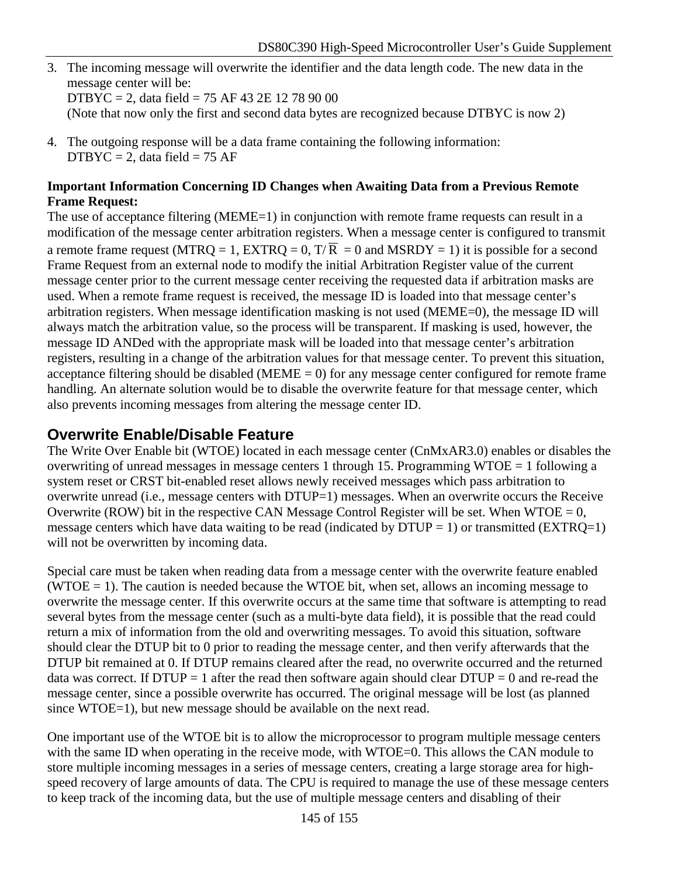3. The incoming message will overwrite the identifier and the data length code. The new data in the message center will be:

DTBYC = 2, data field = 75 AF 43 2E 12 78 90 00

(Note that now only the first and second data bytes are recognized because DTBYC is now 2)

4. The outgoing response will be a data frame containing the following information:  $DTBYC = 2$ , data field = 75 AF

### **Important Information Concerning ID Changes when Awaiting Data from a Previous Remote Frame Request:**

The use of acceptance filtering (MEME=1) in conjunction with remote frame requests can result in a modification of the message center arbitration registers. When a message center is configured to transmit a remote frame request (MTRQ = 1, EXTRQ = 0,  $T/\overline{R} = 0$  and MSRDY = 1) it is possible for a second Frame Request from an external node to modify the initial Arbitration Register value of the current message center prior to the current message center receiving the requested data if arbitration masks are used. When a remote frame request is received, the message ID is loaded into that message center's arbitration registers. When message identification masking is not used (MEME=0), the message ID will always match the arbitration value, so the process will be transparent. If masking is used, however, the message ID ANDed with the appropriate mask will be loaded into that message center's arbitration registers, resulting in a change of the arbitration values for that message center. To prevent this situation, acceptance filtering should be disabled (MEME  $= 0$ ) for any message center configured for remote frame handling. An alternate solution would be to disable the overwrite feature for that message center, which also prevents incoming messages from altering the message center ID.

## **Overwrite Enable/Disable Feature**

The Write Over Enable bit (WTOE) located in each message center (CnMxAR3.0) enables or disables the overwriting of unread messages in message centers 1 through 15. Programming WTOE = 1 following a system reset or CRST bit-enabled reset allows newly received messages which pass arbitration to overwrite unread (i.e., message centers with DTUP=1) messages. When an overwrite occurs the Receive Overwrite (ROW) bit in the respective CAN Message Control Register will be set. When  $WTOE = 0$ , message centers which have data waiting to be read (indicated by  $DTUP = 1$ ) or transmitted (EXTRQ=1) will not be overwritten by incoming data.

Special care must be taken when reading data from a message center with the overwrite feature enabled (WTOE  $= 1$ ). The caution is needed because the WTOE bit, when set, allows an incoming message to overwrite the message center. If this overwrite occurs at the same time that software is attempting to read several bytes from the message center (such as a multi-byte data field), it is possible that the read could return a mix of information from the old and overwriting messages. To avoid this situation, software should clear the DTUP bit to 0 prior to reading the message center, and then verify afterwards that the DTUP bit remained at 0. If DTUP remains cleared after the read, no overwrite occurred and the returned data was correct. If  $DTUP = 1$  after the read then software again should clear  $DTUP = 0$  and re-read the message center, since a possible overwrite has occurred. The original message will be lost (as planned since WTOE=1), but new message should be available on the next read.

One important use of the WTOE bit is to allow the microprocessor to program multiple message centers with the same ID when operating in the receive mode, with WTOE=0. This allows the CAN module to store multiple incoming messages in a series of message centers, creating a large storage area for highspeed recovery of large amounts of data. The CPU is required to manage the use of these message centers to keep track of the incoming data, but the use of multiple message centers and disabling of their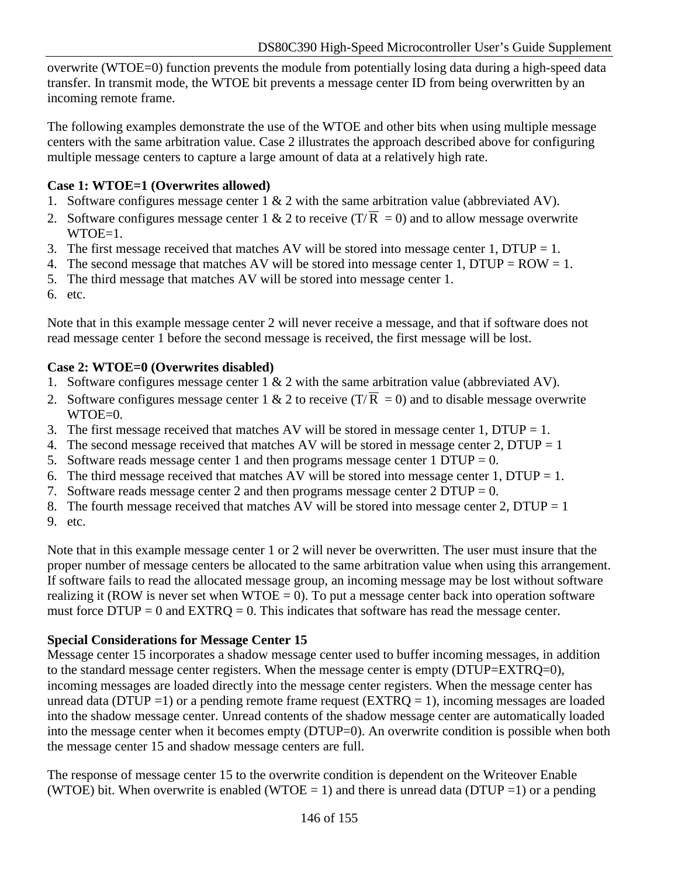overwrite (WTOE=0) function prevents the module from potentially losing data during a high-speed data transfer. In transmit mode, the WTOE bit prevents a message center ID from being overwritten by an incoming remote frame.

The following examples demonstrate the use of the WTOE and other bits when using multiple message centers with the same arbitration value. Case 2 illustrates the approach described above for configuring multiple message centers to capture a large amount of data at a relatively high rate.

## **Case 1: WTOE=1 (Overwrites allowed)**

- 1. Software configures message center  $1 \& 2$  with the same arbitration value (abbreviated AV).
- 2. Software configures message center 1 & 2 to receive  $(T/\overline{R} = 0)$  and to allow message overwrite  $WTOE=1$ .
- 3. The first message received that matches AV will be stored into message center 1, DTUP = 1.
- 4. The second message that matches AV will be stored into message center 1, DTUP =  $ROW = 1$ .
- 5. The third message that matches AV will be stored into message center 1.
- 6. etc.

Note that in this example message center 2 will never receive a message, and that if software does not read message center 1 before the second message is received, the first message will be lost.

## **Case 2: WTOE=0 (Overwrites disabled)**

- 1. Software configures message center  $1 \& 2$  with the same arbitration value (abbreviated AV).
- 2. Software configures message center 1 & 2 to receive  $(T/\overline{R} = 0)$  and to disable message overwrite WTOE=0.
- 3. The first message received that matches AV will be stored in message center 1, DTUP = 1.
- 4. The second message received that matches AV will be stored in message center 2, DTUP = 1
- 5. Software reads message center 1 and then programs message center 1 DTUP =  $0$ .
- 6. The third message received that matches AV will be stored into message center 1, DTUP = 1.
- 7. Software reads message center 2 and then programs message center  $2 D T U P = 0$ .
- 8. The fourth message received that matches AV will be stored into message center 2, DTUP = 1
- 9. etc.

Note that in this example message center 1 or 2 will never be overwritten. The user must insure that the proper number of message centers be allocated to the same arbitration value when using this arrangement. If software fails to read the allocated message group, an incoming message may be lost without software realizing it (ROW is never set when  $WTOE = 0$ ). To put a message center back into operation software must force  $DTUP = 0$  and  $EXTRQ = 0$ . This indicates that software has read the message center.

## **Special Considerations for Message Center 15**

Message center 15 incorporates a shadow message center used to buffer incoming messages, in addition to the standard message center registers. When the message center is empty (DTUP=EXTRQ=0), incoming messages are loaded directly into the message center registers. When the message center has unread data (DTUP =1) or a pending remote frame request ( $EXTRQ = 1$ ), incoming messages are loaded into the shadow message center. Unread contents of the shadow message center are automatically loaded into the message center when it becomes empty (DTUP=0). An overwrite condition is possible when both the message center 15 and shadow message centers are full.

The response of message center 15 to the overwrite condition is dependent on the Writeover Enable (WTOE) bit. When overwrite is enabled (WTOE = 1) and there is unread data (DTUP = 1) or a pending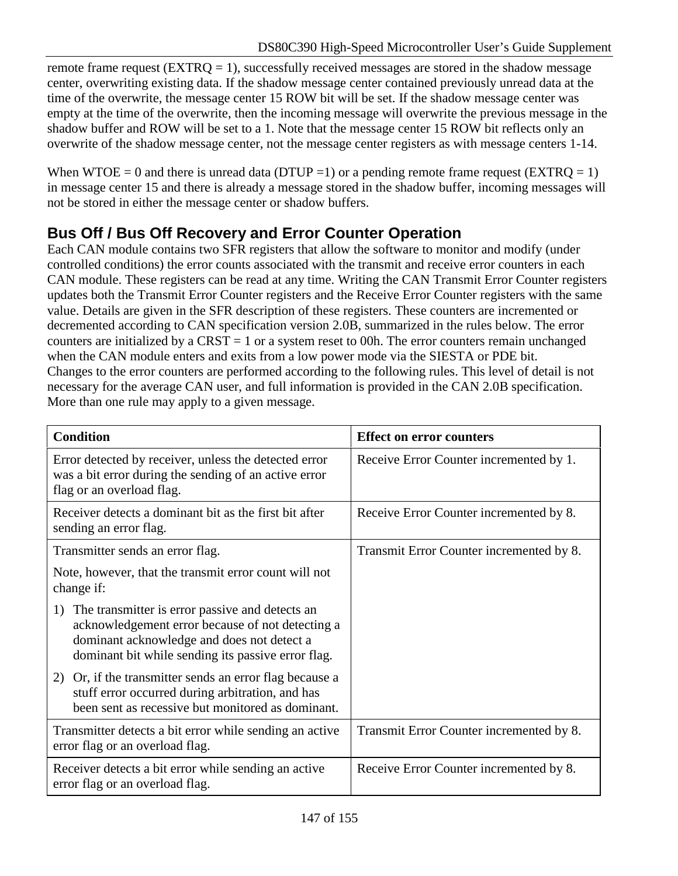remote frame request ( $EXTRQ = 1$ ), successfully received messages are stored in the shadow message center, overwriting existing data. If the shadow message center contained previously unread data at the time of the overwrite, the message center 15 ROW bit will be set. If the shadow message center was empty at the time of the overwrite, then the incoming message will overwrite the previous message in the shadow buffer and ROW will be set to a 1. Note that the message center 15 ROW bit reflects only an overwrite of the shadow message center, not the message center registers as with message centers 1-14.

When WTOE = 0 and there is unread data (DTUP = 1) or a pending remote frame request (EXTRQ = 1) in message center 15 and there is already a message stored in the shadow buffer, incoming messages will not be stored in either the message center or shadow buffers.

# **Bus Off / Bus Off Recovery and Error Counter Operation**

Each CAN module contains two SFR registers that allow the software to monitor and modify (under controlled conditions) the error counts associated with the transmit and receive error counters in each CAN module. These registers can be read at any time. Writing the CAN Transmit Error Counter registers updates both the Transmit Error Counter registers and the Receive Error Counter registers with the same value. Details are given in the SFR description of these registers. These counters are incremented or decremented according to CAN specification version 2.0B, summarized in the rules below. The error counters are initialized by a  $CRST = 1$  or a system reset to 00h. The error counters remain unchanged when the CAN module enters and exits from a low power mode via the SIESTA or PDE bit. Changes to the error counters are performed according to the following rules. This level of detail is not necessary for the average CAN user, and full information is provided in the CAN 2.0B specification. More than one rule may apply to a given message.

| <b>Condition</b>                                                                                                                                                                                              | <b>Effect on error counters</b>          |
|---------------------------------------------------------------------------------------------------------------------------------------------------------------------------------------------------------------|------------------------------------------|
| Error detected by receiver, unless the detected error<br>was a bit error during the sending of an active error<br>flag or an overload flag.                                                                   | Receive Error Counter incremented by 1.  |
| Receiver detects a dominant bit as the first bit after<br>sending an error flag.                                                                                                                              | Receive Error Counter incremented by 8.  |
| Transmitter sends an error flag.                                                                                                                                                                              | Transmit Error Counter incremented by 8. |
| Note, however, that the transmit error count will not<br>change if:                                                                                                                                           |                                          |
| The transmitter is error passive and detects an<br>1)<br>acknowledgement error because of not detecting a<br>dominant acknowledge and does not detect a<br>dominant bit while sending its passive error flag. |                                          |
| 2) Or, if the transmitter sends an error flag because a<br>stuff error occurred during arbitration, and has<br>been sent as recessive but monitored as dominant.                                              |                                          |
| Transmitter detects a bit error while sending an active<br>error flag or an overload flag.                                                                                                                    | Transmit Error Counter incremented by 8. |
| Receiver detects a bit error while sending an active<br>error flag or an overload flag.                                                                                                                       | Receive Error Counter incremented by 8.  |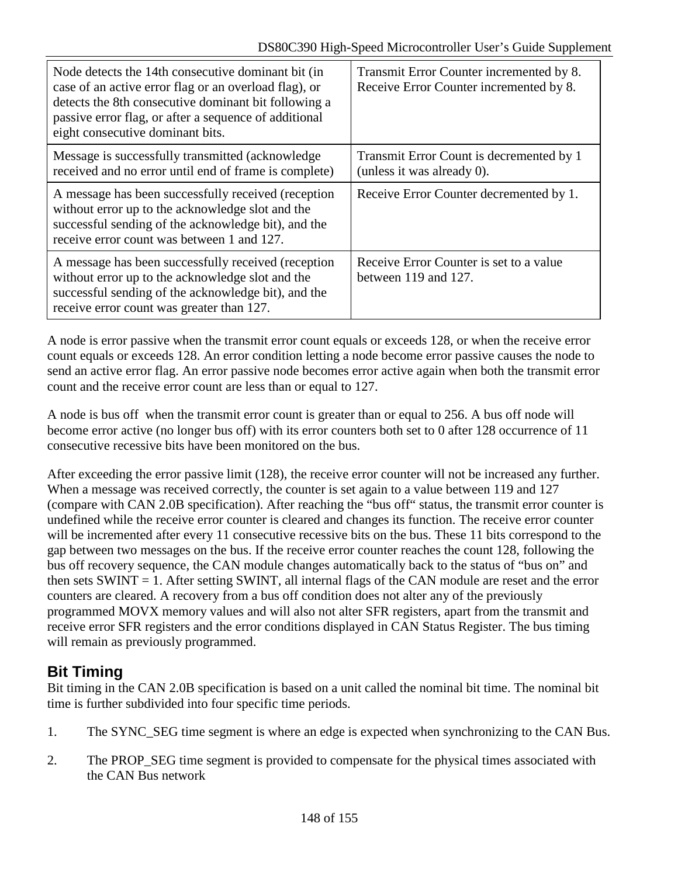| Node detects the 14th consecutive dominant bit (in<br>case of an active error flag or an overload flag), or<br>detects the 8th consecutive dominant bit following a<br>passive error flag, or after a sequence of additional<br>eight consecutive dominant bits. | Transmit Error Counter incremented by 8.<br>Receive Error Counter incremented by 8. |
|------------------------------------------------------------------------------------------------------------------------------------------------------------------------------------------------------------------------------------------------------------------|-------------------------------------------------------------------------------------|
| Message is successfully transmitted (acknowledge)<br>received and no error until end of frame is complete)                                                                                                                                                       | Transmit Error Count is decremented by 1<br>(unless it was already $0$ ).           |
| A message has been successfully received (reception<br>without error up to the acknowledge slot and the<br>successful sending of the acknowledge bit), and the<br>receive error count was between 1 and 127.                                                     | Receive Error Counter decremented by 1.                                             |
| A message has been successfully received (reception<br>without error up to the acknowledge slot and the<br>successful sending of the acknowledge bit), and the<br>receive error count was greater than 127.                                                      | Receive Error Counter is set to a value<br>between 119 and 127.                     |

A node is error passive when the transmit error count equals or exceeds 128, or when the receive error count equals or exceeds 128. An error condition letting a node become error passive causes the node to send an active error flag. An error passive node becomes error active again when both the transmit error count and the receive error count are less than or equal to 127.

A node is bus off when the transmit error count is greater than or equal to 256. A bus off node will become error active (no longer bus off) with its error counters both set to 0 after 128 occurrence of 11 consecutive recessive bits have been monitored on the bus.

After exceeding the error passive limit (128), the receive error counter will not be increased any further. When a message was received correctly, the counter is set again to a value between 119 and 127 (compare with CAN 2.0B specification). After reaching the "bus off" status, the transmit error counter is undefined while the receive error counter is cleared and changes its function. The receive error counter will be incremented after every 11 consecutive recessive bits on the bus. These 11 bits correspond to the gap between two messages on the bus. If the receive error counter reaches the count 128, following the bus off recovery sequence, the CAN module changes automatically back to the status of "bus on" and then sets SWINT = 1. After setting SWINT, all internal flags of the CAN module are reset and the error counters are cleared. A recovery from a bus off condition does not alter any of the previously programmed MOVX memory values and will also not alter SFR registers, apart from the transmit and receive error SFR registers and the error conditions displayed in CAN Status Register. The bus timing will remain as previously programmed.

# **Bit Timing**

Bit timing in the CAN 2.0B specification is based on a unit called the nominal bit time. The nominal bit time is further subdivided into four specific time periods.

- 1. The SYNC\_SEG time segment is where an edge is expected when synchronizing to the CAN Bus.
- 2. The PROP\_SEG time segment is provided to compensate for the physical times associated with the CAN Bus network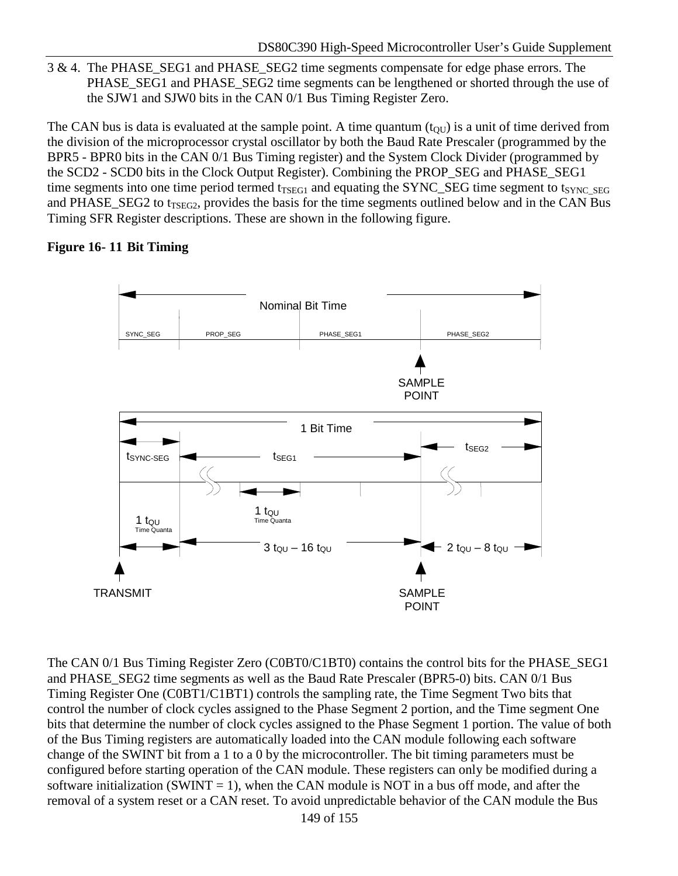3 & 4. The PHASE\_SEG1 and PHASE\_SEG2 time segments compensate for edge phase errors. The PHASE\_SEG1 and PHASE\_SEG2 time segments can be lengthened or shorted through the use of the SJW1 and SJW0 bits in the CAN 0/1 Bus Timing Register Zero.

The CAN bus is data is evaluated at the sample point. A time quantum  $(t<sub>OU</sub>)$  is a unit of time derived from the division of the microprocessor crystal oscillator by both the Baud Rate Prescaler (programmed by the BPR5 - BPR0 bits in the CAN 0/1 Bus Timing register) and the System Clock Divider (programmed by the SCD2 - SCD0 bits in the Clock Output Register). Combining the PROP\_SEG and PHASE\_SEG1 time segments into one time period termed  $t_{TSEGI}$  and equating the SYNC\_SEG time segment to  $t_{SYNC}$  seg and PHASE\_SEG2 to t<sub>TSEG2</sub>, provides the basis for the time segments outlined below and in the CAN Bus Timing SFR Register descriptions. These are shown in the following figure.

## **Figure 16- 11 Bit Timing**



The CAN 0/1 Bus Timing Register Zero (C0BT0/C1BT0) contains the control bits for the PHASE\_SEG1 and PHASE\_SEG2 time segments as well as the Baud Rate Prescaler (BPR5-0) bits. CAN 0/1 Bus Timing Register One (C0BT1/C1BT1) controls the sampling rate, the Time Segment Two bits that control the number of clock cycles assigned to the Phase Segment 2 portion, and the Time segment One bits that determine the number of clock cycles assigned to the Phase Segment 1 portion. The value of both of the Bus Timing registers are automatically loaded into the CAN module following each software change of the SWINT bit from a 1 to a 0 by the microcontroller. The bit timing parameters must be configured before starting operation of the CAN module. These registers can only be modified during a software initialization (SWINT = 1), when the CAN module is NOT in a bus off mode, and after the removal of a system reset or a CAN reset. To avoid unpredictable behavior of the CAN module the Bus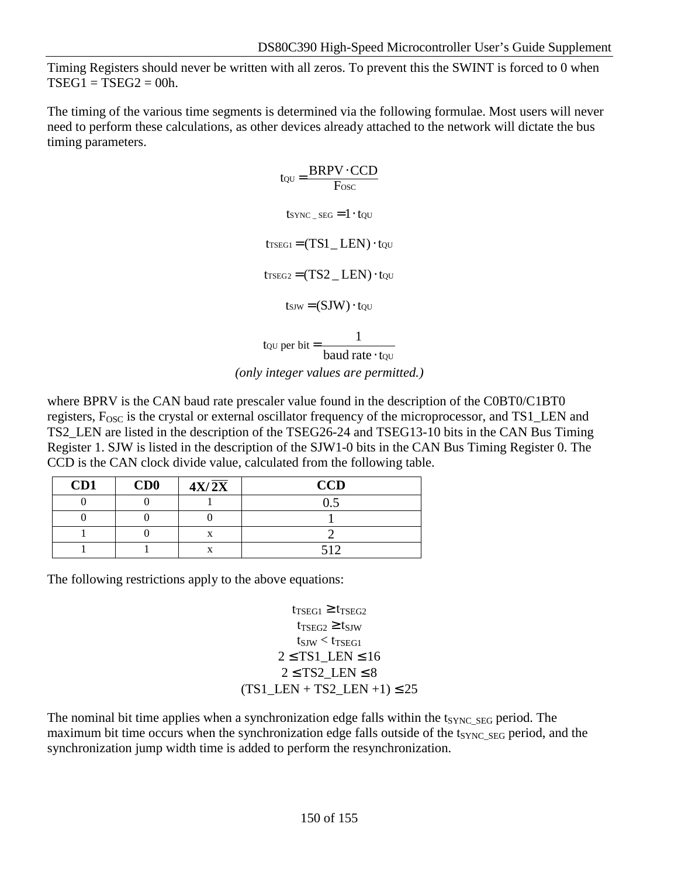Timing Registers should never be written with all zeros. To prevent this the SWINT is forced to 0 when  $TSEG1 = TSEG2 = 00h$ .

The timing of the various time segments is determined via the following formulae. Most users will never need to perform these calculations, as other devices already attached to the network will dictate the bus timing parameters.

> $t_{\text{QU}} = \frac{\text{BRPV} \cdot \text{CCD}}{\text{Fosc}}$  $t$ SYNC  $_{\text{SEG}} = 1 \cdot t$   $_{\text{QU}}$  $t_{TSEG1} = (TS1$  LEN)  $\cdot$  tou  $t_{TSEG2} = (TS2 LEN) \cdot \text{t}_{OU}$  $t$ sJW =  $(SJW) \cdot t$ QU QU  $\omega$  per bit =  $\frac{1}{\omega}$ to per bit =  $\frac{1}{\text{baud rate}}$ .

*(only integer values are permitted.)*

where BPRV is the CAN baud rate prescaler value found in the description of the C0BT0/C1BT0 registers, F<sub>OSC</sub> is the crystal or external oscillator frequency of the microprocessor, and TS1\_LEN and TS2\_LEN are listed in the description of the TSEG26-24 and TSEG13-10 bits in the CAN Bus Timing Register 1. SJW is listed in the description of the SJW1-0 bits in the CAN Bus Timing Register 0. The CCD is the CAN clock divide value, calculated from the following table.

| CD1 | CD0 | $4X/\overline{2X}$ | <b>CCD</b> |
|-----|-----|--------------------|------------|
|     |     |                    |            |
|     |     |                    |            |
|     |     |                    |            |
|     |     | Δ                  |            |

The following restrictions apply to the above equations:

 $t_{TSEG1} \geq t_{TSEG2}$  $t_{TSEG2} \geq t_{SIW}$  $t_{\text{SIW}} < t_{\text{TSEG1}}$  $2 \leq$  TS1\_LEN  $\leq$  16  $2 \leq TS2$  LEN  $\leq 8$  $(TS1$  LEN + TS2 LEN +1)  $\leq 25$ 

The nominal bit time applies when a synchronization edge falls within the  $t_{\text{SYNC}}$  seg period. The maximum bit time occurs when the synchronization edge falls outside of the t<sub>SYNC</sub> seg period, and the synchronization jump width time is added to perform the resynchronization.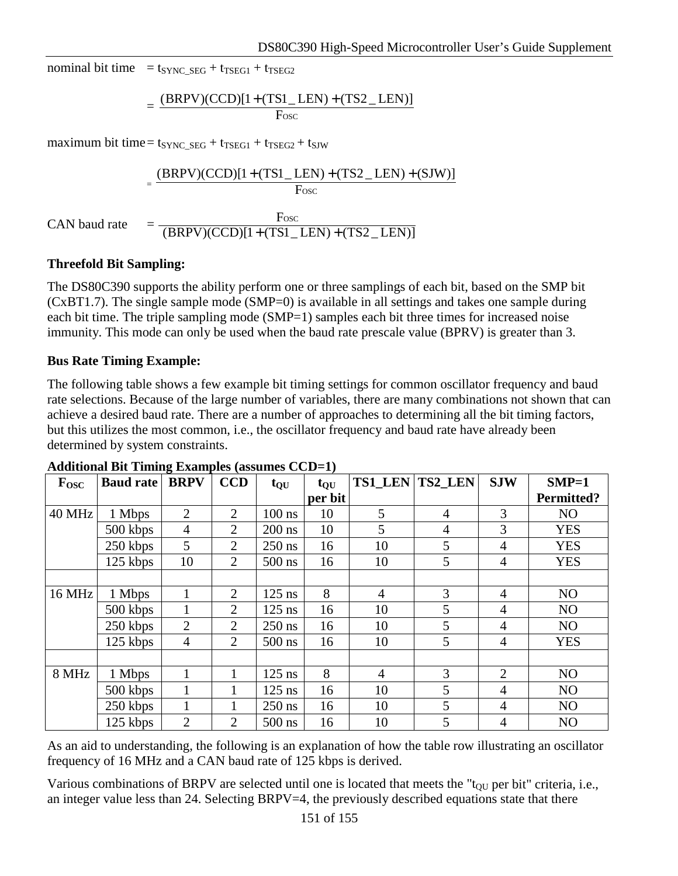nominal bit time =  $t_{\text{SYNC}}$  seg +  $t_{\text{TSEG1}} + t_{\text{TSEG2}}$ 

$$
= \frac{(BRPV)(CCD)[1+(TS1\_LEN)+(TS2\_LEN)]}{Fosc}
$$

maximum bit time=  $t_{\text{SYNC}}$  seg +  $t_{\text{TSEG1}} + t_{\text{TSEG2}} + t_{\text{SIW}}$ 

$$
= \frac{(BRPV)(CCD)[1 + (TS1 \_LEN) + (TS2 \_LEN) + (SJW)]}{Fosc}
$$
  
CAN baud rate 
$$
= \frac{Fosc}{(BRPV)(CCD)[1 + (TS1 \_LEN) + (TS2 \_LEN)]}
$$

#### **Threefold Bit Sampling:**

The DS80C390 supports the ability perform one or three samplings of each bit, based on the SMP bit (CxBT1.7). The single sample mode (SMP=0) is available in all settings and takes one sample during each bit time. The triple sampling mode (SMP=1) samples each bit three times for increased noise immunity. This mode can only be used when the baud rate prescale value (BPRV) is greater than 3.

#### **Bus Rate Timing Example:**

The following table shows a few example bit timing settings for common oscillator frequency and baud rate selections. Because of the large number of variables, there are many combinations not shown that can achieve a desired baud rate. There are a number of approaches to determining all the bit timing factors, but this utilizes the most common, i.e., the oscillator frequency and baud rate have already been determined by system constraints.

| $F_{\rm{OSC}}$ | <b>Baud rate</b> | <b>BRPV</b>    | <b>CCD</b>     | $t_{QU}$ | $t_{QU}$ |                | TS1_LEN TS2_LEN | <b>SJW</b>     | $SMP=1$           |
|----------------|------------------|----------------|----------------|----------|----------|----------------|-----------------|----------------|-------------------|
|                |                  |                |                |          | per bit  |                |                 |                | <b>Permitted?</b> |
| 40 MHz         | 1 Mbps           | $\overline{2}$ | 2              | $100$ ns | 10       | 5              | 4               | 3              | NO                |
|                | 500 kbps         | 4              | $\overline{2}$ | $200$ ns | 10       | 5              | $\overline{4}$  | 3              | <b>YES</b>        |
|                | 250 kbps         | $\mathfrak{S}$ | 2              | $250$ ns | 16       | 10             | 5               | $\overline{4}$ | <b>YES</b>        |
|                | 125 kbps         | 10             | 2              | $500$ ns | 16       | 10             | 5               | $\overline{4}$ | <b>YES</b>        |
|                |                  |                |                |          |          |                |                 |                |                   |
| <b>16 MHz</b>  | 1 Mbps           |                | 2              | $125$ ns | 8        | $\overline{4}$ | 3               | $\overline{4}$ | NO                |
|                | 500 kbps         |                | 2              | $125$ ns | 16       | 10             | 5               | $\overline{4}$ | NO                |
|                | 250 kbps         | $\overline{2}$ | $\overline{2}$ | $250$ ns | 16       | 10             | 5               | $\overline{4}$ | NO                |
|                | 125 kbps         | $\overline{4}$ | $\overline{2}$ | $500$ ns | 16       | 10             | 5               | $\overline{4}$ | <b>YES</b>        |
|                |                  |                |                |          |          |                |                 |                |                   |
| 8 MHz          | 1 Mbps           | 1              | 1              | $125$ ns | 8        | $\overline{4}$ | 3               | $\overline{2}$ | NO                |
|                | $500$ kbps       |                |                | $125$ ns | 16       | 10             | 5               | $\overline{4}$ | NO                |
|                | 250 kbps         |                |                | $250$ ns | 16       | 10             | 5               | $\overline{4}$ | NO                |
|                | 125 kbps         | $\overline{2}$ | $\overline{2}$ | $500$ ns | 16       | 10             | 5               | $\overline{4}$ | N <sub>O</sub>    |

#### **Additional Bit Timing Examples (assumes CCD=1)**

As an aid to understanding, the following is an explanation of how the table row illustrating an oscillator frequency of 16 MHz and a CAN baud rate of 125 kbps is derived.

Various combinations of BRPV are selected until one is located that meets the " $t_{\text{OU}}$  per bit" criteria, i.e., an integer value less than 24. Selecting BRPV=4, the previously described equations state that there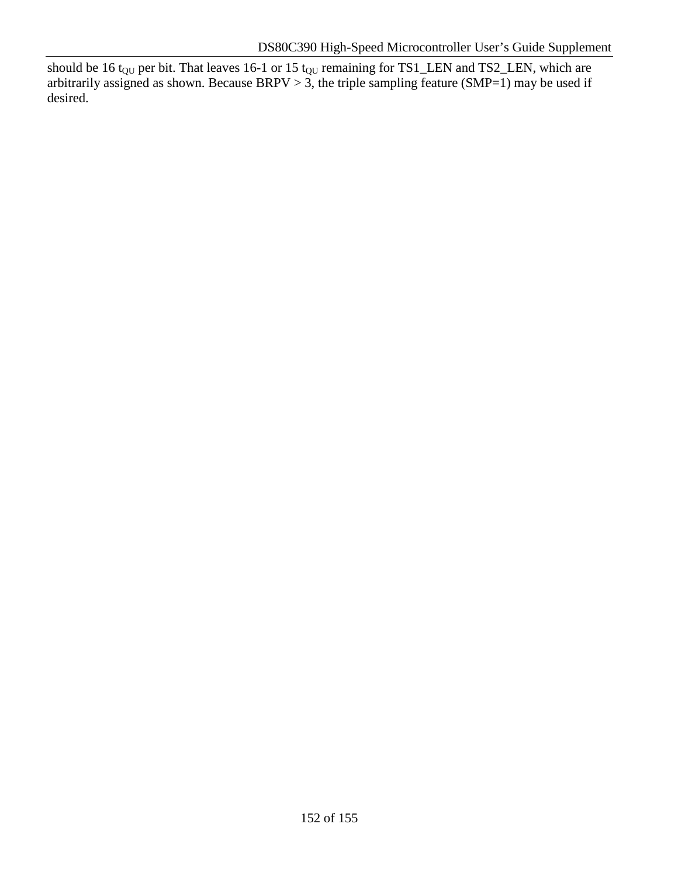should be 16 t<sub>QU</sub> per bit. That leaves 16-1 or 15 t<sub>QU</sub> remaining for TS1\_LEN and TS2\_LEN, which are arbitrarily assigned as shown. Because BRPV  $> 3$ , the triple sampling feature (SMP=1) may be used if desired.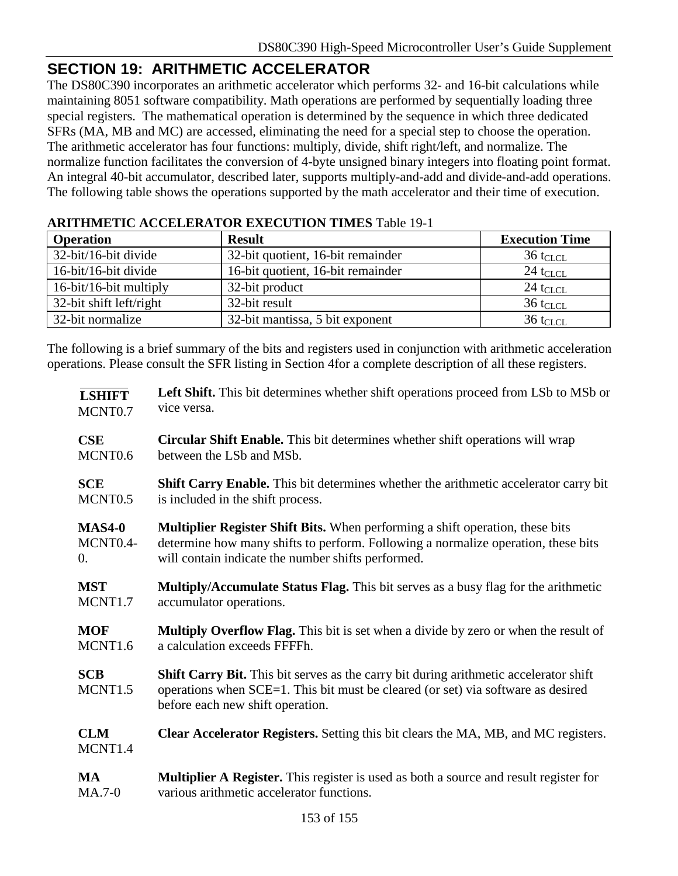# **SECTION 19: ARITHMETIC ACCELERATOR**

The DS80C390 incorporates an arithmetic accelerator which performs 32- and 16-bit calculations while maintaining 8051 software compatibility. Math operations are performed by sequentially loading three special registers. The mathematical operation is determined by the sequence in which three dedicated SFRs (MA, MB and MC) are accessed, eliminating the need for a special step to choose the operation. The arithmetic accelerator has four functions: multiply, divide, shift right/left, and normalize. The normalize function facilitates the conversion of 4-byte unsigned binary integers into floating point format. An integral 40-bit accumulator, described later, supports multiply-and-add and divide-and-add operations. The following table shows the operations supported by the math accelerator and their time of execution.

| AM FHARLIC ACCELERATION EACCOTION TIMED TWO TAIL |                                   |                        |  |  |  |
|--------------------------------------------------|-----------------------------------|------------------------|--|--|--|
| <b>Operation</b>                                 | <b>Result</b>                     | <b>Execution Time</b>  |  |  |  |
| 32-bit/16-bit divide                             | 32-bit quotient, 16-bit remainder | $36$ t <sub>CLCL</sub> |  |  |  |
| 16-bit/16-bit divide                             | 16-bit quotient, 16-bit remainder | $24$ t <sub>CLCL</sub> |  |  |  |
| 16-bit/16-bit multiply                           | 32-bit product                    | $24$ t <sub>CLCL</sub> |  |  |  |
| 32-bit shift left/right                          | 32-bit result                     | $36$ t <sub>CLCL</sub> |  |  |  |
| 32-bit normalize                                 | 32-bit mantissa, 5 bit exponent   | $36$ t <sub>CLCL</sub> |  |  |  |

## **ARITHMETIC ACCELERATOR EXECUTION TIMES** Table 19-1

The following is a brief summary of the bits and registers used in conjunction with arithmetic acceleration operations. Please consult the SFR listing in Section 4for a complete description of all these registers.

| <b>LSHIFT</b>                     | <b>Left Shift.</b> This bit determines whether shift operations proceed from LSb to MSb or                                                                                                                    |
|-----------------------------------|---------------------------------------------------------------------------------------------------------------------------------------------------------------------------------------------------------------|
| MCNT0.7                           | vice versa.                                                                                                                                                                                                   |
| <b>CSE</b>                        | <b>Circular Shift Enable.</b> This bit determines whether shift operations will wrap                                                                                                                          |
| MCNT <sub>0.6</sub>               | between the LSb and MSb.                                                                                                                                                                                      |
| <b>SCE</b>                        | Shift Carry Enable. This bit determines whether the arithmetic accelerator carry bit                                                                                                                          |
| MCNT <sub>0.5</sub>               | is included in the shift process.                                                                                                                                                                             |
| <b>MAS4-0</b>                     | <b>Multiplier Register Shift Bits.</b> When performing a shift operation, these bits                                                                                                                          |
| MCNT0.4-                          | determine how many shifts to perform. Following a normalize operation, these bits                                                                                                                             |
| 0.                                | will contain indicate the number shifts performed.                                                                                                                                                            |
| <b>MST</b>                        | Multiply/Accumulate Status Flag. This bit serves as a busy flag for the arithmetic                                                                                                                            |
| MCNT1.7                           | accumulator operations.                                                                                                                                                                                       |
| <b>MOF</b>                        | Multiply Overflow Flag. This bit is set when a divide by zero or when the result of                                                                                                                           |
| MCNT <sub>1.6</sub>               | a calculation exceeds FFFFh.                                                                                                                                                                                  |
| <b>SCB</b><br>MCNT <sub>1.5</sub> | Shift Carry Bit. This bit serves as the carry bit during arithmetic accelerator shift<br>operations when SCE=1. This bit must be cleared (or set) via software as desired<br>before each new shift operation. |
| <b>CLM</b><br>MCNT1.4             | <b>Clear Accelerator Registers.</b> Setting this bit clears the MA, MB, and MC registers.                                                                                                                     |
| <b>MA</b>                         | <b>Multiplier A Register.</b> This register is used as both a source and result register for                                                                                                                  |
| $MA.7-0$                          | various arithmetic accelerator functions.                                                                                                                                                                     |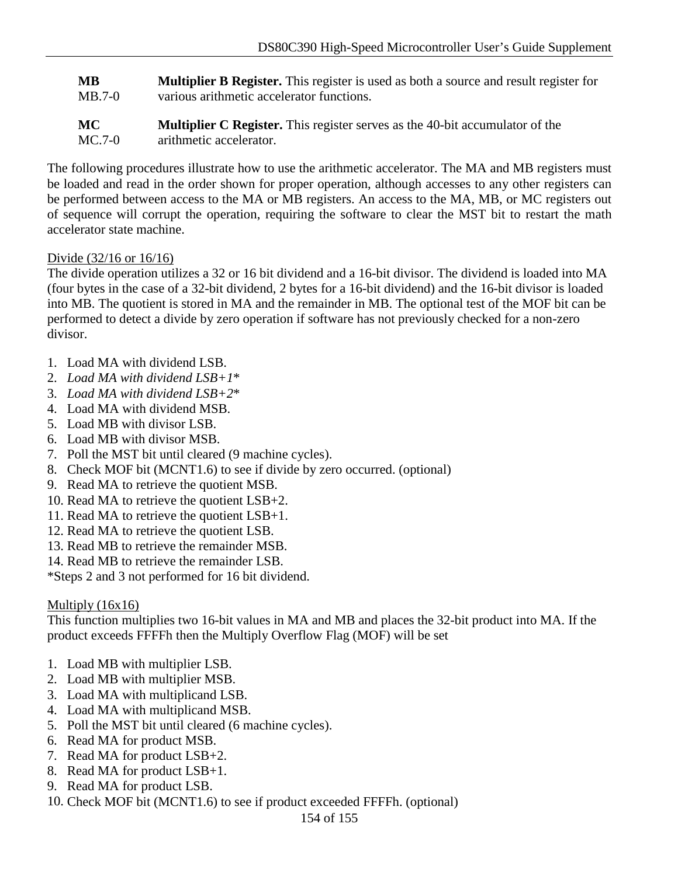**MB** MB.7-0 **Multiplier B Register.** This register is used as both a source and result register for various arithmetic accelerator functions.

**MC** MC.7-0 **Multiplier C Register.** This register serves as the 40-bit accumulator of the arithmetic accelerator.

The following procedures illustrate how to use the arithmetic accelerator. The MA and MB registers must be loaded and read in the order shown for proper operation, although accesses to any other registers can be performed between access to the MA or MB registers. An access to the MA, MB, or MC registers out of sequence will corrupt the operation, requiring the software to clear the MST bit to restart the math accelerator state machine.

## Divide (32/16 or 16/16)

The divide operation utilizes a 32 or 16 bit dividend and a 16-bit divisor. The dividend is loaded into MA (four bytes in the case of a 32-bit dividend, 2 bytes for a 16-bit dividend) and the 16-bit divisor is loaded into MB. The quotient is stored in MA and the remainder in MB. The optional test of the MOF bit can be performed to detect a divide by zero operation if software has not previously checked for a non-zero divisor.

- 1. Load MA with dividend LSB.
- 2. *Load MA with dividend LSB+1*\*
- 3. *Load MA with dividend LSB+2*\*
- 4. Load MA with dividend MSB.
- 5. Load MB with divisor LSB.
- 6. Load MB with divisor MSB.
- 7. Poll the MST bit until cleared (9 machine cycles).
- 8. Check MOF bit (MCNT1.6) to see if divide by zero occurred. (optional)
- 9. Read MA to retrieve the quotient MSB.
- 10. Read MA to retrieve the quotient LSB+2.
- 11. Read MA to retrieve the quotient LSB+1.
- 12. Read MA to retrieve the quotient LSB.
- 13. Read MB to retrieve the remainder MSB.
- 14. Read MB to retrieve the remainder LSB.

\*Steps 2 and 3 not performed for 16 bit dividend.

## Multiply (16x16)

This function multiplies two 16-bit values in MA and MB and places the 32-bit product into MA. If the product exceeds FFFFh then the Multiply Overflow Flag (MOF) will be set

- 1. Load MB with multiplier LSB.
- 2. Load MB with multiplier MSB.
- 3. Load MA with multiplicand LSB.
- 4. Load MA with multiplicand MSB.
- 5. Poll the MST bit until cleared (6 machine cycles).
- 6. Read MA for product MSB.
- 7. Read MA for product LSB+2.
- 8. Read MA for product LSB+1.
- 9. Read MA for product LSB.
- 10. Check MOF bit (MCNT1.6) to see if product exceeded FFFFh. (optional)